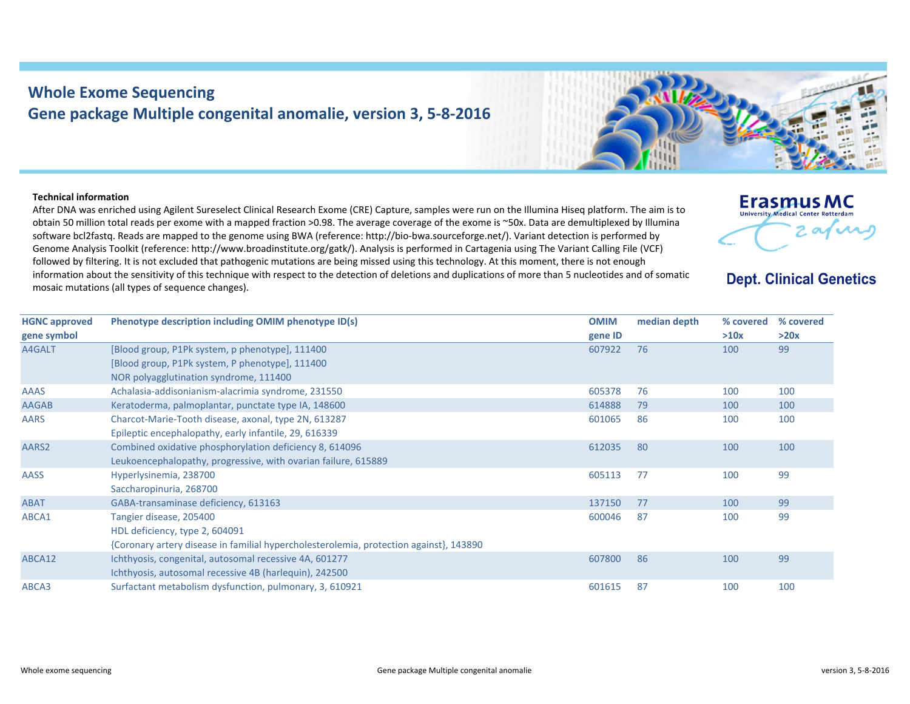## **Whole Exome Sequencing Gene package Multiple congenital anomalie, version 3, 5‐8‐2016**

## **Technical information**

After DNA was enriched using Agilent Sureselect Clinical Research Exome (CRE) Capture, samples were run on the Illumina Hiseq platform. The aim is to obtain 50 million total reads per exome with <sup>a</sup> mapped fraction >0.98. The average coverage of the exome is ~50x. Data are demultiplexed by Illumina software bcl2fastq. Reads are mapped to the genome using BWA (reference: http://bio‐bwa.sourceforge.net/). Variant detection is performed by Genome Analysis Toolkit (reference: http://www.broadinstitute.org/gatk/). Analysis is performed in Cartagenia using The Variant Calling File (VCF) followed by filtering. It is not excluded that pathogenic mutations are being missed using this technology. At this moment, there is not enough information about the sensitivity of this technique with respect to the detection of deletions and duplications of more than 5 nucleotides and of somatic mosaic mutations (all types of sequence changes).





**Dept. Clinical Genetics** 

2 avril

**Erasmus MC University Medical Center Rotterdar**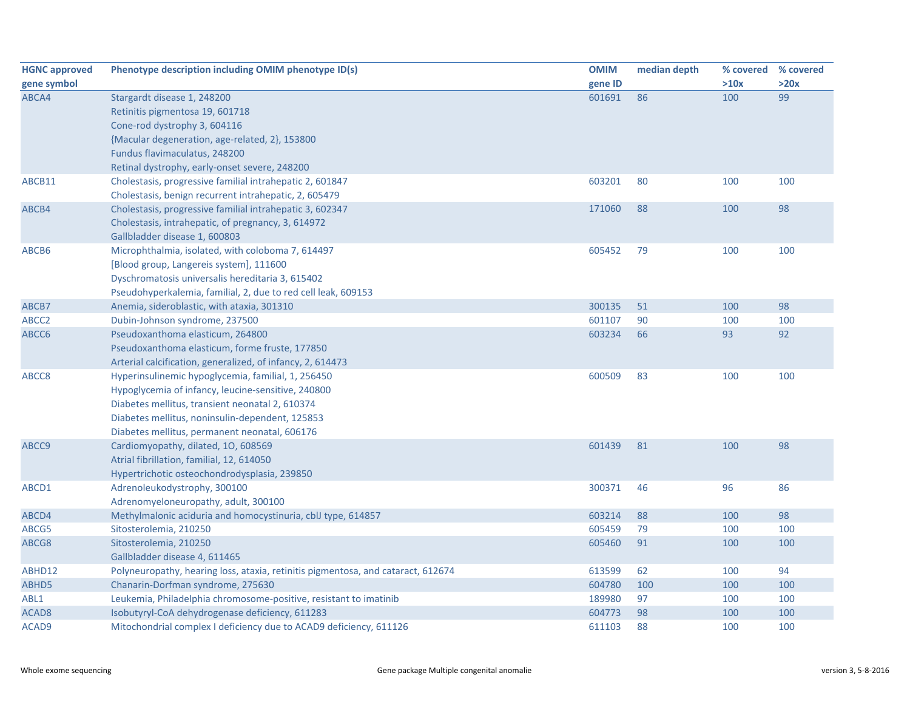| <b>HGNC approved</b> | Phenotype description including OMIM phenotype ID(s)                             | <b>OMIM</b> | median depth | % covered | % covered |
|----------------------|----------------------------------------------------------------------------------|-------------|--------------|-----------|-----------|
| gene symbol          |                                                                                  | gene ID     |              | >10x      | >20x      |
| ABCA4                | Stargardt disease 1, 248200                                                      | 601691      | 86           | 100       | 99        |
|                      | Retinitis pigmentosa 19, 601718                                                  |             |              |           |           |
|                      | Cone-rod dystrophy 3, 604116                                                     |             |              |           |           |
|                      | {Macular degeneration, age-related, 2}, 153800                                   |             |              |           |           |
|                      | Fundus flavimaculatus, 248200                                                    |             |              |           |           |
|                      | Retinal dystrophy, early-onset severe, 248200                                    |             |              |           |           |
| ABCB11               | Cholestasis, progressive familial intrahepatic 2, 601847                         | 603201      | 80           | 100       | 100       |
|                      | Cholestasis, benign recurrent intrahepatic, 2, 605479                            |             |              |           |           |
| ABCB4                | Cholestasis, progressive familial intrahepatic 3, 602347                         | 171060      | 88           | 100       | 98        |
|                      | Cholestasis, intrahepatic, of pregnancy, 3, 614972                               |             |              |           |           |
|                      | Gallbladder disease 1, 600803                                                    |             |              |           |           |
| ABCB6                | Microphthalmia, isolated, with coloboma 7, 614497                                | 605452      | 79           | 100       | 100       |
|                      | [Blood group, Langereis system], 111600                                          |             |              |           |           |
|                      | Dyschromatosis universalis hereditaria 3, 615402                                 |             |              |           |           |
|                      | Pseudohyperkalemia, familial, 2, due to red cell leak, 609153                    |             |              |           |           |
| ABCB7                | Anemia, sideroblastic, with ataxia, 301310                                       | 300135      | 51           | 100       | 98        |
| ABCC <sub>2</sub>    | Dubin-Johnson syndrome, 237500                                                   | 601107      | 90           | 100       | 100       |
| ABCC6                | Pseudoxanthoma elasticum, 264800                                                 | 603234      | 66           | 93        | 92        |
|                      | Pseudoxanthoma elasticum, forme fruste, 177850                                   |             |              |           |           |
|                      | Arterial calcification, generalized, of infancy, 2, 614473                       |             |              |           |           |
| ABCC8                | Hyperinsulinemic hypoglycemia, familial, 1, 256450                               | 600509      | 83           | 100       | 100       |
|                      | Hypoglycemia of infancy, leucine-sensitive, 240800                               |             |              |           |           |
|                      | Diabetes mellitus, transient neonatal 2, 610374                                  |             |              |           |           |
|                      | Diabetes mellitus, noninsulin-dependent, 125853                                  |             |              |           |           |
|                      | Diabetes mellitus, permanent neonatal, 606176                                    |             |              |           |           |
| ABCC9                | Cardiomyopathy, dilated, 10, 608569                                              | 601439      | 81           | 100       | 98        |
|                      | Atrial fibrillation, familial, 12, 614050                                        |             |              |           |           |
|                      | Hypertrichotic osteochondrodysplasia, 239850                                     |             |              |           |           |
| ABCD1                | Adrenoleukodystrophy, 300100                                                     | 300371      | 46           | 96        | 86        |
|                      | Adrenomyeloneuropathy, adult, 300100                                             |             |              |           |           |
| ABCD4                | Methylmalonic aciduria and homocystinuria, cblJ type, 614857                     | 603214      | 88           | 100       | 98        |
| ABCG5                | Sitosterolemia, 210250                                                           | 605459      | 79           | 100       | 100       |
| ABCG8                | Sitosterolemia, 210250                                                           | 605460      | 91           | 100       | 100       |
|                      | Gallbladder disease 4, 611465                                                    |             |              |           |           |
| ABHD12               | Polyneuropathy, hearing loss, ataxia, retinitis pigmentosa, and cataract, 612674 | 613599      | 62           | 100       | 94        |
| ABHD5                | Chanarin-Dorfman syndrome, 275630                                                | 604780      | 100          | 100       | 100       |
| ABL1                 | Leukemia, Philadelphia chromosome-positive, resistant to imatinib                | 189980      | 97           | 100       | 100       |
| ACAD <sub>8</sub>    | Isobutyryl-CoA dehydrogenase deficiency, 611283                                  | 604773      | 98           | 100       | 100       |
| ACAD9                | Mitochondrial complex I deficiency due to ACAD9 deficiency, 611126               | 611103      | 88           | 100       | 100       |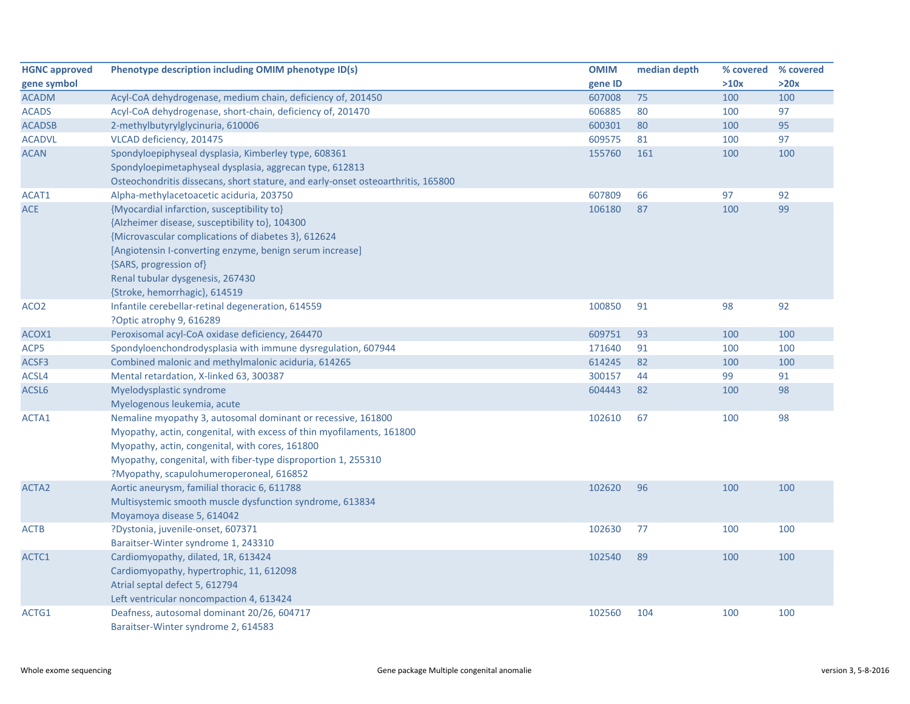| <b>HGNC approved</b> | Phenotype description including OMIM phenotype ID(s)                             | <b>OMIM</b> | median depth | % covered | % covered |
|----------------------|----------------------------------------------------------------------------------|-------------|--------------|-----------|-----------|
| gene symbol          |                                                                                  | gene ID     |              | >10x      | >20x      |
| <b>ACADM</b>         | Acyl-CoA dehydrogenase, medium chain, deficiency of, 201450                      | 607008      | 75           | 100       | 100       |
| <b>ACADS</b>         | Acyl-CoA dehydrogenase, short-chain, deficiency of, 201470                       | 606885      | 80           | 100       | 97        |
| <b>ACADSB</b>        | 2-methylbutyrylglycinuria, 610006                                                | 600301      | 80           | 100       | 95        |
| <b>ACADVL</b>        | VLCAD deficiency, 201475                                                         | 609575      | 81           | 100       | 97        |
| <b>ACAN</b>          | Spondyloepiphyseal dysplasia, Kimberley type, 608361                             | 155760      | 161          | 100       | 100       |
|                      | Spondyloepimetaphyseal dysplasia, aggrecan type, 612813                          |             |              |           |           |
|                      | Osteochondritis dissecans, short stature, and early-onset osteoarthritis, 165800 |             |              |           |           |
| ACAT1                | Alpha-methylacetoacetic aciduria, 203750                                         | 607809      | 66           | 97        | 92        |
| <b>ACE</b>           | {Myocardial infarction, susceptibility to}                                       | 106180      | 87           | 100       | 99        |
|                      | {Alzheimer disease, susceptibility to}, 104300                                   |             |              |           |           |
|                      | {Microvascular complications of diabetes 3}, 612624                              |             |              |           |           |
|                      | [Angiotensin I-converting enzyme, benign serum increase]                         |             |              |           |           |
|                      | {SARS, progression of}                                                           |             |              |           |           |
|                      | Renal tubular dysgenesis, 267430                                                 |             |              |           |           |
|                      | {Stroke, hemorrhagic}, 614519                                                    |             |              |           |           |
| ACO <sub>2</sub>     | Infantile cerebellar-retinal degeneration, 614559                                | 100850      | 91           | 98        | 92        |
|                      | ?Optic atrophy 9, 616289                                                         |             |              |           |           |
| ACOX1                | Peroxisomal acyl-CoA oxidase deficiency, 264470                                  | 609751      | 93           | 100       | 100       |
| ACP5                 | Spondyloenchondrodysplasia with immune dysregulation, 607944                     | 171640      | 91           | 100       | 100       |
| ACSF3                | Combined malonic and methylmalonic aciduria, 614265                              | 614245      | 82           | 100       | 100       |
| ACSL4                | Mental retardation, X-linked 63, 300387                                          | 300157      | 44           | 99        | 91        |
| ACSL6                | Myelodysplastic syndrome                                                         | 604443      | 82           | 100       | 98        |
|                      | Myelogenous leukemia, acute                                                      |             |              |           |           |
| ACTA1                | Nemaline myopathy 3, autosomal dominant or recessive, 161800                     | 102610      | 67           | 100       | 98        |
|                      | Myopathy, actin, congenital, with excess of thin myofilaments, 161800            |             |              |           |           |
|                      | Myopathy, actin, congenital, with cores, 161800                                  |             |              |           |           |
|                      | Myopathy, congenital, with fiber-type disproportion 1, 255310                    |             |              |           |           |
|                      | ?Myopathy, scapulohumeroperoneal, 616852                                         |             |              |           |           |
| ACTA2                | Aortic aneurysm, familial thoracic 6, 611788                                     | 102620      | 96           | 100       | 100       |
|                      | Multisystemic smooth muscle dysfunction syndrome, 613834                         |             |              |           |           |
|                      | Moyamoya disease 5, 614042                                                       |             |              |           |           |
| ACTB                 | ?Dystonia, juvenile-onset, 607371                                                | 102630      | 77           | 100       | 100       |
|                      | Baraitser-Winter syndrome 1, 243310                                              |             |              |           |           |
| ACTC1                | Cardiomyopathy, dilated, 1R, 613424                                              | 102540      | 89           | 100       | 100       |
|                      | Cardiomyopathy, hypertrophic, 11, 612098                                         |             |              |           |           |
|                      | Atrial septal defect 5, 612794                                                   |             |              |           |           |
|                      | Left ventricular noncompaction 4, 613424                                         |             |              |           |           |
| ACTG1                | Deafness, autosomal dominant 20/26, 604717                                       | 102560      | 104          | 100       | 100       |
|                      | Baraitser-Winter syndrome 2, 614583                                              |             |              |           |           |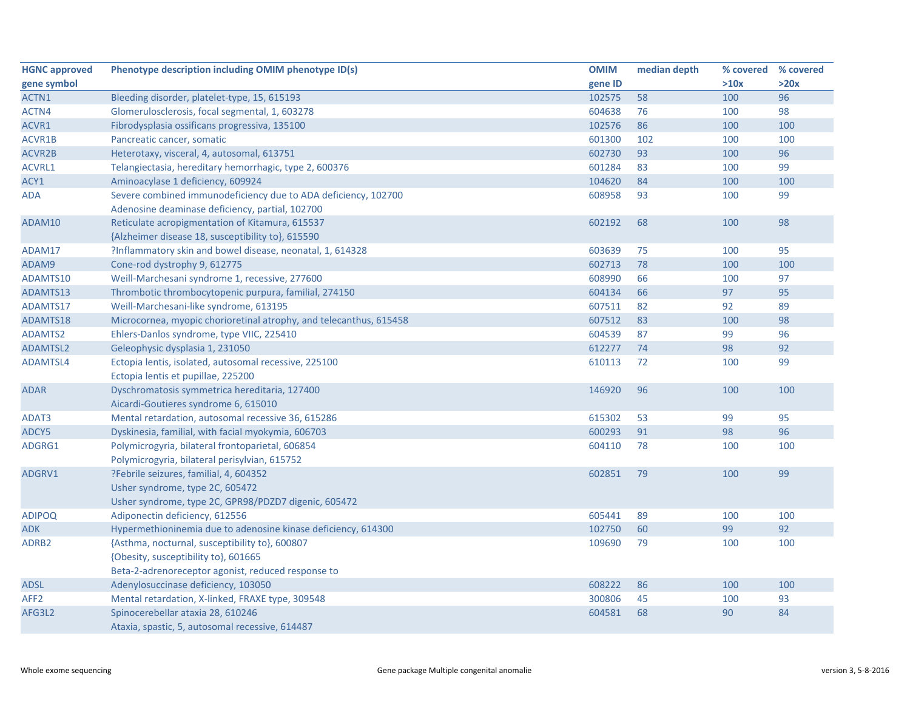| <b>HGNC approved</b> | Phenotype description including OMIM phenotype ID(s)               | <b>OMIM</b> | median depth | % covered % covered |      |
|----------------------|--------------------------------------------------------------------|-------------|--------------|---------------------|------|
| gene symbol          |                                                                    | gene ID     |              | >10x                | >20x |
| ACTN1                | Bleeding disorder, platelet-type, 15, 615193                       | 102575      | 58           | 100                 | 96   |
| ACTN4                | Glomerulosclerosis, focal segmental, 1, 603278                     | 604638      | 76           | 100                 | 98   |
| ACVR1                | Fibrodysplasia ossificans progressiva, 135100                      | 102576      | 86           | 100                 | 100  |
| ACVR1B               | Pancreatic cancer, somatic                                         | 601300      | 102          | 100                 | 100  |
| ACVR2B               | Heterotaxy, visceral, 4, autosomal, 613751                         | 602730      | 93           | 100                 | 96   |
| ACVRL1               | Telangiectasia, hereditary hemorrhagic, type 2, 600376             | 601284      | 83           | 100                 | 99   |
| ACY1                 | Aminoacylase 1 deficiency, 609924                                  | 104620      | 84           | 100                 | 100  |
| <b>ADA</b>           | Severe combined immunodeficiency due to ADA deficiency, 102700     | 608958      | 93           | 100                 | 99   |
|                      | Adenosine deaminase deficiency, partial, 102700                    |             |              |                     |      |
| ADAM10               | Reticulate acropigmentation of Kitamura, 615537                    | 602192      | 68           | 100                 | 98   |
|                      | {Alzheimer disease 18, susceptibility to}, 615590                  |             |              |                     |      |
| ADAM17               | ?Inflammatory skin and bowel disease, neonatal, 1, 614328          | 603639      | 75           | 100                 | 95   |
| ADAM9                | Cone-rod dystrophy 9, 612775                                       | 602713      | 78           | 100                 | 100  |
| ADAMTS10             | Weill-Marchesani syndrome 1, recessive, 277600                     | 608990      | 66           | 100                 | 97   |
| ADAMTS13             | Thrombotic thrombocytopenic purpura, familial, 274150              | 604134      | 66           | 97                  | 95   |
| ADAMTS17             | Weill-Marchesani-like syndrome, 613195                             | 607511      | 82           | 92                  | 89   |
| ADAMTS18             | Microcornea, myopic chorioretinal atrophy, and telecanthus, 615458 | 607512      | 83           | 100                 | 98   |
| <b>ADAMTS2</b>       | Ehlers-Danlos syndrome, type VIIC, 225410                          | 604539      | 87           | 99                  | 96   |
| ADAMTSL2             | Geleophysic dysplasia 1, 231050                                    | 612277      | 74           | 98                  | 92   |
| <b>ADAMTSL4</b>      | Ectopia lentis, isolated, autosomal recessive, 225100              | 610113      | 72           | 100                 | 99   |
|                      | Ectopia lentis et pupillae, 225200                                 |             |              |                     |      |
| <b>ADAR</b>          | Dyschromatosis symmetrica hereditaria, 127400                      | 146920      | 96           | 100                 | 100  |
|                      | Aicardi-Goutieres syndrome 6, 615010                               |             |              |                     |      |
| ADAT3                | Mental retardation, autosomal recessive 36, 615286                 | 615302      | 53           | 99                  | 95   |
| ADCY5                | Dyskinesia, familial, with facial myokymia, 606703                 | 600293      | 91           | 98                  | 96   |
| ADGRG1               | Polymicrogyria, bilateral frontoparietal, 606854                   | 604110      | 78           | 100                 | 100  |
|                      | Polymicrogyria, bilateral perisylvian, 615752                      |             |              |                     |      |
| ADGRV1               | ?Febrile seizures, familial, 4, 604352                             | 602851      | 79           | 100                 | 99   |
|                      | Usher syndrome, type 2C, 605472                                    |             |              |                     |      |
|                      | Usher syndrome, type 2C, GPR98/PDZD7 digenic, 605472               |             |              |                     |      |
| <b>ADIPOQ</b>        | Adiponectin deficiency, 612556                                     | 605441      | 89           | 100                 | 100  |
| <b>ADK</b>           | Hypermethioninemia due to adenosine kinase deficiency, 614300      | 102750      | 60           | 99                  | 92   |
| ADRB <sub>2</sub>    | {Asthma, nocturnal, susceptibility to}, 600807                     | 109690      | 79           | 100                 | 100  |
|                      | {Obesity, susceptibility to}, 601665                               |             |              |                     |      |
|                      | Beta-2-adrenoreceptor agonist, reduced response to                 |             |              |                     |      |
| <b>ADSL</b>          | Adenylosuccinase deficiency, 103050                                | 608222      | 86           | 100                 | 100  |
| AFF <sub>2</sub>     | Mental retardation, X-linked, FRAXE type, 309548                   | 300806      | 45           | 100                 | 93   |
| AFG3L2               | Spinocerebellar ataxia 28, 610246                                  | 604581      | 68           | 90                  | 84   |
|                      | Ataxia, spastic, 5, autosomal recessive, 614487                    |             |              |                     |      |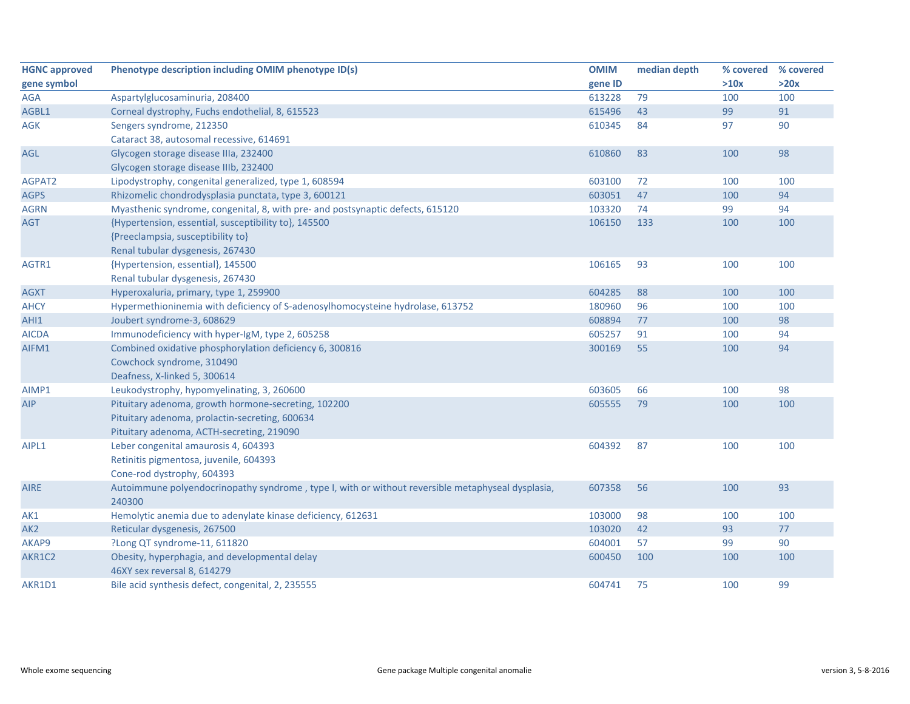| <b>HGNC approved</b> | Phenotype description including OMIM phenotype ID(s)                                              | <b>OMIM</b> | median depth | % covered | % covered |
|----------------------|---------------------------------------------------------------------------------------------------|-------------|--------------|-----------|-----------|
| gene symbol          |                                                                                                   | gene ID     |              | >10x      | >20x      |
| AGA                  | Aspartylglucosaminuria, 208400                                                                    | 613228      | 79           | 100       | 100       |
| AGBL1                | Corneal dystrophy, Fuchs endothelial, 8, 615523                                                   | 615496      | 43           | 99        | 91        |
| <b>AGK</b>           | Sengers syndrome, 212350                                                                          | 610345      | 84           | 97        | 90        |
|                      | Cataract 38, autosomal recessive, 614691                                                          |             |              |           |           |
| AGL                  | Glycogen storage disease IIIa, 232400                                                             | 610860      | 83           | 100       | 98        |
|                      | Glycogen storage disease IIIb, 232400                                                             |             |              |           |           |
| AGPAT2               | Lipodystrophy, congenital generalized, type 1, 608594                                             | 603100      | 72           | 100       | 100       |
| <b>AGPS</b>          | Rhizomelic chondrodysplasia punctata, type 3, 600121                                              | 603051      | 47           | 100       | 94        |
| <b>AGRN</b>          | Myasthenic syndrome, congenital, 8, with pre- and postsynaptic defects, 615120                    | 103320      | 74           | 99        | 94        |
| AGT                  | {Hypertension, essential, susceptibility to}, 145500                                              | 106150      | 133          | 100       | 100       |
|                      | {Preeclampsia, susceptibility to}                                                                 |             |              |           |           |
|                      | Renal tubular dysgenesis, 267430                                                                  |             |              |           |           |
| AGTR1                | {Hypertension, essential}, 145500                                                                 | 106165      | 93           | 100       | 100       |
|                      | Renal tubular dysgenesis, 267430                                                                  |             |              |           |           |
| <b>AGXT</b>          | Hyperoxaluria, primary, type 1, 259900                                                            | 604285      | 88           | 100       | 100       |
| <b>AHCY</b>          | Hypermethioninemia with deficiency of S-adenosylhomocysteine hydrolase, 613752                    | 180960      | 96           | 100       | 100       |
| AHI1                 | Joubert syndrome-3, 608629                                                                        | 608894      | 77           | 100       | 98        |
| <b>AICDA</b>         | Immunodeficiency with hyper-IgM, type 2, 605258                                                   | 605257      | 91           | 100       | 94        |
| AIFM1                | Combined oxidative phosphorylation deficiency 6, 300816                                           | 300169      | 55           | 100       | 94        |
|                      | Cowchock syndrome, 310490                                                                         |             |              |           |           |
|                      | Deafness, X-linked 5, 300614                                                                      |             |              |           |           |
| AIMP1                | Leukodystrophy, hypomyelinating, 3, 260600                                                        | 603605      | 66           | 100       | 98        |
| AIP                  | Pituitary adenoma, growth hormone-secreting, 102200                                               | 605555      | 79           | 100       | 100       |
|                      | Pituitary adenoma, prolactin-secreting, 600634                                                    |             |              |           |           |
|                      | Pituitary adenoma, ACTH-secreting, 219090                                                         |             |              |           |           |
| AIPL1                | Leber congenital amaurosis 4, 604393                                                              | 604392      | 87           | 100       | 100       |
|                      | Retinitis pigmentosa, juvenile, 604393                                                            |             |              |           |           |
|                      | Cone-rod dystrophy, 604393                                                                        |             |              |           |           |
| <b>AIRE</b>          | Autoimmune polyendocrinopathy syndrome, type I, with or without reversible metaphyseal dysplasia, | 607358      | 56           | 100       | 93        |
|                      | 240300                                                                                            |             |              |           |           |
| AK1                  | Hemolytic anemia due to adenylate kinase deficiency, 612631                                       | 103000      | 98           | 100       | 100       |
| AK <sub>2</sub>      | Reticular dysgenesis, 267500                                                                      | 103020      | 42           | 93        | $77$      |
| AKAP9                | ?Long QT syndrome-11, 611820                                                                      | 604001      | 57           | 99        | 90        |
| AKR1C2               | Obesity, hyperphagia, and developmental delay                                                     | 600450      | 100          | 100       | 100       |
|                      | 46XY sex reversal 8, 614279                                                                       |             |              |           |           |
| AKR1D1               | Bile acid synthesis defect, congenital, 2, 235555                                                 | 604741      | 75           | 100       | 99        |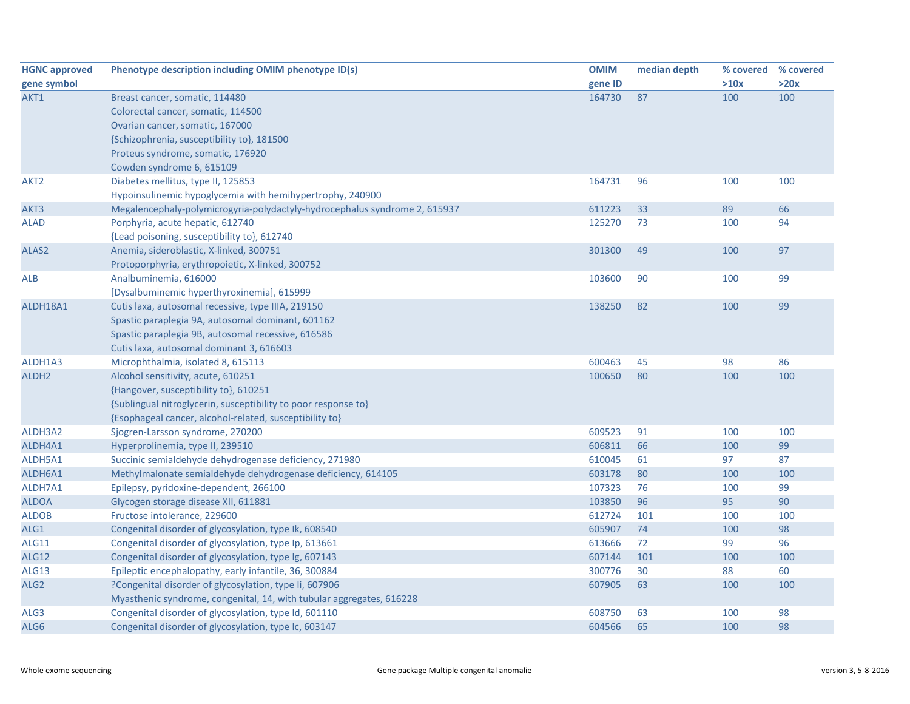| <b>HGNC approved</b> | Phenotype description including OMIM phenotype ID(s)                       | <b>OMIM</b> | median depth | % covered % covered |      |
|----------------------|----------------------------------------------------------------------------|-------------|--------------|---------------------|------|
| gene symbol          |                                                                            | gene ID     |              | >10x                | >20x |
| AKT1                 | Breast cancer, somatic, 114480                                             | 164730      | 87           | 100                 | 100  |
|                      | Colorectal cancer, somatic, 114500                                         |             |              |                     |      |
|                      | Ovarian cancer, somatic, 167000                                            |             |              |                     |      |
|                      | {Schizophrenia, susceptibility to}, 181500                                 |             |              |                     |      |
|                      | Proteus syndrome, somatic, 176920                                          |             |              |                     |      |
|                      | Cowden syndrome 6, 615109                                                  |             |              |                     |      |
| AKT <sub>2</sub>     | Diabetes mellitus, type II, 125853                                         | 164731      | 96           | 100                 | 100  |
|                      | Hypoinsulinemic hypoglycemia with hemihypertrophy, 240900                  |             |              |                     |      |
| AKT3                 | Megalencephaly-polymicrogyria-polydactyly-hydrocephalus syndrome 2, 615937 | 611223      | 33           | 89                  | 66   |
| <b>ALAD</b>          | Porphyria, acute hepatic, 612740                                           | 125270      | 73           | 100                 | 94   |
|                      | {Lead poisoning, susceptibility to}, 612740                                |             |              |                     |      |
| ALAS2                | Anemia, sideroblastic, X-linked, 300751                                    | 301300      | 49           | 100                 | 97   |
|                      | Protoporphyria, erythropoietic, X-linked, 300752                           |             |              |                     |      |
| <b>ALB</b>           | Analbuminemia, 616000                                                      | 103600      | 90           | 100                 | 99   |
|                      | [Dysalbuminemic hyperthyroxinemia], 615999                                 |             |              |                     |      |
| ALDH18A1             | Cutis laxa, autosomal recessive, type IIIA, 219150                         | 138250      | 82           | 100                 | 99   |
|                      | Spastic paraplegia 9A, autosomal dominant, 601162                          |             |              |                     |      |
|                      | Spastic paraplegia 9B, autosomal recessive, 616586                         |             |              |                     |      |
|                      | Cutis laxa, autosomal dominant 3, 616603                                   |             |              |                     |      |
| ALDH1A3              | Microphthalmia, isolated 8, 615113                                         | 600463      | 45           | 98                  | 86   |
| ALDH <sub>2</sub>    | Alcohol sensitivity, acute, 610251                                         | 100650      | 80           | 100                 | 100  |
|                      | {Hangover, susceptibility to}, 610251                                      |             |              |                     |      |
|                      | {Sublingual nitroglycerin, susceptibility to poor response to}             |             |              |                     |      |
|                      | {Esophageal cancer, alcohol-related, susceptibility to}                    |             |              |                     |      |
| ALDH3A2              | Sjogren-Larsson syndrome, 270200                                           | 609523      | 91           | 100                 | 100  |
| ALDH4A1              | Hyperprolinemia, type II, 239510                                           | 606811      | 66           | 100                 | 99   |
| ALDH5A1              | Succinic semialdehyde dehydrogenase deficiency, 271980                     | 610045      | 61           | 97                  | 87   |
| ALDH6A1              | Methylmalonate semialdehyde dehydrogenase deficiency, 614105               | 603178      | 80           | 100                 | 100  |
| ALDH7A1              | Epilepsy, pyridoxine-dependent, 266100                                     | 107323      | 76           | 100                 | 99   |
| <b>ALDOA</b>         | Glycogen storage disease XII, 611881                                       | 103850      | 96           | 95                  | 90   |
| <b>ALDOB</b>         | Fructose intolerance, 229600                                               | 612724      | 101          | 100                 | 100  |
| ALG1                 | Congenital disorder of glycosylation, type Ik, 608540                      | 605907      | 74           | 100                 | 98   |
| <b>ALG11</b>         | Congenital disorder of glycosylation, type Ip, 613661                      | 613666      | 72           | 99                  | 96   |
| <b>ALG12</b>         | Congenital disorder of glycosylation, type Ig, 607143                      | 607144      | 101          | 100                 | 100  |
| <b>ALG13</b>         | Epileptic encephalopathy, early infantile, 36, 300884                      | 300776      | 30           | 88                  | 60   |
| ALG <sub>2</sub>     | ?Congenital disorder of glycosylation, type Ii, 607906                     | 607905      | 63           | 100                 | 100  |
|                      | Myasthenic syndrome, congenital, 14, with tubular aggregates, 616228       |             |              |                     |      |
| ALG3                 | Congenital disorder of glycosylation, type Id, 601110                      | 608750      | 63           | 100                 | 98   |
| ALG6                 | Congenital disorder of glycosylation, type Ic, 603147                      | 604566      | 65           | 100                 | 98   |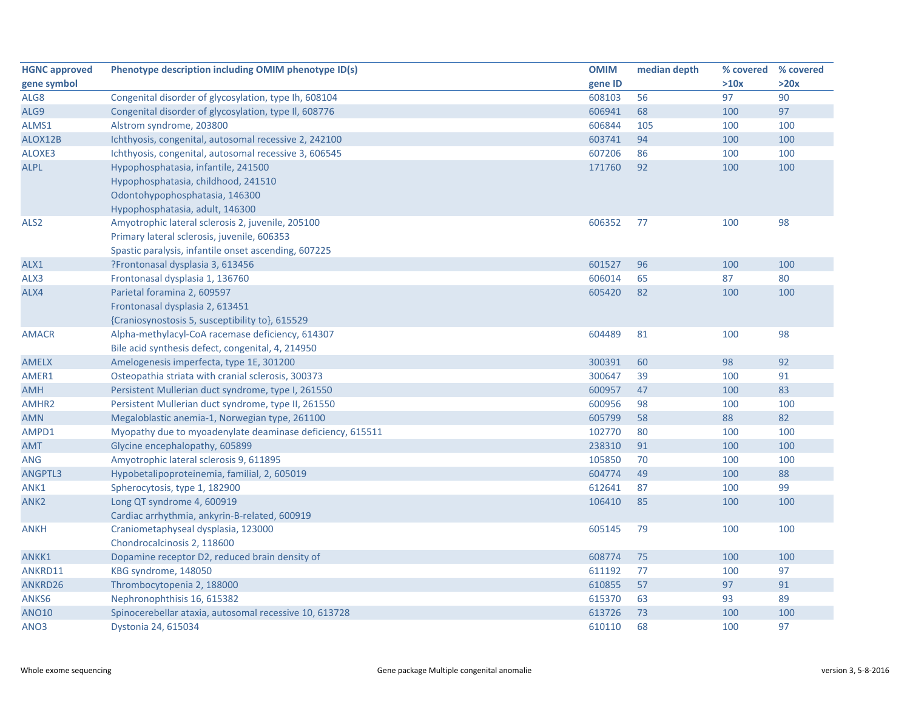| <b>HGNC approved</b> | Phenotype description including OMIM phenotype ID(s)      | <b>OMIM</b> | median depth | % covered | % covered |
|----------------------|-----------------------------------------------------------|-------------|--------------|-----------|-----------|
| gene symbol          |                                                           | gene ID     |              | >10x      | >20x      |
| ALG8                 | Congenital disorder of glycosylation, type Ih, 608104     | 608103      | 56           | 97        | 90        |
| ALG9                 | Congenital disorder of glycosylation, type II, 608776     | 606941      | 68           | 100       | 97        |
| ALMS1                | Alstrom syndrome, 203800                                  | 606844      | 105          | 100       | 100       |
| ALOX12B              | Ichthyosis, congenital, autosomal recessive 2, 242100     | 603741      | 94           | 100       | 100       |
| ALOXE3               | Ichthyosis, congenital, autosomal recessive 3, 606545     | 607206      | 86           | 100       | 100       |
| <b>ALPL</b>          | Hypophosphatasia, infantile, 241500                       | 171760      | 92           | 100       | 100       |
|                      | Hypophosphatasia, childhood, 241510                       |             |              |           |           |
|                      | Odontohypophosphatasia, 146300                            |             |              |           |           |
|                      | Hypophosphatasia, adult, 146300                           |             |              |           |           |
| ALS <sub>2</sub>     | Amyotrophic lateral sclerosis 2, juvenile, 205100         | 606352      | 77           | 100       | 98        |
|                      | Primary lateral sclerosis, juvenile, 606353               |             |              |           |           |
|                      | Spastic paralysis, infantile onset ascending, 607225      |             |              |           |           |
| ALX1                 | ?Frontonasal dysplasia 3, 613456                          | 601527      | 96           | 100       | 100       |
| ALX3                 | Frontonasal dysplasia 1, 136760                           | 606014      | 65           | 87        | 80        |
| ALX4                 | Parietal foramina 2, 609597                               | 605420      | 82           | 100       | 100       |
|                      | Frontonasal dysplasia 2, 613451                           |             |              |           |           |
|                      | {Craniosynostosis 5, susceptibility to}, 615529           |             |              |           |           |
| <b>AMACR</b>         | Alpha-methylacyl-CoA racemase deficiency, 614307          | 604489      | 81           | 100       | 98        |
|                      | Bile acid synthesis defect, congenital, 4, 214950         |             |              |           |           |
| <b>AMELX</b>         | Amelogenesis imperfecta, type 1E, 301200                  | 300391      | 60           | 98        | 92        |
| AMER1                | Osteopathia striata with cranial sclerosis, 300373        | 300647      | 39           | 100       | 91        |
| <b>AMH</b>           | Persistent Mullerian duct syndrome, type I, 261550        | 600957      | 47           | 100       | 83        |
| AMHR2                | Persistent Mullerian duct syndrome, type II, 261550       | 600956      | 98           | 100       | 100       |
| <b>AMN</b>           | Megaloblastic anemia-1, Norwegian type, 261100            | 605799      | 58           | 88        | 82        |
| AMPD1                | Myopathy due to myoadenylate deaminase deficiency, 615511 | 102770      | 80           | 100       | 100       |
| <b>AMT</b>           | Glycine encephalopathy, 605899                            | 238310      | 91           | 100       | 100       |
| <b>ANG</b>           | Amyotrophic lateral sclerosis 9, 611895                   | 105850      | 70           | 100       | 100       |
| ANGPTL3              | Hypobetalipoproteinemia, familial, 2, 605019              | 604774      | 49           | 100       | 88        |
| ANK1                 | Spherocytosis, type 1, 182900                             | 612641      | 87           | 100       | 99        |
| ANK <sub>2</sub>     | Long QT syndrome 4, 600919                                | 106410      | 85           | 100       | 100       |
|                      | Cardiac arrhythmia, ankyrin-B-related, 600919             |             |              |           |           |
| <b>ANKH</b>          | Craniometaphyseal dysplasia, 123000                       | 605145      | 79           | 100       | 100       |
|                      | Chondrocalcinosis 2, 118600                               |             |              |           |           |
| ANKK1                | Dopamine receptor D2, reduced brain density of            | 608774      | 75           | 100       | 100       |
| ANKRD11              | KBG syndrome, 148050                                      | 611192      | 77           | 100       | 97        |
| ANKRD26              | Thrombocytopenia 2, 188000                                | 610855      | 57           | 97        | 91        |
| ANKS6                | Nephronophthisis 16, 615382                               | 615370      | 63           | 93        | 89        |
| <b>ANO10</b>         | Spinocerebellar ataxia, autosomal recessive 10, 613728    | 613726      | 73           | 100       | 100       |
| ANO <sub>3</sub>     | Dystonia 24, 615034                                       | 610110      | 68           | 100       | 97        |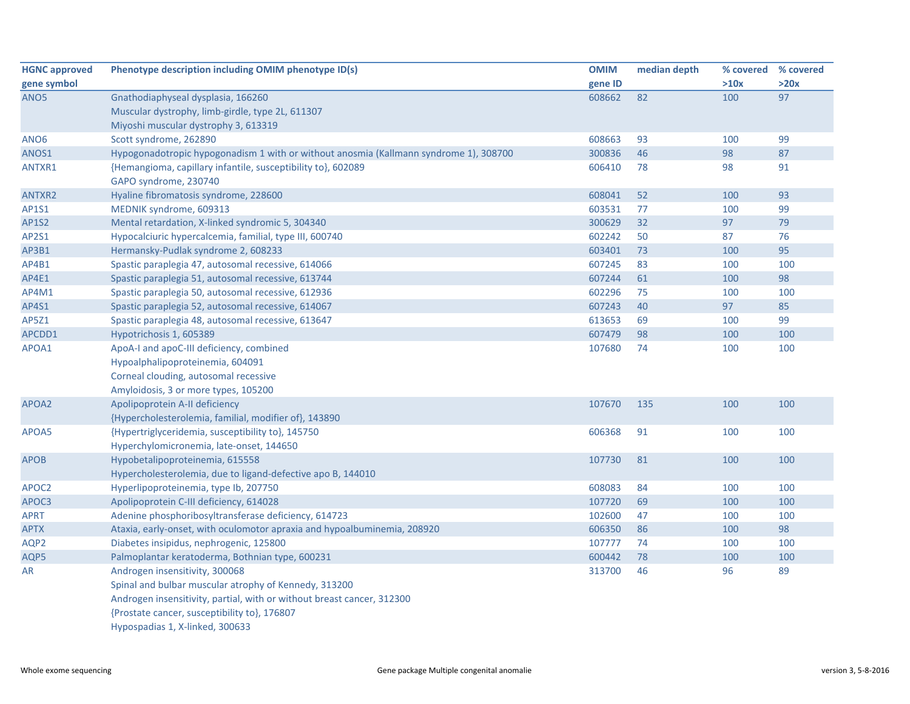| <b>HGNC approved</b> | Phenotype description including OMIM phenotype ID(s)                                  | <b>OMIM</b> | median depth | % covered | % covered |
|----------------------|---------------------------------------------------------------------------------------|-------------|--------------|-----------|-----------|
| gene symbol          |                                                                                       | gene ID     |              | >10x      | >20x      |
| ANO <sub>5</sub>     | Gnathodiaphyseal dysplasia, 166260                                                    | 608662      | 82           | 100       | 97        |
|                      | Muscular dystrophy, limb-girdle, type 2L, 611307                                      |             |              |           |           |
|                      | Miyoshi muscular dystrophy 3, 613319                                                  |             |              |           |           |
| ANO <sub>6</sub>     | Scott syndrome, 262890                                                                | 608663      | 93           | 100       | 99        |
| ANOS1                | Hypogonadotropic hypogonadism 1 with or without anosmia (Kallmann syndrome 1), 308700 | 300836      | 46           | 98        | 87        |
| ANTXR1               | {Hemangioma, capillary infantile, susceptibility to}, 602089                          | 606410      | 78           | 98        | 91        |
|                      | GAPO syndrome, 230740                                                                 |             |              |           |           |
| <b>ANTXR2</b>        | Hyaline fibromatosis syndrome, 228600                                                 | 608041      | 52           | 100       | 93        |
| AP1S1                | MEDNIK syndrome, 609313                                                               | 603531      | 77           | 100       | 99        |
| <b>AP1S2</b>         | Mental retardation, X-linked syndromic 5, 304340                                      | 300629      | 32           | 97        | 79        |
| <b>AP2S1</b>         | Hypocalciuric hypercalcemia, familial, type III, 600740                               | 602242      | 50           | 87        | 76        |
| AP3B1                | Hermansky-Pudlak syndrome 2, 608233                                                   | 603401      | 73           | 100       | 95        |
| AP4B1                | Spastic paraplegia 47, autosomal recessive, 614066                                    | 607245      | 83           | 100       | 100       |
| AP4E1                | Spastic paraplegia 51, autosomal recessive, 613744                                    | 607244      | 61           | 100       | 98        |
| AP4M1                | Spastic paraplegia 50, autosomal recessive, 612936                                    | 602296      | 75           | 100       | 100       |
| AP4S1                | Spastic paraplegia 52, autosomal recessive, 614067                                    | 607243      | 40           | 97        | 85        |
| AP5Z1                | Spastic paraplegia 48, autosomal recessive, 613647                                    | 613653      | 69           | 100       | 99        |
| APCDD1               | Hypotrichosis 1, 605389                                                               | 607479      | 98           | 100       | 100       |
| APOA1                | ApoA-I and apoC-III deficiency, combined                                              | 107680      | 74           | 100       | 100       |
|                      | Hypoalphalipoproteinemia, 604091                                                      |             |              |           |           |
|                      | Corneal clouding, autosomal recessive                                                 |             |              |           |           |
|                      | Amyloidosis, 3 or more types, 105200                                                  |             |              |           |           |
| APOA2                | Apolipoprotein A-II deficiency                                                        | 107670      | 135          | 100       | 100       |
|                      | {Hypercholesterolemia, familial, modifier of}, 143890                                 |             |              |           |           |
| APOA5                | {Hypertriglyceridemia, susceptibility to}, 145750                                     | 606368      | 91           | 100       | 100       |
|                      | Hyperchylomicronemia, late-onset, 144650                                              |             |              |           |           |
| <b>APOB</b>          | Hypobetalipoproteinemia, 615558                                                       | 107730      | 81           | 100       | 100       |
|                      | Hypercholesterolemia, due to ligand-defective apo B, 144010                           |             |              |           |           |
| APOC2                | Hyperlipoproteinemia, type Ib, 207750                                                 | 608083      | 84           | 100       | 100       |
| APOC3                | Apolipoprotein C-III deficiency, 614028                                               | 107720      | 69           | 100       | 100       |
| <b>APRT</b>          | Adenine phosphoribosyltransferase deficiency, 614723                                  | 102600      | 47           | 100       | 100       |
| <b>APTX</b>          | Ataxia, early-onset, with oculomotor apraxia and hypoalbuminemia, 208920              | 606350      | 86           | 100       | 98        |
| AQP2                 | Diabetes insipidus, nephrogenic, 125800                                               | 107777      | 74           | 100       | 100       |
| AQP5                 | Palmoplantar keratoderma, Bothnian type, 600231                                       | 600442      | 78           | 100       | 100       |
| AR                   | Androgen insensitivity, 300068                                                        | 313700      | 46           | 96        | 89        |
|                      | Spinal and bulbar muscular atrophy of Kennedy, 313200                                 |             |              |           |           |
|                      | Androgen insensitivity, partial, with or without breast cancer, 312300                |             |              |           |           |
|                      | {Prostate cancer, susceptibility to}, 176807                                          |             |              |           |           |
|                      | Hypospadias 1, X-linked, 300633                                                       |             |              |           |           |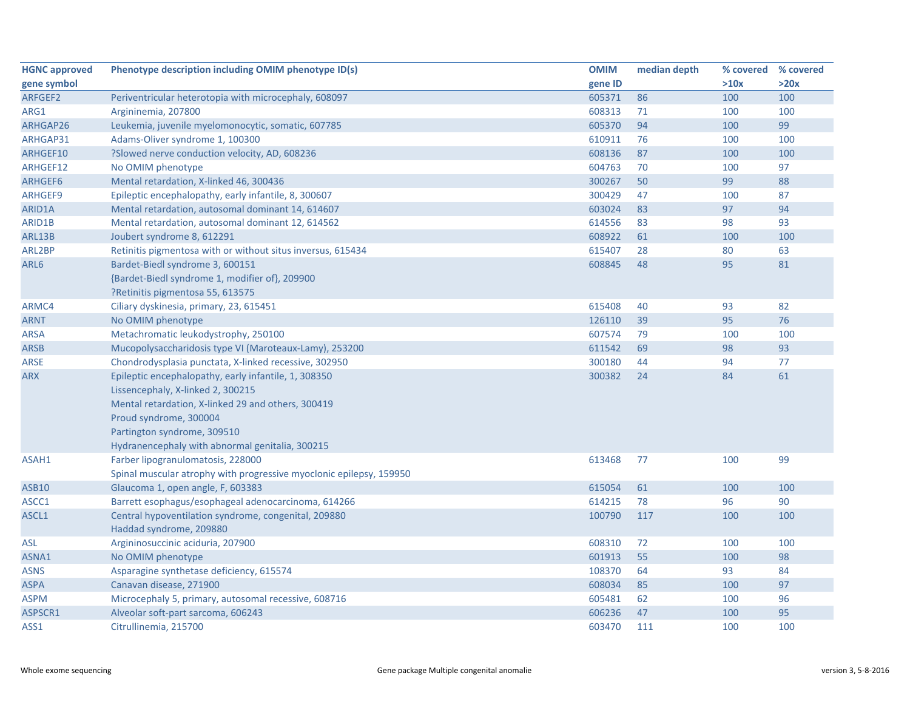| <b>HGNC approved</b> | Phenotype description including OMIM phenotype ID(s)                | <b>OMIM</b> | median depth | % covered % covered |      |
|----------------------|---------------------------------------------------------------------|-------------|--------------|---------------------|------|
| gene symbol          |                                                                     | gene ID     |              | >10x                | >20x |
| ARFGEF2              | Periventricular heterotopia with microcephaly, 608097               | 605371      | 86           | 100                 | 100  |
| ARG1                 | Argininemia, 207800                                                 | 608313      | 71           | 100                 | 100  |
| ARHGAP26             | Leukemia, juvenile myelomonocytic, somatic, 607785                  | 605370      | 94           | 100                 | 99   |
| ARHGAP31             | Adams-Oliver syndrome 1, 100300                                     | 610911      | 76           | 100                 | 100  |
| ARHGEF10             | ?Slowed nerve conduction velocity, AD, 608236                       | 608136      | 87           | 100                 | 100  |
| ARHGEF12             | No OMIM phenotype                                                   | 604763      | 70           | 100                 | 97   |
| ARHGEF6              | Mental retardation, X-linked 46, 300436                             | 300267      | 50           | 99                  | 88   |
| ARHGEF9              | Epileptic encephalopathy, early infantile, 8, 300607                | 300429      | 47           | 100                 | 87   |
| ARID1A               | Mental retardation, autosomal dominant 14, 614607                   | 603024      | 83           | 97                  | 94   |
| ARID1B               | Mental retardation, autosomal dominant 12, 614562                   | 614556      | 83           | 98                  | 93   |
| ARL13B               | Joubert syndrome 8, 612291                                          | 608922      | 61           | 100                 | 100  |
| ARL2BP               | Retinitis pigmentosa with or without situs inversus, 615434         | 615407      | 28           | 80                  | 63   |
| ARL6                 | Bardet-Biedl syndrome 3, 600151                                     | 608845      | 48           | 95                  | 81   |
|                      | {Bardet-Biedl syndrome 1, modifier of}, 209900                      |             |              |                     |      |
|                      | ?Retinitis pigmentosa 55, 613575                                    |             |              |                     |      |
| ARMC4                | Ciliary dyskinesia, primary, 23, 615451                             | 615408      | 40           | 93                  | 82   |
| ARNT                 | No OMIM phenotype                                                   | 126110      | 39           | 95                  | 76   |
| <b>ARSA</b>          | Metachromatic leukodystrophy, 250100                                | 607574      | 79           | 100                 | 100  |
| <b>ARSB</b>          | Mucopolysaccharidosis type VI (Maroteaux-Lamy), 253200              | 611542      | 69           | 98                  | 93   |
| <b>ARSE</b>          | Chondrodysplasia punctata, X-linked recessive, 302950               | 300180      | 44           | 94                  | 77   |
| <b>ARX</b>           | Epileptic encephalopathy, early infantile, 1, 308350                | 300382      | 24           | 84                  | 61   |
|                      | Lissencephaly, X-linked 2, 300215                                   |             |              |                     |      |
|                      | Mental retardation, X-linked 29 and others, 300419                  |             |              |                     |      |
|                      | Proud syndrome, 300004                                              |             |              |                     |      |
|                      | Partington syndrome, 309510                                         |             |              |                     |      |
|                      | Hydranencephaly with abnormal genitalia, 300215                     |             |              |                     |      |
| ASAH1                | Farber lipogranulomatosis, 228000                                   | 613468      | 77           | 100                 | 99   |
|                      | Spinal muscular atrophy with progressive myoclonic epilepsy, 159950 |             |              |                     |      |
| ASB10                | Glaucoma 1, open angle, F, 603383                                   | 615054      | 61           | 100                 | 100  |
| ASCC1                | Barrett esophagus/esophageal adenocarcinoma, 614266                 | 614215      | 78           | 96                  | 90   |
| ASCL1                | Central hypoventilation syndrome, congenital, 209880                | 100790      | 117          | 100                 | 100  |
|                      | Haddad syndrome, 209880                                             |             |              |                     |      |
| ASL                  | Argininosuccinic aciduria, 207900                                   | 608310      | 72           | 100                 | 100  |
| ASNA1                | No OMIM phenotype                                                   | 601913      | 55           | 100                 | 98   |
| <b>ASNS</b>          | Asparagine synthetase deficiency, 615574                            | 108370      | 64           | 93                  | 84   |
| <b>ASPA</b>          | Canavan disease, 271900                                             | 608034      | 85           | 100                 | 97   |
| <b>ASPM</b>          | Microcephaly 5, primary, autosomal recessive, 608716                | 605481      | 62           | 100                 | 96   |
| ASPSCR1              | Alveolar soft-part sarcoma, 606243                                  | 606236      | 47           | 100                 | 95   |
| ASS1                 | Citrullinemia, 215700                                               | 603470      | 111          | 100                 | 100  |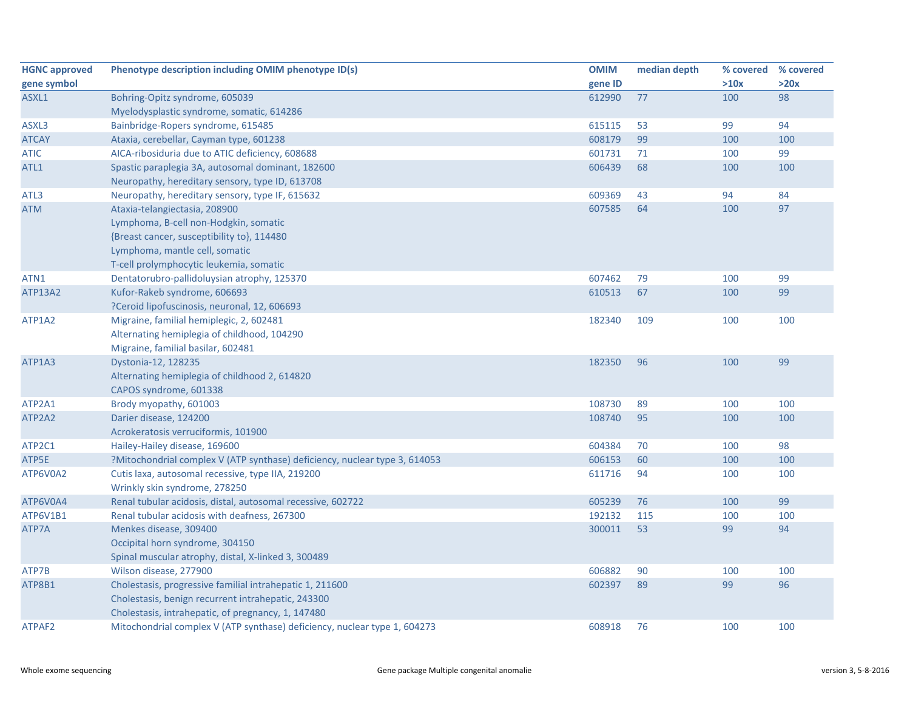| <b>HGNC approved</b> | Phenotype description including OMIM phenotype ID(s)                       | <b>OMIM</b> | median depth | % covered % covered |      |
|----------------------|----------------------------------------------------------------------------|-------------|--------------|---------------------|------|
| gene symbol          |                                                                            | gene ID     |              | >10x                | >20x |
| ASXL1                | Bohring-Opitz syndrome, 605039                                             | 612990      | 77           | 100                 | 98   |
|                      | Myelodysplastic syndrome, somatic, 614286                                  |             |              |                     |      |
| ASXL3                | Bainbridge-Ropers syndrome, 615485                                         | 615115      | 53           | 99                  | 94   |
| <b>ATCAY</b>         | Ataxia, cerebellar, Cayman type, 601238                                    | 608179      | 99           | 100                 | 100  |
| <b>ATIC</b>          | AICA-ribosiduria due to ATIC deficiency, 608688                            | 601731      | 71           | 100                 | 99   |
| ATL1                 | Spastic paraplegia 3A, autosomal dominant, 182600                          | 606439      | 68           | 100                 | 100  |
|                      | Neuropathy, hereditary sensory, type ID, 613708                            |             |              |                     |      |
| ATL3                 | Neuropathy, hereditary sensory, type IF, 615632                            | 609369      | 43           | 94                  | 84   |
| <b>ATM</b>           | Ataxia-telangiectasia, 208900                                              | 607585      | 64           | 100                 | 97   |
|                      | Lymphoma, B-cell non-Hodgkin, somatic                                      |             |              |                     |      |
|                      | {Breast cancer, susceptibility to}, 114480                                 |             |              |                     |      |
|                      | Lymphoma, mantle cell, somatic                                             |             |              |                     |      |
|                      | T-cell prolymphocytic leukemia, somatic                                    |             |              |                     |      |
| ATN1                 | Dentatorubro-pallidoluysian atrophy, 125370                                | 607462      | 79           | 100                 | 99   |
| <b>ATP13A2</b>       | Kufor-Rakeb syndrome, 606693                                               | 610513      | 67           | 100                 | 99   |
|                      | ?Ceroid lipofuscinosis, neuronal, 12, 606693                               |             |              |                     |      |
| ATP1A2               | Migraine, familial hemiplegic, 2, 602481                                   | 182340      | 109          | 100                 | 100  |
|                      | Alternating hemiplegia of childhood, 104290                                |             |              |                     |      |
|                      | Migraine, familial basilar, 602481                                         |             |              |                     |      |
| ATP1A3               | Dystonia-12, 128235                                                        | 182350      | 96           | 100                 | 99   |
|                      | Alternating hemiplegia of childhood 2, 614820                              |             |              |                     |      |
|                      | CAPOS syndrome, 601338                                                     |             |              |                     |      |
| ATP2A1               | Brody myopathy, 601003                                                     | 108730      | 89           | 100                 | 100  |
| ATP2A2               | Darier disease, 124200                                                     | 108740      | 95           | 100                 | 100  |
|                      | Acrokeratosis verruciformis, 101900                                        |             |              |                     |      |
| ATP2C1               | Hailey-Hailey disease, 169600                                              | 604384      | 70           | 100                 | 98   |
| ATP5E                | ?Mitochondrial complex V (ATP synthase) deficiency, nuclear type 3, 614053 | 606153      | 60           | 100                 | 100  |
| ATP6V0A2             | Cutis laxa, autosomal recessive, type IIA, 219200                          | 611716      | 94           | 100                 | 100  |
|                      | Wrinkly skin syndrome, 278250                                              |             |              |                     |      |
| ATP6V0A4             | Renal tubular acidosis, distal, autosomal recessive, 602722                | 605239      | 76           | 100                 | 99   |
| ATP6V1B1             | Renal tubular acidosis with deafness, 267300                               | 192132      | 115          | 100                 | 100  |
| ATP7A                | Menkes disease, 309400                                                     | 300011      | 53           | 99                  | 94   |
|                      | Occipital horn syndrome, 304150                                            |             |              |                     |      |
|                      | Spinal muscular atrophy, distal, X-linked 3, 300489                        |             |              |                     |      |
| ATP7B                | Wilson disease, 277900                                                     | 606882      | 90           | 100                 | 100  |
| ATP8B1               | Cholestasis, progressive familial intrahepatic 1, 211600                   | 602397      | 89           | 99                  | 96   |
|                      | Cholestasis, benign recurrent intrahepatic, 243300                         |             |              |                     |      |
|                      | Cholestasis, intrahepatic, of pregnancy, 1, 147480                         |             |              |                     |      |
| ATPAF2               | Mitochondrial complex V (ATP synthase) deficiency, nuclear type 1, 604273  | 608918      | 76           | 100                 | 100  |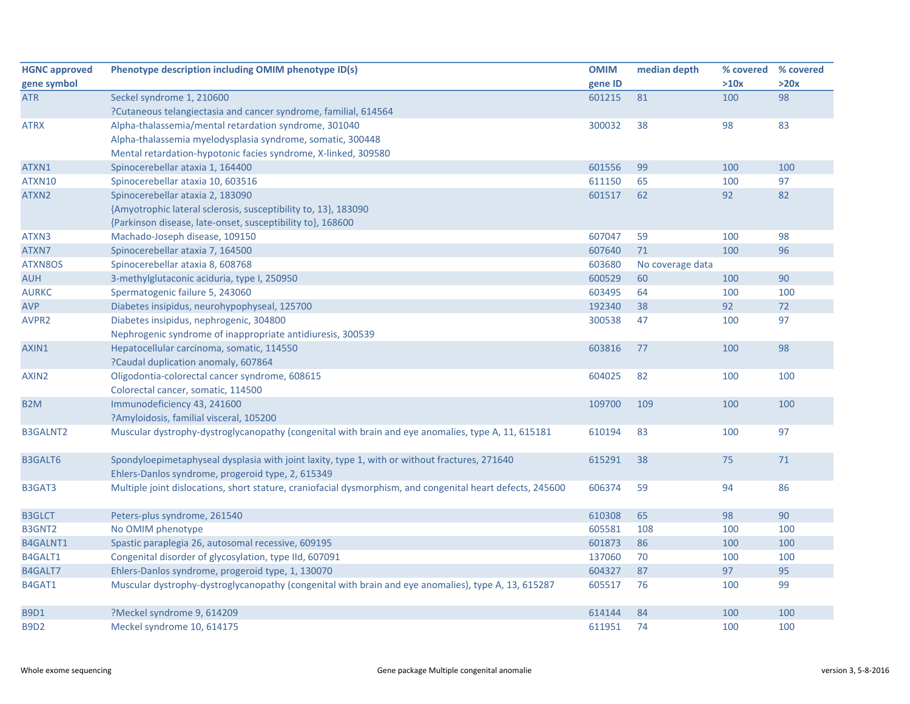| <b>HGNC approved</b> | Phenotype description including OMIM phenotype ID(s)                                                       | <b>OMIM</b> | median depth     | % covered % covered |      |
|----------------------|------------------------------------------------------------------------------------------------------------|-------------|------------------|---------------------|------|
| gene symbol          |                                                                                                            | gene ID     |                  | >10x                | >20x |
| ATR                  | Seckel syndrome 1, 210600                                                                                  | 601215      | 81               | 100                 | 98   |
|                      | ?Cutaneous telangiectasia and cancer syndrome, familial, 614564                                            |             |                  |                     |      |
| <b>ATRX</b>          | Alpha-thalassemia/mental retardation syndrome, 301040                                                      | 300032      | 38               | 98                  | 83   |
|                      | Alpha-thalassemia myelodysplasia syndrome, somatic, 300448                                                 |             |                  |                     |      |
|                      | Mental retardation-hypotonic facies syndrome, X-linked, 309580                                             |             |                  |                     |      |
| ATXN1                | Spinocerebellar ataxia 1, 164400                                                                           | 601556      | 99               | 100                 | 100  |
| ATXN10               | Spinocerebellar ataxia 10, 603516                                                                          | 611150      | 65               | 100                 | 97   |
| ATXN2                | Spinocerebellar ataxia 2, 183090                                                                           | 601517      | 62               | 92                  | 82   |
|                      | {Amyotrophic lateral sclerosis, susceptibility to, 13}, 183090                                             |             |                  |                     |      |
|                      | {Parkinson disease, late-onset, susceptibility to}, 168600                                                 |             |                  |                     |      |
| ATXN3                | Machado-Joseph disease, 109150                                                                             | 607047      | 59               | 100                 | 98   |
| ATXN7                | Spinocerebellar ataxia 7, 164500                                                                           | 607640      | 71               | 100                 | 96   |
| ATXN8OS              | Spinocerebellar ataxia 8, 608768                                                                           | 603680      | No coverage data |                     |      |
| <b>AUH</b>           | 3-methylglutaconic aciduria, type I, 250950                                                                | 600529      | 60               | 100                 | 90   |
| <b>AURKC</b>         | Spermatogenic failure 5, 243060                                                                            | 603495      | 64               | 100                 | 100  |
| <b>AVP</b>           | Diabetes insipidus, neurohypophyseal, 125700                                                               | 192340      | 38               | 92                  | 72   |
| AVPR <sub>2</sub>    | Diabetes insipidus, nephrogenic, 304800                                                                    | 300538      | 47               | 100                 | 97   |
|                      | Nephrogenic syndrome of inappropriate antidiuresis, 300539                                                 |             |                  |                     |      |
| AXIN1                | Hepatocellular carcinoma, somatic, 114550                                                                  | 603816      | 77               | 100                 | 98   |
|                      | ?Caudal duplication anomaly, 607864                                                                        |             |                  |                     |      |
| AXIN2                | Oligodontia-colorectal cancer syndrome, 608615                                                             | 604025      | 82               | 100                 | 100  |
|                      | Colorectal cancer, somatic, 114500                                                                         |             |                  |                     |      |
| B <sub>2</sub> M     | Immunodeficiency 43, 241600                                                                                | 109700      | 109              | 100                 | 100  |
|                      | ?Amyloidosis, familial visceral, 105200                                                                    |             |                  |                     |      |
| <b>B3GALNT2</b>      | Muscular dystrophy-dystroglycanopathy (congenital with brain and eye anomalies, type A, 11, 615181         | 610194      | 83               | 100                 | 97   |
|                      |                                                                                                            |             |                  |                     |      |
| <b>B3GALT6</b>       | Spondyloepimetaphyseal dysplasia with joint laxity, type 1, with or without fractures, 271640              | 615291      | 38               | 75                  | 71   |
|                      | Ehlers-Danlos syndrome, progeroid type, 2, 615349                                                          |             |                  |                     |      |
| B3GAT3               | Multiple joint dislocations, short stature, craniofacial dysmorphism, and congenital heart defects, 245600 | 606374      | 59               | 94                  | 86   |
|                      |                                                                                                            |             |                  |                     |      |
| <b>B3GLCT</b>        | Peters-plus syndrome, 261540                                                                               | 610308      | 65               | 98                  | 90   |
| B3GNT2               | No OMIM phenotype                                                                                          | 605581      | 108              | 100                 | 100  |
| B4GALNT1             | Spastic paraplegia 26, autosomal recessive, 609195                                                         | 601873      | 86               | 100                 | 100  |
| B4GALT1              | Congenital disorder of glycosylation, type IId, 607091                                                     | 137060      | 70               | 100                 | 100  |
| B4GALT7              | Ehlers-Danlos syndrome, progeroid type, 1, 130070                                                          | 604327      | 87               | 97                  | 95   |
| B4GAT1               | Muscular dystrophy-dystroglycanopathy (congenital with brain and eye anomalies), type A, 13, 615287        | 605517      | 76               | 100                 | 99   |
|                      |                                                                                                            |             |                  |                     |      |
| <b>B9D1</b>          | ?Meckel syndrome 9, 614209                                                                                 | 614144      | 84               | 100                 | 100  |
| <b>B9D2</b>          | Meckel syndrome 10, 614175                                                                                 | 611951      | 74               | 100                 | 100  |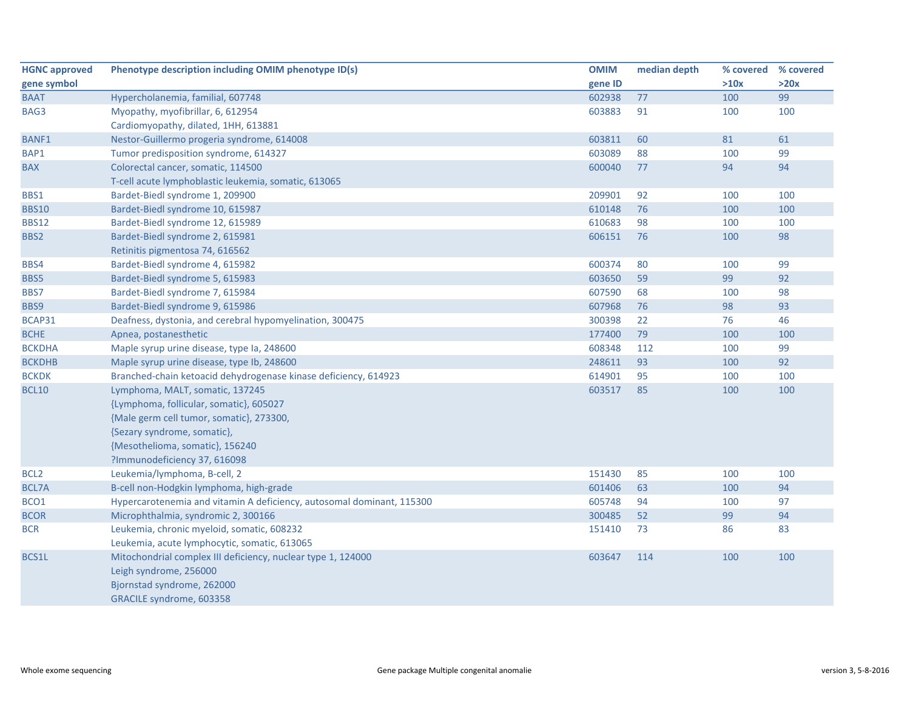| <b>HGNC approved</b> | Phenotype description including OMIM phenotype ID(s)                  | <b>OMIM</b> | median depth | % covered | % covered |
|----------------------|-----------------------------------------------------------------------|-------------|--------------|-----------|-----------|
| gene symbol          |                                                                       | gene ID     |              | >10x      | >20x      |
| <b>BAAT</b>          | Hypercholanemia, familial, 607748                                     | 602938      | 77           | 100       | 99        |
| BAG3                 | Myopathy, myofibrillar, 6, 612954                                     | 603883      | 91           | 100       | 100       |
|                      | Cardiomyopathy, dilated, 1HH, 613881                                  |             |              |           |           |
| <b>BANF1</b>         | Nestor-Guillermo progeria syndrome, 614008                            | 603811      | 60           | 81        | 61        |
| BAP1                 | Tumor predisposition syndrome, 614327                                 | 603089      | 88           | 100       | 99        |
| <b>BAX</b>           | Colorectal cancer, somatic, 114500                                    | 600040      | 77           | 94        | 94        |
|                      | T-cell acute lymphoblastic leukemia, somatic, 613065                  |             |              |           |           |
| BBS1                 | Bardet-Biedl syndrome 1, 209900                                       | 209901      | 92           | 100       | 100       |
| <b>BBS10</b>         | Bardet-Biedl syndrome 10, 615987                                      | 610148      | 76           | 100       | 100       |
| <b>BBS12</b>         | Bardet-Biedl syndrome 12, 615989                                      | 610683      | 98           | 100       | 100       |
| BBS2                 | Bardet-Biedl syndrome 2, 615981                                       | 606151      | 76           | 100       | 98        |
|                      | Retinitis pigmentosa 74, 616562                                       |             |              |           |           |
| BBS4                 | Bardet-Biedl syndrome 4, 615982                                       | 600374      | 80           | 100       | 99        |
| BBS5                 | Bardet-Biedl syndrome 5, 615983                                       | 603650      | 59           | 99        | 92        |
| BBS7                 | Bardet-Biedl syndrome 7, 615984                                       | 607590      | 68           | 100       | 98        |
| BBS9                 | Bardet-Biedl syndrome 9, 615986                                       | 607968      | 76           | 98        | 93        |
| BCAP31               | Deafness, dystonia, and cerebral hypomyelination, 300475              | 300398      | 22           | 76        | 46        |
| <b>BCHE</b>          | Apnea, postanesthetic                                                 | 177400      | 79           | 100       | 100       |
| <b>BCKDHA</b>        | Maple syrup urine disease, type Ia, 248600                            | 608348      | 112          | 100       | 99        |
| <b>BCKDHB</b>        | Maple syrup urine disease, type lb, 248600                            | 248611      | 93           | 100       | 92        |
| <b>BCKDK</b>         | Branched-chain ketoacid dehydrogenase kinase deficiency, 614923       | 614901      | 95           | 100       | 100       |
| <b>BCL10</b>         | Lymphoma, MALT, somatic, 137245                                       | 603517      | 85           | 100       | 100       |
|                      | {Lymphoma, follicular, somatic}, 605027                               |             |              |           |           |
|                      | {Male germ cell tumor, somatic}, 273300,                              |             |              |           |           |
|                      | {Sezary syndrome, somatic},                                           |             |              |           |           |
|                      | {Mesothelioma, somatic}, 156240                                       |             |              |           |           |
|                      | ?Immunodeficiency 37, 616098                                          |             |              |           |           |
| BCL <sub>2</sub>     | Leukemia/lymphoma, B-cell, 2                                          | 151430      | 85           | 100       | 100       |
| <b>BCL7A</b>         | B-cell non-Hodgkin lymphoma, high-grade                               | 601406      | 63           | 100       | 94        |
| BCO1                 | Hypercarotenemia and vitamin A deficiency, autosomal dominant, 115300 | 605748      | 94           | 100       | 97        |
| <b>BCOR</b>          | Microphthalmia, syndromic 2, 300166                                   | 300485      | 52           | 99        | 94        |
| <b>BCR</b>           | Leukemia, chronic myeloid, somatic, 608232                            | 151410      | 73           | 86        | 83        |
|                      | Leukemia, acute lymphocytic, somatic, 613065                          |             |              |           |           |
| BCS1L                | Mitochondrial complex III deficiency, nuclear type 1, 124000          | 603647      | 114          | 100       | 100       |
|                      | Leigh syndrome, 256000                                                |             |              |           |           |
|                      | Bjornstad syndrome, 262000                                            |             |              |           |           |
|                      | GRACILE syndrome, 603358                                              |             |              |           |           |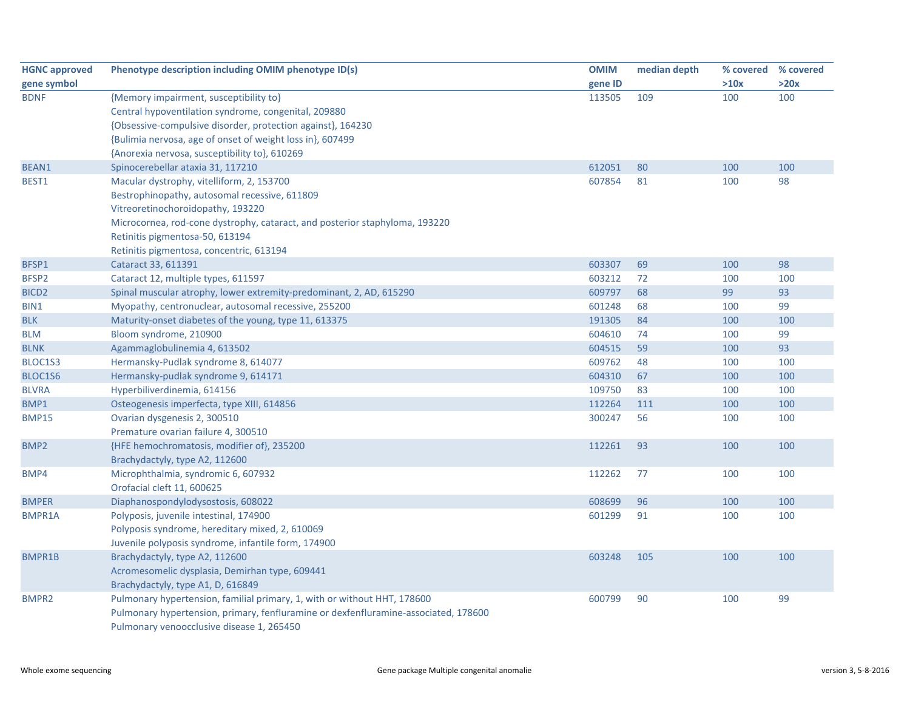| <b>HGNC approved</b> | Phenotype description including OMIM phenotype ID(s)                                | <b>OMIM</b> | median depth | % covered | % covered |
|----------------------|-------------------------------------------------------------------------------------|-------------|--------------|-----------|-----------|
| gene symbol          |                                                                                     | gene ID     |              | >10x      | >20x      |
| <b>BDNF</b>          | {Memory impairment, susceptibility to}                                              | 113505      | 109          | 100       | 100       |
|                      | Central hypoventilation syndrome, congenital, 209880                                |             |              |           |           |
|                      | {Obsessive-compulsive disorder, protection against}, 164230                         |             |              |           |           |
|                      | {Bulimia nervosa, age of onset of weight loss in}, 607499                           |             |              |           |           |
|                      | {Anorexia nervosa, susceptibility to}, 610269                                       |             |              |           |           |
| BEAN1                | Spinocerebellar ataxia 31, 117210                                                   | 612051      | 80           | 100       | 100       |
| BEST1                | Macular dystrophy, vitelliform, 2, 153700                                           | 607854      | 81           | 100       | 98        |
|                      | Bestrophinopathy, autosomal recessive, 611809                                       |             |              |           |           |
|                      | Vitreoretinochoroidopathy, 193220                                                   |             |              |           |           |
|                      | Microcornea, rod-cone dystrophy, cataract, and posterior staphyloma, 193220         |             |              |           |           |
|                      | Retinitis pigmentosa-50, 613194                                                     |             |              |           |           |
|                      | Retinitis pigmentosa, concentric, 613194                                            |             |              |           |           |
| BFSP1                | Cataract 33, 611391                                                                 | 603307      | 69           | 100       | 98        |
| BFSP2                | Cataract 12, multiple types, 611597                                                 | 603212      | 72           | 100       | 100       |
| BICD <sub>2</sub>    | Spinal muscular atrophy, lower extremity-predominant, 2, AD, 615290                 | 609797      | 68           | 99        | 93        |
| BIN1                 | Myopathy, centronuclear, autosomal recessive, 255200                                | 601248      | 68           | 100       | 99        |
| <b>BLK</b>           | Maturity-onset diabetes of the young, type 11, 613375                               | 191305      | 84           | 100       | 100       |
| <b>BLM</b>           | Bloom syndrome, 210900                                                              | 604610      | 74           | 100       | 99        |
| <b>BLNK</b>          | Agammaglobulinemia 4, 613502                                                        | 604515      | 59           | 100       | 93        |
| BLOC1S3              | Hermansky-Pudlak syndrome 8, 614077                                                 | 609762      | 48           | 100       | 100       |
| BLOC1S6              | Hermansky-pudlak syndrome 9, 614171                                                 | 604310      | 67           | 100       | 100       |
| <b>BLVRA</b>         | Hyperbiliverdinemia, 614156                                                         | 109750      | 83           | 100       | 100       |
| BMP1                 | Osteogenesis imperfecta, type XIII, 614856                                          | 112264      | 111          | 100       | 100       |
| <b>BMP15</b>         | Ovarian dysgenesis 2, 300510                                                        | 300247      | 56           | 100       | 100       |
|                      | Premature ovarian failure 4, 300510                                                 |             |              |           |           |
| BMP2                 | {HFE hemochromatosis, modifier of}, 235200                                          | 112261      | 93           | 100       | 100       |
|                      | Brachydactyly, type A2, 112600                                                      |             |              |           |           |
| BMP4                 | Microphthalmia, syndromic 6, 607932                                                 | 112262      | 77           | 100       | 100       |
|                      | Orofacial cleft 11, 600625                                                          |             |              |           |           |
| <b>BMPER</b>         | Diaphanospondylodysostosis, 608022                                                  | 608699      | 96           | 100       | 100       |
| <b>BMPR1A</b>        | Polyposis, juvenile intestinal, 174900                                              | 601299      | 91           | 100       | 100       |
|                      | Polyposis syndrome, hereditary mixed, 2, 610069                                     |             |              |           |           |
|                      | Juvenile polyposis syndrome, infantile form, 174900                                 |             |              |           |           |
| <b>BMPR1B</b>        | Brachydactyly, type A2, 112600                                                      | 603248      | 105          | 100       | 100       |
|                      | Acromesomelic dysplasia, Demirhan type, 609441                                      |             |              |           |           |
|                      | Brachydactyly, type A1, D, 616849                                                   |             |              |           |           |
| <b>BMPR2</b>         | Pulmonary hypertension, familial primary, 1, with or without HHT, 178600            | 600799      | 90           | 100       | 99        |
|                      | Pulmonary hypertension, primary, fenfluramine or dexfenfluramine-associated, 178600 |             |              |           |           |
|                      | Pulmonary venoocclusive disease 1, 265450                                           |             |              |           |           |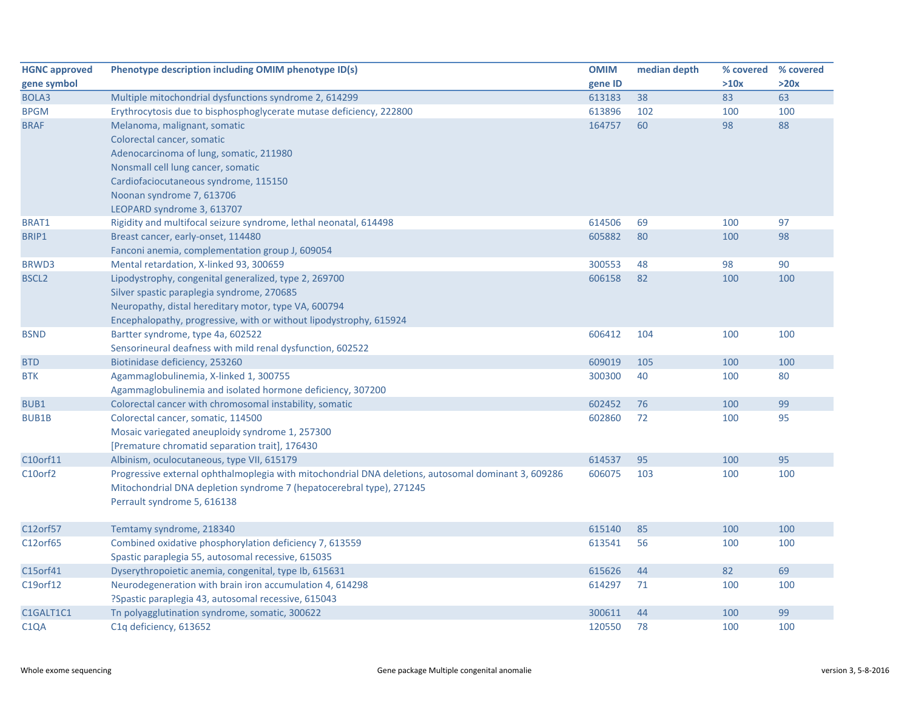| <b>HGNC approved</b> | Phenotype description including OMIM phenotype ID(s)                                                | <b>OMIM</b> | median depth | % covered % covered |      |
|----------------------|-----------------------------------------------------------------------------------------------------|-------------|--------------|---------------------|------|
| gene symbol          |                                                                                                     | gene ID     |              | >10x                | >20x |
| BOLA3                | Multiple mitochondrial dysfunctions syndrome 2, 614299                                              | 613183      | 38           | 83                  | 63   |
| <b>BPGM</b>          | Erythrocytosis due to bisphosphoglycerate mutase deficiency, 222800                                 | 613896      | 102          | 100                 | 100  |
| <b>BRAF</b>          | Melanoma, malignant, somatic                                                                        | 164757      | 60           | 98                  | 88   |
|                      | Colorectal cancer, somatic                                                                          |             |              |                     |      |
|                      | Adenocarcinoma of lung, somatic, 211980                                                             |             |              |                     |      |
|                      | Nonsmall cell lung cancer, somatic                                                                  |             |              |                     |      |
|                      | Cardiofaciocutaneous syndrome, 115150                                                               |             |              |                     |      |
|                      | Noonan syndrome 7, 613706                                                                           |             |              |                     |      |
|                      | LEOPARD syndrome 3, 613707                                                                          |             |              |                     |      |
| BRAT1                | Rigidity and multifocal seizure syndrome, lethal neonatal, 614498                                   | 614506      | 69           | 100                 | 97   |
| BRIP1                | Breast cancer, early-onset, 114480                                                                  | 605882      | 80           | 100                 | 98   |
|                      | Fanconi anemia, complementation group J, 609054                                                     |             |              |                     |      |
| <b>BRWD3</b>         | Mental retardation, X-linked 93, 300659                                                             | 300553      | 48           | 98                  | 90   |
| <b>BSCL2</b>         | Lipodystrophy, congenital generalized, type 2, 269700                                               | 606158      | 82           | 100                 | 100  |
|                      | Silver spastic paraplegia syndrome, 270685                                                          |             |              |                     |      |
|                      | Neuropathy, distal hereditary motor, type VA, 600794                                                |             |              |                     |      |
|                      | Encephalopathy, progressive, with or without lipodystrophy, 615924                                  |             |              |                     |      |
| <b>BSND</b>          | Bartter syndrome, type 4a, 602522                                                                   | 606412      | 104          | 100                 | 100  |
|                      | Sensorineural deafness with mild renal dysfunction, 602522                                          |             |              |                     |      |
| <b>BTD</b>           | Biotinidase deficiency, 253260                                                                      | 609019      | 105          | 100                 | 100  |
| <b>BTK</b>           | Agammaglobulinemia, X-linked 1, 300755                                                              | 300300      | 40           | 100                 | 80   |
|                      | Agammaglobulinemia and isolated hormone deficiency, 307200                                          |             |              |                     |      |
| BUB1                 | Colorectal cancer with chromosomal instability, somatic                                             | 602452      | 76           | 100                 | 99   |
| <b>BUB1B</b>         | Colorectal cancer, somatic, 114500                                                                  | 602860      | 72           | 100                 | 95   |
|                      | Mosaic variegated aneuploidy syndrome 1, 257300                                                     |             |              |                     |      |
|                      | [Premature chromatid separation trait], 176430                                                      |             |              |                     |      |
| C10orf11             | Albinism, oculocutaneous, type VII, 615179                                                          | 614537      | 95           | 100                 | 95   |
| C10orf2              | Progressive external ophthalmoplegia with mitochondrial DNA deletions, autosomal dominant 3, 609286 | 606075      | 103          | 100                 | 100  |
|                      | Mitochondrial DNA depletion syndrome 7 (hepatocerebral type), 271245                                |             |              |                     |      |
|                      | Perrault syndrome 5, 616138                                                                         |             |              |                     |      |
|                      |                                                                                                     |             |              |                     |      |
| C12orf57             | Temtamy syndrome, 218340                                                                            | 615140      | 85           | 100                 | 100  |
| C12orf65             | Combined oxidative phosphorylation deficiency 7, 613559                                             | 613541      | 56           | 100                 | 100  |
|                      | Spastic paraplegia 55, autosomal recessive, 615035                                                  |             |              |                     |      |
| C15orf41             | Dyserythropoietic anemia, congenital, type Ib, 615631                                               | 615626      | 44           | 82                  | 69   |
| C19orf12             | Neurodegeneration with brain iron accumulation 4, 614298                                            | 614297      | 71           | 100                 | 100  |
|                      | ?Spastic paraplegia 43, autosomal recessive, 615043                                                 |             |              |                     |      |
| C1GALT1C1            | Tn polyagglutination syndrome, somatic, 300622                                                      | 300611      | 44           | 100                 | 99   |
| C <sub>1</sub> QA    | C <sub>1</sub> q deficiency, 613652                                                                 | 120550      | 78           | 100                 | 100  |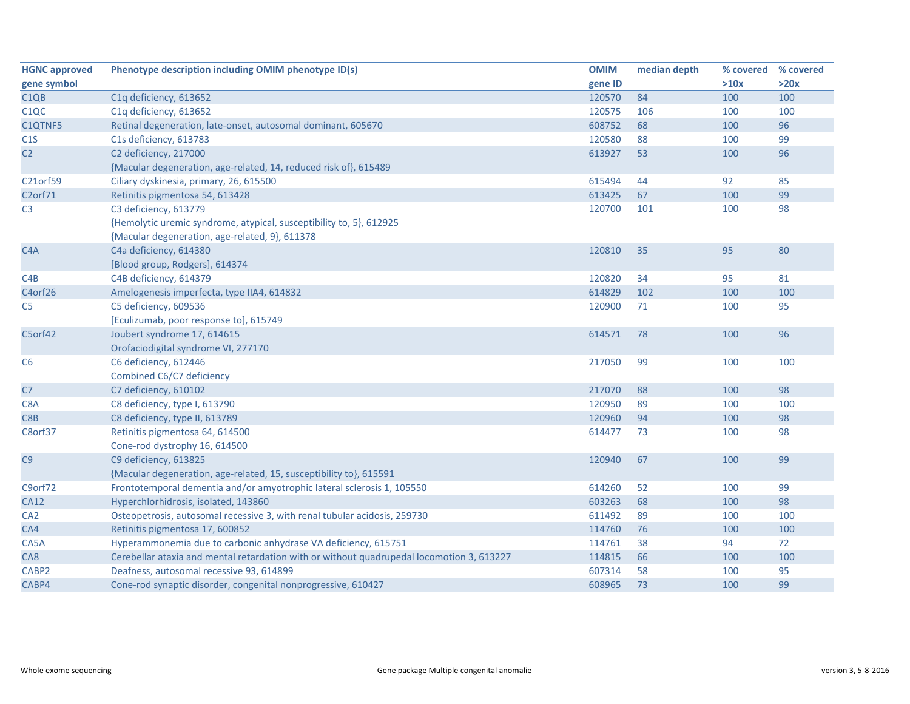| <b>HGNC approved</b> | Phenotype description including OMIM phenotype ID(s)                                      | <b>OMIM</b> | median depth | % covered | % covered |
|----------------------|-------------------------------------------------------------------------------------------|-------------|--------------|-----------|-----------|
| gene symbol          |                                                                                           | gene ID     |              | >10x      | >20x      |
| C <sub>1QB</sub>     | C1q deficiency, 613652                                                                    | 120570      | 84           | 100       | 100       |
| C <sub>1</sub> QC    | C1q deficiency, 613652                                                                    | 120575      | 106          | 100       | 100       |
| C1QTNF5              | Retinal degeneration, late-onset, autosomal dominant, 605670                              | 608752      | 68           | 100       | 96        |
| C1S                  | C1s deficiency, 613783                                                                    | 120580      | 88           | 100       | 99        |
| C <sub>2</sub>       | C2 deficiency, 217000                                                                     | 613927      | 53           | 100       | 96        |
|                      | {Macular degeneration, age-related, 14, reduced risk of}, 615489                          |             |              |           |           |
| C21orf59             | Ciliary dyskinesia, primary, 26, 615500                                                   | 615494      | 44           | 92        | 85        |
| C <sub>2</sub> orf71 | Retinitis pigmentosa 54, 613428                                                           | 613425      | 67           | 100       | 99        |
| C <sub>3</sub>       | C3 deficiency, 613779                                                                     | 120700      | 101          | 100       | 98        |
|                      | {Hemolytic uremic syndrome, atypical, susceptibility to, 5}, 612925                       |             |              |           |           |
|                      | {Macular degeneration, age-related, 9}, 611378                                            |             |              |           |           |
| C <sub>4</sub> A     | C4a deficiency, 614380                                                                    | 120810      | 35           | 95        | 80        |
|                      | [Blood group, Rodgers], 614374                                                            |             |              |           |           |
| C4B                  | C4B deficiency, 614379                                                                    | 120820      | 34           | 95        | 81        |
| C4orf26              | Amelogenesis imperfecta, type IIA4, 614832                                                | 614829      | 102          | 100       | 100       |
| C <sub>5</sub>       | C5 deficiency, 609536                                                                     | 120900      | 71           | 100       | 95        |
|                      | [Eculizumab, poor response to], 615749                                                    |             |              |           |           |
| C5orf42              | Joubert syndrome 17, 614615                                                               | 614571      | 78           | 100       | 96        |
|                      | Orofaciodigital syndrome VI, 277170                                                       |             |              |           |           |
| C <sub>6</sub>       | C6 deficiency, 612446                                                                     | 217050      | 99           | 100       | 100       |
|                      | Combined C6/C7 deficiency                                                                 |             |              |           |           |
| C7                   | C7 deficiency, 610102                                                                     | 217070      | 88           | 100       | 98        |
| C8A                  | C8 deficiency, type I, 613790                                                             | 120950      | 89           | 100       | 100       |
| C8 <sub>B</sub>      | C8 deficiency, type II, 613789                                                            | 120960      | 94           | 100       | 98        |
| C8orf37              | Retinitis pigmentosa 64, 614500                                                           | 614477      | 73           | 100       | 98        |
|                      | Cone-rod dystrophy 16, 614500                                                             |             |              |           |           |
| C9                   | C9 deficiency, 613825                                                                     | 120940      | 67           | 100       | 99        |
|                      | {Macular degeneration, age-related, 15, susceptibility to}, 615591                        |             |              |           |           |
| C9orf72              | Frontotemporal dementia and/or amyotrophic lateral sclerosis 1, 105550                    | 614260      | 52           | 100       | 99        |
| <b>CA12</b>          | Hyperchlorhidrosis, isolated, 143860                                                      | 603263      | 68           | 100       | 98        |
| CA <sub>2</sub>      | Osteopetrosis, autosomal recessive 3, with renal tubular acidosis, 259730                 | 611492      | 89           | 100       | 100       |
| CA4                  | Retinitis pigmentosa 17, 600852                                                           | 114760      | 76           | 100       | 100       |
| CA5A                 | Hyperammonemia due to carbonic anhydrase VA deficiency, 615751                            | 114761      | 38           | 94        | 72        |
| CA8                  | Cerebellar ataxia and mental retardation with or without quadrupedal locomotion 3, 613227 | 114815      | 66           | 100       | 100       |
| CABP2                | Deafness, autosomal recessive 93, 614899                                                  | 607314      | 58           | 100       | 95        |
| CABP4                | Cone-rod synaptic disorder, congenital nonprogressive, 610427                             | 608965      | 73           | 100       | 99        |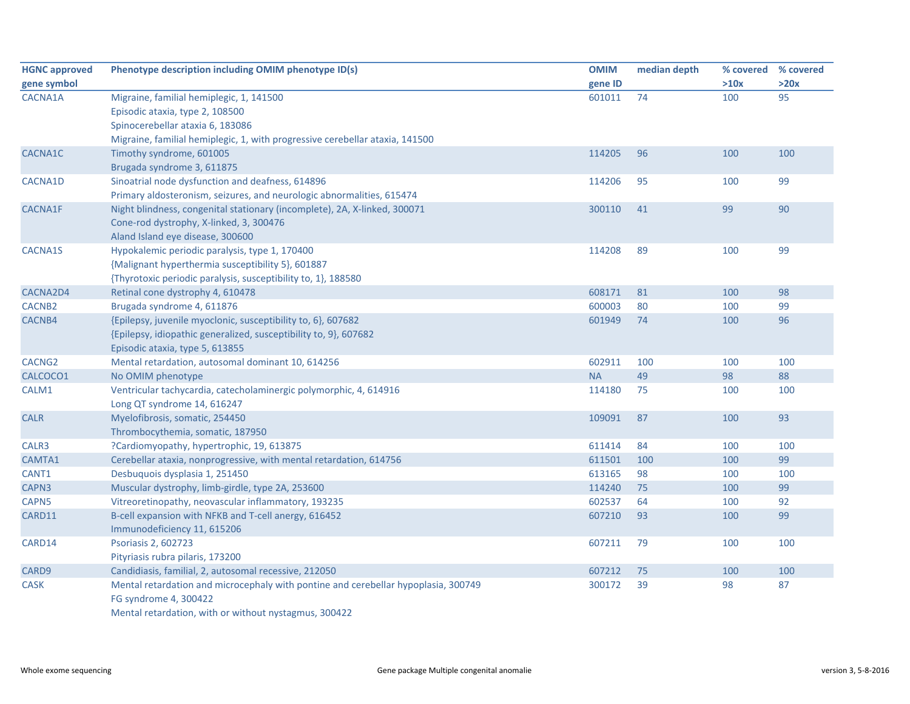| <b>HGNC approved</b> | Phenotype description including OMIM phenotype ID(s)                               | <b>OMIM</b> | median depth | % covered | % covered |
|----------------------|------------------------------------------------------------------------------------|-------------|--------------|-----------|-----------|
| gene symbol          |                                                                                    | gene ID     |              | >10x      | >20x      |
| CACNA1A              | Migraine, familial hemiplegic, 1, 141500                                           | 601011      | 74           | 100       | 95        |
|                      | Episodic ataxia, type 2, 108500                                                    |             |              |           |           |
|                      | Spinocerebellar ataxia 6, 183086                                                   |             |              |           |           |
|                      | Migraine, familial hemiplegic, 1, with progressive cerebellar ataxia, 141500       |             |              |           |           |
| CACNA1C              | Timothy syndrome, 601005                                                           | 114205      | 96           | 100       | 100       |
|                      | Brugada syndrome 3, 611875                                                         |             |              |           |           |
| CACNA1D              | Sinoatrial node dysfunction and deafness, 614896                                   | 114206      | 95           | 100       | 99        |
|                      | Primary aldosteronism, seizures, and neurologic abnormalities, 615474              |             |              |           |           |
| <b>CACNA1F</b>       | Night blindness, congenital stationary (incomplete), 2A, X-linked, 300071          | 300110      | 41           | 99        | 90        |
|                      | Cone-rod dystrophy, X-linked, 3, 300476                                            |             |              |           |           |
|                      | Aland Island eye disease, 300600                                                   |             |              |           |           |
| <b>CACNA1S</b>       | Hypokalemic periodic paralysis, type 1, 170400                                     | 114208      | 89           | 100       | 99        |
|                      | {Malignant hyperthermia susceptibility 5}, 601887                                  |             |              |           |           |
|                      | {Thyrotoxic periodic paralysis, susceptibility to, 1}, 188580                      |             |              |           |           |
| CACNA2D4             | Retinal cone dystrophy 4, 610478                                                   | 608171      | 81           | 100       | 98        |
| CACNB <sub>2</sub>   | Brugada syndrome 4, 611876                                                         | 600003      | 80           | 100       | 99        |
| CACNB4               | {Epilepsy, juvenile myoclonic, susceptibility to, 6}, 607682                       | 601949      | 74           | 100       | 96        |
|                      | {Epilepsy, idiopathic generalized, susceptibility to, 9}, 607682                   |             |              |           |           |
|                      | Episodic ataxia, type 5, 613855                                                    |             |              |           |           |
| CACNG <sub>2</sub>   | Mental retardation, autosomal dominant 10, 614256                                  | 602911      | 100          | 100       | 100       |
| CALCOCO1             | No OMIM phenotype                                                                  | <b>NA</b>   | 49           | 98        | 88        |
| CALM1                | Ventricular tachycardia, catecholaminergic polymorphic, 4, 614916                  | 114180      | 75           | 100       | 100       |
|                      | Long QT syndrome 14, 616247                                                        |             |              |           |           |
| <b>CALR</b>          | Myelofibrosis, somatic, 254450                                                     | 109091      | 87           | 100       | 93        |
|                      | Thrombocythemia, somatic, 187950                                                   |             |              |           |           |
| CALR3                | ?Cardiomyopathy, hypertrophic, 19, 613875                                          | 611414      | 84           | 100       | 100       |
| CAMTA1               | Cerebellar ataxia, nonprogressive, with mental retardation, 614756                 | 611501      | 100          | 100       | 99        |
| CANT1                | Desbuquois dysplasia 1, 251450                                                     | 613165      | 98           | 100       | 100       |
| CAPN3                | Muscular dystrophy, limb-girdle, type 2A, 253600                                   | 114240      | 75           | 100       | 99        |
| CAPN <sub>5</sub>    | Vitreoretinopathy, neovascular inflammatory, 193235                                | 602537      | 64           | 100       | 92        |
| CARD11               | B-cell expansion with NFKB and T-cell anergy, 616452                               | 607210      | 93           | 100       | 99        |
|                      | Immunodeficiency 11, 615206                                                        |             |              |           |           |
| CARD14               | Psoriasis 2, 602723                                                                | 607211      | 79           | 100       | 100       |
|                      | Pityriasis rubra pilaris, 173200                                                   |             |              |           |           |
| CARD9                | Candidiasis, familial, 2, autosomal recessive, 212050                              | 607212      | 75           | 100       | 100       |
| CASK                 | Mental retardation and microcephaly with pontine and cerebellar hypoplasia, 300749 | 300172      | 39           | 98        | 87        |
|                      | FG syndrome 4, 300422                                                              |             |              |           |           |
|                      | Mental retardation, with or without nystagmus, 300422                              |             |              |           |           |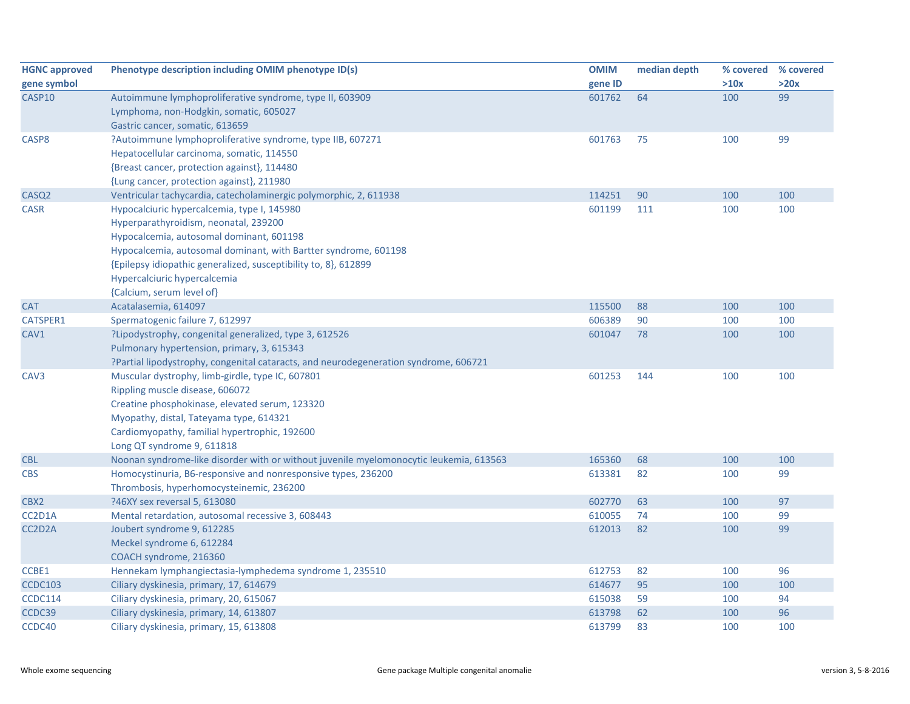| <b>HGNC approved</b> | Phenotype description including OMIM phenotype ID(s)                                   | <b>OMIM</b> | median depth | % covered | % covered |
|----------------------|----------------------------------------------------------------------------------------|-------------|--------------|-----------|-----------|
| gene symbol          |                                                                                        | gene ID     |              | >10x      | >20x      |
| CASP10               | Autoimmune lymphoproliferative syndrome, type II, 603909                               | 601762      | 64           | 100       | 99        |
|                      | Lymphoma, non-Hodgkin, somatic, 605027                                                 |             |              |           |           |
|                      | Gastric cancer, somatic, 613659                                                        |             |              |           |           |
| CASP8                | ?Autoimmune lymphoproliferative syndrome, type IIB, 607271                             | 601763      | 75           | 100       | 99        |
|                      | Hepatocellular carcinoma, somatic, 114550                                              |             |              |           |           |
|                      | {Breast cancer, protection against}, 114480                                            |             |              |           |           |
|                      | {Lung cancer, protection against}, 211980                                              |             |              |           |           |
| CASQ <sub>2</sub>    | Ventricular tachycardia, catecholaminergic polymorphic, 2, 611938                      | 114251      | 90           | 100       | 100       |
| <b>CASR</b>          | Hypocalciuric hypercalcemia, type I, 145980                                            | 601199      | 111          | 100       | 100       |
|                      | Hyperparathyroidism, neonatal, 239200                                                  |             |              |           |           |
|                      | Hypocalcemia, autosomal dominant, 601198                                               |             |              |           |           |
|                      | Hypocalcemia, autosomal dominant, with Bartter syndrome, 601198                        |             |              |           |           |
|                      | {Epilepsy idiopathic generalized, susceptibility to, 8}, 612899                        |             |              |           |           |
|                      | Hypercalciuric hypercalcemia                                                           |             |              |           |           |
|                      | {Calcium, serum level of}                                                              |             |              |           |           |
| <b>CAT</b>           | Acatalasemia, 614097                                                                   | 115500      | 88           | 100       | 100       |
| CATSPER1             | Spermatogenic failure 7, 612997                                                        | 606389      | 90           | 100       | 100       |
| CAV1                 | ?Lipodystrophy, congenital generalized, type 3, 612526                                 | 601047      | 78           | 100       | 100       |
|                      | Pulmonary hypertension, primary, 3, 615343                                             |             |              |           |           |
|                      | ?Partial lipodystrophy, congenital cataracts, and neurodegeneration syndrome, 606721   |             |              |           |           |
| CAV3                 | Muscular dystrophy, limb-girdle, type IC, 607801                                       | 601253      | 144          | 100       | 100       |
|                      | Rippling muscle disease, 606072                                                        |             |              |           |           |
|                      | Creatine phosphokinase, elevated serum, 123320                                         |             |              |           |           |
|                      | Myopathy, distal, Tateyama type, 614321                                                |             |              |           |           |
|                      | Cardiomyopathy, familial hypertrophic, 192600                                          |             |              |           |           |
|                      | Long QT syndrome 9, 611818                                                             |             |              |           |           |
| <b>CBL</b>           | Noonan syndrome-like disorder with or without juvenile myelomonocytic leukemia, 613563 | 165360      | 68           | 100       | 100       |
| <b>CBS</b>           | Homocystinuria, B6-responsive and nonresponsive types, 236200                          | 613381      | 82           | 100       | 99        |
|                      | Thrombosis, hyperhomocysteinemic, 236200                                               |             |              |           |           |
| CBX2                 | ?46XY sex reversal 5, 613080                                                           | 602770      | 63           | 100       | 97        |
| CC2D1A               | Mental retardation, autosomal recessive 3, 608443                                      | 610055      | 74           | 100       | 99        |
| CC2D2A               | Joubert syndrome 9, 612285                                                             | 612013      | 82           | 100       | 99        |
|                      | Meckel syndrome 6, 612284                                                              |             |              |           |           |
|                      | COACH syndrome, 216360                                                                 |             |              |           |           |
| CCBE1                | Hennekam lymphangiectasia-lymphedema syndrome 1, 235510                                | 612753      | 82           | 100       | 96        |
| <b>CCDC103</b>       | Ciliary dyskinesia, primary, 17, 614679                                                | 614677      | 95           | 100       | 100       |
| <b>CCDC114</b>       | Ciliary dyskinesia, primary, 20, 615067                                                | 615038      | 59           | 100       | 94        |
| CCDC39               | Ciliary dyskinesia, primary, 14, 613807                                                | 613798      | 62           | 100       | 96        |
| CCDC40               | Ciliary dyskinesia, primary, 15, 613808                                                | 613799      | 83           | 100       | 100       |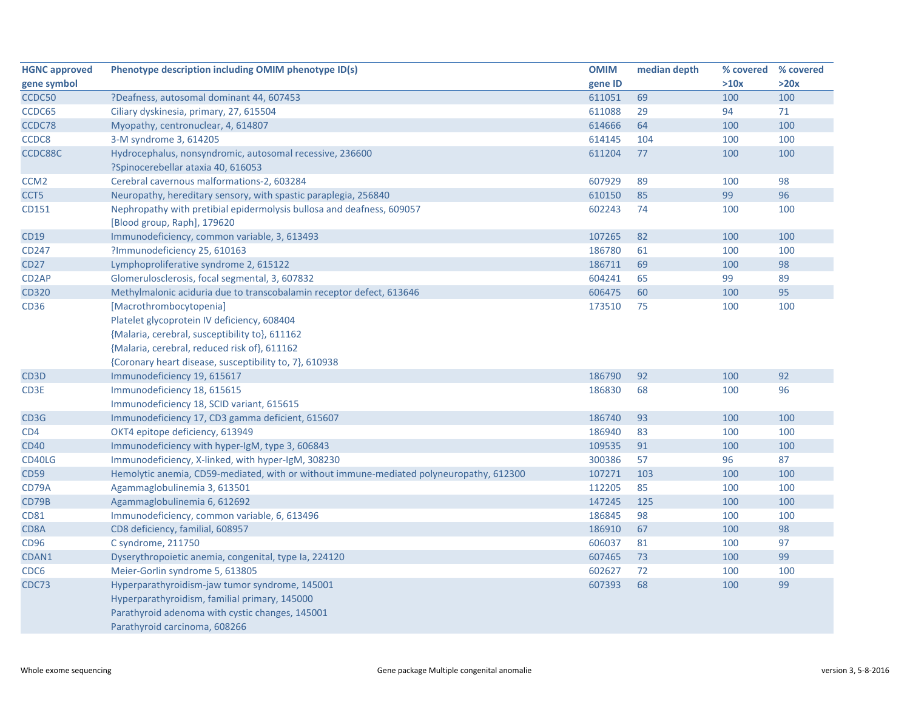| <b>HGNC approved</b> | Phenotype description including OMIM phenotype ID(s)                                                 | <b>OMIM</b> | median depth | % covered % covered |      |
|----------------------|------------------------------------------------------------------------------------------------------|-------------|--------------|---------------------|------|
| gene symbol          |                                                                                                      | gene ID     |              | >10x                | >20x |
| CCDC50               | ?Deafness, autosomal dominant 44, 607453                                                             | 611051      | 69           | 100                 | 100  |
| CCDC65               | Ciliary dyskinesia, primary, 27, 615504                                                              | 611088      | 29           | 94                  | 71   |
| CCDC78               | Myopathy, centronuclear, 4, 614807                                                                   | 614666      | 64           | 100                 | 100  |
| CCDC8                | 3-M syndrome 3, 614205                                                                               | 614145      | 104          | 100                 | 100  |
| CCDC88C              | Hydrocephalus, nonsyndromic, autosomal recessive, 236600                                             | 611204      | 77           | 100                 | 100  |
|                      | ?Spinocerebellar ataxia 40, 616053                                                                   |             |              |                     |      |
| CCM <sub>2</sub>     | Cerebral cavernous malformations-2, 603284                                                           | 607929      | 89           | 100                 | 98   |
| CCT5                 | Neuropathy, hereditary sensory, with spastic paraplegia, 256840                                      | 610150      | 85           | 99                  | 96   |
| CD151                | Nephropathy with pretibial epidermolysis bullosa and deafness, 609057<br>[Blood group, Raph], 179620 | 602243      | 74           | 100                 | 100  |
| <b>CD19</b>          | Immunodeficiency, common variable, 3, 613493                                                         | 107265      | 82           | 100                 | 100  |
| CD247                | ?Immunodeficiency 25, 610163                                                                         | 186780      | 61           | 100                 | 100  |
| <b>CD27</b>          | Lymphoproliferative syndrome 2, 615122                                                               | 186711      | 69           | 100                 | 98   |
| CD <sub>2</sub> AP   | Glomerulosclerosis, focal segmental, 3, 607832                                                       | 604241      | 65           | 99                  | 89   |
| <b>CD320</b>         | Methylmalonic aciduria due to transcobalamin receptor defect, 613646                                 | 606475      | 60           | 100                 | 95   |
| <b>CD36</b>          | [Macrothrombocytopenia]                                                                              | 173510      | 75           | 100                 | 100  |
|                      | Platelet glycoprotein IV deficiency, 608404                                                          |             |              |                     |      |
|                      | {Malaria, cerebral, susceptibility to}, 611162                                                       |             |              |                     |      |
|                      | {Malaria, cerebral, reduced risk of}, 611162                                                         |             |              |                     |      |
|                      | {Coronary heart disease, susceptibility to, 7}, 610938                                               |             |              |                     |      |
| CD3D                 | Immunodeficiency 19, 615617                                                                          | 186790      | 92           | 100                 | 92   |
| CD3E                 | Immunodeficiency 18, 615615                                                                          | 186830      | 68           | 100                 | 96   |
|                      | Immunodeficiency 18, SCID variant, 615615                                                            |             |              |                     |      |
| CD3G                 | Immunodeficiency 17, CD3 gamma deficient, 615607                                                     | 186740      | 93           | 100                 | 100  |
| CD4                  | OKT4 epitope deficiency, 613949                                                                      | 186940      | 83           | 100                 | 100  |
| <b>CD40</b>          | Immunodeficiency with hyper-IgM, type 3, 606843                                                      | 109535      | 91           | 100                 | 100  |
| CD40LG               | Immunodeficiency, X-linked, with hyper-IgM, 308230                                                   | 300386      | 57           | 96                  | 87   |
| <b>CD59</b>          | Hemolytic anemia, CD59-mediated, with or without immune-mediated polyneuropathy, 612300              | 107271      | 103          | 100                 | 100  |
| CD79A                | Agammaglobulinemia 3, 613501                                                                         | 112205      | 85           | 100                 | 100  |
| CD79B                | Agammaglobulinemia 6, 612692                                                                         | 147245      | 125          | 100                 | 100  |
| <b>CD81</b>          | Immunodeficiency, common variable, 6, 613496                                                         | 186845      | 98           | 100                 | 100  |
| CD8A                 | CD8 deficiency, familial, 608957                                                                     | 186910      | 67           | 100                 | 98   |
| CD96                 | C syndrome, 211750                                                                                   | 606037      | 81           | 100                 | 97   |
| CDAN1                | Dyserythropoietic anemia, congenital, type Ia, 224120                                                | 607465      | 73           | 100                 | 99   |
| CDC6                 | Meier-Gorlin syndrome 5, 613805                                                                      | 602627      | 72           | 100                 | 100  |
| CDC73                | Hyperparathyroidism-jaw tumor syndrome, 145001                                                       | 607393      | 68           | 100                 | 99   |
|                      | Hyperparathyroidism, familial primary, 145000                                                        |             |              |                     |      |
|                      | Parathyroid adenoma with cystic changes, 145001                                                      |             |              |                     |      |
|                      | Parathyroid carcinoma, 608266                                                                        |             |              |                     |      |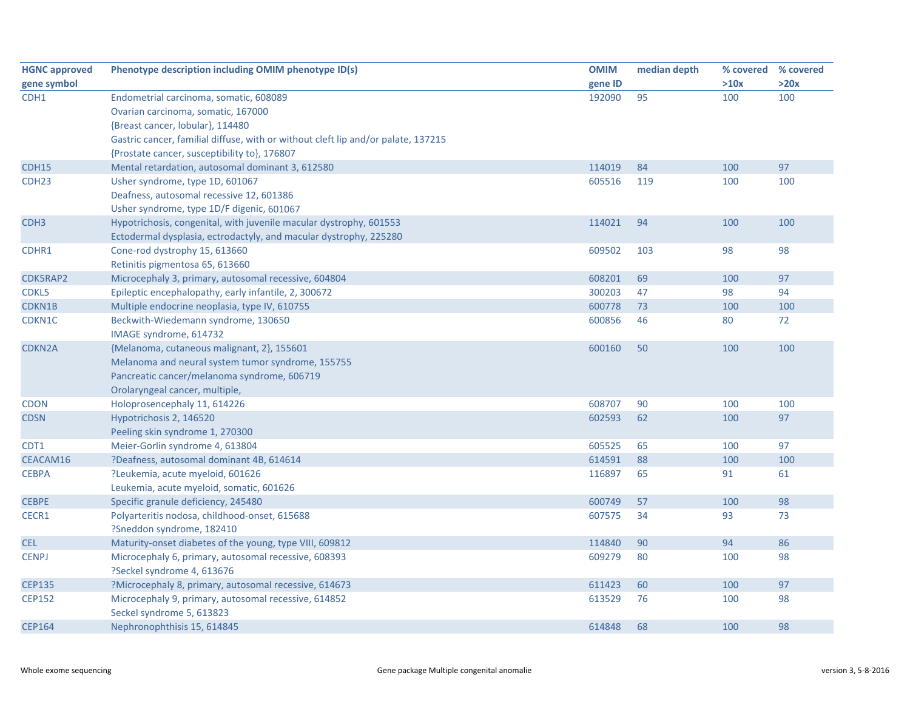| <b>HGNC approved</b> | Phenotype description including OMIM phenotype ID(s)                              | <b>OMIM</b> | median depth |      | % covered % covered |
|----------------------|-----------------------------------------------------------------------------------|-------------|--------------|------|---------------------|
| gene symbol          |                                                                                   | gene ID     |              | >10x | >20x                |
| CDH1                 | Endometrial carcinoma, somatic, 608089                                            | 192090      | 95           | 100  | 100                 |
|                      | Ovarian carcinoma, somatic, 167000                                                |             |              |      |                     |
|                      | {Breast cancer, lobular}, 114480                                                  |             |              |      |                     |
|                      | Gastric cancer, familial diffuse, with or without cleft lip and/or palate, 137215 |             |              |      |                     |
|                      | {Prostate cancer, susceptibility to}, 176807                                      |             |              |      |                     |
| CDH15                | Mental retardation, autosomal dominant 3, 612580                                  | 114019      | 84           | 100  | 97                  |
| CDH <sub>23</sub>    | Usher syndrome, type 1D, 601067                                                   | 605516      | 119          | 100  | 100                 |
|                      | Deafness, autosomal recessive 12, 601386                                          |             |              |      |                     |
|                      | Usher syndrome, type 1D/F digenic, 601067                                         |             |              |      |                     |
| CDH <sub>3</sub>     | Hypotrichosis, congenital, with juvenile macular dystrophy, 601553                | 114021      | 94           | 100  | 100                 |
|                      | Ectodermal dysplasia, ectrodactyly, and macular dystrophy, 225280                 |             |              |      |                     |
| CDHR1                | Cone-rod dystrophy 15, 613660                                                     | 609502      | 103          | 98   | 98                  |
|                      | Retinitis pigmentosa 65, 613660                                                   |             |              |      |                     |
| CDK5RAP2             | Microcephaly 3, primary, autosomal recessive, 604804                              | 608201      | 69           | 100  | 97                  |
| CDKL5                | Epileptic encephalopathy, early infantile, 2, 300672                              | 300203      | 47           | 98   | 94                  |
| CDKN1B               | Multiple endocrine neoplasia, type IV, 610755                                     | 600778      | 73           | 100  | 100                 |
| CDKN1C               | Beckwith-Wiedemann syndrome, 130650                                               | 600856      | 46           | 80   | 72                  |
|                      | IMAGE syndrome, 614732                                                            |             |              |      |                     |
| CDKN2A               | {Melanoma, cutaneous malignant, 2}, 155601                                        | 600160      | 50           | 100  | 100                 |
|                      | Melanoma and neural system tumor syndrome, 155755                                 |             |              |      |                     |
|                      | Pancreatic cancer/melanoma syndrome, 606719                                       |             |              |      |                     |
|                      | Orolaryngeal cancer, multiple,                                                    |             |              |      |                     |
| <b>CDON</b>          | Holoprosencephaly 11, 614226                                                      | 608707      | 90           | 100  | 100                 |
| <b>CDSN</b>          | Hypotrichosis 2, 146520                                                           | 602593      | 62           | 100  | 97                  |
|                      | Peeling skin syndrome 1, 270300                                                   |             |              |      |                     |
| CDT1                 | Meier-Gorlin syndrome 4, 613804                                                   | 605525      | 65           | 100  | 97                  |
| CEACAM16             | ?Deafness, autosomal dominant 4B, 614614                                          | 614591      | 88           | 100  | 100                 |
| <b>CEBPA</b>         | ?Leukemia, acute myeloid, 601626                                                  | 116897      | 65           | 91   | 61                  |
|                      | Leukemia, acute myeloid, somatic, 601626                                          |             |              |      |                     |
| <b>CEBPE</b>         | Specific granule deficiency, 245480                                               | 600749      | 57           | 100  | 98                  |
| CECR1                | Polyarteritis nodosa, childhood-onset, 615688                                     | 607575      | 34           | 93   | 73                  |
|                      | ?Sneddon syndrome, 182410                                                         |             |              |      |                     |
| <b>CEL</b>           | Maturity-onset diabetes of the young, type VIII, 609812                           | 114840      | 90           | 94   | 86                  |
| <b>CENPJ</b>         | Microcephaly 6, primary, autosomal recessive, 608393                              | 609279      | 80           | 100  | 98                  |
|                      | ?Seckel syndrome 4, 613676                                                        |             |              |      |                     |
| <b>CEP135</b>        | ?Microcephaly 8, primary, autosomal recessive, 614673                             | 611423      | 60           | 100  | 97                  |
| <b>CEP152</b>        | Microcephaly 9, primary, autosomal recessive, 614852                              | 613529      | 76           | 100  | 98                  |
|                      | Seckel syndrome 5, 613823                                                         |             |              |      |                     |
| <b>CEP164</b>        | Nephronophthisis 15, 614845                                                       | 614848      | 68           | 100  | 98                  |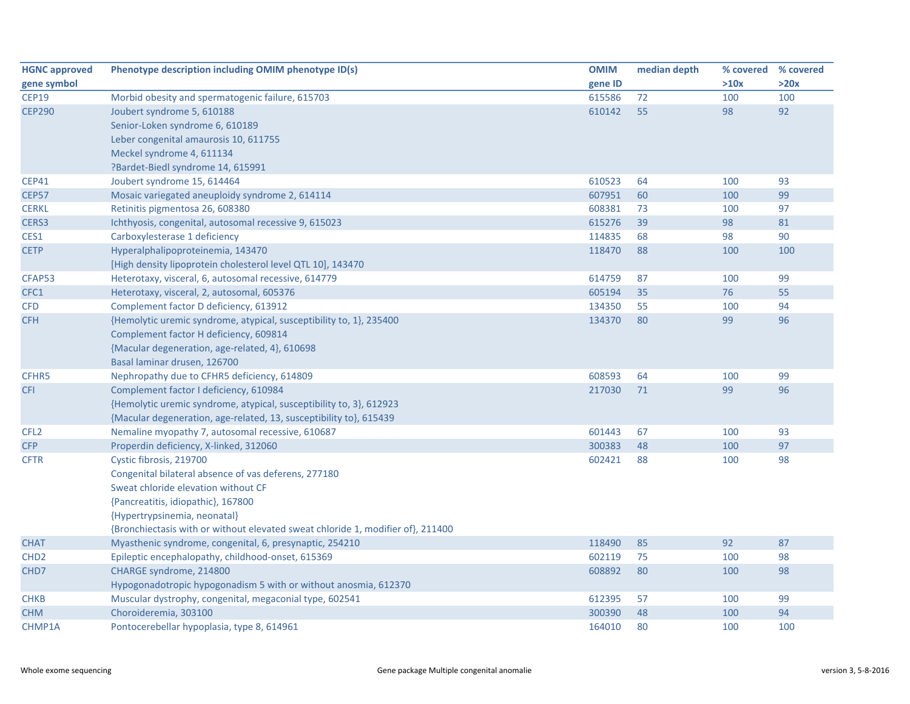| <b>HGNC approved</b> | Phenotype description including OMIM phenotype ID(s)                            | <b>OMIM</b> | median depth |      | % covered % covered |
|----------------------|---------------------------------------------------------------------------------|-------------|--------------|------|---------------------|
| gene symbol          |                                                                                 | gene ID     |              | >10x | >20x                |
| <b>CEP19</b>         | Morbid obesity and spermatogenic failure, 615703                                | 615586      | 72           | 100  | 100                 |
| <b>CEP290</b>        | Joubert syndrome 5, 610188                                                      | 610142      | 55           | 98   | 92                  |
|                      | Senior-Loken syndrome 6, 610189                                                 |             |              |      |                     |
|                      | Leber congenital amaurosis 10, 611755                                           |             |              |      |                     |
|                      | Meckel syndrome 4, 611134                                                       |             |              |      |                     |
|                      | ?Bardet-Biedl syndrome 14, 615991                                               |             |              |      |                     |
| <b>CEP41</b>         | Joubert syndrome 15, 614464                                                     | 610523      | 64           | 100  | 93                  |
| <b>CEP57</b>         | Mosaic variegated aneuploidy syndrome 2, 614114                                 | 607951      | 60           | 100  | 99                  |
| <b>CERKL</b>         | Retinitis pigmentosa 26, 608380                                                 | 608381      | 73           | 100  | 97                  |
| CERS3                | Ichthyosis, congenital, autosomal recessive 9, 615023                           | 615276      | 39           | 98   | 81                  |
| CES1                 | Carboxylesterase 1 deficiency                                                   | 114835      | 68           | 98   | 90                  |
| <b>CETP</b>          | Hyperalphalipoproteinemia, 143470                                               | 118470      | 88           | 100  | 100                 |
|                      | [High density lipoprotein cholesterol level QTL 10], 143470                     |             |              |      |                     |
| CFAP53               | Heterotaxy, visceral, 6, autosomal recessive, 614779                            | 614759      | 87           | 100  | 99                  |
| CFC1                 | Heterotaxy, visceral, 2, autosomal, 605376                                      | 605194      | 35           | 76   | 55                  |
| <b>CFD</b>           | Complement factor D deficiency, 613912                                          | 134350      | 55           | 100  | 94                  |
| <b>CFH</b>           | {Hemolytic uremic syndrome, atypical, susceptibility to, 1}, 235400             | 134370      | 80           | 99   | 96                  |
|                      | Complement factor H deficiency, 609814                                          |             |              |      |                     |
|                      | {Macular degeneration, age-related, 4}, 610698                                  |             |              |      |                     |
|                      | Basal laminar drusen, 126700                                                    |             |              |      |                     |
| CFHR5                | Nephropathy due to CFHR5 deficiency, 614809                                     | 608593      | 64           | 100  | 99                  |
| <b>CFI</b>           | Complement factor I deficiency, 610984                                          | 217030      | 71           | 99   | 96                  |
|                      | {Hemolytic uremic syndrome, atypical, susceptibility to, 3}, 612923             |             |              |      |                     |
|                      | {Macular degeneration, age-related, 13, susceptibility to}, 615439              |             |              |      |                     |
| CFL <sub>2</sub>     | Nemaline myopathy 7, autosomal recessive, 610687                                | 601443      | 67           | 100  | 93                  |
| <b>CFP</b>           | Properdin deficiency, X-linked, 312060                                          | 300383      | 48           | 100  | 97                  |
| <b>CFTR</b>          | Cystic fibrosis, 219700                                                         | 602421      | 88           | 100  | 98                  |
|                      | Congenital bilateral absence of vas deferens, 277180                            |             |              |      |                     |
|                      | Sweat chloride elevation without CF                                             |             |              |      |                     |
|                      | {Pancreatitis, idiopathic}, 167800                                              |             |              |      |                     |
|                      | {Hypertrypsinemia, neonatal}                                                    |             |              |      |                     |
|                      | {Bronchiectasis with or without elevated sweat chloride 1, modifier of}, 211400 |             |              |      |                     |
| <b>CHAT</b>          | Myasthenic syndrome, congenital, 6, presynaptic, 254210                         | 118490      | 85           | 92   | 87                  |
| CHD <sub>2</sub>     | Epileptic encephalopathy, childhood-onset, 615369                               | 602119      | 75           | 100  | 98                  |
| CHD7                 | CHARGE syndrome, 214800                                                         | 608892      | 80           | 100  | 98                  |
|                      | Hypogonadotropic hypogonadism 5 with or without anosmia, 612370                 |             |              |      |                     |
| <b>CHKB</b>          | Muscular dystrophy, congenital, megaconial type, 602541                         | 612395      | 57           | 100  | 99                  |
| <b>CHM</b>           | Choroideremia, 303100                                                           | 300390      | 48           | 100  | 94                  |
| CHMP1A               | Pontocerebellar hypoplasia, type 8, 614961                                      | 164010      | 80           | 100  | 100                 |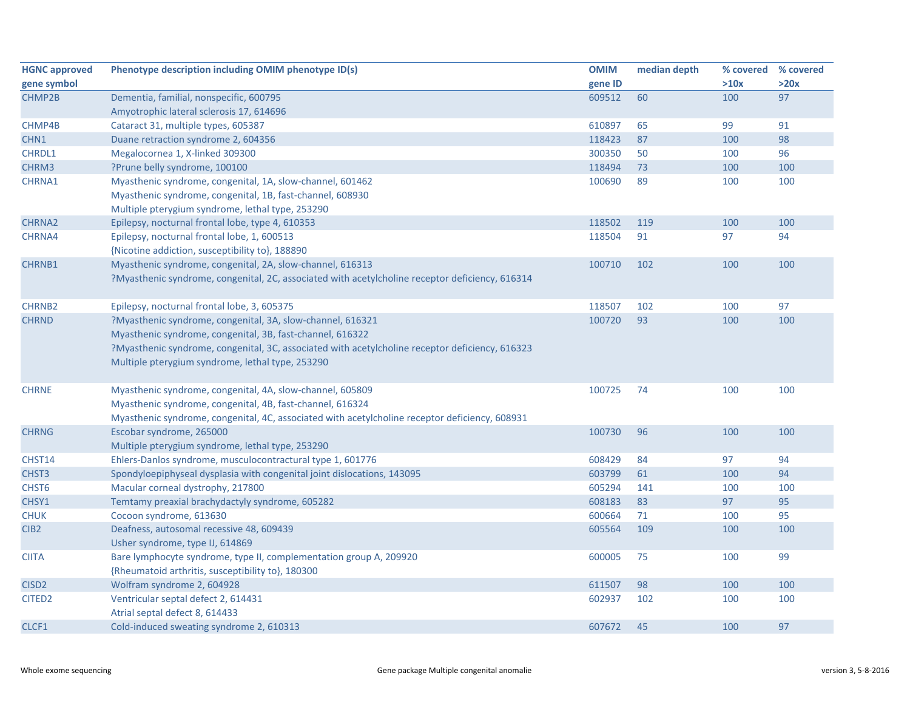| <b>HGNC approved</b> | Phenotype description including OMIM phenotype ID(s)                                            | <b>OMIM</b> | median depth | % covered | % covered |
|----------------------|-------------------------------------------------------------------------------------------------|-------------|--------------|-----------|-----------|
| gene symbol          |                                                                                                 | gene ID     |              | >10x      | >20x      |
| CHMP2B               | Dementia, familial, nonspecific, 600795                                                         | 609512      | 60           | 100       | 97        |
|                      | Amyotrophic lateral sclerosis 17, 614696                                                        |             |              |           |           |
| CHMP4B               | Cataract 31, multiple types, 605387                                                             | 610897      | 65           | 99        | 91        |
| CHN1                 | Duane retraction syndrome 2, 604356                                                             | 118423      | 87           | 100       | 98        |
| <b>CHRDL1</b>        | Megalocornea 1, X-linked 309300                                                                 | 300350      | 50           | 100       | 96        |
| CHRM3                | ?Prune belly syndrome, 100100                                                                   | 118494      | 73           | 100       | 100       |
| CHRNA1               | Myasthenic syndrome, congenital, 1A, slow-channel, 601462                                       | 100690      | 89           | 100       | 100       |
|                      | Myasthenic syndrome, congenital, 1B, fast-channel, 608930                                       |             |              |           |           |
|                      | Multiple pterygium syndrome, lethal type, 253290                                                |             |              |           |           |
| <b>CHRNA2</b>        | Epilepsy, nocturnal frontal lobe, type 4, 610353                                                | 118502      | 119          | 100       | 100       |
| CHRNA4               | Epilepsy, nocturnal frontal lobe, 1, 600513                                                     | 118504      | 91           | 97        | 94        |
|                      | {Nicotine addiction, susceptibility to}, 188890                                                 |             |              |           |           |
| <b>CHRNB1</b>        | Myasthenic syndrome, congenital, 2A, slow-channel, 616313                                       | 100710      | 102          | 100       | 100       |
|                      | ?Myasthenic syndrome, congenital, 2C, associated with acetylcholine receptor deficiency, 616314 |             |              |           |           |
|                      |                                                                                                 |             |              |           |           |
| <b>CHRNB2</b>        | Epilepsy, nocturnal frontal lobe, 3, 605375                                                     | 118507      | 102          | 100       | 97        |
| <b>CHRND</b>         | ?Myasthenic syndrome, congenital, 3A, slow-channel, 616321                                      | 100720      | 93           | 100       | 100       |
|                      | Myasthenic syndrome, congenital, 3B, fast-channel, 616322                                       |             |              |           |           |
|                      | ?Myasthenic syndrome, congenital, 3C, associated with acetylcholine receptor deficiency, 616323 |             |              |           |           |
|                      | Multiple pterygium syndrome, lethal type, 253290                                                |             |              |           |           |
|                      |                                                                                                 |             |              |           |           |
| <b>CHRNE</b>         | Myasthenic syndrome, congenital, 4A, slow-channel, 605809                                       | 100725      | 74           | 100       | 100       |
|                      | Myasthenic syndrome, congenital, 4B, fast-channel, 616324                                       |             |              |           |           |
|                      | Myasthenic syndrome, congenital, 4C, associated with acetylcholine receptor deficiency, 608931  |             |              |           |           |
| <b>CHRNG</b>         | Escobar syndrome, 265000                                                                        | 100730      | 96           | 100       | 100       |
|                      | Multiple pterygium syndrome, lethal type, 253290                                                |             |              |           |           |
| CHST14               | Ehlers-Danlos syndrome, musculocontractural type 1, 601776                                      | 608429      | 84           | 97        | 94        |
| CHST <sub>3</sub>    | Spondyloepiphyseal dysplasia with congenital joint dislocations, 143095                         | 603799      | 61           | 100       | 94        |
| CHST <sub>6</sub>    | Macular corneal dystrophy, 217800                                                               | 605294      | 141          | 100       | 100       |
| CHSY1                | Temtamy preaxial brachydactyly syndrome, 605282                                                 | 608183      | 83           | 97        | 95        |
| <b>CHUK</b>          | Cocoon syndrome, 613630                                                                         | 600664      | 71           | 100       | 95        |
| CIB <sub>2</sub>     | Deafness, autosomal recessive 48, 609439                                                        | 605564      | 109          | 100       | 100       |
|                      | Usher syndrome, type IJ, 614869                                                                 |             |              |           |           |
| <b>CIITA</b>         | Bare lymphocyte syndrome, type II, complementation group A, 209920                              | 600005      | 75           | 100       | 99        |
|                      | {Rheumatoid arthritis, susceptibility to}, 180300                                               |             |              |           |           |
| CISD <sub>2</sub>    | Wolfram syndrome 2, 604928                                                                      | 611507      | 98           | 100       | 100       |
| CITED <sub>2</sub>   | Ventricular septal defect 2, 614431                                                             | 602937      | 102          | 100       | 100       |
|                      | Atrial septal defect 8, 614433                                                                  |             |              |           |           |
| CLCF1                | Cold-induced sweating syndrome 2, 610313                                                        | 607672      | 45           | 100       | 97        |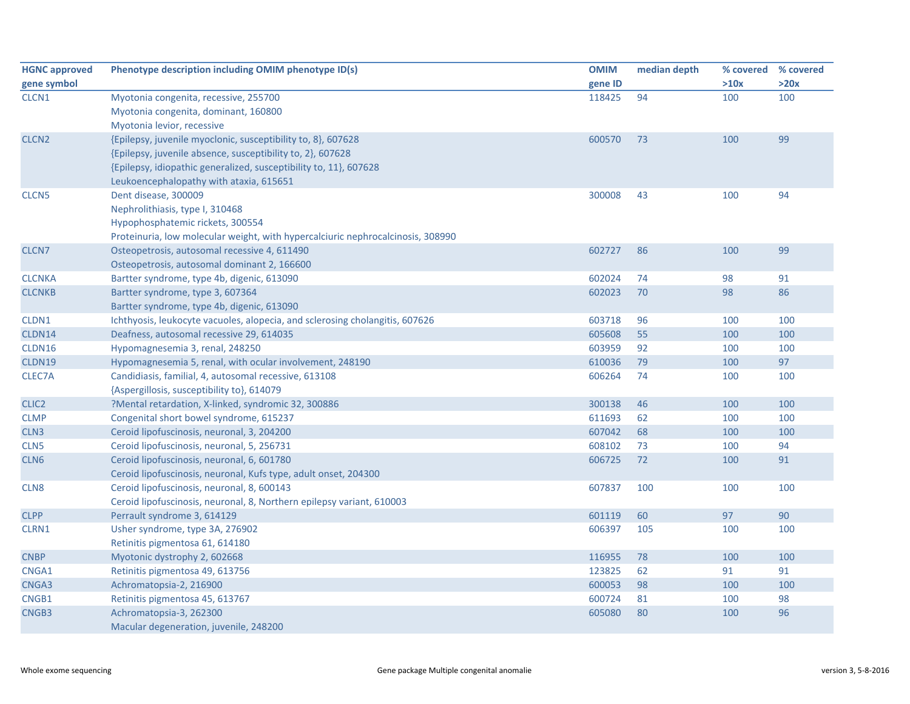| <b>HGNC approved</b> | Phenotype description including OMIM phenotype ID(s)                            | <b>OMIM</b> | median depth | % covered | % covered |
|----------------------|---------------------------------------------------------------------------------|-------------|--------------|-----------|-----------|
| gene symbol          |                                                                                 | gene ID     |              | >10x      | >20x      |
| CLCN <sub>1</sub>    | Myotonia congenita, recessive, 255700                                           | 118425      | 94           | 100       | 100       |
|                      | Myotonia congenita, dominant, 160800                                            |             |              |           |           |
|                      | Myotonia levior, recessive                                                      |             |              |           |           |
| CLCN <sub>2</sub>    | {Epilepsy, juvenile myoclonic, susceptibility to, 8}, 607628                    | 600570      | 73           | 100       | 99        |
|                      | {Epilepsy, juvenile absence, susceptibility to, 2}, 607628                      |             |              |           |           |
|                      | {Epilepsy, idiopathic generalized, susceptibility to, 11}, 607628               |             |              |           |           |
|                      | Leukoencephalopathy with ataxia, 615651                                         |             |              |           |           |
| CLCN <sub>5</sub>    | Dent disease, 300009                                                            | 300008      | 43           | 100       | 94        |
|                      | Nephrolithiasis, type I, 310468                                                 |             |              |           |           |
|                      | Hypophosphatemic rickets, 300554                                                |             |              |           |           |
|                      | Proteinuria, low molecular weight, with hypercalciuric nephrocalcinosis, 308990 |             |              |           |           |
| CLCN7                | Osteopetrosis, autosomal recessive 4, 611490                                    | 602727      | 86           | 100       | 99        |
|                      | Osteopetrosis, autosomal dominant 2, 166600                                     |             |              |           |           |
| <b>CLCNKA</b>        | Bartter syndrome, type 4b, digenic, 613090                                      | 602024      | 74           | 98        | 91        |
| <b>CLCNKB</b>        | Bartter syndrome, type 3, 607364                                                | 602023      | 70           | 98        | 86        |
|                      | Bartter syndrome, type 4b, digenic, 613090                                      |             |              |           |           |
| CLDN1                | Ichthyosis, leukocyte vacuoles, alopecia, and sclerosing cholangitis, 607626    | 603718      | 96           | 100       | 100       |
| CLDN14               | Deafness, autosomal recessive 29, 614035                                        | 605608      | 55           | 100       | 100       |
| CLDN16               | Hypomagnesemia 3, renal, 248250                                                 | 603959      | 92           | 100       | 100       |
| CLDN19               | Hypomagnesemia 5, renal, with ocular involvement, 248190                        | 610036      | 79           | 100       | 97        |
| CLEC7A               | Candidiasis, familial, 4, autosomal recessive, 613108                           | 606264      | 74           | 100       | 100       |
|                      | {Aspergillosis, susceptibility to}, 614079                                      |             |              |           |           |
| CLIC <sub>2</sub>    | ?Mental retardation, X-linked, syndromic 32, 300886                             | 300138      | 46           | 100       | 100       |
| <b>CLMP</b>          | Congenital short bowel syndrome, 615237                                         | 611693      | 62           | 100       | 100       |
| CLN <sub>3</sub>     | Ceroid lipofuscinosis, neuronal, 3, 204200                                      | 607042      | 68           | 100       | 100       |
| CLN <sub>5</sub>     | Ceroid lipofuscinosis, neuronal, 5, 256731                                      | 608102      | 73           | 100       | 94        |
| CLN <sub>6</sub>     | Ceroid lipofuscinosis, neuronal, 6, 601780                                      | 606725      | 72           | 100       | 91        |
|                      | Ceroid lipofuscinosis, neuronal, Kufs type, adult onset, 204300                 |             |              |           |           |
| CLN <sub>8</sub>     | Ceroid lipofuscinosis, neuronal, 8, 600143                                      | 607837      | 100          | 100       | 100       |
|                      | Ceroid lipofuscinosis, neuronal, 8, Northern epilepsy variant, 610003           |             |              |           |           |
| <b>CLPP</b>          | Perrault syndrome 3, 614129                                                     | 601119      | 60           | 97        | 90        |
| CLRN1                | Usher syndrome, type 3A, 276902                                                 | 606397      | 105          | 100       | 100       |
|                      | Retinitis pigmentosa 61, 614180                                                 |             |              |           |           |
| <b>CNBP</b>          | Myotonic dystrophy 2, 602668                                                    | 116955      | 78           | 100       | 100       |
| CNGA1                | Retinitis pigmentosa 49, 613756                                                 | 123825      | 62           | 91        | 91        |
| CNGA3                | Achromatopsia-2, 216900                                                         | 600053      | 98           | 100       | 100       |
| CNGB1                | Retinitis pigmentosa 45, 613767                                                 | 600724      | 81           | 100       | 98        |
| CNGB3                | Achromatopsia-3, 262300                                                         | 605080      | 80           | 100       | 96        |
|                      | Macular degeneration, juvenile, 248200                                          |             |              |           |           |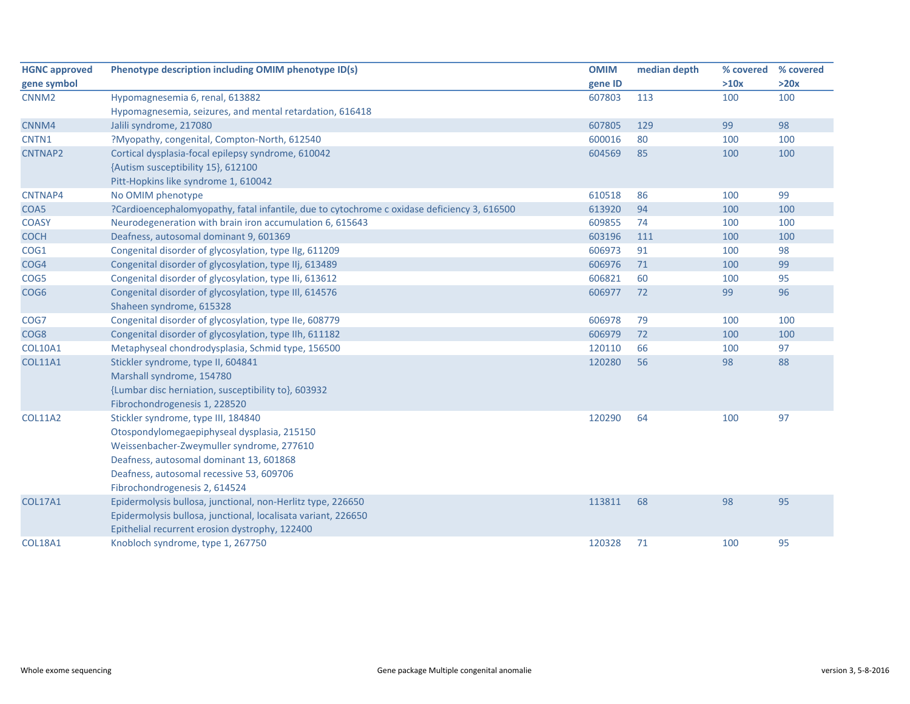| <b>HGNC approved</b> | Phenotype description including OMIM phenotype ID(s)                                        | <b>OMIM</b> | median depth | % covered | % covered |
|----------------------|---------------------------------------------------------------------------------------------|-------------|--------------|-----------|-----------|
| gene symbol          |                                                                                             | gene ID     |              | >10x      | >20x      |
| CNNM <sub>2</sub>    | Hypomagnesemia 6, renal, 613882                                                             | 607803      | 113          | 100       | 100       |
|                      | Hypomagnesemia, seizures, and mental retardation, 616418                                    |             |              |           |           |
| CNNM4                | Jalili syndrome, 217080                                                                     | 607805      | 129          | 99        | 98        |
| CNTN1                | ?Myopathy, congenital, Compton-North, 612540                                                | 600016      | 80           | 100       | 100       |
| CNTNAP2              | Cortical dysplasia-focal epilepsy syndrome, 610042                                          | 604569      | 85           | 100       | 100       |
|                      | {Autism susceptibility 15}, 612100                                                          |             |              |           |           |
|                      | Pitt-Hopkins like syndrome 1, 610042                                                        |             |              |           |           |
| CNTNAP4              | No OMIM phenotype                                                                           | 610518      | 86           | 100       | 99        |
| COA5                 | ?Cardioencephalomyopathy, fatal infantile, due to cytochrome c oxidase deficiency 3, 616500 | 613920      | 94           | 100       | 100       |
| <b>COASY</b>         | Neurodegeneration with brain iron accumulation 6, 615643                                    | 609855      | 74           | 100       | 100       |
| <b>COCH</b>          | Deafness, autosomal dominant 9, 601369                                                      | 603196      | 111          | 100       | 100       |
| COG1                 | Congenital disorder of glycosylation, type IIg, 611209                                      | 606973      | 91           | 100       | 98        |
| COG4                 | Congenital disorder of glycosylation, type IIj, 613489                                      | 606976      | 71           | 100       | 99        |
| COG5                 | Congenital disorder of glycosylation, type IIi, 613612                                      | 606821      | 60           | 100       | 95        |
| COG <sub>6</sub>     | Congenital disorder of glycosylation, type III, 614576                                      | 606977      | 72           | 99        | 96        |
|                      | Shaheen syndrome, 615328                                                                    |             |              |           |           |
| COG7                 | Congenital disorder of glycosylation, type IIe, 608779                                      | 606978      | 79           | 100       | 100       |
| COG <sub>8</sub>     | Congenital disorder of glycosylation, type IIh, 611182                                      | 606979      | 72           | 100       | 100       |
| <b>COL10A1</b>       | Metaphyseal chondrodysplasia, Schmid type, 156500                                           | 120110      | 66           | 100       | 97        |
| <b>COL11A1</b>       | Stickler syndrome, type II, 604841                                                          | 120280      | 56           | 98        | 88        |
|                      | Marshall syndrome, 154780                                                                   |             |              |           |           |
|                      | {Lumbar disc herniation, susceptibility to}, 603932                                         |             |              |           |           |
|                      | Fibrochondrogenesis 1, 228520                                                               |             |              |           |           |
| <b>COL11A2</b>       | Stickler syndrome, type III, 184840                                                         | 120290      | 64           | 100       | 97        |
|                      | Otospondylomegaepiphyseal dysplasia, 215150                                                 |             |              |           |           |
|                      | Weissenbacher-Zweymuller syndrome, 277610                                                   |             |              |           |           |
|                      | Deafness, autosomal dominant 13, 601868                                                     |             |              |           |           |
|                      | Deafness, autosomal recessive 53, 609706                                                    |             |              |           |           |
|                      | Fibrochondrogenesis 2, 614524                                                               |             |              |           |           |
| <b>COL17A1</b>       | Epidermolysis bullosa, junctional, non-Herlitz type, 226650                                 | 113811      | 68           | 98        | 95        |
|                      | Epidermolysis bullosa, junctional, localisata variant, 226650                               |             |              |           |           |
|                      | Epithelial recurrent erosion dystrophy, 122400                                              |             |              |           |           |
| <b>COL18A1</b>       | Knobloch syndrome, type 1, 267750                                                           | 120328      | 71           | 100       | 95        |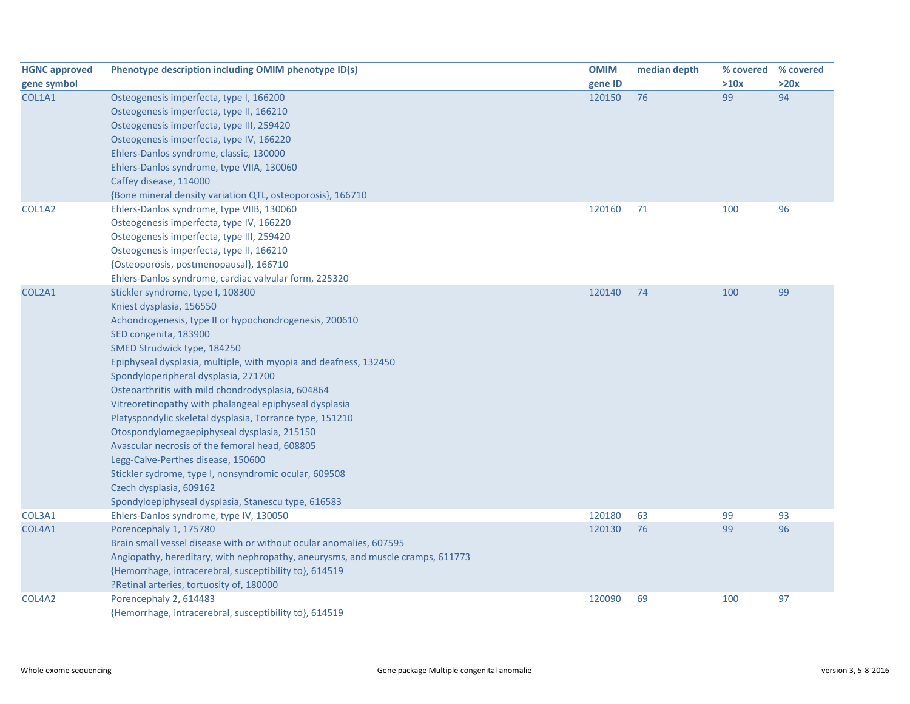| <b>HGNC approved</b> | Phenotype description including OMIM phenotype ID(s)                           | <b>OMIM</b> | median depth | % covered | % covered |
|----------------------|--------------------------------------------------------------------------------|-------------|--------------|-----------|-----------|
| gene symbol          |                                                                                | gene ID     |              | >10x      | >20x      |
| COL1A1               | Osteogenesis imperfecta, type I, 166200                                        | 120150      | 76           | 99        | 94        |
|                      | Osteogenesis imperfecta, type II, 166210                                       |             |              |           |           |
|                      | Osteogenesis imperfecta, type III, 259420                                      |             |              |           |           |
|                      | Osteogenesis imperfecta, type IV, 166220                                       |             |              |           |           |
|                      | Ehlers-Danlos syndrome, classic, 130000                                        |             |              |           |           |
|                      | Ehlers-Danlos syndrome, type VIIA, 130060                                      |             |              |           |           |
|                      | Caffey disease, 114000                                                         |             |              |           |           |
|                      | {Bone mineral density variation QTL, osteoporosis}, 166710                     |             |              |           |           |
| COL1A2               | Ehlers-Danlos syndrome, type VIIB, 130060                                      | 120160      | 71           | 100       | 96        |
|                      | Osteogenesis imperfecta, type IV, 166220                                       |             |              |           |           |
|                      | Osteogenesis imperfecta, type III, 259420                                      |             |              |           |           |
|                      | Osteogenesis imperfecta, type II, 166210                                       |             |              |           |           |
|                      | {Osteoporosis, postmenopausal}, 166710                                         |             |              |           |           |
|                      | Ehlers-Danlos syndrome, cardiac valvular form, 225320                          |             |              |           |           |
| COL2A1               | Stickler syndrome, type I, 108300                                              | 120140      | 74           | 100       | 99        |
|                      | Kniest dysplasia, 156550                                                       |             |              |           |           |
|                      | Achondrogenesis, type II or hypochondrogenesis, 200610                         |             |              |           |           |
|                      | SED congenita, 183900                                                          |             |              |           |           |
|                      | SMED Strudwick type, 184250                                                    |             |              |           |           |
|                      | Epiphyseal dysplasia, multiple, with myopia and deafness, 132450               |             |              |           |           |
|                      | Spondyloperipheral dysplasia, 271700                                           |             |              |           |           |
|                      | Osteoarthritis with mild chondrodysplasia, 604864                              |             |              |           |           |
|                      | Vitreoretinopathy with phalangeal epiphyseal dysplasia                         |             |              |           |           |
|                      | Platyspondylic skeletal dysplasia, Torrance type, 151210                       |             |              |           |           |
|                      | Otospondylomegaepiphyseal dysplasia, 215150                                    |             |              |           |           |
|                      | Avascular necrosis of the femoral head, 608805                                 |             |              |           |           |
|                      | Legg-Calve-Perthes disease, 150600                                             |             |              |           |           |
|                      | Stickler sydrome, type I, nonsyndromic ocular, 609508                          |             |              |           |           |
|                      | Czech dysplasia, 609162                                                        |             |              |           |           |
|                      | Spondyloepiphyseal dysplasia, Stanescu type, 616583                            |             |              |           |           |
| COL3A1               | Ehlers-Danlos syndrome, type IV, 130050                                        | 120180      | 63           | 99        | 93        |
| COL4A1               | Porencephaly 1, 175780                                                         | 120130      | 76           | 99        | 96        |
|                      | Brain small vessel disease with or without ocular anomalies, 607595            |             |              |           |           |
|                      | Angiopathy, hereditary, with nephropathy, aneurysms, and muscle cramps, 611773 |             |              |           |           |
|                      | {Hemorrhage, intracerebral, susceptibility to}, 614519                         |             |              |           |           |
|                      | ?Retinal arteries, tortuosity of, 180000                                       |             |              |           |           |
| COL4A2               | Porencephaly 2, 614483                                                         | 120090      | 69           | 100       | 97        |
|                      | {Hemorrhage, intracerebral, susceptibility to}, 614519                         |             |              |           |           |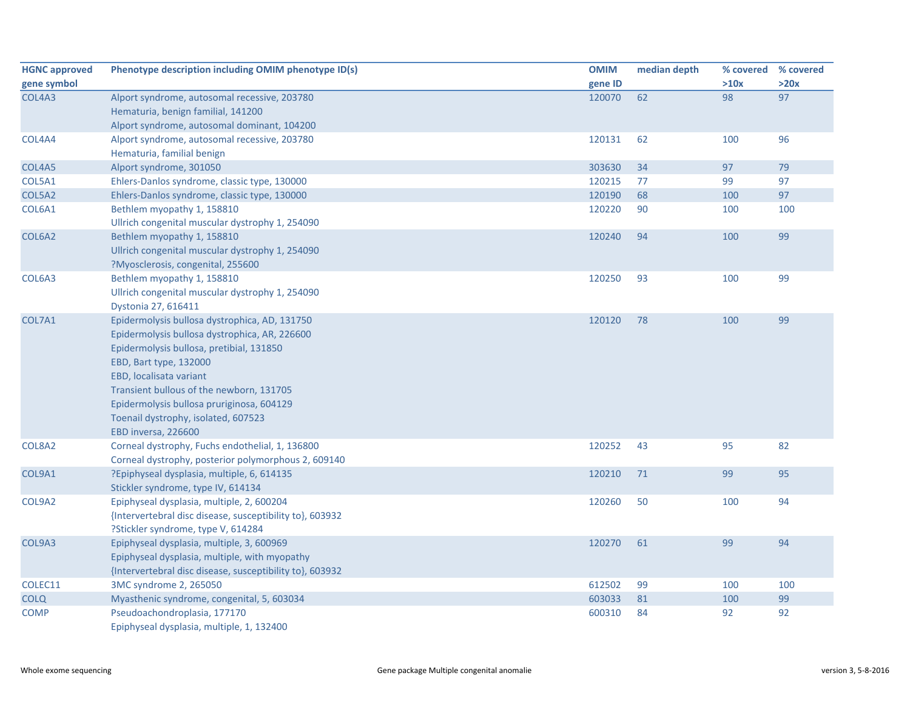| <b>HGNC approved</b> | Phenotype description including OMIM phenotype ID(s)     | <b>OMIM</b> | median depth | % covered % covered |      |
|----------------------|----------------------------------------------------------|-------------|--------------|---------------------|------|
| gene symbol          |                                                          | gene ID     |              | >10x                | >20x |
| COL4A3               | Alport syndrome, autosomal recessive, 203780             | 120070      | 62           | 98                  | 97   |
|                      | Hematuria, benign familial, 141200                       |             |              |                     |      |
|                      | Alport syndrome, autosomal dominant, 104200              |             |              |                     |      |
| COL4A4               | Alport syndrome, autosomal recessive, 203780             | 120131      | 62           | 100                 | 96   |
|                      | Hematuria, familial benign                               |             |              |                     |      |
| COL4A5               | Alport syndrome, 301050                                  | 303630      | 34           | 97                  | 79   |
| COL5A1               | Ehlers-Danlos syndrome, classic type, 130000             | 120215      | 77           | 99                  | 97   |
| COL5A2               | Ehlers-Danlos syndrome, classic type, 130000             | 120190      | 68           | 100                 | 97   |
| COL6A1               | Bethlem myopathy 1, 158810                               | 120220      | 90           | 100                 | 100  |
|                      | Ullrich congenital muscular dystrophy 1, 254090          |             |              |                     |      |
| COL6A2               | Bethlem myopathy 1, 158810                               | 120240      | 94           | 100                 | 99   |
|                      | Ullrich congenital muscular dystrophy 1, 254090          |             |              |                     |      |
|                      | ?Myosclerosis, congenital, 255600                        |             |              |                     |      |
| COL6A3               | Bethlem myopathy 1, 158810                               | 120250      | 93           | 100                 | 99   |
|                      | Ullrich congenital muscular dystrophy 1, 254090          |             |              |                     |      |
|                      | Dystonia 27, 616411                                      |             |              |                     |      |
| COL7A1               | Epidermolysis bullosa dystrophica, AD, 131750            | 120120      | 78           | 100                 | 99   |
|                      | Epidermolysis bullosa dystrophica, AR, 226600            |             |              |                     |      |
|                      | Epidermolysis bullosa, pretibial, 131850                 |             |              |                     |      |
|                      | EBD, Bart type, 132000                                   |             |              |                     |      |
|                      | EBD, localisata variant                                  |             |              |                     |      |
|                      | Transient bullous of the newborn, 131705                 |             |              |                     |      |
|                      | Epidermolysis bullosa pruriginosa, 604129                |             |              |                     |      |
|                      | Toenail dystrophy, isolated, 607523                      |             |              |                     |      |
|                      | EBD inversa, 226600                                      |             |              |                     |      |
| COL8A2               | Corneal dystrophy, Fuchs endothelial, 1, 136800          | 120252      | 43           | 95                  | 82   |
|                      | Corneal dystrophy, posterior polymorphous 2, 609140      |             |              |                     |      |
| COL9A1               | ?Epiphyseal dysplasia, multiple, 6, 614135               | 120210      | 71           | 99                  | 95   |
|                      | Stickler syndrome, type IV, 614134                       |             |              |                     |      |
| COL9A2               | Epiphyseal dysplasia, multiple, 2, 600204                | 120260      | 50           | 100                 | 94   |
|                      | {Intervertebral disc disease, susceptibility to}, 603932 |             |              |                     |      |
|                      | ?Stickler syndrome, type V, 614284                       |             |              |                     |      |
| COL9A3               | Epiphyseal dysplasia, multiple, 3, 600969                | 120270      | 61           | 99                  | 94   |
|                      | Epiphyseal dysplasia, multiple, with myopathy            |             |              |                     |      |
|                      | {Intervertebral disc disease, susceptibility to}, 603932 |             |              |                     |      |
| COLEC11              | 3MC syndrome 2, 265050                                   | 612502      | 99           | 100                 | 100  |
| <b>COLQ</b>          | Myasthenic syndrome, congenital, 5, 603034               | 603033      | 81           | 100                 | 99   |
| <b>COMP</b>          | Pseudoachondroplasia, 177170                             | 600310      | 84           | 92                  | 92   |
|                      | Epiphyseal dysplasia, multiple, 1, 132400                |             |              |                     |      |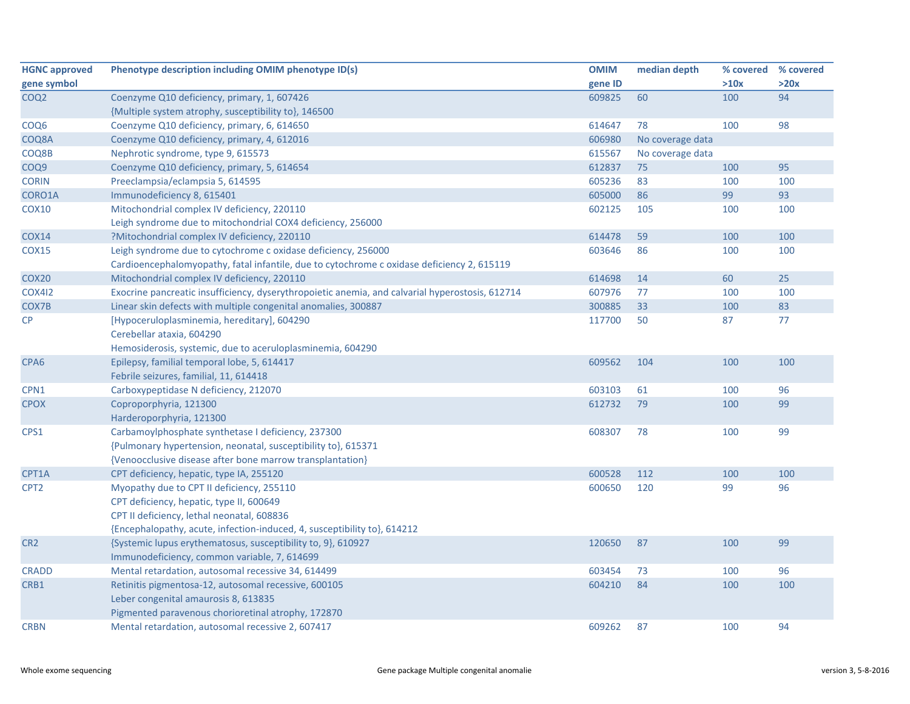| <b>HGNC approved</b> | Phenotype description including OMIM phenotype ID(s)                                            | <b>OMIM</b> | median depth     | % covered | % covered |
|----------------------|-------------------------------------------------------------------------------------------------|-------------|------------------|-----------|-----------|
| gene symbol          |                                                                                                 | gene ID     |                  | >10x      | >20x      |
| COQ <sub>2</sub>     | Coenzyme Q10 deficiency, primary, 1, 607426                                                     | 609825      | 60               | 100       | 94        |
|                      | {Multiple system atrophy, susceptibility to}, 146500                                            |             |                  |           |           |
| COQ <sub>6</sub>     | Coenzyme Q10 deficiency, primary, 6, 614650                                                     | 614647      | 78               | 100       | 98        |
| COQ8A                | Coenzyme Q10 deficiency, primary, 4, 612016                                                     | 606980      | No coverage data |           |           |
| COQ8B                | Nephrotic syndrome, type 9, 615573                                                              | 615567      | No coverage data |           |           |
| COQ9                 | Coenzyme Q10 deficiency, primary, 5, 614654                                                     | 612837      | 75               | 100       | 95        |
| <b>CORIN</b>         | Preeclampsia/eclampsia 5, 614595                                                                | 605236      | 83               | 100       | 100       |
| CORO1A               | Immunodeficiency 8, 615401                                                                      | 605000      | 86               | 99        | 93        |
| COX10                | Mitochondrial complex IV deficiency, 220110                                                     | 602125      | 105              | 100       | 100       |
|                      | Leigh syndrome due to mitochondrial COX4 deficiency, 256000                                     |             |                  |           |           |
| <b>COX14</b>         | ?Mitochondrial complex IV deficiency, 220110                                                    | 614478      | 59               | 100       | 100       |
| <b>COX15</b>         | Leigh syndrome due to cytochrome c oxidase deficiency, 256000                                   | 603646      | 86               | 100       | 100       |
|                      | Cardioencephalomyopathy, fatal infantile, due to cytochrome c oxidase deficiency 2, 615119      |             |                  |           |           |
| COX <sub>20</sub>    | Mitochondrial complex IV deficiency, 220110                                                     | 614698      | 14               | 60        | 25        |
| <b>COX412</b>        | Exocrine pancreatic insufficiency, dyserythropoietic anemia, and calvarial hyperostosis, 612714 | 607976      | 77               | 100       | 100       |
| COX7B                | Linear skin defects with multiple congenital anomalies, 300887                                  | 300885      | 33               | 100       | 83        |
| CP                   | [Hypoceruloplasminemia, hereditary], 604290                                                     | 117700      | 50               | 87        | 77        |
|                      | Cerebellar ataxia, 604290                                                                       |             |                  |           |           |
|                      | Hemosiderosis, systemic, due to aceruloplasminemia, 604290                                      |             |                  |           |           |
| CPA <sub>6</sub>     | Epilepsy, familial temporal lobe, 5, 614417                                                     | 609562      | 104              | 100       | 100       |
|                      | Febrile seizures, familial, 11, 614418                                                          |             |                  |           |           |
| CPN1                 | Carboxypeptidase N deficiency, 212070                                                           | 603103      | 61               | 100       | 96        |
| <b>CPOX</b>          | Coproporphyria, 121300                                                                          | 612732      | 79               | 100       | 99        |
|                      | Harderoporphyria, 121300                                                                        |             |                  |           |           |
| CPS1                 | Carbamoylphosphate synthetase I deficiency, 237300                                              | 608307      | 78               | 100       | 99        |
|                      | {Pulmonary hypertension, neonatal, susceptibility to}, 615371                                   |             |                  |           |           |
|                      | {Venoocclusive disease after bone marrow transplantation}                                       |             |                  |           |           |
| CPT1A                | CPT deficiency, hepatic, type IA, 255120                                                        | 600528      | 112              | 100       | 100       |
| CPT <sub>2</sub>     | Myopathy due to CPT II deficiency, 255110                                                       | 600650      | 120              | 99        | 96        |
|                      | CPT deficiency, hepatic, type II, 600649                                                        |             |                  |           |           |
|                      | CPT II deficiency, lethal neonatal, 608836                                                      |             |                  |           |           |
|                      | {Encephalopathy, acute, infection-induced, 4, susceptibility to}, 614212                        |             |                  |           |           |
| CR <sub>2</sub>      | {Systemic lupus erythematosus, susceptibility to, 9}, 610927                                    | 120650      | 87               | 100       | 99        |
|                      | Immunodeficiency, common variable, 7, 614699                                                    |             |                  |           |           |
| <b>CRADD</b>         | Mental retardation, autosomal recessive 34, 614499                                              | 603454      | 73               | 100       | 96        |
| CRB1                 | Retinitis pigmentosa-12, autosomal recessive, 600105                                            | 604210      | 84               | 100       | 100       |
|                      | Leber congenital amaurosis 8, 613835                                                            |             |                  |           |           |
|                      | Pigmented paravenous chorioretinal atrophy, 172870                                              |             |                  |           |           |
| <b>CRBN</b>          | Mental retardation, autosomal recessive 2, 607417                                               | 609262      | 87               | 100       | 94        |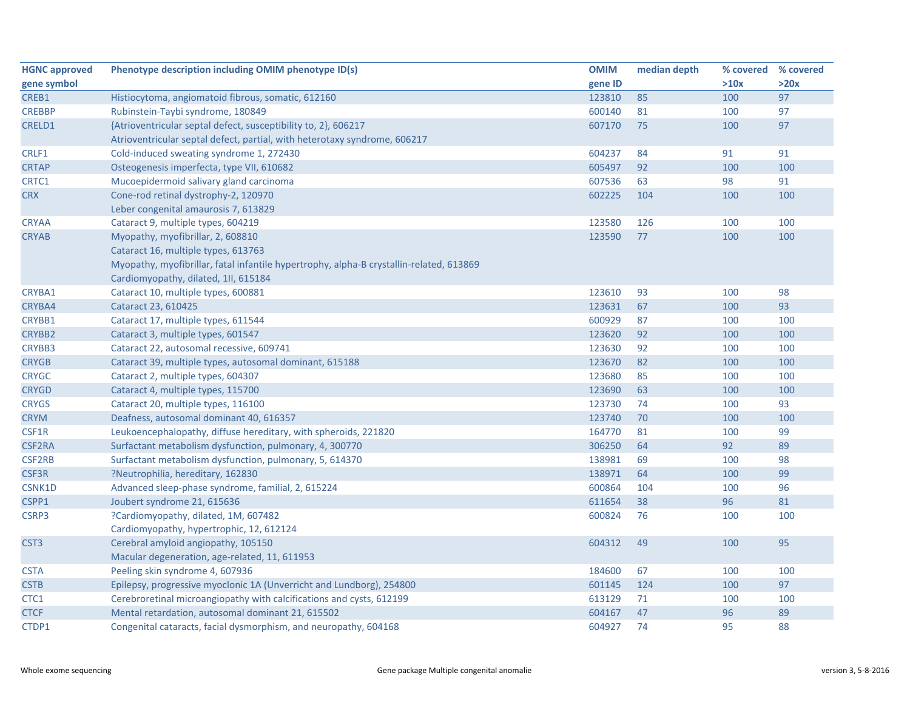| <b>HGNC approved</b> | Phenotype description including OMIM phenotype ID(s)                                    | <b>OMIM</b> | median depth | % covered | % covered |
|----------------------|-----------------------------------------------------------------------------------------|-------------|--------------|-----------|-----------|
| gene symbol          |                                                                                         | gene ID     |              | >10x      | >20x      |
| CREB1                | Histiocytoma, angiomatoid fibrous, somatic, 612160                                      | 123810      | 85           | 100       | 97        |
| <b>CREBBP</b>        | Rubinstein-Taybi syndrome, 180849                                                       | 600140      | 81           | 100       | 97        |
| CRELD1               | {Atrioventricular septal defect, susceptibility to, 2}, 606217                          | 607170      | 75           | 100       | 97        |
|                      | Atrioventricular septal defect, partial, with heterotaxy syndrome, 606217               |             |              |           |           |
| CRLF1                | Cold-induced sweating syndrome 1, 272430                                                | 604237      | 84           | 91        | 91        |
| <b>CRTAP</b>         | Osteogenesis imperfecta, type VII, 610682                                               | 605497      | 92           | 100       | 100       |
| CRTC1                | Mucoepidermoid salivary gland carcinoma                                                 | 607536      | 63           | 98        | 91        |
| <b>CRX</b>           | Cone-rod retinal dystrophy-2, 120970                                                    | 602225      | 104          | 100       | 100       |
|                      | Leber congenital amaurosis 7, 613829                                                    |             |              |           |           |
| <b>CRYAA</b>         | Cataract 9, multiple types, 604219                                                      | 123580      | 126          | 100       | 100       |
| <b>CRYAB</b>         | Myopathy, myofibrillar, 2, 608810                                                       | 123590      | 77           | 100       | 100       |
|                      | Cataract 16, multiple types, 613763                                                     |             |              |           |           |
|                      | Myopathy, myofibrillar, fatal infantile hypertrophy, alpha-B crystallin-related, 613869 |             |              |           |           |
|                      | Cardiomyopathy, dilated, 1II, 615184                                                    |             |              |           |           |
| CRYBA1               | Cataract 10, multiple types, 600881                                                     | 123610      | 93           | 100       | 98        |
| CRYBA4               | Cataract 23, 610425                                                                     | 123631      | 67           | 100       | 93        |
| CRYBB1               | Cataract 17, multiple types, 611544                                                     | 600929      | 87           | 100       | 100       |
| <b>CRYBB2</b>        | Cataract 3, multiple types, 601547                                                      | 123620      | 92           | 100       | 100       |
| CRYBB3               | Cataract 22, autosomal recessive, 609741                                                | 123630      | 92           | 100       | 100       |
| <b>CRYGB</b>         | Cataract 39, multiple types, autosomal dominant, 615188                                 | 123670      | 82           | 100       | 100       |
| <b>CRYGC</b>         | Cataract 2, multiple types, 604307                                                      | 123680      | 85           | 100       | 100       |
| <b>CRYGD</b>         | Cataract 4, multiple types, 115700                                                      | 123690      | 63           | 100       | 100       |
| <b>CRYGS</b>         | Cataract 20, multiple types, 116100                                                     | 123730      | 74           | 100       | 93        |
| <b>CRYM</b>          | Deafness, autosomal dominant 40, 616357                                                 | 123740      | 70           | 100       | 100       |
| CSF1R                | Leukoencephalopathy, diffuse hereditary, with spheroids, 221820                         | 164770      | 81           | 100       | 99        |
| CSF2RA               | Surfactant metabolism dysfunction, pulmonary, 4, 300770                                 | 306250      | 64           | 92        | 89        |
| <b>CSF2RB</b>        | Surfactant metabolism dysfunction, pulmonary, 5, 614370                                 | 138981      | 69           | 100       | 98        |
| CSF3R                | ?Neutrophilia, hereditary, 162830                                                       | 138971      | 64           | 100       | 99        |
| CSNK1D               | Advanced sleep-phase syndrome, familial, 2, 615224                                      | 600864      | 104          | 100       | 96        |
| CSPP1                | Joubert syndrome 21, 615636                                                             | 611654      | 38           | 96        | 81        |
| CSRP3                | ?Cardiomyopathy, dilated, 1M, 607482                                                    | 600824      | 76           | 100       | 100       |
|                      | Cardiomyopathy, hypertrophic, 12, 612124                                                |             |              |           |           |
| CST <sub>3</sub>     | Cerebral amyloid angiopathy, 105150                                                     | 604312      | 49           | 100       | 95        |
|                      | Macular degeneration, age-related, 11, 611953                                           |             |              |           |           |
| <b>CSTA</b>          | Peeling skin syndrome 4, 607936                                                         | 184600      | 67           | 100       | 100       |
| <b>CSTB</b>          | Epilepsy, progressive myoclonic 1A (Unverricht and Lundborg), 254800                    | 601145      | 124          | 100       | 97        |
| CTC1                 | Cerebroretinal microangiopathy with calcifications and cysts, 612199                    | 613129      | 71           | 100       | 100       |
| <b>CTCF</b>          | Mental retardation, autosomal dominant 21, 615502                                       | 604167      | 47           | 96        | 89        |
| CTDP1                | Congenital cataracts, facial dysmorphism, and neuropathy, 604168                        | 604927      | 74           | 95        | 88        |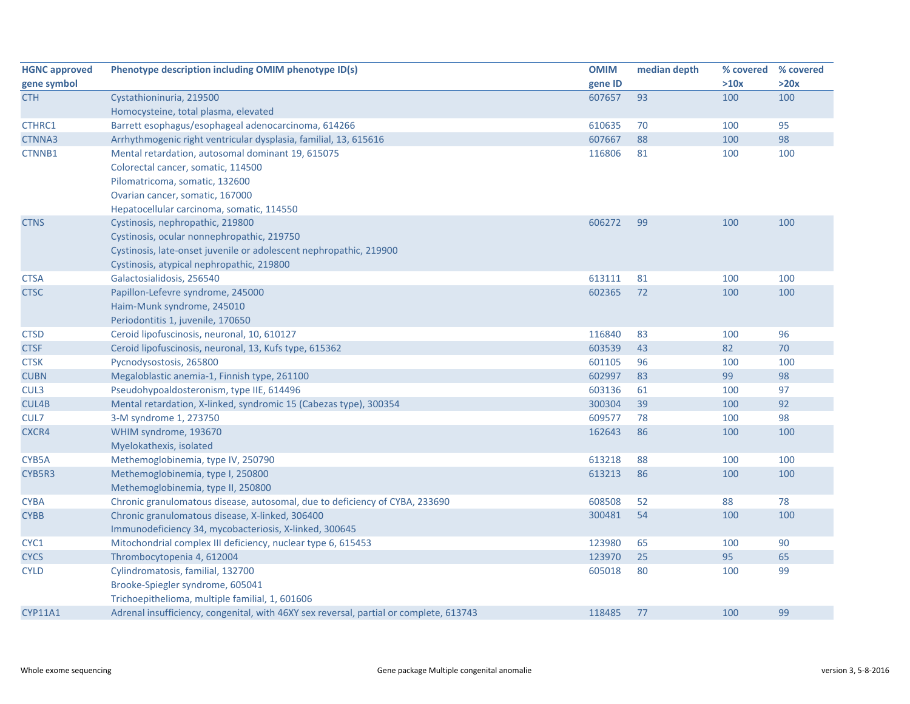| <b>HGNC approved</b> | Phenotype description including OMIM phenotype ID(s)                                   | <b>OMIM</b> | median depth |      | % covered % covered |
|----------------------|----------------------------------------------------------------------------------------|-------------|--------------|------|---------------------|
| gene symbol          |                                                                                        | gene ID     |              | >10x | >20x                |
| <b>CTH</b>           | Cystathioninuria, 219500                                                               | 607657      | 93           | 100  | 100                 |
|                      | Homocysteine, total plasma, elevated                                                   |             |              |      |                     |
| CTHRC1               | Barrett esophagus/esophageal adenocarcinoma, 614266                                    | 610635      | 70           | 100  | 95                  |
| CTNNA3               | Arrhythmogenic right ventricular dysplasia, familial, 13, 615616                       | 607667      | 88           | 100  | 98                  |
| CTNNB1               | Mental retardation, autosomal dominant 19, 615075                                      | 116806      | 81           | 100  | 100                 |
|                      | Colorectal cancer, somatic, 114500                                                     |             |              |      |                     |
|                      | Pilomatricoma, somatic, 132600                                                         |             |              |      |                     |
|                      | Ovarian cancer, somatic, 167000                                                        |             |              |      |                     |
|                      | Hepatocellular carcinoma, somatic, 114550                                              |             |              |      |                     |
| <b>CTNS</b>          | Cystinosis, nephropathic, 219800                                                       | 606272      | 99           | 100  | 100                 |
|                      | Cystinosis, ocular nonnephropathic, 219750                                             |             |              |      |                     |
|                      | Cystinosis, late-onset juvenile or adolescent nephropathic, 219900                     |             |              |      |                     |
|                      | Cystinosis, atypical nephropathic, 219800                                              |             |              |      |                     |
| <b>CTSA</b>          | Galactosialidosis, 256540                                                              | 613111      | 81           | 100  | 100                 |
| <b>CTSC</b>          | Papillon-Lefevre syndrome, 245000                                                      | 602365      | 72           | 100  | 100                 |
|                      | Haim-Munk syndrome, 245010                                                             |             |              |      |                     |
|                      | Periodontitis 1, juvenile, 170650                                                      |             |              |      |                     |
| <b>CTSD</b>          | Ceroid lipofuscinosis, neuronal, 10, 610127                                            | 116840      | 83           | 100  | 96                  |
| <b>CTSF</b>          | Ceroid lipofuscinosis, neuronal, 13, Kufs type, 615362                                 | 603539      | 43           | 82   | 70                  |
| <b>CTSK</b>          | Pycnodysostosis, 265800                                                                | 601105      | 96           | 100  | 100                 |
| <b>CUBN</b>          | Megaloblastic anemia-1, Finnish type, 261100                                           | 602997      | 83           | 99   | 98                  |
| CUL3                 | Pseudohypoaldosteronism, type IIE, 614496                                              | 603136      | 61           | 100  | 97                  |
| CUL4B                | Mental retardation, X-linked, syndromic 15 (Cabezas type), 300354                      | 300304      | 39           | 100  | 92                  |
| CUL7                 | 3-M syndrome 1, 273750                                                                 | 609577      | 78           | 100  | 98                  |
| CXCR4                | WHIM syndrome, 193670                                                                  | 162643      | 86           | 100  | 100                 |
|                      | Myelokathexis, isolated                                                                |             |              |      |                     |
| CYB5A                | Methemoglobinemia, type IV, 250790                                                     | 613218      | 88           | 100  | 100                 |
| CYB5R3               | Methemoglobinemia, type I, 250800                                                      | 613213      | 86           | 100  | 100                 |
|                      | Methemoglobinemia, type II, 250800                                                     |             |              |      |                     |
| <b>CYBA</b>          | Chronic granulomatous disease, autosomal, due to deficiency of CYBA, 233690            | 608508      | 52           | 88   | 78                  |
| <b>CYBB</b>          | Chronic granulomatous disease, X-linked, 306400                                        | 300481      | 54           | 100  | 100                 |
|                      | Immunodeficiency 34, mycobacteriosis, X-linked, 300645                                 |             |              |      |                     |
| CYC1                 | Mitochondrial complex III deficiency, nuclear type 6, 615453                           | 123980      | 65           | 100  | 90                  |
| <b>CYCS</b>          | Thrombocytopenia 4, 612004                                                             | 123970      | 25           | 95   | 65                  |
| <b>CYLD</b>          | Cylindromatosis, familial, 132700                                                      | 605018      | 80           | 100  | 99                  |
|                      | Brooke-Spiegler syndrome, 605041                                                       |             |              |      |                     |
|                      | Trichoepithelioma, multiple familial, 1, 601606                                        |             |              |      |                     |
| <b>CYP11A1</b>       | Adrenal insufficiency, congenital, with 46XY sex reversal, partial or complete, 613743 | 118485      | 77           | 100  | 99                  |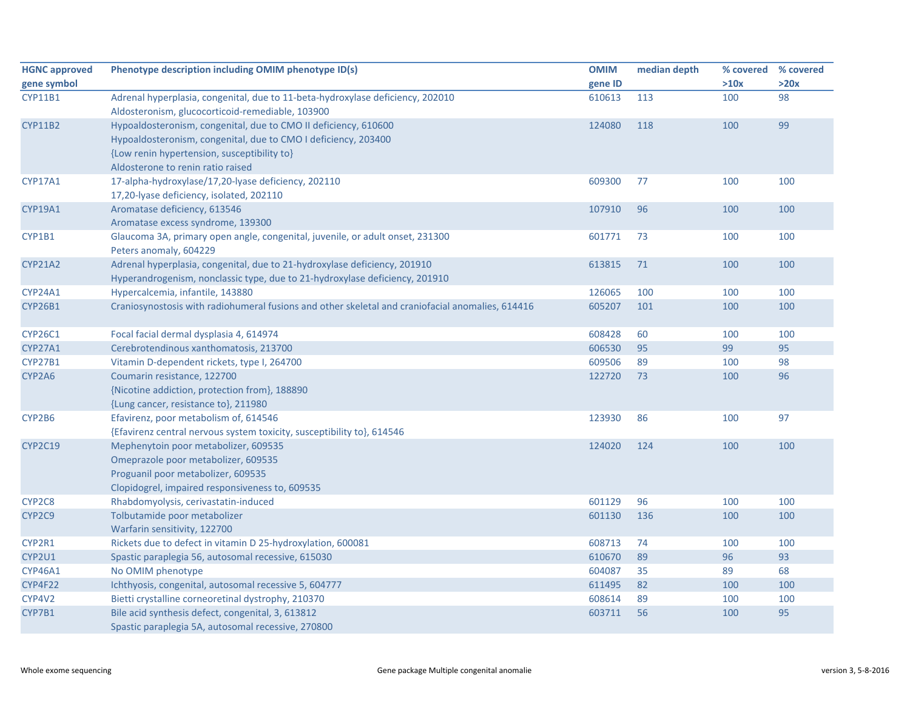| <b>HGNC approved</b> | Phenotype description including OMIM phenotype ID(s)                                             | <b>OMIM</b> | median depth | % covered | % covered |
|----------------------|--------------------------------------------------------------------------------------------------|-------------|--------------|-----------|-----------|
| gene symbol          |                                                                                                  | gene ID     |              | >10x      | >20x      |
| <b>CYP11B1</b>       | Adrenal hyperplasia, congenital, due to 11-beta-hydroxylase deficiency, 202010                   | 610613      | 113          | 100       | 98        |
|                      | Aldosteronism, glucocorticoid-remediable, 103900                                                 |             |              |           |           |
| <b>CYP11B2</b>       | Hypoaldosteronism, congenital, due to CMO II deficiency, 610600                                  | 124080      | 118          | 100       | 99        |
|                      | Hypoaldosteronism, congenital, due to CMO I deficiency, 203400                                   |             |              |           |           |
|                      | {Low renin hypertension, susceptibility to}                                                      |             |              |           |           |
|                      | Aldosterone to renin ratio raised                                                                |             |              |           |           |
| CYP17A1              | 17-alpha-hydroxylase/17,20-lyase deficiency, 202110                                              | 609300      | 77           | 100       | 100       |
|                      | 17,20-lyase deficiency, isolated, 202110                                                         |             |              |           |           |
| CYP19A1              | Aromatase deficiency, 613546                                                                     | 107910      | 96           | 100       | 100       |
|                      | Aromatase excess syndrome, 139300                                                                |             |              |           |           |
| CYP1B1               | Glaucoma 3A, primary open angle, congenital, juvenile, or adult onset, 231300                    | 601771      | 73           | 100       | 100       |
|                      | Peters anomaly, 604229                                                                           |             |              |           |           |
| <b>CYP21A2</b>       | Adrenal hyperplasia, congenital, due to 21-hydroxylase deficiency, 201910                        | 613815      | 71           | 100       | 100       |
|                      | Hyperandrogenism, nonclassic type, due to 21-hydroxylase deficiency, 201910                      |             |              |           |           |
| CYP24A1              | Hypercalcemia, infantile, 143880                                                                 | 126065      | 100          | 100       | 100       |
| CYP26B1              | Craniosynostosis with radiohumeral fusions and other skeletal and craniofacial anomalies, 614416 | 605207      | 101          | 100       | 100       |
| CYP26C1              | Focal facial dermal dysplasia 4, 614974                                                          | 608428      | 60           | 100       | 100       |
| CYP27A1              | Cerebrotendinous xanthomatosis, 213700                                                           | 606530      | 95           | 99        | 95        |
| CYP27B1              | Vitamin D-dependent rickets, type I, 264700                                                      | 609506      | 89           | 100       | 98        |
| CYP2A6               | Coumarin resistance, 122700                                                                      | 122720      | 73           | 100       | 96        |
|                      | {Nicotine addiction, protection from}, 188890                                                    |             |              |           |           |
|                      | {Lung cancer, resistance to}, 211980                                                             |             |              |           |           |
| CYP2B6               | Efavirenz, poor metabolism of, 614546                                                            | 123930      | 86           | 100       | 97        |
|                      | {Efavirenz central nervous system toxicity, susceptibility to}, 614546                           |             |              |           |           |
| <b>CYP2C19</b>       | Mephenytoin poor metabolizer, 609535                                                             | 124020      | 124          | 100       | 100       |
|                      | Omeprazole poor metabolizer, 609535                                                              |             |              |           |           |
|                      | Proguanil poor metabolizer, 609535                                                               |             |              |           |           |
|                      | Clopidogrel, impaired responsiveness to, 609535                                                  |             |              |           |           |
| CYP2C8               | Rhabdomyolysis, cerivastatin-induced                                                             | 601129      | 96           | 100       | 100       |
| CYP2C9               | Tolbutamide poor metabolizer                                                                     | 601130      | 136          | 100       | 100       |
|                      | Warfarin sensitivity, 122700                                                                     |             |              |           |           |
| CYP2R1               | Rickets due to defect in vitamin D 25-hydroxylation, 600081                                      | 608713      | 74           | 100       | 100       |
| CYP2U1               | Spastic paraplegia 56, autosomal recessive, 615030                                               | 610670      | 89           | 96        | 93        |
| CYP46A1              | No OMIM phenotype                                                                                | 604087      | 35           | 89        | 68        |
| CYP4F22              | Ichthyosis, congenital, autosomal recessive 5, 604777                                            | 611495      | 82           | 100       | 100       |
| CYP4V2               | Bietti crystalline corneoretinal dystrophy, 210370                                               | 608614      | 89           | 100       | 100       |
| CYP7B1               | Bile acid synthesis defect, congenital, 3, 613812                                                | 603711      | 56           | 100       | 95        |
|                      | Spastic paraplegia 5A, autosomal recessive, 270800                                               |             |              |           |           |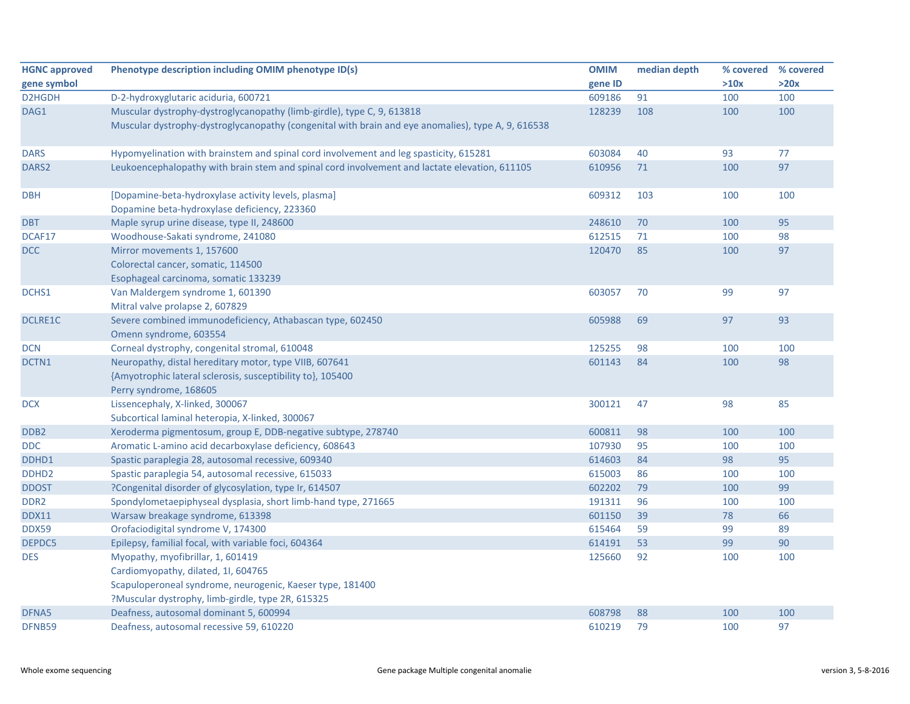| <b>HGNC approved</b> | Phenotype description including OMIM phenotype ID(s)                                               | <b>OMIM</b> | median depth | % covered % covered |      |
|----------------------|----------------------------------------------------------------------------------------------------|-------------|--------------|---------------------|------|
| gene symbol          |                                                                                                    | gene ID     |              | >10x                | >20x |
| D2HGDH               | D-2-hydroxyglutaric aciduria, 600721                                                               | 609186      | 91           | 100                 | 100  |
| DAG1                 | Muscular dystrophy-dystroglycanopathy (limb-girdle), type C, 9, 613818                             | 128239      | 108          | 100                 | 100  |
|                      | Muscular dystrophy-dystroglycanopathy (congenital with brain and eye anomalies), type A, 9, 616538 |             |              |                     |      |
| <b>DARS</b>          | Hypomyelination with brainstem and spinal cord involvement and leg spasticity, 615281              | 603084      | 40           | 93                  | 77   |
| DARS <sub>2</sub>    | Leukoencephalopathy with brain stem and spinal cord involvement and lactate elevation, 611105      | 610956      | 71           | 100                 | 97   |
| <b>DBH</b>           | [Dopamine-beta-hydroxylase activity levels, plasma]                                                | 609312      | 103          | 100                 | 100  |
|                      | Dopamine beta-hydroxylase deficiency, 223360                                                       |             |              |                     |      |
| <b>DBT</b>           | Maple syrup urine disease, type II, 248600                                                         | 248610      | 70           | 100                 | 95   |
| DCAF17               | Woodhouse-Sakati syndrome, 241080                                                                  | 612515      | 71           | 100                 | 98   |
| <b>DCC</b>           | Mirror movements 1, 157600                                                                         | 120470      | 85           | 100                 | 97   |
|                      | Colorectal cancer, somatic, 114500                                                                 |             |              |                     |      |
|                      | Esophageal carcinoma, somatic 133239                                                               |             |              |                     |      |
| DCHS1                | Van Maldergem syndrome 1, 601390                                                                   | 603057      | 70           | 99                  | 97   |
|                      | Mitral valve prolapse 2, 607829                                                                    |             |              |                     |      |
| <b>DCLRE1C</b>       | Severe combined immunodeficiency, Athabascan type, 602450                                          | 605988      | 69           | 97                  | 93   |
|                      | Omenn syndrome, 603554                                                                             |             |              |                     |      |
| <b>DCN</b>           | Corneal dystrophy, congenital stromal, 610048                                                      | 125255      | 98           | 100                 | 100  |
| DCTN1                | Neuropathy, distal hereditary motor, type VIIB, 607641                                             | 601143      | 84           | 100                 | 98   |
|                      | {Amyotrophic lateral sclerosis, susceptibility to}, 105400                                         |             |              |                     |      |
|                      | Perry syndrome, 168605                                                                             |             |              |                     |      |
| <b>DCX</b>           | Lissencephaly, X-linked, 300067                                                                    | 300121      | 47           | 98                  | 85   |
|                      | Subcortical laminal heteropia, X-linked, 300067                                                    |             |              |                     |      |
| DDB <sub>2</sub>     | Xeroderma pigmentosum, group E, DDB-negative subtype, 278740                                       | 600811      | 98           | 100                 | 100  |
| <b>DDC</b>           | Aromatic L-amino acid decarboxylase deficiency, 608643                                             | 107930      | 95           | 100                 | 100  |
| DDHD1                | Spastic paraplegia 28, autosomal recessive, 609340                                                 | 614603      | 84           | 98                  | 95   |
| DDHD <sub>2</sub>    | Spastic paraplegia 54, autosomal recessive, 615033                                                 | 615003      | 86           | 100                 | 100  |
| <b>DDOST</b>         | ?Congenital disorder of glycosylation, type Ir, 614507                                             | 602202      | 79           | 100                 | 99   |
| DDR <sub>2</sub>     | Spondylometaepiphyseal dysplasia, short limb-hand type, 271665                                     | 191311      | 96           | 100                 | 100  |
| <b>DDX11</b>         | Warsaw breakage syndrome, 613398                                                                   | 601150      | 39           | 78                  | 66   |
| <b>DDX59</b>         | Orofaciodigital syndrome V, 174300                                                                 | 615464      | 59           | 99                  | 89   |
| DEPDC5               | Epilepsy, familial focal, with variable foci, 604364                                               | 614191      | 53           | 99                  | 90   |
| <b>DES</b>           | Myopathy, myofibrillar, 1, 601419                                                                  | 125660      | 92           | 100                 | 100  |
|                      | Cardiomyopathy, dilated, 1I, 604765                                                                |             |              |                     |      |
|                      | Scapuloperoneal syndrome, neurogenic, Kaeser type, 181400                                          |             |              |                     |      |
|                      | ?Muscular dystrophy, limb-girdle, type 2R, 615325                                                  |             |              |                     |      |
| DFNA5                | Deafness, autosomal dominant 5, 600994                                                             | 608798      | 88           | 100                 | 100  |
| DFNB59               | Deafness, autosomal recessive 59, 610220                                                           | 610219      | 79           | 100                 | 97   |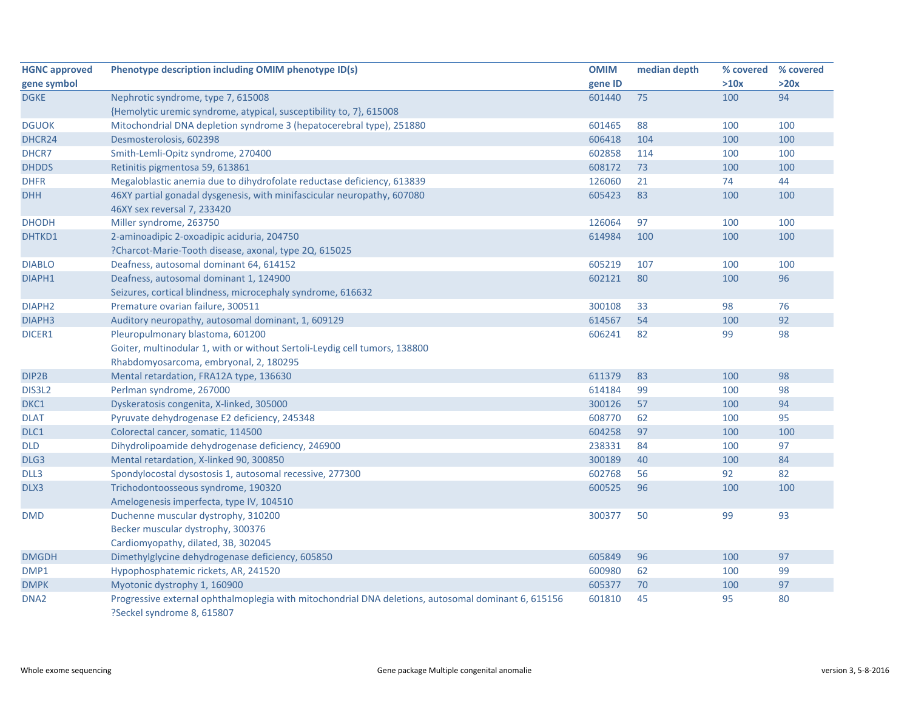| <b>HGNC approved</b> | Phenotype description including OMIM phenotype ID(s)                                                | <b>OMIM</b> | median depth | % covered | % covered |
|----------------------|-----------------------------------------------------------------------------------------------------|-------------|--------------|-----------|-----------|
| gene symbol          |                                                                                                     | gene ID     |              | >10x      | >20x      |
| <b>DGKE</b>          | Nephrotic syndrome, type 7, 615008                                                                  | 601440      | 75           | 100       | 94        |
|                      | {Hemolytic uremic syndrome, atypical, susceptibility to, 7}, 615008                                 |             |              |           |           |
| <b>DGUOK</b>         | Mitochondrial DNA depletion syndrome 3 (hepatocerebral type), 251880                                | 601465      | 88           | 100       | 100       |
| DHCR24               | Desmosterolosis, 602398                                                                             | 606418      | 104          | 100       | 100       |
| DHCR7                | Smith-Lemli-Opitz syndrome, 270400                                                                  | 602858      | 114          | 100       | 100       |
| <b>DHDDS</b>         | Retinitis pigmentosa 59, 613861                                                                     | 608172      | 73           | 100       | 100       |
| <b>DHFR</b>          | Megaloblastic anemia due to dihydrofolate reductase deficiency, 613839                              | 126060      | 21           | 74        | 44        |
| <b>DHH</b>           | 46XY partial gonadal dysgenesis, with minifascicular neuropathy, 607080                             | 605423      | 83           | 100       | 100       |
|                      | 46XY sex reversal 7, 233420                                                                         |             |              |           |           |
| <b>DHODH</b>         | Miller syndrome, 263750                                                                             | 126064      | 97           | 100       | 100       |
| DHTKD1               | 2-aminoadipic 2-oxoadipic aciduria, 204750                                                          | 614984      | 100          | 100       | 100       |
|                      | ?Charcot-Marie-Tooth disease, axonal, type 2Q, 615025                                               |             |              |           |           |
| <b>DIABLO</b>        | Deafness, autosomal dominant 64, 614152                                                             | 605219      | 107          | 100       | 100       |
| DIAPH1               | Deafness, autosomal dominant 1, 124900                                                              | 602121      | 80           | 100       | 96        |
|                      | Seizures, cortical blindness, microcephaly syndrome, 616632                                         |             |              |           |           |
| DIAPH <sub>2</sub>   | Premature ovarian failure, 300511                                                                   | 300108      | 33           | 98        | 76        |
| DIAPH <sub>3</sub>   | Auditory neuropathy, autosomal dominant, 1, 609129                                                  | 614567      | 54           | 100       | 92        |
| DICER1               | Pleuropulmonary blastoma, 601200                                                                    | 606241      | 82           | 99        | 98        |
|                      | Goiter, multinodular 1, with or without Sertoli-Leydig cell tumors, 138800                          |             |              |           |           |
|                      | Rhabdomyosarcoma, embryonal, 2, 180295                                                              |             |              |           |           |
| DIP2B                | Mental retardation, FRA12A type, 136630                                                             | 611379      | 83           | 100       | 98        |
| DIS3L2               | Perlman syndrome, 267000                                                                            | 614184      | 99           | 100       | 98        |
| DKC1                 | Dyskeratosis congenita, X-linked, 305000                                                            | 300126      | 57           | 100       | 94        |
| <b>DLAT</b>          | Pyruvate dehydrogenase E2 deficiency, 245348                                                        | 608770      | 62           | 100       | 95        |
| DLC1                 | Colorectal cancer, somatic, 114500                                                                  | 604258      | 97           | 100       | 100       |
| <b>DLD</b>           | Dihydrolipoamide dehydrogenase deficiency, 246900                                                   | 238331      | 84           | 100       | 97        |
| DLG3                 | Mental retardation, X-linked 90, 300850                                                             | 300189      | 40           | 100       | 84        |
| DLL3                 | Spondylocostal dysostosis 1, autosomal recessive, 277300                                            | 602768      | 56           | 92        | 82        |
| DLX3                 | Trichodontoosseous syndrome, 190320                                                                 | 600525      | 96           | 100       | 100       |
|                      | Amelogenesis imperfecta, type IV, 104510                                                            |             |              |           |           |
| <b>DMD</b>           | Duchenne muscular dystrophy, 310200                                                                 | 300377      | 50           | 99        | 93        |
|                      | Becker muscular dystrophy, 300376                                                                   |             |              |           |           |
|                      | Cardiomyopathy, dilated, 3B, 302045                                                                 |             |              |           |           |
| <b>DMGDH</b>         | Dimethylglycine dehydrogenase deficiency, 605850                                                    | 605849      | 96           | 100       | 97        |
| DMP1                 | Hypophosphatemic rickets, AR, 241520                                                                | 600980      | 62           | 100       | 99        |
| <b>DMPK</b>          | Myotonic dystrophy 1, 160900                                                                        | 605377      | 70           | 100       | 97        |
| DNA <sub>2</sub>     | Progressive external ophthalmoplegia with mitochondrial DNA deletions, autosomal dominant 6, 615156 | 601810      | 45           | 95        | 80        |
|                      | ?Seckel syndrome 8, 615807                                                                          |             |              |           |           |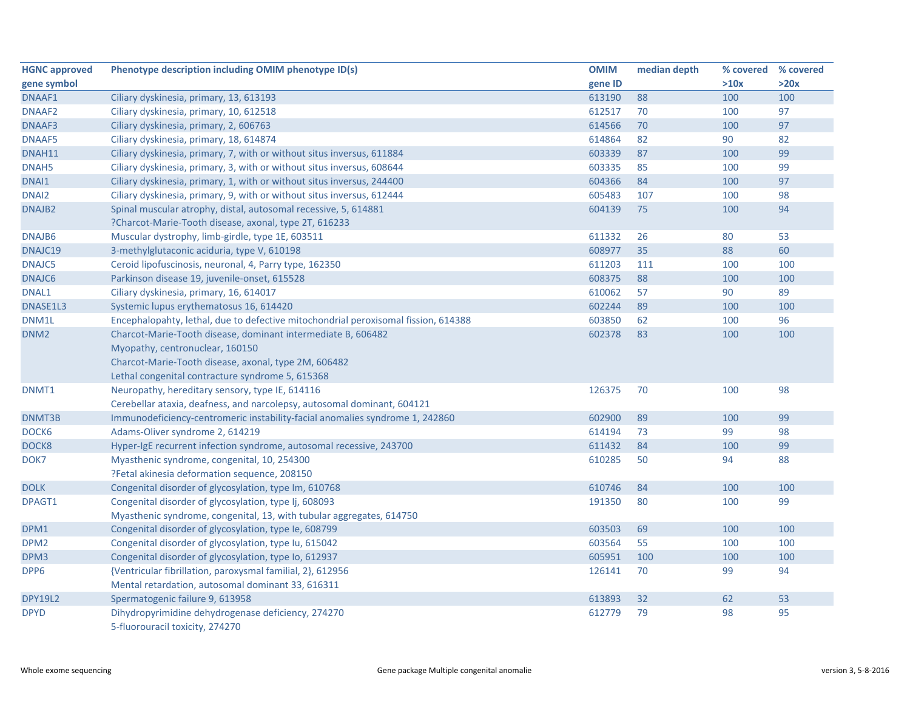| <b>HGNC approved</b> | Phenotype description including OMIM phenotype ID(s)                               | <b>OMIM</b> | median depth | % covered % covered |      |
|----------------------|------------------------------------------------------------------------------------|-------------|--------------|---------------------|------|
| gene symbol          |                                                                                    | gene ID     |              | >10x                | >20x |
| DNAAF1               | Ciliary dyskinesia, primary, 13, 613193                                            | 613190      | 88           | 100                 | 100  |
| DNAAF <sub>2</sub>   | Ciliary dyskinesia, primary, 10, 612518                                            | 612517      | 70           | 100                 | 97   |
| DNAAF3               | Ciliary dyskinesia, primary, 2, 606763                                             | 614566      | 70           | 100                 | 97   |
| DNAAF5               | Ciliary dyskinesia, primary, 18, 614874                                            | 614864      | 82           | 90                  | 82   |
| DNAH11               | Ciliary dyskinesia, primary, 7, with or without situs inversus, 611884             | 603339      | 87           | 100                 | 99   |
| DNAH <sub>5</sub>    | Ciliary dyskinesia, primary, 3, with or without situs inversus, 608644             | 603335      | 85           | 100                 | 99   |
| DNAI1                | Ciliary dyskinesia, primary, 1, with or without situs inversus, 244400             | 604366      | 84           | 100                 | 97   |
| DNAI <sub>2</sub>    | Ciliary dyskinesia, primary, 9, with or without situs inversus, 612444             | 605483      | 107          | 100                 | 98   |
| DNAJB <sub>2</sub>   | Spinal muscular atrophy, distal, autosomal recessive, 5, 614881                    | 604139      | 75           | 100                 | 94   |
|                      | ?Charcot-Marie-Tooth disease, axonal, type 2T, 616233                              |             |              |                     |      |
| DNAJB6               | Muscular dystrophy, limb-girdle, type 1E, 603511                                   | 611332      | 26           | 80                  | 53   |
| DNAJC19              | 3-methylglutaconic aciduria, type V, 610198                                        | 608977      | 35           | 88                  | 60   |
| DNAJC5               | Ceroid lipofuscinosis, neuronal, 4, Parry type, 162350                             | 611203      | 111          | 100                 | 100  |
| DNAJC6               | Parkinson disease 19, juvenile-onset, 615528                                       | 608375      | 88           | 100                 | 100  |
| DNAL1                | Ciliary dyskinesia, primary, 16, 614017                                            | 610062      | 57           | 90                  | 89   |
| DNASE1L3             | Systemic lupus erythematosus 16, 614420                                            | 602244      | 89           | 100                 | 100  |
| DNM1L                | Encephalopahty, lethal, due to defective mitochondrial peroxisomal fission, 614388 | 603850      | 62           | 100                 | 96   |
| DNM <sub>2</sub>     | Charcot-Marie-Tooth disease, dominant intermediate B, 606482                       | 602378      | 83           | 100                 | 100  |
|                      | Myopathy, centronuclear, 160150                                                    |             |              |                     |      |
|                      | Charcot-Marie-Tooth disease, axonal, type 2M, 606482                               |             |              |                     |      |
|                      | Lethal congenital contracture syndrome 5, 615368                                   |             |              |                     |      |
| DNMT1                | Neuropathy, hereditary sensory, type IE, 614116                                    | 126375      | 70           | 100                 | 98   |
|                      | Cerebellar ataxia, deafness, and narcolepsy, autosomal dominant, 604121            |             |              |                     |      |
| DNMT3B               | Immunodeficiency-centromeric instability-facial anomalies syndrome 1, 242860       | 602900      | 89           | 100                 | 99   |
| DOCK6                | Adams-Oliver syndrome 2, 614219                                                    | 614194      | 73           | 99                  | 98   |
| DOCK8                | Hyper-IgE recurrent infection syndrome, autosomal recessive, 243700                | 611432      | 84           | 100                 | 99   |
| DOK7                 | Myasthenic syndrome, congenital, 10, 254300                                        | 610285      | 50           | 94                  | 88   |
|                      | ?Fetal akinesia deformation sequence, 208150                                       |             |              |                     |      |
| <b>DOLK</b>          | Congenital disorder of glycosylation, type Im, 610768                              | 610746      | 84           | 100                 | 100  |
| DPAGT1               | Congenital disorder of glycosylation, type Ij, 608093                              | 191350      | 80           | 100                 | 99   |
|                      | Myasthenic syndrome, congenital, 13, with tubular aggregates, 614750               |             |              |                     |      |
| DPM1                 | Congenital disorder of glycosylation, type Ie, 608799                              | 603503      | 69           | 100                 | 100  |
| DPM <sub>2</sub>     | Congenital disorder of glycosylation, type Iu, 615042                              | 603564      | 55           | 100                 | 100  |
| DPM3                 | Congenital disorder of glycosylation, type Io, 612937                              | 605951      | 100          | 100                 | 100  |
| DPP6                 | {Ventricular fibrillation, paroxysmal familial, 2}, 612956                         | 126141      | 70           | 99                  | 94   |
|                      | Mental retardation, autosomal dominant 33, 616311                                  |             |              |                     |      |
| <b>DPY19L2</b>       | Spermatogenic failure 9, 613958                                                    | 613893      | 32           | 62                  | 53   |
| <b>DPYD</b>          | Dihydropyrimidine dehydrogenase deficiency, 274270                                 | 612779      | 79           | 98                  | 95   |
|                      | 5-fluorouracil toxicity, 274270                                                    |             |              |                     |      |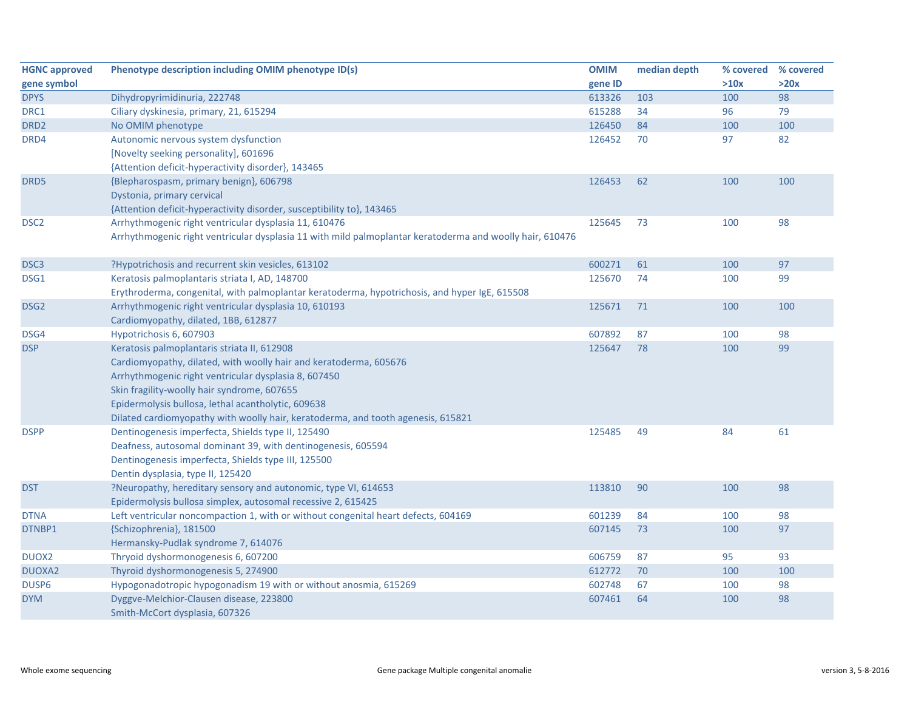| <b>HGNC approved</b> | Phenotype description including OMIM phenotype ID(s)                                                     | <b>OMIM</b> | median depth | % covered % covered |      |
|----------------------|----------------------------------------------------------------------------------------------------------|-------------|--------------|---------------------|------|
| gene symbol          |                                                                                                          | gene ID     |              | >10x                | >20x |
| <b>DPYS</b>          | Dihydropyrimidinuria, 222748                                                                             | 613326      | 103          | 100                 | 98   |
| DRC1                 | Ciliary dyskinesia, primary, 21, 615294                                                                  | 615288      | 34           | 96                  | 79   |
| DRD <sub>2</sub>     | No OMIM phenotype                                                                                        | 126450      | 84           | 100                 | 100  |
| DRD4                 | Autonomic nervous system dysfunction                                                                     | 126452      | 70           | 97                  | 82   |
|                      | [Novelty seeking personality], 601696                                                                    |             |              |                     |      |
|                      | {Attention deficit-hyperactivity disorder}, 143465                                                       |             |              |                     |      |
| DRD5                 | {Blepharospasm, primary benign}, 606798                                                                  | 126453      | 62           | 100                 | 100  |
|                      | Dystonia, primary cervical                                                                               |             |              |                     |      |
|                      | {Attention deficit-hyperactivity disorder, susceptibility to}, 143465                                    |             |              |                     |      |
| DSC <sub>2</sub>     | Arrhythmogenic right ventricular dysplasia 11, 610476                                                    | 125645      | 73           | 100                 | 98   |
|                      | Arrhythmogenic right ventricular dysplasia 11 with mild palmoplantar keratoderma and woolly hair, 610476 |             |              |                     |      |
|                      |                                                                                                          |             |              |                     |      |
| DSC <sub>3</sub>     | ?Hypotrichosis and recurrent skin vesicles, 613102                                                       | 600271      | 61           | 100                 | 97   |
| DSG1                 | Keratosis palmoplantaris striata I, AD, 148700                                                           | 125670      | 74           | 100                 | 99   |
|                      | Erythroderma, congenital, with palmoplantar keratoderma, hypotrichosis, and hyper IgE, 615508            |             |              |                     |      |
| DSG <sub>2</sub>     | Arrhythmogenic right ventricular dysplasia 10, 610193                                                    | 125671      | 71           | 100                 | 100  |
|                      | Cardiomyopathy, dilated, 1BB, 612877                                                                     |             |              |                     |      |
| DSG4                 | Hypotrichosis 6, 607903                                                                                  | 607892      | 87           | 100                 | 98   |
| <b>DSP</b>           | Keratosis palmoplantaris striata II, 612908                                                              | 125647      | 78           | 100                 | 99   |
|                      | Cardiomyopathy, dilated, with woolly hair and keratoderma, 605676                                        |             |              |                     |      |
|                      | Arrhythmogenic right ventricular dysplasia 8, 607450                                                     |             |              |                     |      |
|                      | Skin fragility-woolly hair syndrome, 607655                                                              |             |              |                     |      |
|                      | Epidermolysis bullosa, lethal acantholytic, 609638                                                       |             |              |                     |      |
|                      | Dilated cardiomyopathy with woolly hair, keratoderma, and tooth agenesis, 615821                         |             |              |                     |      |
| <b>DSPP</b>          | Dentinogenesis imperfecta, Shields type II, 125490                                                       | 125485      | 49           | 84                  | 61   |
|                      | Deafness, autosomal dominant 39, with dentinogenesis, 605594                                             |             |              |                     |      |
|                      | Dentinogenesis imperfecta, Shields type III, 125500                                                      |             |              |                     |      |
|                      | Dentin dysplasia, type II, 125420                                                                        |             |              |                     |      |
| <b>DST</b>           | ?Neuropathy, hereditary sensory and autonomic, type VI, 614653                                           | 113810      | 90           | 100                 | 98   |
|                      | Epidermolysis bullosa simplex, autosomal recessive 2, 615425                                             |             |              |                     |      |
| <b>DTNA</b>          | Left ventricular noncompaction 1, with or without congenital heart defects, 604169                       | 601239      | 84           | 100                 | 98   |
| DTNBP1               | {Schizophrenia}, 181500                                                                                  | 607145      | 73           | 100                 | 97   |
|                      | Hermansky-Pudlak syndrome 7, 614076                                                                      |             |              |                     |      |
| DUOX <sub>2</sub>    | Thryoid dyshormonogenesis 6, 607200                                                                      | 606759      | 87           | 95                  | 93   |
| <b>DUOXA2</b>        | Thyroid dyshormonogenesis 5, 274900                                                                      | 612772      | 70           | 100                 | 100  |
| DUSP6                | Hypogonadotropic hypogonadism 19 with or without anosmia, 615269                                         | 602748      | 67           | 100                 | 98   |
| <b>DYM</b>           | Dyggve-Melchior-Clausen disease, 223800                                                                  | 607461      | 64           | 100                 | 98   |
|                      | Smith-McCort dysplasia, 607326                                                                           |             |              |                     |      |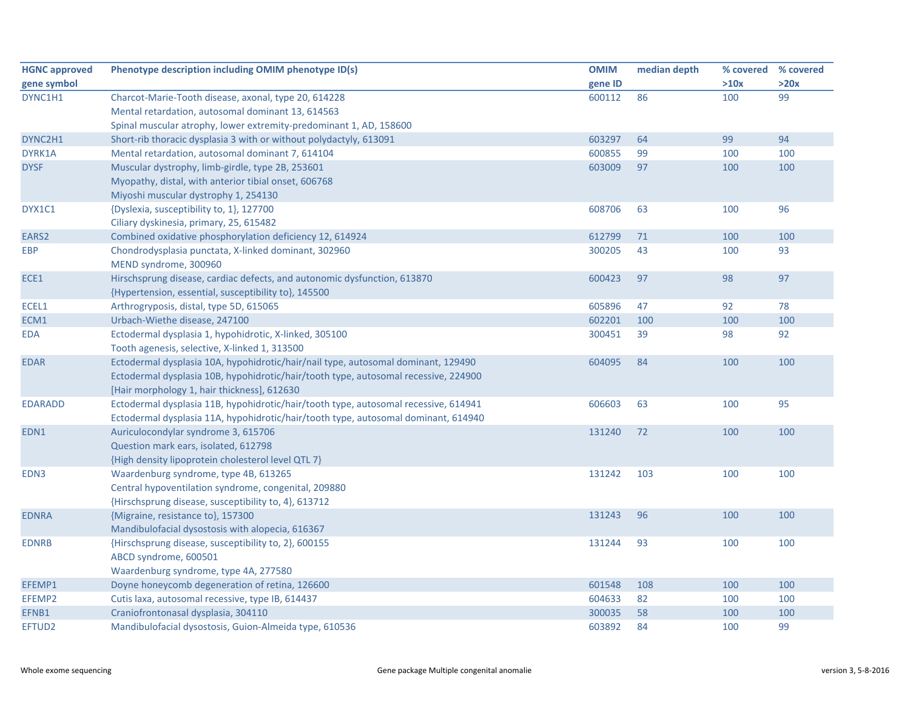| <b>HGNC approved</b> | Phenotype description including OMIM phenotype ID(s)                                | <b>OMIM</b> | median depth | % covered | % covered |
|----------------------|-------------------------------------------------------------------------------------|-------------|--------------|-----------|-----------|
| gene symbol          |                                                                                     | gene ID     |              | >10x      | >20x      |
| DYNC1H1              | Charcot-Marie-Tooth disease, axonal, type 20, 614228                                | 600112      | 86           | 100       | 99        |
|                      | Mental retardation, autosomal dominant 13, 614563                                   |             |              |           |           |
|                      | Spinal muscular atrophy, lower extremity-predominant 1, AD, 158600                  |             |              |           |           |
| DYNC2H1              | Short-rib thoracic dysplasia 3 with or without polydactyly, 613091                  | 603297      | 64           | 99        | 94        |
| DYRK1A               | Mental retardation, autosomal dominant 7, 614104                                    | 600855      | 99           | 100       | 100       |
| <b>DYSF</b>          | Muscular dystrophy, limb-girdle, type 2B, 253601                                    | 603009      | 97           | 100       | 100       |
|                      | Myopathy, distal, with anterior tibial onset, 606768                                |             |              |           |           |
|                      | Miyoshi muscular dystrophy 1, 254130                                                |             |              |           |           |
| DYX1C1               | {Dyslexia, susceptibility to, 1}, 127700                                            | 608706      | 63           | 100       | 96        |
|                      | Ciliary dyskinesia, primary, 25, 615482                                             |             |              |           |           |
| EARS <sub>2</sub>    | Combined oxidative phosphorylation deficiency 12, 614924                            | 612799      | 71           | 100       | 100       |
| <b>EBP</b>           | Chondrodysplasia punctata, X-linked dominant, 302960                                | 300205      | 43           | 100       | 93        |
|                      | MEND syndrome, 300960                                                               |             |              |           |           |
| ECE1                 | Hirschsprung disease, cardiac defects, and autonomic dysfunction, 613870            | 600423      | 97           | 98        | 97        |
|                      | {Hypertension, essential, susceptibility to}, 145500                                |             |              |           |           |
| ECEL1                | Arthrogryposis, distal, type 5D, 615065                                             | 605896      | 47           | 92        | 78        |
| ECM1                 | Urbach-Wiethe disease, 247100                                                       | 602201      | 100          | 100       | 100       |
| <b>EDA</b>           | Ectodermal dysplasia 1, hypohidrotic, X-linked, 305100                              | 300451      | 39           | 98        | 92        |
|                      | Tooth agenesis, selective, X-linked 1, 313500                                       |             |              |           |           |
| <b>EDAR</b>          | Ectodermal dysplasia 10A, hypohidrotic/hair/nail type, autosomal dominant, 129490   | 604095      | 84           | 100       | 100       |
|                      | Ectodermal dysplasia 10B, hypohidrotic/hair/tooth type, autosomal recessive, 224900 |             |              |           |           |
|                      | [Hair morphology 1, hair thickness], 612630                                         |             |              |           |           |
| <b>EDARADD</b>       | Ectodermal dysplasia 11B, hypohidrotic/hair/tooth type, autosomal recessive, 614941 | 606603      | 63           | 100       | 95        |
|                      | Ectodermal dysplasia 11A, hypohidrotic/hair/tooth type, autosomal dominant, 614940  |             |              |           |           |
| EDN1                 | Auriculocondylar syndrome 3, 615706                                                 | 131240      | 72           | 100       | 100       |
|                      | Question mark ears, isolated, 612798                                                |             |              |           |           |
|                      | {High density lipoprotein cholesterol level QTL 7}                                  |             |              |           |           |
| EDN3                 | Waardenburg syndrome, type 4B, 613265                                               | 131242      | 103          | 100       | 100       |
|                      | Central hypoventilation syndrome, congenital, 209880                                |             |              |           |           |
|                      | {Hirschsprung disease, susceptibility to, 4}, 613712                                |             |              |           |           |
| <b>EDNRA</b>         | {Migraine, resistance to}, 157300                                                   | 131243      | 96           | 100       | 100       |
|                      | Mandibulofacial dysostosis with alopecia, 616367                                    |             |              |           |           |
| <b>EDNRB</b>         | {Hirschsprung disease, susceptibility to, 2}, 600155                                | 131244      | 93           | 100       | 100       |
|                      | ABCD syndrome, 600501                                                               |             |              |           |           |
|                      | Waardenburg syndrome, type 4A, 277580                                               |             |              |           |           |
| EFEMP1               | Doyne honeycomb degeneration of retina, 126600                                      | 601548      | 108          | 100       | 100       |
| EFEMP2               | Cutis laxa, autosomal recessive, type IB, 614437                                    | 604633      | 82           | 100       | 100       |
| EFNB1                | Craniofrontonasal dysplasia, 304110                                                 | 300035      | 58           | 100       | 100       |
| EFTUD2               | Mandibulofacial dysostosis, Guion-Almeida type, 610536                              | 603892      | 84           | 100       | 99        |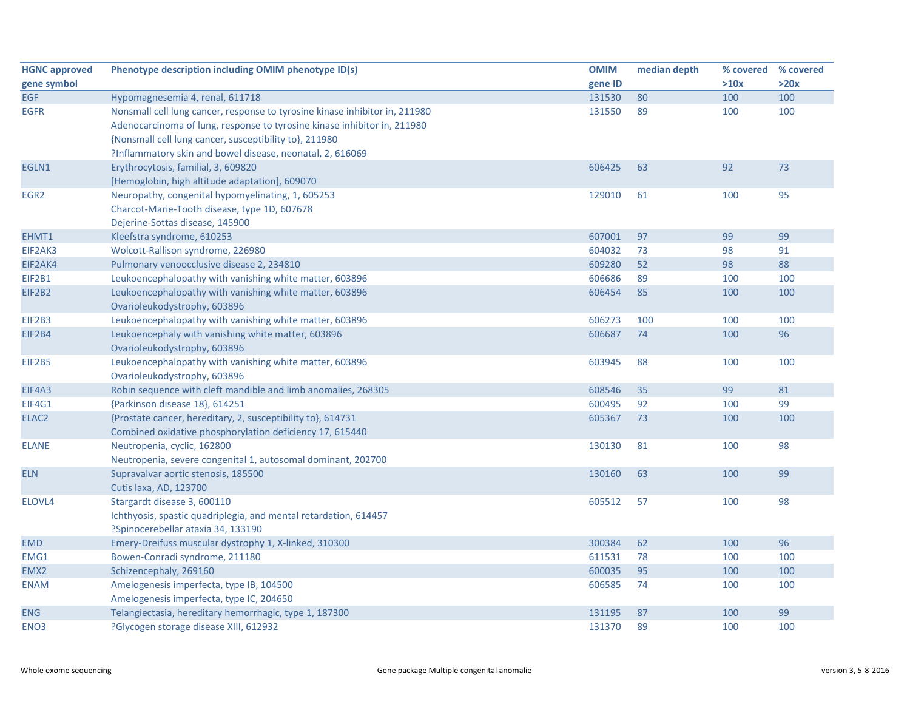| <b>HGNC approved</b> | Phenotype description including OMIM phenotype ID(s)                        | <b>OMIM</b> | median depth | % covered % covered |      |
|----------------------|-----------------------------------------------------------------------------|-------------|--------------|---------------------|------|
| gene symbol          |                                                                             | gene ID     |              | >10x                | >20x |
| <b>EGF</b>           | Hypomagnesemia 4, renal, 611718                                             | 131530      | 80           | 100                 | 100  |
| <b>EGFR</b>          | Nonsmall cell lung cancer, response to tyrosine kinase inhibitor in, 211980 | 131550      | 89           | 100                 | 100  |
|                      | Adenocarcinoma of lung, response to tyrosine kinase inhibitor in, 211980    |             |              |                     |      |
|                      | {Nonsmall cell lung cancer, susceptibility to}, 211980                      |             |              |                     |      |
|                      | ?Inflammatory skin and bowel disease, neonatal, 2, 616069                   |             |              |                     |      |
| EGLN1                | Erythrocytosis, familial, 3, 609820                                         | 606425      | 63           | 92                  | 73   |
|                      | [Hemoglobin, high altitude adaptation], 609070                              |             |              |                     |      |
| EGR <sub>2</sub>     | Neuropathy, congenital hypomyelinating, 1, 605253                           | 129010      | 61           | 100                 | 95   |
|                      | Charcot-Marie-Tooth disease, type 1D, 607678                                |             |              |                     |      |
|                      | Dejerine-Sottas disease, 145900                                             |             |              |                     |      |
| EHMT1                | Kleefstra syndrome, 610253                                                  | 607001      | 97           | 99                  | 99   |
| EIF2AK3              | Wolcott-Rallison syndrome, 226980                                           | 604032      | 73           | 98                  | 91   |
| EIF2AK4              | Pulmonary venoocclusive disease 2, 234810                                   | 609280      | 52           | 98                  | 88   |
| <b>EIF2B1</b>        | Leukoencephalopathy with vanishing white matter, 603896                     | 606686      | 89           | 100                 | 100  |
| EIF2B2               | Leukoencephalopathy with vanishing white matter, 603896                     | 606454      | 85           | 100                 | 100  |
|                      | Ovarioleukodystrophy, 603896                                                |             |              |                     |      |
| EIF2B3               | Leukoencephalopathy with vanishing white matter, 603896                     | 606273      | 100          | 100                 | 100  |
| EIF2B4               | Leukoencephaly with vanishing white matter, 603896                          | 606687      | 74           | 100                 | 96   |
|                      | Ovarioleukodystrophy, 603896                                                |             |              |                     |      |
| EIF2B5               | Leukoencephalopathy with vanishing white matter, 603896                     | 603945      | 88           | 100                 | 100  |
|                      | Ovarioleukodystrophy, 603896                                                |             |              |                     |      |
| EIF4A3               | Robin sequence with cleft mandible and limb anomalies, 268305               | 608546      | 35           | 99                  | 81   |
| EIF4G1               | {Parkinson disease 18}, 614251                                              | 600495      | 92           | 100                 | 99   |
| ELAC <sub>2</sub>    | {Prostate cancer, hereditary, 2, susceptibility to}, 614731                 | 605367      | 73           | 100                 | 100  |
|                      | Combined oxidative phosphorylation deficiency 17, 615440                    |             |              |                     |      |
| <b>ELANE</b>         | Neutropenia, cyclic, 162800                                                 | 130130      | 81           | 100                 | 98   |
|                      | Neutropenia, severe congenital 1, autosomal dominant, 202700                |             |              |                     |      |
| <b>ELN</b>           | Supravalvar aortic stenosis, 185500                                         | 130160      | 63           | 100                 | 99   |
|                      | Cutis laxa, AD, 123700                                                      |             |              |                     |      |
| ELOVL4               | Stargardt disease 3, 600110                                                 | 605512      | 57           | 100                 | 98   |
|                      | Ichthyosis, spastic quadriplegia, and mental retardation, 614457            |             |              |                     |      |
|                      | ?Spinocerebellar ataxia 34, 133190                                          |             |              |                     |      |
| <b>EMD</b>           | Emery-Dreifuss muscular dystrophy 1, X-linked, 310300                       | 300384      | 62           | 100                 | 96   |
| EMG1                 | Bowen-Conradi syndrome, 211180                                              | 611531      | 78           | 100                 | 100  |
| EMX2                 | Schizencephaly, 269160                                                      | 600035      | 95           | 100                 | 100  |
| <b>ENAM</b>          | Amelogenesis imperfecta, type IB, 104500                                    | 606585      | 74           | 100                 | 100  |
|                      | Amelogenesis imperfecta, type IC, 204650                                    |             |              |                     |      |
| <b>ENG</b>           | Telangiectasia, hereditary hemorrhagic, type 1, 187300                      | 131195      | 87           | 100                 | 99   |
| ENO <sub>3</sub>     | ?Glycogen storage disease XIII, 612932                                      | 131370      | 89           | 100                 | 100  |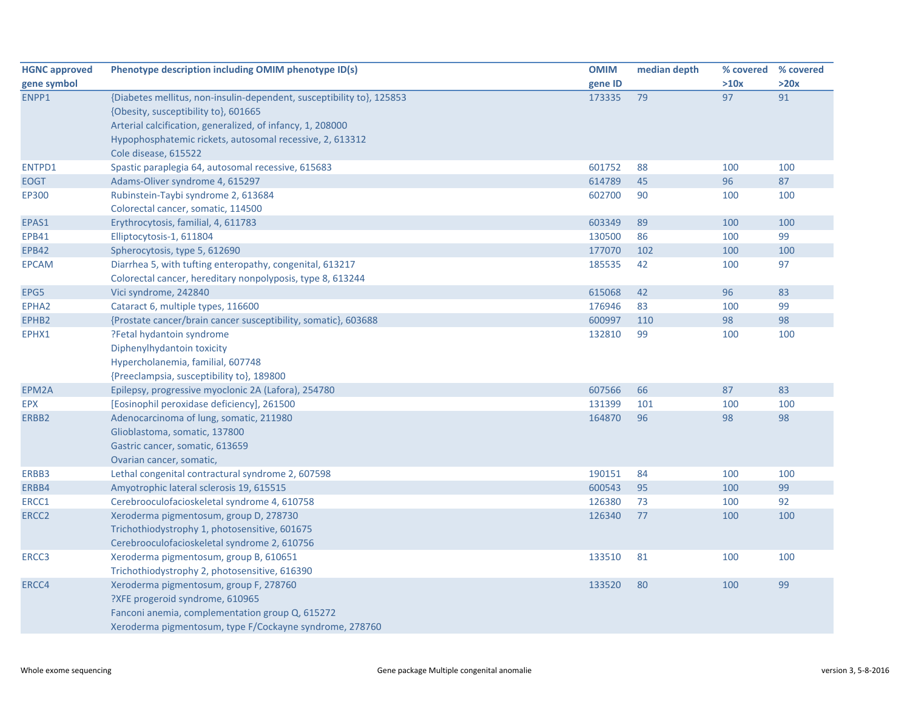| <b>HGNC approved</b> | Phenotype description including OMIM phenotype ID(s)                  | <b>OMIM</b> | median depth | % covered % covered |      |
|----------------------|-----------------------------------------------------------------------|-------------|--------------|---------------------|------|
| gene symbol          |                                                                       | gene ID     |              | >10x                | >20x |
| ENPP1                | {Diabetes mellitus, non-insulin-dependent, susceptibility to}, 125853 | 173335      | 79           | 97                  | 91   |
|                      | {Obesity, susceptibility to}, 601665                                  |             |              |                     |      |
|                      | Arterial calcification, generalized, of infancy, 1, 208000            |             |              |                     |      |
|                      | Hypophosphatemic rickets, autosomal recessive, 2, 613312              |             |              |                     |      |
|                      | Cole disease, 615522                                                  |             |              |                     |      |
| ENTPD1               | Spastic paraplegia 64, autosomal recessive, 615683                    | 601752      | 88           | 100                 | 100  |
| <b>EOGT</b>          | Adams-Oliver syndrome 4, 615297                                       | 614789      | 45           | 96                  | 87   |
| <b>EP300</b>         | Rubinstein-Taybi syndrome 2, 613684                                   | 602700      | 90           | 100                 | 100  |
|                      | Colorectal cancer, somatic, 114500                                    |             |              |                     |      |
| EPAS1                | Erythrocytosis, familial, 4, 611783                                   | 603349      | 89           | 100                 | 100  |
| <b>EPB41</b>         | Elliptocytosis-1, 611804                                              | 130500      | 86           | 100                 | 99   |
| <b>EPB42</b>         | Spherocytosis, type 5, 612690                                         | 177070      | 102          | 100                 | 100  |
| <b>EPCAM</b>         | Diarrhea 5, with tufting enteropathy, congenital, 613217              | 185535      | 42           | 100                 | 97   |
|                      | Colorectal cancer, hereditary nonpolyposis, type 8, 613244            |             |              |                     |      |
| EPG5                 | Vici syndrome, 242840                                                 | 615068      | 42           | 96                  | 83   |
| EPHA <sub>2</sub>    | Cataract 6, multiple types, 116600                                    | 176946      | 83           | 100                 | 99   |
| EPHB2                | {Prostate cancer/brain cancer susceptibility, somatic}, 603688        | 600997      | 110          | 98                  | 98   |
| EPHX1                | ?Fetal hydantoin syndrome                                             | 132810      | 99           | 100                 | 100  |
|                      | Diphenylhydantoin toxicity                                            |             |              |                     |      |
|                      | Hypercholanemia, familial, 607748                                     |             |              |                     |      |
|                      | {Preeclampsia, susceptibility to}, 189800                             |             |              |                     |      |
| EPM2A                | Epilepsy, progressive myoclonic 2A (Lafora), 254780                   | 607566      | 66           | 87                  | 83   |
| <b>EPX</b>           | [Eosinophil peroxidase deficiency], 261500                            | 131399      | 101          | 100                 | 100  |
| ERBB2                | Adenocarcinoma of lung, somatic, 211980                               | 164870      | 96           | 98                  | 98   |
|                      | Glioblastoma, somatic, 137800                                         |             |              |                     |      |
|                      | Gastric cancer, somatic, 613659                                       |             |              |                     |      |
|                      | Ovarian cancer, somatic,                                              |             |              |                     |      |
| ERBB3                | Lethal congenital contractural syndrome 2, 607598                     | 190151      | 84           | 100                 | 100  |
| ERBB4                | Amyotrophic lateral sclerosis 19, 615515                              | 600543      | 95           | 100                 | 99   |
| ERCC1                | Cerebrooculofacioskeletal syndrome 4, 610758                          | 126380      | 73           | 100                 | 92   |
| ERCC <sub>2</sub>    | Xeroderma pigmentosum, group D, 278730                                | 126340      | 77           | 100                 | 100  |
|                      | Trichothiodystrophy 1, photosensitive, 601675                         |             |              |                     |      |
|                      | Cerebrooculofacioskeletal syndrome 2, 610756                          |             |              |                     |      |
| ERCC3                | Xeroderma pigmentosum, group B, 610651                                | 133510      | 81           | 100                 | 100  |
|                      | Trichothiodystrophy 2, photosensitive, 616390                         |             |              |                     |      |
| ERCC4                | Xeroderma pigmentosum, group F, 278760                                | 133520      | 80           | 100                 | 99   |
|                      | ?XFE progeroid syndrome, 610965                                       |             |              |                     |      |
|                      | Fanconi anemia, complementation group Q, 615272                       |             |              |                     |      |
|                      | Xeroderma pigmentosum, type F/Cockayne syndrome, 278760               |             |              |                     |      |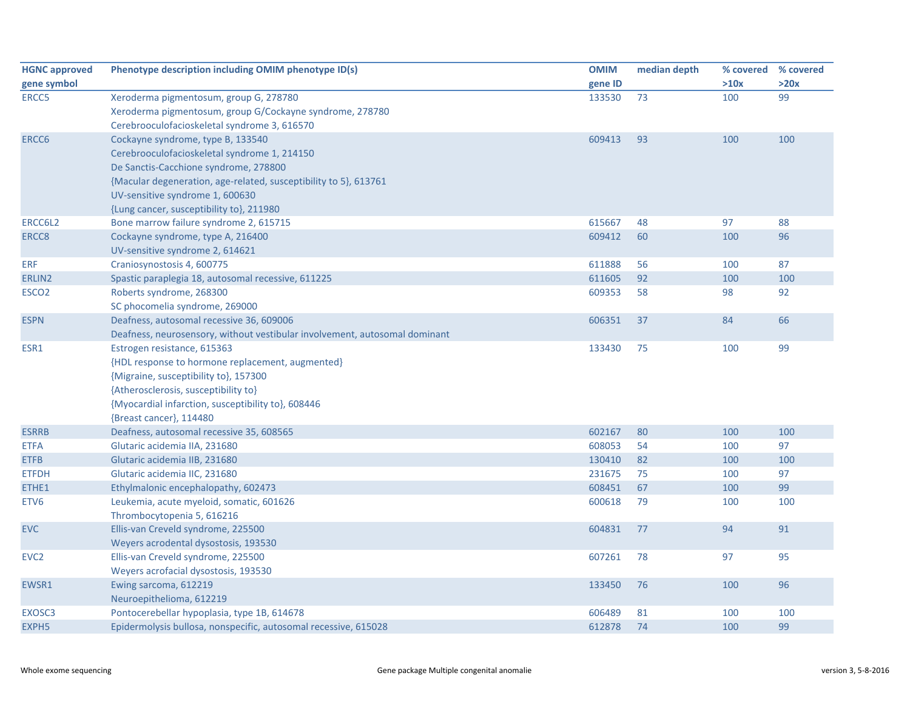| <b>HGNC approved</b> | Phenotype description including OMIM phenotype ID(s)                       | <b>OMIM</b> | median depth | % covered | % covered |
|----------------------|----------------------------------------------------------------------------|-------------|--------------|-----------|-----------|
| gene symbol          |                                                                            | gene ID     |              | >10x      | >20x      |
| ERCC5                | Xeroderma pigmentosum, group G, 278780                                     | 133530      | 73           | 100       | 99        |
|                      | Xeroderma pigmentosum, group G/Cockayne syndrome, 278780                   |             |              |           |           |
|                      | Cerebrooculofacioskeletal syndrome 3, 616570                               |             |              |           |           |
| ERCC <sub>6</sub>    | Cockayne syndrome, type B, 133540                                          | 609413      | 93           | 100       | 100       |
|                      | Cerebrooculofacioskeletal syndrome 1, 214150                               |             |              |           |           |
|                      | De Sanctis-Cacchione syndrome, 278800                                      |             |              |           |           |
|                      | {Macular degeneration, age-related, susceptibility to 5}, 613761           |             |              |           |           |
|                      | UV-sensitive syndrome 1, 600630                                            |             |              |           |           |
|                      | {Lung cancer, susceptibility to}, 211980                                   |             |              |           |           |
| ERCC6L2              | Bone marrow failure syndrome 2, 615715                                     | 615667      | 48           | 97        | 88        |
| ERCC8                | Cockayne syndrome, type A, 216400                                          | 609412      | 60           | 100       | 96        |
|                      | UV-sensitive syndrome 2, 614621                                            |             |              |           |           |
| <b>ERF</b>           | Craniosynostosis 4, 600775                                                 | 611888      | 56           | 100       | 87        |
| ERLIN2               | Spastic paraplegia 18, autosomal recessive, 611225                         | 611605      | 92           | 100       | 100       |
| ESCO <sub>2</sub>    | Roberts syndrome, 268300                                                   | 609353      | 58           | 98        | 92        |
|                      | SC phocomelia syndrome, 269000                                             |             |              |           |           |
| <b>ESPN</b>          | Deafness, autosomal recessive 36, 609006                                   | 606351      | 37           | 84        | 66        |
|                      | Deafness, neurosensory, without vestibular involvement, autosomal dominant |             |              |           |           |
| ESR1                 | Estrogen resistance, 615363                                                | 133430      | 75           | 100       | 99        |
|                      | {HDL response to hormone replacement, augmented}                           |             |              |           |           |
|                      | {Migraine, susceptibility to}, 157300                                      |             |              |           |           |
|                      | {Atherosclerosis, susceptibility to}                                       |             |              |           |           |
|                      | {Myocardial infarction, susceptibility to}, 608446                         |             |              |           |           |
|                      | {Breast cancer}, 114480                                                    |             |              |           |           |
| <b>ESRRB</b>         | Deafness, autosomal recessive 35, 608565                                   | 602167      | 80           | 100       | 100       |
| <b>ETFA</b>          | Glutaric acidemia IIA, 231680                                              | 608053      | 54           | 100       | 97        |
| <b>ETFB</b>          | Glutaric acidemia IIB, 231680                                              | 130410      | 82           | 100       | 100       |
| <b>ETFDH</b>         | Glutaric acidemia IIC, 231680                                              | 231675      | 75           | 100       | 97        |
| ETHE1                | Ethylmalonic encephalopathy, 602473                                        | 608451      | 67           | 100       | 99        |
| ETV <sub>6</sub>     | Leukemia, acute myeloid, somatic, 601626                                   | 600618      | 79           | 100       | 100       |
|                      | Thrombocytopenia 5, 616216                                                 |             |              |           |           |
| <b>EVC</b>           | Ellis-van Creveld syndrome, 225500                                         | 604831      | 77           | 94        | 91        |
|                      | Weyers acrodental dysostosis, 193530                                       |             |              |           |           |
| EVC <sub>2</sub>     | Ellis-van Creveld syndrome, 225500                                         | 607261      | 78           | 97        | 95        |
|                      | Weyers acrofacial dysostosis, 193530                                       |             |              |           |           |
| EWSR1                | Ewing sarcoma, 612219                                                      | 133450      | 76           | 100       | 96        |
|                      | Neuroepithelioma, 612219                                                   |             |              |           |           |
| EXOSC3               | Pontocerebellar hypoplasia, type 1B, 614678                                | 606489      | 81           | 100       | 100       |
| <b>EXPH5</b>         | Epidermolysis bullosa, nonspecific, autosomal recessive, 615028            | 612878      | 74           | 100       | 99        |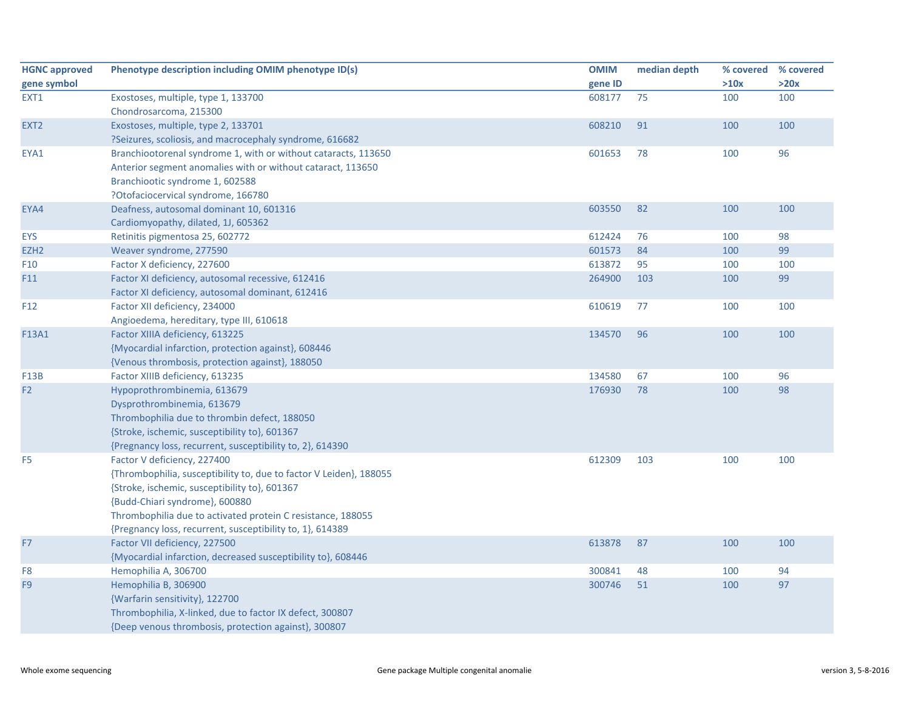| <b>HGNC approved</b> | Phenotype description including OMIM phenotype ID(s)               | <b>OMIM</b> | median depth | % covered % covered |      |
|----------------------|--------------------------------------------------------------------|-------------|--------------|---------------------|------|
| gene symbol          |                                                                    | gene ID     |              | >10x                | >20x |
| EXT1                 | Exostoses, multiple, type 1, 133700                                | 608177      | 75           | 100                 | 100  |
|                      | Chondrosarcoma, 215300                                             |             |              |                     |      |
| EXT <sub>2</sub>     | Exostoses, multiple, type 2, 133701                                | 608210      | 91           | 100                 | 100  |
|                      | ?Seizures, scoliosis, and macrocephaly syndrome, 616682            |             |              |                     |      |
| EYA1                 | Branchiootorenal syndrome 1, with or without cataracts, 113650     | 601653      | 78           | 100                 | 96   |
|                      | Anterior segment anomalies with or without cataract, 113650        |             |              |                     |      |
|                      | Branchiootic syndrome 1, 602588                                    |             |              |                     |      |
|                      | ?Otofaciocervical syndrome, 166780                                 |             |              |                     |      |
| EYA4                 | Deafness, autosomal dominant 10, 601316                            | 603550      | 82           | 100                 | 100  |
|                      | Cardiomyopathy, dilated, 1J, 605362                                |             |              |                     |      |
| <b>EYS</b>           | Retinitis pigmentosa 25, 602772                                    | 612424      | 76           | 100                 | 98   |
| EZH <sub>2</sub>     | Weaver syndrome, 277590                                            | 601573      | 84           | 100                 | 99   |
| F <sub>10</sub>      | Factor X deficiency, 227600                                        | 613872      | 95           | 100                 | 100  |
| F11                  | Factor XI deficiency, autosomal recessive, 612416                  | 264900      | 103          | 100                 | 99   |
|                      | Factor XI deficiency, autosomal dominant, 612416                   |             |              |                     |      |
| F12                  | Factor XII deficiency, 234000                                      | 610619      | 77           | 100                 | 100  |
|                      | Angioedema, hereditary, type III, 610618                           |             |              |                     |      |
| F13A1                | Factor XIIIA deficiency, 613225                                    | 134570      | 96           | 100                 | 100  |
|                      | {Myocardial infarction, protection against}, 608446                |             |              |                     |      |
|                      | {Venous thrombosis, protection against}, 188050                    |             |              |                     |      |
| <b>F13B</b>          | Factor XIIIB deficiency, 613235                                    | 134580      | 67           | 100                 | 96   |
| F <sub>2</sub>       | Hypoprothrombinemia, 613679                                        | 176930      | 78           | 100                 | 98   |
|                      | Dysprothrombinemia, 613679                                         |             |              |                     |      |
|                      | Thrombophilia due to thrombin defect, 188050                       |             |              |                     |      |
|                      | {Stroke, ischemic, susceptibility to}, 601367                      |             |              |                     |      |
|                      | {Pregnancy loss, recurrent, susceptibility to, 2}, 614390          |             |              |                     |      |
| F <sub>5</sub>       | Factor V deficiency, 227400                                        | 612309      | 103          | 100                 | 100  |
|                      | {Thrombophilia, susceptibility to, due to factor V Leiden}, 188055 |             |              |                     |      |
|                      | {Stroke, ischemic, susceptibility to}, 601367                      |             |              |                     |      |
|                      | {Budd-Chiari syndrome}, 600880                                     |             |              |                     |      |
|                      | Thrombophilia due to activated protein C resistance, 188055        |             |              |                     |      |
|                      | {Pregnancy loss, recurrent, susceptibility to, 1}, 614389          |             |              |                     |      |
| F7                   | Factor VII deficiency, 227500                                      | 613878      | 87           | 100                 | 100  |
|                      | {Myocardial infarction, decreased susceptibility to}, 608446       |             |              |                     |      |
| F8                   | Hemophilia A, 306700                                               | 300841      | 48           | 100                 | 94   |
| F <sub>9</sub>       | Hemophilia B, 306900                                               | 300746      | 51           | 100                 | 97   |
|                      | {Warfarin sensitivity}, 122700                                     |             |              |                     |      |
|                      | Thrombophilia, X-linked, due to factor IX defect, 300807           |             |              |                     |      |
|                      | {Deep venous thrombosis, protection against}, 300807               |             |              |                     |      |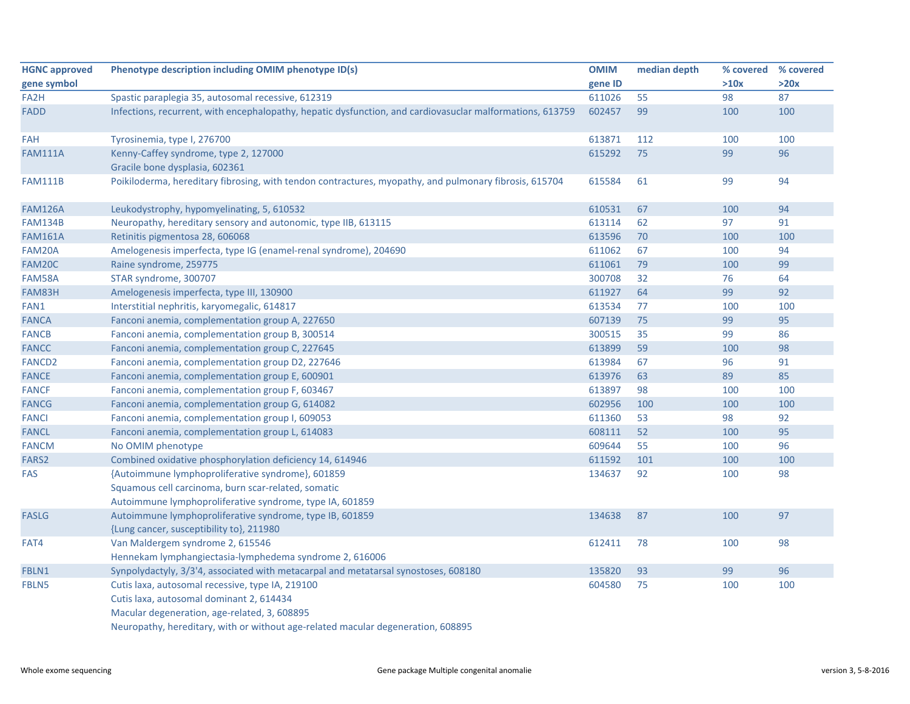| <b>HGNC approved</b> | Phenotype description including OMIM phenotype ID(s)                                                      | <b>OMIM</b> | median depth | % covered | % covered |
|----------------------|-----------------------------------------------------------------------------------------------------------|-------------|--------------|-----------|-----------|
| gene symbol          |                                                                                                           | gene ID     |              | >10x      | >20x      |
| FA <sub>2</sub> H    | Spastic paraplegia 35, autosomal recessive, 612319                                                        | 611026      | 55           | 98        | 87        |
| FADD                 | Infections, recurrent, with encephalopathy, hepatic dysfunction, and cardiovasuclar malformations, 613759 | 602457      | 99           | 100       | 100       |
| FAH                  | Tyrosinemia, type I, 276700                                                                               | 613871      | 112          | 100       | 100       |
| <b>FAM111A</b>       | Kenny-Caffey syndrome, type 2, 127000<br>Gracile bone dysplasia, 602361                                   | 615292      | 75           | 99        | 96        |
| <b>FAM111B</b>       | Poikiloderma, hereditary fibrosing, with tendon contractures, myopathy, and pulmonary fibrosis, 615704    | 615584      | 61           | 99        | 94        |
| <b>FAM126A</b>       | Leukodystrophy, hypomyelinating, 5, 610532                                                                | 610531      | 67           | 100       | 94        |
| <b>FAM134B</b>       | Neuropathy, hereditary sensory and autonomic, type IIB, 613115                                            | 613114      | 62           | 97        | 91        |
| <b>FAM161A</b>       | Retinitis pigmentosa 28, 606068                                                                           | 613596      | 70           | 100       | 100       |
| FAM20A               | Amelogenesis imperfecta, type IG (enamel-renal syndrome), 204690                                          | 611062      | 67           | 100       | 94        |
| FAM20C               | Raine syndrome, 259775                                                                                    | 611061      | 79           | 100       | 99        |
| FAM58A               | STAR syndrome, 300707                                                                                     | 300708      | 32           | 76        | 64        |
| FAM83H               | Amelogenesis imperfecta, type III, 130900                                                                 | 611927      | 64           | 99        | 92        |
| FAN1                 | Interstitial nephritis, karyomegalic, 614817                                                              | 613534      | 77           | 100       | 100       |
| <b>FANCA</b>         | Fanconi anemia, complementation group A, 227650                                                           | 607139      | 75           | 99        | 95        |
| <b>FANCB</b>         | Fanconi anemia, complementation group B, 300514                                                           | 300515      | 35           | 99        | 86        |
| <b>FANCC</b>         | Fanconi anemia, complementation group C, 227645                                                           | 613899      | 59           | 100       | 98        |
| <b>FANCD2</b>        | Fanconi anemia, complementation group D2, 227646                                                          | 613984      | 67           | 96        | 91        |
| <b>FANCE</b>         | Fanconi anemia, complementation group E, 600901                                                           | 613976      | 63           | 89        | 85        |
| <b>FANCF</b>         | Fanconi anemia, complementation group F, 603467                                                           | 613897      | 98           | 100       | 100       |
| <b>FANCG</b>         | Fanconi anemia, complementation group G, 614082                                                           | 602956      | 100          | 100       | 100       |
| <b>FANCI</b>         | Fanconi anemia, complementation group I, 609053                                                           | 611360      | 53           | 98        | 92        |
| <b>FANCL</b>         | Fanconi anemia, complementation group L, 614083                                                           | 608111      | 52           | 100       | 95        |
| <b>FANCM</b>         | No OMIM phenotype                                                                                         | 609644      | 55           | 100       | 96        |
| FARS2                | Combined oxidative phosphorylation deficiency 14, 614946                                                  | 611592      | 101          | 100       | 100       |
| <b>FAS</b>           | {Autoimmune lymphoproliferative syndrome}, 601859<br>Squamous cell carcinoma, burn scar-related, somatic  | 134637      | 92           | 100       | 98        |
|                      | Autoimmune lymphoproliferative syndrome, type IA, 601859                                                  |             |              |           |           |
| <b>FASLG</b>         | Autoimmune lymphoproliferative syndrome, type IB, 601859<br>{Lung cancer, susceptibility to}, 211980      | 134638      | 87           | 100       | 97        |
| FAT4                 | Van Maldergem syndrome 2, 615546<br>Hennekam lymphangiectasia-lymphedema syndrome 2, 616006               | 612411      | 78           | 100       | 98        |
|                      |                                                                                                           | 135820      | 93           | 99        | 96        |
| FBLN1                | Synpolydactyly, 3/3'4, associated with metacarpal and metatarsal synostoses, 608180                       | 604580      | 75           | 100       | 100       |
| FBLN5                | Cutis laxa, autosomal recessive, type IA, 219100                                                          |             |              |           |           |
|                      | Cutis laxa, autosomal dominant 2, 614434                                                                  |             |              |           |           |
|                      | Macular degeneration, age-related, 3, 608895                                                              |             |              |           |           |
|                      | Neuropathy, hereditary, with or without age-related macular degeneration, 608895                          |             |              |           |           |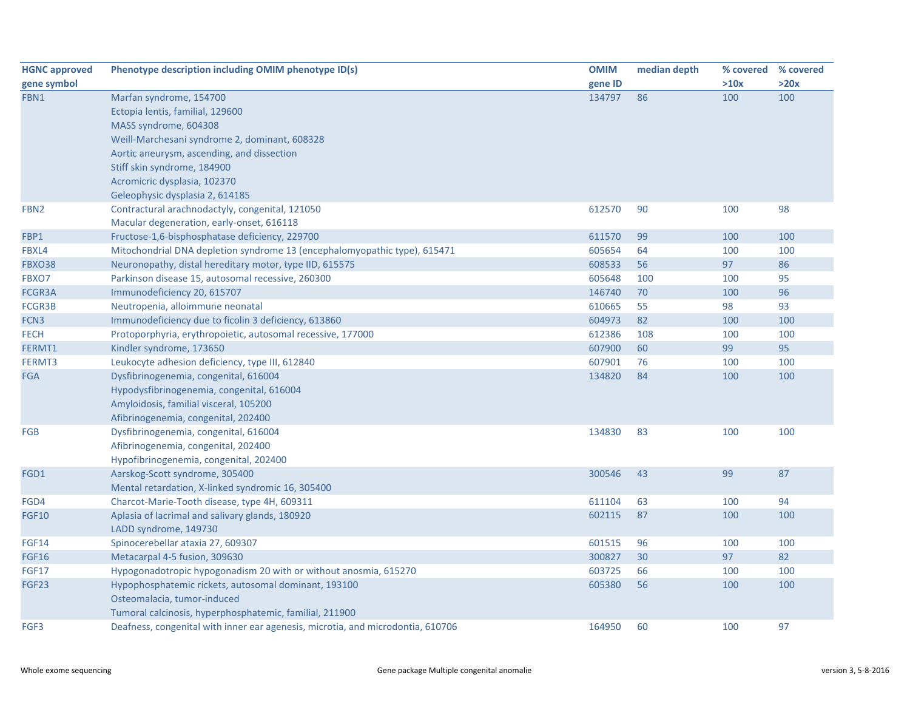| <b>HGNC approved</b> | Phenotype description including OMIM phenotype ID(s)                            | <b>OMIM</b> | median depth | % covered % covered |      |
|----------------------|---------------------------------------------------------------------------------|-------------|--------------|---------------------|------|
| gene symbol          |                                                                                 | gene ID     |              | >10x                | >20x |
| FBN1                 | Marfan syndrome, 154700                                                         | 134797      | 86           | 100                 | 100  |
|                      | Ectopia lentis, familial, 129600                                                |             |              |                     |      |
|                      | MASS syndrome, 604308                                                           |             |              |                     |      |
|                      | Weill-Marchesani syndrome 2, dominant, 608328                                   |             |              |                     |      |
|                      | Aortic aneurysm, ascending, and dissection                                      |             |              |                     |      |
|                      | Stiff skin syndrome, 184900                                                     |             |              |                     |      |
|                      | Acromicric dysplasia, 102370                                                    |             |              |                     |      |
|                      | Geleophysic dysplasia 2, 614185                                                 |             |              |                     |      |
| FBN <sub>2</sub>     | Contractural arachnodactyly, congenital, 121050                                 | 612570      | 90           | 100                 | 98   |
|                      | Macular degeneration, early-onset, 616118                                       |             |              |                     |      |
| FBP1                 | Fructose-1,6-bisphosphatase deficiency, 229700                                  | 611570      | 99           | 100                 | 100  |
| FBXL4                | Mitochondrial DNA depletion syndrome 13 (encephalomyopathic type), 615471       | 605654      | 64           | 100                 | 100  |
| <b>FBXO38</b>        | Neuronopathy, distal hereditary motor, type IID, 615575                         | 608533      | 56           | 97                  | 86   |
| FBXO7                | Parkinson disease 15, autosomal recessive, 260300                               | 605648      | 100          | 100                 | 95   |
| FCGR3A               | Immunodeficiency 20, 615707                                                     | 146740      | 70           | 100                 | 96   |
| <b>FCGR3B</b>        | Neutropenia, alloimmune neonatal                                                | 610665      | 55           | 98                  | 93   |
| FCN3                 | Immunodeficiency due to ficolin 3 deficiency, 613860                            | 604973      | 82           | 100                 | 100  |
| <b>FECH</b>          | Protoporphyria, erythropoietic, autosomal recessive, 177000                     | 612386      | 108          | 100                 | 100  |
| FERMT1               | Kindler syndrome, 173650                                                        | 607900      | 60           | 99                  | 95   |
| FERMT3               | Leukocyte adhesion deficiency, type III, 612840                                 | 607901      | 76           | 100                 | 100  |
| <b>FGA</b>           | Dysfibrinogenemia, congenital, 616004                                           | 134820      | 84           | 100                 | 100  |
|                      | Hypodysfibrinogenemia, congenital, 616004                                       |             |              |                     |      |
|                      | Amyloidosis, familial visceral, 105200                                          |             |              |                     |      |
|                      | Afibrinogenemia, congenital, 202400                                             |             |              |                     |      |
| <b>FGB</b>           | Dysfibrinogenemia, congenital, 616004                                           | 134830      | 83           | 100                 | 100  |
|                      | Afibrinogenemia, congenital, 202400                                             |             |              |                     |      |
|                      | Hypofibrinogenemia, congenital, 202400                                          |             |              |                     |      |
| FGD1                 | Aarskog-Scott syndrome, 305400                                                  | 300546      | 43           | 99                  | 87   |
|                      | Mental retardation, X-linked syndromic 16, 305400                               |             |              |                     |      |
| FGD4                 | Charcot-Marie-Tooth disease, type 4H, 609311                                    | 611104      | 63           | 100                 | 94   |
| <b>FGF10</b>         | Aplasia of lacrimal and salivary glands, 180920                                 | 602115      | 87           | 100                 | 100  |
|                      | LADD syndrome, 149730                                                           |             |              |                     |      |
| <b>FGF14</b>         | Spinocerebellar ataxia 27, 609307                                               | 601515      | 96           | 100                 | 100  |
| <b>FGF16</b>         | Metacarpal 4-5 fusion, 309630                                                   | 300827      | 30           | 97                  | 82   |
| <b>FGF17</b>         | Hypogonadotropic hypogonadism 20 with or without anosmia, 615270                | 603725      | 66           | 100                 | 100  |
| FGF <sub>23</sub>    | Hypophosphatemic rickets, autosomal dominant, 193100                            | 605380      | 56           | 100                 | 100  |
|                      | Osteomalacia, tumor-induced                                                     |             |              |                     |      |
|                      | Tumoral calcinosis, hyperphosphatemic, familial, 211900                         |             |              |                     |      |
| FGF3                 | Deafness, congenital with inner ear agenesis, microtia, and microdontia, 610706 | 164950      | 60           | 100                 | 97   |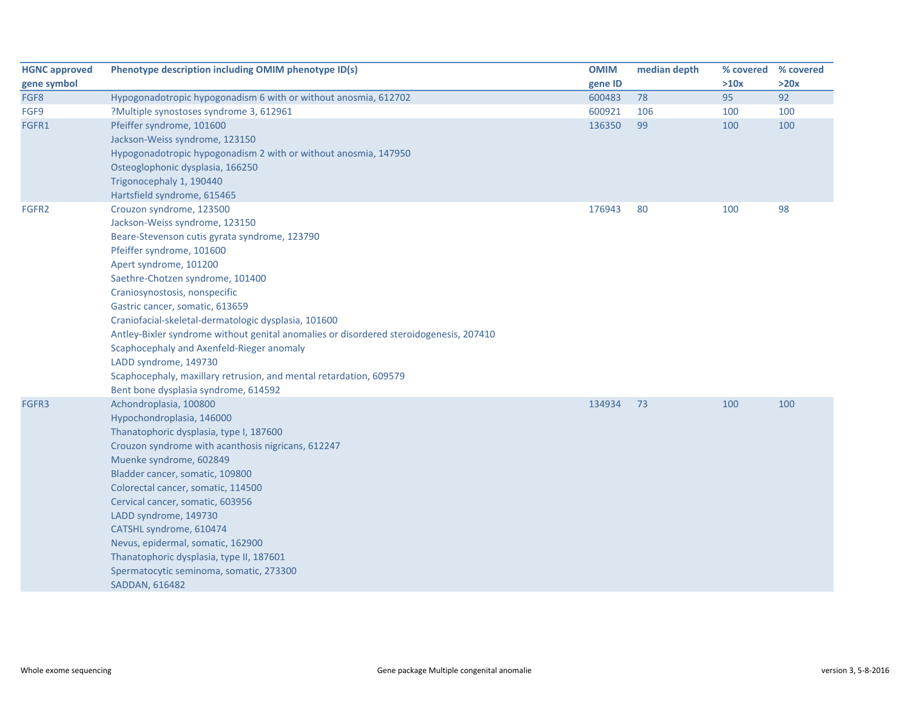| <b>HGNC approved</b> | Phenotype description including OMIM phenotype ID(s)                                                                                | <b>OMIM</b> | median depth | % covered | % covered |
|----------------------|-------------------------------------------------------------------------------------------------------------------------------------|-------------|--------------|-----------|-----------|
| gene symbol          |                                                                                                                                     | gene ID     |              | >10x      | >20x      |
| FGF8                 | Hypogonadotropic hypogonadism 6 with or without anosmia, 612702                                                                     | 600483      | 78           | 95        | 92        |
| FGF9                 | ?Multiple synostoses syndrome 3, 612961                                                                                             | 600921      | 106          | 100       | 100       |
| FGFR1                | Pfeiffer syndrome, 101600                                                                                                           | 136350      | 99           | 100       | 100       |
|                      | Jackson-Weiss syndrome, 123150                                                                                                      |             |              |           |           |
|                      | Hypogonadotropic hypogonadism 2 with or without anosmia, 147950                                                                     |             |              |           |           |
|                      | Osteoglophonic dysplasia, 166250                                                                                                    |             |              |           |           |
|                      | Trigonocephaly 1, 190440                                                                                                            |             |              |           |           |
|                      | Hartsfield syndrome, 615465                                                                                                         |             |              |           |           |
| FGFR2                | Crouzon syndrome, 123500                                                                                                            | 176943      | 80           | 100       | 98        |
|                      | Jackson-Weiss syndrome, 123150                                                                                                      |             |              |           |           |
|                      | Beare-Stevenson cutis gyrata syndrome, 123790                                                                                       |             |              |           |           |
|                      | Pfeiffer syndrome, 101600                                                                                                           |             |              |           |           |
|                      | Apert syndrome, 101200                                                                                                              |             |              |           |           |
|                      | Saethre-Chotzen syndrome, 101400                                                                                                    |             |              |           |           |
|                      | Craniosynostosis, nonspecific                                                                                                       |             |              |           |           |
|                      | Gastric cancer, somatic, 613659                                                                                                     |             |              |           |           |
|                      | Craniofacial-skeletal-dermatologic dysplasia, 101600                                                                                |             |              |           |           |
|                      | Antley-Bixler syndrome without genital anomalies or disordered steroidogenesis, 207410<br>Scaphocephaly and Axenfeld-Rieger anomaly |             |              |           |           |
|                      | LADD syndrome, 149730                                                                                                               |             |              |           |           |
|                      | Scaphocephaly, maxillary retrusion, and mental retardation, 609579                                                                  |             |              |           |           |
|                      | Bent bone dysplasia syndrome, 614592                                                                                                |             |              |           |           |
| FGFR3                | Achondroplasia, 100800                                                                                                              | 134934      | 73           | 100       | 100       |
|                      | Hypochondroplasia, 146000                                                                                                           |             |              |           |           |
|                      | Thanatophoric dysplasia, type I, 187600                                                                                             |             |              |           |           |
|                      | Crouzon syndrome with acanthosis nigricans, 612247                                                                                  |             |              |           |           |
|                      | Muenke syndrome, 602849                                                                                                             |             |              |           |           |
|                      | Bladder cancer, somatic, 109800                                                                                                     |             |              |           |           |
|                      | Colorectal cancer, somatic, 114500                                                                                                  |             |              |           |           |
|                      | Cervical cancer, somatic, 603956                                                                                                    |             |              |           |           |
|                      | LADD syndrome, 149730                                                                                                               |             |              |           |           |
|                      | CATSHL syndrome, 610474                                                                                                             |             |              |           |           |
|                      | Nevus, epidermal, somatic, 162900                                                                                                   |             |              |           |           |
|                      | Thanatophoric dysplasia, type II, 187601                                                                                            |             |              |           |           |
|                      | Spermatocytic seminoma, somatic, 273300                                                                                             |             |              |           |           |
|                      | <b>SADDAN, 616482</b>                                                                                                               |             |              |           |           |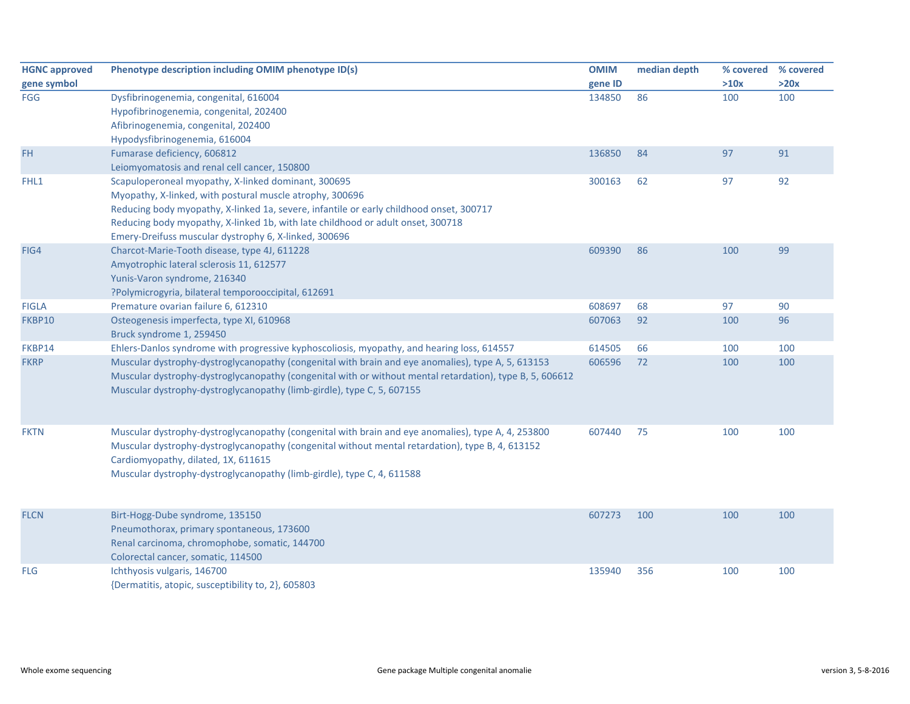| <b>HGNC approved</b> | Phenotype description including OMIM phenotype ID(s)                                                     | <b>OMIM</b> | median depth | % covered | % covered |
|----------------------|----------------------------------------------------------------------------------------------------------|-------------|--------------|-----------|-----------|
| gene symbol          |                                                                                                          | gene ID     |              | >10x      | >20x      |
| <b>FGG</b>           | Dysfibrinogenemia, congenital, 616004                                                                    | 134850      | 86           | 100       | 100       |
|                      | Hypofibrinogenemia, congenital, 202400                                                                   |             |              |           |           |
|                      | Afibrinogenemia, congenital, 202400                                                                      |             |              |           |           |
|                      | Hypodysfibrinogenemia, 616004                                                                            |             |              |           |           |
| <b>FH</b>            | Fumarase deficiency, 606812                                                                              | 136850      | 84           | 97        | 91        |
|                      | Leiomyomatosis and renal cell cancer, 150800                                                             |             |              |           |           |
| FHL1                 | Scapuloperoneal myopathy, X-linked dominant, 300695                                                      | 300163      | 62           | 97        | 92        |
|                      | Myopathy, X-linked, with postural muscle atrophy, 300696                                                 |             |              |           |           |
|                      | Reducing body myopathy, X-linked 1a, severe, infantile or early childhood onset, 300717                  |             |              |           |           |
|                      | Reducing body myopathy, X-linked 1b, with late childhood or adult onset, 300718                          |             |              |           |           |
|                      | Emery-Dreifuss muscular dystrophy 6, X-linked, 300696                                                    |             |              |           |           |
| FIG4                 | Charcot-Marie-Tooth disease, type 4J, 611228                                                             | 609390      | 86           | 100       | 99        |
|                      | Amyotrophic lateral sclerosis 11, 612577                                                                 |             |              |           |           |
|                      | Yunis-Varon syndrome, 216340                                                                             |             |              |           |           |
|                      | ?Polymicrogyria, bilateral temporooccipital, 612691                                                      |             |              |           |           |
| <b>FIGLA</b>         | Premature ovarian failure 6, 612310                                                                      | 608697      | 68           | 97        | 90        |
| FKBP10               | Osteogenesis imperfecta, type XI, 610968                                                                 | 607063      | 92           | 100       | 96        |
|                      | Bruck syndrome 1, 259450                                                                                 |             |              |           |           |
| FKBP14               | Ehlers-Danlos syndrome with progressive kyphoscoliosis, myopathy, and hearing loss, 614557               | 614505      | 66           | 100       | 100       |
| <b>FKRP</b>          | Muscular dystrophy-dystroglycanopathy (congenital with brain and eye anomalies), type A, 5, 613153       | 606596      | 72           | 100       | 100       |
|                      | Muscular dystrophy-dystroglycanopathy (congenital with or without mental retardation), type B, 5, 606612 |             |              |           |           |
|                      | Muscular dystrophy-dystroglycanopathy (limb-girdle), type C, 5, 607155                                   |             |              |           |           |
|                      |                                                                                                          |             |              |           |           |
|                      |                                                                                                          |             |              |           |           |
| <b>FKTN</b>          | Muscular dystrophy-dystroglycanopathy (congenital with brain and eye anomalies), type A, 4, 253800       | 607440      | 75           | 100       | 100       |
|                      | Muscular dystrophy-dystroglycanopathy (congenital without mental retardation), type B, 4, 613152         |             |              |           |           |
|                      | Cardiomyopathy, dilated, 1X, 611615                                                                      |             |              |           |           |
|                      | Muscular dystrophy-dystroglycanopathy (limb-girdle), type C, 4, 611588                                   |             |              |           |           |
|                      |                                                                                                          |             |              |           |           |
|                      |                                                                                                          |             |              |           |           |
| <b>FLCN</b>          | Birt-Hogg-Dube syndrome, 135150                                                                          | 607273      | 100          | 100       | 100       |
|                      | Pneumothorax, primary spontaneous, 173600                                                                |             |              |           |           |
|                      | Renal carcinoma, chromophobe, somatic, 144700                                                            |             |              |           |           |
|                      | Colorectal cancer, somatic, 114500                                                                       |             |              |           |           |
| <b>FLG</b>           | Ichthyosis vulgaris, 146700                                                                              | 135940      | 356          | 100       | 100       |
|                      | {Dermatitis, atopic, susceptibility to, 2}, 605803                                                       |             |              |           |           |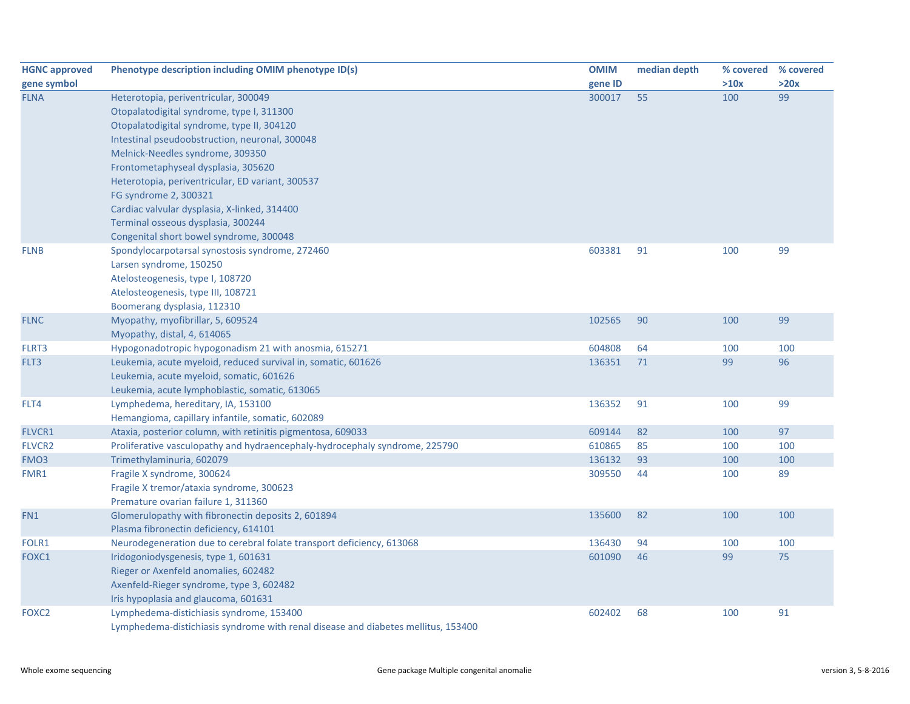| <b>HGNC approved</b> | Phenotype description including OMIM phenotype ID(s)                              | <b>OMIM</b> | median depth |      | % covered % covered |
|----------------------|-----------------------------------------------------------------------------------|-------------|--------------|------|---------------------|
| gene symbol          |                                                                                   | gene ID     |              | >10x | >20x                |
| <b>FLNA</b>          | Heterotopia, periventricular, 300049                                              | 300017      | 55           | 100  | 99                  |
|                      | Otopalatodigital syndrome, type I, 311300                                         |             |              |      |                     |
|                      | Otopalatodigital syndrome, type II, 304120                                        |             |              |      |                     |
|                      | Intestinal pseudoobstruction, neuronal, 300048                                    |             |              |      |                     |
|                      | Melnick-Needles syndrome, 309350                                                  |             |              |      |                     |
|                      | Frontometaphyseal dysplasia, 305620                                               |             |              |      |                     |
|                      | Heterotopia, periventricular, ED variant, 300537                                  |             |              |      |                     |
|                      | FG syndrome 2, 300321                                                             |             |              |      |                     |
|                      | Cardiac valvular dysplasia, X-linked, 314400                                      |             |              |      |                     |
|                      | Terminal osseous dysplasia, 300244                                                |             |              |      |                     |
|                      | Congenital short bowel syndrome, 300048                                           |             |              |      |                     |
| <b>FLNB</b>          | Spondylocarpotarsal synostosis syndrome, 272460                                   | 603381      | 91           | 100  | 99                  |
|                      | Larsen syndrome, 150250                                                           |             |              |      |                     |
|                      | Atelosteogenesis, type I, 108720                                                  |             |              |      |                     |
|                      | Atelosteogenesis, type III, 108721                                                |             |              |      |                     |
|                      | Boomerang dysplasia, 112310                                                       |             |              |      |                     |
| <b>FLNC</b>          | Myopathy, myofibrillar, 5, 609524                                                 | 102565      | 90           | 100  | 99                  |
|                      | Myopathy, distal, 4, 614065                                                       |             |              |      |                     |
| FLRT3                | Hypogonadotropic hypogonadism 21 with anosmia, 615271                             | 604808      | 64           | 100  | 100                 |
| FLT3                 | Leukemia, acute myeloid, reduced survival in, somatic, 601626                     | 136351      | 71           | 99   | 96                  |
|                      | Leukemia, acute myeloid, somatic, 601626                                          |             |              |      |                     |
|                      | Leukemia, acute lymphoblastic, somatic, 613065                                    |             |              |      |                     |
| FLT4                 | Lymphedema, hereditary, IA, 153100                                                | 136352      | 91           | 100  | 99                  |
|                      | Hemangioma, capillary infantile, somatic, 602089                                  |             |              |      |                     |
| FLVCR1               | Ataxia, posterior column, with retinitis pigmentosa, 609033                       | 609144      | 82           | 100  | 97                  |
| FLVCR2               | Proliferative vasculopathy and hydraencephaly-hydrocephaly syndrome, 225790       | 610865      | 85           | 100  | 100                 |
| FMO3                 | Trimethylaminuria, 602079                                                         | 136132      | 93           | 100  | 100                 |
| FMR1                 | Fragile X syndrome, 300624                                                        | 309550      | 44           | 100  | 89                  |
|                      | Fragile X tremor/ataxia syndrome, 300623                                          |             |              |      |                     |
|                      | Premature ovarian failure 1, 311360                                               |             |              |      |                     |
| FN1                  | Glomerulopathy with fibronectin deposits 2, 601894                                | 135600      | 82           | 100  | 100                 |
|                      | Plasma fibronectin deficiency, 614101                                             |             |              |      |                     |
| FOLR1                | Neurodegeneration due to cerebral folate transport deficiency, 613068             | 136430      | 94           | 100  | 100                 |
| FOXC1                | Iridogoniodysgenesis, type 1, 601631                                              | 601090      | 46           | 99   | 75                  |
|                      | Rieger or Axenfeld anomalies, 602482                                              |             |              |      |                     |
|                      | Axenfeld-Rieger syndrome, type 3, 602482                                          |             |              |      |                     |
|                      | Iris hypoplasia and glaucoma, 601631                                              |             |              |      |                     |
| FOXC <sub>2</sub>    | Lymphedema-distichiasis syndrome, 153400                                          | 602402      | 68           | 100  | 91                  |
|                      | Lymphedema-distichiasis syndrome with renal disease and diabetes mellitus, 153400 |             |              |      |                     |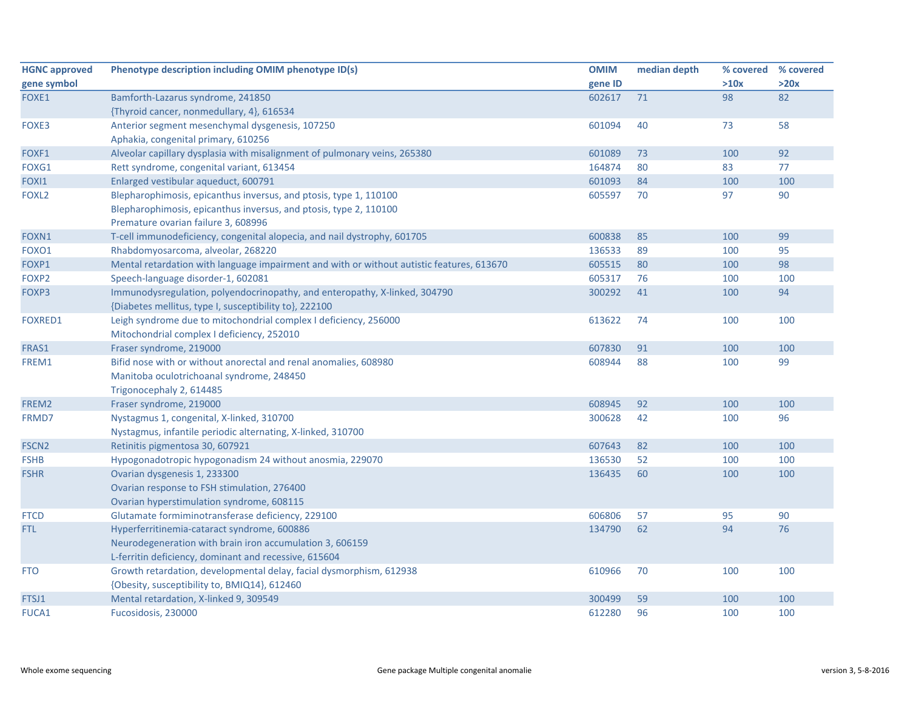| <b>HGNC approved</b> | Phenotype description including OMIM phenotype ID(s)                                      | <b>OMIM</b> | median depth | % covered | % covered |
|----------------------|-------------------------------------------------------------------------------------------|-------------|--------------|-----------|-----------|
| gene symbol          |                                                                                           | gene ID     |              | >10x      | >20x      |
| FOXE1                | Bamforth-Lazarus syndrome, 241850                                                         | 602617      | 71           | 98        | 82        |
|                      | {Thyroid cancer, nonmedullary, 4}, 616534                                                 |             |              |           |           |
| FOXE3                | Anterior segment mesenchymal dysgenesis, 107250                                           | 601094      | 40           | 73        | 58        |
|                      | Aphakia, congenital primary, 610256                                                       |             |              |           |           |
| FOXF1                | Alveolar capillary dysplasia with misalignment of pulmonary veins, 265380                 | 601089      | 73           | 100       | 92        |
| FOXG1                | Rett syndrome, congenital variant, 613454                                                 | 164874      | 80           | 83        | 77        |
| FOXI1                | Enlarged vestibular aqueduct, 600791                                                      | 601093      | 84           | 100       | 100       |
| FOXL <sub>2</sub>    | Blepharophimosis, epicanthus inversus, and ptosis, type 1, 110100                         | 605597      | 70           | 97        | 90        |
|                      | Blepharophimosis, epicanthus inversus, and ptosis, type 2, 110100                         |             |              |           |           |
|                      | Premature ovarian failure 3, 608996                                                       |             |              |           |           |
| FOXN1                | T-cell immunodeficiency, congenital alopecia, and nail dystrophy, 601705                  | 600838      | 85           | 100       | 99        |
| FOXO1                | Rhabdomyosarcoma, alveolar, 268220                                                        | 136533      | 89           | 100       | 95        |
| FOXP1                | Mental retardation with language impairment and with or without autistic features, 613670 | 605515      | 80           | 100       | 98        |
| FOXP2                | Speech-language disorder-1, 602081                                                        | 605317      | 76           | 100       | 100       |
| FOXP3                | Immunodysregulation, polyendocrinopathy, and enteropathy, X-linked, 304790                | 300292      | 41           | 100       | 94        |
|                      | {Diabetes mellitus, type I, susceptibility to}, 222100                                    |             |              |           |           |
| <b>FOXRED1</b>       | Leigh syndrome due to mitochondrial complex I deficiency, 256000                          | 613622      | 74           | 100       | 100       |
|                      | Mitochondrial complex I deficiency, 252010                                                |             |              |           |           |
| FRAS1                | Fraser syndrome, 219000                                                                   | 607830      | 91           | 100       | 100       |
| FREM1                | Bifid nose with or without anorectal and renal anomalies, 608980                          | 608944      | 88           | 100       | 99        |
|                      | Manitoba oculotrichoanal syndrome, 248450                                                 |             |              |           |           |
|                      | Trigonocephaly 2, 614485                                                                  |             |              |           |           |
| FREM2                | Fraser syndrome, 219000                                                                   | 608945      | 92           | 100       | 100       |
| FRMD7                | Nystagmus 1, congenital, X-linked, 310700                                                 | 300628      | 42           | 100       | 96        |
|                      | Nystagmus, infantile periodic alternating, X-linked, 310700                               |             |              |           |           |
| <b>FSCN2</b>         | Retinitis pigmentosa 30, 607921                                                           | 607643      | 82           | 100       | 100       |
| <b>FSHB</b>          | Hypogonadotropic hypogonadism 24 without anosmia, 229070                                  | 136530      | 52           | 100       | 100       |
| <b>FSHR</b>          | Ovarian dysgenesis 1, 233300                                                              | 136435      | 60           | 100       | 100       |
|                      | Ovarian response to FSH stimulation, 276400                                               |             |              |           |           |
|                      | Ovarian hyperstimulation syndrome, 608115                                                 |             |              |           |           |
| <b>FTCD</b>          | Glutamate formiminotransferase deficiency, 229100                                         | 606806      | 57           | 95        | 90        |
| FTL.                 | Hyperferritinemia-cataract syndrome, 600886                                               | 134790      | 62           | 94        | 76        |
|                      | Neurodegeneration with brain iron accumulation 3, 606159                                  |             |              |           |           |
|                      | L-ferritin deficiency, dominant and recessive, 615604                                     |             |              |           |           |
| <b>FTO</b>           | Growth retardation, developmental delay, facial dysmorphism, 612938                       | 610966      | 70           | 100       | 100       |
|                      | {Obesity, susceptibility to, BMIQ14}, 612460                                              |             |              |           |           |
| FTSJ1                | Mental retardation, X-linked 9, 309549                                                    | 300499      | 59           | 100       | 100       |
| <b>FUCA1</b>         | Fucosidosis, 230000                                                                       | 612280      | 96           | 100       | 100       |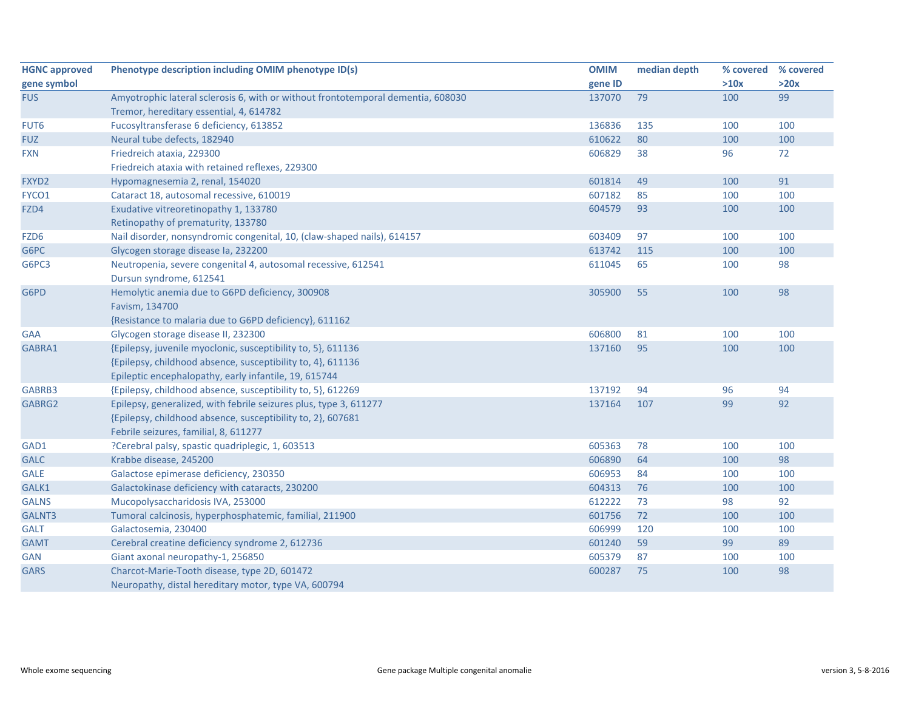| <b>HGNC approved</b> | Phenotype description including OMIM phenotype ID(s)                                                                                                                                 | <b>OMIM</b> | median depth | % covered | % covered |
|----------------------|--------------------------------------------------------------------------------------------------------------------------------------------------------------------------------------|-------------|--------------|-----------|-----------|
| gene symbol          |                                                                                                                                                                                      | gene ID     |              | >10x      | >20x      |
| <b>FUS</b>           | Amyotrophic lateral sclerosis 6, with or without frontotemporal dementia, 608030                                                                                                     | 137070      | 79           | 100       | 99        |
|                      | Tremor, hereditary essential, 4, 614782                                                                                                                                              |             |              |           |           |
| FUT6                 | Fucosyltransferase 6 deficiency, 613852                                                                                                                                              | 136836      | 135          | 100       | 100       |
| <b>FUZ</b>           | Neural tube defects, 182940                                                                                                                                                          | 610622      | 80           | 100       | 100       |
| <b>FXN</b>           | Friedreich ataxia, 229300                                                                                                                                                            | 606829      | 38           | 96        | 72        |
|                      | Friedreich ataxia with retained reflexes, 229300                                                                                                                                     |             |              |           |           |
| FXYD2                | Hypomagnesemia 2, renal, 154020                                                                                                                                                      | 601814      | 49           | 100       | 91        |
| FYCO1                | Cataract 18, autosomal recessive, 610019                                                                                                                                             | 607182      | 85           | 100       | 100       |
| FZD4                 | Exudative vitreoretinopathy 1, 133780                                                                                                                                                | 604579      | 93           | 100       | 100       |
|                      | Retinopathy of prematurity, 133780                                                                                                                                                   |             |              |           |           |
| FZD <sub>6</sub>     | Nail disorder, nonsyndromic congenital, 10, (claw-shaped nails), 614157                                                                                                              | 603409      | 97           | 100       | 100       |
| G6PC                 | Glycogen storage disease la, 232200                                                                                                                                                  | 613742      | 115          | 100       | 100       |
| G6PC3                | Neutropenia, severe congenital 4, autosomal recessive, 612541<br>Dursun syndrome, 612541                                                                                             | 611045      | 65           | 100       | 98        |
| G6PD                 | Hemolytic anemia due to G6PD deficiency, 300908<br>Favism, 134700<br>{Resistance to malaria due to G6PD deficiency}, 611162                                                          | 305900      | 55           | 100       | 98        |
| <b>GAA</b>           | Glycogen storage disease II, 232300                                                                                                                                                  | 606800      | 81           | 100       | 100       |
| GABRA1               | {Epilepsy, juvenile myoclonic, susceptibility to, 5}, 611136<br>{Epilepsy, childhood absence, susceptibility to, 4}, 611136<br>Epileptic encephalopathy, early infantile, 19, 615744 | 137160      | 95           | 100       | 100       |
| GABRB3               | {Epilepsy, childhood absence, susceptibility to, 5}, 612269                                                                                                                          | 137192      | 94           | 96        | 94        |
| GABRG2               | Epilepsy, generalized, with febrile seizures plus, type 3, 611277<br>{Epilepsy, childhood absence, susceptibility to, 2}, 607681<br>Febrile seizures, familial, 8, 611277            | 137164      | 107          | 99        | 92        |
| GAD1                 | ?Cerebral palsy, spastic quadriplegic, 1, 603513                                                                                                                                     | 605363      | 78           | 100       | 100       |
| <b>GALC</b>          | Krabbe disease, 245200                                                                                                                                                               | 606890      | 64           | 100       | 98        |
| <b>GALE</b>          | Galactose epimerase deficiency, 230350                                                                                                                                               | 606953      | 84           | 100       | 100       |
| GALK1                | Galactokinase deficiency with cataracts, 230200                                                                                                                                      | 604313      | 76           | 100       | 100       |
| <b>GALNS</b>         | Mucopolysaccharidosis IVA, 253000                                                                                                                                                    | 612222      | 73           | 98        | 92        |
| GALNT3               | Tumoral calcinosis, hyperphosphatemic, familial, 211900                                                                                                                              | 601756      | 72           | 100       | 100       |
| <b>GALT</b>          | Galactosemia, 230400                                                                                                                                                                 | 606999      | 120          | 100       | 100       |
| <b>GAMT</b>          | Cerebral creatine deficiency syndrome 2, 612736                                                                                                                                      | 601240      | 59           | 99        | 89        |
| <b>GAN</b>           | Giant axonal neuropathy-1, 256850                                                                                                                                                    | 605379      | 87           | 100       | 100       |
| <b>GARS</b>          | Charcot-Marie-Tooth disease, type 2D, 601472<br>Neuropathy, distal hereditary motor, type VA, 600794                                                                                 | 600287      | 75           | 100       | 98        |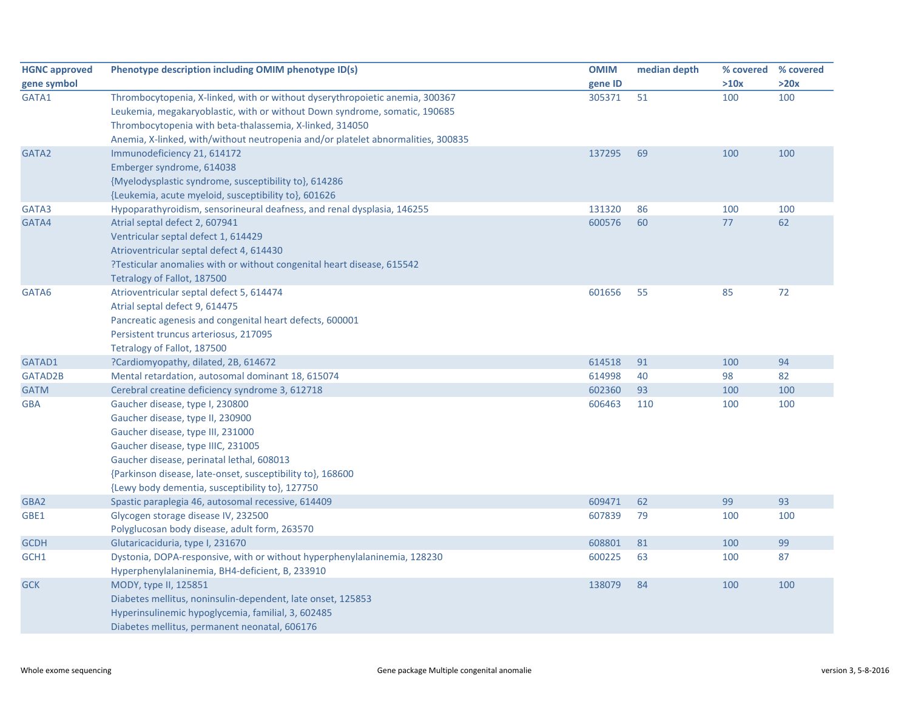| <b>HGNC approved</b> | Phenotype description including OMIM phenotype ID(s)                             | <b>OMIM</b> | median depth |      | % covered % covered |
|----------------------|----------------------------------------------------------------------------------|-------------|--------------|------|---------------------|
| gene symbol          |                                                                                  | gene ID     |              | >10x | >20x                |
| GATA1                | Thrombocytopenia, X-linked, with or without dyserythropoietic anemia, 300367     | 305371      | 51           | 100  | 100                 |
|                      | Leukemia, megakaryoblastic, with or without Down syndrome, somatic, 190685       |             |              |      |                     |
|                      | Thrombocytopenia with beta-thalassemia, X-linked, 314050                         |             |              |      |                     |
|                      | Anemia, X-linked, with/without neutropenia and/or platelet abnormalities, 300835 |             |              |      |                     |
| GATA2                | Immunodeficiency 21, 614172                                                      | 137295      | 69           | 100  | 100                 |
|                      | Emberger syndrome, 614038                                                        |             |              |      |                     |
|                      | {Myelodysplastic syndrome, susceptibility to}, 614286                            |             |              |      |                     |
|                      | {Leukemia, acute myeloid, susceptibility to}, 601626                             |             |              |      |                     |
| GATA3                | Hypoparathyroidism, sensorineural deafness, and renal dysplasia, 146255          | 131320      | 86           | 100  | 100                 |
| GATA4                | Atrial septal defect 2, 607941                                                   | 600576      | 60           | 77   | 62                  |
|                      | Ventricular septal defect 1, 614429                                              |             |              |      |                     |
|                      | Atrioventricular septal defect 4, 614430                                         |             |              |      |                     |
|                      | ?Testicular anomalies with or without congenital heart disease, 615542           |             |              |      |                     |
|                      | Tetralogy of Fallot, 187500                                                      |             |              |      |                     |
| GATA6                | Atrioventricular septal defect 5, 614474                                         | 601656      | 55           | 85   | 72                  |
|                      | Atrial septal defect 9, 614475                                                   |             |              |      |                     |
|                      | Pancreatic agenesis and congenital heart defects, 600001                         |             |              |      |                     |
|                      | Persistent truncus arteriosus, 217095                                            |             |              |      |                     |
|                      | Tetralogy of Fallot, 187500                                                      |             |              |      |                     |
| GATAD1               | ?Cardiomyopathy, dilated, 2B, 614672                                             | 614518      | 91           | 100  | 94                  |
| GATAD2B              | Mental retardation, autosomal dominant 18, 615074                                | 614998      | 40           | 98   | 82                  |
| <b>GATM</b>          | Cerebral creatine deficiency syndrome 3, 612718                                  | 602360      | 93           | 100  | 100                 |
| <b>GBA</b>           | Gaucher disease, type I, 230800                                                  | 606463      | 110          | 100  | 100                 |
|                      | Gaucher disease, type II, 230900                                                 |             |              |      |                     |
|                      | Gaucher disease, type III, 231000                                                |             |              |      |                     |
|                      | Gaucher disease, type IIIC, 231005                                               |             |              |      |                     |
|                      | Gaucher disease, perinatal lethal, 608013                                        |             |              |      |                     |
|                      | {Parkinson disease, late-onset, susceptibility to}, 168600                       |             |              |      |                     |
|                      | {Lewy body dementia, susceptibility to}, 127750                                  |             |              |      |                     |
| GBA2                 | Spastic paraplegia 46, autosomal recessive, 614409                               | 609471      | 62           | 99   | 93                  |
| GBE1                 | Glycogen storage disease IV, 232500                                              | 607839      | 79           | 100  | 100                 |
|                      | Polyglucosan body disease, adult form, 263570                                    |             |              |      |                     |
| <b>GCDH</b>          | Glutaricaciduria, type I, 231670                                                 | 608801      | 81           | 100  | 99                  |
| GCH1                 | Dystonia, DOPA-responsive, with or without hyperphenylalaninemia, 128230         | 600225      | 63           | 100  | 87                  |
|                      | Hyperphenylalaninemia, BH4-deficient, B, 233910                                  |             |              |      |                     |
| <b>GCK</b>           | MODY, type II, 125851                                                            | 138079      | 84           | 100  | 100                 |
|                      | Diabetes mellitus, noninsulin-dependent, late onset, 125853                      |             |              |      |                     |
|                      | Hyperinsulinemic hypoglycemia, familial, 3, 602485                               |             |              |      |                     |
|                      | Diabetes mellitus, permanent neonatal, 606176                                    |             |              |      |                     |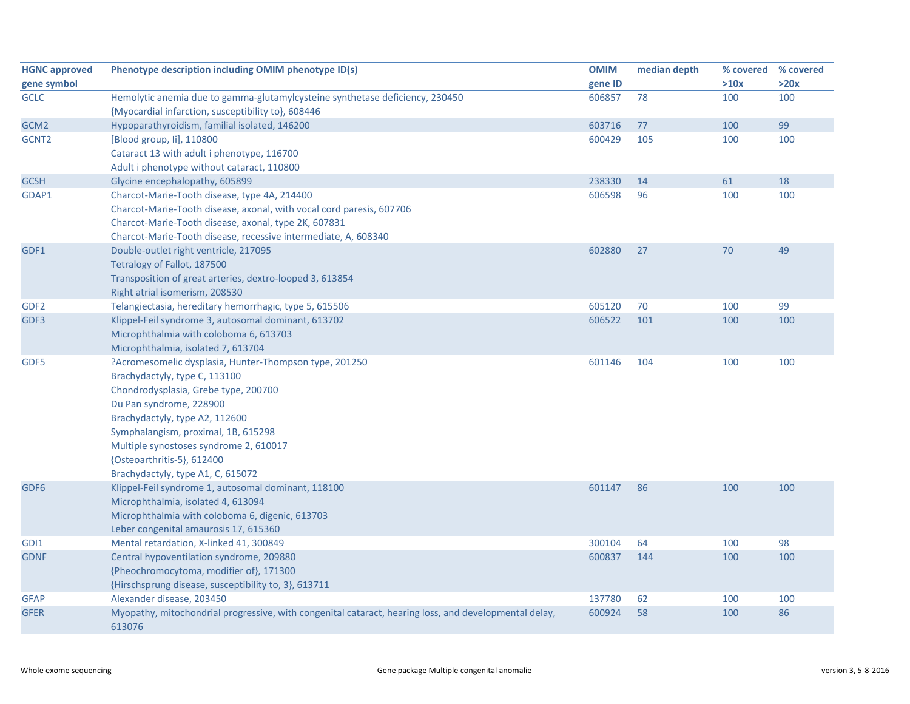| <b>HGNC approved</b> | Phenotype description including OMIM phenotype ID(s)                                                            | <b>OMIM</b> | median depth |      | % covered % covered |
|----------------------|-----------------------------------------------------------------------------------------------------------------|-------------|--------------|------|---------------------|
| gene symbol          |                                                                                                                 | gene ID     |              | >10x | >20x                |
| <b>GCLC</b>          | Hemolytic anemia due to gamma-glutamylcysteine synthetase deficiency, 230450                                    | 606857      | 78           | 100  | 100                 |
|                      | {Myocardial infarction, susceptibility to}, 608446                                                              |             |              |      |                     |
| GCM <sub>2</sub>     | Hypoparathyroidism, familial isolated, 146200                                                                   | 603716      | 77           | 100  | 99                  |
| GCNT <sub>2</sub>    | [Blood group, Ii], 110800                                                                                       | 600429      | 105          | 100  | 100                 |
|                      | Cataract 13 with adult i phenotype, 116700                                                                      |             |              |      |                     |
|                      | Adult i phenotype without cataract, 110800                                                                      |             |              |      |                     |
| <b>GCSH</b>          | Glycine encephalopathy, 605899                                                                                  | 238330      | 14           | 61   | 18                  |
| GDAP1                | Charcot-Marie-Tooth disease, type 4A, 214400                                                                    | 606598      | 96           | 100  | 100                 |
|                      | Charcot-Marie-Tooth disease, axonal, with vocal cord paresis, 607706                                            |             |              |      |                     |
|                      | Charcot-Marie-Tooth disease, axonal, type 2K, 607831                                                            |             |              |      |                     |
|                      | Charcot-Marie-Tooth disease, recessive intermediate, A, 608340                                                  |             |              |      |                     |
| GDF1                 | Double-outlet right ventricle, 217095                                                                           | 602880      | 27           | 70   | 49                  |
|                      | Tetralogy of Fallot, 187500                                                                                     |             |              |      |                     |
|                      | Transposition of great arteries, dextro-looped 3, 613854                                                        |             |              |      |                     |
|                      | Right atrial isomerism, 208530                                                                                  |             |              |      |                     |
| GDF <sub>2</sub>     | Telangiectasia, hereditary hemorrhagic, type 5, 615506                                                          | 605120      | 70           | 100  | 99                  |
| GDF3                 | Klippel-Feil syndrome 3, autosomal dominant, 613702                                                             | 606522      | 101          | 100  | 100                 |
|                      | Microphthalmia with coloboma 6, 613703                                                                          |             |              |      |                     |
|                      | Microphthalmia, isolated 7, 613704                                                                              |             |              |      |                     |
| GDF5                 | ?Acromesomelic dysplasia, Hunter-Thompson type, 201250                                                          | 601146      | 104          | 100  | 100                 |
|                      | Brachydactyly, type C, 113100                                                                                   |             |              |      |                     |
|                      | Chondrodysplasia, Grebe type, 200700                                                                            |             |              |      |                     |
|                      | Du Pan syndrome, 228900                                                                                         |             |              |      |                     |
|                      | Brachydactyly, type A2, 112600                                                                                  |             |              |      |                     |
|                      | Symphalangism, proximal, 1B, 615298                                                                             |             |              |      |                     |
|                      | Multiple synostoses syndrome 2, 610017                                                                          |             |              |      |                     |
|                      | {Osteoarthritis-5}, 612400                                                                                      |             |              |      |                     |
|                      | Brachydactyly, type A1, C, 615072                                                                               |             |              |      |                     |
| GDF <sub>6</sub>     | Klippel-Feil syndrome 1, autosomal dominant, 118100                                                             | 601147      | 86           | 100  | 100                 |
|                      | Microphthalmia, isolated 4, 613094                                                                              |             |              |      |                     |
|                      | Microphthalmia with coloboma 6, digenic, 613703                                                                 |             |              |      |                     |
|                      | Leber congenital amaurosis 17, 615360                                                                           |             |              |      |                     |
| GDI1                 | Mental retardation, X-linked 41, 300849                                                                         | 300104      | 64           | 100  | 98                  |
| <b>GDNF</b>          | Central hypoventilation syndrome, 209880                                                                        | 600837      | 144          | 100  | 100                 |
|                      | {Pheochromocytoma, modifier of}, 171300                                                                         |             |              |      |                     |
|                      | {Hirschsprung disease, susceptibility to, 3}, 613711                                                            |             |              |      |                     |
| <b>GFAP</b>          | Alexander disease, 203450                                                                                       | 137780      | 62           | 100  | 100                 |
| <b>GFER</b>          | Myopathy, mitochondrial progressive, with congenital cataract, hearing loss, and developmental delay,<br>613076 | 600924      | 58           | 100  | 86                  |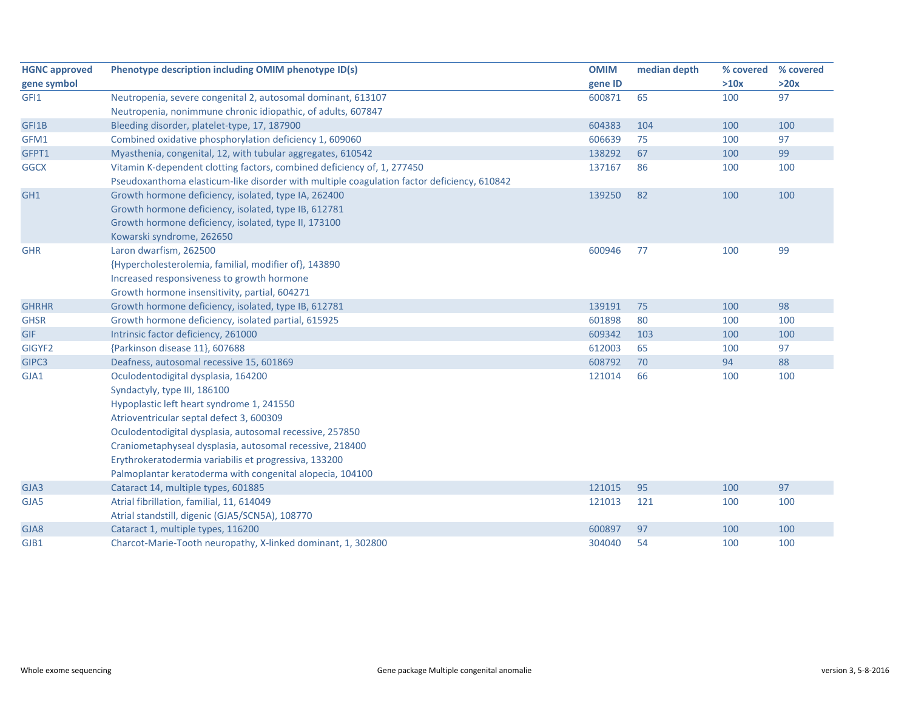| <b>HGNC approved</b> | Phenotype description including OMIM phenotype ID(s)                                       | <b>OMIM</b> | median depth | % covered | % covered |
|----------------------|--------------------------------------------------------------------------------------------|-------------|--------------|-----------|-----------|
| gene symbol          |                                                                                            | gene ID     |              | >10x      | >20x      |
| GFI1                 | Neutropenia, severe congenital 2, autosomal dominant, 613107                               | 600871      | 65           | 100       | 97        |
|                      | Neutropenia, nonimmune chronic idiopathic, of adults, 607847                               |             |              |           |           |
| GFI1B                | Bleeding disorder, platelet-type, 17, 187900                                               | 604383      | 104          | 100       | 100       |
| GFM1                 | Combined oxidative phosphorylation deficiency 1, 609060                                    | 606639      | 75           | 100       | 97        |
| GFPT1                | Myasthenia, congenital, 12, with tubular aggregates, 610542                                | 138292      | 67           | 100       | 99        |
| <b>GGCX</b>          | Vitamin K-dependent clotting factors, combined deficiency of, 1, 277450                    | 137167      | 86           | 100       | 100       |
|                      | Pseudoxanthoma elasticum-like disorder with multiple coagulation factor deficiency, 610842 |             |              |           |           |
| GH1                  | Growth hormone deficiency, isolated, type IA, 262400                                       | 139250      | 82           | 100       | 100       |
|                      | Growth hormone deficiency, isolated, type IB, 612781                                       |             |              |           |           |
|                      | Growth hormone deficiency, isolated, type II, 173100                                       |             |              |           |           |
|                      | Kowarski syndrome, 262650                                                                  |             |              |           |           |
| <b>GHR</b>           | Laron dwarfism, 262500                                                                     | 600946      | 77           | 100       | 99        |
|                      | {Hypercholesterolemia, familial, modifier of}, 143890                                      |             |              |           |           |
|                      | Increased responsiveness to growth hormone                                                 |             |              |           |           |
|                      | Growth hormone insensitivity, partial, 604271                                              |             |              |           |           |
| <b>GHRHR</b>         | Growth hormone deficiency, isolated, type IB, 612781                                       | 139191      | 75           | 100       | 98        |
| <b>GHSR</b>          | Growth hormone deficiency, isolated partial, 615925                                        | 601898      | 80           | 100       | 100       |
| <b>GIF</b>           | Intrinsic factor deficiency, 261000                                                        | 609342      | 103          | 100       | 100       |
| GIGYF2               | {Parkinson disease 11}, 607688                                                             | 612003      | 65           | 100       | 97        |
| GIPC3                | Deafness, autosomal recessive 15, 601869                                                   | 608792      | 70           | 94        | 88        |
| GJA1                 | Oculodentodigital dysplasia, 164200                                                        | 121014      | 66           | 100       | 100       |
|                      | Syndactyly, type III, 186100                                                               |             |              |           |           |
|                      | Hypoplastic left heart syndrome 1, 241550                                                  |             |              |           |           |
|                      | Atrioventricular septal defect 3, 600309                                                   |             |              |           |           |
|                      | Oculodentodigital dysplasia, autosomal recessive, 257850                                   |             |              |           |           |
|                      | Craniometaphyseal dysplasia, autosomal recessive, 218400                                   |             |              |           |           |
|                      | Erythrokeratodermia variabilis et progressiva, 133200                                      |             |              |           |           |
|                      | Palmoplantar keratoderma with congenital alopecia, 104100                                  |             |              |           |           |
| GJA3                 | Cataract 14, multiple types, 601885                                                        | 121015      | 95           | 100       | 97        |
| GJA5                 | Atrial fibrillation, familial, 11, 614049                                                  | 121013      | 121          | 100       | 100       |
|                      | Atrial standstill, digenic (GJA5/SCN5A), 108770                                            |             |              |           |           |
| GJA8                 | Cataract 1, multiple types, 116200                                                         | 600897      | 97           | 100       | 100       |
| GJB1                 | Charcot-Marie-Tooth neuropathy, X-linked dominant, 1, 302800                               | 304040      | 54           | 100       | 100       |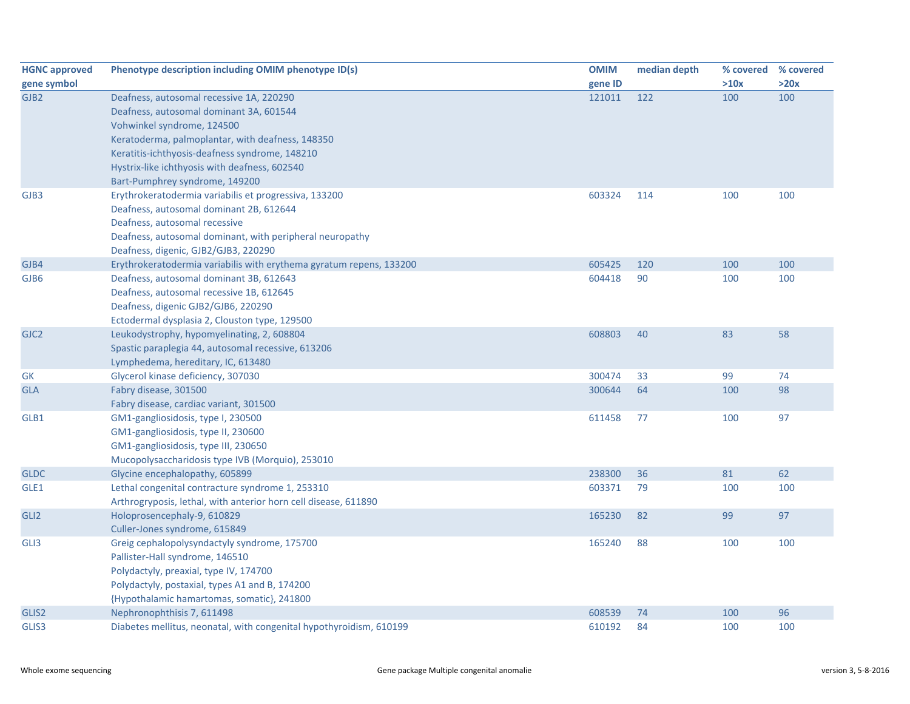| <b>HGNC approved</b> | Phenotype description including OMIM phenotype ID(s)                                             | <b>OMIM</b> | median depth | % covered | % covered |
|----------------------|--------------------------------------------------------------------------------------------------|-------------|--------------|-----------|-----------|
| gene symbol          |                                                                                                  | gene ID     |              | >10x      | >20x      |
| GJB <sub>2</sub>     | Deafness, autosomal recessive 1A, 220290                                                         | 121011      | 122          | 100       | 100       |
|                      | Deafness, autosomal dominant 3A, 601544                                                          |             |              |           |           |
|                      | Vohwinkel syndrome, 124500                                                                       |             |              |           |           |
|                      | Keratoderma, palmoplantar, with deafness, 148350                                                 |             |              |           |           |
|                      | Keratitis-ichthyosis-deafness syndrome, 148210                                                   |             |              |           |           |
|                      | Hystrix-like ichthyosis with deafness, 602540                                                    |             |              |           |           |
|                      | Bart-Pumphrey syndrome, 149200                                                                   |             |              |           |           |
| GJB3                 | Erythrokeratodermia variabilis et progressiva, 133200                                            | 603324      | 114          | 100       | 100       |
|                      | Deafness, autosomal dominant 2B, 612644                                                          |             |              |           |           |
|                      | Deafness, autosomal recessive                                                                    |             |              |           |           |
|                      | Deafness, autosomal dominant, with peripheral neuropathy                                         |             |              |           |           |
|                      | Deafness, digenic, GJB2/GJB3, 220290                                                             |             |              |           |           |
| GJB4                 | Erythrokeratodermia variabilis with erythema gyratum repens, 133200                              | 605425      | 120          | 100       | 100       |
| GJB6                 | Deafness, autosomal dominant 3B, 612643                                                          | 604418      | 90           | 100       | 100       |
|                      | Deafness, autosomal recessive 1B, 612645                                                         |             |              |           |           |
|                      | Deafness, digenic GJB2/GJB6, 220290                                                              |             |              |           |           |
|                      | Ectodermal dysplasia 2, Clouston type, 129500                                                    |             |              |           |           |
| GJC <sub>2</sub>     | Leukodystrophy, hypomyelinating, 2, 608804<br>Spastic paraplegia 44, autosomal recessive, 613206 | 608803      | 40           | 83        | 58        |
|                      | Lymphedema, hereditary, IC, 613480                                                               |             |              |           |           |
| <b>GK</b>            | Glycerol kinase deficiency, 307030                                                               | 300474      | 33           | 99        | 74        |
| <b>GLA</b>           | Fabry disease, 301500                                                                            | 300644      | 64           | 100       | 98        |
|                      | Fabry disease, cardiac variant, 301500                                                           |             |              |           |           |
| GLB1                 | GM1-gangliosidosis, type I, 230500                                                               | 611458      | 77           | 100       | 97        |
|                      | GM1-gangliosidosis, type II, 230600                                                              |             |              |           |           |
|                      | GM1-gangliosidosis, type III, 230650                                                             |             |              |           |           |
|                      | Mucopolysaccharidosis type IVB (Morquio), 253010                                                 |             |              |           |           |
| <b>GLDC</b>          | Glycine encephalopathy, 605899                                                                   | 238300      | 36           | 81        | 62        |
| GLE1                 | Lethal congenital contracture syndrome 1, 253310                                                 | 603371      | 79           | 100       | 100       |
|                      | Arthrogryposis, lethal, with anterior horn cell disease, 611890                                  |             |              |           |           |
| GLI <sub>2</sub>     | Holoprosencephaly-9, 610829                                                                      | 165230      | 82           | 99        | 97        |
|                      | Culler-Jones syndrome, 615849                                                                    |             |              |           |           |
| GLI3                 | Greig cephalopolysyndactyly syndrome, 175700                                                     | 165240      | 88           | 100       | 100       |
|                      | Pallister-Hall syndrome, 146510                                                                  |             |              |           |           |
|                      | Polydactyly, preaxial, type IV, 174700                                                           |             |              |           |           |
|                      | Polydactyly, postaxial, types A1 and B, 174200                                                   |             |              |           |           |
|                      | {Hypothalamic hamartomas, somatic}, 241800                                                       |             |              |           |           |
| GLIS2                | Nephronophthisis 7, 611498                                                                       | 608539      | 74           | 100       | 96        |
| GLIS3                | Diabetes mellitus, neonatal, with congenital hypothyroidism, 610199                              | 610192      | 84           | 100       | 100       |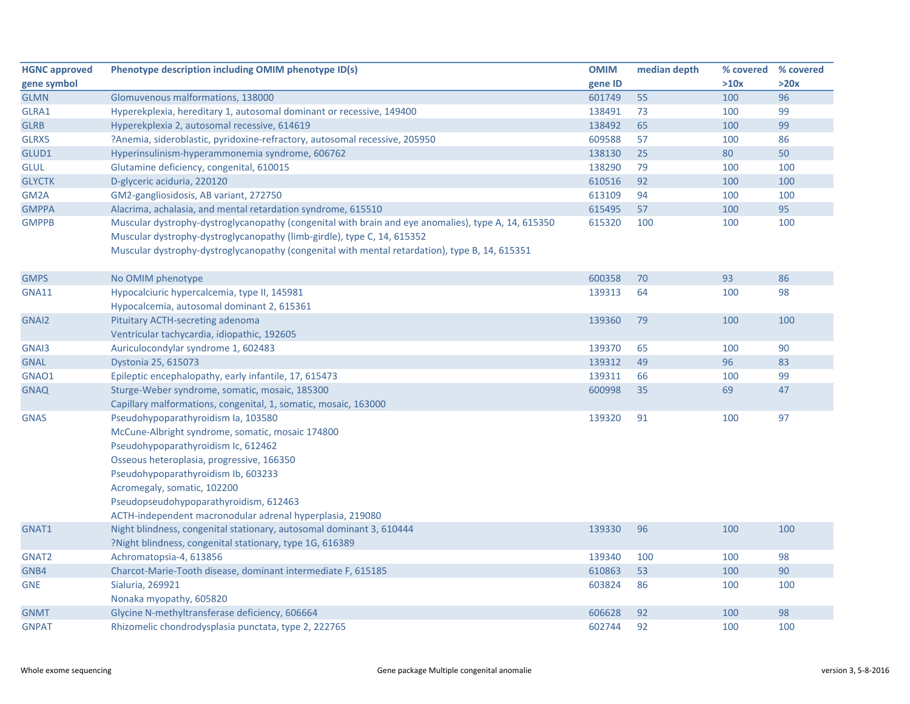| <b>HGNC approved</b> | Phenotype description including OMIM phenotype ID(s)                                                                                                                                                                                                                             | <b>OMIM</b> | median depth | % covered % covered |      |
|----------------------|----------------------------------------------------------------------------------------------------------------------------------------------------------------------------------------------------------------------------------------------------------------------------------|-------------|--------------|---------------------|------|
| gene symbol          |                                                                                                                                                                                                                                                                                  | gene ID     |              | >10x                | >20x |
| <b>GLMN</b>          | Glomuvenous malformations, 138000                                                                                                                                                                                                                                                | 601749      | 55           | 100                 | 96   |
| GLRA1                | Hyperekplexia, hereditary 1, autosomal dominant or recessive, 149400                                                                                                                                                                                                             | 138491      | 73           | 100                 | 99   |
| <b>GLRB</b>          | Hyperekplexia 2, autosomal recessive, 614619                                                                                                                                                                                                                                     | 138492      | 65           | 100                 | 99   |
| GLRX5                | ?Anemia, sideroblastic, pyridoxine-refractory, autosomal recessive, 205950                                                                                                                                                                                                       | 609588      | 57           | 100                 | 86   |
| GLUD1                | Hyperinsulinism-hyperammonemia syndrome, 606762                                                                                                                                                                                                                                  | 138130      | 25           | 80                  | 50   |
| <b>GLUL</b>          | Glutamine deficiency, congenital, 610015                                                                                                                                                                                                                                         | 138290      | 79           | 100                 | 100  |
| <b>GLYCTK</b>        | D-glyceric aciduria, 220120                                                                                                                                                                                                                                                      | 610516      | 92           | 100                 | 100  |
| GM <sub>2</sub> A    | GM2-gangliosidosis, AB variant, 272750                                                                                                                                                                                                                                           | 613109      | 94           | 100                 | 100  |
| <b>GMPPA</b>         | Alacrima, achalasia, and mental retardation syndrome, 615510                                                                                                                                                                                                                     | 615495      | 57           | 100                 | 95   |
| <b>GMPPB</b>         | Muscular dystrophy-dystroglycanopathy (congenital with brain and eye anomalies), type A, 14, 615350<br>Muscular dystrophy-dystroglycanopathy (limb-girdle), type C, 14, 615352<br>Muscular dystrophy-dystroglycanopathy (congenital with mental retardation), type B, 14, 615351 | 615320      | 100          | 100                 | 100  |
| <b>GMPS</b>          | No OMIM phenotype                                                                                                                                                                                                                                                                | 600358      | 70           | 93                  | 86   |
| <b>GNA11</b>         | Hypocalciuric hypercalcemia, type II, 145981                                                                                                                                                                                                                                     | 139313      | 64           | 100                 | 98   |
|                      | Hypocalcemia, autosomal dominant 2, 615361                                                                                                                                                                                                                                       |             |              |                     |      |
| GNAI2                | <b>Pituitary ACTH-secreting adenoma</b>                                                                                                                                                                                                                                          | 139360      | 79           | 100                 | 100  |
|                      | Ventricular tachycardia, idiopathic, 192605                                                                                                                                                                                                                                      |             |              |                     |      |
| GNAI3                | Auriculocondylar syndrome 1, 602483                                                                                                                                                                                                                                              | 139370      | 65           | 100                 | 90   |
| <b>GNAL</b>          | Dystonia 25, 615073                                                                                                                                                                                                                                                              | 139312      | 49           | 96                  | 83   |
| GNAO1                | Epileptic encephalopathy, early infantile, 17, 615473                                                                                                                                                                                                                            | 139311      | 66           | 100                 | 99   |
| <b>GNAQ</b>          | Sturge-Weber syndrome, somatic, mosaic, 185300                                                                                                                                                                                                                                   | 600998      | 35           | 69                  | 47   |
|                      | Capillary malformations, congenital, 1, somatic, mosaic, 163000                                                                                                                                                                                                                  |             |              |                     |      |
| <b>GNAS</b>          | Pseudohypoparathyroidism Ia, 103580                                                                                                                                                                                                                                              | 139320      | 91           | 100                 | 97   |
|                      | McCune-Albright syndrome, somatic, mosaic 174800                                                                                                                                                                                                                                 |             |              |                     |      |
|                      | Pseudohypoparathyroidism Ic, 612462                                                                                                                                                                                                                                              |             |              |                     |      |
|                      | Osseous heteroplasia, progressive, 166350                                                                                                                                                                                                                                        |             |              |                     |      |
|                      | Pseudohypoparathyroidism Ib, 603233                                                                                                                                                                                                                                              |             |              |                     |      |
|                      | Acromegaly, somatic, 102200                                                                                                                                                                                                                                                      |             |              |                     |      |
|                      | Pseudopseudohypoparathyroidism, 612463                                                                                                                                                                                                                                           |             |              |                     |      |
|                      | ACTH-independent macronodular adrenal hyperplasia, 219080                                                                                                                                                                                                                        |             |              |                     |      |
| GNAT1                | Night blindness, congenital stationary, autosomal dominant 3, 610444                                                                                                                                                                                                             | 139330      | 96           | 100                 | 100  |
|                      | ?Night blindness, congenital stationary, type 1G, 616389                                                                                                                                                                                                                         |             |              |                     |      |
| GNAT <sub>2</sub>    | Achromatopsia-4, 613856                                                                                                                                                                                                                                                          | 139340      | 100          | 100                 | 98   |
| GNB4                 | Charcot-Marie-Tooth disease, dominant intermediate F, 615185                                                                                                                                                                                                                     | 610863      | 53           | 100                 | 90   |
| <b>GNE</b>           | Sialuria, 269921                                                                                                                                                                                                                                                                 | 603824      | 86           | 100                 | 100  |
|                      | Nonaka myopathy, 605820                                                                                                                                                                                                                                                          |             |              |                     |      |
| <b>GNMT</b>          | Glycine N-methyltransferase deficiency, 606664                                                                                                                                                                                                                                   | 606628      | 92           | 100                 | 98   |
| <b>GNPAT</b>         | Rhizomelic chondrodysplasia punctata, type 2, 222765                                                                                                                                                                                                                             | 602744      | 92           | 100                 | 100  |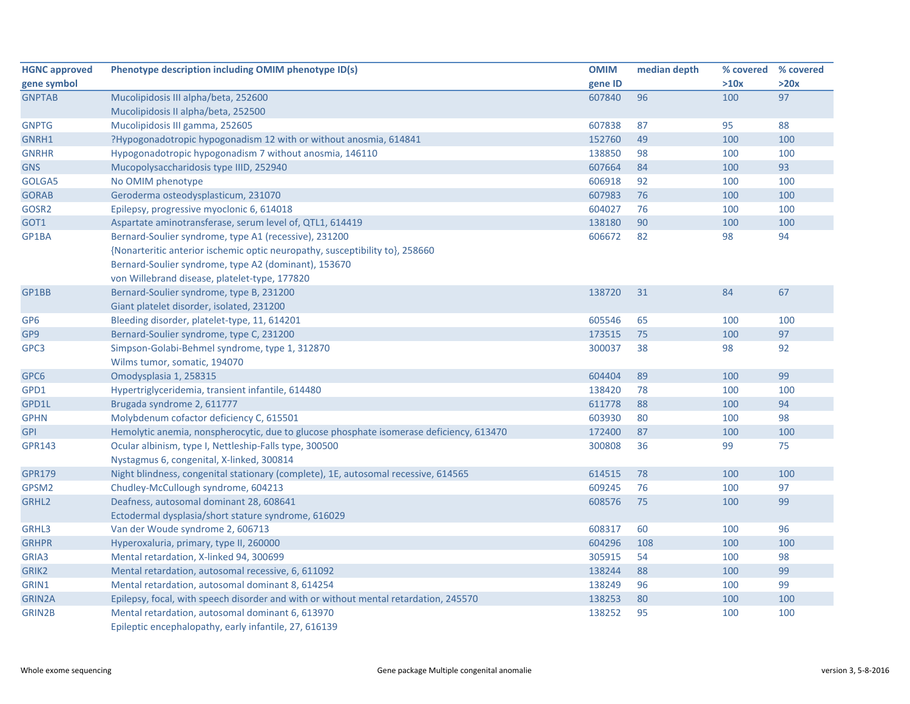| <b>HGNC approved</b> | Phenotype description including OMIM phenotype ID(s)                                                      | <b>OMIM</b> | median depth | % covered | % covered |
|----------------------|-----------------------------------------------------------------------------------------------------------|-------------|--------------|-----------|-----------|
| gene symbol          |                                                                                                           | gene ID     |              | >10x      | >20x      |
| <b>GNPTAB</b>        | Mucolipidosis III alpha/beta, 252600                                                                      | 607840      | 96           | 100       | 97        |
|                      | Mucolipidosis II alpha/beta, 252500                                                                       |             |              |           |           |
| <b>GNPTG</b>         | Mucolipidosis III gamma, 252605                                                                           | 607838      | 87           | 95        | 88        |
| GNRH1                | ?Hypogonadotropic hypogonadism 12 with or without anosmia, 614841                                         | 152760      | 49           | 100       | 100       |
| <b>GNRHR</b>         | Hypogonadotropic hypogonadism 7 without anosmia, 146110                                                   | 138850      | 98           | 100       | 100       |
| <b>GNS</b>           | Mucopolysaccharidosis type IIID, 252940                                                                   | 607664      | 84           | 100       | 93        |
| GOLGA5               | No OMIM phenotype                                                                                         | 606918      | 92           | 100       | 100       |
| <b>GORAB</b>         | Geroderma osteodysplasticum, 231070                                                                       | 607983      | 76           | 100       | 100       |
| GOSR2                | Epilepsy, progressive myoclonic 6, 614018                                                                 | 604027      | 76           | 100       | 100       |
| GOT1                 | Aspartate aminotransferase, serum level of, QTL1, 614419                                                  | 138180      | 90           | 100       | 100       |
| GP1BA                | Bernard-Soulier syndrome, type A1 (recessive), 231200                                                     | 606672      | 82           | 98        | 94        |
|                      | {Nonarteritic anterior ischemic optic neuropathy, susceptibility to}, 258660                              |             |              |           |           |
|                      | Bernard-Soulier syndrome, type A2 (dominant), 153670                                                      |             |              |           |           |
|                      | von Willebrand disease, platelet-type, 177820                                                             |             |              |           |           |
| GP1BB                | Bernard-Soulier syndrome, type B, 231200                                                                  | 138720      | 31           | 84        | 67        |
|                      | Giant platelet disorder, isolated, 231200                                                                 |             |              |           |           |
| GP <sub>6</sub>      | Bleeding disorder, platelet-type, 11, 614201                                                              | 605546      | 65           | 100       | 100       |
| GP <sub>9</sub>      | Bernard-Soulier syndrome, type C, 231200                                                                  | 173515      | 75           | 100       | 97        |
| GPC3                 | Simpson-Golabi-Behmel syndrome, type 1, 312870                                                            | 300037      | 38           | 98        | 92        |
|                      | Wilms tumor, somatic, 194070                                                                              |             |              |           |           |
| GPC6                 | Omodysplasia 1, 258315                                                                                    | 604404      | 89           | 100       | 99        |
| GPD1                 | Hypertriglyceridemia, transient infantile, 614480                                                         | 138420      | 78           | 100       | 100       |
| GPD1L                | Brugada syndrome 2, 611777                                                                                | 611778      | 88           | 100       | 94        |
| <b>GPHN</b>          | Molybdenum cofactor deficiency C, 615501                                                                  | 603930      | 80           | 100       | 98        |
| <b>GPI</b>           | Hemolytic anemia, nonspherocytic, due to glucose phosphate isomerase deficiency, 613470                   | 172400      | 87           | 100       | 100       |
| <b>GPR143</b>        | Ocular albinism, type I, Nettleship-Falls type, 300500                                                    | 300808      | 36           | 99        | 75        |
|                      | Nystagmus 6, congenital, X-linked, 300814                                                                 |             |              |           |           |
| <b>GPR179</b>        | Night blindness, congenital stationary (complete), 1E, autosomal recessive, 614565                        | 614515      | 78           | 100       | 100       |
| GPSM2                | Chudley-McCullough syndrome, 604213                                                                       | 609245      | 76           | 100       | 97        |
| GRHL2                | Deafness, autosomal dominant 28, 608641                                                                   | 608576      | 75           | 100       | 99        |
|                      | Ectodermal dysplasia/short stature syndrome, 616029                                                       |             |              |           |           |
| GRHL3                | Van der Woude syndrome 2, 606713                                                                          | 608317      | 60           | 100       | 96        |
| <b>GRHPR</b>         | Hyperoxaluria, primary, type II, 260000                                                                   | 604296      | 108          | 100       | 100       |
| GRIA3                | Mental retardation, X-linked 94, 300699                                                                   | 305915      | 54           | 100       | 98        |
| GRIK <sub>2</sub>    | Mental retardation, autosomal recessive, 6, 611092                                                        | 138244      | 88           | 100       | 99        |
| GRIN1                | Mental retardation, autosomal dominant 8, 614254                                                          | 138249      | 96           | 100       | 99        |
| GRIN2A               | Epilepsy, focal, with speech disorder and with or without mental retardation, 245570                      | 138253      | 80           | 100       | 100       |
| GRIN2B               | Mental retardation, autosomal dominant 6, 613970<br>Epileptic encephalopathy, early infantile, 27, 616139 | 138252      | 95           | 100       | 100       |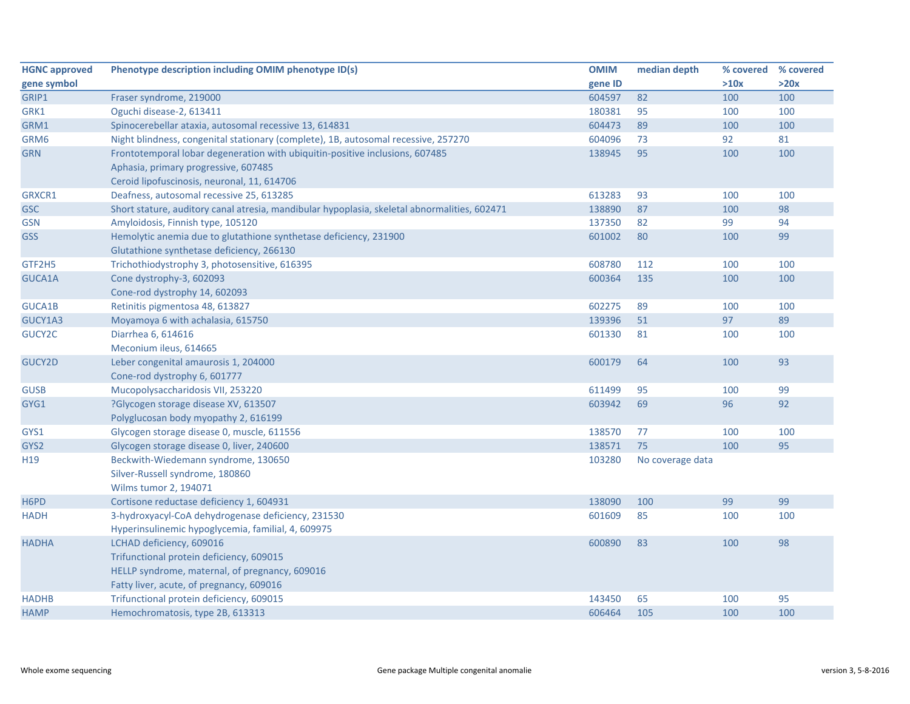| <b>HGNC approved</b> | Phenotype description including OMIM phenotype ID(s)                                         | <b>OMIM</b> | median depth     | % covered % covered |      |
|----------------------|----------------------------------------------------------------------------------------------|-------------|------------------|---------------------|------|
| gene symbol          |                                                                                              | gene ID     |                  | >10x                | >20x |
| GRIP1                | Fraser syndrome, 219000                                                                      | 604597      | 82               | 100                 | 100  |
| GRK1                 | Oguchi disease-2, 613411                                                                     | 180381      | 95               | 100                 | 100  |
| GRM1                 | Spinocerebellar ataxia, autosomal recessive 13, 614831                                       | 604473      | 89               | 100                 | 100  |
| GRM6                 | Night blindness, congenital stationary (complete), 1B, autosomal recessive, 257270           | 604096      | 73               | 92                  | 81   |
| <b>GRN</b>           | Frontotemporal lobar degeneration with ubiquitin-positive inclusions, 607485                 | 138945      | 95               | 100                 | 100  |
|                      | Aphasia, primary progressive, 607485                                                         |             |                  |                     |      |
|                      | Ceroid lipofuscinosis, neuronal, 11, 614706                                                  |             |                  |                     |      |
| GRXCR1               | Deafness, autosomal recessive 25, 613285                                                     | 613283      | 93               | 100                 | 100  |
| GSC                  | Short stature, auditory canal atresia, mandibular hypoplasia, skeletal abnormalities, 602471 | 138890      | 87               | 100                 | 98   |
| <b>GSN</b>           | Amyloidosis, Finnish type, 105120                                                            | 137350      | 82               | 99                  | 94   |
| <b>GSS</b>           | Hemolytic anemia due to glutathione synthetase deficiency, 231900                            | 601002      | 80               | 100                 | 99   |
|                      | Glutathione synthetase deficiency, 266130                                                    |             |                  |                     |      |
| GTF2H5               | Trichothiodystrophy 3, photosensitive, 616395                                                | 608780      | 112              | 100                 | 100  |
| GUCA1A               | Cone dystrophy-3, 602093                                                                     | 600364      | 135              | 100                 | 100  |
|                      | Cone-rod dystrophy 14, 602093                                                                |             |                  |                     |      |
| GUCA1B               | Retinitis pigmentosa 48, 613827                                                              | 602275      | 89               | 100                 | 100  |
| GUCY1A3              | Moyamoya 6 with achalasia, 615750                                                            | 139396      | 51               | 97                  | 89   |
| GUCY2C               | Diarrhea 6, 614616                                                                           | 601330      | 81               | 100                 | 100  |
|                      | Meconium ileus, 614665                                                                       |             |                  |                     |      |
| <b>GUCY2D</b>        | Leber congenital amaurosis 1, 204000                                                         | 600179      | 64               | 100                 | 93   |
|                      | Cone-rod dystrophy 6, 601777                                                                 |             |                  |                     |      |
| <b>GUSB</b>          | Mucopolysaccharidosis VII, 253220                                                            | 611499      | 95               | 100                 | 99   |
| GYG1                 | ?Glycogen storage disease XV, 613507                                                         | 603942      | 69               | 96                  | 92   |
|                      | Polyglucosan body myopathy 2, 616199                                                         |             |                  |                     |      |
| GYS1                 | Glycogen storage disease 0, muscle, 611556                                                   | 138570      | 77               | 100                 | 100  |
| GYS2                 | Glycogen storage disease 0, liver, 240600                                                    | 138571      | 75               | 100                 | 95   |
| H <sub>19</sub>      | Beckwith-Wiedemann syndrome, 130650                                                          | 103280      | No coverage data |                     |      |
|                      | Silver-Russell syndrome, 180860                                                              |             |                  |                     |      |
|                      | Wilms tumor 2, 194071                                                                        |             |                  |                     |      |
| H6PD                 | Cortisone reductase deficiency 1, 604931                                                     | 138090      | 100              | 99                  | 99   |
| <b>HADH</b>          | 3-hydroxyacyl-CoA dehydrogenase deficiency, 231530                                           | 601609      | 85               | 100                 | 100  |
|                      | Hyperinsulinemic hypoglycemia, familial, 4, 609975                                           |             |                  |                     |      |
| <b>HADHA</b>         | LCHAD deficiency, 609016                                                                     | 600890      | 83               | 100                 | 98   |
|                      | Trifunctional protein deficiency, 609015                                                     |             |                  |                     |      |
|                      | HELLP syndrome, maternal, of pregnancy, 609016                                               |             |                  |                     |      |
|                      | Fatty liver, acute, of pregnancy, 609016                                                     |             |                  |                     |      |
| <b>HADHB</b>         | Trifunctional protein deficiency, 609015                                                     | 143450      | 65               | 100                 | 95   |
| <b>HAMP</b>          | Hemochromatosis, type 2B, 613313                                                             | 606464      | 105              | 100                 | 100  |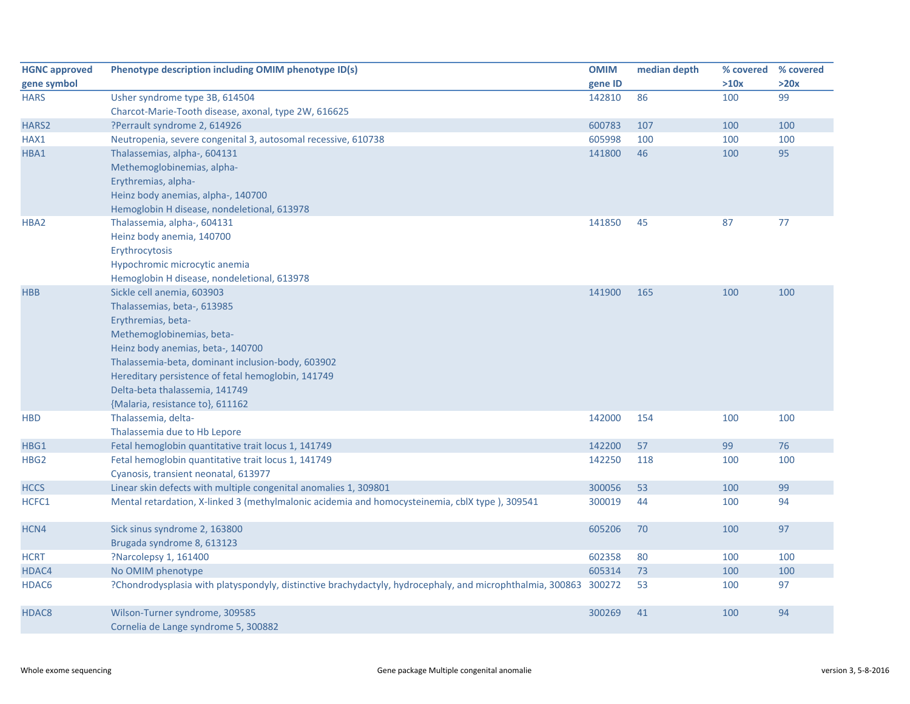| <b>HGNC approved</b> | Phenotype description including OMIM phenotype ID(s)                                                             | <b>OMIM</b> | median depth | % covered | % covered |
|----------------------|------------------------------------------------------------------------------------------------------------------|-------------|--------------|-----------|-----------|
| gene symbol          |                                                                                                                  | gene ID     |              | >10x      | >20x      |
| <b>HARS</b>          | Usher syndrome type 3B, 614504                                                                                   | 142810      | 86           | 100       | 99        |
|                      | Charcot-Marie-Tooth disease, axonal, type 2W, 616625                                                             |             |              |           |           |
| HARS2                | ?Perrault syndrome 2, 614926                                                                                     | 600783      | 107          | 100       | 100       |
| HAX1                 | Neutropenia, severe congenital 3, autosomal recessive, 610738                                                    | 605998      | 100          | 100       | 100       |
| HBA1                 | Thalassemias, alpha-, 604131                                                                                     | 141800      | 46           | 100       | 95        |
|                      | Methemoglobinemias, alpha-                                                                                       |             |              |           |           |
|                      | Erythremias, alpha-                                                                                              |             |              |           |           |
|                      | Heinz body anemias, alpha-, 140700                                                                               |             |              |           |           |
|                      | Hemoglobin H disease, nondeletional, 613978                                                                      |             |              |           |           |
| HBA2                 | Thalassemia, alpha-, 604131                                                                                      | 141850      | 45           | 87        | 77        |
|                      | Heinz body anemia, 140700                                                                                        |             |              |           |           |
|                      | Erythrocytosis                                                                                                   |             |              |           |           |
|                      | Hypochromic microcytic anemia                                                                                    |             |              |           |           |
|                      | Hemoglobin H disease, nondeletional, 613978                                                                      |             |              |           |           |
| <b>HBB</b>           | Sickle cell anemia, 603903                                                                                       | 141900      | 165          | 100       | 100       |
|                      | Thalassemias, beta-, 613985                                                                                      |             |              |           |           |
|                      | Erythremias, beta-                                                                                               |             |              |           |           |
|                      | Methemoglobinemias, beta-                                                                                        |             |              |           |           |
|                      | Heinz body anemias, beta-, 140700                                                                                |             |              |           |           |
|                      | Thalassemia-beta, dominant inclusion-body, 603902                                                                |             |              |           |           |
|                      | Hereditary persistence of fetal hemoglobin, 141749                                                               |             |              |           |           |
|                      | Delta-beta thalassemia, 141749                                                                                   |             |              |           |           |
|                      | {Malaria, resistance to}, 611162                                                                                 |             |              |           |           |
| <b>HBD</b>           | Thalassemia, delta-                                                                                              | 142000      | 154          | 100       | 100       |
|                      | Thalassemia due to Hb Lepore                                                                                     |             |              |           |           |
| HBG1                 | Fetal hemoglobin quantitative trait locus 1, 141749                                                              | 142200      | 57           | 99        | 76        |
| HBG <sub>2</sub>     | Fetal hemoglobin quantitative trait locus 1, 141749                                                              | 142250      | 118          | 100       | 100       |
|                      | Cyanosis, transient neonatal, 613977                                                                             |             |              |           |           |
| <b>HCCS</b>          | Linear skin defects with multiple congenital anomalies 1, 309801                                                 | 300056      | 53           | 100       | 99        |
| HCFC1                | Mental retardation, X-linked 3 (methylmalonic acidemia and homocysteinemia, cblX type), 309541                   | 300019      | 44           | 100       | 94        |
| HCN4                 | Sick sinus syndrome 2, 163800                                                                                    | 605206      | 70           | 100       | 97        |
|                      | Brugada syndrome 8, 613123                                                                                       |             |              |           |           |
| <b>HCRT</b>          | ?Narcolepsy 1, 161400                                                                                            | 602358      | 80           | 100       | 100       |
| HDAC4                | No OMIM phenotype                                                                                                | 605314      | 73           | 100       | 100       |
| HDAC6                | ?Chondrodysplasia with platyspondyly, distinctive brachydactyly, hydrocephaly, and microphthalmia, 300863 300272 |             | 53           | 100       | 97        |
| HDAC8                | Wilson-Turner syndrome, 309585                                                                                   | 300269      | 41           | 100       | 94        |
|                      | Cornelia de Lange syndrome 5, 300882                                                                             |             |              |           |           |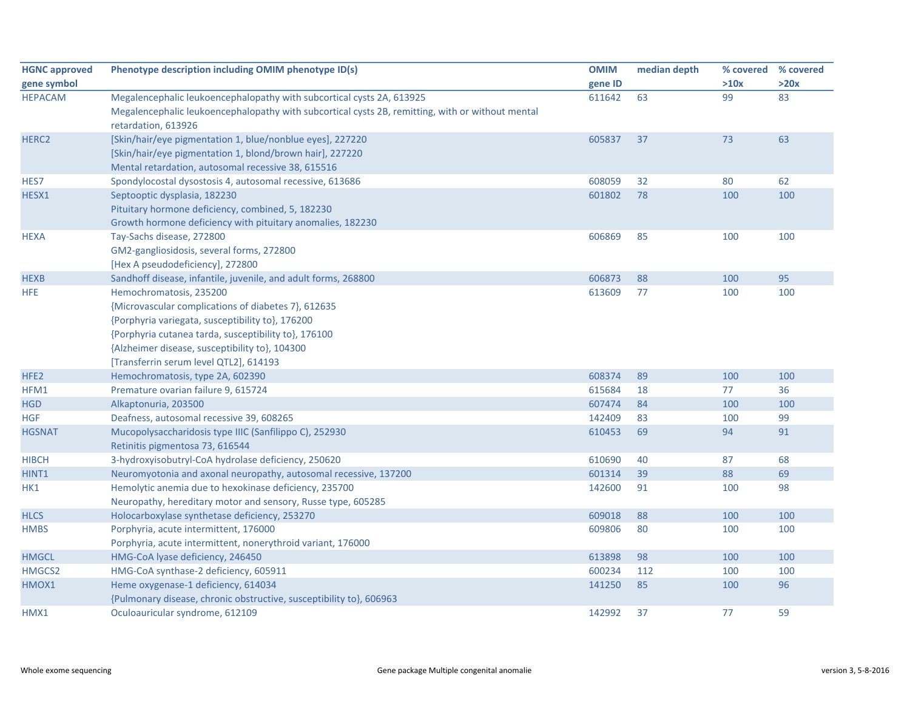| <b>HGNC approved</b> | Phenotype description including OMIM phenotype ID(s)                                             | <b>OMIM</b> | median depth | % covered | % covered |
|----------------------|--------------------------------------------------------------------------------------------------|-------------|--------------|-----------|-----------|
| gene symbol          |                                                                                                  | gene ID     |              | >10x      | >20x      |
| <b>HEPACAM</b>       | Megalencephalic leukoencephalopathy with subcortical cysts 2A, 613925                            | 611642      | 63           | 99        | 83        |
|                      | Megalencephalic leukoencephalopathy with subcortical cysts 2B, remitting, with or without mental |             |              |           |           |
|                      | retardation, 613926                                                                              |             |              |           |           |
| HERC2                | [Skin/hair/eye pigmentation 1, blue/nonblue eyes], 227220                                        | 605837      | 37           | 73        | 63        |
|                      | [Skin/hair/eye pigmentation 1, blond/brown hair], 227220                                         |             |              |           |           |
|                      | Mental retardation, autosomal recessive 38, 615516                                               |             |              |           |           |
| HES7                 | Spondylocostal dysostosis 4, autosomal recessive, 613686                                         | 608059      | 32           | 80        | 62        |
| HESX1                | Septooptic dysplasia, 182230                                                                     | 601802      | 78           | 100       | 100       |
|                      | Pituitary hormone deficiency, combined, 5, 182230                                                |             |              |           |           |
|                      | Growth hormone deficiency with pituitary anomalies, 182230                                       |             |              |           |           |
| <b>HEXA</b>          | Tay-Sachs disease, 272800                                                                        | 606869      | 85           | 100       | 100       |
|                      | GM2-gangliosidosis, several forms, 272800                                                        |             |              |           |           |
|                      | [Hex A pseudodeficiency], 272800                                                                 |             |              |           |           |
| <b>HEXB</b>          | Sandhoff disease, infantile, juvenile, and adult forms, 268800                                   | 606873      | 88           | 100       | 95        |
| <b>HFE</b>           | Hemochromatosis, 235200                                                                          | 613609      | 77           | 100       | 100       |
|                      | {Microvascular complications of diabetes 7}, 612635                                              |             |              |           |           |
|                      | {Porphyria variegata, susceptibility to}, 176200                                                 |             |              |           |           |
|                      | {Porphyria cutanea tarda, susceptibility to}, 176100                                             |             |              |           |           |
|                      | {Alzheimer disease, susceptibility to}, 104300                                                   |             |              |           |           |
|                      | [Transferrin serum level QTL2], 614193                                                           |             |              |           |           |
| HFE <sub>2</sub>     | Hemochromatosis, type 2A, 602390                                                                 | 608374      | 89           | 100       | 100       |
| HFM1                 | Premature ovarian failure 9, 615724                                                              | 615684      | 18           | 77        | 36        |
| <b>HGD</b>           | Alkaptonuria, 203500                                                                             | 607474      | 84           | 100       | 100       |
| <b>HGF</b>           | Deafness, autosomal recessive 39, 608265                                                         | 142409      | 83           | 100       | 99        |
| <b>HGSNAT</b>        | Mucopolysaccharidosis type IIIC (Sanfilippo C), 252930                                           | 610453      | 69           | 94        | 91        |
|                      | Retinitis pigmentosa 73, 616544                                                                  |             |              |           |           |
| <b>HIBCH</b>         | 3-hydroxyisobutryl-CoA hydrolase deficiency, 250620                                              | 610690      | 40           | 87        | 68        |
| HINT1                | Neuromyotonia and axonal neuropathy, autosomal recessive, 137200                                 | 601314      | 39           | 88        | 69        |
| HK1                  | Hemolytic anemia due to hexokinase deficiency, 235700                                            | 142600      | 91           | 100       | 98        |
|                      | Neuropathy, hereditary motor and sensory, Russe type, 605285                                     |             |              |           |           |
| <b>HLCS</b>          | Holocarboxylase synthetase deficiency, 253270                                                    | 609018      | 88           | 100       | 100       |
| <b>HMBS</b>          | Porphyria, acute intermittent, 176000                                                            | 609806      | 80           | 100       | 100       |
|                      | Porphyria, acute intermittent, nonerythroid variant, 176000                                      |             |              |           |           |
| <b>HMGCL</b>         | HMG-CoA lyase deficiency, 246450                                                                 | 613898      | 98           | 100       | 100       |
| HMGCS2               | HMG-CoA synthase-2 deficiency, 605911                                                            | 600234      | 112          | 100       | 100       |
| HMOX1                | Heme oxygenase-1 deficiency, 614034                                                              | 141250      | 85           | 100       | 96        |
|                      | {Pulmonary disease, chronic obstructive, susceptibility to}, 606963                              |             |              |           |           |
| HMX1                 | Oculoauricular syndrome, 612109                                                                  | 142992      | 37           | 77        | 59        |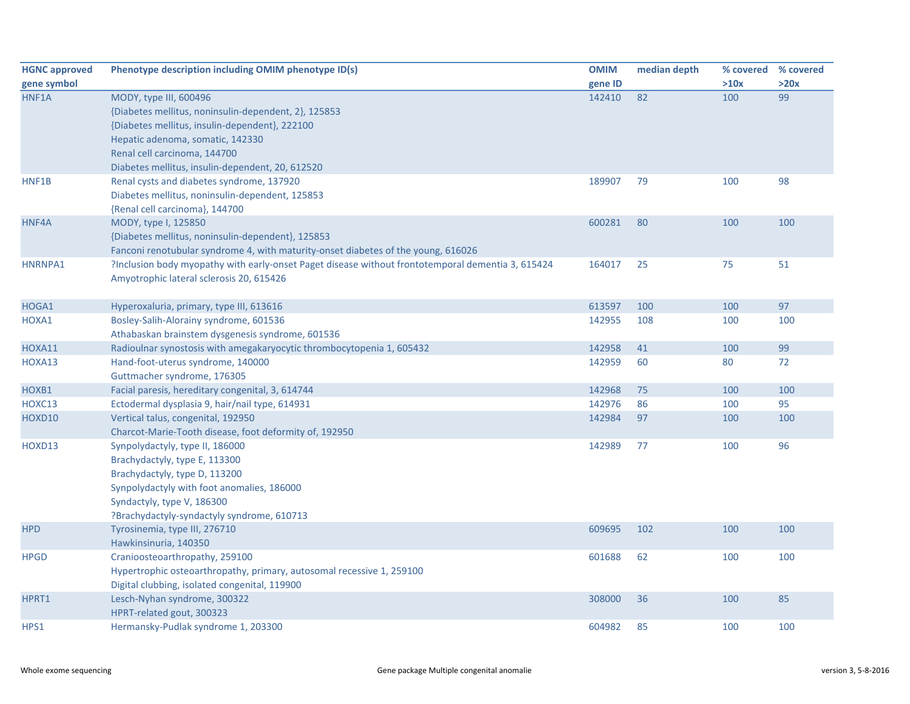| <b>HGNC approved</b> | Phenotype description including OMIM phenotype ID(s)                                              | <b>OMIM</b> | median depth | % covered | % covered |
|----------------------|---------------------------------------------------------------------------------------------------|-------------|--------------|-----------|-----------|
| gene symbol          |                                                                                                   | gene ID     |              | >10x      | >20x      |
| HNF1A                | MODY, type III, 600496                                                                            | 142410      | 82           | 100       | 99        |
|                      | {Diabetes mellitus, noninsulin-dependent, 2}, 125853                                              |             |              |           |           |
|                      | {Diabetes mellitus, insulin-dependent}, 222100                                                    |             |              |           |           |
|                      | Hepatic adenoma, somatic, 142330                                                                  |             |              |           |           |
|                      | Renal cell carcinoma, 144700                                                                      |             |              |           |           |
|                      | Diabetes mellitus, insulin-dependent, 20, 612520                                                  |             |              |           |           |
| HNF1B                | Renal cysts and diabetes syndrome, 137920                                                         | 189907      | 79           | 100       | 98        |
|                      | Diabetes mellitus, noninsulin-dependent, 125853                                                   |             |              |           |           |
|                      | {Renal cell carcinoma}, 144700                                                                    |             |              |           |           |
| HNF4A                | MODY, type I, 125850                                                                              | 600281      | 80           | 100       | 100       |
|                      | {Diabetes mellitus, noninsulin-dependent}, 125853                                                 |             |              |           |           |
|                      | Fanconi renotubular syndrome 4, with maturity-onset diabetes of the young, 616026                 |             |              |           |           |
| HNRNPA1              | ?Inclusion body myopathy with early-onset Paget disease without frontotemporal dementia 3, 615424 | 164017      | 25           | 75        | 51        |
|                      | Amyotrophic lateral sclerosis 20, 615426                                                          |             |              |           |           |
|                      |                                                                                                   |             |              |           |           |
| HOGA1                | Hyperoxaluria, primary, type III, 613616                                                          | 613597      | 100          | 100       | 97        |
| HOXA1                | Bosley-Salih-Alorainy syndrome, 601536                                                            | 142955      | 108          | 100       | 100       |
|                      | Athabaskan brainstem dysgenesis syndrome, 601536                                                  |             |              |           |           |
| HOXA11               | Radioulnar synostosis with amegakaryocytic thrombocytopenia 1, 605432                             | 142958      | 41           | 100       | 99        |
| HOXA13               | Hand-foot-uterus syndrome, 140000                                                                 | 142959      | 60           | 80        | 72        |
|                      | Guttmacher syndrome, 176305                                                                       |             |              |           |           |
| HOXB1                | Facial paresis, hereditary congenital, 3, 614744                                                  | 142968      | 75           | 100       | 100       |
| HOXC13               | Ectodermal dysplasia 9, hair/nail type, 614931                                                    | 142976      | 86           | 100       | 95        |
| HOXD10               | Vertical talus, congenital, 192950                                                                | 142984      | 97           | 100       | 100       |
|                      | Charcot-Marie-Tooth disease, foot deformity of, 192950                                            |             |              |           |           |
| HOXD13               | Synpolydactyly, type II, 186000                                                                   | 142989      | 77           | 100       | 96        |
|                      | Brachydactyly, type E, 113300                                                                     |             |              |           |           |
|                      | Brachydactyly, type D, 113200                                                                     |             |              |           |           |
|                      | Synpolydactyly with foot anomalies, 186000                                                        |             |              |           |           |
|                      | Syndactyly, type V, 186300                                                                        |             |              |           |           |
|                      | ?Brachydactyly-syndactyly syndrome, 610713                                                        |             |              |           |           |
| <b>HPD</b>           | Tyrosinemia, type III, 276710                                                                     | 609695      | 102          | 100       | 100       |
|                      | Hawkinsinuria, 140350                                                                             |             |              |           |           |
| <b>HPGD</b>          | Cranioosteoarthropathy, 259100                                                                    | 601688      | 62           | 100       | 100       |
|                      | Hypertrophic osteoarthropathy, primary, autosomal recessive 1, 259100                             |             |              |           |           |
|                      | Digital clubbing, isolated congenital, 119900                                                     |             |              |           |           |
| HPRT1                | Lesch-Nyhan syndrome, 300322                                                                      | 308000      | 36           | 100       | 85        |
|                      | HPRT-related gout, 300323                                                                         |             |              |           |           |
| HPS1                 | Hermansky-Pudlak syndrome 1, 203300                                                               | 604982      | 85           | 100       | 100       |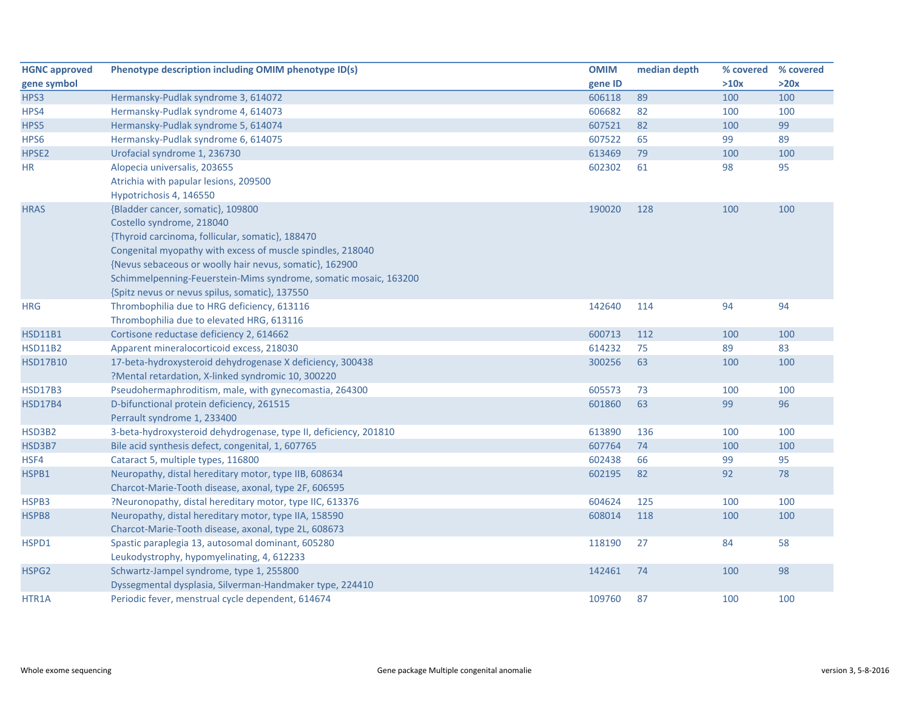| <b>HGNC approved</b> | Phenotype description including OMIM phenotype ID(s)             | <b>OMIM</b> | median depth | % covered % covered |      |
|----------------------|------------------------------------------------------------------|-------------|--------------|---------------------|------|
| gene symbol          |                                                                  | gene ID     |              | >10x                | >20x |
| HPS3                 | Hermansky-Pudlak syndrome 3, 614072                              | 606118      | 89           | 100                 | 100  |
| HPS4                 | Hermansky-Pudlak syndrome 4, 614073                              | 606682      | 82           | 100                 | 100  |
| HPS5                 | Hermansky-Pudlak syndrome 5, 614074                              | 607521      | 82           | 100                 | 99   |
| HPS6                 | Hermansky-Pudlak syndrome 6, 614075                              | 607522      | 65           | 99                  | 89   |
| HPSE2                | Urofacial syndrome 1, 236730                                     | 613469      | 79           | 100                 | 100  |
| <b>HR</b>            | Alopecia universalis, 203655                                     | 602302      | 61           | 98                  | 95   |
|                      | Atrichia with papular lesions, 209500                            |             |              |                     |      |
|                      | Hypotrichosis 4, 146550                                          |             |              |                     |      |
| <b>HRAS</b>          | {Bladder cancer, somatic}, 109800                                | 190020      | 128          | 100                 | 100  |
|                      | Costello syndrome, 218040                                        |             |              |                     |      |
|                      | {Thyroid carcinoma, follicular, somatic}, 188470                 |             |              |                     |      |
|                      | Congenital myopathy with excess of muscle spindles, 218040       |             |              |                     |      |
|                      | {Nevus sebaceous or woolly hair nevus, somatic}, 162900          |             |              |                     |      |
|                      | Schimmelpenning-Feuerstein-Mims syndrome, somatic mosaic, 163200 |             |              |                     |      |
|                      | {Spitz nevus or nevus spilus, somatic}, 137550                   |             |              |                     |      |
| <b>HRG</b>           | Thrombophilia due to HRG deficiency, 613116                      | 142640      | 114          | 94                  | 94   |
|                      | Thrombophilia due to elevated HRG, 613116                        |             |              |                     |      |
| <b>HSD11B1</b>       | Cortisone reductase deficiency 2, 614662                         | 600713      | 112          | 100                 | 100  |
| <b>HSD11B2</b>       | Apparent mineralocorticoid excess, 218030                        | 614232      | 75           | 89                  | 83   |
| <b>HSD17B10</b>      | 17-beta-hydroxysteroid dehydrogenase X deficiency, 300438        | 300256      | 63           | 100                 | 100  |
|                      | ?Mental retardation, X-linked syndromic 10, 300220               |             |              |                     |      |
| <b>HSD17B3</b>       | Pseudohermaphroditism, male, with gynecomastia, 264300           | 605573      | 73           | 100                 | 100  |
| <b>HSD17B4</b>       | D-bifunctional protein deficiency, 261515                        | 601860      | 63           | 99                  | 96   |
|                      | Perrault syndrome 1, 233400                                      |             |              |                     |      |
| HSD3B2               | 3-beta-hydroxysteroid dehydrogenase, type II, deficiency, 201810 | 613890      | 136          | 100                 | 100  |
| HSD3B7               | Bile acid synthesis defect, congenital, 1, 607765                | 607764      | 74           | 100                 | 100  |
| HSF4                 | Cataract 5, multiple types, 116800                               | 602438      | 66           | 99                  | 95   |
| HSPB1                | Neuropathy, distal hereditary motor, type IIB, 608634            | 602195      | 82           | 92                  | 78   |
|                      | Charcot-Marie-Tooth disease, axonal, type 2F, 606595             |             |              |                     |      |
| HSPB3                | ?Neuronopathy, distal hereditary motor, type IIC, 613376         | 604624      | 125          | 100                 | 100  |
| HSPB8                | Neuropathy, distal hereditary motor, type IIA, 158590            | 608014      | 118          | 100                 | 100  |
|                      | Charcot-Marie-Tooth disease, axonal, type 2L, 608673             |             |              |                     |      |
| HSPD1                | Spastic paraplegia 13, autosomal dominant, 605280                | 118190      | 27           | 84                  | 58   |
|                      | Leukodystrophy, hypomyelinating, 4, 612233                       |             |              |                     |      |
| HSPG2                | Schwartz-Jampel syndrome, type 1, 255800                         | 142461      | 74           | 100                 | 98   |
|                      | Dyssegmental dysplasia, Silverman-Handmaker type, 224410         |             |              |                     |      |
| HTR1A                | Periodic fever, menstrual cycle dependent, 614674                | 109760      | 87           | 100                 | 100  |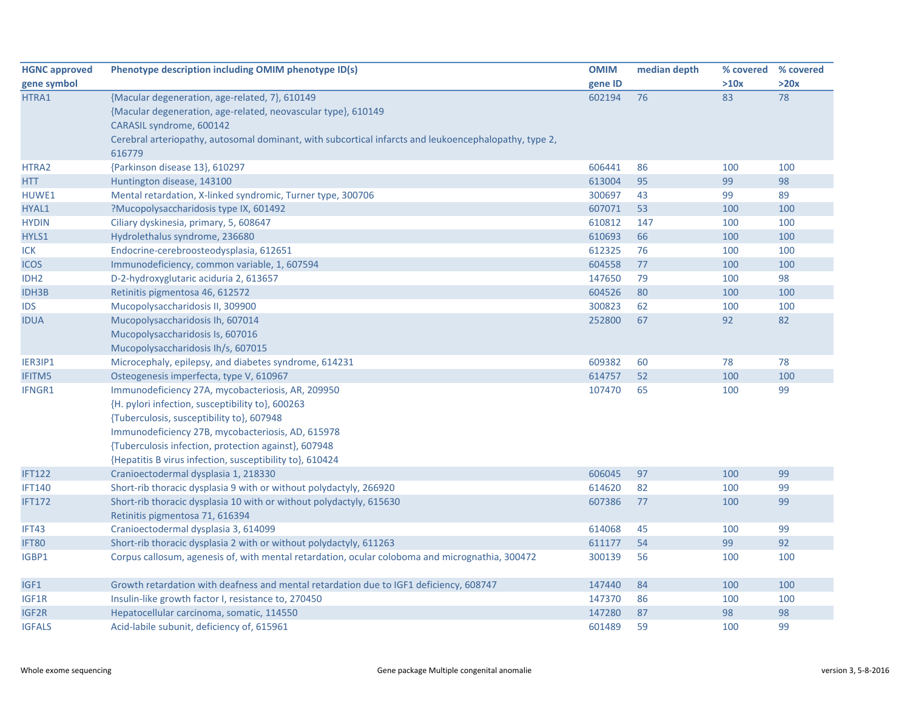| <b>HGNC approved</b> | Phenotype description including OMIM phenotype ID(s)                                                  | <b>OMIM</b> | median depth | % covered | % covered |
|----------------------|-------------------------------------------------------------------------------------------------------|-------------|--------------|-----------|-----------|
| gene symbol          |                                                                                                       | gene ID     |              | >10x      | >20x      |
| HTRA1                | {Macular degeneration, age-related, 7}, 610149                                                        | 602194      | 76           | 83        | 78        |
|                      | {Macular degeneration, age-related, neovascular type}, 610149                                         |             |              |           |           |
|                      | CARASIL syndrome, 600142                                                                              |             |              |           |           |
|                      | Cerebral arteriopathy, autosomal dominant, with subcortical infarcts and leukoencephalopathy, type 2, |             |              |           |           |
|                      | 616779                                                                                                |             |              |           |           |
| HTRA2                | {Parkinson disease 13}, 610297                                                                        | 606441      | 86           | 100       | 100       |
| <b>HTT</b>           | Huntington disease, 143100                                                                            | 613004      | 95           | 99        | 98        |
| HUWE1                | Mental retardation, X-linked syndromic, Turner type, 300706                                           | 300697      | 43           | 99        | 89        |
| HYAL1                | ?Mucopolysaccharidosis type IX, 601492                                                                | 607071      | 53           | 100       | 100       |
| <b>HYDIN</b>         | Ciliary dyskinesia, primary, 5, 608647                                                                | 610812      | 147          | 100       | 100       |
| HYLS1                | Hydrolethalus syndrome, 236680                                                                        | 610693      | 66           | 100       | 100       |
| <b>ICK</b>           | Endocrine-cerebroosteodysplasia, 612651                                                               | 612325      | 76           | 100       | 100       |
| <b>ICOS</b>          | Immunodeficiency, common variable, 1, 607594                                                          | 604558      | 77           | 100       | 100       |
| IDH <sub>2</sub>     | D-2-hydroxyglutaric aciduria 2, 613657                                                                | 147650      | 79           | 100       | 98        |
| <b>IDH3B</b>         | Retinitis pigmentosa 46, 612572                                                                       | 604526      | 80           | 100       | 100       |
| IDS                  | Mucopolysaccharidosis II, 309900                                                                      | 300823      | 62           | 100       | 100       |
| <b>IDUA</b>          | Mucopolysaccharidosis Ih, 607014                                                                      | 252800      | 67           | 92        | 82        |
|                      | Mucopolysaccharidosis Is, 607016                                                                      |             |              |           |           |
|                      | Mucopolysaccharidosis Ih/s, 607015                                                                    |             |              |           |           |
| IER3IP1              | Microcephaly, epilepsy, and diabetes syndrome, 614231                                                 | 609382      | 60           | 78        | 78        |
| IFITM5               | Osteogenesis imperfecta, type V, 610967                                                               | 614757      | 52           | 100       | 100       |
| IFNGR1               | Immunodeficiency 27A, mycobacteriosis, AR, 209950                                                     | 107470      | 65           | 100       | 99        |
|                      | {H. pylori infection, susceptibility to}, 600263                                                      |             |              |           |           |
|                      | {Tuberculosis, susceptibility to}, 607948                                                             |             |              |           |           |
|                      | Immunodeficiency 27B, mycobacteriosis, AD, 615978                                                     |             |              |           |           |
|                      | {Tuberculosis infection, protection against}, 607948                                                  |             |              |           |           |
|                      | {Hepatitis B virus infection, susceptibility to}, 610424                                              |             |              |           |           |
| <b>IFT122</b>        | Cranioectodermal dysplasia 1, 218330                                                                  | 606045      | 97           | 100       | 99        |
| <b>IFT140</b>        | Short-rib thoracic dysplasia 9 with or without polydactyly, 266920                                    | 614620      | 82           | 100       | 99        |
| <b>IFT172</b>        | Short-rib thoracic dysplasia 10 with or without polydactyly, 615630                                   | 607386      | 77           | 100       | 99        |
|                      | Retinitis pigmentosa 71, 616394                                                                       |             |              |           |           |
| IFT43                | Cranioectodermal dysplasia 3, 614099                                                                  | 614068      | 45           | 100       | 99        |
| IFT80                | Short-rib thoracic dysplasia 2 with or without polydactyly, 611263                                    | 611177      | 54           | 99        | 92        |
| IGBP1                | Corpus callosum, agenesis of, with mental retardation, ocular coloboma and micrognathia, 300472       | 300139      | 56           | 100       | 100       |
| IGF1                 | Growth retardation with deafness and mental retardation due to IGF1 deficiency, 608747                | 147440      | 84           | 100       | 100       |
| IGF1R                | Insulin-like growth factor I, resistance to, 270450                                                   | 147370      | 86           | 100       | 100       |
| IGF2R                | Hepatocellular carcinoma, somatic, 114550                                                             | 147280      | 87           | 98        | 98        |
| <b>IGFALS</b>        | Acid-labile subunit, deficiency of, 615961                                                            | 601489      | 59           | 100       | 99        |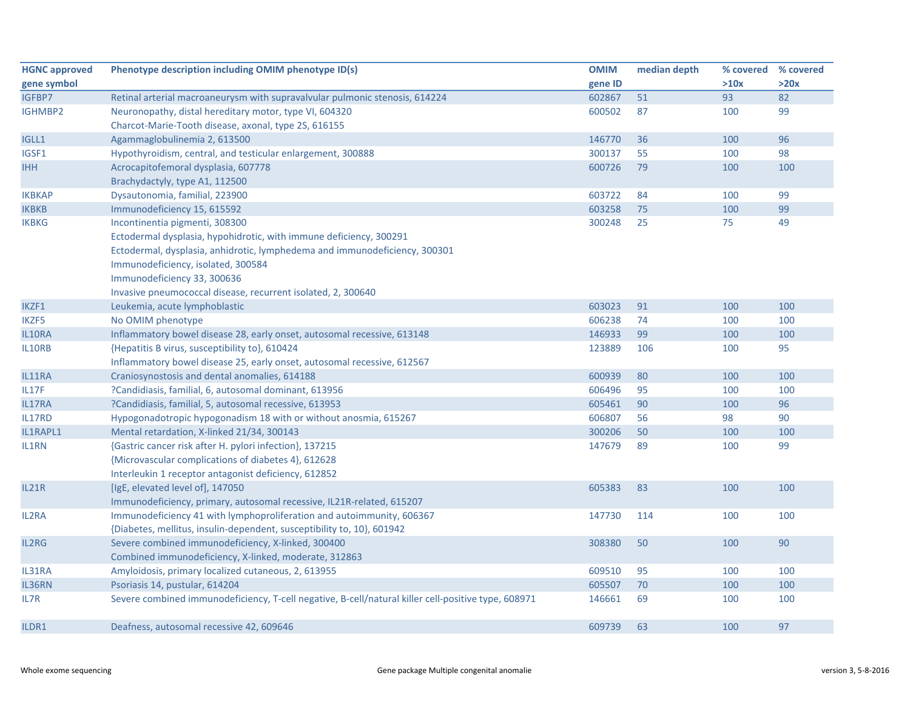| <b>HGNC approved</b> | Phenotype description including OMIM phenotype ID(s)                                                | <b>OMIM</b> | median depth | % covered | % covered |
|----------------------|-----------------------------------------------------------------------------------------------------|-------------|--------------|-----------|-----------|
| gene symbol          |                                                                                                     | gene ID     |              | >10x      | >20x      |
| IGFBP7               | Retinal arterial macroaneurysm with supravalvular pulmonic stenosis, 614224                         | 602867      | 51           | 93        | 82        |
| <b>IGHMBP2</b>       | Neuronopathy, distal hereditary motor, type VI, 604320                                              | 600502      | 87           | 100       | 99        |
|                      | Charcot-Marie-Tooth disease, axonal, type 2S, 616155                                                |             |              |           |           |
| IGLL1                | Agammaglobulinemia 2, 613500                                                                        | 146770      | 36           | 100       | 96        |
| IGSF1                | Hypothyroidism, central, and testicular enlargement, 300888                                         | 300137      | 55           | 100       | 98        |
| <b>IHH</b>           | Acrocapitofemoral dysplasia, 607778                                                                 | 600726      | 79           | 100       | 100       |
|                      | Brachydactyly, type A1, 112500                                                                      |             |              |           |           |
| <b>IKBKAP</b>        | Dysautonomia, familial, 223900                                                                      | 603722      | 84           | 100       | 99        |
| <b>IKBKB</b>         | Immunodeficiency 15, 615592                                                                         | 603258      | 75           | 100       | 99        |
| <b>IKBKG</b>         | Incontinentia pigmenti, 308300                                                                      | 300248      | 25           | 75        | 49        |
|                      | Ectodermal dysplasia, hypohidrotic, with immune deficiency, 300291                                  |             |              |           |           |
|                      | Ectodermal, dysplasia, anhidrotic, lymphedema and immunodeficiency, 300301                          |             |              |           |           |
|                      | Immunodeficiency, isolated, 300584                                                                  |             |              |           |           |
|                      | Immunodeficiency 33, 300636                                                                         |             |              |           |           |
|                      | Invasive pneumococcal disease, recurrent isolated, 2, 300640                                        |             |              |           |           |
| IKZF1                | Leukemia, acute lymphoblastic                                                                       | 603023      | 91           | 100       | 100       |
| IKZF5                | No OMIM phenotype                                                                                   | 606238      | 74           | 100       | 100       |
| IL10RA               | Inflammatory bowel disease 28, early onset, autosomal recessive, 613148                             | 146933      | 99           | 100       | 100       |
| IL10RB               | {Hepatitis B virus, susceptibility to}, 610424                                                      | 123889      | 106          | 100       | 95        |
|                      | Inflammatory bowel disease 25, early onset, autosomal recessive, 612567                             |             |              |           |           |
| IL11RA               | Craniosynostosis and dental anomalies, 614188                                                       | 600939      | 80           | 100       | 100       |
| IL17F                | ?Candidiasis, familial, 6, autosomal dominant, 613956                                               | 606496      | 95           | 100       | 100       |
| IL17RA               | ?Candidiasis, familial, 5, autosomal recessive, 613953                                              | 605461      | 90           | 100       | 96        |
| IL17RD               | Hypogonadotropic hypogonadism 18 with or without anosmia, 615267                                    | 606807      | 56           | 98        | 90        |
| IL1RAPL1             | Mental retardation, X-linked 21/34, 300143                                                          | 300206      | 50           | 100       | 100       |
| IL1RN                | {Gastric cancer risk after H. pylori infection}, 137215                                             | 147679      | 89           | 100       | 99        |
|                      | {Microvascular complications of diabetes 4}, 612628                                                 |             |              |           |           |
|                      | Interleukin 1 receptor antagonist deficiency, 612852                                                |             |              |           |           |
| IL21R                | [IgE, elevated level of], 147050                                                                    | 605383      | 83           | 100       | 100       |
|                      | Immunodeficiency, primary, autosomal recessive, IL21R-related, 615207                               |             |              |           |           |
| IL2RA                | Immunodeficiency 41 with lymphoproliferation and autoimmunity, 606367                               | 147730      | 114          | 100       | 100       |
|                      | {Diabetes, mellitus, insulin-dependent, susceptibility to, 10}, 601942                              |             |              |           |           |
| IL2RG                | Severe combined immunodeficiency, X-linked, 300400                                                  | 308380      | 50           | 100       | 90        |
|                      | Combined immunodeficiency, X-linked, moderate, 312863                                               |             |              |           |           |
| IL31RA               | Amyloidosis, primary localized cutaneous, 2, 613955                                                 | 609510      | 95           | 100       | 100       |
| IL36RN               | Psoriasis 14, pustular, 614204                                                                      | 605507      | 70           | 100       | 100       |
| IL7R                 | Severe combined immunodeficiency, T-cell negative, B-cell/natural killer cell-positive type, 608971 | 146661      | 69           | 100       | 100       |
| ILDR1                | Deafness, autosomal recessive 42, 609646                                                            | 609739      | 63           | 100       | 97        |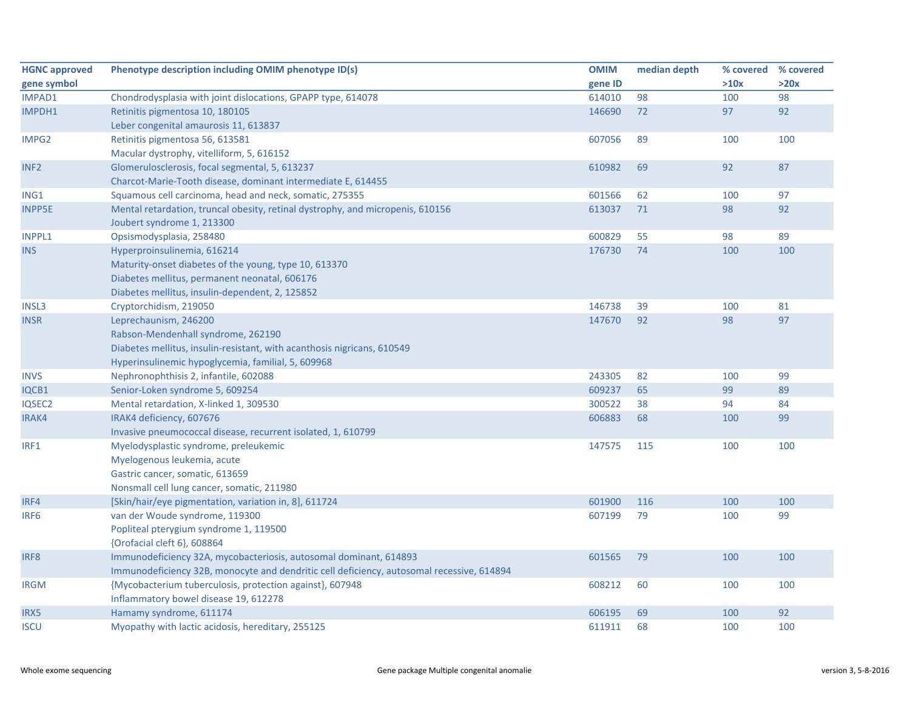| <b>HGNC approved</b> | Phenotype description including OMIM phenotype ID(s)                                      | <b>OMIM</b> | median depth | % covered | % covered |
|----------------------|-------------------------------------------------------------------------------------------|-------------|--------------|-----------|-----------|
| gene symbol          |                                                                                           | gene ID     |              | >10x      | >20x      |
| <b>IMPAD1</b>        | Chondrodysplasia with joint dislocations, GPAPP type, 614078                              | 614010      | 98           | 100       | 98        |
| IMPDH1               | Retinitis pigmentosa 10, 180105                                                           | 146690      | 72           | 97        | 92        |
|                      | Leber congenital amaurosis 11, 613837                                                     |             |              |           |           |
| IMPG2                | Retinitis pigmentosa 56, 613581                                                           | 607056      | 89           | 100       | 100       |
|                      | Macular dystrophy, vitelliform, 5, 616152                                                 |             |              |           |           |
| INF <sub>2</sub>     | Glomerulosclerosis, focal segmental, 5, 613237                                            | 610982      | 69           | 92        | 87        |
|                      | Charcot-Marie-Tooth disease, dominant intermediate E, 614455                              |             |              |           |           |
| ING1                 | Squamous cell carcinoma, head and neck, somatic, 275355                                   | 601566      | 62           | 100       | 97        |
| <b>INPP5E</b>        | Mental retardation, truncal obesity, retinal dystrophy, and micropenis, 610156            | 613037      | 71           | 98        | 92        |
|                      | Joubert syndrome 1, 213300                                                                |             |              |           |           |
| INPPL1               | Opsismodysplasia, 258480                                                                  | 600829      | 55           | 98        | 89        |
| <b>INS</b>           | Hyperproinsulinemia, 616214                                                               | 176730      | 74           | 100       | 100       |
|                      | Maturity-onset diabetes of the young, type 10, 613370                                     |             |              |           |           |
|                      | Diabetes mellitus, permanent neonatal, 606176                                             |             |              |           |           |
|                      | Diabetes mellitus, insulin-dependent, 2, 125852                                           |             |              |           |           |
| INSL3                | Cryptorchidism, 219050                                                                    | 146738      | 39           | 100       | 81        |
| <b>INSR</b>          | Leprechaunism, 246200                                                                     | 147670      | 92           | 98        | 97        |
|                      | Rabson-Mendenhall syndrome, 262190                                                        |             |              |           |           |
|                      | Diabetes mellitus, insulin-resistant, with acanthosis nigricans, 610549                   |             |              |           |           |
|                      | Hyperinsulinemic hypoglycemia, familial, 5, 609968                                        |             |              |           |           |
| <b>INVS</b>          | Nephronophthisis 2, infantile, 602088                                                     | 243305      | 82           | 100       | 99        |
| IQCB1                | Senior-Loken syndrome 5, 609254                                                           | 609237      | 65           | 99        | 89        |
| IQSEC2               | Mental retardation, X-linked 1, 309530                                                    | 300522      | 38           | 94        | 84        |
| IRAK4                | IRAK4 deficiency, 607676                                                                  | 606883      | 68           | 100       | 99        |
|                      | Invasive pneumococcal disease, recurrent isolated, 1, 610799                              |             |              |           |           |
| IRF1                 | Myelodysplastic syndrome, preleukemic                                                     | 147575      | 115          | 100       | 100       |
|                      | Myelogenous leukemia, acute                                                               |             |              |           |           |
|                      | Gastric cancer, somatic, 613659                                                           |             |              |           |           |
|                      | Nonsmall cell lung cancer, somatic, 211980                                                |             |              |           |           |
| IRF4                 | [Skin/hair/eye pigmentation, variation in, 8], 611724                                     | 601900      | 116          | 100       | 100       |
| IRF <sub>6</sub>     | van der Woude syndrome, 119300                                                            | 607199      | 79           | 100       | 99        |
|                      | Popliteal pterygium syndrome 1, 119500                                                    |             |              |           |           |
|                      | {Orofacial cleft 6}, 608864                                                               |             |              |           |           |
| IRF8                 | Immunodeficiency 32A, mycobacteriosis, autosomal dominant, 614893                         | 601565      | 79           | 100       | 100       |
|                      | Immunodeficiency 32B, monocyte and dendritic cell deficiency, autosomal recessive, 614894 |             |              |           |           |
| <b>IRGM</b>          | {Mycobacterium tuberculosis, protection against}, 607948                                  | 608212      | 60           | 100       | 100       |
|                      | Inflammatory bowel disease 19, 612278                                                     |             |              |           |           |
| IRX5                 | Hamamy syndrome, 611174                                                                   | 606195      | 69           | 100       | 92        |
| <b>ISCU</b>          | Myopathy with lactic acidosis, hereditary, 255125                                         | 611911      | 68           | 100       | 100       |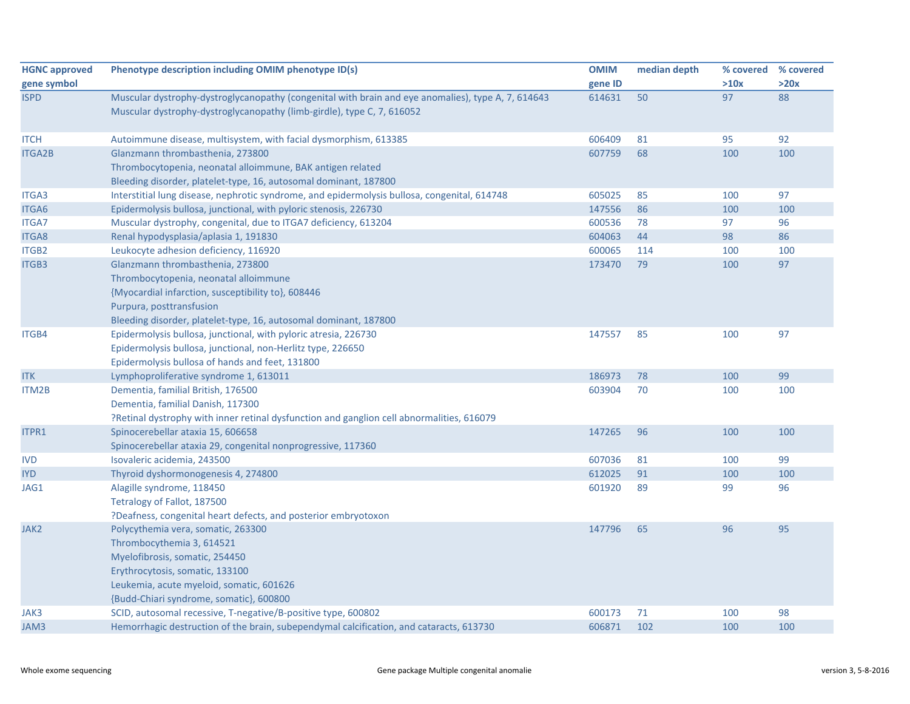| <b>HGNC approved</b> | Phenotype description including OMIM phenotype ID(s)                                               | <b>OMIM</b> | median depth | % covered | % covered |
|----------------------|----------------------------------------------------------------------------------------------------|-------------|--------------|-----------|-----------|
| gene symbol          |                                                                                                    | gene ID     |              | >10x      | >20x      |
| <b>ISPD</b>          | Muscular dystrophy-dystroglycanopathy (congenital with brain and eye anomalies), type A, 7, 614643 | 614631      | 50           | 97        | 88        |
|                      | Muscular dystrophy-dystroglycanopathy (limb-girdle), type C, 7, 616052                             |             |              |           |           |
| <b>ITCH</b>          | Autoimmune disease, multisystem, with facial dysmorphism, 613385                                   | 606409      | 81           | 95        | 92        |
| <b>ITGA2B</b>        | Glanzmann thrombasthenia, 273800                                                                   | 607759      | 68           | 100       | 100       |
|                      | Thrombocytopenia, neonatal alloimmune, BAK antigen related                                         |             |              |           |           |
|                      | Bleeding disorder, platelet-type, 16, autosomal dominant, 187800                                   |             |              |           |           |
| ITGA3                | Interstitial lung disease, nephrotic syndrome, and epidermolysis bullosa, congenital, 614748       | 605025      | 85           | 100       | 97        |
| ITGA6                | Epidermolysis bullosa, junctional, with pyloric stenosis, 226730                                   | 147556      | 86           | 100       | 100       |
| <b>ITGA7</b>         | Muscular dystrophy, congenital, due to ITGA7 deficiency, 613204                                    | 600536      | 78           | 97        | 96        |
| ITGA8                | Renal hypodysplasia/aplasia 1, 191830                                                              | 604063      | 44           | 98        | 86        |
| ITGB2                | Leukocyte adhesion deficiency, 116920                                                              | 600065      | 114          | 100       | 100       |
| <b>ITGB3</b>         | Glanzmann thrombasthenia, 273800                                                                   | 173470      | 79           | 100       | 97        |
|                      | Thrombocytopenia, neonatal alloimmune                                                              |             |              |           |           |
|                      | {Myocardial infarction, susceptibility to}, 608446                                                 |             |              |           |           |
|                      | Purpura, posttransfusion                                                                           |             |              |           |           |
|                      | Bleeding disorder, platelet-type, 16, autosomal dominant, 187800                                   |             |              |           |           |
| ITGB4                | Epidermolysis bullosa, junctional, with pyloric atresia, 226730                                    | 147557      | 85           | 100       | 97        |
|                      | Epidermolysis bullosa, junctional, non-Herlitz type, 226650                                        |             |              |           |           |
|                      | Epidermolysis bullosa of hands and feet, 131800                                                    |             |              |           |           |
| <b>ITK</b>           | Lymphoproliferative syndrome 1, 613011                                                             | 186973      | 78           | 100       | 99        |
| <b>ITM2B</b>         | Dementia, familial British, 176500                                                                 | 603904      | 70           | 100       | 100       |
|                      | Dementia, familial Danish, 117300                                                                  |             |              |           |           |
|                      | ?Retinal dystrophy with inner retinal dysfunction and ganglion cell abnormalities, 616079          |             |              |           |           |
| ITPR1                | Spinocerebellar ataxia 15, 606658                                                                  | 147265      | 96           | 100       | 100       |
|                      | Spinocerebellar ataxia 29, congenital nonprogressive, 117360                                       |             |              |           |           |
| <b>IVD</b>           | Isovaleric acidemia, 243500                                                                        | 607036      | 81           | 100       | 99        |
| <b>IYD</b>           | Thyroid dyshormonogenesis 4, 274800                                                                | 612025      | 91           | 100       | 100       |
| JAG1                 | Alagille syndrome, 118450                                                                          | 601920      | 89           | 99        | 96        |
|                      | Tetralogy of Fallot, 187500                                                                        |             |              |           |           |
|                      | ?Deafness, congenital heart defects, and posterior embryotoxon                                     |             |              |           |           |
| JAK2                 | Polycythemia vera, somatic, 263300                                                                 | 147796      | 65           | 96        | 95        |
|                      | Thrombocythemia 3, 614521                                                                          |             |              |           |           |
|                      | Myelofibrosis, somatic, 254450                                                                     |             |              |           |           |
|                      | Erythrocytosis, somatic, 133100                                                                    |             |              |           |           |
|                      | Leukemia, acute myeloid, somatic, 601626                                                           |             |              |           |           |
|                      | {Budd-Chiari syndrome, somatic}, 600800                                                            |             |              |           |           |
| JAK3                 | SCID, autosomal recessive, T-negative/B-positive type, 600802                                      | 600173      | 71           | 100       | 98        |
| JAM3                 | Hemorrhagic destruction of the brain, subependymal calcification, and cataracts, 613730            | 606871      | 102          | 100       | 100       |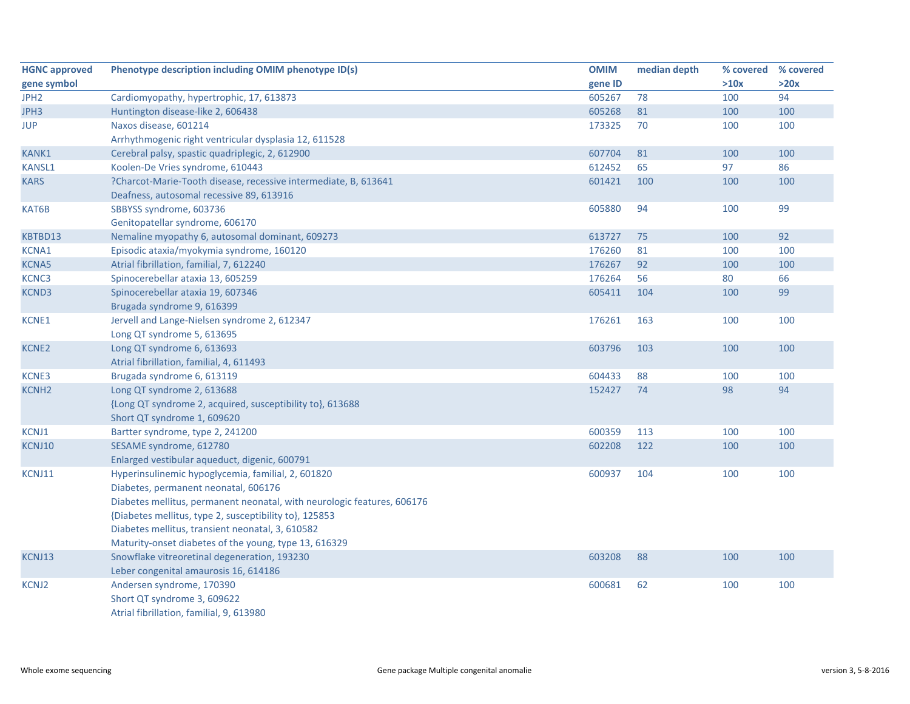| <b>HGNC approved</b> | Phenotype description including OMIM phenotype ID(s)                    | <b>OMIM</b> | median depth | % covered % covered |      |
|----------------------|-------------------------------------------------------------------------|-------------|--------------|---------------------|------|
| gene symbol          |                                                                         | gene ID     |              | >10x                | >20x |
| JPH <sub>2</sub>     | Cardiomyopathy, hypertrophic, 17, 613873                                | 605267      | 78           | 100                 | 94   |
| JPH3                 | Huntington disease-like 2, 606438                                       | 605268      | 81           | 100                 | 100  |
| <b>JUP</b>           | Naxos disease, 601214                                                   | 173325      | 70           | 100                 | 100  |
|                      | Arrhythmogenic right ventricular dysplasia 12, 611528                   |             |              |                     |      |
| <b>KANK1</b>         | Cerebral palsy, spastic quadriplegic, 2, 612900                         | 607704      | 81           | 100                 | 100  |
| <b>KANSL1</b>        | Koolen-De Vries syndrome, 610443                                        | 612452      | 65           | 97                  | 86   |
| <b>KARS</b>          | ?Charcot-Marie-Tooth disease, recessive intermediate, B, 613641         | 601421      | 100          | 100                 | 100  |
|                      | Deafness, autosomal recessive 89, 613916                                |             |              |                     |      |
| KAT6B                | SBBYSS syndrome, 603736                                                 | 605880      | 94           | 100                 | 99   |
|                      | Genitopatellar syndrome, 606170                                         |             |              |                     |      |
| KBTBD13              | Nemaline myopathy 6, autosomal dominant, 609273                         | 613727      | 75           | 100                 | 92   |
| KCNA1                | Episodic ataxia/myokymia syndrome, 160120                               | 176260      | 81           | 100                 | 100  |
| <b>KCNA5</b>         | Atrial fibrillation, familial, 7, 612240                                | 176267      | 92           | 100                 | 100  |
| KCNC3                | Spinocerebellar ataxia 13, 605259                                       | 176264      | 56           | 80                  | 66   |
| KCND3                | Spinocerebellar ataxia 19, 607346                                       | 605411      | 104          | 100                 | 99   |
|                      | Brugada syndrome 9, 616399                                              |             |              |                     |      |
| KCNE1                | Jervell and Lange-Nielsen syndrome 2, 612347                            | 176261      | 163          | 100                 | 100  |
|                      | Long QT syndrome 5, 613695                                              |             |              |                     |      |
| <b>KCNE2</b>         | Long QT syndrome 6, 613693                                              | 603796      | 103          | 100                 | 100  |
|                      | Atrial fibrillation, familial, 4, 611493                                |             |              |                     |      |
| <b>KCNE3</b>         | Brugada syndrome 6, 613119                                              | 604433      | 88           | 100                 | 100  |
| <b>KCNH2</b>         | Long QT syndrome 2, 613688                                              | 152427      | 74           | 98                  | 94   |
|                      | {Long QT syndrome 2, acquired, susceptibility to}, 613688               |             |              |                     |      |
|                      | Short QT syndrome 1, 609620                                             |             |              |                     |      |
| KCNJ1                | Bartter syndrome, type 2, 241200                                        | 600359      | 113          | 100                 | 100  |
| KCNJ10               | SESAME syndrome, 612780                                                 | 602208      | 122          | 100                 | 100  |
|                      | Enlarged vestibular aqueduct, digenic, 600791                           |             |              |                     |      |
| KCNJ11               | Hyperinsulinemic hypoglycemia, familial, 2, 601820                      | 600937      | 104          | 100                 | 100  |
|                      | Diabetes, permanent neonatal, 606176                                    |             |              |                     |      |
|                      | Diabetes mellitus, permanent neonatal, with neurologic features, 606176 |             |              |                     |      |
|                      | {Diabetes mellitus, type 2, susceptibility to}, 125853                  |             |              |                     |      |
|                      | Diabetes mellitus, transient neonatal, 3, 610582                        |             |              |                     |      |
|                      | Maturity-onset diabetes of the young, type 13, 616329                   |             |              |                     |      |
| KCNJ13               | Snowflake vitreoretinal degeneration, 193230                            | 603208      | 88           | 100                 | 100  |
|                      | Leber congenital amaurosis 16, 614186                                   |             |              |                     |      |
| KCNJ2                | Andersen syndrome, 170390                                               | 600681      | 62           | 100                 | 100  |
|                      | Short QT syndrome 3, 609622                                             |             |              |                     |      |
|                      | Atrial fibrillation, familial, 9, 613980                                |             |              |                     |      |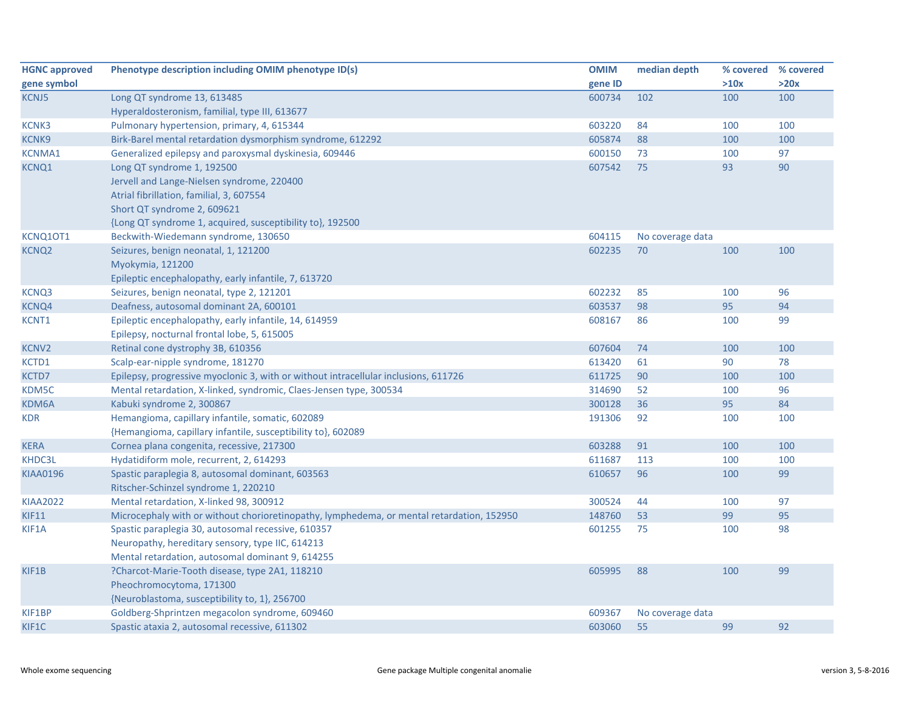| <b>HGNC approved</b> | Phenotype description including OMIM phenotype ID(s)                                      | <b>OMIM</b> | median depth     | % covered % covered |      |
|----------------------|-------------------------------------------------------------------------------------------|-------------|------------------|---------------------|------|
| gene symbol          |                                                                                           | gene ID     |                  | >10x                | >20x |
| <b>KCNJ5</b>         | Long QT syndrome 13, 613485                                                               | 600734      | 102              | 100                 | 100  |
|                      | Hyperaldosteronism, familial, type III, 613677                                            |             |                  |                     |      |
| <b>KCNK3</b>         | Pulmonary hypertension, primary, 4, 615344                                                | 603220      | 84               | 100                 | 100  |
| <b>KCNK9</b>         | Birk-Barel mental retardation dysmorphism syndrome, 612292                                | 605874      | 88               | 100                 | 100  |
| <b>KCNMA1</b>        | Generalized epilepsy and paroxysmal dyskinesia, 609446                                    | 600150      | 73               | 100                 | 97   |
| <b>KCNQ1</b>         | Long QT syndrome 1, 192500                                                                | 607542      | 75               | 93                  | 90   |
|                      | Jervell and Lange-Nielsen syndrome, 220400                                                |             |                  |                     |      |
|                      | Atrial fibrillation, familial, 3, 607554                                                  |             |                  |                     |      |
|                      | Short QT syndrome 2, 609621                                                               |             |                  |                     |      |
|                      | {Long QT syndrome 1, acquired, susceptibility to}, 192500                                 |             |                  |                     |      |
| KCNQ10T1             | Beckwith-Wiedemann syndrome, 130650                                                       | 604115      | No coverage data |                     |      |
| <b>KCNQ2</b>         | Seizures, benign neonatal, 1, 121200                                                      | 602235      | 70               | 100                 | 100  |
|                      | Myokymia, 121200                                                                          |             |                  |                     |      |
|                      | Epileptic encephalopathy, early infantile, 7, 613720                                      |             |                  |                     |      |
| <b>KCNQ3</b>         | Seizures, benign neonatal, type 2, 121201                                                 | 602232      | 85               | 100                 | 96   |
| <b>KCNQ4</b>         | Deafness, autosomal dominant 2A, 600101                                                   | 603537      | 98               | 95                  | 94   |
| KCNT1                | Epileptic encephalopathy, early infantile, 14, 614959                                     | 608167      | 86               | 100                 | 99   |
|                      | Epilepsy, nocturnal frontal lobe, 5, 615005                                               |             |                  |                     |      |
| <b>KCNV2</b>         | Retinal cone dystrophy 3B, 610356                                                         | 607604      | 74               | 100                 | 100  |
| KCTD1                | Scalp-ear-nipple syndrome, 181270                                                         | 613420      | 61               | 90                  | 78   |
| KCTD7                | Epilepsy, progressive myoclonic 3, with or without intracellular inclusions, 611726       | 611725      | 90               | 100                 | 100  |
| KDM5C                | Mental retardation, X-linked, syndromic, Claes-Jensen type, 300534                        | 314690      | 52               | 100                 | 96   |
| KDM6A                | Kabuki syndrome 2, 300867                                                                 | 300128      | 36               | 95                  | 84   |
| <b>KDR</b>           | Hemangioma, capillary infantile, somatic, 602089                                          | 191306      | 92               | 100                 | 100  |
|                      | {Hemangioma, capillary infantile, susceptibility to}, 602089                              |             |                  |                     |      |
| <b>KERA</b>          | Cornea plana congenita, recessive, 217300                                                 | 603288      | 91               | 100                 | 100  |
| KHDC3L               | Hydatidiform mole, recurrent, 2, 614293                                                   | 611687      | 113              | 100                 | 100  |
| <b>KIAA0196</b>      | Spastic paraplegia 8, autosomal dominant, 603563                                          | 610657      | 96               | 100                 | 99   |
|                      | Ritscher-Schinzel syndrome 1, 220210                                                      |             |                  |                     |      |
| <b>KIAA2022</b>      | Mental retardation, X-linked 98, 300912                                                   | 300524      | 44               | 100                 | 97   |
| <b>KIF11</b>         | Microcephaly with or without chorioretinopathy, lymphedema, or mental retardation, 152950 | 148760      | 53               | 99                  | 95   |
| KIF1A                | Spastic paraplegia 30, autosomal recessive, 610357                                        | 601255      | 75               | 100                 | 98   |
|                      | Neuropathy, hereditary sensory, type IIC, 614213                                          |             |                  |                     |      |
|                      | Mental retardation, autosomal dominant 9, 614255                                          |             |                  |                     |      |
| KIF1B                | ?Charcot-Marie-Tooth disease, type 2A1, 118210                                            | 605995      | 88               | 100                 | 99   |
|                      | Pheochromocytoma, 171300                                                                  |             |                  |                     |      |
|                      | {Neuroblastoma, susceptibility to, 1}, 256700                                             |             |                  |                     |      |
| KIF1BP               | Goldberg-Shprintzen megacolon syndrome, 609460                                            | 609367      | No coverage data |                     |      |
| KIF1C                | Spastic ataxia 2, autosomal recessive, 611302                                             | 603060      | 55               | 99                  | 92   |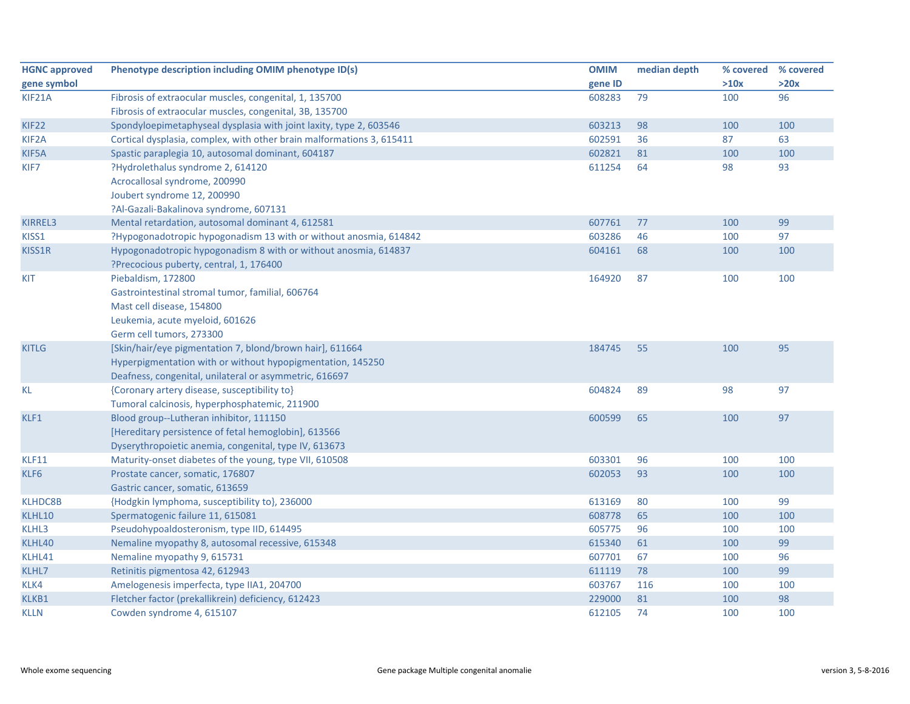| <b>HGNC approved</b> | Phenotype description including OMIM phenotype ID(s)                  | <b>OMIM</b> | median depth | % covered | % covered |
|----------------------|-----------------------------------------------------------------------|-------------|--------------|-----------|-----------|
| gene symbol          |                                                                       | gene ID     |              | >10x      | >20x      |
| KIF21A               | Fibrosis of extraocular muscles, congenital, 1, 135700                | 608283      | 79           | 100       | 96        |
|                      | Fibrosis of extraocular muscles, congenital, 3B, 135700               |             |              |           |           |
| KIF22                | Spondyloepimetaphyseal dysplasia with joint laxity, type 2, 603546    | 603213      | 98           | 100       | 100       |
| KIF <sub>2</sub> A   | Cortical dysplasia, complex, with other brain malformations 3, 615411 | 602591      | 36           | 87        | 63        |
| KIF5A                | Spastic paraplegia 10, autosomal dominant, 604187                     | 602821      | 81           | 100       | 100       |
| KIF7                 | ?Hydrolethalus syndrome 2, 614120                                     | 611254      | 64           | 98        | 93        |
|                      | Acrocallosal syndrome, 200990                                         |             |              |           |           |
|                      | Joubert syndrome 12, 200990                                           |             |              |           |           |
|                      | ?Al-Gazali-Bakalinova syndrome, 607131                                |             |              |           |           |
| KIRREL3              | Mental retardation, autosomal dominant 4, 612581                      | 607761      | 77           | 100       | 99        |
| KISS1                | ?Hypogonadotropic hypogonadism 13 with or without anosmia, 614842     | 603286      | 46           | 100       | 97        |
| KISS1R               | Hypogonadotropic hypogonadism 8 with or without anosmia, 614837       | 604161      | 68           | 100       | 100       |
|                      | ?Precocious puberty, central, 1, 176400                               |             |              |           |           |
| <b>KIT</b>           | Piebaldism, 172800                                                    | 164920      | 87           | 100       | 100       |
|                      | Gastrointestinal stromal tumor, familial, 606764                      |             |              |           |           |
|                      | Mast cell disease, 154800                                             |             |              |           |           |
|                      | Leukemia, acute myeloid, 601626                                       |             |              |           |           |
|                      | Germ cell tumors, 273300                                              |             |              |           |           |
| <b>KITLG</b>         | [Skin/hair/eye pigmentation 7, blond/brown hair], 611664              | 184745      | 55           | 100       | 95        |
|                      | Hyperpigmentation with or without hypopigmentation, 145250            |             |              |           |           |
|                      | Deafness, congenital, unilateral or asymmetric, 616697                |             |              |           |           |
| <b>KL</b>            | {Coronary artery disease, susceptibility to}                          | 604824      | 89           | 98        | 97        |
|                      | Tumoral calcinosis, hyperphosphatemic, 211900                         |             |              |           |           |
| KLF1                 | Blood group--Lutheran inhibitor, 111150                               | 600599      | 65           | 100       | 97        |
|                      | [Hereditary persistence of fetal hemoglobin], 613566                  |             |              |           |           |
|                      | Dyserythropoietic anemia, congenital, type IV, 613673                 |             |              |           |           |
| KLF11                | Maturity-onset diabetes of the young, type VII, 610508                | 603301      | 96           | 100       | 100       |
| KLF6                 | Prostate cancer, somatic, 176807                                      | 602053      | 93           | 100       | 100       |
|                      | Gastric cancer, somatic, 613659                                       |             |              |           |           |
| <b>KLHDC8B</b>       | {Hodgkin lymphoma, susceptibility to}, 236000                         | 613169      | 80           | 100       | 99        |
| KLHL10               | Spermatogenic failure 11, 615081                                      | 608778      | 65           | 100       | 100       |
| KLHL3                | Pseudohypoaldosteronism, type IID, 614495                             | 605775      | 96           | 100       | 100       |
| KLHL40               | Nemaline myopathy 8, autosomal recessive, 615348                      | 615340      | 61           | 100       | 99        |
| KLHL41               | Nemaline myopathy 9, 615731                                           | 607701      | 67           | 100       | 96        |
| KLHL7                | Retinitis pigmentosa 42, 612943                                       | 611119      | 78           | 100       | 99        |
| KLK4                 | Amelogenesis imperfecta, type IIA1, 204700                            | 603767      | 116          | 100       | 100       |
| KLKB1                | Fletcher factor (prekallikrein) deficiency, 612423                    | 229000      | 81           | 100       | 98        |
| <b>KLLN</b>          | Cowden syndrome 4, 615107                                             | 612105      | 74           | 100       | 100       |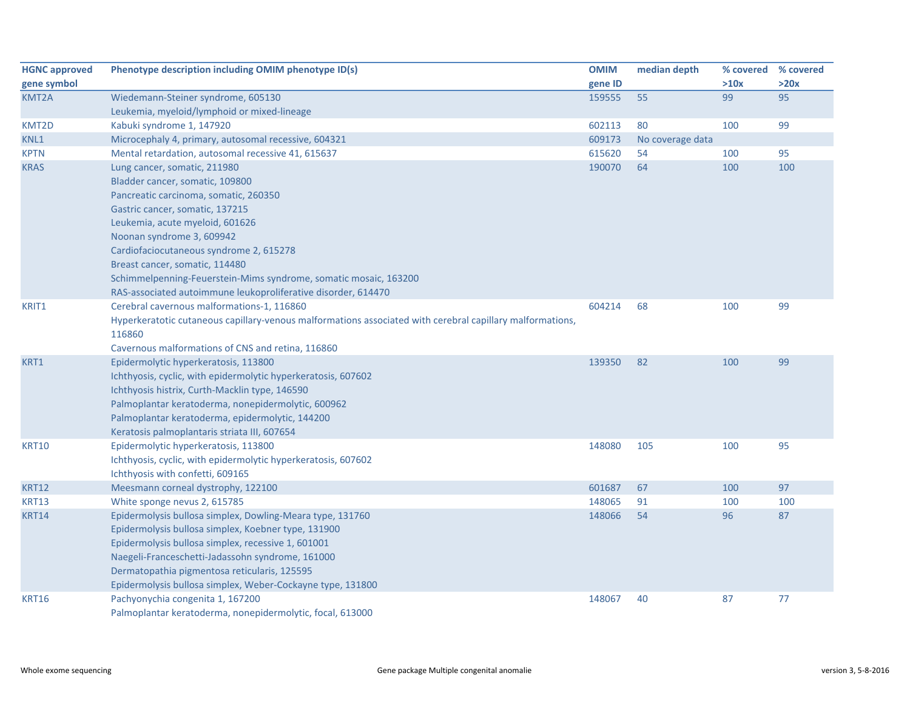| <b>HGNC approved</b> | Phenotype description including OMIM phenotype ID(s)                                                      | <b>OMIM</b> | median depth     | % covered % covered |      |
|----------------------|-----------------------------------------------------------------------------------------------------------|-------------|------------------|---------------------|------|
| gene symbol          |                                                                                                           | gene ID     |                  | >10x                | >20x |
| KMT2A                | Wiedemann-Steiner syndrome, 605130                                                                        | 159555      | 55               | 99                  | 95   |
|                      | Leukemia, myeloid/lymphoid or mixed-lineage                                                               |             |                  |                     |      |
| KMT2D                | Kabuki syndrome 1, 147920                                                                                 | 602113      | 80               | 100                 | 99   |
| KNL1                 | Microcephaly 4, primary, autosomal recessive, 604321                                                      | 609173      | No coverage data |                     |      |
| <b>KPTN</b>          | Mental retardation, autosomal recessive 41, 615637                                                        | 615620      | 54               | 100                 | 95   |
| <b>KRAS</b>          | Lung cancer, somatic, 211980                                                                              | 190070      | 64               | 100                 | 100  |
|                      | Bladder cancer, somatic, 109800                                                                           |             |                  |                     |      |
|                      | Pancreatic carcinoma, somatic, 260350                                                                     |             |                  |                     |      |
|                      | Gastric cancer, somatic, 137215                                                                           |             |                  |                     |      |
|                      | Leukemia, acute myeloid, 601626                                                                           |             |                  |                     |      |
|                      | Noonan syndrome 3, 609942                                                                                 |             |                  |                     |      |
|                      | Cardiofaciocutaneous syndrome 2, 615278                                                                   |             |                  |                     |      |
|                      | Breast cancer, somatic, 114480                                                                            |             |                  |                     |      |
|                      | Schimmelpenning-Feuerstein-Mims syndrome, somatic mosaic, 163200                                          |             |                  |                     |      |
|                      | RAS-associated autoimmune leukoproliferative disorder, 614470                                             |             |                  |                     |      |
| KRIT1                | Cerebral cavernous malformations-1, 116860                                                                | 604214      | 68               | 100                 | 99   |
|                      | Hyperkeratotic cutaneous capillary-venous malformations associated with cerebral capillary malformations, |             |                  |                     |      |
|                      | 116860                                                                                                    |             |                  |                     |      |
|                      | Cavernous malformations of CNS and retina, 116860                                                         |             |                  |                     |      |
| KRT1                 | Epidermolytic hyperkeratosis, 113800                                                                      | 139350      | 82               | 100                 | 99   |
|                      | Ichthyosis, cyclic, with epidermolytic hyperkeratosis, 607602                                             |             |                  |                     |      |
|                      | Ichthyosis histrix, Curth-Macklin type, 146590                                                            |             |                  |                     |      |
|                      | Palmoplantar keratoderma, nonepidermolytic, 600962                                                        |             |                  |                     |      |
|                      | Palmoplantar keratoderma, epidermolytic, 144200                                                           |             |                  |                     |      |
|                      | Keratosis palmoplantaris striata III, 607654                                                              |             |                  |                     |      |
| <b>KRT10</b>         | Epidermolytic hyperkeratosis, 113800                                                                      | 148080      | 105              | 100                 | 95   |
|                      | Ichthyosis, cyclic, with epidermolytic hyperkeratosis, 607602                                             |             |                  |                     |      |
|                      | Ichthyosis with confetti, 609165                                                                          |             |                  |                     |      |
| <b>KRT12</b>         | Meesmann corneal dystrophy, 122100                                                                        | 601687      | 67               | 100                 | 97   |
| <b>KRT13</b>         | White sponge nevus 2, 615785                                                                              | 148065      | 91               | 100                 | 100  |
| <b>KRT14</b>         | Epidermolysis bullosa simplex, Dowling-Meara type, 131760                                                 | 148066      | 54               | 96                  | 87   |
|                      | Epidermolysis bullosa simplex, Koebner type, 131900                                                       |             |                  |                     |      |
|                      | Epidermolysis bullosa simplex, recessive 1, 601001                                                        |             |                  |                     |      |
|                      | Naegeli-Franceschetti-Jadassohn syndrome, 161000                                                          |             |                  |                     |      |
|                      | Dermatopathia pigmentosa reticularis, 125595                                                              |             |                  |                     |      |
|                      | Epidermolysis bullosa simplex, Weber-Cockayne type, 131800                                                |             |                  |                     |      |
| <b>KRT16</b>         | Pachyonychia congenita 1, 167200                                                                          | 148067      | 40               | 87                  | 77   |
|                      | Palmoplantar keratoderma, nonepidermolytic, focal, 613000                                                 |             |                  |                     |      |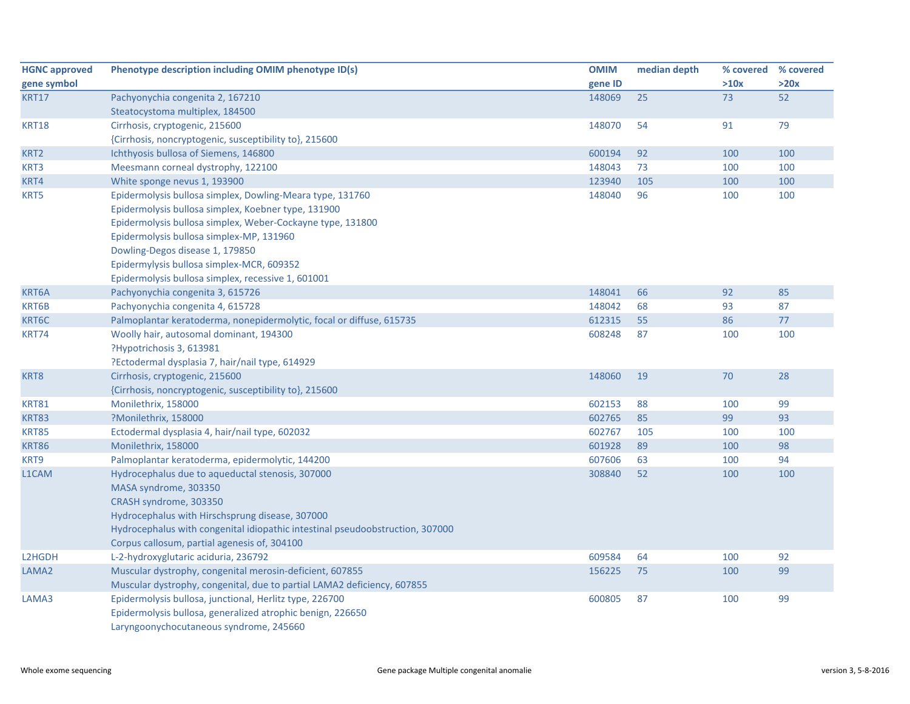| <b>HGNC approved</b> | Phenotype description including OMIM phenotype ID(s)                          | <b>OMIM</b> | median depth | % covered % covered |      |
|----------------------|-------------------------------------------------------------------------------|-------------|--------------|---------------------|------|
| gene symbol          |                                                                               | gene ID     |              | >10x                | >20x |
| <b>KRT17</b>         | Pachyonychia congenita 2, 167210                                              | 148069      | 25           | 73                  | 52   |
|                      | Steatocystoma multiplex, 184500                                               |             |              |                     |      |
| <b>KRT18</b>         | Cirrhosis, cryptogenic, 215600                                                | 148070      | 54           | 91                  | 79   |
|                      | {Cirrhosis, noncryptogenic, susceptibility to}, 215600                        |             |              |                     |      |
| KRT <sub>2</sub>     | Ichthyosis bullosa of Siemens, 146800                                         | 600194      | 92           | 100                 | 100  |
| KRT3                 | Meesmann corneal dystrophy, 122100                                            | 148043      | 73           | 100                 | 100  |
| KRT4                 | White sponge nevus 1, 193900                                                  | 123940      | 105          | 100                 | 100  |
| KRT5                 | Epidermolysis bullosa simplex, Dowling-Meara type, 131760                     | 148040      | 96           | 100                 | 100  |
|                      | Epidermolysis bullosa simplex, Koebner type, 131900                           |             |              |                     |      |
|                      | Epidermolysis bullosa simplex, Weber-Cockayne type, 131800                    |             |              |                     |      |
|                      | Epidermolysis bullosa simplex-MP, 131960                                      |             |              |                     |      |
|                      | Dowling-Degos disease 1, 179850                                               |             |              |                     |      |
|                      | Epidermylysis bullosa simplex-MCR, 609352                                     |             |              |                     |      |
|                      | Epidermolysis bullosa simplex, recessive 1, 601001                            |             |              |                     |      |
| KRT6A                | Pachyonychia congenita 3, 615726                                              | 148041      | 66           | 92                  | 85   |
| KRT6B                | Pachyonychia congenita 4, 615728                                              | 148042      | 68           | 93                  | 87   |
| KRT6C                | Palmoplantar keratoderma, nonepidermolytic, focal or diffuse, 615735          | 612315      | 55           | 86                  | 77   |
| KRT74                | Woolly hair, autosomal dominant, 194300                                       | 608248      | 87           | 100                 | 100  |
|                      | ?Hypotrichosis 3, 613981                                                      |             |              |                     |      |
|                      | ?Ectodermal dysplasia 7, hair/nail type, 614929                               |             |              |                     |      |
| KRT8                 | Cirrhosis, cryptogenic, 215600                                                | 148060      | 19           | 70                  | 28   |
|                      | {Cirrhosis, noncryptogenic, susceptibility to}, 215600                        |             |              |                     |      |
| <b>KRT81</b>         | Monilethrix, 158000                                                           | 602153      | 88           | 100                 | 99   |
| <b>KRT83</b>         | ?Monilethrix, 158000                                                          | 602765      | 85           | 99                  | 93   |
| <b>KRT85</b>         | Ectodermal dysplasia 4, hair/nail type, 602032                                | 602767      | 105          | 100                 | 100  |
| <b>KRT86</b>         | Monilethrix, 158000                                                           | 601928      | 89           | 100                 | 98   |
| KRT9                 | Palmoplantar keratoderma, epidermolytic, 144200                               | 607606      | 63           | 100                 | 94   |
| L1CAM                | Hydrocephalus due to aqueductal stenosis, 307000                              | 308840      | 52           | 100                 | 100  |
|                      | MASA syndrome, 303350                                                         |             |              |                     |      |
|                      | CRASH syndrome, 303350                                                        |             |              |                     |      |
|                      | Hydrocephalus with Hirschsprung disease, 307000                               |             |              |                     |      |
|                      | Hydrocephalus with congenital idiopathic intestinal pseudoobstruction, 307000 |             |              |                     |      |
|                      | Corpus callosum, partial agenesis of, 304100                                  |             |              |                     |      |
| L2HGDH               | L-2-hydroxyglutaric aciduria, 236792                                          | 609584      | 64           | 100                 | 92   |
| LAMA <sub>2</sub>    | Muscular dystrophy, congenital merosin-deficient, 607855                      | 156225      | 75           | 100                 | 99   |
|                      | Muscular dystrophy, congenital, due to partial LAMA2 deficiency, 607855       |             |              |                     |      |
| LAMA3                | Epidermolysis bullosa, junctional, Herlitz type, 226700                       | 600805      | 87           | 100                 | 99   |
|                      | Epidermolysis bullosa, generalized atrophic benign, 226650                    |             |              |                     |      |
|                      | Laryngoonychocutaneous syndrome, 245660                                       |             |              |                     |      |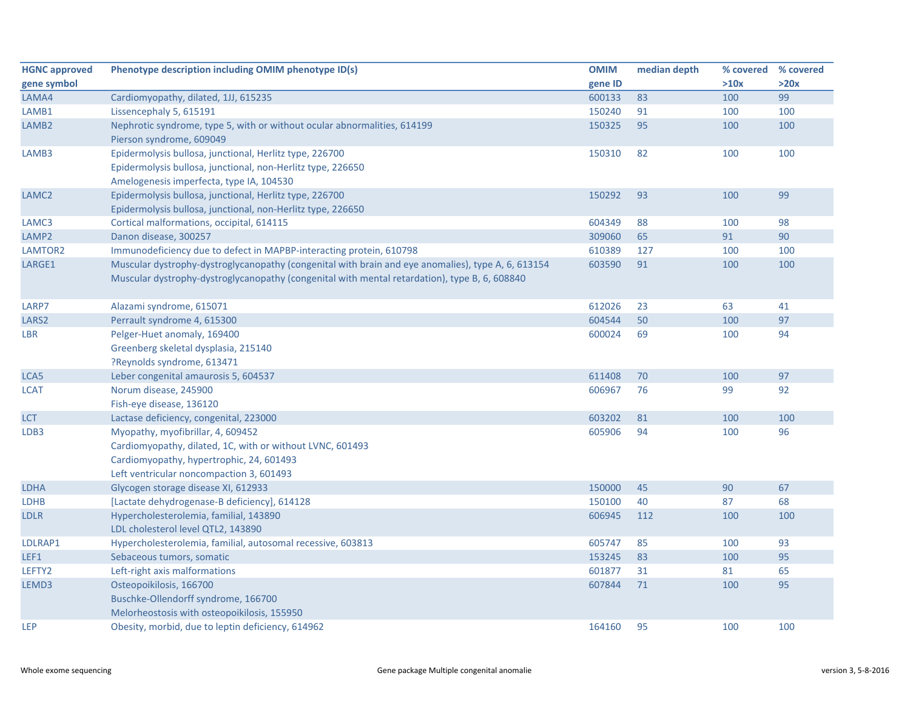| <b>HGNC approved</b> | Phenotype description including OMIM phenotype ID(s)                                                                                                                                                | <b>OMIM</b> | median depth | % covered % covered |      |
|----------------------|-----------------------------------------------------------------------------------------------------------------------------------------------------------------------------------------------------|-------------|--------------|---------------------|------|
| gene symbol          |                                                                                                                                                                                                     | gene ID     |              | >10x                | >20x |
| LAMA4                | Cardiomyopathy, dilated, 1JJ, 615235                                                                                                                                                                | 600133      | 83           | 100                 | 99   |
| LAMB1                | Lissencephaly 5, 615191                                                                                                                                                                             | 150240      | 91           | 100                 | 100  |
| LAMB <sub>2</sub>    | Nephrotic syndrome, type 5, with or without ocular abnormalities, 614199<br>Pierson syndrome, 609049                                                                                                | 150325      | 95           | 100                 | 100  |
| LAMB3                | Epidermolysis bullosa, junctional, Herlitz type, 226700<br>Epidermolysis bullosa, junctional, non-Herlitz type, 226650<br>Amelogenesis imperfecta, type IA, 104530                                  | 150310      | 82           | 100                 | 100  |
| LAMC <sub>2</sub>    | Epidermolysis bullosa, junctional, Herlitz type, 226700<br>Epidermolysis bullosa, junctional, non-Herlitz type, 226650                                                                              | 150292      | 93           | 100                 | 99   |
| LAMC3                | Cortical malformations, occipital, 614115                                                                                                                                                           | 604349      | 88           | 100                 | 98   |
| LAMP <sub>2</sub>    | Danon disease, 300257                                                                                                                                                                               | 309060      | 65           | 91                  | 90   |
| LAMTOR2              | Immunodeficiency due to defect in MAPBP-interacting protein, 610798                                                                                                                                 | 610389      | 127          | 100                 | 100  |
| LARGE1               | Muscular dystrophy-dystroglycanopathy (congenital with brain and eye anomalies), type A, 6, 613154<br>Muscular dystrophy-dystroglycanopathy (congenital with mental retardation), type B, 6, 608840 | 603590      | 91           | 100                 | 100  |
| LARP7                | Alazami syndrome, 615071                                                                                                                                                                            | 612026      | 23           | 63                  | 41   |
| LARS <sub>2</sub>    | Perrault syndrome 4, 615300                                                                                                                                                                         | 604544      | 50           | 100                 | 97   |
| LBR                  | Pelger-Huet anomaly, 169400<br>Greenberg skeletal dysplasia, 215140<br>?Reynolds syndrome, 613471                                                                                                   | 600024      | 69           | 100                 | 94   |
| LCA5                 | Leber congenital amaurosis 5, 604537                                                                                                                                                                | 611408      | 70           | 100                 | 97   |
| <b>LCAT</b>          | Norum disease, 245900<br>Fish-eye disease, 136120                                                                                                                                                   | 606967      | 76           | 99                  | 92   |
| <b>LCT</b>           | Lactase deficiency, congenital, 223000                                                                                                                                                              | 603202      | 81           | 100                 | 100  |
| LDB3                 | Myopathy, myofibrillar, 4, 609452<br>Cardiomyopathy, dilated, 1C, with or without LVNC, 601493<br>Cardiomyopathy, hypertrophic, 24, 601493<br>Left ventricular noncompaction 3, 601493              | 605906      | 94           | 100                 | 96   |
| <b>LDHA</b>          | Glycogen storage disease XI, 612933                                                                                                                                                                 | 150000      | 45           | 90                  | 67   |
| <b>LDHB</b>          | [Lactate dehydrogenase-B deficiency], 614128                                                                                                                                                        | 150100      | 40           | 87                  | 68   |
| <b>LDLR</b>          | Hypercholesterolemia, familial, 143890<br>LDL cholesterol level QTL2, 143890                                                                                                                        | 606945      | 112          | 100                 | 100  |
| LDLRAP1              | Hypercholesterolemia, familial, autosomal recessive, 603813                                                                                                                                         | 605747      | 85           | 100                 | 93   |
| LEF1                 | Sebaceous tumors, somatic                                                                                                                                                                           | 153245      | 83           | 100                 | 95   |
| LEFTY2               | Left-right axis malformations                                                                                                                                                                       | 601877      | 31           | 81                  | 65   |
| LEMD3                | Osteopoikilosis, 166700<br>Buschke-Ollendorff syndrome, 166700<br>Melorheostosis with osteopoikilosis, 155950                                                                                       | 607844      | 71           | 100                 | 95   |
| <b>LEP</b>           | Obesity, morbid, due to leptin deficiency, 614962                                                                                                                                                   | 164160      | 95           | 100                 | 100  |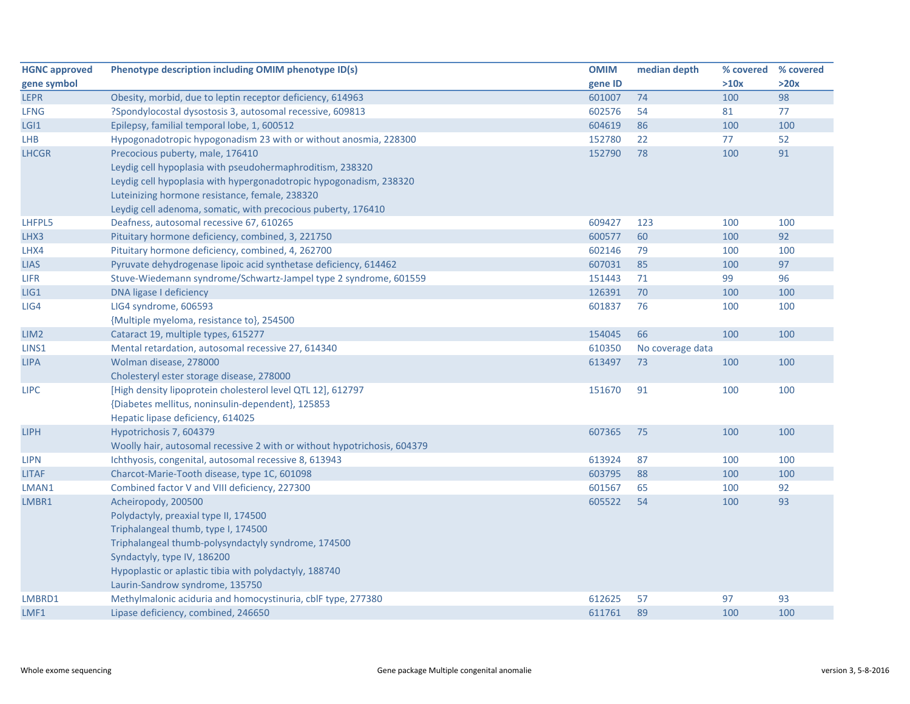| <b>HGNC approved</b> | Phenotype description including OMIM phenotype ID(s)                     | <b>OMIM</b> | median depth     | % covered % covered |      |
|----------------------|--------------------------------------------------------------------------|-------------|------------------|---------------------|------|
| gene symbol          |                                                                          | gene ID     |                  | >10x                | >20x |
| <b>LEPR</b>          | Obesity, morbid, due to leptin receptor deficiency, 614963               | 601007      | 74               | 100                 | 98   |
| <b>LFNG</b>          | ?Spondylocostal dysostosis 3, autosomal recessive, 609813                | 602576      | 54               | 81                  | 77   |
| LGI1                 | Epilepsy, familial temporal lobe, 1, 600512                              | 604619      | 86               | 100                 | 100  |
| <b>LHB</b>           | Hypogonadotropic hypogonadism 23 with or without anosmia, 228300         | 152780      | 22               | 77                  | 52   |
| <b>LHCGR</b>         | Precocious puberty, male, 176410                                         | 152790      | 78               | 100                 | 91   |
|                      | Leydig cell hypoplasia with pseudohermaphroditism, 238320                |             |                  |                     |      |
|                      | Leydig cell hypoplasia with hypergonadotropic hypogonadism, 238320       |             |                  |                     |      |
|                      | Luteinizing hormone resistance, female, 238320                           |             |                  |                     |      |
|                      | Leydig cell adenoma, somatic, with precocious puberty, 176410            |             |                  |                     |      |
| LHFPL5               | Deafness, autosomal recessive 67, 610265                                 | 609427      | 123              | 100                 | 100  |
| LHX3                 | Pituitary hormone deficiency, combined, 3, 221750                        | 600577      | 60               | 100                 | 92   |
| LHX4                 | Pituitary hormone deficiency, combined, 4, 262700                        | 602146      | 79               | 100                 | 100  |
| <b>LIAS</b>          | Pyruvate dehydrogenase lipoic acid synthetase deficiency, 614462         | 607031      | 85               | 100                 | 97   |
| LIFR                 | Stuve-Wiedemann syndrome/Schwartz-Jampel type 2 syndrome, 601559         | 151443      | 71               | 99                  | 96   |
| LIG1                 | DNA ligase I deficiency                                                  | 126391      | 70               | 100                 | 100  |
| LIG4                 | LIG4 syndrome, 606593                                                    | 601837      | 76               | 100                 | 100  |
|                      | {Multiple myeloma, resistance to}, 254500                                |             |                  |                     |      |
| LIM <sub>2</sub>     | Cataract 19, multiple types, 615277                                      | 154045      | 66               | 100                 | 100  |
| LINS1                | Mental retardation, autosomal recessive 27, 614340                       | 610350      | No coverage data |                     |      |
| <b>LIPA</b>          | Wolman disease, 278000                                                   | 613497      | 73               | 100                 | 100  |
|                      | Cholesteryl ester storage disease, 278000                                |             |                  |                     |      |
| <b>LIPC</b>          | [High density lipoprotein cholesterol level QTL 12], 612797              | 151670      | 91               | 100                 | 100  |
|                      | {Diabetes mellitus, noninsulin-dependent}, 125853                        |             |                  |                     |      |
|                      | Hepatic lipase deficiency, 614025                                        |             |                  |                     |      |
| <b>LIPH</b>          | Hypotrichosis 7, 604379                                                  | 607365      | 75               | 100                 | 100  |
|                      | Woolly hair, autosomal recessive 2 with or without hypotrichosis, 604379 |             |                  |                     |      |
| <b>LIPN</b>          | Ichthyosis, congenital, autosomal recessive 8, 613943                    | 613924      | 87               | 100                 | 100  |
| <b>LITAF</b>         | Charcot-Marie-Tooth disease, type 1C, 601098                             | 603795      | 88               | 100                 | 100  |
| LMAN1                | Combined factor V and VIII deficiency, 227300                            | 601567      | 65               | 100                 | 92   |
| LMBR1                | Acheiropody, 200500                                                      | 605522      | 54               | 100                 | 93   |
|                      | Polydactyly, preaxial type II, 174500                                    |             |                  |                     |      |
|                      | Triphalangeal thumb, type I, 174500                                      |             |                  |                     |      |
|                      | Triphalangeal thumb-polysyndactyly syndrome, 174500                      |             |                  |                     |      |
|                      | Syndactyly, type IV, 186200                                              |             |                  |                     |      |
|                      | Hypoplastic or aplastic tibia with polydactyly, 188740                   |             |                  |                     |      |
|                      | Laurin-Sandrow syndrome, 135750                                          |             |                  |                     |      |
| LMBRD1               | Methylmalonic aciduria and homocystinuria, cblF type, 277380             | 612625      | 57               | 97                  | 93   |
| LMF1                 | Lipase deficiency, combined, 246650                                      | 611761      | 89               | 100                 | 100  |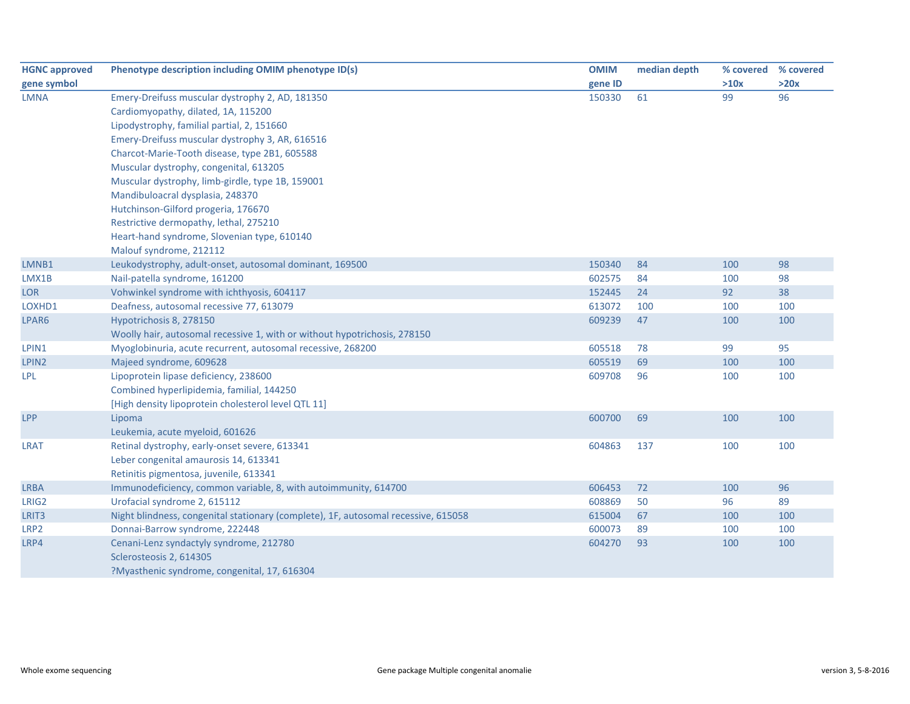| <b>HGNC approved</b> | Phenotype description including OMIM phenotype ID(s)                               | <b>OMIM</b> | median depth |      | % covered % covered |
|----------------------|------------------------------------------------------------------------------------|-------------|--------------|------|---------------------|
| gene symbol          |                                                                                    | gene ID     |              | >10x | >20x                |
| <b>LMNA</b>          | Emery-Dreifuss muscular dystrophy 2, AD, 181350                                    | 150330      | 61           | 99   | 96                  |
|                      | Cardiomyopathy, dilated, 1A, 115200                                                |             |              |      |                     |
|                      | Lipodystrophy, familial partial, 2, 151660                                         |             |              |      |                     |
|                      | Emery-Dreifuss muscular dystrophy 3, AR, 616516                                    |             |              |      |                     |
|                      | Charcot-Marie-Tooth disease, type 2B1, 605588                                      |             |              |      |                     |
|                      | Muscular dystrophy, congenital, 613205                                             |             |              |      |                     |
|                      | Muscular dystrophy, limb-girdle, type 1B, 159001                                   |             |              |      |                     |
|                      | Mandibuloacral dysplasia, 248370                                                   |             |              |      |                     |
|                      | Hutchinson-Gilford progeria, 176670                                                |             |              |      |                     |
|                      | Restrictive dermopathy, lethal, 275210                                             |             |              |      |                     |
|                      | Heart-hand syndrome, Slovenian type, 610140                                        |             |              |      |                     |
|                      | Malouf syndrome, 212112                                                            |             |              |      |                     |
| LMNB1                | Leukodystrophy, adult-onset, autosomal dominant, 169500                            | 150340      | 84           | 100  | 98                  |
| LMX1B                | Nail-patella syndrome, 161200                                                      | 602575      | 84           | 100  | 98                  |
| <b>LOR</b>           | Vohwinkel syndrome with ichthyosis, 604117                                         | 152445      | 24           | 92   | 38                  |
| LOXHD1               | Deafness, autosomal recessive 77, 613079                                           | 613072      | 100          | 100  | 100                 |
| LPAR6                | Hypotrichosis 8, 278150                                                            | 609239      | 47           | 100  | 100                 |
|                      | Woolly hair, autosomal recessive 1, with or without hypotrichosis, 278150          |             |              |      |                     |
| LPIN1                | Myoglobinuria, acute recurrent, autosomal recessive, 268200                        | 605518      | 78           | 99   | 95                  |
| LPIN2                | Majeed syndrome, 609628                                                            | 605519      | 69           | 100  | 100                 |
| <b>LPL</b>           | Lipoprotein lipase deficiency, 238600                                              | 609708      | 96           | 100  | 100                 |
|                      | Combined hyperlipidemia, familial, 144250                                          |             |              |      |                     |
|                      | [High density lipoprotein cholesterol level QTL 11]                                |             |              |      |                     |
| LPP                  | Lipoma                                                                             | 600700      | 69           | 100  | 100                 |
|                      | Leukemia, acute myeloid, 601626                                                    |             |              |      |                     |
| <b>LRAT</b>          | Retinal dystrophy, early-onset severe, 613341                                      | 604863      | 137          | 100  | 100                 |
|                      | Leber congenital amaurosis 14, 613341                                              |             |              |      |                     |
|                      | Retinitis pigmentosa, juvenile, 613341                                             |             |              |      |                     |
| <b>LRBA</b>          | Immunodeficiency, common variable, 8, with autoimmunity, 614700                    | 606453      | 72           | 100  | 96                  |
| LRIG2                | Urofacial syndrome 2, 615112                                                       | 608869      | 50           | 96   | 89                  |
| LRIT3                | Night blindness, congenital stationary (complete), 1F, autosomal recessive, 615058 | 615004      | 67           | 100  | 100                 |
| LRP2                 | Donnai-Barrow syndrome, 222448                                                     | 600073      | 89           | 100  | 100                 |
| LRP4                 | Cenani-Lenz syndactyly syndrome, 212780                                            | 604270      | 93           | 100  | 100                 |
|                      | Sclerosteosis 2, 614305                                                            |             |              |      |                     |
|                      | ?Myasthenic syndrome, congenital, 17, 616304                                       |             |              |      |                     |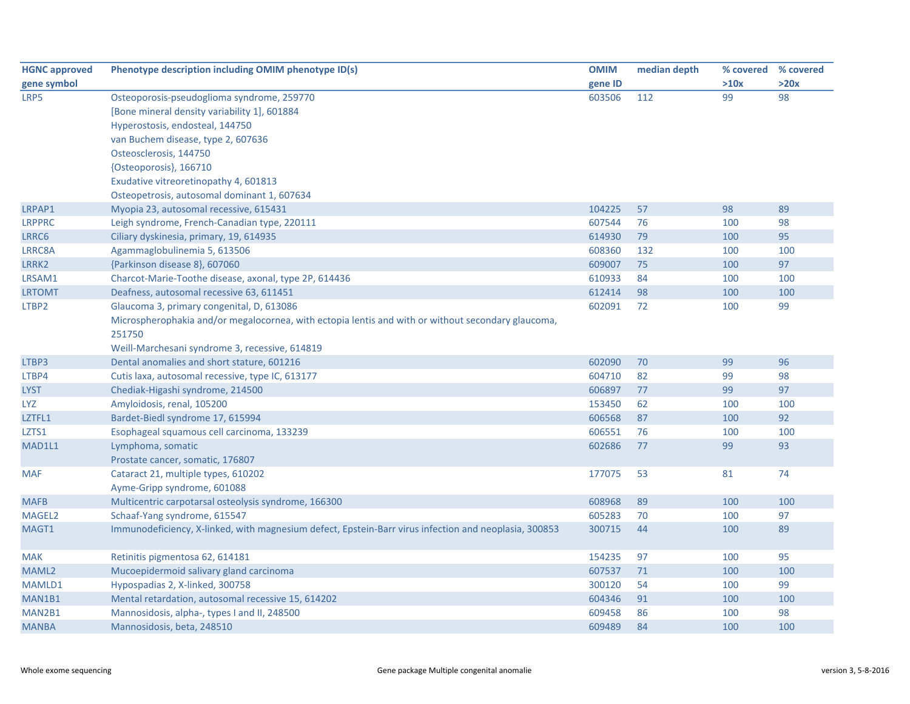| <b>HGNC approved</b> | Phenotype description including OMIM phenotype ID(s)                                                  | <b>OMIM</b> | median depth | % covered | % covered |
|----------------------|-------------------------------------------------------------------------------------------------------|-------------|--------------|-----------|-----------|
| gene symbol          |                                                                                                       | gene ID     |              | >10x      | >20x      |
| LRP5                 | Osteoporosis-pseudoglioma syndrome, 259770                                                            | 603506      | 112          | 99        | 98        |
|                      | [Bone mineral density variability 1], 601884                                                          |             |              |           |           |
|                      | Hyperostosis, endosteal, 144750                                                                       |             |              |           |           |
|                      | van Buchem disease, type 2, 607636                                                                    |             |              |           |           |
|                      | Osteosclerosis, 144750                                                                                |             |              |           |           |
|                      | {Osteoporosis}, 166710                                                                                |             |              |           |           |
|                      | Exudative vitreoretinopathy 4, 601813                                                                 |             |              |           |           |
|                      | Osteopetrosis, autosomal dominant 1, 607634                                                           |             |              |           |           |
| LRPAP1               | Myopia 23, autosomal recessive, 615431                                                                | 104225      | 57           | 98        | 89        |
| <b>LRPPRC</b>        | Leigh syndrome, French-Canadian type, 220111                                                          | 607544      | 76           | 100       | 98        |
| LRRC6                | Ciliary dyskinesia, primary, 19, 614935                                                               | 614930      | 79           | 100       | 95        |
| LRRC8A               | Agammaglobulinemia 5, 613506                                                                          | 608360      | 132          | 100       | 100       |
| LRRK2                | {Parkinson disease 8}, 607060                                                                         | 609007      | 75           | 100       | 97        |
| LRSAM1               | Charcot-Marie-Toothe disease, axonal, type 2P, 614436                                                 | 610933      | 84           | 100       | 100       |
| <b>LRTOMT</b>        | Deafness, autosomal recessive 63, 611451                                                              | 612414      | 98           | 100       | 100       |
| LTBP2                | Glaucoma 3, primary congenital, D, 613086                                                             | 602091      | 72           | 100       | 99        |
|                      | Microspherophakia and/or megalocornea, with ectopia lentis and with or without secondary glaucoma,    |             |              |           |           |
|                      | 251750                                                                                                |             |              |           |           |
|                      | Weill-Marchesani syndrome 3, recessive, 614819                                                        |             |              |           |           |
| LTBP3                | Dental anomalies and short stature, 601216                                                            | 602090      | 70           | 99        | 96        |
| LTBP4                | Cutis laxa, autosomal recessive, type IC, 613177                                                      | 604710      | 82           | 99        | 98        |
| <b>LYST</b>          | Chediak-Higashi syndrome, 214500                                                                      | 606897      | 77           | 99        | 97        |
| LYZ                  | Amyloidosis, renal, 105200                                                                            | 153450      | 62           | 100       | 100       |
| LZTFL1               | Bardet-Biedl syndrome 17, 615994                                                                      | 606568      | 87           | 100       | 92        |
| LZTS1                | Esophageal squamous cell carcinoma, 133239                                                            | 606551      | 76           | 100       | 100       |
| MAD1L1               | Lymphoma, somatic                                                                                     | 602686      | 77           | 99        | 93        |
|                      | Prostate cancer, somatic, 176807                                                                      |             |              |           |           |
| <b>MAF</b>           | Cataract 21, multiple types, 610202                                                                   | 177075      | 53           | 81        | 74        |
|                      | Ayme-Gripp syndrome, 601088                                                                           |             |              |           |           |
| <b>MAFB</b>          | Multicentric carpotarsal osteolysis syndrome, 166300                                                  | 608968      | 89           | 100       | 100       |
| MAGEL2               | Schaaf-Yang syndrome, 615547                                                                          | 605283      | 70           | 100       | 97        |
| MAGT1                | Immunodeficiency, X-linked, with magnesium defect, Epstein-Barr virus infection and neoplasia, 300853 | 300715      | 44           | 100       | 89        |
|                      |                                                                                                       |             |              |           |           |
| <b>MAK</b>           | Retinitis pigmentosa 62, 614181                                                                       | 154235      | 97           | 100       | 95        |
| MAML2                | Mucoepidermoid salivary gland carcinoma                                                               | 607537      | 71           | 100       | 100       |
| MAMLD1               | Hypospadias 2, X-linked, 300758                                                                       | 300120      | 54           | 100       | 99        |
| MAN1B1               | Mental retardation, autosomal recessive 15, 614202                                                    | 604346      | 91           | 100       | 100       |
| MAN2B1               | Mannosidosis, alpha-, types I and II, 248500                                                          | 609458      | 86           | 100       | 98        |
| <b>MANBA</b>         | Mannosidosis, beta, 248510                                                                            | 609489      | 84           | 100       | 100       |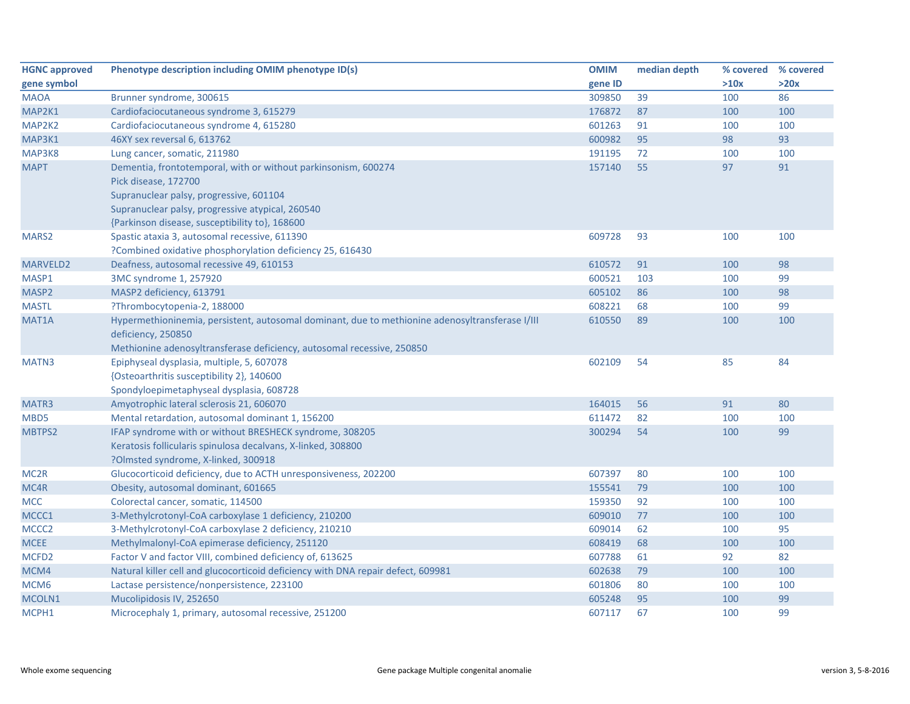| <b>HGNC approved</b> | Phenotype description including OMIM phenotype ID(s)                                                                              | <b>OMIM</b> | median depth | % covered % covered |      |
|----------------------|-----------------------------------------------------------------------------------------------------------------------------------|-------------|--------------|---------------------|------|
| gene symbol          |                                                                                                                                   | gene ID     |              | >10x                | >20x |
| <b>MAOA</b>          | Brunner syndrome, 300615                                                                                                          | 309850      | 39           | 100                 | 86   |
| MAP2K1               | Cardiofaciocutaneous syndrome 3, 615279                                                                                           | 176872      | 87           | 100                 | 100  |
| MAP2K2               | Cardiofaciocutaneous syndrome 4, 615280                                                                                           | 601263      | 91           | 100                 | 100  |
| MAP3K1               | 46XY sex reversal 6, 613762                                                                                                       | 600982      | 95           | 98                  | 93   |
| MAP3K8               | Lung cancer, somatic, 211980                                                                                                      | 191195      | 72           | 100                 | 100  |
| <b>MAPT</b>          | Dementia, frontotemporal, with or without parkinsonism, 600274<br>Pick disease, 172700<br>Supranuclear palsy, progressive, 601104 | 157140      | 55           | 97                  | 91   |
|                      | Supranuclear palsy, progressive atypical, 260540                                                                                  |             |              |                     |      |
|                      | {Parkinson disease, susceptibility to}, 168600                                                                                    |             |              |                     |      |
| MARS2                | Spastic ataxia 3, autosomal recessive, 611390                                                                                     | 609728      | 93           | 100                 | 100  |
|                      | ?Combined oxidative phosphorylation deficiency 25, 616430                                                                         |             |              |                     |      |
| <b>MARVELD2</b>      | Deafness, autosomal recessive 49, 610153                                                                                          | 610572      | 91           | 100                 | 98   |
| MASP1                | 3MC syndrome 1, 257920                                                                                                            | 600521      | 103          | 100                 | 99   |
| MASP2                | MASP2 deficiency, 613791                                                                                                          | 605102      | 86           | 100                 | 98   |
| <b>MASTL</b>         | ?Thrombocytopenia-2, 188000                                                                                                       | 608221      | 68           | 100                 | 99   |
| MAT1A                | Hypermethioninemia, persistent, autosomal dominant, due to methionine adenosyltransferase I/III<br>deficiency, 250850             | 610550      | 89           | 100                 | 100  |
|                      | Methionine adenosyltransferase deficiency, autosomal recessive, 250850                                                            |             |              |                     |      |
| MATN3                | Epiphyseal dysplasia, multiple, 5, 607078                                                                                         | 602109      | 54           | 85                  | 84   |
|                      | {Osteoarthritis susceptibility 2}, 140600                                                                                         |             |              |                     |      |
|                      | Spondyloepimetaphyseal dysplasia, 608728                                                                                          |             |              |                     |      |
| MATR3                | Amyotrophic lateral sclerosis 21, 606070                                                                                          | 164015      | 56           | 91                  | 80   |
| MBD5                 | Mental retardation, autosomal dominant 1, 156200                                                                                  | 611472      | 82           | 100                 | 100  |
| MBTPS2               | IFAP syndrome with or without BRESHECK syndrome, 308205                                                                           | 300294      | 54           | 100                 | 99   |
|                      | Keratosis follicularis spinulosa decalvans, X-linked, 308800                                                                      |             |              |                     |      |
|                      | ?Olmsted syndrome, X-linked, 300918                                                                                               |             |              |                     |      |
| MC <sub>2R</sub>     | Glucocorticoid deficiency, due to ACTH unresponsiveness, 202200                                                                   | 607397      | 80           | 100                 | 100  |
| MC4R                 | Obesity, autosomal dominant, 601665                                                                                               | 155541      | 79           | 100                 | 100  |
| <b>MCC</b>           | Colorectal cancer, somatic, 114500                                                                                                | 159350      | 92           | 100                 | 100  |
| MCCC1                | 3-Methylcrotonyl-CoA carboxylase 1 deficiency, 210200                                                                             | 609010      | 77           | 100                 | 100  |
| MCCC <sub>2</sub>    | 3-Methylcrotonyl-CoA carboxylase 2 deficiency, 210210                                                                             | 609014      | 62           | 100                 | 95   |
| MCEE                 | Methylmalonyl-CoA epimerase deficiency, 251120                                                                                    | 608419      | 68           | 100                 | 100  |
| MCFD <sub>2</sub>    | Factor V and factor VIII, combined deficiency of, 613625                                                                          | 607788      | 61           | 92                  | 82   |
| MCM4                 | Natural killer cell and glucocorticoid deficiency with DNA repair defect, 609981                                                  | 602638      | 79           | 100                 | 100  |
| MCM <sub>6</sub>     | Lactase persistence/nonpersistence, 223100                                                                                        | 601806      | 80           | 100                 | 100  |
| MCOLN1               | Mucolipidosis IV, 252650                                                                                                          | 605248      | 95           | 100                 | 99   |
| MCPH1                | Microcephaly 1, primary, autosomal recessive, 251200                                                                              | 607117      | 67           | 100                 | 99   |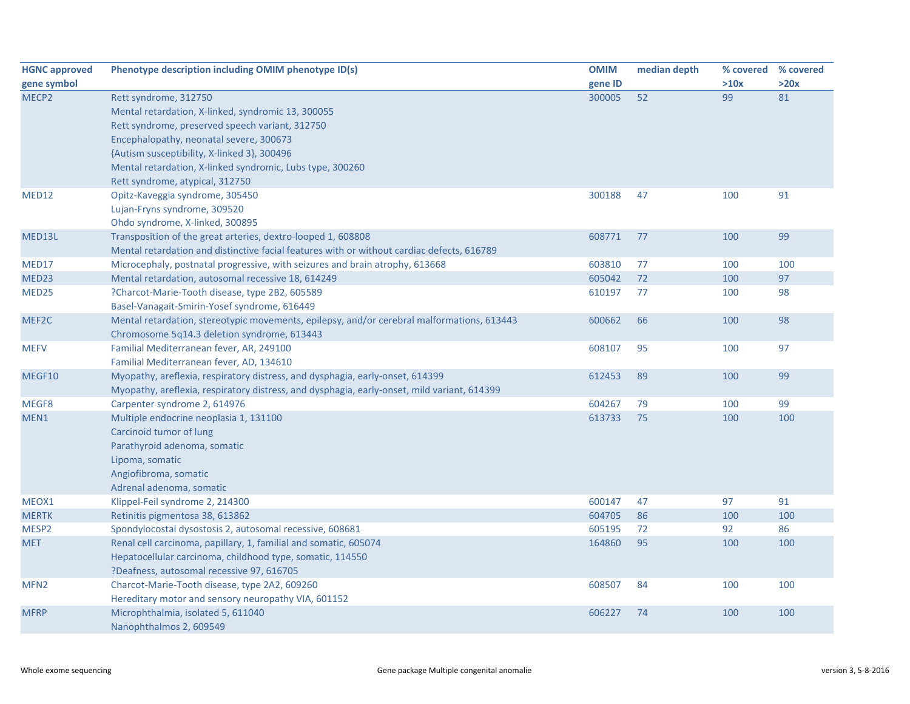| <b>HGNC approved</b> | Phenotype description including OMIM phenotype ID(s)                                        | <b>OMIM</b> | median depth | % covered | % covered |
|----------------------|---------------------------------------------------------------------------------------------|-------------|--------------|-----------|-----------|
| gene symbol          |                                                                                             | gene ID     |              | >10x      | >20x      |
| MECP <sub>2</sub>    | Rett syndrome, 312750                                                                       | 300005      | 52           | 99        | 81        |
|                      | Mental retardation, X-linked, syndromic 13, 300055                                          |             |              |           |           |
|                      | Rett syndrome, preserved speech variant, 312750                                             |             |              |           |           |
|                      | Encephalopathy, neonatal severe, 300673                                                     |             |              |           |           |
|                      | {Autism susceptibility, X-linked 3}, 300496                                                 |             |              |           |           |
|                      | Mental retardation, X-linked syndromic, Lubs type, 300260                                   |             |              |           |           |
|                      | Rett syndrome, atypical, 312750                                                             |             |              |           |           |
| MED12                | Opitz-Kaveggia syndrome, 305450                                                             | 300188      | 47           | 100       | 91        |
|                      | Lujan-Fryns syndrome, 309520                                                                |             |              |           |           |
|                      | Ohdo syndrome, X-linked, 300895                                                             |             |              |           |           |
| MED13L               | Transposition of the great arteries, dextro-looped 1, 608808                                | 608771      | 77           | 100       | 99        |
|                      | Mental retardation and distinctive facial features with or without cardiac defects, 616789  |             |              |           |           |
| MED17                | Microcephaly, postnatal progressive, with seizures and brain atrophy, 613668                | 603810      | 77           | 100       | 100       |
| MED23                | Mental retardation, autosomal recessive 18, 614249                                          | 605042      | 72           | 100       | 97        |
| MED <sub>25</sub>    | ?Charcot-Marie-Tooth disease, type 2B2, 605589                                              | 610197      | 77           | 100       | 98        |
|                      | Basel-Vanagait-Smirin-Yosef syndrome, 616449                                                |             |              |           |           |
| MEF2C                | Mental retardation, stereotypic movements, epilepsy, and/or cerebral malformations, 613443  | 600662      | 66           | 100       | 98        |
|                      | Chromosome 5q14.3 deletion syndrome, 613443                                                 |             |              |           |           |
| <b>MEFV</b>          | Familial Mediterranean fever, AR, 249100                                                    | 608107      | 95           | 100       | 97        |
|                      | Familial Mediterranean fever, AD, 134610                                                    |             |              |           |           |
| MEGF10               | Myopathy, areflexia, respiratory distress, and dysphagia, early-onset, 614399               | 612453      | 89           | 100       | 99        |
|                      | Myopathy, areflexia, respiratory distress, and dysphagia, early-onset, mild variant, 614399 |             |              |           |           |
| MEGF8                | Carpenter syndrome 2, 614976                                                                | 604267      | 79           | 100       | 99        |
| MEN1                 | Multiple endocrine neoplasia 1, 131100                                                      | 613733      | 75           | 100       | 100       |
|                      | Carcinoid tumor of lung                                                                     |             |              |           |           |
|                      | Parathyroid adenoma, somatic                                                                |             |              |           |           |
|                      | Lipoma, somatic                                                                             |             |              |           |           |
|                      | Angiofibroma, somatic                                                                       |             |              |           |           |
|                      | Adrenal adenoma, somatic                                                                    |             |              |           |           |
| MEOX1                | Klippel-Feil syndrome 2, 214300                                                             | 600147      | 47           | 97        | 91        |
| <b>MERTK</b>         | Retinitis pigmentosa 38, 613862                                                             | 604705      | 86           | 100       | 100       |
| MESP2                | Spondylocostal dysostosis 2, autosomal recessive, 608681                                    | 605195      | 72           | 92        | 86        |
| <b>MET</b>           | Renal cell carcinoma, papillary, 1, familial and somatic, 605074                            | 164860      | 95           | 100       | 100       |
|                      | Hepatocellular carcinoma, childhood type, somatic, 114550                                   |             |              |           |           |
|                      | ?Deafness, autosomal recessive 97, 616705                                                   |             |              |           |           |
| MFN <sub>2</sub>     | Charcot-Marie-Tooth disease, type 2A2, 609260                                               | 608507      | 84           | 100       | 100       |
|                      | Hereditary motor and sensory neuropathy VIA, 601152                                         |             |              |           |           |
| <b>MFRP</b>          | Microphthalmia, isolated 5, 611040                                                          | 606227      | 74           | 100       | 100       |
|                      | Nanophthalmos 2, 609549                                                                     |             |              |           |           |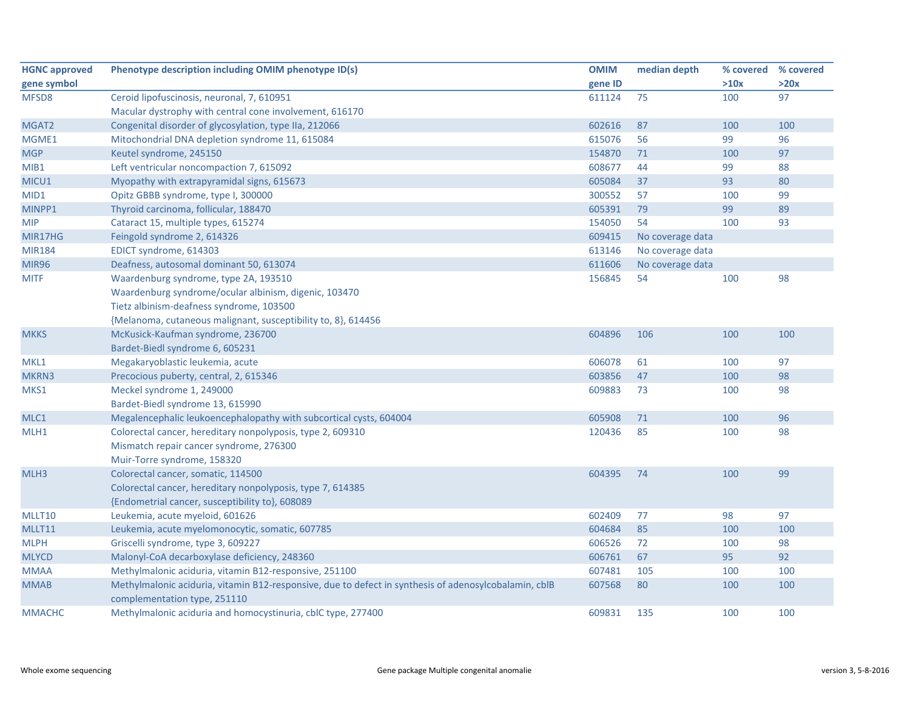| <b>HGNC approved</b> | Phenotype description including OMIM phenotype ID(s)                                                  | <b>OMIM</b> | median depth     | % covered % covered |      |
|----------------------|-------------------------------------------------------------------------------------------------------|-------------|------------------|---------------------|------|
| gene symbol          |                                                                                                       | gene ID     |                  | >10x                | >20x |
| MFSD8                | Ceroid lipofuscinosis, neuronal, 7, 610951                                                            | 611124      | 75               | 100                 | 97   |
|                      | Macular dystrophy with central cone involvement, 616170                                               |             |                  |                     |      |
| MGAT2                | Congenital disorder of glycosylation, type IIa, 212066                                                | 602616      | 87               | 100                 | 100  |
| MGME1                | Mitochondrial DNA depletion syndrome 11, 615084                                                       | 615076      | 56               | 99                  | 96   |
| <b>MGP</b>           | Keutel syndrome, 245150                                                                               | 154870      | 71               | 100                 | 97   |
| MIB1                 | Left ventricular noncompaction 7, 615092                                                              | 608677      | 44               | 99                  | 88   |
| MICU1                | Myopathy with extrapyramidal signs, 615673                                                            | 605084      | 37               | 93                  | 80   |
| MID1                 | Opitz GBBB syndrome, type I, 300000                                                                   | 300552      | 57               | 100                 | 99   |
| MINPP1               | Thyroid carcinoma, follicular, 188470                                                                 | 605391      | 79               | 99                  | 89   |
| <b>MIP</b>           | Cataract 15, multiple types, 615274                                                                   | 154050      | 54               | 100                 | 93   |
| MIR17HG              | Feingold syndrome 2, 614326                                                                           | 609415      | No coverage data |                     |      |
| <b>MIR184</b>        | EDICT syndrome, 614303                                                                                | 613146      | No coverage data |                     |      |
| <b>MIR96</b>         | Deafness, autosomal dominant 50, 613074                                                               | 611606      | No coverage data |                     |      |
| <b>MITF</b>          | Waardenburg syndrome, type 2A, 193510                                                                 | 156845      | 54               | 100                 | 98   |
|                      | Waardenburg syndrome/ocular albinism, digenic, 103470                                                 |             |                  |                     |      |
|                      | Tietz albinism-deafness syndrome, 103500                                                              |             |                  |                     |      |
|                      | {Melanoma, cutaneous malignant, susceptibility to, 8}, 614456                                         |             |                  |                     |      |
| <b>MKKS</b>          | McKusick-Kaufman syndrome, 236700                                                                     | 604896      | 106              | 100                 | 100  |
|                      | Bardet-Biedl syndrome 6, 605231                                                                       |             |                  |                     |      |
| MKL1                 | Megakaryoblastic leukemia, acute                                                                      | 606078      | 61               | 100                 | 97   |
| MKRN3                | Precocious puberty, central, 2, 615346                                                                | 603856      | 47               | 100                 | 98   |
| MKS1                 | Meckel syndrome 1, 249000                                                                             | 609883      | 73               | 100                 | 98   |
|                      | Bardet-Biedl syndrome 13, 615990                                                                      |             |                  |                     |      |
| MLC1                 | Megalencephalic leukoencephalopathy with subcortical cysts, 604004                                    | 605908      | 71               | 100                 | 96   |
| MLH1                 | Colorectal cancer, hereditary nonpolyposis, type 2, 609310                                            | 120436      | 85               | 100                 | 98   |
|                      | Mismatch repair cancer syndrome, 276300                                                               |             |                  |                     |      |
|                      | Muir-Torre syndrome, 158320                                                                           |             |                  |                     |      |
| MLH3                 | Colorectal cancer, somatic, 114500                                                                    | 604395      | 74               | 100                 | 99   |
|                      | Colorectal cancer, hereditary nonpolyposis, type 7, 614385                                            |             |                  |                     |      |
|                      | {Endometrial cancer, susceptibility to}, 608089                                                       |             |                  |                     |      |
| MLLT10               | Leukemia, acute myeloid, 601626                                                                       | 602409      | 77               | 98                  | 97   |
| MLLT11               | Leukemia, acute myelomonocytic, somatic, 607785                                                       | 604684      | 85               | 100                 | 100  |
| <b>MLPH</b>          | Griscelli syndrome, type 3, 609227                                                                    | 606526      | 72               | 100                 | 98   |
| <b>MLYCD</b>         | Malonyl-CoA decarboxylase deficiency, 248360                                                          | 606761      | 67               | 95                  | 92   |
| <b>MMAA</b>          | Methylmalonic aciduria, vitamin B12-responsive, 251100                                                | 607481      | 105              | 100                 | 100  |
| <b>MMAB</b>          | Methylmalonic aciduria, vitamin B12-responsive, due to defect in synthesis of adenosylcobalamin, cblB | 607568      | 80               | 100                 | 100  |
|                      | complementation type, 251110                                                                          |             |                  |                     |      |
| <b>MMACHC</b>        | Methylmalonic aciduria and homocystinuria, cblC type, 277400                                          | 609831      | 135              | 100                 | 100  |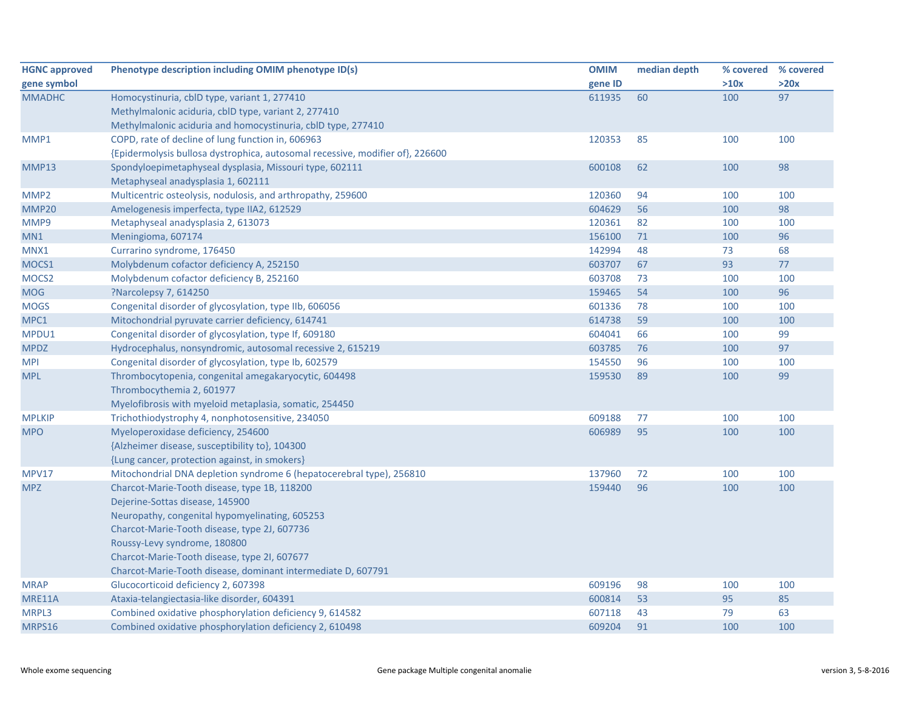| <b>HGNC approved</b> | Phenotype description including OMIM phenotype ID(s)                          | <b>OMIM</b> | median depth |      | % covered % covered |
|----------------------|-------------------------------------------------------------------------------|-------------|--------------|------|---------------------|
| gene symbol          |                                                                               | gene ID     |              | >10x | >20x                |
| <b>MMADHC</b>        | Homocystinuria, cblD type, variant 1, 277410                                  | 611935      | 60           | 100  | 97                  |
|                      | Methylmalonic aciduria, cblD type, variant 2, 277410                          |             |              |      |                     |
|                      | Methylmalonic aciduria and homocystinuria, cbID type, 277410                  |             |              |      |                     |
| MMP1                 | COPD, rate of decline of lung function in, 606963                             | 120353      | 85           | 100  | 100                 |
|                      | {Epidermolysis bullosa dystrophica, autosomal recessive, modifier of}, 226600 |             |              |      |                     |
| MMP13                | Spondyloepimetaphyseal dysplasia, Missouri type, 602111                       | 600108      | 62           | 100  | 98                  |
|                      | Metaphyseal anadysplasia 1, 602111                                            |             |              |      |                     |
| MMP <sub>2</sub>     | Multicentric osteolysis, nodulosis, and arthropathy, 259600                   | 120360      | 94           | 100  | 100                 |
| MMP20                | Amelogenesis imperfecta, type IIA2, 612529                                    | 604629      | 56           | 100  | 98                  |
| MMP9                 | Metaphyseal anadysplasia 2, 613073                                            | 120361      | 82           | 100  | 100                 |
| MN1                  | Meningioma, 607174                                                            | 156100      | $71$         | 100  | 96                  |
| MNX1                 | Currarino syndrome, 176450                                                    | 142994      | 48           | 73   | 68                  |
| MOCS1                | Molybdenum cofactor deficiency A, 252150                                      | 603707      | 67           | 93   | 77                  |
| MOCS2                | Molybdenum cofactor deficiency B, 252160                                      | 603708      | 73           | 100  | 100                 |
| <b>MOG</b>           | ?Narcolepsy 7, 614250                                                         | 159465      | 54           | 100  | 96                  |
| <b>MOGS</b>          | Congenital disorder of glycosylation, type IIb, 606056                        | 601336      | 78           | 100  | 100                 |
| MPC1                 | Mitochondrial pyruvate carrier deficiency, 614741                             | 614738      | 59           | 100  | 100                 |
| MPDU1                | Congenital disorder of glycosylation, type If, 609180                         | 604041      | 66           | 100  | 99                  |
| <b>MPDZ</b>          | Hydrocephalus, nonsyndromic, autosomal recessive 2, 615219                    | 603785      | 76           | 100  | 97                  |
| <b>MPI</b>           | Congenital disorder of glycosylation, type Ib, 602579                         | 154550      | 96           | 100  | 100                 |
| <b>MPL</b>           | Thrombocytopenia, congenital amegakaryocytic, 604498                          | 159530      | 89           | 100  | 99                  |
|                      | Thrombocythemia 2, 601977                                                     |             |              |      |                     |
|                      | Myelofibrosis with myeloid metaplasia, somatic, 254450                        |             |              |      |                     |
| <b>MPLKIP</b>        | Trichothiodystrophy 4, nonphotosensitive, 234050                              | 609188      | 77           | 100  | 100                 |
| <b>MPO</b>           | Myeloperoxidase deficiency, 254600                                            | 606989      | 95           | 100  | 100                 |
|                      | {Alzheimer disease, susceptibility to}, 104300                                |             |              |      |                     |
|                      | {Lung cancer, protection against, in smokers}                                 |             |              |      |                     |
| MPV17                | Mitochondrial DNA depletion syndrome 6 (hepatocerebral type), 256810          | 137960      | 72           | 100  | 100                 |
| <b>MPZ</b>           | Charcot-Marie-Tooth disease, type 1B, 118200                                  | 159440      | 96           | 100  | 100                 |
|                      | Dejerine-Sottas disease, 145900                                               |             |              |      |                     |
|                      | Neuropathy, congenital hypomyelinating, 605253                                |             |              |      |                     |
|                      | Charcot-Marie-Tooth disease, type 2J, 607736                                  |             |              |      |                     |
|                      | Roussy-Levy syndrome, 180800                                                  |             |              |      |                     |
|                      | Charcot-Marie-Tooth disease, type 2I, 607677                                  |             |              |      |                     |
|                      | Charcot-Marie-Tooth disease, dominant intermediate D, 607791                  |             |              |      |                     |
| <b>MRAP</b>          | Glucocorticoid deficiency 2, 607398                                           | 609196      | 98           | 100  | 100                 |
| MRE11A               | Ataxia-telangiectasia-like disorder, 604391                                   | 600814      | 53           | 95   | 85                  |
| MRPL3                | Combined oxidative phosphorylation deficiency 9, 614582                       | 607118      | 43           | 79   | 63                  |
| MRPS16               | Combined oxidative phosphorylation deficiency 2, 610498                       | 609204      | 91           | 100  | 100                 |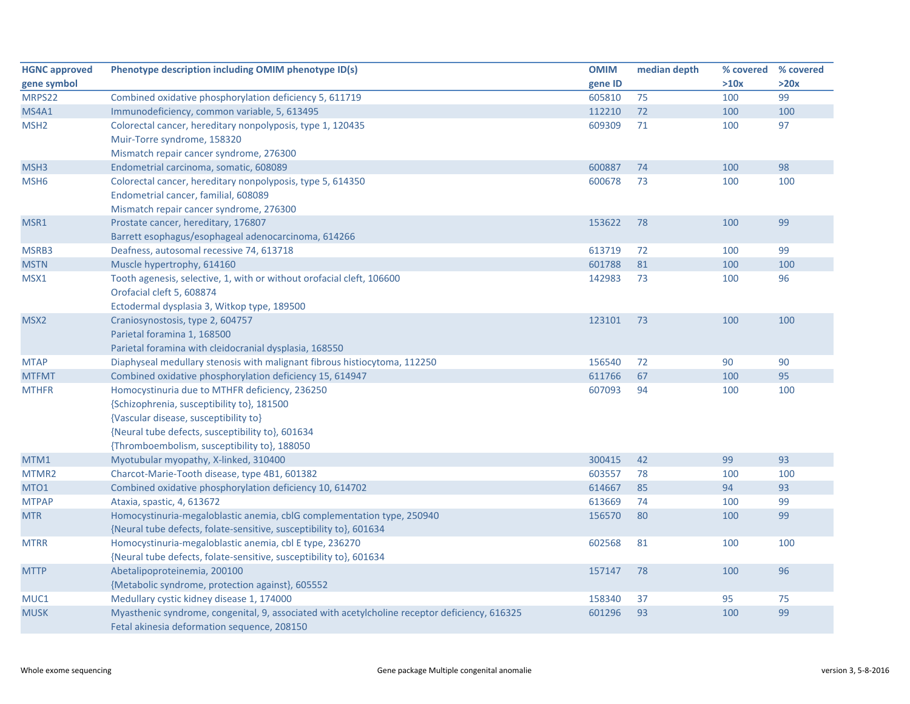| <b>HGNC approved</b> | Phenotype description including OMIM phenotype ID(s)                                                                                         | <b>OMIM</b> | median depth | % covered % covered |      |
|----------------------|----------------------------------------------------------------------------------------------------------------------------------------------|-------------|--------------|---------------------|------|
| gene symbol          |                                                                                                                                              | gene ID     |              | >10x                | >20x |
| MRPS22               | Combined oxidative phosphorylation deficiency 5, 611719                                                                                      | 605810      | 75           | 100                 | 99   |
| <b>MS4A1</b>         | Immunodeficiency, common variable, 5, 613495                                                                                                 | 112210      | 72           | 100                 | 100  |
| MSH <sub>2</sub>     | Colorectal cancer, hereditary nonpolyposis, type 1, 120435                                                                                   | 609309      | 71           | 100                 | 97   |
|                      | Muir-Torre syndrome, 158320                                                                                                                  |             |              |                     |      |
|                      | Mismatch repair cancer syndrome, 276300                                                                                                      |             |              |                     |      |
| MSH3                 | Endometrial carcinoma, somatic, 608089                                                                                                       | 600887      | 74           | 100                 | 98   |
| MSH <sub>6</sub>     | Colorectal cancer, hereditary nonpolyposis, type 5, 614350                                                                                   | 600678      | 73           | 100                 | 100  |
|                      | Endometrial cancer, familial, 608089                                                                                                         |             |              |                     |      |
|                      | Mismatch repair cancer syndrome, 276300                                                                                                      |             |              |                     |      |
| MSR1                 | Prostate cancer, hereditary, 176807                                                                                                          | 153622      | 78           | 100                 | 99   |
|                      | Barrett esophagus/esophageal adenocarcinoma, 614266                                                                                          |             |              |                     |      |
| MSRB3                | Deafness, autosomal recessive 74, 613718                                                                                                     | 613719      | 72           | 100                 | 99   |
| <b>MSTN</b>          | Muscle hypertrophy, 614160                                                                                                                   | 601788      | 81           | 100                 | 100  |
| MSX1                 | Tooth agenesis, selective, 1, with or without orofacial cleft, 106600                                                                        | 142983      | 73           | 100                 | 96   |
|                      | Orofacial cleft 5, 608874                                                                                                                    |             |              |                     |      |
|                      | Ectodermal dysplasia 3, Witkop type, 189500                                                                                                  |             |              |                     |      |
| MSX <sub>2</sub>     | Craniosynostosis, type 2, 604757                                                                                                             | 123101      | 73           | 100                 | 100  |
|                      | Parietal foramina 1, 168500                                                                                                                  |             |              |                     |      |
|                      | Parietal foramina with cleidocranial dysplasia, 168550                                                                                       |             |              |                     |      |
| <b>MTAP</b>          | Diaphyseal medullary stenosis with malignant fibrous histiocytoma, 112250                                                                    | 156540      | 72           | 90                  | 90   |
| <b>MTFMT</b>         | Combined oxidative phosphorylation deficiency 15, 614947                                                                                     | 611766      | 67           | 100                 | 95   |
| <b>MTHFR</b>         | Homocystinuria due to MTHFR deficiency, 236250                                                                                               | 607093      | 94           | 100                 | 100  |
|                      | {Schizophrenia, susceptibility to}, 181500                                                                                                   |             |              |                     |      |
|                      | {Vascular disease, susceptibility to}                                                                                                        |             |              |                     |      |
|                      | {Neural tube defects, susceptibility to}, 601634                                                                                             |             |              |                     |      |
|                      | {Thromboembolism, susceptibility to}, 188050                                                                                                 |             |              |                     |      |
| MTM1                 | Myotubular myopathy, X-linked, 310400                                                                                                        | 300415      | 42           | 99                  | 93   |
| MTMR2                | Charcot-Marie-Tooth disease, type 4B1, 601382                                                                                                | 603557      | 78           | 100                 | 100  |
| MTO <sub>1</sub>     | Combined oxidative phosphorylation deficiency 10, 614702                                                                                     | 614667      | 85           | 94                  | 93   |
| <b>MTPAP</b>         | Ataxia, spastic, 4, 613672                                                                                                                   | 613669      | 74           | 100                 | 99   |
| <b>MTR</b>           | Homocystinuria-megaloblastic anemia, cblG complementation type, 250940                                                                       | 156570      | 80           | 100                 | 99   |
|                      | {Neural tube defects, folate-sensitive, susceptibility to}, 601634                                                                           |             |              |                     |      |
| <b>MTRR</b>          | Homocystinuria-megaloblastic anemia, cbl E type, 236270                                                                                      | 602568      | 81           | 100                 | 100  |
|                      | {Neural tube defects, folate-sensitive, susceptibility to}, 601634                                                                           |             |              |                     |      |
| <b>MTTP</b>          | Abetalipoproteinemia, 200100                                                                                                                 | 157147      | 78           | 100                 | 96   |
|                      | {Metabolic syndrome, protection against}, 605552                                                                                             |             |              |                     |      |
| MUC1                 | Medullary cystic kidney disease 1, 174000                                                                                                    | 158340      | 37           | 95                  | 75   |
| <b>MUSK</b>          | Myasthenic syndrome, congenital, 9, associated with acetylcholine receptor deficiency, 616325<br>Fetal akinesia deformation sequence, 208150 | 601296      | 93           | 100                 | 99   |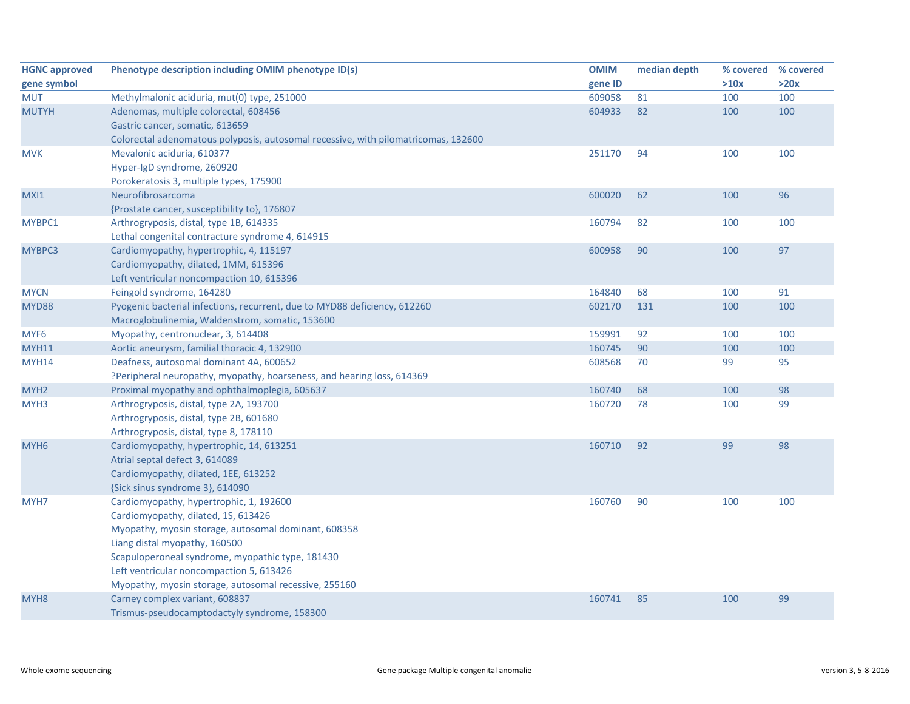| <b>HGNC approved</b> | Phenotype description including OMIM phenotype ID(s)                               | <b>OMIM</b> | median depth | % covered | % covered |
|----------------------|------------------------------------------------------------------------------------|-------------|--------------|-----------|-----------|
| gene symbol          |                                                                                    | gene ID     |              | >10x      | >20x      |
| <b>MUT</b>           | Methylmalonic aciduria, mut(0) type, 251000                                        | 609058      | 81           | 100       | 100       |
| <b>MUTYH</b>         | Adenomas, multiple colorectal, 608456                                              | 604933      | 82           | 100       | 100       |
|                      | Gastric cancer, somatic, 613659                                                    |             |              |           |           |
|                      | Colorectal adenomatous polyposis, autosomal recessive, with pilomatricomas, 132600 |             |              |           |           |
| <b>MVK</b>           | Mevalonic aciduria, 610377                                                         | 251170      | 94           | 100       | 100       |
|                      | Hyper-IgD syndrome, 260920                                                         |             |              |           |           |
|                      | Porokeratosis 3, multiple types, 175900                                            |             |              |           |           |
| MXI1                 | Neurofibrosarcoma                                                                  | 600020      | 62           | 100       | 96        |
|                      | {Prostate cancer, susceptibility to}, 176807                                       |             |              |           |           |
| MYBPC1               | Arthrogryposis, distal, type 1B, 614335                                            | 160794      | 82           | 100       | 100       |
|                      | Lethal congenital contracture syndrome 4, 614915                                   |             |              |           |           |
| MYBPC3               | Cardiomyopathy, hypertrophic, 4, 115197                                            | 600958      | 90           | 100       | 97        |
|                      | Cardiomyopathy, dilated, 1MM, 615396                                               |             |              |           |           |
|                      | Left ventricular noncompaction 10, 615396                                          |             |              |           |           |
| <b>MYCN</b>          | Feingold syndrome, 164280                                                          | 164840      | 68           | 100       | 91        |
| <b>MYD88</b>         | Pyogenic bacterial infections, recurrent, due to MYD88 deficiency, 612260          | 602170      | 131          | 100       | 100       |
|                      | Macroglobulinemia, Waldenstrom, somatic, 153600                                    |             |              |           |           |
| MYF <sub>6</sub>     | Myopathy, centronuclear, 3, 614408                                                 | 159991      | 92           | 100       | 100       |
| <b>MYH11</b>         | Aortic aneurysm, familial thoracic 4, 132900                                       | 160745      | 90           | 100       | 100       |
| MYH14                | Deafness, autosomal dominant 4A, 600652                                            | 608568      | 70           | 99        | 95        |
|                      | ?Peripheral neuropathy, myopathy, hoarseness, and hearing loss, 614369             |             |              |           |           |
| MYH <sub>2</sub>     | Proximal myopathy and ophthalmoplegia, 605637                                      | 160740      | 68           | 100       | 98        |
| MYH <sub>3</sub>     | Arthrogryposis, distal, type 2A, 193700                                            | 160720      | 78           | 100       | 99        |
|                      | Arthrogryposis, distal, type 2B, 601680                                            |             |              |           |           |
|                      | Arthrogryposis, distal, type 8, 178110                                             |             |              |           |           |
| MYH <sub>6</sub>     | Cardiomyopathy, hypertrophic, 14, 613251                                           | 160710      | 92           | 99        | 98        |
|                      | Atrial septal defect 3, 614089                                                     |             |              |           |           |
|                      | Cardiomyopathy, dilated, 1EE, 613252                                               |             |              |           |           |
|                      | {Sick sinus syndrome 3}, 614090                                                    |             |              |           |           |
| MYH7                 | Cardiomyopathy, hypertrophic, 1, 192600                                            | 160760      | 90           | 100       | 100       |
|                      | Cardiomyopathy, dilated, 1S, 613426                                                |             |              |           |           |
|                      | Myopathy, myosin storage, autosomal dominant, 608358                               |             |              |           |           |
|                      | Liang distal myopathy, 160500                                                      |             |              |           |           |
|                      | Scapuloperoneal syndrome, myopathic type, 181430                                   |             |              |           |           |
|                      | Left ventricular noncompaction 5, 613426                                           |             |              |           |           |
|                      | Myopathy, myosin storage, autosomal recessive, 255160                              |             |              |           |           |
| MYH <sub>8</sub>     | Carney complex variant, 608837                                                     | 160741      | 85           | 100       | 99        |
|                      | Trismus-pseudocamptodactyly syndrome, 158300                                       |             |              |           |           |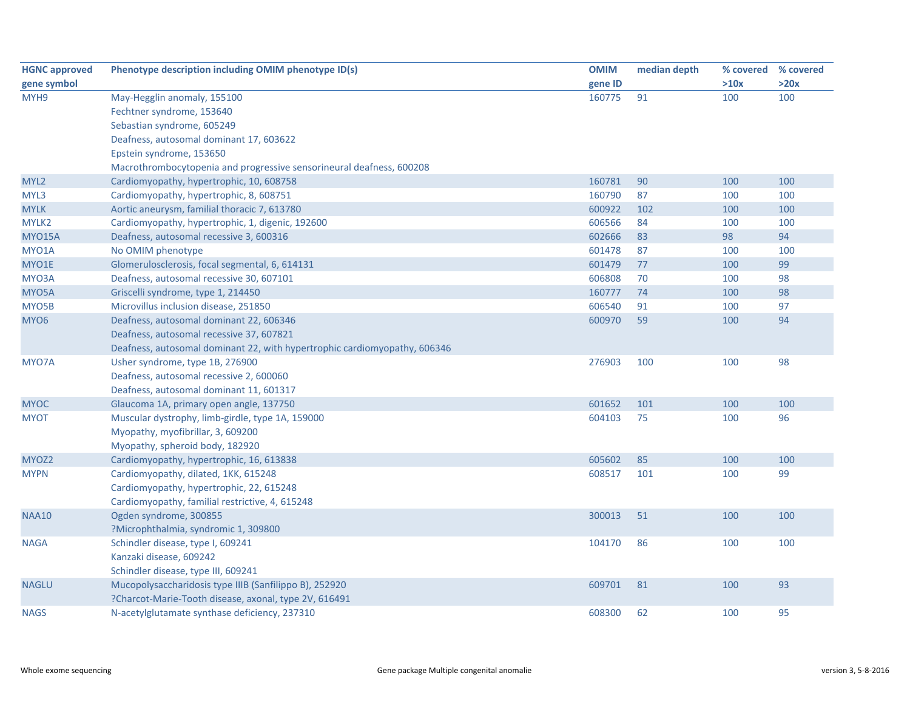| <b>HGNC approved</b> | Phenotype description including OMIM phenotype ID(s)                      | <b>OMIM</b> | median depth | % covered % covered |      |
|----------------------|---------------------------------------------------------------------------|-------------|--------------|---------------------|------|
| gene symbol          |                                                                           | gene ID     |              | >10x                | >20x |
| MYH9                 | May-Hegglin anomaly, 155100                                               | 160775      | 91           | 100                 | 100  |
|                      | Fechtner syndrome, 153640                                                 |             |              |                     |      |
|                      | Sebastian syndrome, 605249                                                |             |              |                     |      |
|                      | Deafness, autosomal dominant 17, 603622                                   |             |              |                     |      |
|                      | Epstein syndrome, 153650                                                  |             |              |                     |      |
|                      | Macrothrombocytopenia and progressive sensorineural deafness, 600208      |             |              |                     |      |
| MYL <sub>2</sub>     | Cardiomyopathy, hypertrophic, 10, 608758                                  | 160781      | 90           | 100                 | 100  |
| MYL3                 | Cardiomyopathy, hypertrophic, 8, 608751                                   | 160790      | 87           | 100                 | 100  |
| <b>MYLK</b>          | Aortic aneurysm, familial thoracic 7, 613780                              | 600922      | 102          | 100                 | 100  |
| MYLK2                | Cardiomyopathy, hypertrophic, 1, digenic, 192600                          | 606566      | 84           | 100                 | 100  |
| <b>MYO15A</b>        | Deafness, autosomal recessive 3, 600316                                   | 602666      | 83           | 98                  | 94   |
| MYO1A                | No OMIM phenotype                                                         | 601478      | 87           | 100                 | 100  |
| MYO1E                | Glomerulosclerosis, focal segmental, 6, 614131                            | 601479      | 77           | 100                 | 99   |
| MYO3A                | Deafness, autosomal recessive 30, 607101                                  | 606808      | 70           | 100                 | 98   |
| MYO5A                | Griscelli syndrome, type 1, 214450                                        | 160777      | 74           | 100                 | 98   |
| MYO5B                | Microvillus inclusion disease, 251850                                     | 606540      | 91           | 100                 | 97   |
| MYO <sub>6</sub>     | Deafness, autosomal dominant 22, 606346                                   | 600970      | 59           | 100                 | 94   |
|                      | Deafness, autosomal recessive 37, 607821                                  |             |              |                     |      |
|                      | Deafness, autosomal dominant 22, with hypertrophic cardiomyopathy, 606346 |             |              |                     |      |
| MYO7A                | Usher syndrome, type 1B, 276900                                           | 276903      | 100          | 100                 | 98   |
|                      | Deafness, autosomal recessive 2, 600060                                   |             |              |                     |      |
|                      | Deafness, autosomal dominant 11, 601317                                   |             |              |                     |      |
| <b>MYOC</b>          | Glaucoma 1A, primary open angle, 137750                                   | 601652      | 101          | 100                 | 100  |
| <b>MYOT</b>          | Muscular dystrophy, limb-girdle, type 1A, 159000                          | 604103      | 75           | 100                 | 96   |
|                      | Myopathy, myofibrillar, 3, 609200                                         |             |              |                     |      |
|                      | Myopathy, spheroid body, 182920                                           |             |              |                     |      |
| MYOZ2                | Cardiomyopathy, hypertrophic, 16, 613838                                  | 605602      | 85           | 100                 | 100  |
| <b>MYPN</b>          | Cardiomyopathy, dilated, 1KK, 615248                                      | 608517      | 101          | 100                 | 99   |
|                      | Cardiomyopathy, hypertrophic, 22, 615248                                  |             |              |                     |      |
|                      | Cardiomyopathy, familial restrictive, 4, 615248                           |             |              |                     |      |
| <b>NAA10</b>         | Ogden syndrome, 300855                                                    | 300013      | 51           | 100                 | 100  |
|                      | ?Microphthalmia, syndromic 1, 309800                                      |             |              |                     |      |
| <b>NAGA</b>          | Schindler disease, type I, 609241                                         | 104170      | 86           | 100                 | 100  |
|                      | Kanzaki disease, 609242                                                   |             |              |                     |      |
|                      | Schindler disease, type III, 609241                                       |             |              |                     |      |
| <b>NAGLU</b>         | Mucopolysaccharidosis type IIIB (Sanfilippo B), 252920                    | 609701      | 81           | 100                 | 93   |
|                      | ?Charcot-Marie-Tooth disease, axonal, type 2V, 616491                     |             |              |                     |      |
| <b>NAGS</b>          | N-acetylglutamate synthase deficiency, 237310                             | 608300      | 62           | 100                 | 95   |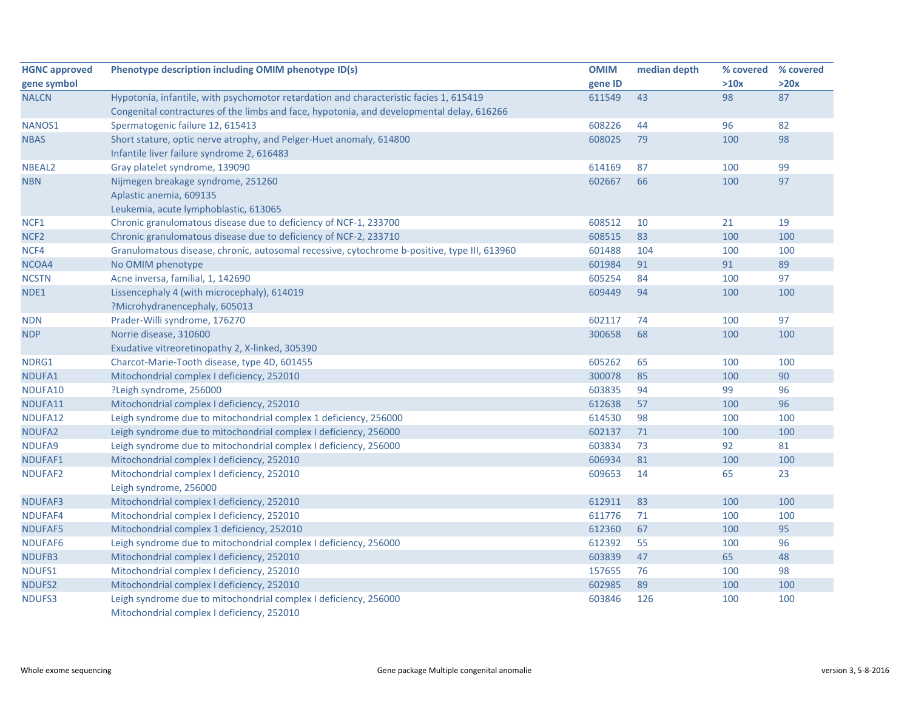| <b>HGNC approved</b> | Phenotype description including OMIM phenotype ID(s)                                         | <b>OMIM</b> | median depth | % covered | % covered |
|----------------------|----------------------------------------------------------------------------------------------|-------------|--------------|-----------|-----------|
| gene symbol          |                                                                                              | gene ID     |              | >10x      | >20x      |
| <b>NALCN</b>         | Hypotonia, infantile, with psychomotor retardation and characteristic facies 1, 615419       | 611549      | 43           | 98        | 87        |
|                      | Congenital contractures of the limbs and face, hypotonia, and developmental delay, 616266    |             |              |           |           |
| NANOS1               | Spermatogenic failure 12, 615413                                                             | 608226      | 44           | 96        | 82        |
| <b>NBAS</b>          | Short stature, optic nerve atrophy, and Pelger-Huet anomaly, 614800                          | 608025      | 79           | 100       | 98        |
|                      | Infantile liver failure syndrome 2, 616483                                                   |             |              |           |           |
| NBEAL2               | Gray platelet syndrome, 139090                                                               | 614169      | 87           | 100       | 99        |
| <b>NBN</b>           | Nijmegen breakage syndrome, 251260                                                           | 602667      | 66           | 100       | 97        |
|                      | Aplastic anemia, 609135                                                                      |             |              |           |           |
|                      | Leukemia, acute lymphoblastic, 613065                                                        |             |              |           |           |
| NCF1                 | Chronic granulomatous disease due to deficiency of NCF-1, 233700                             | 608512      | 10           | 21        | 19        |
| NCF <sub>2</sub>     | Chronic granulomatous disease due to deficiency of NCF-2, 233710                             | 608515      | 83           | 100       | 100       |
| NCF4                 | Granulomatous disease, chronic, autosomal recessive, cytochrome b-positive, type III, 613960 | 601488      | 104          | 100       | 100       |
| NCOA4                | No OMIM phenotype                                                                            | 601984      | 91           | 91        | 89        |
| <b>NCSTN</b>         | Acne inversa, familial, 1, 142690                                                            | 605254      | 84           | 100       | 97        |
| NDE1                 | Lissencephaly 4 (with microcephaly), 614019                                                  | 609449      | 94           | 100       | 100       |
|                      | ?Microhydranencephaly, 605013                                                                |             |              |           |           |
| <b>NDN</b>           | Prader-Willi syndrome, 176270                                                                | 602117      | 74           | 100       | 97        |
| <b>NDP</b>           | Norrie disease, 310600                                                                       | 300658      | 68           | 100       | 100       |
|                      | Exudative vitreoretinopathy 2, X-linked, 305390                                              |             |              |           |           |
| NDRG1                | Charcot-Marie-Tooth disease, type 4D, 601455                                                 | 605262      | 65           | 100       | 100       |
| NDUFA1               | Mitochondrial complex I deficiency, 252010                                                   | 300078      | 85           | 100       | 90        |
| NDUFA10              | ?Leigh syndrome, 256000                                                                      | 603835      | 94           | 99        | 96        |
| NDUFA11              | Mitochondrial complex I deficiency, 252010                                                   | 612638      | 57           | 100       | 96        |
| NDUFA12              | Leigh syndrome due to mitochondrial complex 1 deficiency, 256000                             | 614530      | 98           | 100       | 100       |
| NDUFA2               | Leigh syndrome due to mitochondrial complex I deficiency, 256000                             | 602137      | 71           | 100       | 100       |
| NDUFA9               | Leigh syndrome due to mitochondrial complex I deficiency, 256000                             | 603834      | 73           | 92        | 81        |
| NDUFAF1              | Mitochondrial complex I deficiency, 252010                                                   | 606934      | 81           | 100       | 100       |
| NDUFAF2              | Mitochondrial complex I deficiency, 252010                                                   | 609653      | 14           | 65        | 23        |
|                      | Leigh syndrome, 256000                                                                       |             |              |           |           |
| NDUFAF3              | Mitochondrial complex I deficiency, 252010                                                   | 612911      | 83           | 100       | 100       |
| NDUFAF4              | Mitochondrial complex I deficiency, 252010                                                   | 611776      | 71           | 100       | 100       |
| NDUFAF5              | Mitochondrial complex 1 deficiency, 252010                                                   | 612360      | 67           | 100       | 95        |
| NDUFAF6              | Leigh syndrome due to mitochondrial complex I deficiency, 256000                             | 612392      | 55           | 100       | 96        |
| NDUFB3               | Mitochondrial complex I deficiency, 252010                                                   | 603839      | 47           | 65        | 48        |
| NDUFS1               | Mitochondrial complex I deficiency, 252010                                                   | 157655      | 76           | 100       | 98        |
| NDUFS2               | Mitochondrial complex I deficiency, 252010                                                   | 602985      | 89           | 100       | 100       |
| NDUFS3               | Leigh syndrome due to mitochondrial complex I deficiency, 256000                             | 603846      | 126          | 100       | 100       |
|                      | Mitochondrial complex I deficiency, 252010                                                   |             |              |           |           |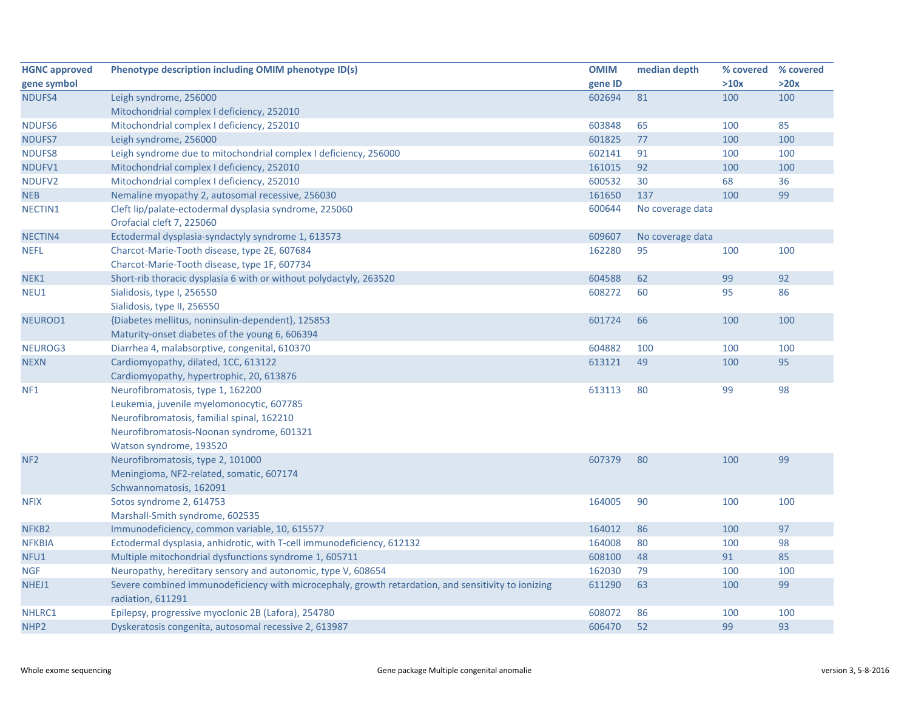| <b>HGNC approved</b> | Phenotype description including OMIM phenotype ID(s)                                                | <b>OMIM</b> | median depth     | % covered % covered |      |
|----------------------|-----------------------------------------------------------------------------------------------------|-------------|------------------|---------------------|------|
| gene symbol          |                                                                                                     | gene ID     |                  | >10x                | >20x |
| NDUFS4               | Leigh syndrome, 256000                                                                              | 602694      | 81               | 100                 | 100  |
|                      | Mitochondrial complex I deficiency, 252010                                                          |             |                  |                     |      |
| NDUFS6               | Mitochondrial complex I deficiency, 252010                                                          | 603848      | 65               | 100                 | 85   |
| NDUFS7               | Leigh syndrome, 256000                                                                              | 601825      | 77               | 100                 | 100  |
| <b>NDUFS8</b>        | Leigh syndrome due to mitochondrial complex I deficiency, 256000                                    | 602141      | 91               | 100                 | 100  |
| NDUFV1               | Mitochondrial complex I deficiency, 252010                                                          | 161015      | 92               | 100                 | 100  |
| NDUFV2               | Mitochondrial complex I deficiency, 252010                                                          | 600532      | 30               | 68                  | 36   |
| <b>NEB</b>           | Nemaline myopathy 2, autosomal recessive, 256030                                                    | 161650      | 137              | 100                 | 99   |
| NECTIN1              | Cleft lip/palate-ectodermal dysplasia syndrome, 225060<br>Orofacial cleft 7, 225060                 | 600644      | No coverage data |                     |      |
| NECTIN4              | Ectodermal dysplasia-syndactyly syndrome 1, 613573                                                  | 609607      | No coverage data |                     |      |
| <b>NEFL</b>          | Charcot-Marie-Tooth disease, type 2E, 607684                                                        | 162280      | 95               | 100                 | 100  |
|                      | Charcot-Marie-Tooth disease, type 1F, 607734                                                        |             |                  |                     |      |
| NEK1                 | Short-rib thoracic dysplasia 6 with or without polydactyly, 263520                                  | 604588      | 62               | 99                  | 92   |
| NEU1                 | Sialidosis, type I, 256550                                                                          | 608272      | 60               | 95                  | 86   |
|                      | Sialidosis, type II, 256550                                                                         |             |                  |                     |      |
| NEUROD1              | {Diabetes mellitus, noninsulin-dependent}, 125853                                                   | 601724      | 66               | 100                 | 100  |
|                      | Maturity-onset diabetes of the young 6, 606394                                                      |             |                  |                     |      |
| NEUROG3              | Diarrhea 4, malabsorptive, congenital, 610370                                                       | 604882      | 100              | 100                 | 100  |
| <b>NEXN</b>          | Cardiomyopathy, dilated, 1CC, 613122                                                                | 613121      | 49               | 100                 | 95   |
|                      | Cardiomyopathy, hypertrophic, 20, 613876                                                            |             |                  |                     |      |
| NF <sub>1</sub>      | Neurofibromatosis, type 1, 162200                                                                   | 613113      | 80               | 99                  | 98   |
|                      | Leukemia, juvenile myelomonocytic, 607785                                                           |             |                  |                     |      |
|                      | Neurofibromatosis, familial spinal, 162210                                                          |             |                  |                     |      |
|                      | Neurofibromatosis-Noonan syndrome, 601321                                                           |             |                  |                     |      |
|                      | Watson syndrome, 193520                                                                             |             |                  |                     |      |
| NF <sub>2</sub>      | Neurofibromatosis, type 2, 101000                                                                   | 607379      | 80               | 100                 | 99   |
|                      | Meningioma, NF2-related, somatic, 607174                                                            |             |                  |                     |      |
|                      | Schwannomatosis, 162091                                                                             |             |                  |                     |      |
| <b>NFIX</b>          | Sotos syndrome 2, 614753                                                                            | 164005      | 90               | 100                 | 100  |
|                      | Marshall-Smith syndrome, 602535                                                                     |             |                  |                     |      |
| NFKB <sub>2</sub>    | Immunodeficiency, common variable, 10, 615577                                                       | 164012      | 86               | 100                 | 97   |
| <b>NFKBIA</b>        | Ectodermal dysplasia, anhidrotic, with T-cell immunodeficiency, 612132                              | 164008      | 80               | 100                 | 98   |
| NFU1                 | Multiple mitochondrial dysfunctions syndrome 1, 605711                                              | 608100      | 48               | 91                  | 85   |
| <b>NGF</b>           | Neuropathy, hereditary sensory and autonomic, type V, 608654                                        | 162030      | 79               | 100                 | 100  |
| NHEJ1                | Severe combined immunodeficiency with microcephaly, growth retardation, and sensitivity to ionizing | 611290      | 63               | 100                 | 99   |
|                      | radiation, 611291                                                                                   |             |                  |                     |      |
| NHLRC1               | Epilepsy, progressive myoclonic 2B (Lafora), 254780                                                 | 608072      | 86               | 100                 | 100  |
| NHP <sub>2</sub>     | Dyskeratosis congenita, autosomal recessive 2, 613987                                               | 606470      | 52               | 99                  | 93   |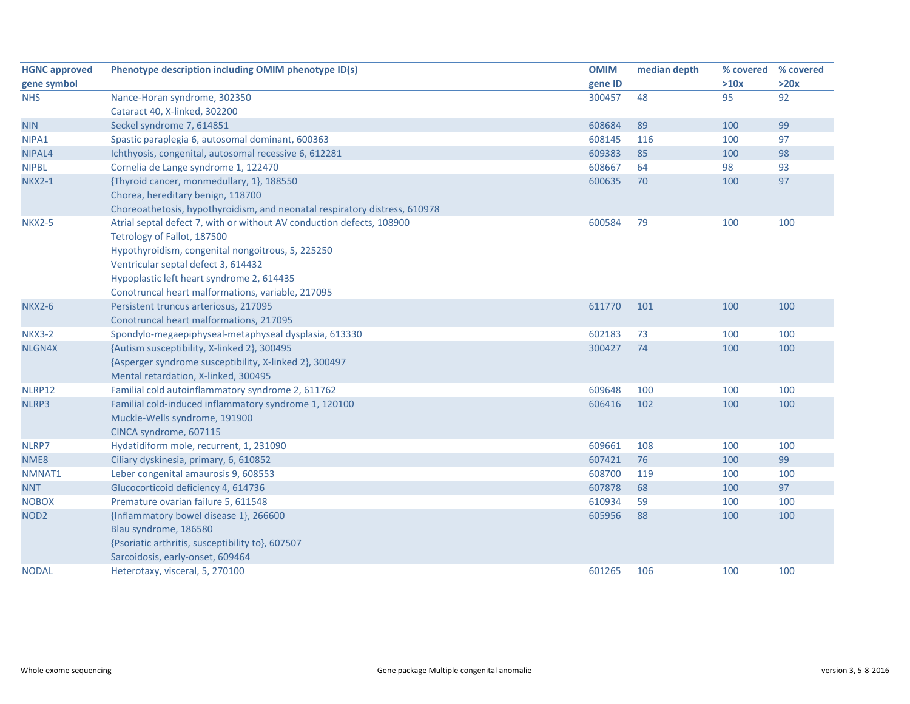| <b>HGNC approved</b> | Phenotype description including OMIM phenotype ID(s)                       | <b>OMIM</b> | median depth | % covered | % covered |
|----------------------|----------------------------------------------------------------------------|-------------|--------------|-----------|-----------|
| gene symbol          |                                                                            | gene ID     |              | >10x      | >20x      |
| <b>NHS</b>           | Nance-Horan syndrome, 302350                                               | 300457      | 48           | 95        | 92        |
|                      | Cataract 40, X-linked, 302200                                              |             |              |           |           |
| <b>NIN</b>           | Seckel syndrome 7, 614851                                                  | 608684      | 89           | 100       | 99        |
| NIPA1                | Spastic paraplegia 6, autosomal dominant, 600363                           | 608145      | 116          | 100       | 97        |
| NIPAL <sub>4</sub>   | Ichthyosis, congenital, autosomal recessive 6, 612281                      | 609383      | 85           | 100       | 98        |
| <b>NIPBL</b>         | Cornelia de Lange syndrome 1, 122470                                       | 608667      | 64           | 98        | 93        |
| <b>NKX2-1</b>        | {Thyroid cancer, monmedullary, 1}, 188550                                  | 600635      | 70           | 100       | 97        |
|                      | Chorea, hereditary benign, 118700                                          |             |              |           |           |
|                      | Choreoathetosis, hypothyroidism, and neonatal respiratory distress, 610978 |             |              |           |           |
| <b>NKX2-5</b>        | Atrial septal defect 7, with or without AV conduction defects, 108900      | 600584      | 79           | 100       | 100       |
|                      | Tetrology of Fallot, 187500                                                |             |              |           |           |
|                      | Hypothyroidism, congenital nongoitrous, 5, 225250                          |             |              |           |           |
|                      | Ventricular septal defect 3, 614432                                        |             |              |           |           |
|                      | Hypoplastic left heart syndrome 2, 614435                                  |             |              |           |           |
|                      | Conotruncal heart malformations, variable, 217095                          |             |              |           |           |
| <b>NKX2-6</b>        | Persistent truncus arteriosus, 217095                                      | 611770      | 101          | 100       | 100       |
|                      | Conotruncal heart malformations, 217095                                    |             |              |           |           |
| <b>NKX3-2</b>        | Spondylo-megaepiphyseal-metaphyseal dysplasia, 613330                      | 602183      | 73           | 100       | 100       |
| NLGN4X               | {Autism susceptibility, X-linked 2}, 300495                                | 300427      | 74           | 100       | 100       |
|                      | {Asperger syndrome susceptibility, X-linked 2}, 300497                     |             |              |           |           |
|                      | Mental retardation, X-linked, 300495                                       |             |              |           |           |
| NLRP12               | Familial cold autoinflammatory syndrome 2, 611762                          | 609648      | 100          | 100       | 100       |
| NLRP3                | Familial cold-induced inflammatory syndrome 1, 120100                      | 606416      | 102          | 100       | 100       |
|                      | Muckle-Wells syndrome, 191900                                              |             |              |           |           |
|                      | CINCA syndrome, 607115                                                     |             |              |           |           |
| NLRP7                | Hydatidiform mole, recurrent, 1, 231090                                    | 609661      | 108          | 100       | 100       |
| NME8                 | Ciliary dyskinesia, primary, 6, 610852                                     | 607421      | 76           | 100       | 99        |
| NMNAT1               | Leber congenital amaurosis 9, 608553                                       | 608700      | 119          | 100       | 100       |
| <b>NNT</b>           | Glucocorticoid deficiency 4, 614736                                        | 607878      | 68           | 100       | 97        |
| <b>NOBOX</b>         | Premature ovarian failure 5, 611548                                        | 610934      | 59           | 100       | 100       |
| NOD <sub>2</sub>     | {Inflammatory bowel disease 1}, 266600                                     | 605956      | 88           | 100       | 100       |
|                      | Blau syndrome, 186580                                                      |             |              |           |           |
|                      | {Psoriatic arthritis, susceptibility to}, 607507                           |             |              |           |           |
|                      | Sarcoidosis, early-onset, 609464                                           |             |              |           |           |
| <b>NODAL</b>         | Heterotaxy, visceral, 5, 270100                                            | 601265      | 106          | 100       | 100       |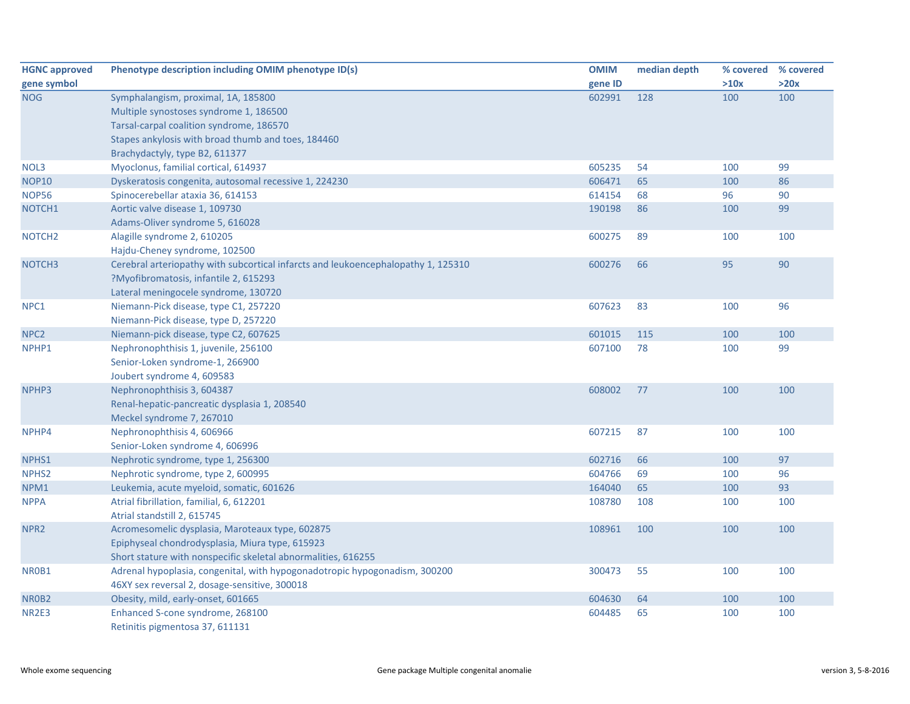| <b>HGNC approved</b> | Phenotype description including OMIM phenotype ID(s)                              | <b>OMIM</b> | median depth | % covered % covered |      |
|----------------------|-----------------------------------------------------------------------------------|-------------|--------------|---------------------|------|
| gene symbol          |                                                                                   | gene ID     |              | >10x                | >20x |
| <b>NOG</b>           | Symphalangism, proximal, 1A, 185800                                               | 602991      | 128          | 100                 | 100  |
|                      | Multiple synostoses syndrome 1, 186500                                            |             |              |                     |      |
|                      | Tarsal-carpal coalition syndrome, 186570                                          |             |              |                     |      |
|                      | Stapes ankylosis with broad thumb and toes, 184460                                |             |              |                     |      |
|                      | Brachydactyly, type B2, 611377                                                    |             |              |                     |      |
| NOL3                 | Myoclonus, familial cortical, 614937                                              | 605235      | 54           | 100                 | 99   |
| <b>NOP10</b>         | Dyskeratosis congenita, autosomal recessive 1, 224230                             | 606471      | 65           | 100                 | 86   |
| <b>NOP56</b>         | Spinocerebellar ataxia 36, 614153                                                 | 614154      | 68           | 96                  | 90   |
| NOTCH1               | Aortic valve disease 1, 109730                                                    | 190198      | 86           | 100                 | 99   |
|                      | Adams-Oliver syndrome 5, 616028                                                   |             |              |                     |      |
| NOTCH <sub>2</sub>   | Alagille syndrome 2, 610205                                                       | 600275      | 89           | 100                 | 100  |
|                      | Hajdu-Cheney syndrome, 102500                                                     |             |              |                     |      |
| NOTCH <sub>3</sub>   | Cerebral arteriopathy with subcortical infarcts and leukoencephalopathy 1, 125310 | 600276      | 66           | 95                  | 90   |
|                      | ?Myofibromatosis, infantile 2, 615293                                             |             |              |                     |      |
|                      | Lateral meningocele syndrome, 130720                                              |             |              |                     |      |
| NPC1                 | Niemann-Pick disease, type C1, 257220                                             | 607623      | 83           | 100                 | 96   |
|                      | Niemann-Pick disease, type D, 257220                                              |             |              |                     |      |
| NPC <sub>2</sub>     | Niemann-pick disease, type C2, 607625                                             | 601015      | 115          | 100                 | 100  |
| NPHP1                | Nephronophthisis 1, juvenile, 256100                                              | 607100      | 78           | 100                 | 99   |
|                      | Senior-Loken syndrome-1, 266900                                                   |             |              |                     |      |
|                      | Joubert syndrome 4, 609583                                                        |             |              |                     |      |
| NPHP3                | Nephronophthisis 3, 604387                                                        | 608002      | 77           | 100                 | 100  |
|                      | Renal-hepatic-pancreatic dysplasia 1, 208540                                      |             |              |                     |      |
|                      | Meckel syndrome 7, 267010                                                         |             |              |                     |      |
| NPHP4                | Nephronophthisis 4, 606966                                                        | 607215      | 87           | 100                 | 100  |
|                      | Senior-Loken syndrome 4, 606996                                                   |             |              |                     |      |
| NPHS1                | Nephrotic syndrome, type 1, 256300                                                | 602716      | 66           | 100                 | 97   |
| NPHS <sub>2</sub>    | Nephrotic syndrome, type 2, 600995                                                | 604766      | 69           | 100                 | 96   |
| NPM1                 | Leukemia, acute myeloid, somatic, 601626                                          | 164040      | 65           | 100                 | 93   |
| <b>NPPA</b>          | Atrial fibrillation, familial, 6, 612201                                          | 108780      | 108          | 100                 | 100  |
|                      | Atrial standstill 2, 615745                                                       |             |              |                     |      |
| NPR <sub>2</sub>     | Acromesomelic dysplasia, Maroteaux type, 602875                                   | 108961      | 100          | 100                 | 100  |
|                      | Epiphyseal chondrodysplasia, Miura type, 615923                                   |             |              |                     |      |
|                      | Short stature with nonspecific skeletal abnormalities, 616255                     |             |              |                     |      |
| NR0B1                | Adrenal hypoplasia, congenital, with hypogonadotropic hypogonadism, 300200        | 300473      | 55           | 100                 | 100  |
|                      | 46XY sex reversal 2, dosage-sensitive, 300018                                     |             |              |                     |      |
| NR0B2                | Obesity, mild, early-onset, 601665                                                | 604630      | 64           | 100                 | 100  |
| NR2E3                | Enhanced S-cone syndrome, 268100                                                  | 604485      | 65           | 100                 | 100  |
|                      | Retinitis pigmentosa 37, 611131                                                   |             |              |                     |      |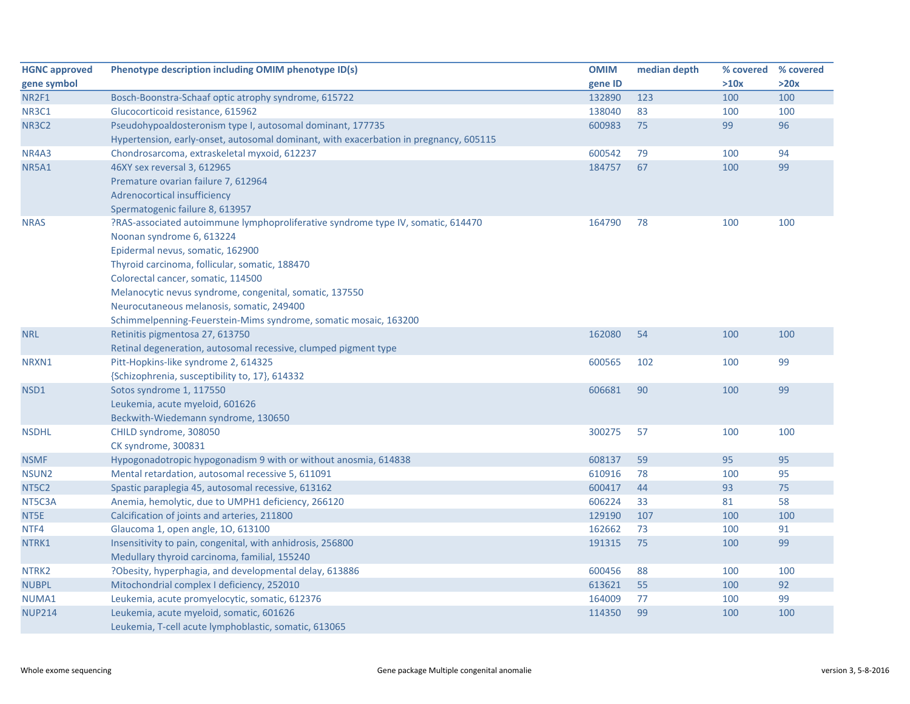| <b>HGNC approved</b> | Phenotype description including OMIM phenotype ID(s)                                  | <b>OMIM</b> | median depth |      | % covered % covered |
|----------------------|---------------------------------------------------------------------------------------|-------------|--------------|------|---------------------|
| gene symbol          |                                                                                       | gene ID     |              | >10x | >20x                |
| NR2F1                | Bosch-Boonstra-Schaaf optic atrophy syndrome, 615722                                  | 132890      | 123          | 100  | 100                 |
| <b>NR3C1</b>         | Glucocorticoid resistance, 615962                                                     | 138040      | 83           | 100  | 100                 |
| <b>NR3C2</b>         | Pseudohypoaldosteronism type I, autosomal dominant, 177735                            | 600983      | 75           | 99   | 96                  |
|                      | Hypertension, early-onset, autosomal dominant, with exacerbation in pregnancy, 605115 |             |              |      |                     |
| NR4A3                | Chondrosarcoma, extraskeletal myxoid, 612237                                          | 600542      | 79           | 100  | 94                  |
| <b>NR5A1</b>         | 46XY sex reversal 3, 612965                                                           | 184757      | 67           | 100  | 99                  |
|                      | Premature ovarian failure 7, 612964                                                   |             |              |      |                     |
|                      | Adrenocortical insufficiency                                                          |             |              |      |                     |
|                      | Spermatogenic failure 8, 613957                                                       |             |              |      |                     |
| <b>NRAS</b>          | ?RAS-associated autoimmune lymphoproliferative syndrome type IV, somatic, 614470      | 164790      | 78           | 100  | 100                 |
|                      | Noonan syndrome 6, 613224                                                             |             |              |      |                     |
|                      | Epidermal nevus, somatic, 162900                                                      |             |              |      |                     |
|                      | Thyroid carcinoma, follicular, somatic, 188470                                        |             |              |      |                     |
|                      | Colorectal cancer, somatic, 114500                                                    |             |              |      |                     |
|                      | Melanocytic nevus syndrome, congenital, somatic, 137550                               |             |              |      |                     |
|                      | Neurocutaneous melanosis, somatic, 249400                                             |             |              |      |                     |
|                      | Schimmelpenning-Feuerstein-Mims syndrome, somatic mosaic, 163200                      |             |              |      |                     |
| <b>NRL</b>           | Retinitis pigmentosa 27, 613750                                                       | 162080      | 54           | 100  | 100                 |
|                      | Retinal degeneration, autosomal recessive, clumped pigment type                       |             |              |      |                     |
| NRXN1                | Pitt-Hopkins-like syndrome 2, 614325                                                  | 600565      | 102          | 100  | 99                  |
|                      | {Schizophrenia, susceptibility to, 17}, 614332                                        |             |              |      |                     |
| NSD1                 | Sotos syndrome 1, 117550                                                              | 606681      | 90           | 100  | 99                  |
|                      | Leukemia, acute myeloid, 601626                                                       |             |              |      |                     |
|                      | Beckwith-Wiedemann syndrome, 130650                                                   |             |              |      |                     |
| <b>NSDHL</b>         | CHILD syndrome, 308050                                                                | 300275      | 57           | 100  | 100                 |
|                      | CK syndrome, 300831                                                                   |             |              |      |                     |
| <b>NSMF</b>          | Hypogonadotropic hypogonadism 9 with or without anosmia, 614838                       | 608137      | 59           | 95   | 95                  |
| NSUN <sub>2</sub>    | Mental retardation, autosomal recessive 5, 611091                                     | 610916      | 78           | 100  | 95                  |
| NT5C2                | Spastic paraplegia 45, autosomal recessive, 613162                                    | 600417      | 44           | 93   | 75                  |
| NT5C3A               | Anemia, hemolytic, due to UMPH1 deficiency, 266120                                    | 606224      | 33           | 81   | 58                  |
| NT5E                 | Calcification of joints and arteries, 211800                                          | 129190      | 107          | 100  | 100                 |
| NTF4                 | Glaucoma 1, open angle, 10, 613100                                                    | 162662      | 73           | 100  | 91                  |
| NTRK1                | Insensitivity to pain, congenital, with anhidrosis, 256800                            | 191315      | 75           | 100  | 99                  |
|                      | Medullary thyroid carcinoma, familial, 155240                                         |             |              |      |                     |
| NTRK2                | ?Obesity, hyperphagia, and developmental delay, 613886                                | 600456      | 88           | 100  | 100                 |
| <b>NUBPL</b>         | Mitochondrial complex I deficiency, 252010                                            | 613621      | 55           | 100  | 92                  |
| NUMA1                | Leukemia, acute promyelocytic, somatic, 612376                                        | 164009      | 77           | 100  | 99                  |
| <b>NUP214</b>        | Leukemia, acute myeloid, somatic, 601626                                              | 114350      | 99           | 100  | 100                 |
|                      | Leukemia, T-cell acute lymphoblastic, somatic, 613065                                 |             |              |      |                     |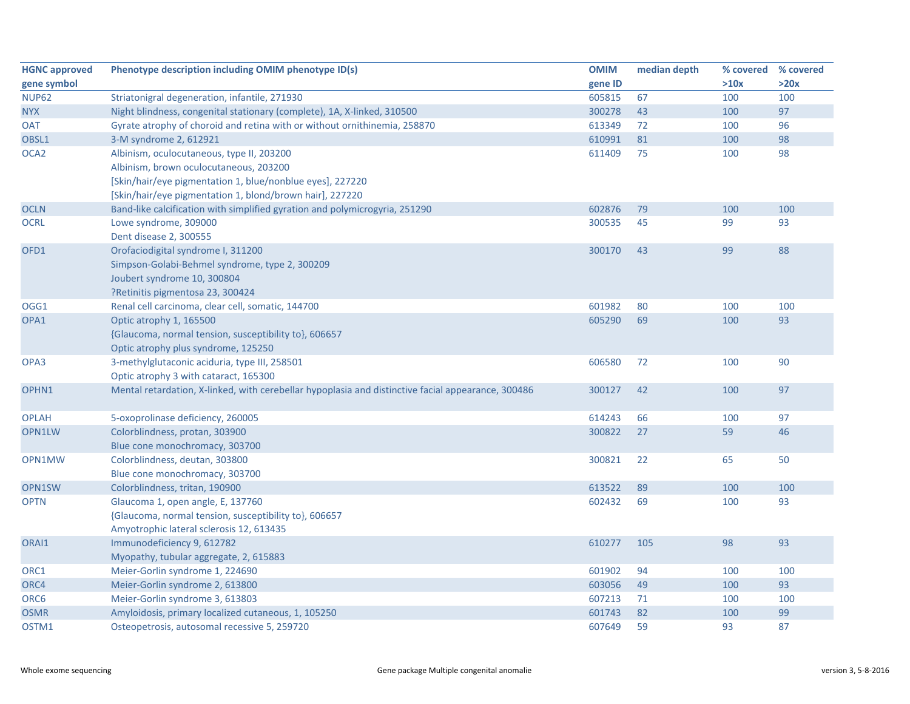| <b>HGNC approved</b> | Phenotype description including OMIM phenotype ID(s)                                               | <b>OMIM</b> | median depth | % covered | % covered |
|----------------------|----------------------------------------------------------------------------------------------------|-------------|--------------|-----------|-----------|
| gene symbol          |                                                                                                    | gene ID     |              | >10x      | >20x      |
| <b>NUP62</b>         | Striatonigral degeneration, infantile, 271930                                                      | 605815      | 67           | 100       | 100       |
| <b>NYX</b>           | Night blindness, congenital stationary (complete), 1A, X-linked, 310500                            | 300278      | 43           | 100       | 97        |
| <b>OAT</b>           | Gyrate atrophy of choroid and retina with or without ornithinemia, 258870                          | 613349      | 72           | 100       | 96        |
| OBSL1                | 3-M syndrome 2, 612921                                                                             | 610991      | 81           | 100       | 98        |
| OCA <sub>2</sub>     | Albinism, oculocutaneous, type II, 203200                                                          | 611409      | 75           | 100       | 98        |
|                      | Albinism, brown oculocutaneous, 203200                                                             |             |              |           |           |
|                      | [Skin/hair/eye pigmentation 1, blue/nonblue eyes], 227220                                          |             |              |           |           |
|                      | [Skin/hair/eye pigmentation 1, blond/brown hair], 227220                                           |             |              |           |           |
| <b>OCLN</b>          | Band-like calcification with simplified gyration and polymicrogyria, 251290                        | 602876      | 79           | 100       | 100       |
| <b>OCRL</b>          | Lowe syndrome, 309000                                                                              | 300535      | 45           | 99        | 93        |
|                      | Dent disease 2, 300555                                                                             |             |              |           |           |
| OFD1                 | Orofaciodigital syndrome I, 311200                                                                 | 300170      | 43           | 99        | 88        |
|                      | Simpson-Golabi-Behmel syndrome, type 2, 300209                                                     |             |              |           |           |
|                      | Joubert syndrome 10, 300804                                                                        |             |              |           |           |
|                      | ?Retinitis pigmentosa 23, 300424                                                                   |             |              |           |           |
| OGG1                 | Renal cell carcinoma, clear cell, somatic, 144700                                                  | 601982      | 80           | 100       | 100       |
| OPA1                 | Optic atrophy 1, 165500                                                                            | 605290      | 69           | 100       | 93        |
|                      | {Glaucoma, normal tension, susceptibility to}, 606657                                              |             |              |           |           |
|                      | Optic atrophy plus syndrome, 125250                                                                |             |              |           |           |
| OPA3                 | 3-methylglutaconic aciduria, type III, 258501                                                      | 606580      | 72           | 100       | 90        |
|                      | Optic atrophy 3 with cataract, 165300                                                              |             |              |           |           |
| OPHN1                | Mental retardation, X-linked, with cerebellar hypoplasia and distinctive facial appearance, 300486 | 300127      | 42           | 100       | 97        |
|                      |                                                                                                    |             |              |           |           |
| <b>OPLAH</b>         | 5-oxoprolinase deficiency, 260005                                                                  | 614243      | 66           | 100       | 97        |
| OPN1LW               | Colorblindness, protan, 303900                                                                     | 300822      | 27           | 59        | 46        |
|                      | Blue cone monochromacy, 303700                                                                     |             |              |           |           |
| OPN1MW               | Colorblindness, deutan, 303800                                                                     | 300821      | 22           | 65        | 50        |
|                      | Blue cone monochromacy, 303700                                                                     |             |              |           |           |
| OPN1SW               | Colorblindness, tritan, 190900                                                                     | 613522      | 89           | 100       | 100       |
| <b>OPTN</b>          | Glaucoma 1, open angle, E, 137760                                                                  | 602432      | 69           | 100       | 93        |
|                      | {Glaucoma, normal tension, susceptibility to}, 606657                                              |             |              |           |           |
|                      | Amyotrophic lateral sclerosis 12, 613435                                                           |             |              |           |           |
| ORAI1                | Immunodeficiency 9, 612782                                                                         | 610277      | 105          | 98        | 93        |
|                      | Myopathy, tubular aggregate, 2, 615883                                                             |             |              |           |           |
| ORC1                 | Meier-Gorlin syndrome 1, 224690                                                                    | 601902      | 94           | 100       | 100       |
| ORC4                 | Meier-Gorlin syndrome 2, 613800                                                                    | 603056      | 49           | 100       | 93        |
| ORC6                 | Meier-Gorlin syndrome 3, 613803                                                                    | 607213      | 71           | 100       | 100       |
| <b>OSMR</b>          | Amyloidosis, primary localized cutaneous, 1, 105250                                                | 601743      | 82           | 100       | 99        |
| OSTM1                | Osteopetrosis, autosomal recessive 5, 259720                                                       | 607649      | 59           | 93        | 87        |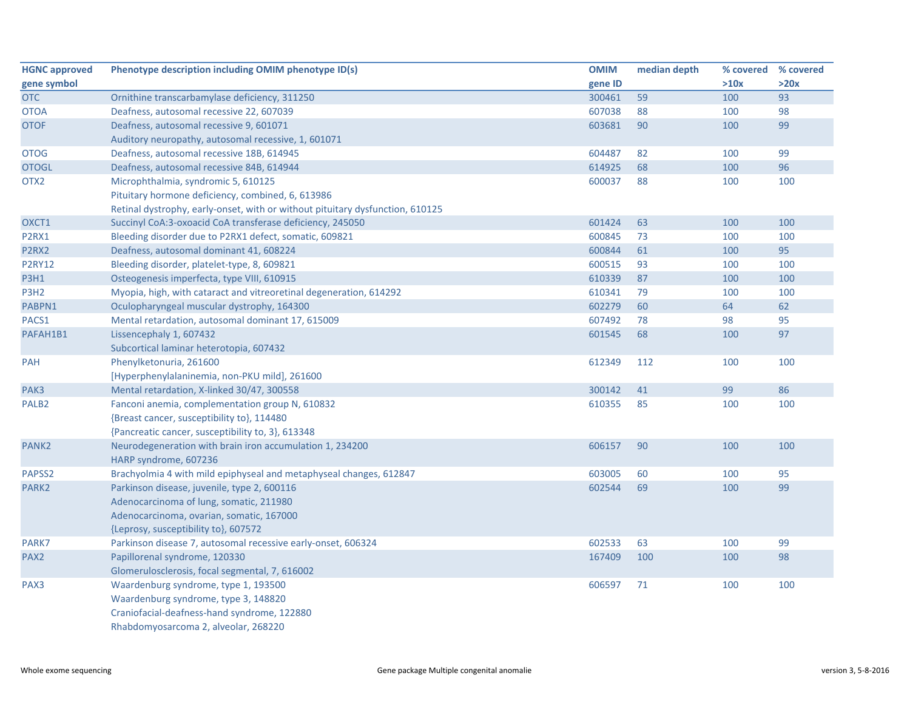| <b>HGNC approved</b> | Phenotype description including OMIM phenotype ID(s)                          | <b>OMIM</b> | median depth | % covered | % covered |
|----------------------|-------------------------------------------------------------------------------|-------------|--------------|-----------|-----------|
| gene symbol          |                                                                               | gene ID     |              | >10x      | >20x      |
| <b>OTC</b>           | Ornithine transcarbamylase deficiency, 311250                                 | 300461      | 59           | 100       | 93        |
| <b>OTOA</b>          | Deafness, autosomal recessive 22, 607039                                      | 607038      | 88           | 100       | 98        |
| <b>OTOF</b>          | Deafness, autosomal recessive 9, 601071                                       | 603681      | 90           | 100       | 99        |
|                      | Auditory neuropathy, autosomal recessive, 1, 601071                           |             |              |           |           |
| <b>OTOG</b>          | Deafness, autosomal recessive 18B, 614945                                     | 604487      | 82           | 100       | 99        |
| <b>OTOGL</b>         | Deafness, autosomal recessive 84B, 614944                                     | 614925      | 68           | 100       | 96        |
| OTX <sub>2</sub>     | Microphthalmia, syndromic 5, 610125                                           | 600037      | 88           | 100       | 100       |
|                      | Pituitary hormone deficiency, combined, 6, 613986                             |             |              |           |           |
|                      | Retinal dystrophy, early-onset, with or without pituitary dysfunction, 610125 |             |              |           |           |
| OXCT1                | Succinyl CoA:3-oxoacid CoA transferase deficiency, 245050                     | 601424      | 63           | 100       | 100       |
| P2RX1                | Bleeding disorder due to P2RX1 defect, somatic, 609821                        | 600845      | 73           | 100       | 100       |
| P2RX2                | Deafness, autosomal dominant 41, 608224                                       | 600844      | 61           | 100       | 95        |
| <b>P2RY12</b>        | Bleeding disorder, platelet-type, 8, 609821                                   | 600515      | 93           | 100       | 100       |
| <b>P3H1</b>          | Osteogenesis imperfecta, type VIII, 610915                                    | 610339      | 87           | 100       | 100       |
| P3H <sub>2</sub>     | Myopia, high, with cataract and vitreoretinal degeneration, 614292            | 610341      | 79           | 100       | 100       |
| PABPN1               | Oculopharyngeal muscular dystrophy, 164300                                    | 602279      | 60           | 64        | 62        |
| PACS1                | Mental retardation, autosomal dominant 17, 615009                             | 607492      | 78           | 98        | 95        |
| PAFAH1B1             | Lissencephaly 1, 607432                                                       | 601545      | 68           | 100       | 97        |
|                      | Subcortical laminar heterotopia, 607432                                       |             |              |           |           |
| PAH                  | Phenylketonuria, 261600                                                       | 612349      | 112          | 100       | 100       |
|                      | [Hyperphenylalaninemia, non-PKU mild], 261600                                 |             |              |           |           |
| PAK3                 | Mental retardation, X-linked 30/47, 300558                                    | 300142      | 41           | 99        | 86        |
| PALB <sub>2</sub>    | Fanconi anemia, complementation group N, 610832                               | 610355      | 85           | 100       | 100       |
|                      | {Breast cancer, susceptibility to}, 114480                                    |             |              |           |           |
|                      | {Pancreatic cancer, susceptibility to, 3}, 613348                             |             |              |           |           |
| PANK <sub>2</sub>    | Neurodegeneration with brain iron accumulation 1, 234200                      | 606157      | 90           | 100       | 100       |
|                      | HARP syndrome, 607236                                                         |             |              |           |           |
| PAPSS2               | Brachyolmia 4 with mild epiphyseal and metaphyseal changes, 612847            | 603005      | 60           | 100       | 95        |
| PARK <sub>2</sub>    | Parkinson disease, juvenile, type 2, 600116                                   | 602544      | 69           | 100       | 99        |
|                      | Adenocarcinoma of lung, somatic, 211980                                       |             |              |           |           |
|                      | Adenocarcinoma, ovarian, somatic, 167000                                      |             |              |           |           |
|                      | {Leprosy, susceptibility to}, 607572                                          |             |              |           |           |
| PARK7                | Parkinson disease 7, autosomal recessive early-onset, 606324                  | 602533      | 63           | 100       | 99        |
| PAX <sub>2</sub>     | Papillorenal syndrome, 120330                                                 | 167409      | 100          | 100       | 98        |
|                      | Glomerulosclerosis, focal segmental, 7, 616002                                |             |              |           |           |
| PAX3                 | Waardenburg syndrome, type 1, 193500                                          | 606597      | 71           | 100       | 100       |
|                      | Waardenburg syndrome, type 3, 148820                                          |             |              |           |           |
|                      | Craniofacial-deafness-hand syndrome, 122880                                   |             |              |           |           |
|                      | Rhabdomyosarcoma 2, alveolar, 268220                                          |             |              |           |           |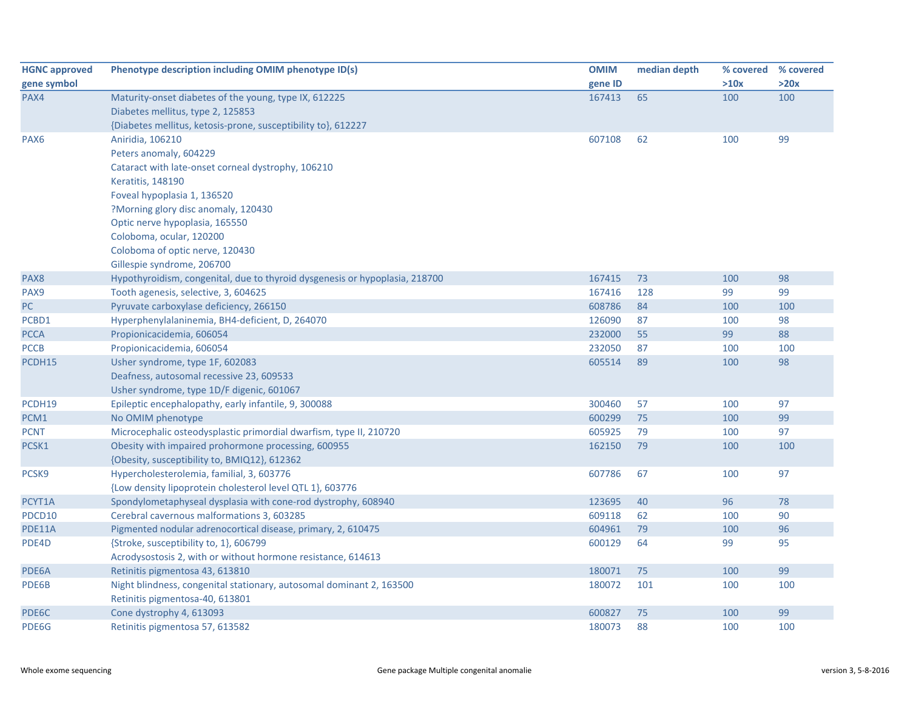| <b>HGNC approved</b> | Phenotype description including OMIM phenotype ID(s)                        | <b>OMIM</b> | median depth |      | % covered % covered |
|----------------------|-----------------------------------------------------------------------------|-------------|--------------|------|---------------------|
| gene symbol          |                                                                             | gene ID     |              | >10x | >20x                |
| PAX4                 | Maturity-onset diabetes of the young, type IX, 612225                       | 167413      | 65           | 100  | 100                 |
|                      | Diabetes mellitus, type 2, 125853                                           |             |              |      |                     |
|                      | {Diabetes mellitus, ketosis-prone, susceptibility to}, 612227               |             |              |      |                     |
| PAX <sub>6</sub>     | Aniridia, 106210                                                            | 607108      | 62           | 100  | 99                  |
|                      | Peters anomaly, 604229                                                      |             |              |      |                     |
|                      | Cataract with late-onset corneal dystrophy, 106210                          |             |              |      |                     |
|                      | Keratitis, 148190                                                           |             |              |      |                     |
|                      | Foveal hypoplasia 1, 136520                                                 |             |              |      |                     |
|                      | ?Morning glory disc anomaly, 120430                                         |             |              |      |                     |
|                      | Optic nerve hypoplasia, 165550                                              |             |              |      |                     |
|                      | Coloboma, ocular, 120200                                                    |             |              |      |                     |
|                      | Coloboma of optic nerve, 120430                                             |             |              |      |                     |
|                      | Gillespie syndrome, 206700                                                  |             |              |      |                     |
| PAX8                 | Hypothyroidism, congenital, due to thyroid dysgenesis or hypoplasia, 218700 | 167415      | 73           | 100  | 98                  |
| PAX9                 | Tooth agenesis, selective, 3, 604625                                        | 167416      | 128          | 99   | 99                  |
| PC                   | Pyruvate carboxylase deficiency, 266150                                     | 608786      | 84           | 100  | 100                 |
| PCBD1                | Hyperphenylalaninemia, BH4-deficient, D, 264070                             | 126090      | 87           | 100  | 98                  |
| <b>PCCA</b>          | Propionicacidemia, 606054                                                   | 232000      | 55           | 99   | 88                  |
| <b>PCCB</b>          | Propionicacidemia, 606054                                                   | 232050      | 87           | 100  | 100                 |
| PCDH15               | Usher syndrome, type 1F, 602083                                             | 605514      | 89           | 100  | 98                  |
|                      | Deafness, autosomal recessive 23, 609533                                    |             |              |      |                     |
|                      | Usher syndrome, type 1D/F digenic, 601067                                   |             |              |      |                     |
| PCDH19               | Epileptic encephalopathy, early infantile, 9, 300088                        | 300460      | 57           | 100  | 97                  |
| PCM1                 | No OMIM phenotype                                                           | 600299      | 75           | 100  | 99                  |
| <b>PCNT</b>          | Microcephalic osteodysplastic primordial dwarfism, type II, 210720          | 605925      | 79           | 100  | 97                  |
| PCSK1                | Obesity with impaired prohormone processing, 600955                         | 162150      | 79           | 100  | 100                 |
|                      | {Obesity, susceptibility to, BMIQ12}, 612362                                |             |              |      |                     |
| PCSK9                | Hypercholesterolemia, familial, 3, 603776                                   | 607786      | 67           | 100  | 97                  |
|                      | {Low density lipoprotein cholesterol level QTL 1}, 603776                   |             |              |      |                     |
| PCYT1A               | Spondylometaphyseal dysplasia with cone-rod dystrophy, 608940               | 123695      | 40           | 96   | 78                  |
| PDCD10               | Cerebral cavernous malformations 3, 603285                                  | 609118      | 62           | 100  | 90                  |
| PDE11A               | Pigmented nodular adrenocortical disease, primary, 2, 610475                | 604961      | 79           | 100  | 96                  |
| PDE4D                | {Stroke, susceptibility to, 1}, 606799                                      | 600129      | 64           | 99   | 95                  |
|                      | Acrodysostosis 2, with or without hormone resistance, 614613                |             |              |      |                     |
| PDE6A                | Retinitis pigmentosa 43, 613810                                             | 180071      | 75           | 100  | 99                  |
| PDE6B                | Night blindness, congenital stationary, autosomal dominant 2, 163500        | 180072      | 101          | 100  | 100                 |
|                      | Retinitis pigmentosa-40, 613801                                             |             |              |      |                     |
| PDE6C                | Cone dystrophy 4, 613093                                                    | 600827      | 75           | 100  | 99                  |
| PDE6G                | Retinitis pigmentosa 57, 613582                                             | 180073      | 88           | 100  | 100                 |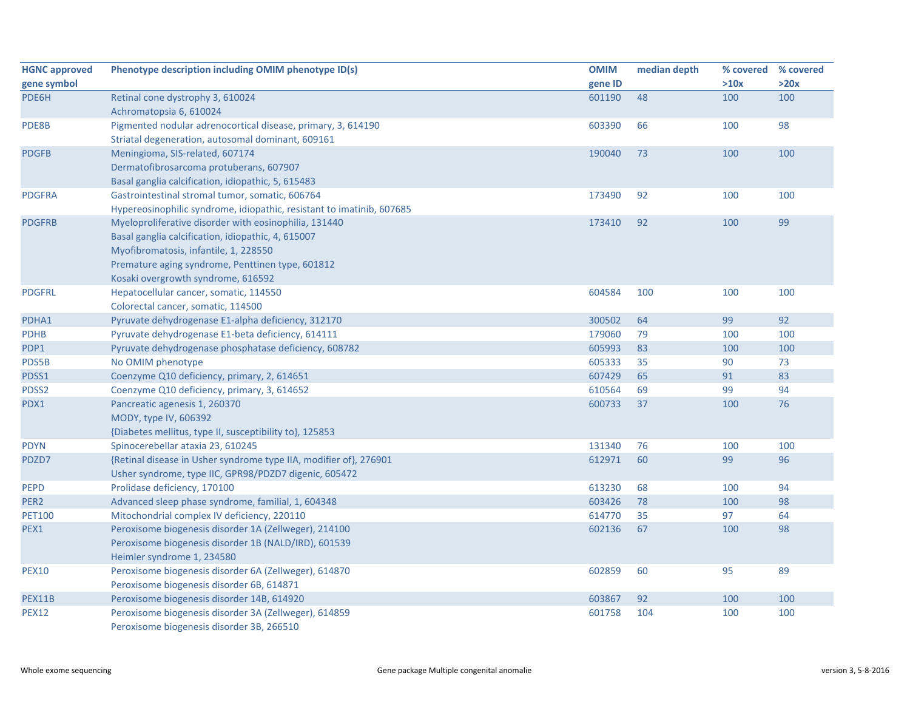| <b>HGNC approved</b> | Phenotype description including OMIM phenotype ID(s)                  | <b>OMIM</b> | median depth | % covered | % covered |
|----------------------|-----------------------------------------------------------------------|-------------|--------------|-----------|-----------|
| gene symbol          |                                                                       | gene ID     |              | >10x      | >20x      |
| PDE6H                | Retinal cone dystrophy 3, 610024                                      | 601190      | 48           | 100       | 100       |
|                      | Achromatopsia 6, 610024                                               |             |              |           |           |
| PDE8B                | Pigmented nodular adrenocortical disease, primary, 3, 614190          | 603390      | 66           | 100       | 98        |
|                      | Striatal degeneration, autosomal dominant, 609161                     |             |              |           |           |
| <b>PDGFB</b>         | Meningioma, SIS-related, 607174                                       | 190040      | 73           | 100       | 100       |
|                      | Dermatofibrosarcoma protuberans, 607907                               |             |              |           |           |
|                      | Basal ganglia calcification, idiopathic, 5, 615483                    |             |              |           |           |
| <b>PDGFRA</b>        | Gastrointestinal stromal tumor, somatic, 606764                       | 173490      | 92           | 100       | 100       |
|                      | Hypereosinophilic syndrome, idiopathic, resistant to imatinib, 607685 |             |              |           |           |
| <b>PDGFRB</b>        | Myeloproliferative disorder with eosinophilia, 131440                 | 173410      | 92           | 100       | 99        |
|                      | Basal ganglia calcification, idiopathic, 4, 615007                    |             |              |           |           |
|                      | Myofibromatosis, infantile, 1, 228550                                 |             |              |           |           |
|                      | Premature aging syndrome, Penttinen type, 601812                      |             |              |           |           |
|                      | Kosaki overgrowth syndrome, 616592                                    |             |              |           |           |
| <b>PDGFRL</b>        | Hepatocellular cancer, somatic, 114550                                | 604584      | 100          | 100       | 100       |
|                      | Colorectal cancer, somatic, 114500                                    |             |              |           |           |
| PDHA1                | Pyruvate dehydrogenase E1-alpha deficiency, 312170                    | 300502      | 64           | 99        | 92        |
| <b>PDHB</b>          | Pyruvate dehydrogenase E1-beta deficiency, 614111                     | 179060      | 79           | 100       | 100       |
| PDP1                 | Pyruvate dehydrogenase phosphatase deficiency, 608782                 | 605993      | 83           | 100       | 100       |
| PDS5B                | No OMIM phenotype                                                     | 605333      | 35           | 90        | 73        |
| PDSS1                | Coenzyme Q10 deficiency, primary, 2, 614651                           | 607429      | 65           | 91        | 83        |
| PDSS2                | Coenzyme Q10 deficiency, primary, 3, 614652                           | 610564      | 69           | 99        | 94        |
| PDX1                 | Pancreatic agenesis 1, 260370                                         | 600733      | 37           | 100       | 76        |
|                      | MODY, type IV, 606392                                                 |             |              |           |           |
|                      | {Diabetes mellitus, type II, susceptibility to}, 125853               |             |              |           |           |
| <b>PDYN</b>          | Spinocerebellar ataxia 23, 610245                                     | 131340      | 76           | 100       | 100       |
| PDZD7                | {Retinal disease in Usher syndrome type IIA, modifier of}, 276901     | 612971      | 60           | 99        | 96        |
|                      | Usher syndrome, type IIC, GPR98/PDZD7 digenic, 605472                 |             |              |           |           |
| <b>PEPD</b>          | Prolidase deficiency, 170100                                          | 613230      | 68           | 100       | 94        |
| PER <sub>2</sub>     | Advanced sleep phase syndrome, familial, 1, 604348                    | 603426      | 78           | 100       | 98        |
| <b>PET100</b>        | Mitochondrial complex IV deficiency, 220110                           | 614770      | 35           | 97        | 64        |
| PEX1                 | Peroxisome biogenesis disorder 1A (Zellweger), 214100                 | 602136      | 67           | 100       | 98        |
|                      | Peroxisome biogenesis disorder 1B (NALD/IRD), 601539                  |             |              |           |           |
|                      | Heimler syndrome 1, 234580                                            |             |              |           |           |
| <b>PEX10</b>         | Peroxisome biogenesis disorder 6A (Zellweger), 614870                 | 602859      | 60           | 95        | 89        |
|                      | Peroxisome biogenesis disorder 6B, 614871                             |             |              |           |           |
| <b>PEX11B</b>        | Peroxisome biogenesis disorder 14B, 614920                            | 603867      | 92           | 100       | 100       |
| <b>PEX12</b>         | Peroxisome biogenesis disorder 3A (Zellweger), 614859                 | 601758      | 104          | 100       | 100       |
|                      | Peroxisome biogenesis disorder 3B, 266510                             |             |              |           |           |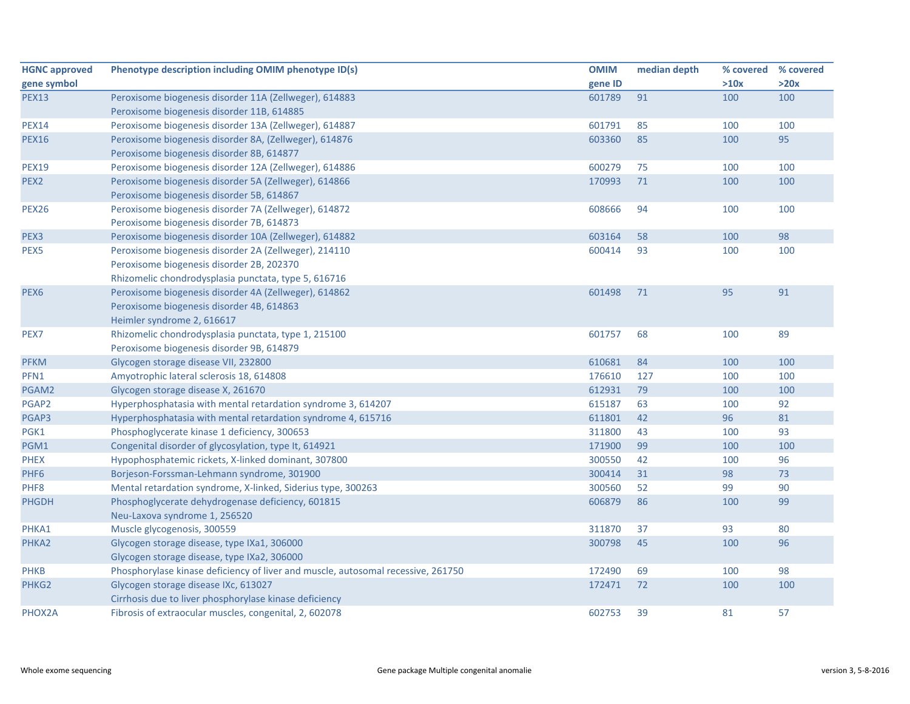| <b>HGNC approved</b> | Phenotype description including OMIM phenotype ID(s)                             | <b>OMIM</b> | median depth | % covered | % covered |
|----------------------|----------------------------------------------------------------------------------|-------------|--------------|-----------|-----------|
| gene symbol          |                                                                                  | gene ID     |              | >10x      | >20x      |
| <b>PEX13</b>         | Peroxisome biogenesis disorder 11A (Zellweger), 614883                           | 601789      | 91           | 100       | 100       |
|                      | Peroxisome biogenesis disorder 11B, 614885                                       |             |              |           |           |
| <b>PEX14</b>         | Peroxisome biogenesis disorder 13A (Zellweger), 614887                           | 601791      | 85           | 100       | 100       |
| <b>PEX16</b>         | Peroxisome biogenesis disorder 8A, (Zellweger), 614876                           | 603360      | 85           | 100       | 95        |
|                      | Peroxisome biogenesis disorder 8B, 614877                                        |             |              |           |           |
| <b>PEX19</b>         | Peroxisome biogenesis disorder 12A (Zellweger), 614886                           | 600279      | 75           | 100       | 100       |
| PEX <sub>2</sub>     | Peroxisome biogenesis disorder 5A (Zellweger), 614866                            | 170993      | 71           | 100       | 100       |
|                      | Peroxisome biogenesis disorder 5B, 614867                                        |             |              |           |           |
| <b>PEX26</b>         | Peroxisome biogenesis disorder 7A (Zellweger), 614872                            | 608666      | 94           | 100       | 100       |
|                      | Peroxisome biogenesis disorder 7B, 614873                                        |             |              |           |           |
| PEX3                 | Peroxisome biogenesis disorder 10A (Zellweger), 614882                           | 603164      | 58           | 100       | 98        |
| PEX5                 | Peroxisome biogenesis disorder 2A (Zellweger), 214110                            | 600414      | 93           | 100       | 100       |
|                      | Peroxisome biogenesis disorder 2B, 202370                                        |             |              |           |           |
|                      | Rhizomelic chondrodysplasia punctata, type 5, 616716                             |             |              |           |           |
| PEX <sub>6</sub>     | Peroxisome biogenesis disorder 4A (Zellweger), 614862                            | 601498      | 71           | 95        | 91        |
|                      | Peroxisome biogenesis disorder 4B, 614863                                        |             |              |           |           |
|                      | Heimler syndrome 2, 616617                                                       |             |              |           |           |
| PEX7                 | Rhizomelic chondrodysplasia punctata, type 1, 215100                             | 601757      | 68           | 100       | 89        |
|                      | Peroxisome biogenesis disorder 9B, 614879                                        |             |              |           |           |
| <b>PFKM</b>          | Glycogen storage disease VII, 232800                                             | 610681      | 84           | 100       | 100       |
| PFN1                 | Amyotrophic lateral sclerosis 18, 614808                                         | 176610      | 127          | 100       | 100       |
| PGAM2                | Glycogen storage disease X, 261670                                               | 612931      | 79           | 100       | 100       |
| PGAP2                | Hyperphosphatasia with mental retardation syndrome 3, 614207                     | 615187      | 63           | 100       | 92        |
| PGAP3                | Hyperphosphatasia with mental retardation syndrome 4, 615716                     | 611801      | 42           | 96        | 81        |
| PGK1                 | Phosphoglycerate kinase 1 deficiency, 300653                                     | 311800      | 43           | 100       | 93        |
| PGM1                 | Congenital disorder of glycosylation, type It, 614921                            | 171900      | 99           | 100       | 100       |
| <b>PHEX</b>          | Hypophosphatemic rickets, X-linked dominant, 307800                              | 300550      | 42           | 100       | 96        |
| PHF <sub>6</sub>     | Borjeson-Forssman-Lehmann syndrome, 301900                                       | 300414      | 31           | 98        | 73        |
| PHF8                 | Mental retardation syndrome, X-linked, Siderius type, 300263                     | 300560      | 52           | 99        | 90        |
| <b>PHGDH</b>         | Phosphoglycerate dehydrogenase deficiency, 601815                                | 606879      | 86           | 100       | 99        |
|                      | Neu-Laxova syndrome 1, 256520                                                    |             |              |           |           |
| PHKA1                | Muscle glycogenosis, 300559                                                      | 311870      | 37           | 93        | 80        |
| PHKA2                | Glycogen storage disease, type IXa1, 306000                                      | 300798      | 45           | 100       | 96        |
|                      | Glycogen storage disease, type IXa2, 306000                                      |             |              |           |           |
| <b>PHKB</b>          | Phosphorylase kinase deficiency of liver and muscle, autosomal recessive, 261750 | 172490      | 69           | 100       | 98        |
| PHKG <sub>2</sub>    | Glycogen storage disease IXc, 613027                                             | 172471      | 72           | 100       | 100       |
|                      | Cirrhosis due to liver phosphorylase kinase deficiency                           |             |              |           |           |
| PHOX2A               | Fibrosis of extraocular muscles, congenital, 2, 602078                           | 602753      | 39           | 81        | 57        |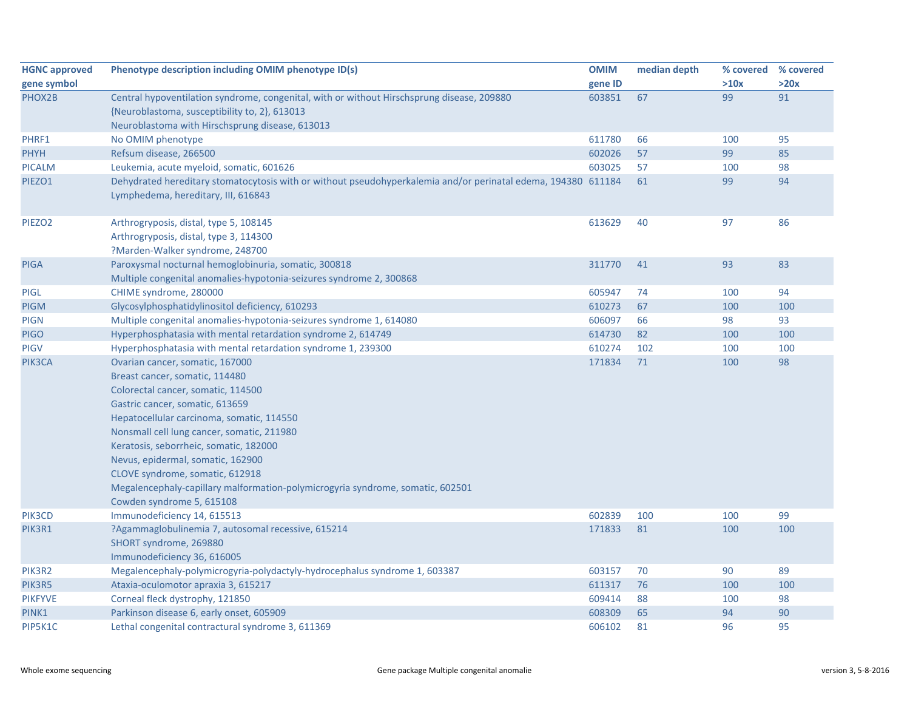| <b>HGNC approved</b> | Phenotype description including OMIM phenotype ID(s)                                                                                                 | <b>OMIM</b> | median depth | % covered | % covered |
|----------------------|------------------------------------------------------------------------------------------------------------------------------------------------------|-------------|--------------|-----------|-----------|
| gene symbol          |                                                                                                                                                      | gene ID     |              | >10x      | >20x      |
| PHOX2B               | Central hypoventilation syndrome, congenital, with or without Hirschsprung disease, 209880                                                           | 603851      | 67           | 99        | 91        |
|                      | {Neuroblastoma, susceptibility to, 2}, 613013                                                                                                        |             |              |           |           |
|                      | Neuroblastoma with Hirschsprung disease, 613013                                                                                                      |             |              |           |           |
| PHRF1                | No OMIM phenotype                                                                                                                                    | 611780      | 66           | 100       | 95        |
| <b>PHYH</b>          | Refsum disease, 266500                                                                                                                               | 602026      | 57           | 99        | 85        |
| <b>PICALM</b>        | Leukemia, acute myeloid, somatic, 601626                                                                                                             | 603025      | 57           | 100       | 98        |
| PIEZO1               | Dehydrated hereditary stomatocytosis with or without pseudohyperkalemia and/or perinatal edema, 194380 611184<br>Lymphedema, hereditary, III, 616843 |             | 61           | 99        | 94        |
| PIEZO <sub>2</sub>   | Arthrogryposis, distal, type 5, 108145                                                                                                               | 613629      | 40           | 97        | 86        |
|                      | Arthrogryposis, distal, type 3, 114300                                                                                                               |             |              |           |           |
|                      | ?Marden-Walker syndrome, 248700                                                                                                                      |             |              |           |           |
| <b>PIGA</b>          | Paroxysmal nocturnal hemoglobinuria, somatic, 300818                                                                                                 | 311770      | 41           | 93        | 83        |
|                      | Multiple congenital anomalies-hypotonia-seizures syndrome 2, 300868                                                                                  |             |              |           |           |
| <b>PIGL</b>          | CHIME syndrome, 280000                                                                                                                               | 605947      | 74           | 100       | 94        |
| <b>PIGM</b>          | Glycosylphosphatidylinositol deficiency, 610293                                                                                                      | 610273      | 67           | 100       | 100       |
| <b>PIGN</b>          | Multiple congenital anomalies-hypotonia-seizures syndrome 1, 614080                                                                                  | 606097      | 66           | 98        | 93        |
| <b>PIGO</b>          | Hyperphosphatasia with mental retardation syndrome 2, 614749                                                                                         | 614730      | 82           | 100       | 100       |
| <b>PIGV</b>          | Hyperphosphatasia with mental retardation syndrome 1, 239300                                                                                         | 610274      | 102          | 100       | 100       |
| PIK3CA               | Ovarian cancer, somatic, 167000                                                                                                                      | 171834      | 71           | 100       | 98        |
|                      | Breast cancer, somatic, 114480                                                                                                                       |             |              |           |           |
|                      | Colorectal cancer, somatic, 114500                                                                                                                   |             |              |           |           |
|                      | Gastric cancer, somatic, 613659                                                                                                                      |             |              |           |           |
|                      | Hepatocellular carcinoma, somatic, 114550                                                                                                            |             |              |           |           |
|                      | Nonsmall cell lung cancer, somatic, 211980                                                                                                           |             |              |           |           |
|                      | Keratosis, seborrheic, somatic, 182000                                                                                                               |             |              |           |           |
|                      | Nevus, epidermal, somatic, 162900                                                                                                                    |             |              |           |           |
|                      | CLOVE syndrome, somatic, 612918                                                                                                                      |             |              |           |           |
|                      | Megalencephaly-capillary malformation-polymicrogyria syndrome, somatic, 602501                                                                       |             |              |           |           |
|                      | Cowden syndrome 5, 615108                                                                                                                            |             |              |           |           |
| PIK3CD               | Immunodeficiency 14, 615513                                                                                                                          | 602839      | 100          | 100       | 99        |
| PIK3R1               | ?Agammaglobulinemia 7, autosomal recessive, 615214                                                                                                   | 171833      | 81           | 100       | 100       |
|                      | SHORT syndrome, 269880                                                                                                                               |             |              |           |           |
|                      | Immunodeficiency 36, 616005                                                                                                                          |             |              |           |           |
| PIK3R2               | Megalencephaly-polymicrogyria-polydactyly-hydrocephalus syndrome 1, 603387                                                                           | 603157      | 70           | 90        | 89        |
| PIK3R5               | Ataxia-oculomotor apraxia 3, 615217                                                                                                                  | 611317      | 76           | 100       | 100       |
| <b>PIKFYVE</b>       | Corneal fleck dystrophy, 121850                                                                                                                      | 609414      | 88           | 100       | 98        |
| PINK1                | Parkinson disease 6, early onset, 605909                                                                                                             | 608309      | 65           | 94        | 90        |
| PIP5K1C              | Lethal congenital contractural syndrome 3, 611369                                                                                                    | 606102      | 81           | 96        | 95        |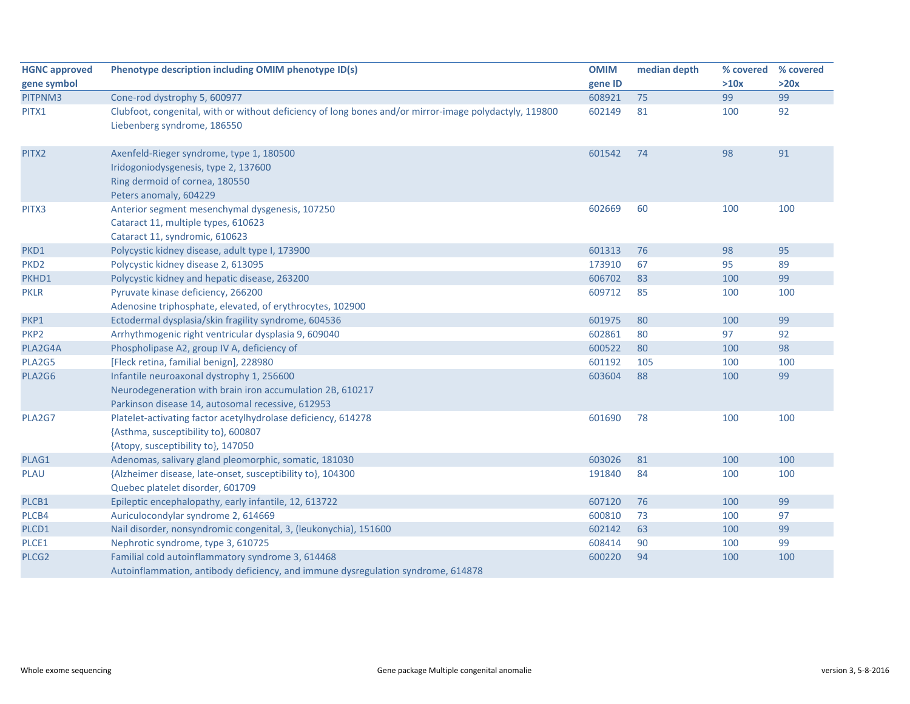| <b>HGNC approved</b> | Phenotype description including OMIM phenotype ID(s)                                                   | <b>OMIM</b> | median depth | % covered | % covered |
|----------------------|--------------------------------------------------------------------------------------------------------|-------------|--------------|-----------|-----------|
| gene symbol          |                                                                                                        | gene ID     |              | >10x      | >20x      |
| PITPNM3              | Cone-rod dystrophy 5, 600977                                                                           | 608921      | 75           | 99        | 99        |
| PITX1                | Clubfoot, congenital, with or without deficiency of long bones and/or mirror-image polydactyly, 119800 | 602149      | 81           | 100       | 92        |
|                      | Liebenberg syndrome, 186550                                                                            |             |              |           |           |
| PITX2                | Axenfeld-Rieger syndrome, type 1, 180500                                                               | 601542      | 74           | 98        | 91        |
|                      | Iridogoniodysgenesis, type 2, 137600                                                                   |             |              |           |           |
|                      | Ring dermoid of cornea, 180550                                                                         |             |              |           |           |
|                      | Peters anomaly, 604229                                                                                 |             |              |           |           |
| PITX3                | Anterior segment mesenchymal dysgenesis, 107250                                                        | 602669      | 60           | 100       | 100       |
|                      | Cataract 11, multiple types, 610623                                                                    |             |              |           |           |
|                      | Cataract 11, syndromic, 610623                                                                         |             |              |           |           |
| PKD1                 | Polycystic kidney disease, adult type I, 173900                                                        | 601313      | 76           | 98        | 95        |
| PKD <sub>2</sub>     | Polycystic kidney disease 2, 613095                                                                    | 173910      | 67           | 95        | 89        |
| PKHD1                | Polycystic kidney and hepatic disease, 263200                                                          | 606702      | 83           | 100       | 99        |
| <b>PKLR</b>          | Pyruvate kinase deficiency, 266200                                                                     | 609712      | 85           | 100       | 100       |
|                      | Adenosine triphosphate, elevated, of erythrocytes, 102900                                              |             |              |           |           |
| PKP1                 | Ectodermal dysplasia/skin fragility syndrome, 604536                                                   | 601975      | 80           | 100       | 99        |
| PKP <sub>2</sub>     | Arrhythmogenic right ventricular dysplasia 9, 609040                                                   | 602861      | 80           | 97        | 92        |
| PLA2G4A              | Phospholipase A2, group IV A, deficiency of                                                            | 600522      | 80           | 100       | 98        |
| PLA2G5               | [Fleck retina, familial benign], 228980                                                                | 601192      | 105          | 100       | 100       |
| PLA2G6               | Infantile neuroaxonal dystrophy 1, 256600                                                              | 603604      | 88           | 100       | 99        |
|                      | Neurodegeneration with brain iron accumulation 2B, 610217                                              |             |              |           |           |
|                      | Parkinson disease 14, autosomal recessive, 612953                                                      |             |              |           |           |
| PLA2G7               | Platelet-activating factor acetylhydrolase deficiency, 614278                                          | 601690      | 78           | 100       | 100       |
|                      | {Asthma, susceptibility to}, 600807                                                                    |             |              |           |           |
|                      | {Atopy, susceptibility to}, 147050                                                                     |             |              |           |           |
| PLAG1                | Adenomas, salivary gland pleomorphic, somatic, 181030                                                  | 603026      | 81           | 100       | 100       |
| <b>PLAU</b>          | {Alzheimer disease, late-onset, susceptibility to}, 104300                                             | 191840      | 84           | 100       | 100       |
|                      | Quebec platelet disorder, 601709                                                                       |             |              |           |           |
| PLCB1                | Epileptic encephalopathy, early infantile, 12, 613722                                                  | 607120      | 76           | 100       | 99        |
| PLCB4                | Auriculocondylar syndrome 2, 614669                                                                    | 600810      | 73           | 100       | 97        |
| PLCD1                | Nail disorder, nonsyndromic congenital, 3, (leukonychia), 151600                                       | 602142      | 63           | 100       | 99        |
| PLCE1                | Nephrotic syndrome, type 3, 610725                                                                     | 608414      | 90           | 100       | 99        |
| PLCG <sub>2</sub>    | Familial cold autoinflammatory syndrome 3, 614468                                                      | 600220      | 94           | 100       | 100       |
|                      | Autoinflammation, antibody deficiency, and immune dysregulation syndrome, 614878                       |             |              |           |           |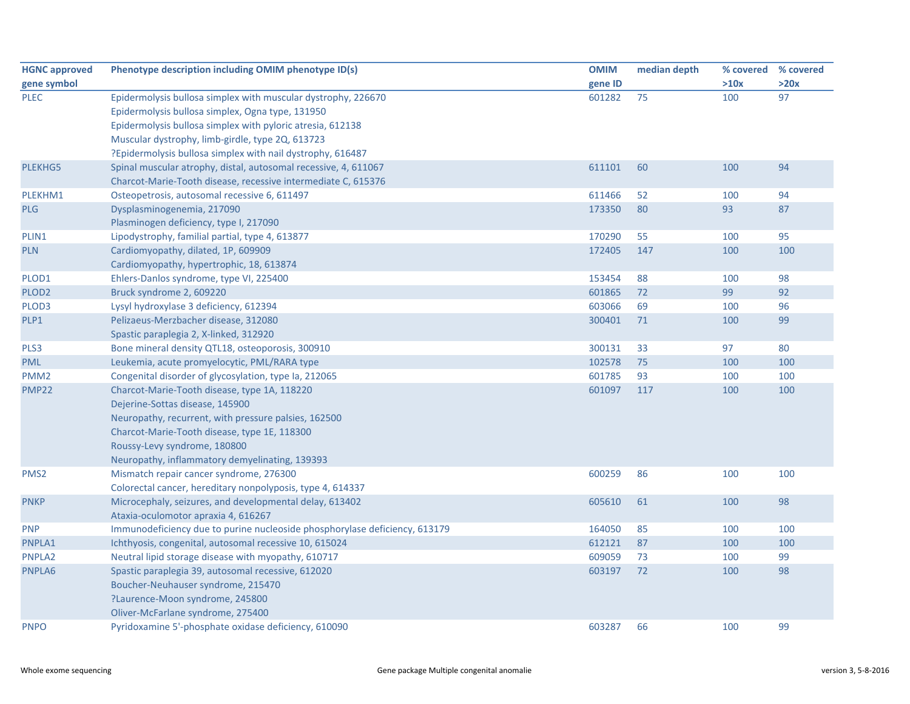| <b>HGNC approved</b> | Phenotype description including OMIM phenotype ID(s)                       | <b>OMIM</b> | median depth | % covered | % covered |
|----------------------|----------------------------------------------------------------------------|-------------|--------------|-----------|-----------|
| gene symbol          |                                                                            | gene ID     |              | >10x      | >20x      |
| <b>PLEC</b>          | Epidermolysis bullosa simplex with muscular dystrophy, 226670              | 601282      | 75           | 100       | 97        |
|                      | Epidermolysis bullosa simplex, Ogna type, 131950                           |             |              |           |           |
|                      | Epidermolysis bullosa simplex with pyloric atresia, 612138                 |             |              |           |           |
|                      | Muscular dystrophy, limb-girdle, type 2Q, 613723                           |             |              |           |           |
|                      | ?Epidermolysis bullosa simplex with nail dystrophy, 616487                 |             |              |           |           |
| <b>PLEKHG5</b>       | Spinal muscular atrophy, distal, autosomal recessive, 4, 611067            | 611101      | 60           | 100       | 94        |
|                      | Charcot-Marie-Tooth disease, recessive intermediate C, 615376              |             |              |           |           |
| PLEKHM1              | Osteopetrosis, autosomal recessive 6, 611497                               | 611466      | 52           | 100       | 94        |
| <b>PLG</b>           | Dysplasminogenemia, 217090                                                 | 173350      | 80           | 93        | 87        |
|                      | Plasminogen deficiency, type I, 217090                                     |             |              |           |           |
| PLIN1                | Lipodystrophy, familial partial, type 4, 613877                            | 170290      | 55           | 100       | 95        |
| <b>PLN</b>           | Cardiomyopathy, dilated, 1P, 609909                                        | 172405      | 147          | 100       | 100       |
|                      | Cardiomyopathy, hypertrophic, 18, 613874                                   |             |              |           |           |
| PLOD1                | Ehlers-Danlos syndrome, type VI, 225400                                    | 153454      | 88           | 100       | 98        |
| PLOD <sub>2</sub>    | Bruck syndrome 2, 609220                                                   | 601865      | 72           | 99        | 92        |
| PLOD3                | Lysyl hydroxylase 3 deficiency, 612394                                     | 603066      | 69           | 100       | 96        |
| PLP1                 | Pelizaeus-Merzbacher disease, 312080                                       | 300401      | 71           | 100       | 99        |
|                      | Spastic paraplegia 2, X-linked, 312920                                     |             |              |           |           |
| PLS3                 | Bone mineral density QTL18, osteoporosis, 300910                           | 300131      | 33           | 97        | 80        |
| <b>PML</b>           | Leukemia, acute promyelocytic, PML/RARA type                               | 102578      | 75           | 100       | 100       |
| PMM <sub>2</sub>     | Congenital disorder of glycosylation, type Ia, 212065                      | 601785      | 93           | 100       | 100       |
| <b>PMP22</b>         | Charcot-Marie-Tooth disease, type 1A, 118220                               | 601097      | 117          | 100       | 100       |
|                      | Dejerine-Sottas disease, 145900                                            |             |              |           |           |
|                      | Neuropathy, recurrent, with pressure palsies, 162500                       |             |              |           |           |
|                      | Charcot-Marie-Tooth disease, type 1E, 118300                               |             |              |           |           |
|                      | Roussy-Levy syndrome, 180800                                               |             |              |           |           |
|                      | Neuropathy, inflammatory demyelinating, 139393                             |             |              |           |           |
| PMS <sub>2</sub>     | Mismatch repair cancer syndrome, 276300                                    | 600259      | 86           | 100       | 100       |
|                      | Colorectal cancer, hereditary nonpolyposis, type 4, 614337                 |             |              |           |           |
| <b>PNKP</b>          | Microcephaly, seizures, and developmental delay, 613402                    | 605610      | 61           | 100       | 98        |
|                      | Ataxia-oculomotor apraxia 4, 616267                                        |             |              |           |           |
| <b>PNP</b>           | Immunodeficiency due to purine nucleoside phosphorylase deficiency, 613179 | 164050      | 85           | 100       | 100       |
| PNPLA1               | Ichthyosis, congenital, autosomal recessive 10, 615024                     | 612121      | 87           | 100       | 100       |
| PNPLA2               | Neutral lipid storage disease with myopathy, 610717                        | 609059      | 73           | 100       | 99        |
| PNPLA6               | Spastic paraplegia 39, autosomal recessive, 612020                         | 603197      | 72           | 100       | 98        |
|                      | Boucher-Neuhauser syndrome, 215470                                         |             |              |           |           |
|                      | ?Laurence-Moon syndrome, 245800                                            |             |              |           |           |
|                      | Oliver-McFarlane syndrome, 275400                                          |             |              |           |           |
| <b>PNPO</b>          | Pyridoxamine 5'-phosphate oxidase deficiency, 610090                       | 603287      | 66           | 100       | 99        |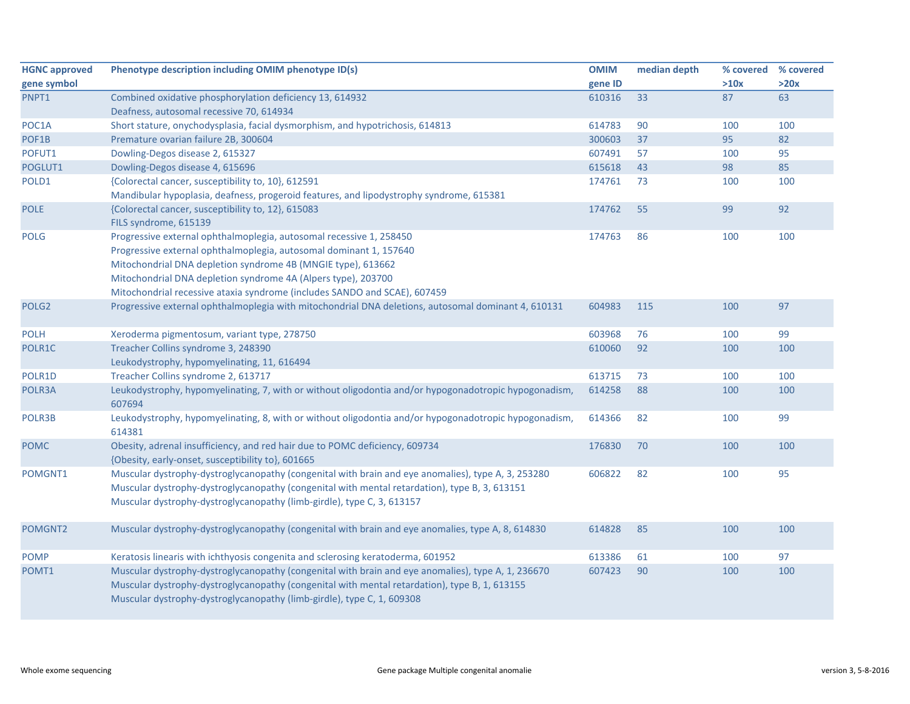| <b>HGNC approved</b> | Phenotype description including OMIM phenotype ID(s)                                                  | <b>OMIM</b> | median depth | % covered | % covered |
|----------------------|-------------------------------------------------------------------------------------------------------|-------------|--------------|-----------|-----------|
| gene symbol          |                                                                                                       | gene ID     |              | >10x      | >20x      |
| PNPT1                | Combined oxidative phosphorylation deficiency 13, 614932                                              | 610316      | 33           | 87        | 63        |
|                      | Deafness, autosomal recessive 70, 614934                                                              |             |              |           |           |
| POC1A                | Short stature, onychodysplasia, facial dysmorphism, and hypotrichosis, 614813                         | 614783      | 90           | 100       | 100       |
| POF1B                | Premature ovarian failure 2B, 300604                                                                  | 300603      | 37           | 95        | 82        |
| POFUT1               | Dowling-Degos disease 2, 615327                                                                       | 607491      | 57           | 100       | 95        |
| POGLUT1              | Dowling-Degos disease 4, 615696                                                                       | 615618      | 43           | 98        | 85        |
| POLD1                | {Colorectal cancer, susceptibility to, 10}, 612591                                                    | 174761      | 73           | 100       | 100       |
|                      | Mandibular hypoplasia, deafness, progeroid features, and lipodystrophy syndrome, 615381               |             |              |           |           |
| <b>POLE</b>          | {Colorectal cancer, susceptibility to, 12}, 615083                                                    | 174762      | 55           | 99        | 92        |
|                      | FILS syndrome, 615139                                                                                 |             |              |           |           |
| <b>POLG</b>          | Progressive external ophthalmoplegia, autosomal recessive 1, 258450                                   | 174763      | 86           | 100       | 100       |
|                      | Progressive external ophthalmoplegia, autosomal dominant 1, 157640                                    |             |              |           |           |
|                      | Mitochondrial DNA depletion syndrome 4B (MNGIE type), 613662                                          |             |              |           |           |
|                      | Mitochondrial DNA depletion syndrome 4A (Alpers type), 203700                                         |             |              |           |           |
|                      | Mitochondrial recessive ataxia syndrome (includes SANDO and SCAE), 607459                             |             |              |           |           |
| POLG <sub>2</sub>    | Progressive external ophthalmoplegia with mitochondrial DNA deletions, autosomal dominant 4, 610131   | 604983      | 115          | 100       | 97        |
|                      |                                                                                                       |             |              |           |           |
| <b>POLH</b>          | Xeroderma pigmentosum, variant type, 278750                                                           | 603968      | 76           | 100       | 99        |
| POLR1C               | Treacher Collins syndrome 3, 248390                                                                   | 610060      | 92           | 100       | 100       |
|                      | Leukodystrophy, hypomyelinating, 11, 616494                                                           |             |              |           |           |
| POLR1D               | Treacher Collins syndrome 2, 613717                                                                   | 613715      | 73           | 100       | 100       |
| POLR3A               | Leukodystrophy, hypomyelinating, 7, with or without oligodontia and/or hypogonadotropic hypogonadism, | 614258      | 88           | 100       | 100       |
|                      | 607694                                                                                                |             |              |           |           |
| POLR3B               | Leukodystrophy, hypomyelinating, 8, with or without oligodontia and/or hypogonadotropic hypogonadism, | 614366      | 82           | 100       | 99        |
|                      | 614381                                                                                                |             |              |           |           |
| <b>POMC</b>          | Obesity, adrenal insufficiency, and red hair due to POMC deficiency, 609734                           | 176830      | 70           | 100       | 100       |
|                      | {Obesity, early-onset, susceptibility to}, 601665                                                     |             |              |           |           |
| POMGNT1              | Muscular dystrophy-dystroglycanopathy (congenital with brain and eye anomalies), type A, 3, 253280    | 606822      | 82           | 100       | 95        |
|                      | Muscular dystrophy-dystroglycanopathy (congenital with mental retardation), type B, 3, 613151         |             |              |           |           |
|                      | Muscular dystrophy-dystroglycanopathy (limb-girdle), type C, 3, 613157                                |             |              |           |           |
|                      |                                                                                                       |             |              |           |           |
| POMGNT2              | Muscular dystrophy-dystroglycanopathy (congenital with brain and eye anomalies, type A, 8, 614830     | 614828      | 85           | 100       | 100       |
|                      |                                                                                                       |             |              |           |           |
| <b>POMP</b>          | Keratosis linearis with ichthyosis congenita and sclerosing keratoderma, 601952                       | 613386      | 61           | 100       | 97        |
| POMT1                | Muscular dystrophy-dystroglycanopathy (congenital with brain and eye anomalies), type A, 1, 236670    | 607423      | 90           | 100       | 100       |
|                      | Muscular dystrophy-dystroglycanopathy (congenital with mental retardation), type B, 1, 613155         |             |              |           |           |
|                      | Muscular dystrophy-dystroglycanopathy (limb-girdle), type C, 1, 609308                                |             |              |           |           |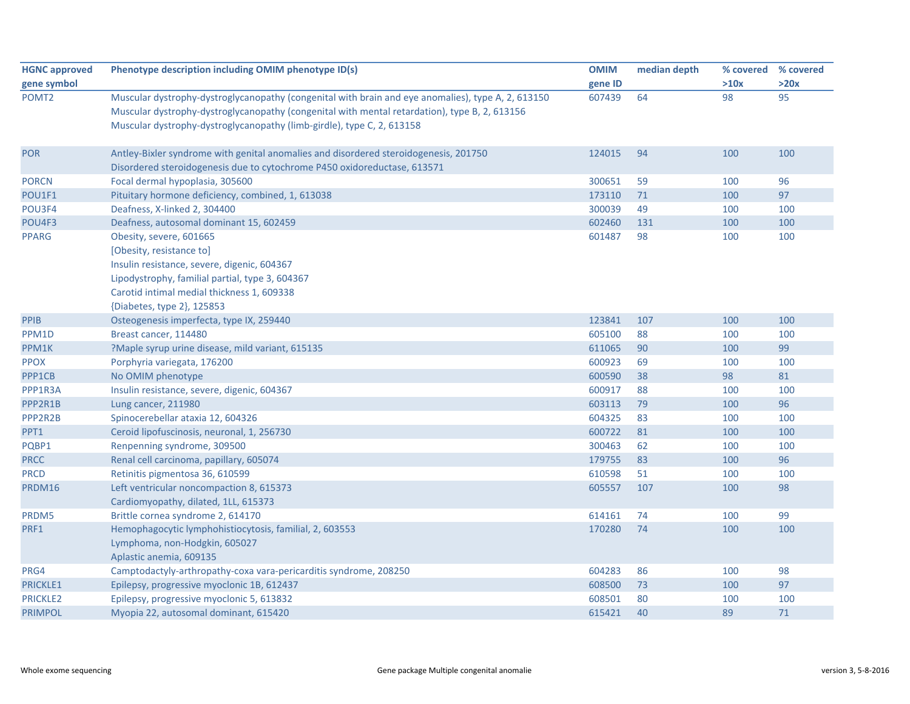| <b>HGNC approved</b> | Phenotype description including OMIM phenotype ID(s)                                                                                                                                                                                                                          | <b>OMIM</b> | median depth |      | % covered % covered |
|----------------------|-------------------------------------------------------------------------------------------------------------------------------------------------------------------------------------------------------------------------------------------------------------------------------|-------------|--------------|------|---------------------|
| gene symbol          |                                                                                                                                                                                                                                                                               | gene ID     |              | >10x | >20x                |
| POMT <sub>2</sub>    | Muscular dystrophy-dystroglycanopathy (congenital with brain and eye anomalies), type A, 2, 613150<br>Muscular dystrophy-dystroglycanopathy (congenital with mental retardation), type B, 2, 613156<br>Muscular dystrophy-dystroglycanopathy (limb-girdle), type C, 2, 613158 | 607439      | 64           | 98   | 95                  |
| <b>POR</b>           | Antley-Bixler syndrome with genital anomalies and disordered steroidogenesis, 201750<br>Disordered steroidogenesis due to cytochrome P450 oxidoreductase, 613571                                                                                                              | 124015      | 94           | 100  | 100                 |
| <b>PORCN</b>         | Focal dermal hypoplasia, 305600                                                                                                                                                                                                                                               | 300651      | 59           | 100  | 96                  |
| POU1F1               | Pituitary hormone deficiency, combined, 1, 613038                                                                                                                                                                                                                             | 173110      | 71           | 100  | 97                  |
| POU3F4               | Deafness, X-linked 2, 304400                                                                                                                                                                                                                                                  | 300039      | 49           | 100  | 100                 |
| POU4F3               | Deafness, autosomal dominant 15, 602459                                                                                                                                                                                                                                       | 602460      | 131          | 100  | 100                 |
| <b>PPARG</b>         | Obesity, severe, 601665<br>[Obesity, resistance to]<br>Insulin resistance, severe, digenic, 604367<br>Lipodystrophy, familial partial, type 3, 604367<br>Carotid intimal medial thickness 1, 609338<br>{Diabetes, type 2}, 125853                                             | 601487      | 98           | 100  | 100                 |
| <b>PPIB</b>          | Osteogenesis imperfecta, type IX, 259440                                                                                                                                                                                                                                      | 123841      | 107          | 100  | 100                 |
| PPM1D                | Breast cancer, 114480                                                                                                                                                                                                                                                         | 605100      | 88           | 100  | 100                 |
| PPM1K                | ?Maple syrup urine disease, mild variant, 615135                                                                                                                                                                                                                              | 611065      | 90           | 100  | 99                  |
| <b>PPOX</b>          | Porphyria variegata, 176200                                                                                                                                                                                                                                                   | 600923      | 69           | 100  | 100                 |
| PPP1CB               | No OMIM phenotype                                                                                                                                                                                                                                                             | 600590      | 38           | 98   | 81                  |
| PPP1R3A              | Insulin resistance, severe, digenic, 604367                                                                                                                                                                                                                                   | 600917      | 88           | 100  | 100                 |
| PPP2R1B              | Lung cancer, 211980                                                                                                                                                                                                                                                           | 603113      | 79           | 100  | 96                  |
| PPP2R2B              | Spinocerebellar ataxia 12, 604326                                                                                                                                                                                                                                             | 604325      | 83           | 100  | 100                 |
| PPT1                 | Ceroid lipofuscinosis, neuronal, 1, 256730                                                                                                                                                                                                                                    | 600722      | 81           | 100  | 100                 |
| PQBP1                | Renpenning syndrome, 309500                                                                                                                                                                                                                                                   | 300463      | 62           | 100  | 100                 |
| <b>PRCC</b>          | Renal cell carcinoma, papillary, 605074                                                                                                                                                                                                                                       | 179755      | 83           | 100  | 96                  |
| <b>PRCD</b>          | Retinitis pigmentosa 36, 610599                                                                                                                                                                                                                                               | 610598      | 51           | 100  | 100                 |
| PRDM16               | Left ventricular noncompaction 8, 615373<br>Cardiomyopathy, dilated, 1LL, 615373                                                                                                                                                                                              | 605557      | 107          | 100  | 98                  |
| PRDM5                | Brittle cornea syndrome 2, 614170                                                                                                                                                                                                                                             | 614161      | 74           | 100  | 99                  |
| PRF1                 | Hemophagocytic lymphohistiocytosis, familial, 2, 603553<br>Lymphoma, non-Hodgkin, 605027<br>Aplastic anemia, 609135                                                                                                                                                           | 170280      | 74           | 100  | 100                 |
| PRG4                 | Camptodactyly-arthropathy-coxa vara-pericarditis syndrome, 208250                                                                                                                                                                                                             | 604283      | 86           | 100  | 98                  |
| PRICKLE1             | Epilepsy, progressive myoclonic 1B, 612437                                                                                                                                                                                                                                    | 608500      | 73           | 100  | 97                  |
| <b>PRICKLE2</b>      | Epilepsy, progressive myoclonic 5, 613832                                                                                                                                                                                                                                     | 608501      | 80           | 100  | 100                 |
| <b>PRIMPOL</b>       | Myopia 22, autosomal dominant, 615420                                                                                                                                                                                                                                         | 615421      | 40           | 89   | 71                  |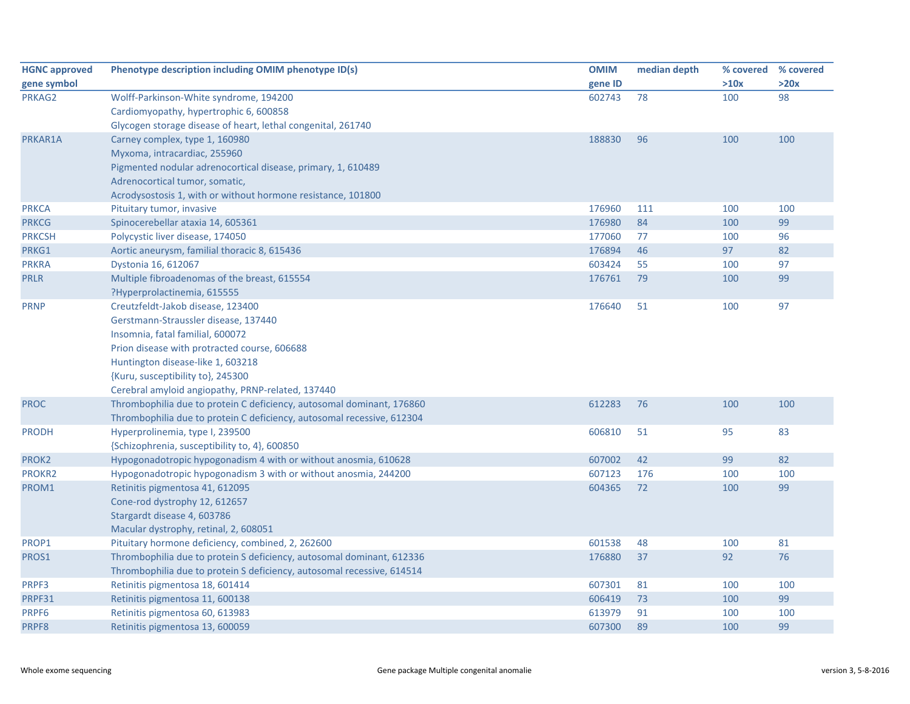| <b>HGNC approved</b> | Phenotype description including OMIM phenotype ID(s)                   | <b>OMIM</b> | median depth | % covered | % covered |
|----------------------|------------------------------------------------------------------------|-------------|--------------|-----------|-----------|
| gene symbol          |                                                                        | gene ID     |              | >10x      | >20x      |
| PRKAG2               | Wolff-Parkinson-White syndrome, 194200                                 | 602743      | 78           | 100       | 98        |
|                      | Cardiomyopathy, hypertrophic 6, 600858                                 |             |              |           |           |
|                      | Glycogen storage disease of heart, lethal congenital, 261740           |             |              |           |           |
| PRKAR1A              | Carney complex, type 1, 160980                                         | 188830      | 96           | 100       | 100       |
|                      | Myxoma, intracardiac, 255960                                           |             |              |           |           |
|                      | Pigmented nodular adrenocortical disease, primary, 1, 610489           |             |              |           |           |
|                      | Adrenocortical tumor, somatic,                                         |             |              |           |           |
|                      | Acrodysostosis 1, with or without hormone resistance, 101800           |             |              |           |           |
| <b>PRKCA</b>         | Pituitary tumor, invasive                                              | 176960      | 111          | 100       | 100       |
| <b>PRKCG</b>         | Spinocerebellar ataxia 14, 605361                                      | 176980      | 84           | 100       | 99        |
| <b>PRKCSH</b>        | Polycystic liver disease, 174050                                       | 177060      | 77           | 100       | 96        |
| PRKG1                | Aortic aneurysm, familial thoracic 8, 615436                           | 176894      | 46           | 97        | 82        |
| <b>PRKRA</b>         | Dystonia 16, 612067                                                    | 603424      | 55           | 100       | 97        |
| <b>PRLR</b>          | Multiple fibroadenomas of the breast, 615554                           | 176761      | 79           | 100       | 99        |
|                      | ?Hyperprolactinemia, 615555                                            |             |              |           |           |
| <b>PRNP</b>          | Creutzfeldt-Jakob disease, 123400                                      | 176640      | 51           | 100       | 97        |
|                      | Gerstmann-Straussler disease, 137440                                   |             |              |           |           |
|                      | Insomnia, fatal familial, 600072                                       |             |              |           |           |
|                      | Prion disease with protracted course, 606688                           |             |              |           |           |
|                      | Huntington disease-like 1, 603218                                      |             |              |           |           |
|                      | {Kuru, susceptibility to}, 245300                                      |             |              |           |           |
|                      | Cerebral amyloid angiopathy, PRNP-related, 137440                      |             |              |           |           |
| <b>PROC</b>          | Thrombophilia due to protein C deficiency, autosomal dominant, 176860  | 612283      | 76           | 100       | 100       |
|                      | Thrombophilia due to protein C deficiency, autosomal recessive, 612304 |             |              |           |           |
| <b>PRODH</b>         | Hyperprolinemia, type I, 239500                                        | 606810      | 51           | 95        | 83        |
|                      | {Schizophrenia, susceptibility to, 4}, 600850                          |             |              |           |           |
| PROK2                | Hypogonadotropic hypogonadism 4 with or without anosmia, 610628        | 607002      | 42           | 99        | 82        |
| PROKR2               | Hypogonadotropic hypogonadism 3 with or without anosmia, 244200        | 607123      | 176          | 100       | 100       |
| PROM1                | Retinitis pigmentosa 41, 612095                                        | 604365      | 72           | 100       | 99        |
|                      | Cone-rod dystrophy 12, 612657                                          |             |              |           |           |
|                      | Stargardt disease 4, 603786                                            |             |              |           |           |
|                      | Macular dystrophy, retinal, 2, 608051                                  |             |              |           |           |
| PROP1                | Pituitary hormone deficiency, combined, 2, 262600                      | 601538      | 48           | 100       | 81        |
| PROS1                | Thrombophilia due to protein S deficiency, autosomal dominant, 612336  | 176880      | 37           | 92        | 76        |
|                      | Thrombophilia due to protein S deficiency, autosomal recessive, 614514 |             |              |           |           |
| PRPF3                | Retinitis pigmentosa 18, 601414                                        | 607301      | 81           | 100       | 100       |
| PRPF31               | Retinitis pigmentosa 11, 600138                                        | 606419      | 73           | 100       | 99        |
| PRPF6                | Retinitis pigmentosa 60, 613983                                        | 613979      | 91           | 100       | 100       |
| PRPF8                | Retinitis pigmentosa 13, 600059                                        | 607300      | 89           | 100       | 99        |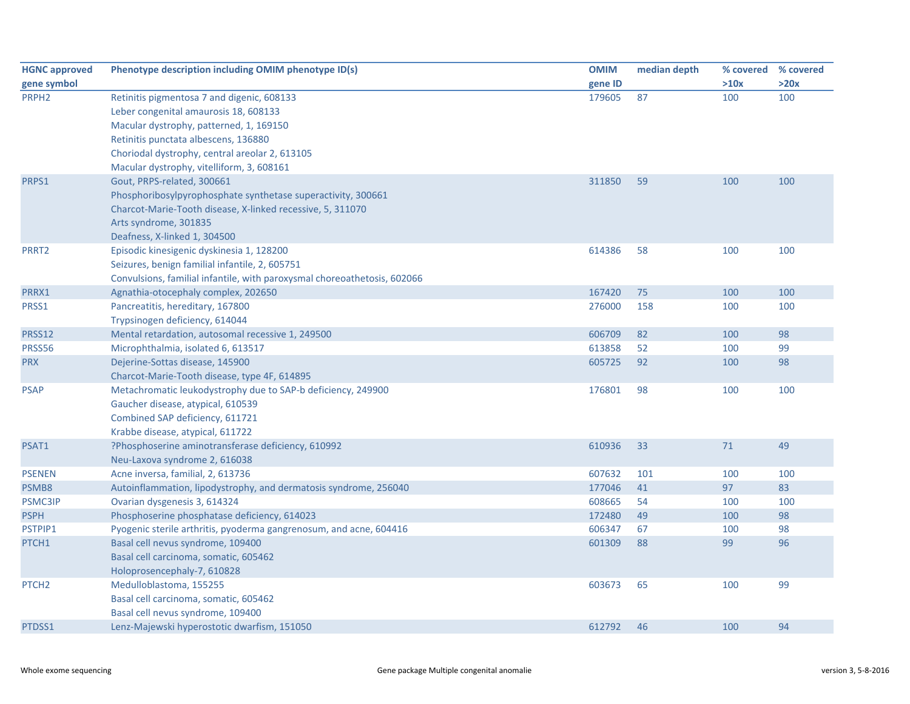| <b>HGNC approved</b> | Phenotype description including OMIM phenotype ID(s)                     | <b>OMIM</b> | median depth | % covered | % covered |
|----------------------|--------------------------------------------------------------------------|-------------|--------------|-----------|-----------|
| gene symbol          |                                                                          | gene ID     |              | >10x      | >20x      |
| PRPH <sub>2</sub>    | Retinitis pigmentosa 7 and digenic, 608133                               | 179605      | 87           | 100       | 100       |
|                      | Leber congenital amaurosis 18, 608133                                    |             |              |           |           |
|                      | Macular dystrophy, patterned, 1, 169150                                  |             |              |           |           |
|                      | Retinitis punctata albescens, 136880                                     |             |              |           |           |
|                      | Choriodal dystrophy, central areolar 2, 613105                           |             |              |           |           |
|                      | Macular dystrophy, vitelliform, 3, 608161                                |             |              |           |           |
| PRPS1                | Gout, PRPS-related, 300661                                               | 311850      | 59           | 100       | 100       |
|                      | Phosphoribosylpyrophosphate synthetase superactivity, 300661             |             |              |           |           |
|                      | Charcot-Marie-Tooth disease, X-linked recessive, 5, 311070               |             |              |           |           |
|                      | Arts syndrome, 301835                                                    |             |              |           |           |
|                      | Deafness, X-linked 1, 304500                                             |             |              |           |           |
| PRRT <sub>2</sub>    | Episodic kinesigenic dyskinesia 1, 128200                                | 614386      | 58           | 100       | 100       |
|                      | Seizures, benign familial infantile, 2, 605751                           |             |              |           |           |
|                      | Convulsions, familial infantile, with paroxysmal choreoathetosis, 602066 |             |              |           |           |
| PRRX1                | Agnathia-otocephaly complex, 202650                                      | 167420      | 75           | 100       | 100       |
| PRSS1                | Pancreatitis, hereditary, 167800                                         | 276000      | 158          | 100       | 100       |
|                      | Trypsinogen deficiency, 614044                                           |             |              |           |           |
| PRSS12               | Mental retardation, autosomal recessive 1, 249500                        | 606709      | 82           | 100       | 98        |
| PRSS56               | Microphthalmia, isolated 6, 613517                                       | 613858      | 52           | 100       | 99        |
| <b>PRX</b>           | Dejerine-Sottas disease, 145900                                          | 605725      | 92           | 100       | 98        |
|                      | Charcot-Marie-Tooth disease, type 4F, 614895                             |             |              |           |           |
| <b>PSAP</b>          | Metachromatic leukodystrophy due to SAP-b deficiency, 249900             | 176801      | 98           | 100       | 100       |
|                      | Gaucher disease, atypical, 610539                                        |             |              |           |           |
|                      | Combined SAP deficiency, 611721                                          |             |              |           |           |
|                      | Krabbe disease, atypical, 611722                                         |             |              |           |           |
| PSAT1                | ?Phosphoserine aminotransferase deficiency, 610992                       | 610936      | 33           | 71        | 49        |
|                      | Neu-Laxova syndrome 2, 616038                                            |             |              |           |           |
| <b>PSENEN</b>        | Acne inversa, familial, 2, 613736                                        | 607632      | 101          | 100       | 100       |
| PSMB8                | Autoinflammation, lipodystrophy, and dermatosis syndrome, 256040         | 177046      | 41           | 97        | 83        |
| <b>PSMC3IP</b>       | Ovarian dysgenesis 3, 614324                                             | 608665      | 54           | 100       | 100       |
| <b>PSPH</b>          | Phosphoserine phosphatase deficiency, 614023                             | 172480      | 49           | 100       | 98        |
| PSTPIP1              | Pyogenic sterile arthritis, pyoderma gangrenosum, and acne, 604416       | 606347      | 67           | 100       | 98        |
| PTCH1                | Basal cell nevus syndrome, 109400                                        | 601309      | 88           | 99        | 96        |
|                      | Basal cell carcinoma, somatic, 605462                                    |             |              |           |           |
|                      | Holoprosencephaly-7, 610828                                              |             |              |           |           |
| PTCH <sub>2</sub>    | Medulloblastoma, 155255                                                  | 603673      | 65           | 100       | 99        |
|                      | Basal cell carcinoma, somatic, 605462                                    |             |              |           |           |
|                      | Basal cell nevus syndrome, 109400                                        |             |              |           |           |
| PTDSS1               | Lenz-Majewski hyperostotic dwarfism, 151050                              | 612792      | 46           | 100       | 94        |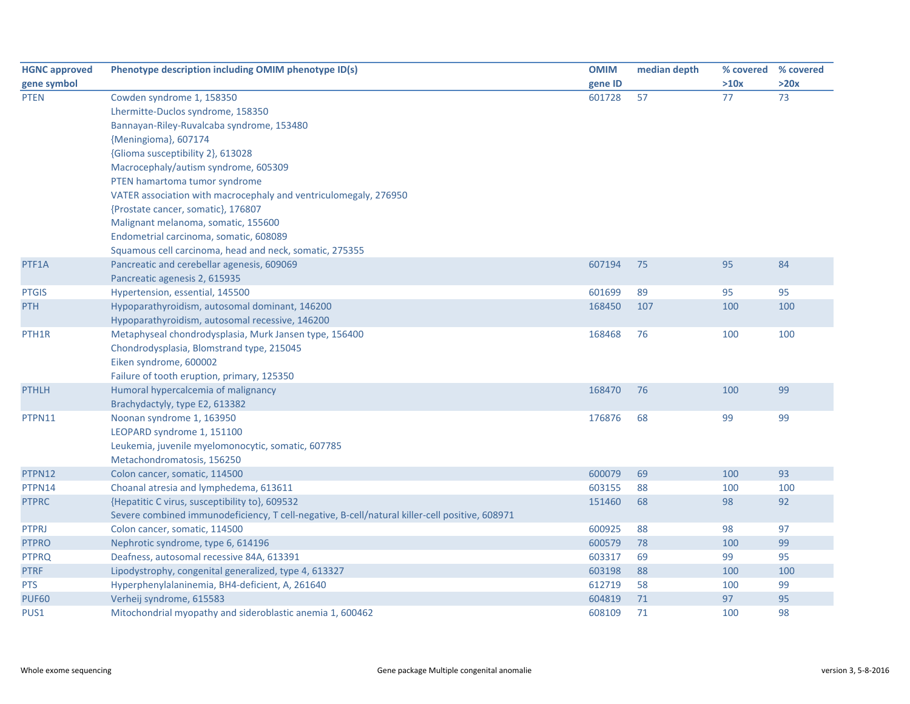| <b>HGNC approved</b> | Phenotype description including OMIM phenotype ID(s)                                           | <b>OMIM</b> | median depth | % covered % covered |      |
|----------------------|------------------------------------------------------------------------------------------------|-------------|--------------|---------------------|------|
| gene symbol          |                                                                                                | gene ID     |              | >10x                | >20x |
| <b>PTEN</b>          | Cowden syndrome 1, 158350                                                                      | 601728      | 57           | 77                  | 73   |
|                      | Lhermitte-Duclos syndrome, 158350                                                              |             |              |                     |      |
|                      | Bannayan-Riley-Ruvalcaba syndrome, 153480                                                      |             |              |                     |      |
|                      | {Meningioma}, 607174                                                                           |             |              |                     |      |
|                      | {Glioma susceptibility 2}, 613028                                                              |             |              |                     |      |
|                      | Macrocephaly/autism syndrome, 605309                                                           |             |              |                     |      |
|                      | PTEN hamartoma tumor syndrome                                                                  |             |              |                     |      |
|                      | VATER association with macrocephaly and ventriculomegaly, 276950                               |             |              |                     |      |
|                      | {Prostate cancer, somatic}, 176807                                                             |             |              |                     |      |
|                      | Malignant melanoma, somatic, 155600                                                            |             |              |                     |      |
|                      | Endometrial carcinoma, somatic, 608089                                                         |             |              |                     |      |
|                      | Squamous cell carcinoma, head and neck, somatic, 275355                                        |             |              |                     |      |
| PTF1A                | Pancreatic and cerebellar agenesis, 609069                                                     | 607194      | 75           | 95                  | 84   |
|                      | Pancreatic agenesis 2, 615935                                                                  |             |              |                     |      |
| <b>PTGIS</b>         | Hypertension, essential, 145500                                                                | 601699      | 89           | 95                  | 95   |
| <b>PTH</b>           | Hypoparathyroidism, autosomal dominant, 146200                                                 | 168450      | 107          | 100                 | 100  |
|                      | Hypoparathyroidism, autosomal recessive, 146200                                                |             |              |                     |      |
| PTH <sub>1</sub> R   | Metaphyseal chondrodysplasia, Murk Jansen type, 156400                                         | 168468      | 76           | 100                 | 100  |
|                      | Chondrodysplasia, Blomstrand type, 215045                                                      |             |              |                     |      |
|                      | Eiken syndrome, 600002                                                                         |             |              |                     |      |
|                      | Failure of tooth eruption, primary, 125350                                                     |             |              |                     |      |
| <b>PTHLH</b>         | Humoral hypercalcemia of malignancy                                                            | 168470      | 76           | 100                 | 99   |
|                      | Brachydactyly, type E2, 613382                                                                 |             |              |                     |      |
| PTPN11               | Noonan syndrome 1, 163950                                                                      | 176876      | 68           | 99                  | 99   |
|                      | LEOPARD syndrome 1, 151100                                                                     |             |              |                     |      |
|                      | Leukemia, juvenile myelomonocytic, somatic, 607785                                             |             |              |                     |      |
|                      | Metachondromatosis, 156250                                                                     |             |              |                     |      |
| PTPN12               | Colon cancer, somatic, 114500                                                                  | 600079      | 69           | 100                 | 93   |
| PTPN14               | Choanal atresia and lymphedema, 613611                                                         | 603155      | 88           | 100                 | 100  |
| <b>PTPRC</b>         | {Hepatitic C virus, susceptibility to}, 609532                                                 | 151460      | 68           | 98                  | 92   |
|                      | Severe combined immunodeficiency, T cell-negative, B-cell/natural killer-cell positive, 608971 |             |              |                     |      |
| <b>PTPRJ</b>         | Colon cancer, somatic, 114500                                                                  | 600925      | 88           | 98                  | 97   |
| <b>PTPRO</b>         | Nephrotic syndrome, type 6, 614196                                                             | 600579      | 78           | 100                 | 99   |
| <b>PTPRQ</b>         | Deafness, autosomal recessive 84A, 613391                                                      | 603317      | 69           | 99                  | 95   |
| <b>PTRF</b>          | Lipodystrophy, congenital generalized, type 4, 613327                                          | 603198      | 88           | 100                 | 100  |
| <b>PTS</b>           | Hyperphenylalaninemia, BH4-deficient, A, 261640                                                | 612719      | 58           | 100                 | 99   |
| <b>PUF60</b>         | Verheij syndrome, 615583                                                                       | 604819      | 71           | 97                  | 95   |
| PUS1                 | Mitochondrial myopathy and sideroblastic anemia 1, 600462                                      | 608109      | 71           | 100                 | 98   |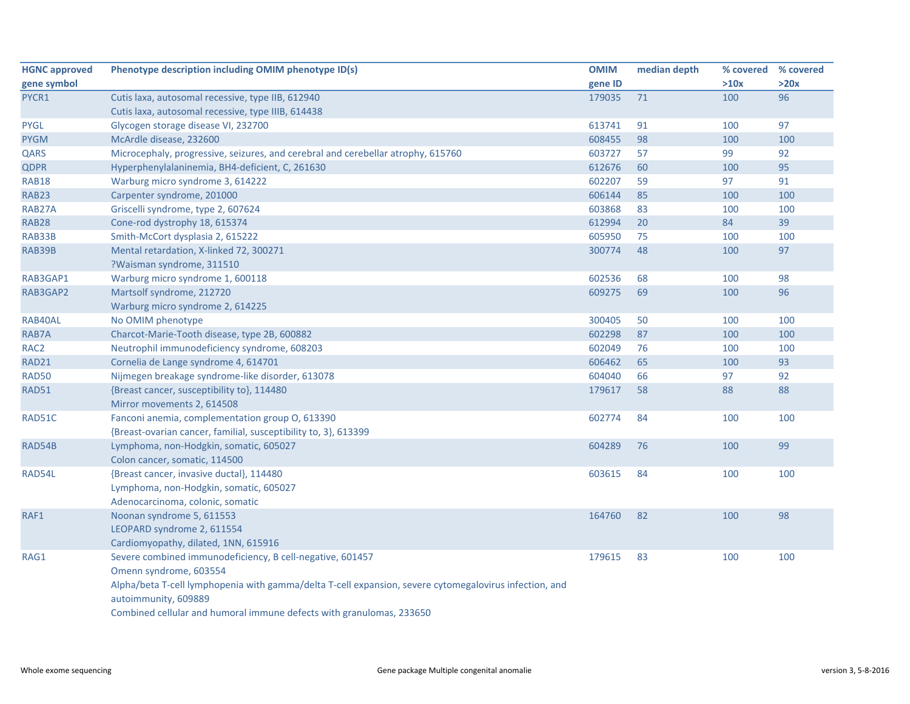| <b>HGNC approved</b> | Phenotype description including OMIM phenotype ID(s)                                                   | <b>OMIM</b> | median depth | % covered % covered |      |
|----------------------|--------------------------------------------------------------------------------------------------------|-------------|--------------|---------------------|------|
| gene symbol          |                                                                                                        | gene ID     |              | >10x                | >20x |
| PYCR1                | Cutis laxa, autosomal recessive, type IIB, 612940                                                      | 179035      | 71           | 100                 | 96   |
|                      | Cutis laxa, autosomal recessive, type IIIB, 614438                                                     |             |              |                     |      |
| <b>PYGL</b>          | Glycogen storage disease VI, 232700                                                                    | 613741      | 91           | 100                 | 97   |
| <b>PYGM</b>          | McArdle disease, 232600                                                                                | 608455      | 98           | 100                 | 100  |
| QARS                 | Microcephaly, progressive, seizures, and cerebral and cerebellar atrophy, 615760                       | 603727      | 57           | 99                  | 92   |
| <b>QDPR</b>          | Hyperphenylalaninemia, BH4-deficient, C, 261630                                                        | 612676      | 60           | 100                 | 95   |
| <b>RAB18</b>         | Warburg micro syndrome 3, 614222                                                                       | 602207      | 59           | 97                  | 91   |
| <b>RAB23</b>         | Carpenter syndrome, 201000                                                                             | 606144      | 85           | 100                 | 100  |
| RAB27A               | Griscelli syndrome, type 2, 607624                                                                     | 603868      | 83           | 100                 | 100  |
| <b>RAB28</b>         | Cone-rod dystrophy 18, 615374                                                                          | 612994      | 20           | 84                  | 39   |
| RAB33B               | Smith-McCort dysplasia 2, 615222                                                                       | 605950      | 75           | 100                 | 100  |
| RAB39B               | Mental retardation, X-linked 72, 300271                                                                | 300774      | 48           | 100                 | 97   |
|                      | ?Waisman syndrome, 311510                                                                              |             |              |                     |      |
| RAB3GAP1             | Warburg micro syndrome 1, 600118                                                                       | 602536      | 68           | 100                 | 98   |
| RAB3GAP2             | Martsolf syndrome, 212720                                                                              | 609275      | 69           | 100                 | 96   |
|                      | Warburg micro syndrome 2, 614225                                                                       |             |              |                     |      |
| RAB40AL              | No OMIM phenotype                                                                                      | 300405      | 50           | 100                 | 100  |
| RAB7A                | Charcot-Marie-Tooth disease, type 2B, 600882                                                           | 602298      | 87           | 100                 | 100  |
| RAC <sub>2</sub>     | Neutrophil immunodeficiency syndrome, 608203                                                           | 602049      | 76           | 100                 | 100  |
| RAD21                | Cornelia de Lange syndrome 4, 614701                                                                   | 606462      | 65           | 100                 | 93   |
| <b>RAD50</b>         | Nijmegen breakage syndrome-like disorder, 613078                                                       | 604040      | 66           | 97                  | 92   |
| <b>RAD51</b>         | {Breast cancer, susceptibility to}, 114480                                                             | 179617      | 58           | 88                  | 88   |
|                      | Mirror movements 2, 614508                                                                             |             |              |                     |      |
| RAD51C               | Fanconi anemia, complementation group O, 613390                                                        | 602774      | 84           | 100                 | 100  |
|                      | {Breast-ovarian cancer, familial, susceptibility to, 3}, 613399                                        |             |              |                     |      |
| RAD54B               | Lymphoma, non-Hodgkin, somatic, 605027                                                                 | 604289      | 76           | 100                 | 99   |
|                      | Colon cancer, somatic, 114500                                                                          |             |              |                     |      |
| RAD54L               | {Breast cancer, invasive ductal}, 114480                                                               | 603615      | 84           | 100                 | 100  |
|                      | Lymphoma, non-Hodgkin, somatic, 605027                                                                 |             |              |                     |      |
|                      | Adenocarcinoma, colonic, somatic                                                                       |             |              |                     |      |
| RAF1                 | Noonan syndrome 5, 611553                                                                              | 164760      | 82           | 100                 | 98   |
|                      | LEOPARD syndrome 2, 611554                                                                             |             |              |                     |      |
|                      | Cardiomyopathy, dilated, 1NN, 615916                                                                   |             |              |                     |      |
| RAG1                 | Severe combined immunodeficiency, B cell-negative, 601457                                              | 179615      | 83           | 100                 | 100  |
|                      | Omenn syndrome, 603554                                                                                 |             |              |                     |      |
|                      | Alpha/beta T-cell lymphopenia with gamma/delta T-cell expansion, severe cytomegalovirus infection, and |             |              |                     |      |
|                      | autoimmunity, 609889                                                                                   |             |              |                     |      |
|                      | Combined cellular and humoral immune defects with granulomas, 233650                                   |             |              |                     |      |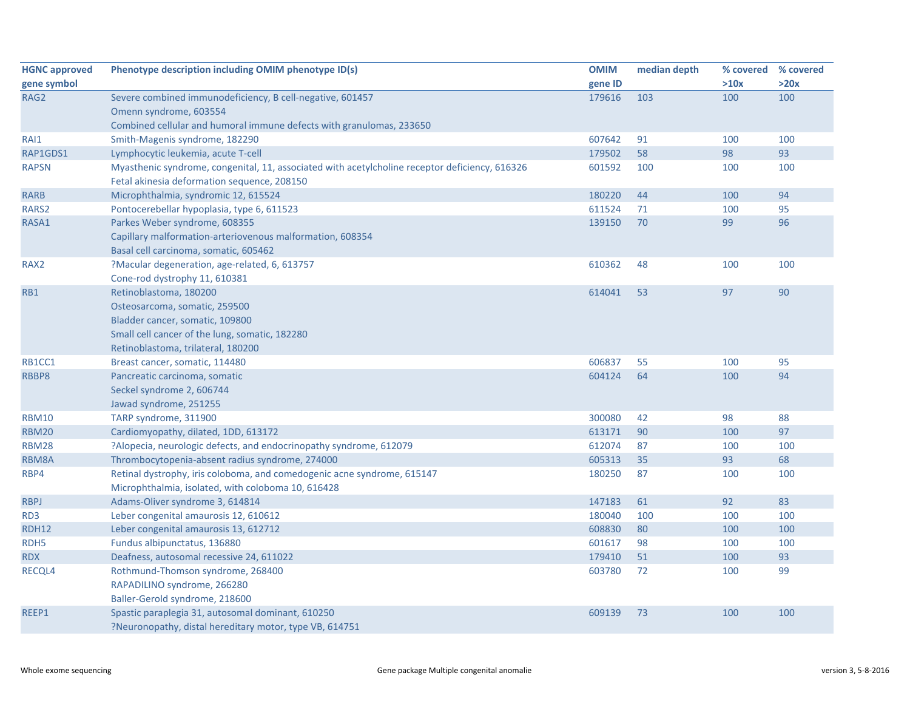| <b>HGNC approved</b> | Phenotype description including OMIM phenotype ID(s)                                           | <b>OMIM</b> | median depth | % covered | % covered |
|----------------------|------------------------------------------------------------------------------------------------|-------------|--------------|-----------|-----------|
| gene symbol          |                                                                                                | gene ID     |              | >10x      | >20x      |
| RAG <sub>2</sub>     | Severe combined immunodeficiency, B cell-negative, 601457                                      | 179616      | 103          | 100       | 100       |
|                      | Omenn syndrome, 603554                                                                         |             |              |           |           |
|                      | Combined cellular and humoral immune defects with granulomas, 233650                           |             |              |           |           |
| RAI1                 | Smith-Magenis syndrome, 182290                                                                 | 607642      | 91           | 100       | 100       |
| RAP1GDS1             | Lymphocytic leukemia, acute T-cell                                                             | 179502      | 58           | 98        | 93        |
| <b>RAPSN</b>         | Myasthenic syndrome, congenital, 11, associated with acetylcholine receptor deficiency, 616326 | 601592      | 100          | 100       | 100       |
|                      | Fetal akinesia deformation sequence, 208150                                                    |             |              |           |           |
| <b>RARB</b>          | Microphthalmia, syndromic 12, 615524                                                           | 180220      | 44           | 100       | 94        |
| RARS2                | Pontocerebellar hypoplasia, type 6, 611523                                                     | 611524      | 71           | 100       | 95        |
| RASA1                | Parkes Weber syndrome, 608355                                                                  | 139150      | 70           | 99        | 96        |
|                      | Capillary malformation-arteriovenous malformation, 608354                                      |             |              |           |           |
|                      | Basal cell carcinoma, somatic, 605462                                                          |             |              |           |           |
| RAX2                 | ?Macular degeneration, age-related, 6, 613757                                                  | 610362      | 48           | 100       | 100       |
|                      | Cone-rod dystrophy 11, 610381                                                                  |             |              |           |           |
| RB1                  | Retinoblastoma, 180200                                                                         | 614041      | 53           | 97        | 90        |
|                      | Osteosarcoma, somatic, 259500                                                                  |             |              |           |           |
|                      | Bladder cancer, somatic, 109800                                                                |             |              |           |           |
|                      | Small cell cancer of the lung, somatic, 182280                                                 |             |              |           |           |
|                      | Retinoblastoma, trilateral, 180200                                                             |             |              |           |           |
| RB1CC1               | Breast cancer, somatic, 114480                                                                 | 606837      | 55           | 100       | 95        |
| RBBP8                | Pancreatic carcinoma, somatic                                                                  | 604124      | 64           | 100       | 94        |
|                      | Seckel syndrome 2, 606744                                                                      |             |              |           |           |
|                      | Jawad syndrome, 251255                                                                         |             |              |           |           |
| <b>RBM10</b>         | TARP syndrome, 311900                                                                          | 300080      | 42           | 98        | 88        |
| <b>RBM20</b>         | Cardiomyopathy, dilated, 1DD, 613172                                                           | 613171      | 90           | 100       | 97        |
| <b>RBM28</b>         | ?Alopecia, neurologic defects, and endocrinopathy syndrome, 612079                             | 612074      | 87           | 100       | 100       |
| <b>RBM8A</b>         | Thrombocytopenia-absent radius syndrome, 274000                                                | 605313      | 35           | 93        | 68        |
| RBP4                 | Retinal dystrophy, iris coloboma, and comedogenic acne syndrome, 615147                        | 180250      | 87           | 100       | 100       |
|                      | Microphthalmia, isolated, with coloboma 10, 616428                                             |             |              |           |           |
| <b>RBPJ</b>          | Adams-Oliver syndrome 3, 614814                                                                | 147183      | 61           | 92        | 83        |
| RD <sub>3</sub>      | Leber congenital amaurosis 12, 610612                                                          | 180040      | 100          | 100       | 100       |
| <b>RDH12</b>         | Leber congenital amaurosis 13, 612712                                                          | 608830      | 80           | 100       | 100       |
| RDH <sub>5</sub>     | Fundus albipunctatus, 136880                                                                   | 601617      | 98           | 100       | 100       |
| <b>RDX</b>           | Deafness, autosomal recessive 24, 611022                                                       | 179410      | 51           | 100       | 93        |
| RECQL4               | Rothmund-Thomson syndrome, 268400                                                              | 603780      | 72           | 100       | 99        |
|                      | RAPADILINO syndrome, 266280                                                                    |             |              |           |           |
|                      | Baller-Gerold syndrome, 218600                                                                 |             |              |           |           |
| REEP1                | Spastic paraplegia 31, autosomal dominant, 610250                                              | 609139      | 73           | 100       | 100       |
|                      | ?Neuronopathy, distal hereditary motor, type VB, 614751                                        |             |              |           |           |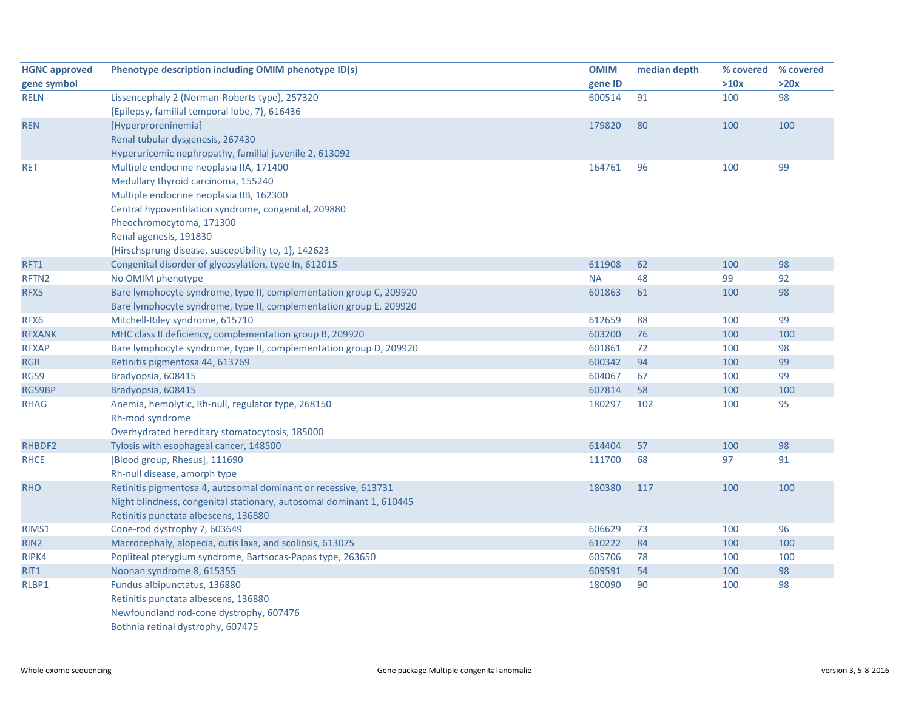| <b>HGNC approved</b> | Phenotype description including OMIM phenotype ID(s)                 | <b>OMIM</b> | median depth | % covered | % covered |
|----------------------|----------------------------------------------------------------------|-------------|--------------|-----------|-----------|
| gene symbol          |                                                                      | gene ID     |              | >10x      | >20x      |
| <b>RELN</b>          | Lissencephaly 2 (Norman-Roberts type), 257320                        | 600514      | 91           | 100       | 98        |
|                      | {Epilepsy, familial temporal lobe, 7}, 616436                        |             |              |           |           |
| <b>REN</b>           | [Hyperproreninemia]                                                  | 179820      | 80           | 100       | 100       |
|                      | Renal tubular dysgenesis, 267430                                     |             |              |           |           |
|                      | Hyperuricemic nephropathy, familial juvenile 2, 613092               |             |              |           |           |
| <b>RET</b>           | Multiple endocrine neoplasia IIA, 171400                             | 164761      | 96           | 100       | 99        |
|                      | Medullary thyroid carcinoma, 155240                                  |             |              |           |           |
|                      | Multiple endocrine neoplasia IIB, 162300                             |             |              |           |           |
|                      | Central hypoventilation syndrome, congenital, 209880                 |             |              |           |           |
|                      | Pheochromocytoma, 171300                                             |             |              |           |           |
|                      | Renal agenesis, 191830                                               |             |              |           |           |
|                      | {Hirschsprung disease, susceptibility to, 1}, 142623                 |             |              |           |           |
| RFT1                 | Congenital disorder of glycosylation, type In, 612015                | 611908      | 62           | 100       | 98        |
| RFTN <sub>2</sub>    | No OMIM phenotype                                                    | <b>NA</b>   | 48           | 99        | 92        |
| RFX5                 | Bare lymphocyte syndrome, type II, complementation group C, 209920   | 601863      | 61           | 100       | 98        |
|                      | Bare lymphocyte syndrome, type II, complementation group E, 209920   |             |              |           |           |
| RFX6                 | Mitchell-Riley syndrome, 615710                                      | 612659      | 88           | 100       | 99        |
| <b>RFXANK</b>        | MHC class II deficiency, complementation group B, 209920             | 603200      | 76           | 100       | 100       |
| <b>RFXAP</b>         | Bare lymphocyte syndrome, type II, complementation group D, 209920   | 601861      | 72           | 100       | 98        |
| <b>RGR</b>           | Retinitis pigmentosa 44, 613769                                      | 600342      | 94           | 100       | 99        |
| RGS9                 | Bradyopsia, 608415                                                   | 604067      | 67           | 100       | 99        |
| RGS9BP               | Bradyopsia, 608415                                                   | 607814      | 58           | 100       | 100       |
| <b>RHAG</b>          | Anemia, hemolytic, Rh-null, regulator type, 268150                   | 180297      | 102          | 100       | 95        |
|                      | Rh-mod syndrome                                                      |             |              |           |           |
|                      | Overhydrated hereditary stomatocytosis, 185000                       |             |              |           |           |
| RHBDF2               | Tylosis with esophageal cancer, 148500                               | 614404      | 57           | 100       | 98        |
| <b>RHCE</b>          | [Blood group, Rhesus], 111690                                        | 111700      | 68           | 97        | 91        |
|                      | Rh-null disease, amorph type                                         |             |              |           |           |
| <b>RHO</b>           | Retinitis pigmentosa 4, autosomal dominant or recessive, 613731      | 180380      | 117          | 100       | 100       |
|                      | Night blindness, congenital stationary, autosomal dominant 1, 610445 |             |              |           |           |
|                      | Retinitis punctata albescens, 136880                                 |             |              |           |           |
| RIMS1                | Cone-rod dystrophy 7, 603649                                         | 606629      | 73           | 100       | 96        |
| RIN <sub>2</sub>     | Macrocephaly, alopecia, cutis laxa, and scoliosis, 613075            | 610222      | 84           | 100       | 100       |
| RIPK4                | Popliteal pterygium syndrome, Bartsocas-Papas type, 263650           | 605706      | 78           | 100       | 100       |
| RIT1                 | Noonan syndrome 8, 615355                                            | 609591      | 54           | 100       | 98        |
| RLBP1                | Fundus albipunctatus, 136880                                         | 180090      | 90           | 100       | 98        |
|                      | Retinitis punctata albescens, 136880                                 |             |              |           |           |
|                      | Newfoundland rod-cone dystrophy, 607476                              |             |              |           |           |
|                      | Bothnia retinal dystrophy, 607475                                    |             |              |           |           |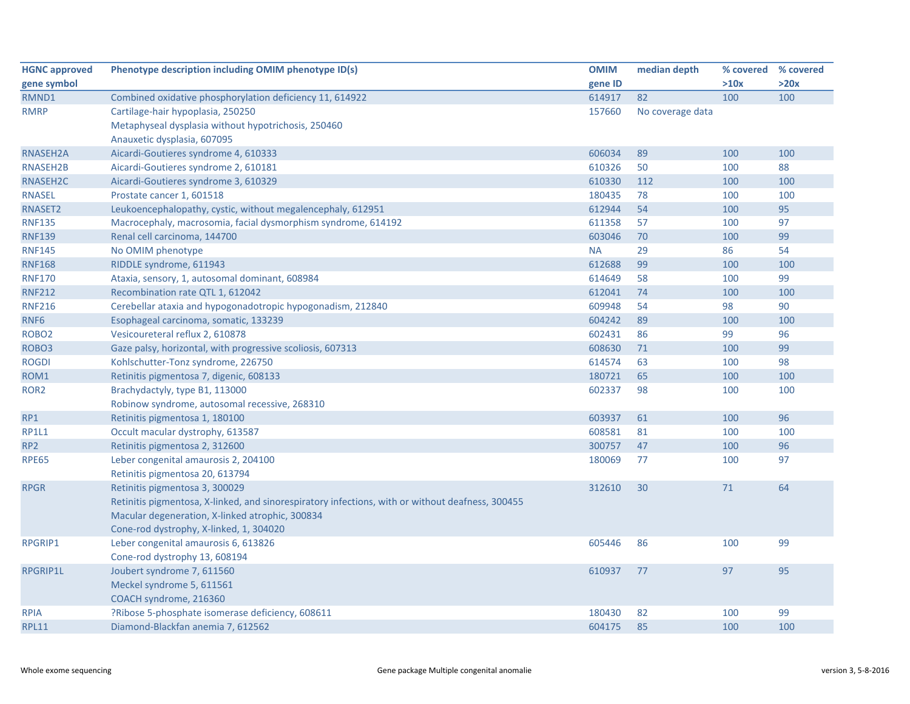| <b>HGNC approved</b> | Phenotype description including OMIM phenotype ID(s)                                             | <b>OMIM</b> | median depth     | % covered | % covered |
|----------------------|--------------------------------------------------------------------------------------------------|-------------|------------------|-----------|-----------|
| gene symbol          |                                                                                                  | gene ID     |                  | >10x      | >20x      |
| RMND1                | Combined oxidative phosphorylation deficiency 11, 614922                                         | 614917      | 82               | 100       | 100       |
| <b>RMRP</b>          | Cartilage-hair hypoplasia, 250250                                                                | 157660      | No coverage data |           |           |
|                      | Metaphyseal dysplasia without hypotrichosis, 250460                                              |             |                  |           |           |
|                      | Anauxetic dysplasia, 607095                                                                      |             |                  |           |           |
| RNASEH2A             | Aicardi-Goutieres syndrome 4, 610333                                                             | 606034      | 89               | 100       | 100       |
| RNASEH2B             | Aicardi-Goutieres syndrome 2, 610181                                                             | 610326      | 50               | 100       | 88        |
| RNASEH2C             | Aicardi-Goutieres syndrome 3, 610329                                                             | 610330      | 112              | 100       | 100       |
| <b>RNASEL</b>        | Prostate cancer 1, 601518                                                                        | 180435      | 78               | 100       | 100       |
| RNASET2              | Leukoencephalopathy, cystic, without megalencephaly, 612951                                      | 612944      | 54               | 100       | 95        |
| <b>RNF135</b>        | Macrocephaly, macrosomia, facial dysmorphism syndrome, 614192                                    | 611358      | 57               | 100       | 97        |
| <b>RNF139</b>        | Renal cell carcinoma, 144700                                                                     | 603046      | 70               | 100       | 99        |
| <b>RNF145</b>        | No OMIM phenotype                                                                                | <b>NA</b>   | 29               | 86        | 54        |
| <b>RNF168</b>        | RIDDLE syndrome, 611943                                                                          | 612688      | 99               | 100       | 100       |
| <b>RNF170</b>        | Ataxia, sensory, 1, autosomal dominant, 608984                                                   | 614649      | 58               | 100       | 99        |
| <b>RNF212</b>        | Recombination rate QTL 1, 612042                                                                 | 612041      | 74               | 100       | 100       |
| <b>RNF216</b>        | Cerebellar ataxia and hypogonadotropic hypogonadism, 212840                                      | 609948      | 54               | 98        | 90        |
| RNF <sub>6</sub>     | Esophageal carcinoma, somatic, 133239                                                            | 604242      | 89               | 100       | 100       |
| ROBO <sub>2</sub>    | Vesicoureteral reflux 2, 610878                                                                  | 602431      | 86               | 99        | 96        |
| ROBO <sub>3</sub>    | Gaze palsy, horizontal, with progressive scoliosis, 607313                                       | 608630      | 71               | 100       | 99        |
| <b>ROGDI</b>         | Kohlschutter-Tonz syndrome, 226750                                                               | 614574      | 63               | 100       | 98        |
| ROM1                 | Retinitis pigmentosa 7, digenic, 608133                                                          | 180721      | 65               | 100       | 100       |
| ROR <sub>2</sub>     | Brachydactyly, type B1, 113000                                                                   | 602337      | 98               | 100       | 100       |
|                      | Robinow syndrome, autosomal recessive, 268310                                                    |             |                  |           |           |
| RP1                  | Retinitis pigmentosa 1, 180100                                                                   | 603937      | 61               | 100       | 96        |
| <b>RP1L1</b>         | Occult macular dystrophy, 613587                                                                 | 608581      | 81               | 100       | 100       |
| RP <sub>2</sub>      | Retinitis pigmentosa 2, 312600                                                                   | 300757      | 47               | 100       | 96        |
| <b>RPE65</b>         | Leber congenital amaurosis 2, 204100                                                             | 180069      | 77               | 100       | 97        |
|                      | Retinitis pigmentosa 20, 613794                                                                  |             |                  |           |           |
| <b>RPGR</b>          | Retinitis pigmentosa 3, 300029                                                                   | 312610      | 30               | 71        | 64        |
|                      | Retinitis pigmentosa, X-linked, and sinorespiratory infections, with or without deafness, 300455 |             |                  |           |           |
|                      | Macular degeneration, X-linked atrophic, 300834                                                  |             |                  |           |           |
|                      | Cone-rod dystrophy, X-linked, 1, 304020                                                          |             |                  |           |           |
| <b>RPGRIP1</b>       | Leber congenital amaurosis 6, 613826                                                             | 605446      | 86               | 100       | 99        |
|                      | Cone-rod dystrophy 13, 608194                                                                    |             |                  |           |           |
| RPGRIP1L             | Joubert syndrome 7, 611560                                                                       | 610937      | 77               | 97        | 95        |
|                      | Meckel syndrome 5, 611561                                                                        |             |                  |           |           |
|                      | COACH syndrome, 216360                                                                           |             |                  |           |           |
| <b>RPIA</b>          | ?Ribose 5-phosphate isomerase deficiency, 608611                                                 | 180430      | 82               | 100       | 99        |
| <b>RPL11</b>         | Diamond-Blackfan anemia 7, 612562                                                                | 604175      | 85               | 100       | 100       |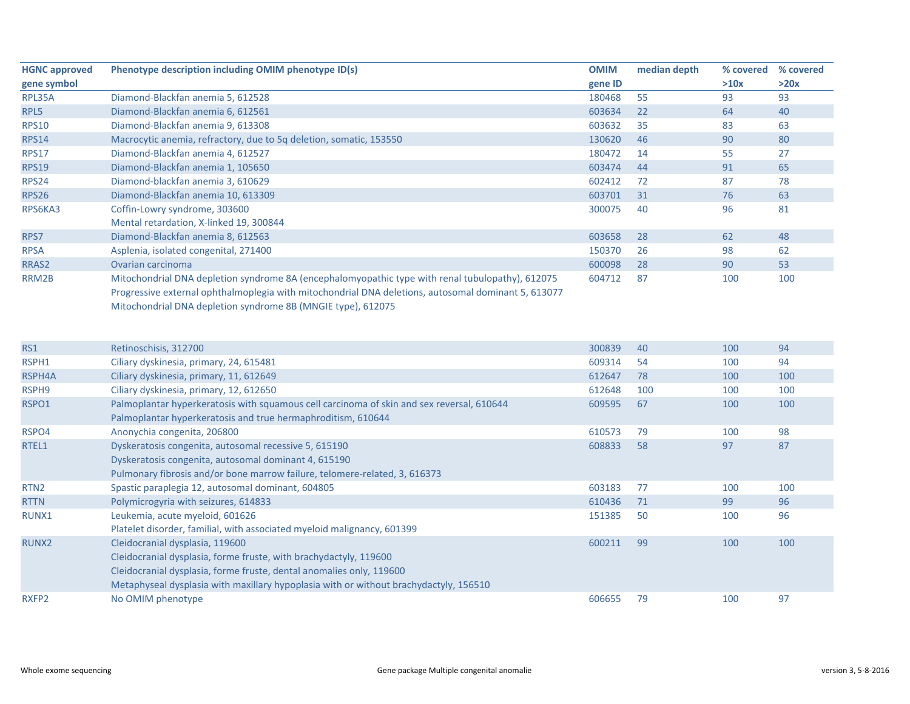| <b>HGNC approved</b> | Phenotype description including OMIM phenotype ID(s)                                                | <b>OMIM</b> | median depth | % covered | % covered |
|----------------------|-----------------------------------------------------------------------------------------------------|-------------|--------------|-----------|-----------|
| gene symbol          |                                                                                                     | gene ID     |              | >10x      | >20x      |
| RPL35A               | Diamond-Blackfan anemia 5, 612528                                                                   | 180468      | 55           | 93        | 93        |
| RPL5                 | Diamond-Blackfan anemia 6, 612561                                                                   | 603634      | 22           | 64        | 40        |
| <b>RPS10</b>         | Diamond-Blackfan anemia 9, 613308                                                                   | 603632      | 35           | 83        | 63        |
| <b>RPS14</b>         | Macrocytic anemia, refractory, due to 5q deletion, somatic, 153550                                  | 130620      | 46           | 90        | 80        |
| <b>RPS17</b>         | Diamond-Blackfan anemia 4, 612527                                                                   | 180472      | 14           | 55        | 27        |
| <b>RPS19</b>         | Diamond-Blackfan anemia 1, 105650                                                                   | 603474      | 44           | 91        | 65        |
| RPS24                | Diamond-blackfan anemia 3, 610629                                                                   | 602412      | 72           | 87        | 78        |
| <b>RPS26</b>         | Diamond-Blackfan anemia 10, 613309                                                                  | 603701      | 31           | 76        | 63        |
| RPS6KA3              | Coffin-Lowry syndrome, 303600                                                                       | 300075      | 40           | 96        | 81        |
|                      | Mental retardation, X-linked 19, 300844                                                             |             |              |           |           |
| RPS7                 | Diamond-Blackfan anemia 8, 612563                                                                   | 603658      | 28           | 62        | 48        |
| <b>RPSA</b>          | Asplenia, isolated congenital, 271400                                                               | 150370      | 26           | 98        | 62        |
| RRAS <sub>2</sub>    | Ovarian carcinoma                                                                                   | 600098      | 28           | 90        | 53        |
| RRM2B                | Mitochondrial DNA depletion syndrome 8A (encephalomyopathic type with renal tubulopathy), 612075    | 604712      | 87           | 100       | 100       |
|                      | Progressive external ophthalmoplegia with mitochondrial DNA deletions, autosomal dominant 5, 613077 |             |              |           |           |
|                      | Mitochondrial DNA depletion syndrome 8B (MNGIE type), 612075                                        |             |              |           |           |

| <b>RS1</b>        | Retinoschisis, 312700                                                                     | 300839 | 40  | 100 | 94  |
|-------------------|-------------------------------------------------------------------------------------------|--------|-----|-----|-----|
| RSPH1             | Ciliary dyskinesia, primary, 24, 615481                                                   | 609314 | 54  | 100 | 94  |
| RSPH4A            | Ciliary dyskinesia, primary, 11, 612649                                                   | 612647 | 78  | 100 | 100 |
| RSPH9             | Ciliary dyskinesia, primary, 12, 612650                                                   | 612648 | 100 | 100 | 100 |
| RSPO1             | Palmoplantar hyperkeratosis with squamous cell carcinoma of skin and sex reversal, 610644 | 609595 | 67  | 100 | 100 |
|                   | Palmoplantar hyperkeratosis and true hermaphroditism, 610644                              |        |     |     |     |
| RSPO4             | Anonychia congenita, 206800                                                               | 610573 | 79  | 100 | 98  |
| RTEL1             | Dyskeratosis congenita, autosomal recessive 5, 615190                                     | 608833 | 58  | 97  | 87  |
|                   | Dyskeratosis congenita, autosomal dominant 4, 615190                                      |        |     |     |     |
|                   | Pulmonary fibrosis and/or bone marrow failure, telomere-related, 3, 616373                |        |     |     |     |
| RTN <sub>2</sub>  | Spastic paraplegia 12, autosomal dominant, 604805                                         | 603183 | 77  | 100 | 100 |
| <b>RTTN</b>       | Polymicrogyria with seizures, 614833                                                      | 610436 | 71  | 99  | 96  |
| RUNX1             | Leukemia, acute myeloid, 601626                                                           | 151385 | 50  | 100 | 96  |
|                   | Platelet disorder, familial, with associated myeloid malignancy, 601399                   |        |     |     |     |
| RUNX <sub>2</sub> | Cleidocranial dysplasia, 119600                                                           | 600211 | 99  | 100 | 100 |
|                   | Cleidocranial dysplasia, forme fruste, with brachydactyly, 119600                         |        |     |     |     |
|                   | Cleidocranial dysplasia, forme fruste, dental anomalies only, 119600                      |        |     |     |     |
|                   | Metaphyseal dysplasia with maxillary hypoplasia with or without brachydactyly, 156510     |        |     |     |     |
| RXFP2             | No OMIM phenotype                                                                         | 606655 | 79  | 100 | 97  |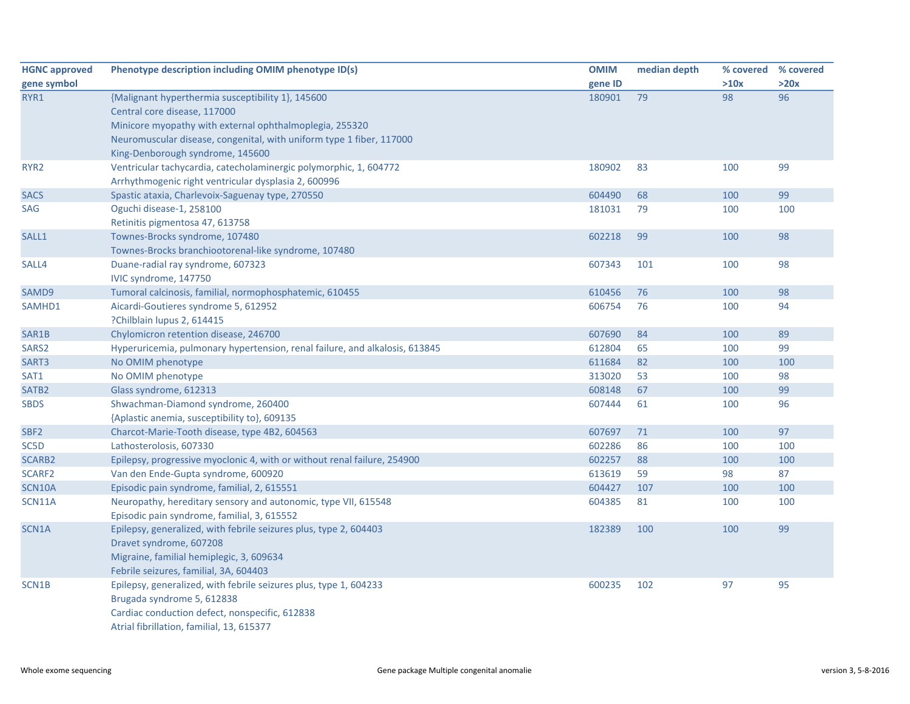| <b>HGNC approved</b> | Phenotype description including OMIM phenotype ID(s)                        | <b>OMIM</b> | median depth | % covered | % covered |
|----------------------|-----------------------------------------------------------------------------|-------------|--------------|-----------|-----------|
| gene symbol          |                                                                             | gene ID     |              | >10x      | >20x      |
| RYR1                 | {Malignant hyperthermia susceptibility 1}, 145600                           | 180901      | 79           | 98        | 96        |
|                      | Central core disease, 117000                                                |             |              |           |           |
|                      | Minicore myopathy with external ophthalmoplegia, 255320                     |             |              |           |           |
|                      | Neuromuscular disease, congenital, with uniform type 1 fiber, 117000        |             |              |           |           |
|                      | King-Denborough syndrome, 145600                                            |             |              |           |           |
| RYR <sub>2</sub>     | Ventricular tachycardia, catecholaminergic polymorphic, 1, 604772           | 180902      | 83           | 100       | 99        |
|                      | Arrhythmogenic right ventricular dysplasia 2, 600996                        |             |              |           |           |
| <b>SACS</b>          | Spastic ataxia, Charlevoix-Saguenay type, 270550                            | 604490      | 68           | 100       | 99        |
| <b>SAG</b>           | Oguchi disease-1, 258100                                                    | 181031      | 79           | 100       | 100       |
|                      | Retinitis pigmentosa 47, 613758                                             |             |              |           |           |
| SALL1                | Townes-Brocks syndrome, 107480                                              | 602218      | 99           | 100       | 98        |
|                      | Townes-Brocks branchiootorenal-like syndrome, 107480                        |             |              |           |           |
| SALL4                | Duane-radial ray syndrome, 607323                                           | 607343      | 101          | 100       | 98        |
|                      | IVIC syndrome, 147750                                                       |             |              |           |           |
| SAMD9                | Tumoral calcinosis, familial, normophosphatemic, 610455                     | 610456      | 76           | 100       | 98        |
| SAMHD1               | Aicardi-Goutieres syndrome 5, 612952                                        | 606754      | 76           | 100       | 94        |
|                      | ?Chilblain lupus 2, 614415                                                  |             |              |           |           |
| SAR1B                | Chylomicron retention disease, 246700                                       | 607690      | 84           | 100       | 89        |
| SARS <sub>2</sub>    | Hyperuricemia, pulmonary hypertension, renal failure, and alkalosis, 613845 | 612804      | 65           | 100       | 99        |
| SART3                | No OMIM phenotype                                                           | 611684      | 82           | 100       | 100       |
| SAT1                 | No OMIM phenotype                                                           | 313020      | 53           | 100       | 98        |
| SATB <sub>2</sub>    | Glass syndrome, 612313                                                      | 608148      | 67           | 100       | 99        |
| <b>SBDS</b>          | Shwachman-Diamond syndrome, 260400                                          | 607444      | 61           | 100       | 96        |
|                      | {Aplastic anemia, susceptibility to}, 609135                                |             |              |           |           |
| SBF <sub>2</sub>     | Charcot-Marie-Tooth disease, type 4B2, 604563                               | 607697      | 71           | 100       | 97        |
| SC5D                 | Lathosterolosis, 607330                                                     | 602286      | 86           | 100       | 100       |
| SCARB2               | Epilepsy, progressive myoclonic 4, with or without renal failure, 254900    | 602257      | 88           | 100       | 100       |
| SCARF2               | Van den Ende-Gupta syndrome, 600920                                         | 613619      | 59           | 98        | 87        |
| SCN10A               | Episodic pain syndrome, familial, 2, 615551                                 | 604427      | 107          | 100       | 100       |
| <b>SCN11A</b>        | Neuropathy, hereditary sensory and autonomic, type VII, 615548              | 604385      | 81           | 100       | 100       |
|                      | Episodic pain syndrome, familial, 3, 615552                                 |             |              |           |           |
| SCN1A                | Epilepsy, generalized, with febrile seizures plus, type 2, 604403           | 182389      | 100          | 100       | 99        |
|                      | Dravet syndrome, 607208                                                     |             |              |           |           |
|                      | Migraine, familial hemiplegic, 3, 609634                                    |             |              |           |           |
|                      | Febrile seizures, familial, 3A, 604403                                      |             |              |           |           |
| SCN1B                | Epilepsy, generalized, with febrile seizures plus, type 1, 604233           | 600235      | 102          | 97        | 95        |
|                      | Brugada syndrome 5, 612838                                                  |             |              |           |           |
|                      | Cardiac conduction defect, nonspecific, 612838                              |             |              |           |           |
|                      | Atrial fibrillation, familial, 13, 615377                                   |             |              |           |           |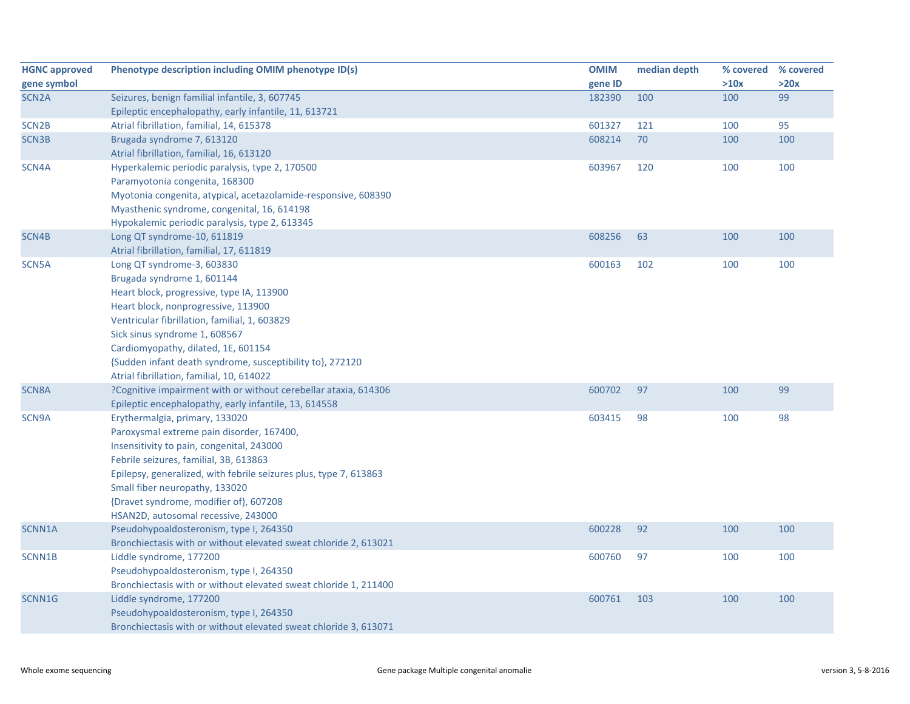| <b>HGNC approved</b> | Phenotype description including OMIM phenotype ID(s)              | <b>OMIM</b> | median depth | % covered | % covered |
|----------------------|-------------------------------------------------------------------|-------------|--------------|-----------|-----------|
| gene symbol          |                                                                   | gene ID     |              | >10x      | >20x      |
| SCN <sub>2</sub> A   | Seizures, benign familial infantile, 3, 607745                    | 182390      | 100          | 100       | 99        |
|                      | Epileptic encephalopathy, early infantile, 11, 613721             |             |              |           |           |
| SCN <sub>2B</sub>    | Atrial fibrillation, familial, 14, 615378                         | 601327      | 121          | 100       | 95        |
| <b>SCN3B</b>         | Brugada syndrome 7, 613120                                        | 608214      | 70           | 100       | 100       |
|                      | Atrial fibrillation, familial, 16, 613120                         |             |              |           |           |
| SCN4A                | Hyperkalemic periodic paralysis, type 2, 170500                   | 603967      | 120          | 100       | 100       |
|                      | Paramyotonia congenita, 168300                                    |             |              |           |           |
|                      | Myotonia congenita, atypical, acetazolamide-responsive, 608390    |             |              |           |           |
|                      | Myasthenic syndrome, congenital, 16, 614198                       |             |              |           |           |
|                      | Hypokalemic periodic paralysis, type 2, 613345                    |             |              |           |           |
| SCN4B                | Long QT syndrome-10, 611819                                       | 608256      | 63           | 100       | 100       |
|                      | Atrial fibrillation, familial, 17, 611819                         |             |              |           |           |
| SCN5A                | Long QT syndrome-3, 603830                                        | 600163      | 102          | 100       | 100       |
|                      | Brugada syndrome 1, 601144                                        |             |              |           |           |
|                      | Heart block, progressive, type IA, 113900                         |             |              |           |           |
|                      | Heart block, nonprogressive, 113900                               |             |              |           |           |
|                      | Ventricular fibrillation, familial, 1, 603829                     |             |              |           |           |
|                      | Sick sinus syndrome 1, 608567                                     |             |              |           |           |
|                      | Cardiomyopathy, dilated, 1E, 601154                               |             |              |           |           |
|                      | {Sudden infant death syndrome, susceptibility to}, 272120         |             |              |           |           |
|                      | Atrial fibrillation, familial, 10, 614022                         |             |              |           |           |
| <b>SCN8A</b>         | ?Cognitive impairment with or without cerebellar ataxia, 614306   | 600702      | 97           | 100       | 99        |
|                      | Epileptic encephalopathy, early infantile, 13, 614558             |             |              |           |           |
| SCN9A                | Erythermalgia, primary, 133020                                    | 603415      | 98           | 100       | 98        |
|                      | Paroxysmal extreme pain disorder, 167400,                         |             |              |           |           |
|                      | Insensitivity to pain, congenital, 243000                         |             |              |           |           |
|                      | Febrile seizures, familial, 3B, 613863                            |             |              |           |           |
|                      | Epilepsy, generalized, with febrile seizures plus, type 7, 613863 |             |              |           |           |
|                      | Small fiber neuropathy, 133020                                    |             |              |           |           |
|                      | {Dravet syndrome, modifier of}, 607208                            |             |              |           |           |
|                      | HSAN2D, autosomal recessive, 243000                               |             |              |           |           |
| SCNN1A               | Pseudohypoaldosteronism, type I, 264350                           | 600228      | 92           | 100       | 100       |
|                      | Bronchiectasis with or without elevated sweat chloride 2, 613021  |             |              |           |           |
| SCNN1B               | Liddle syndrome, 177200                                           | 600760      | 97           | 100       | 100       |
|                      | Pseudohypoaldosteronism, type I, 264350                           |             |              |           |           |
|                      | Bronchiectasis with or without elevated sweat chloride 1, 211400  |             |              |           |           |
| SCNN1G               | Liddle syndrome, 177200                                           | 600761      | 103          | 100       | 100       |
|                      | Pseudohypoaldosteronism, type I, 264350                           |             |              |           |           |
|                      | Bronchiectasis with or without elevated sweat chloride 3, 613071  |             |              |           |           |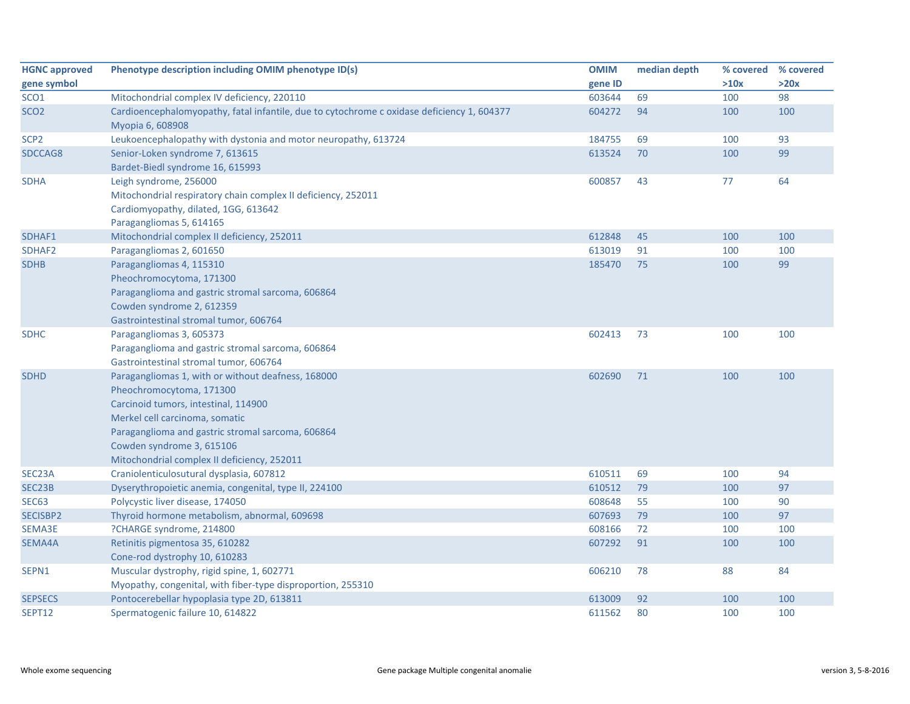| <b>HGNC approved</b> | Phenotype description including OMIM phenotype ID(s)                                                                                                                                                                                                                                      | <b>OMIM</b> | median depth | % covered | % covered |
|----------------------|-------------------------------------------------------------------------------------------------------------------------------------------------------------------------------------------------------------------------------------------------------------------------------------------|-------------|--------------|-----------|-----------|
| gene symbol          |                                                                                                                                                                                                                                                                                           | gene ID     |              | >10x      | >20x      |
| SCO <sub>1</sub>     | Mitochondrial complex IV deficiency, 220110                                                                                                                                                                                                                                               | 603644      | 69           | 100       | 98        |
| SCO <sub>2</sub>     | Cardioencephalomyopathy, fatal infantile, due to cytochrome c oxidase deficiency 1, 604377<br>Myopia 6, 608908                                                                                                                                                                            | 604272      | 94           | 100       | 100       |
| SCP <sub>2</sub>     | Leukoencephalopathy with dystonia and motor neuropathy, 613724                                                                                                                                                                                                                            | 184755      | 69           | 100       | 93        |
| SDCCAG8              | Senior-Loken syndrome 7, 613615<br>Bardet-Biedl syndrome 16, 615993                                                                                                                                                                                                                       | 613524      | 70           | 100       | 99        |
| <b>SDHA</b>          | Leigh syndrome, 256000<br>Mitochondrial respiratory chain complex II deficiency, 252011<br>Cardiomyopathy, dilated, 1GG, 613642<br>Paragangliomas 5, 614165                                                                                                                               | 600857      | 43           | 77        | 64        |
| SDHAF1               | Mitochondrial complex II deficiency, 252011                                                                                                                                                                                                                                               | 612848      | 45           | 100       | 100       |
| SDHAF2               | Paragangliomas 2, 601650                                                                                                                                                                                                                                                                  | 613019      | 91           | 100       | 100       |
| <b>SDHB</b>          | Paragangliomas 4, 115310<br>Pheochromocytoma, 171300<br>Paraganglioma and gastric stromal sarcoma, 606864<br>Cowden syndrome 2, 612359<br>Gastrointestinal stromal tumor, 606764                                                                                                          | 185470      | 75           | 100       | 99        |
| <b>SDHC</b>          | Paragangliomas 3, 605373<br>Paraganglioma and gastric stromal sarcoma, 606864<br>Gastrointestinal stromal tumor, 606764                                                                                                                                                                   | 602413      | 73           | 100       | 100       |
| <b>SDHD</b>          | Paragangliomas 1, with or without deafness, 168000<br>Pheochromocytoma, 171300<br>Carcinoid tumors, intestinal, 114900<br>Merkel cell carcinoma, somatic<br>Paraganglioma and gastric stromal sarcoma, 606864<br>Cowden syndrome 3, 615106<br>Mitochondrial complex II deficiency, 252011 | 602690      | 71           | 100       | 100       |
| SEC23A               | Craniolenticulosutural dysplasia, 607812                                                                                                                                                                                                                                                  | 610511      | 69           | 100       | 94        |
| SEC23B               | Dyserythropoietic anemia, congenital, type II, 224100                                                                                                                                                                                                                                     | 610512      | 79           | 100       | 97        |
| <b>SEC63</b>         | Polycystic liver disease, 174050                                                                                                                                                                                                                                                          | 608648      | 55           | 100       | 90        |
| SECISBP2             | Thyroid hormone metabolism, abnormal, 609698                                                                                                                                                                                                                                              | 607693      | 79           | 100       | 97        |
| SEMA3E               | ?CHARGE syndrome, 214800                                                                                                                                                                                                                                                                  | 608166      | 72           | 100       | 100       |
| SEMA4A               | Retinitis pigmentosa 35, 610282<br>Cone-rod dystrophy 10, 610283                                                                                                                                                                                                                          | 607292      | 91           | 100       | 100       |
| SEPN1                | Muscular dystrophy, rigid spine, 1, 602771<br>Myopathy, congenital, with fiber-type disproportion, 255310                                                                                                                                                                                 | 606210      | 78           | 88        | 84        |
| <b>SEPSECS</b>       | Pontocerebellar hypoplasia type 2D, 613811                                                                                                                                                                                                                                                | 613009      | 92           | 100       | 100       |
| SEPT12               | Spermatogenic failure 10, 614822                                                                                                                                                                                                                                                          | 611562      | 80           | 100       | 100       |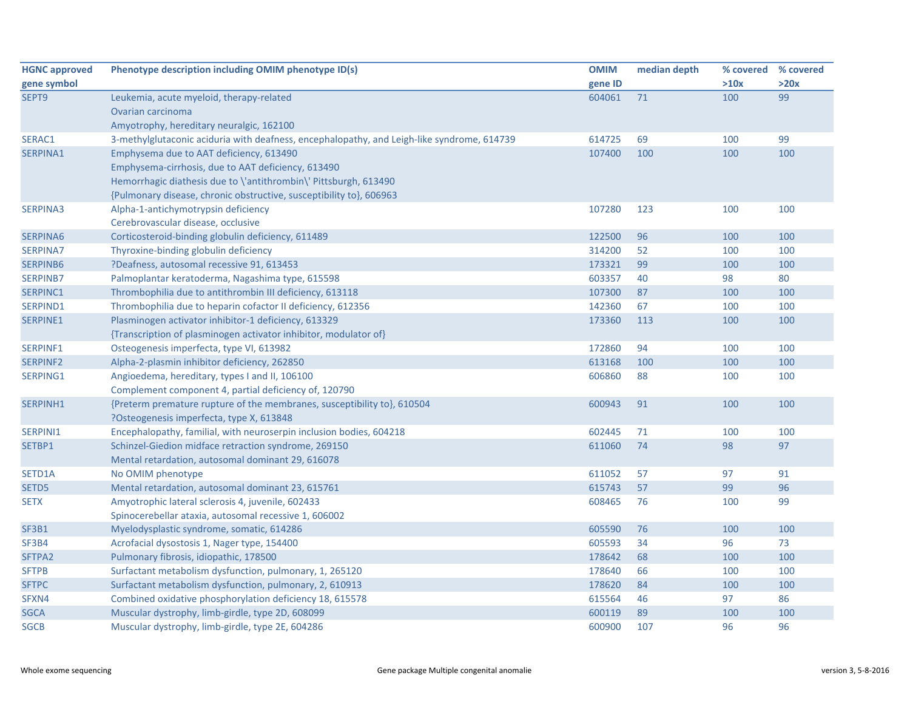| <b>HGNC approved</b> | Phenotype description including OMIM phenotype ID(s)                                       | <b>OMIM</b> | median depth | % covered | % covered |
|----------------------|--------------------------------------------------------------------------------------------|-------------|--------------|-----------|-----------|
| gene symbol          |                                                                                            | gene ID     |              | >10x      | >20x      |
| SEPT9                | Leukemia, acute myeloid, therapy-related                                                   | 604061      | 71           | 100       | 99        |
|                      | Ovarian carcinoma                                                                          |             |              |           |           |
|                      | Amyotrophy, hereditary neuralgic, 162100                                                   |             |              |           |           |
| SERAC1               | 3-methylglutaconic aciduria with deafness, encephalopathy, and Leigh-like syndrome, 614739 | 614725      | 69           | 100       | 99        |
| SERPINA1             | Emphysema due to AAT deficiency, 613490                                                    | 107400      | 100          | 100       | 100       |
|                      | Emphysema-cirrhosis, due to AAT deficiency, 613490                                         |             |              |           |           |
|                      | Hemorrhagic diathesis due to \'antithrombin\' Pittsburgh, 613490                           |             |              |           |           |
|                      | {Pulmonary disease, chronic obstructive, susceptibility to}, 606963                        |             |              |           |           |
| <b>SERPINA3</b>      | Alpha-1-antichymotrypsin deficiency                                                        | 107280      | 123          | 100       | 100       |
|                      | Cerebrovascular disease, occlusive                                                         |             |              |           |           |
| SERPINA6             | Corticosteroid-binding globulin deficiency, 611489                                         | 122500      | 96           | 100       | 100       |
| <b>SERPINA7</b>      | Thyroxine-binding globulin deficiency                                                      | 314200      | 52           | 100       | 100       |
| SERPINB6             | ?Deafness, autosomal recessive 91, 613453                                                  | 173321      | 99           | 100       | 100       |
| <b>SERPINB7</b>      | Palmoplantar keratoderma, Nagashima type, 615598                                           | 603357      | 40           | 98        | 80        |
| SERPINC1             | Thrombophilia due to antithrombin III deficiency, 613118                                   | 107300      | 87           | 100       | 100       |
| SERPIND1             | Thrombophilia due to heparin cofactor II deficiency, 612356                                | 142360      | 67           | 100       | 100       |
| SERPINE1             | Plasminogen activator inhibitor-1 deficiency, 613329                                       | 173360      | 113          | 100       | 100       |
|                      | {Transcription of plasminogen activator inhibitor, modulator of}                           |             |              |           |           |
| SERPINF1             | Osteogenesis imperfecta, type VI, 613982                                                   | 172860      | 94           | 100       | 100       |
| <b>SERPINF2</b>      | Alpha-2-plasmin inhibitor deficiency, 262850                                               | 613168      | 100          | 100       | 100       |
| SERPING1             | Angioedema, hereditary, types I and II, 106100                                             | 606860      | 88           | 100       | 100       |
|                      | Complement component 4, partial deficiency of, 120790                                      |             |              |           |           |
| SERPINH1             | {Preterm premature rupture of the membranes, susceptibility to}, 610504                    | 600943      | 91           | 100       | 100       |
|                      | ?Osteogenesis imperfecta, type X, 613848                                                   |             |              |           |           |
| SERPINI1             | Encephalopathy, familial, with neuroserpin inclusion bodies, 604218                        | 602445      | 71           | 100       | 100       |
| SETBP1               | Schinzel-Giedion midface retraction syndrome, 269150                                       | 611060      | 74           | 98        | 97        |
|                      | Mental retardation, autosomal dominant 29, 616078                                          |             |              |           |           |
| SETD1A               | No OMIM phenotype                                                                          | 611052      | 57           | 97        | 91        |
| SETD5                | Mental retardation, autosomal dominant 23, 615761                                          | 615743      | 57           | 99        | 96        |
| <b>SETX</b>          | Amyotrophic lateral sclerosis 4, juvenile, 602433                                          | 608465      | 76           | 100       | 99        |
|                      | Spinocerebellar ataxia, autosomal recessive 1, 606002                                      |             |              |           |           |
| <b>SF3B1</b>         | Myelodysplastic syndrome, somatic, 614286                                                  | 605590      | 76           | 100       | 100       |
| SF3B4                | Acrofacial dysostosis 1, Nager type, 154400                                                | 605593      | 34           | 96        | 73        |
| SFTPA2               | Pulmonary fibrosis, idiopathic, 178500                                                     | 178642      | 68           | 100       | 100       |
| <b>SFTPB</b>         | Surfactant metabolism dysfunction, pulmonary, 1, 265120                                    | 178640      | 66           | 100       | 100       |
| <b>SFTPC</b>         | Surfactant metabolism dysfunction, pulmonary, 2, 610913                                    | 178620      | 84           | 100       | 100       |
| SFXN4                | Combined oxidative phosphorylation deficiency 18, 615578                                   | 615564      | 46           | 97        | 86        |
| <b>SGCA</b>          | Muscular dystrophy, limb-girdle, type 2D, 608099                                           | 600119      | 89           | 100       | 100       |
| <b>SGCB</b>          | Muscular dystrophy, limb-girdle, type 2E, 604286                                           | 600900      | 107          | 96        | 96        |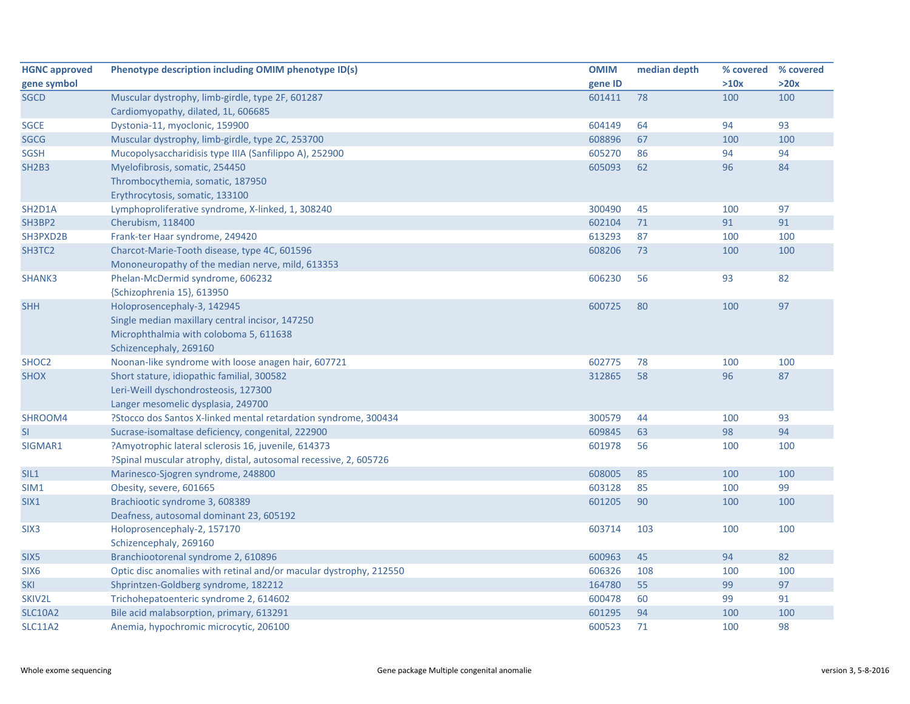| <b>HGNC approved</b>             | Phenotype description including OMIM phenotype ID(s)               | <b>OMIM</b> | median depth | % covered | % covered |
|----------------------------------|--------------------------------------------------------------------|-------------|--------------|-----------|-----------|
| gene symbol                      |                                                                    | gene ID     |              | >10x      | >20x      |
| <b>SGCD</b>                      | Muscular dystrophy, limb-girdle, type 2F, 601287                   | 601411      | 78           | 100       | 100       |
|                                  | Cardiomyopathy, dilated, 1L, 606685                                |             |              |           |           |
| <b>SGCE</b>                      | Dystonia-11, myoclonic, 159900                                     | 604149      | 64           | 94        | 93        |
| <b>SGCG</b>                      | Muscular dystrophy, limb-girdle, type 2C, 253700                   | 608896      | 67           | 100       | 100       |
| <b>SGSH</b>                      | Mucopolysaccharidisis type IIIA (Sanfilippo A), 252900             | 605270      | 86           | 94        | 94        |
| <b>SH2B3</b>                     | Myelofibrosis, somatic, 254450                                     | 605093      | 62           | 96        | 84        |
|                                  | Thrombocythemia, somatic, 187950                                   |             |              |           |           |
|                                  | Erythrocytosis, somatic, 133100                                    |             |              |           |           |
| SH <sub>2</sub> D <sub>1</sub> A | Lymphoproliferative syndrome, X-linked, 1, 308240                  | 300490      | 45           | 100       | 97        |
| SH3BP2                           | Cherubism, 118400                                                  | 602104      | 71           | 91        | 91        |
| SH3PXD2B                         | Frank-ter Haar syndrome, 249420                                    | 613293      | 87           | 100       | 100       |
| SH3TC2                           | Charcot-Marie-Tooth disease, type 4C, 601596                       | 608206      | 73           | 100       | 100       |
|                                  | Mononeuropathy of the median nerve, mild, 613353                   |             |              |           |           |
| SHANK3                           | Phelan-McDermid syndrome, 606232                                   | 606230      | 56           | 93        | 82        |
|                                  | {Schizophrenia 15}, 613950                                         |             |              |           |           |
| <b>SHH</b>                       | Holoprosencephaly-3, 142945                                        | 600725      | 80           | 100       | 97        |
|                                  | Single median maxillary central incisor, 147250                    |             |              |           |           |
|                                  | Microphthalmia with coloboma 5, 611638                             |             |              |           |           |
|                                  | Schizencephaly, 269160                                             |             |              |           |           |
| SHOC <sub>2</sub>                | Noonan-like syndrome with loose anagen hair, 607721                | 602775      | 78           | 100       | 100       |
| <b>SHOX</b>                      | Short stature, idiopathic familial, 300582                         | 312865      | 58           | 96        | 87        |
|                                  | Leri-Weill dyschondrosteosis, 127300                               |             |              |           |           |
|                                  | Langer mesomelic dysplasia, 249700                                 |             |              |           |           |
| SHROOM4                          | ?Stocco dos Santos X-linked mental retardation syndrome, 300434    | 300579      | 44           | 100       | 93        |
| <b>SI</b>                        | Sucrase-isomaltase deficiency, congenital, 222900                  | 609845      | 63           | 98        | 94        |
| SIGMAR1                          | ?Amyotrophic lateral sclerosis 16, juvenile, 614373                | 601978      | 56           | 100       | 100       |
|                                  | ?Spinal muscular atrophy, distal, autosomal recessive, 2, 605726   |             |              |           |           |
| SIL1                             | Marinesco-Sjogren syndrome, 248800                                 | 608005      | 85           | 100       | 100       |
| SIM1                             | Obesity, severe, 601665                                            | 603128      | 85           | 100       | 99        |
| SIX1                             | Brachiootic syndrome 3, 608389                                     | 601205      | 90           | 100       | 100       |
|                                  | Deafness, autosomal dominant 23, 605192                            |             |              |           |           |
| SIX <sub>3</sub>                 | Holoprosencephaly-2, 157170                                        | 603714      | 103          | 100       | 100       |
|                                  | Schizencephaly, 269160                                             |             |              |           |           |
| SIX <sub>5</sub>                 | Branchiootorenal syndrome 2, 610896                                | 600963      | 45           | 94        | 82        |
| SIX <sub>6</sub>                 | Optic disc anomalies with retinal and/or macular dystrophy, 212550 | 606326      | 108          | 100       | 100       |
| <b>SKI</b>                       | Shprintzen-Goldberg syndrome, 182212                               | 164780      | 55           | 99        | 97        |
| SKIV2L                           | Trichohepatoenteric syndrome 2, 614602                             | 600478      | 60           | 99        | 91        |
| <b>SLC10A2</b>                   | Bile acid malabsorption, primary, 613291                           | 601295      | 94           | 100       | 100       |
| <b>SLC11A2</b>                   | Anemia, hypochromic microcytic, 206100                             | 600523      | 71           | 100       | 98        |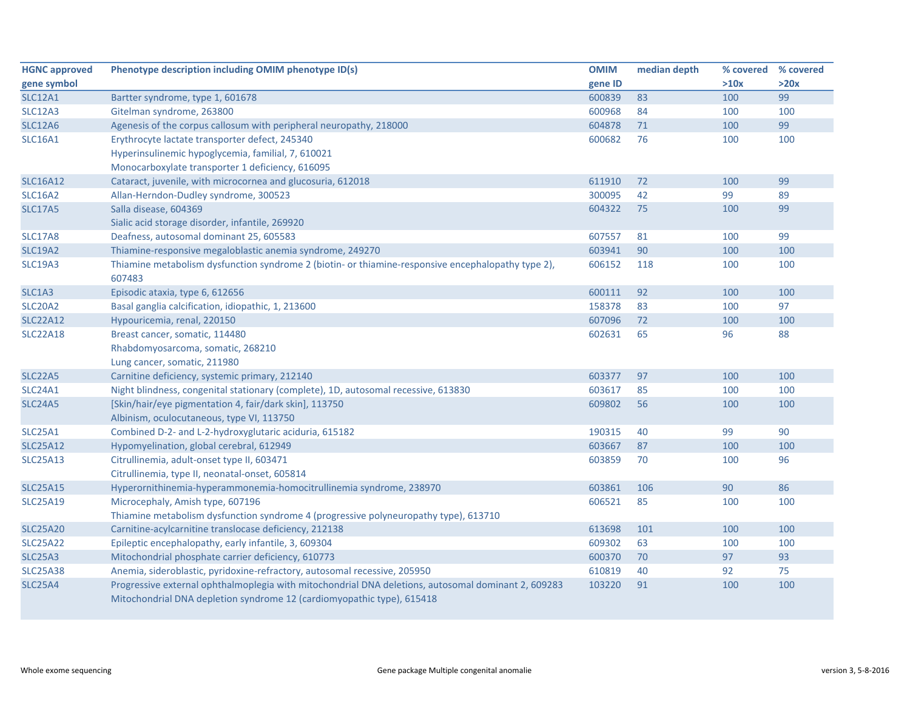| <b>HGNC approved</b> | Phenotype description including OMIM phenotype ID(s)                                                | <b>OMIM</b> | median depth | % covered | % covered |
|----------------------|-----------------------------------------------------------------------------------------------------|-------------|--------------|-----------|-----------|
| gene symbol          |                                                                                                     | gene ID     |              | >10x      | >20x      |
| <b>SLC12A1</b>       | Bartter syndrome, type 1, 601678                                                                    | 600839      | 83           | 100       | 99        |
| <b>SLC12A3</b>       | Gitelman syndrome, 263800                                                                           | 600968      | 84           | 100       | 100       |
| <b>SLC12A6</b>       | Agenesis of the corpus callosum with peripheral neuropathy, 218000                                  | 604878      | 71           | 100       | 99        |
| <b>SLC16A1</b>       | Erythrocyte lactate transporter defect, 245340                                                      | 600682      | 76           | 100       | 100       |
|                      | Hyperinsulinemic hypoglycemia, familial, 7, 610021                                                  |             |              |           |           |
|                      | Monocarboxylate transporter 1 deficiency, 616095                                                    |             |              |           |           |
| <b>SLC16A12</b>      | Cataract, juvenile, with microcornea and glucosuria, 612018                                         | 611910      | 72           | 100       | 99        |
| <b>SLC16A2</b>       | Allan-Herndon-Dudley syndrome, 300523                                                               | 300095      | 42           | 99        | 89        |
| <b>SLC17A5</b>       | Salla disease, 604369                                                                               | 604322      | 75           | 100       | 99        |
|                      | Sialic acid storage disorder, infantile, 269920                                                     |             |              |           |           |
| <b>SLC17A8</b>       | Deafness, autosomal dominant 25, 605583                                                             | 607557      | 81           | 100       | 99        |
| <b>SLC19A2</b>       | Thiamine-responsive megaloblastic anemia syndrome, 249270                                           | 603941      | 90           | 100       | 100       |
| <b>SLC19A3</b>       | Thiamine metabolism dysfunction syndrome 2 (biotin- or thiamine-responsive encephalopathy type 2),  | 606152      | 118          | 100       | 100       |
|                      | 607483                                                                                              |             |              |           |           |
| SLC1A3               | Episodic ataxia, type 6, 612656                                                                     | 600111      | 92           | 100       | 100       |
| <b>SLC20A2</b>       | Basal ganglia calcification, idiopathic, 1, 213600                                                  | 158378      | 83           | 100       | 97        |
| <b>SLC22A12</b>      | Hypouricemia, renal, 220150                                                                         | 607096      | 72           | 100       | 100       |
| <b>SLC22A18</b>      | Breast cancer, somatic, 114480                                                                      | 602631      | 65           | 96        | 88        |
|                      | Rhabdomyosarcoma, somatic, 268210                                                                   |             |              |           |           |
|                      | Lung cancer, somatic, 211980                                                                        |             |              |           |           |
| <b>SLC22A5</b>       | Carnitine deficiency, systemic primary, 212140                                                      | 603377      | 97           | 100       | 100       |
| <b>SLC24A1</b>       | Night blindness, congenital stationary (complete), 1D, autosomal recessive, 613830                  | 603617      | 85           | 100       | 100       |
| <b>SLC24A5</b>       | [Skin/hair/eye pigmentation 4, fair/dark skin], 113750                                              | 609802      | 56           | 100       | 100       |
|                      | Albinism, oculocutaneous, type VI, 113750                                                           |             |              |           |           |
| <b>SLC25A1</b>       | Combined D-2- and L-2-hydroxyglutaric aciduria, 615182                                              | 190315      | 40           | 99        | 90        |
| <b>SLC25A12</b>      | Hypomyelination, global cerebral, 612949                                                            | 603667      | 87           | 100       | 100       |
| <b>SLC25A13</b>      | Citrullinemia, adult-onset type II, 603471                                                          | 603859      | 70           | 100       | 96        |
|                      | Citrullinemia, type II, neonatal-onset, 605814                                                      |             |              |           |           |
| <b>SLC25A15</b>      | Hyperornithinemia-hyperammonemia-homocitrullinemia syndrome, 238970                                 | 603861      | 106          | 90        | 86        |
| <b>SLC25A19</b>      | Microcephaly, Amish type, 607196                                                                    | 606521      | 85           | 100       | 100       |
|                      | Thiamine metabolism dysfunction syndrome 4 (progressive polyneuropathy type), 613710                |             |              |           |           |
| <b>SLC25A20</b>      | Carnitine-acylcarnitine translocase deficiency, 212138                                              | 613698      | 101          | 100       | 100       |
| <b>SLC25A22</b>      | Epileptic encephalopathy, early infantile, 3, 609304                                                | 609302      | 63           | 100       | 100       |
| <b>SLC25A3</b>       | Mitochondrial phosphate carrier deficiency, 610773                                                  | 600370      | 70           | 97        | 93        |
| <b>SLC25A38</b>      | Anemia, sideroblastic, pyridoxine-refractory, autosomal recessive, 205950                           | 610819      | 40           | 92        | 75        |
| <b>SLC25A4</b>       | Progressive external ophthalmoplegia with mitochondrial DNA deletions, autosomal dominant 2, 609283 | 103220      | 91           | 100       | 100       |
|                      | Mitochondrial DNA depletion syndrome 12 (cardiomyopathic type), 615418                              |             |              |           |           |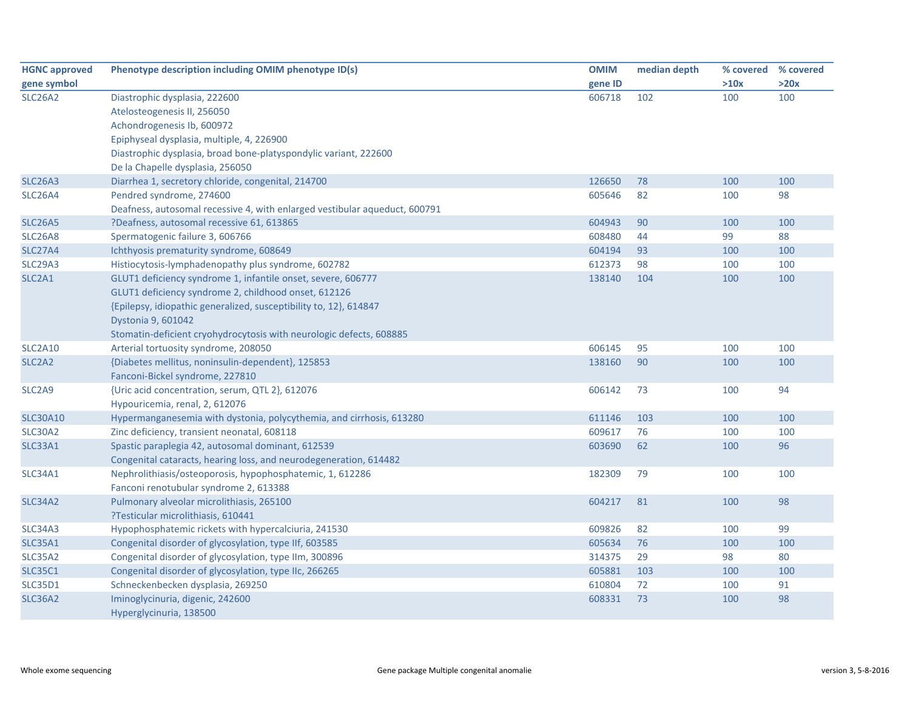| <b>HGNC approved</b>            | Phenotype description including OMIM phenotype ID(s)                       | <b>OMIM</b> | median depth | % covered | % covered |
|---------------------------------|----------------------------------------------------------------------------|-------------|--------------|-----------|-----------|
| gene symbol                     |                                                                            | gene ID     |              | >10x      | >20x      |
| <b>SLC26A2</b>                  | Diastrophic dysplasia, 222600                                              | 606718      | 102          | 100       | 100       |
|                                 | Atelosteogenesis II, 256050                                                |             |              |           |           |
|                                 | Achondrogenesis Ib, 600972                                                 |             |              |           |           |
|                                 | Epiphyseal dysplasia, multiple, 4, 226900                                  |             |              |           |           |
|                                 | Diastrophic dysplasia, broad bone-platyspondylic variant, 222600           |             |              |           |           |
|                                 | De la Chapelle dysplasia, 256050                                           |             |              |           |           |
| <b>SLC26A3</b>                  | Diarrhea 1, secretory chloride, congenital, 214700                         | 126650      | 78           | 100       | 100       |
| SLC <sub>26</sub> A4            | Pendred syndrome, 274600                                                   | 605646      | 82           | 100       | 98        |
|                                 | Deafness, autosomal recessive 4, with enlarged vestibular aqueduct, 600791 |             |              |           |           |
| <b>SLC26A5</b>                  | ?Deafness, autosomal recessive 61, 613865                                  | 604943      | 90           | 100       | 100       |
| <b>SLC26A8</b>                  | Spermatogenic failure 3, 606766                                            | 608480      | 44           | 99        | 88        |
| <b>SLC27A4</b>                  | Ichthyosis prematurity syndrome, 608649                                    | 604194      | 93           | 100       | 100       |
| <b>SLC29A3</b>                  | Histiocytosis-lymphadenopathy plus syndrome, 602782                        | 612373      | 98           | 100       | 100       |
| SLC <sub>2</sub> A <sub>1</sub> | GLUT1 deficiency syndrome 1, infantile onset, severe, 606777               | 138140      | 104          | 100       | 100       |
|                                 | GLUT1 deficiency syndrome 2, childhood onset, 612126                       |             |              |           |           |
|                                 | {Epilepsy, idiopathic generalized, susceptibility to, 12}, 614847          |             |              |           |           |
|                                 | Dystonia 9, 601042                                                         |             |              |           |           |
|                                 | Stomatin-deficient cryohydrocytosis with neurologic defects, 608885        |             |              |           |           |
| <b>SLC2A10</b>                  | Arterial tortuosity syndrome, 208050                                       | 606145      | 95           | 100       | 100       |
| SLC <sub>2</sub> A <sub>2</sub> | {Diabetes mellitus, noninsulin-dependent}, 125853                          | 138160      | 90           | 100       | 100       |
|                                 | Fanconi-Bickel syndrome, 227810                                            |             |              |           |           |
| SLC <sub>2</sub> A9             | {Uric acid concentration, serum, QTL 2}, 612076                            | 606142      | 73           | 100       | 94        |
|                                 | Hypouricemia, renal, 2, 612076                                             |             |              |           |           |
| <b>SLC30A10</b>                 | Hypermanganesemia with dystonia, polycythemia, and cirrhosis, 613280       | 611146      | 103          | 100       | 100       |
| <b>SLC30A2</b>                  | Zinc deficiency, transient neonatal, 608118                                | 609617      | 76           | 100       | 100       |
| <b>SLC33A1</b>                  | Spastic paraplegia 42, autosomal dominant, 612539                          | 603690      | 62           | 100       | 96        |
|                                 | Congenital cataracts, hearing loss, and neurodegeneration, 614482          |             |              |           |           |
| <b>SLC34A1</b>                  | Nephrolithiasis/osteoporosis, hypophosphatemic, 1, 612286                  | 182309      | 79           | 100       | 100       |
|                                 | Fanconi renotubular syndrome 2, 613388                                     |             |              |           |           |
| <b>SLC34A2</b>                  | Pulmonary alveolar microlithiasis, 265100                                  | 604217      | 81           | 100       | 98        |
|                                 | ?Testicular microlithiasis, 610441                                         |             |              |           |           |
| <b>SLC34A3</b>                  | Hypophosphatemic rickets with hypercalciuria, 241530                       | 609826      | 82           | 100       | 99        |
| <b>SLC35A1</b>                  | Congenital disorder of glycosylation, type IIf, 603585                     | 605634      | 76           | 100       | 100       |
| <b>SLC35A2</b>                  | Congenital disorder of glycosylation, type IIm, 300896                     | 314375      | 29           | 98        | 80        |
| <b>SLC35C1</b>                  | Congenital disorder of glycosylation, type IIc, 266265                     | 605881      | 103          | 100       | 100       |
| <b>SLC35D1</b>                  | Schneckenbecken dysplasia, 269250                                          | 610804      | 72           | 100       | 91        |
| <b>SLC36A2</b>                  | Iminoglycinuria, digenic, 242600                                           | 608331      | 73           | 100       | 98        |
|                                 | Hyperglycinuria, 138500                                                    |             |              |           |           |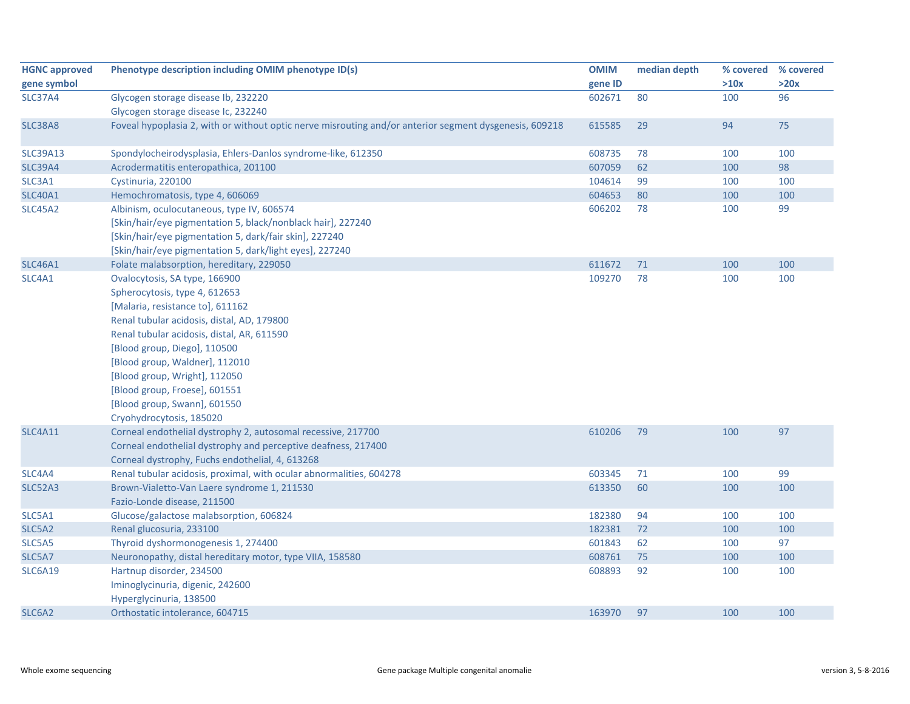| <b>HGNC approved</b> | Phenotype description including OMIM phenotype ID(s)                                                   | <b>OMIM</b> | median depth |      | % covered % covered |
|----------------------|--------------------------------------------------------------------------------------------------------|-------------|--------------|------|---------------------|
| gene symbol          |                                                                                                        | gene ID     |              | >10x | >20x                |
| <b>SLC37A4</b>       | Glycogen storage disease Ib, 232220                                                                    | 602671      | 80           | 100  | 96                  |
|                      | Glycogen storage disease Ic, 232240                                                                    |             |              |      |                     |
| <b>SLC38A8</b>       | Foveal hypoplasia 2, with or without optic nerve misrouting and/or anterior segment dysgenesis, 609218 | 615585      | 29           | 94   | 75                  |
| <b>SLC39A13</b>      | Spondylocheirodysplasia, Ehlers-Danlos syndrome-like, 612350                                           | 608735      | 78           | 100  | 100                 |
| <b>SLC39A4</b>       | Acrodermatitis enteropathica, 201100                                                                   | 607059      | 62           | 100  | 98                  |
| SLC3A1               | Cystinuria, 220100                                                                                     | 104614      | 99           | 100  | 100                 |
| <b>SLC40A1</b>       | Hemochromatosis, type 4, 606069                                                                        | 604653      | 80           | 100  | 100                 |
| <b>SLC45A2</b>       | Albinism, oculocutaneous, type IV, 606574                                                              | 606202      | 78           | 100  | 99                  |
|                      | [Skin/hair/eye pigmentation 5, black/nonblack hair], 227240                                            |             |              |      |                     |
|                      | [Skin/hair/eye pigmentation 5, dark/fair skin], 227240                                                 |             |              |      |                     |
|                      | [Skin/hair/eye pigmentation 5, dark/light eyes], 227240                                                |             |              |      |                     |
| <b>SLC46A1</b>       | Folate malabsorption, hereditary, 229050                                                               | 611672      | 71           | 100  | 100                 |
| SLC4A1               | Ovalocytosis, SA type, 166900                                                                          | 109270      | 78           | 100  | 100                 |
|                      | Spherocytosis, type 4, 612653                                                                          |             |              |      |                     |
|                      | [Malaria, resistance to], 611162                                                                       |             |              |      |                     |
|                      | Renal tubular acidosis, distal, AD, 179800                                                             |             |              |      |                     |
|                      | Renal tubular acidosis, distal, AR, 611590                                                             |             |              |      |                     |
|                      | [Blood group, Diego], 110500                                                                           |             |              |      |                     |
|                      | [Blood group, Waldner], 112010                                                                         |             |              |      |                     |
|                      | [Blood group, Wright], 112050                                                                          |             |              |      |                     |
|                      | [Blood group, Froese], 601551                                                                          |             |              |      |                     |
|                      | [Blood group, Swann], 601550                                                                           |             |              |      |                     |
|                      | Cryohydrocytosis, 185020                                                                               |             |              |      |                     |
| <b>SLC4A11</b>       | Corneal endothelial dystrophy 2, autosomal recessive, 217700                                           | 610206      | 79           | 100  | 97                  |
|                      | Corneal endothelial dystrophy and perceptive deafness, 217400                                          |             |              |      |                     |
|                      | Corneal dystrophy, Fuchs endothelial, 4, 613268                                                        |             |              |      |                     |
| SLC4A4               | Renal tubular acidosis, proximal, with ocular abnormalities, 604278                                    | 603345      | 71           | 100  | 99                  |
| <b>SLC52A3</b>       | Brown-Vialetto-Van Laere syndrome 1, 211530                                                            | 613350      | 60           | 100  | 100                 |
|                      | Fazio-Londe disease, 211500                                                                            |             |              |      |                     |
| SLC5A1               | Glucose/galactose malabsorption, 606824                                                                | 182380      | 94           | 100  | 100                 |
| SLC5A2               | Renal glucosuria, 233100                                                                               | 182381      | 72           | 100  | 100                 |
| SLC5A5               | Thyroid dyshormonogenesis 1, 274400                                                                    | 601843      | 62           | 100  | 97                  |
| SLC5A7               | Neuronopathy, distal hereditary motor, type VIIA, 158580                                               | 608761      | 75           | 100  | 100                 |
| <b>SLC6A19</b>       | Hartnup disorder, 234500                                                                               | 608893      | 92           | 100  | 100                 |
|                      | Iminoglycinuria, digenic, 242600                                                                       |             |              |      |                     |
|                      | Hyperglycinuria, 138500                                                                                |             |              |      |                     |
| SLC6A2               | Orthostatic intolerance, 604715                                                                        | 163970      | 97           | 100  | 100                 |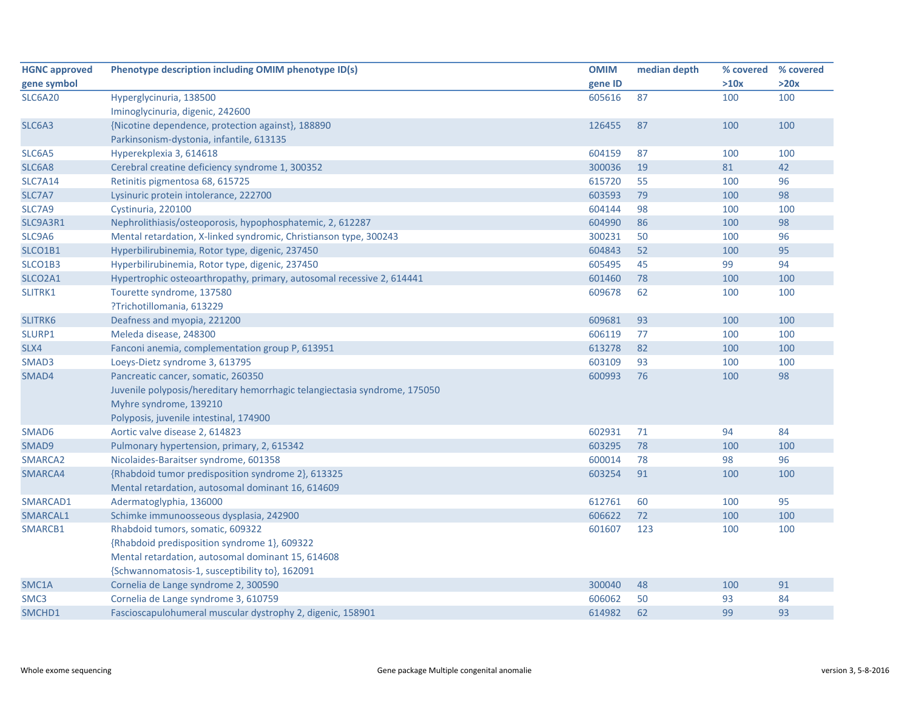| <b>HGNC approved</b> | Phenotype description including OMIM phenotype ID(s)                      | <b>OMIM</b> | median depth | % covered | % covered |
|----------------------|---------------------------------------------------------------------------|-------------|--------------|-----------|-----------|
| gene symbol          |                                                                           | gene ID     |              | >10x      | >20x      |
| <b>SLC6A20</b>       | Hyperglycinuria, 138500                                                   | 605616      | 87           | 100       | 100       |
|                      | Iminoglycinuria, digenic, 242600                                          |             |              |           |           |
| SLC6A3               | {Nicotine dependence, protection against}, 188890                         | 126455      | 87           | 100       | 100       |
|                      | Parkinsonism-dystonia, infantile, 613135                                  |             |              |           |           |
| SLC6A5               | Hyperekplexia 3, 614618                                                   | 604159      | 87           | 100       | 100       |
| SLC6A8               | Cerebral creatine deficiency syndrome 1, 300352                           | 300036      | 19           | 81        | 42        |
| <b>SLC7A14</b>       | Retinitis pigmentosa 68, 615725                                           | 615720      | 55           | 100       | 96        |
| SLC7A7               | Lysinuric protein intolerance, 222700                                     | 603593      | 79           | 100       | 98        |
| SLC7A9               | Cystinuria, 220100                                                        | 604144      | 98           | 100       | 100       |
| SLC9A3R1             | Nephrolithiasis/osteoporosis, hypophosphatemic, 2, 612287                 | 604990      | 86           | 100       | 98        |
| SLC9A6               | Mental retardation, X-linked syndromic, Christianson type, 300243         | 300231      | 50           | 100       | 96        |
| SLCO1B1              | Hyperbilirubinemia, Rotor type, digenic, 237450                           | 604843      | 52           | 100       | 95        |
| SLCO1B3              | Hyperbilirubinemia, Rotor type, digenic, 237450                           | 605495      | 45           | 99        | 94        |
| SLCO2A1              | Hypertrophic osteoarthropathy, primary, autosomal recessive 2, 614441     | 601460      | 78           | 100       | 100       |
| SLITRK1              | Tourette syndrome, 137580                                                 | 609678      | 62           | 100       | 100       |
|                      | ?Trichotillomania, 613229                                                 |             |              |           |           |
| SLITRK6              | Deafness and myopia, 221200                                               | 609681      | 93           | 100       | 100       |
| SLURP1               | Meleda disease, 248300                                                    | 606119      | 77           | 100       | 100       |
| SLX4                 | Fanconi anemia, complementation group P, 613951                           | 613278      | 82           | 100       | 100       |
| SMAD3                | Loeys-Dietz syndrome 3, 613795                                            | 603109      | 93           | 100       | 100       |
| SMAD4                | Pancreatic cancer, somatic, 260350                                        | 600993      | 76           | 100       | 98        |
|                      | Juvenile polyposis/hereditary hemorrhagic telangiectasia syndrome, 175050 |             |              |           |           |
|                      | Myhre syndrome, 139210                                                    |             |              |           |           |
|                      | Polyposis, juvenile intestinal, 174900                                    |             |              |           |           |
| SMAD6                | Aortic valve disease 2, 614823                                            | 602931      | 71           | 94        | 84        |
| SMAD9                | Pulmonary hypertension, primary, 2, 615342                                | 603295      | 78           | 100       | 100       |
| SMARCA2              | Nicolaides-Baraitser syndrome, 601358                                     | 600014      | 78           | 98        | 96        |
| SMARCA4              | {Rhabdoid tumor predisposition syndrome 2}, 613325                        | 603254      | 91           | 100       | 100       |
|                      | Mental retardation, autosomal dominant 16, 614609                         |             |              |           |           |
| SMARCAD1             | Adermatoglyphia, 136000                                                   | 612761      | 60           | 100       | 95        |
| SMARCAL1             | Schimke immunoosseous dysplasia, 242900                                   | 606622      | 72           | 100       | 100       |
| SMARCB1              | Rhabdoid tumors, somatic, 609322                                          | 601607      | 123          | 100       | 100       |
|                      | {Rhabdoid predisposition syndrome 1}, 609322                              |             |              |           |           |
|                      | Mental retardation, autosomal dominant 15, 614608                         |             |              |           |           |
|                      | {Schwannomatosis-1, susceptibility to}, 162091                            |             |              |           |           |
| SMC1A                | Cornelia de Lange syndrome 2, 300590                                      | 300040      | 48           | 100       | 91        |
| SMC3                 | Cornelia de Lange syndrome 3, 610759                                      | 606062      | 50           | 93        | 84        |
| SMCHD1               | Fascioscapulohumeral muscular dystrophy 2, digenic, 158901                | 614982      | 62           | 99        | 93        |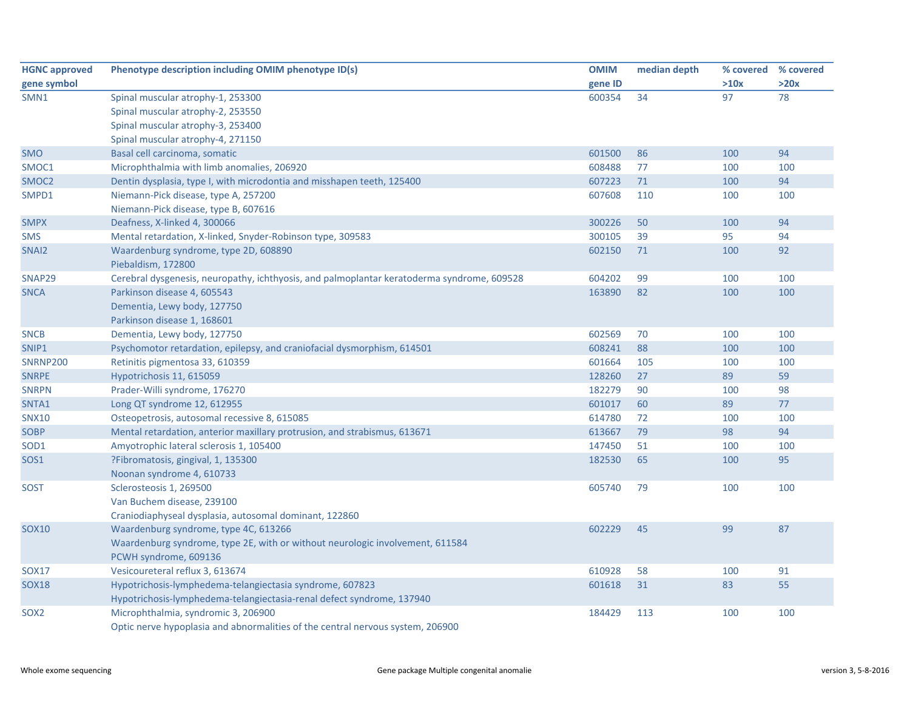| <b>HGNC approved</b> | Phenotype description including OMIM phenotype ID(s)                                       | <b>OMIM</b> | median depth | % covered % covered |      |
|----------------------|--------------------------------------------------------------------------------------------|-------------|--------------|---------------------|------|
| gene symbol          |                                                                                            | gene ID     |              | >10x                | >20x |
| SMN1                 | Spinal muscular atrophy-1, 253300                                                          | 600354      | 34           | 97                  | 78   |
|                      | Spinal muscular atrophy-2, 253550                                                          |             |              |                     |      |
|                      | Spinal muscular atrophy-3, 253400                                                          |             |              |                     |      |
|                      | Spinal muscular atrophy-4, 271150                                                          |             |              |                     |      |
| <b>SMO</b>           | Basal cell carcinoma, somatic                                                              | 601500      | 86           | 100                 | 94   |
| SMOC1                | Microphthalmia with limb anomalies, 206920                                                 | 608488      | 77           | 100                 | 100  |
| SMOC <sub>2</sub>    | Dentin dysplasia, type I, with microdontia and misshapen teeth, 125400                     | 607223      | 71           | 100                 | 94   |
| SMPD1                | Niemann-Pick disease, type A, 257200                                                       | 607608      | 110          | 100                 | 100  |
|                      | Niemann-Pick disease, type B, 607616                                                       |             |              |                     |      |
| <b>SMPX</b>          | Deafness, X-linked 4, 300066                                                               | 300226      | 50           | 100                 | 94   |
| <b>SMS</b>           | Mental retardation, X-linked, Snyder-Robinson type, 309583                                 | 300105      | 39           | 95                  | 94   |
| SNAI2                | Waardenburg syndrome, type 2D, 608890                                                      | 602150      | 71           | 100                 | 92   |
|                      | Piebaldism, 172800                                                                         |             |              |                     |      |
| SNAP29               | Cerebral dysgenesis, neuropathy, ichthyosis, and palmoplantar keratoderma syndrome, 609528 | 604202      | 99           | 100                 | 100  |
| <b>SNCA</b>          | Parkinson disease 4, 605543                                                                | 163890      | 82           | 100                 | 100  |
|                      | Dementia, Lewy body, 127750                                                                |             |              |                     |      |
|                      | Parkinson disease 1, 168601                                                                |             |              |                     |      |
| <b>SNCB</b>          | Dementia, Lewy body, 127750                                                                | 602569      | 70           | 100                 | 100  |
| SNIP1                | Psychomotor retardation, epilepsy, and craniofacial dysmorphism, 614501                    | 608241      | 88           | 100                 | 100  |
| <b>SNRNP200</b>      | Retinitis pigmentosa 33, 610359                                                            | 601664      | 105          | 100                 | 100  |
| <b>SNRPE</b>         | Hypotrichosis 11, 615059                                                                   | 128260      | 27           | 89                  | 59   |
| <b>SNRPN</b>         | Prader-Willi syndrome, 176270                                                              | 182279      | 90           | 100                 | 98   |
| SNTA1                | Long QT syndrome 12, 612955                                                                | 601017      | 60           | 89                  | 77   |
| <b>SNX10</b>         | Osteopetrosis, autosomal recessive 8, 615085                                               | 614780      | 72           | 100                 | 100  |
| <b>SOBP</b>          | Mental retardation, anterior maxillary protrusion, and strabismus, 613671                  | 613667      | 79           | 98                  | 94   |
| SOD <sub>1</sub>     | Amyotrophic lateral sclerosis 1, 105400                                                    | 147450      | 51           | 100                 | 100  |
| <b>SOS1</b>          | ?Fibromatosis, gingival, 1, 135300                                                         | 182530      | 65           | 100                 | 95   |
|                      | Noonan syndrome 4, 610733                                                                  |             |              |                     |      |
| <b>SOST</b>          | Sclerosteosis 1, 269500                                                                    | 605740      | 79           | 100                 | 100  |
|                      | Van Buchem disease, 239100                                                                 |             |              |                     |      |
|                      | Craniodiaphyseal dysplasia, autosomal dominant, 122860                                     |             |              |                     |      |
| <b>SOX10</b>         | Waardenburg syndrome, type 4C, 613266                                                      | 602229      | 45           | 99                  | 87   |
|                      | Waardenburg syndrome, type 2E, with or without neurologic involvement, 611584              |             |              |                     |      |
|                      | PCWH syndrome, 609136                                                                      |             |              |                     |      |
| <b>SOX17</b>         | Vesicoureteral reflux 3, 613674                                                            | 610928      | 58           | 100                 | 91   |
| <b>SOX18</b>         | Hypotrichosis-lymphedema-telangiectasia syndrome, 607823                                   | 601618      | 31           | 83                  | 55   |
|                      | Hypotrichosis-lymphedema-telangiectasia-renal defect syndrome, 137940                      |             |              |                     |      |
| SOX <sub>2</sub>     | Microphthalmia, syndromic 3, 206900                                                        | 184429      | 113          | 100                 | 100  |
|                      | Optic nerve hypoplasia and abnormalities of the central nervous system, 206900             |             |              |                     |      |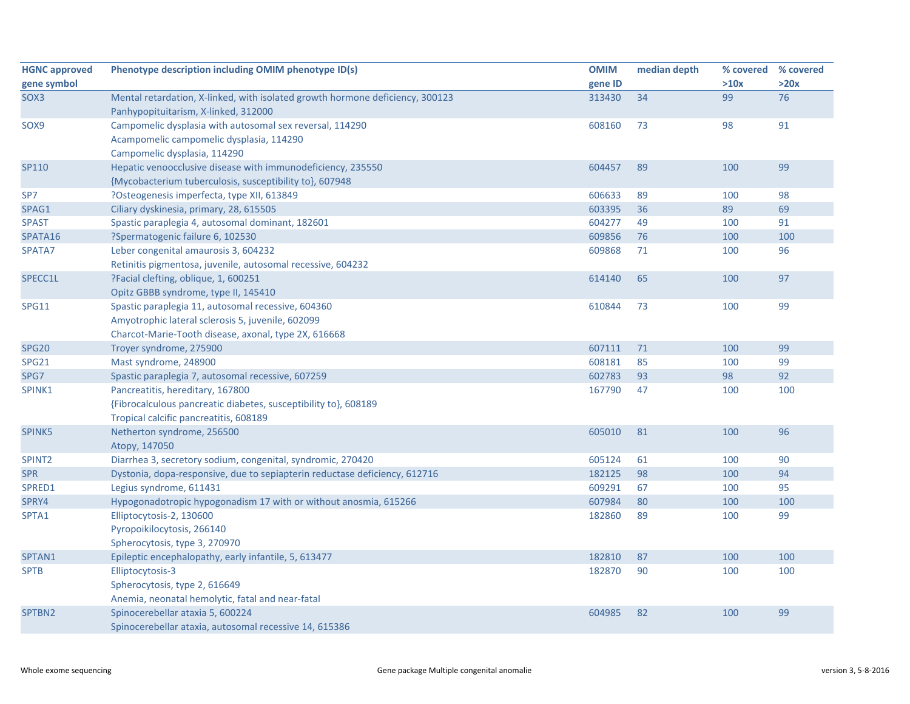| <b>HGNC approved</b> | Phenotype description including OMIM phenotype ID(s)                          | <b>OMIM</b> | median depth |      | % covered % covered |
|----------------------|-------------------------------------------------------------------------------|-------------|--------------|------|---------------------|
| gene symbol          |                                                                               | gene ID     |              | >10x | >20x                |
| SOX3                 | Mental retardation, X-linked, with isolated growth hormone deficiency, 300123 | 313430      | 34           | 99   | 76                  |
|                      | Panhypopituitarism, X-linked, 312000                                          |             |              |      |                     |
| SOX9                 | Campomelic dysplasia with autosomal sex reversal, 114290                      | 608160      | 73           | 98   | 91                  |
|                      | Acampomelic campomelic dysplasia, 114290                                      |             |              |      |                     |
|                      | Campomelic dysplasia, 114290                                                  |             |              |      |                     |
| SP110                | Hepatic venoocclusive disease with immunodeficiency, 235550                   | 604457      | 89           | 100  | 99                  |
|                      | {Mycobacterium tuberculosis, susceptibility to}, 607948                       |             |              |      |                     |
| SP7                  | ?Osteogenesis imperfecta, type XII, 613849                                    | 606633      | 89           | 100  | 98                  |
| SPAG1                | Ciliary dyskinesia, primary, 28, 615505                                       | 603395      | 36           | 89   | 69                  |
| <b>SPAST</b>         | Spastic paraplegia 4, autosomal dominant, 182601                              | 604277      | 49           | 100  | 91                  |
| SPATA16              | ?Spermatogenic failure 6, 102530                                              | 609856      | 76           | 100  | 100                 |
| SPATA7               | Leber congenital amaurosis 3, 604232                                          | 609868      | 71           | 100  | 96                  |
|                      | Retinitis pigmentosa, juvenile, autosomal recessive, 604232                   |             |              |      |                     |
| SPECC1L              | ?Facial clefting, oblique, 1, 600251                                          | 614140      | 65           | 100  | 97                  |
|                      | Opitz GBBB syndrome, type II, 145410                                          |             |              |      |                     |
| <b>SPG11</b>         | Spastic paraplegia 11, autosomal recessive, 604360                            | 610844      | 73           | 100  | 99                  |
|                      | Amyotrophic lateral sclerosis 5, juvenile, 602099                             |             |              |      |                     |
|                      | Charcot-Marie-Tooth disease, axonal, type 2X, 616668                          |             |              |      |                     |
| <b>SPG20</b>         | Troyer syndrome, 275900                                                       | 607111      | 71           | 100  | 99                  |
| <b>SPG21</b>         | Mast syndrome, 248900                                                         | 608181      | 85           | 100  | 99                  |
| SPG7                 | Spastic paraplegia 7, autosomal recessive, 607259                             | 602783      | 93           | 98   | 92                  |
| SPINK1               | Pancreatitis, hereditary, 167800                                              | 167790      | 47           | 100  | 100                 |
|                      | {Fibrocalculous pancreatic diabetes, susceptibility to}, 608189               |             |              |      |                     |
|                      | Tropical calcific pancreatitis, 608189                                        |             |              |      |                     |
| SPINK5               | Netherton syndrome, 256500                                                    | 605010      | 81           | 100  | 96                  |
|                      | Atopy, 147050                                                                 |             |              |      |                     |
| SPINT <sub>2</sub>   | Diarrhea 3, secretory sodium, congenital, syndromic, 270420                   | 605124      | 61           | 100  | 90                  |
| <b>SPR</b>           | Dystonia, dopa-responsive, due to sepiapterin reductase deficiency, 612716    | 182125      | 98           | 100  | 94                  |
| SPRED1               | Legius syndrome, 611431                                                       | 609291      | 67           | 100  | 95                  |
| SPRY4                | Hypogonadotropic hypogonadism 17 with or without anosmia, 615266              | 607984      | 80           | 100  | 100                 |
| SPTA1                | Elliptocytosis-2, 130600                                                      | 182860      | 89           | 100  | 99                  |
|                      | Pyropoikilocytosis, 266140                                                    |             |              |      |                     |
|                      | Spherocytosis, type 3, 270970                                                 |             |              |      |                     |
| SPTAN1               | Epileptic encephalopathy, early infantile, 5, 613477                          | 182810      | 87           | 100  | 100                 |
| <b>SPTB</b>          | Elliptocytosis-3                                                              | 182870      | 90           | 100  | 100                 |
|                      | Spherocytosis, type 2, 616649                                                 |             |              |      |                     |
|                      | Anemia, neonatal hemolytic, fatal and near-fatal                              |             |              |      |                     |
| SPTBN2               | Spinocerebellar ataxia 5, 600224                                              | 604985      | 82           | 100  | 99                  |
|                      | Spinocerebellar ataxia, autosomal recessive 14, 615386                        |             |              |      |                     |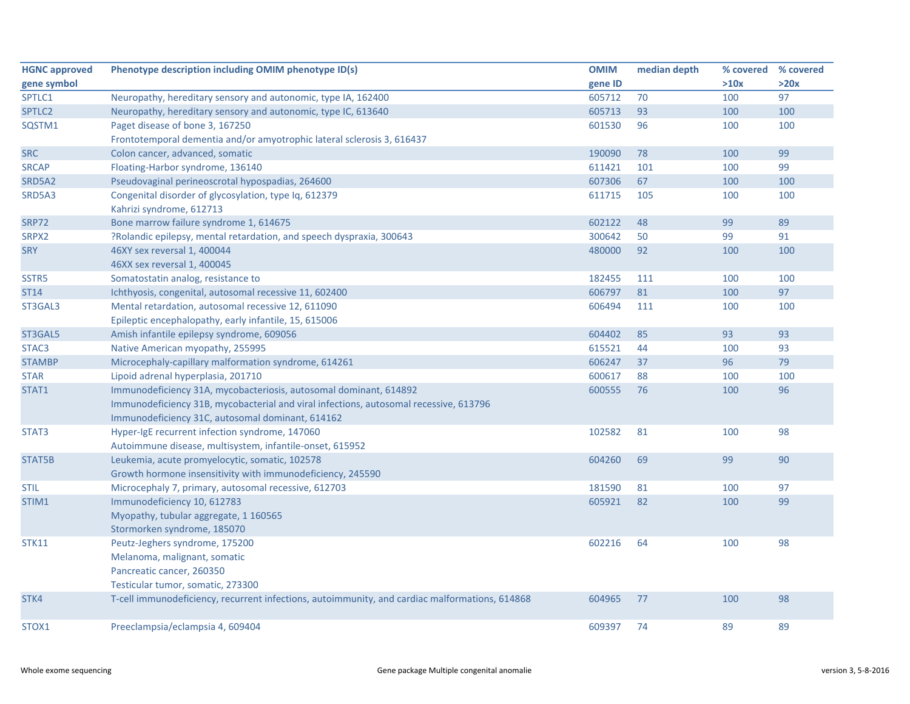| <b>HGNC approved</b> | Phenotype description including OMIM phenotype ID(s)                                           | <b>OMIM</b> | median depth | % covered | % covered |
|----------------------|------------------------------------------------------------------------------------------------|-------------|--------------|-----------|-----------|
| gene symbol          |                                                                                                | gene ID     |              | >10x      | >20x      |
| SPTLC1               | Neuropathy, hereditary sensory and autonomic, type IA, 162400                                  | 605712      | 70           | 100       | 97        |
| SPTLC2               | Neuropathy, hereditary sensory and autonomic, type IC, 613640                                  | 605713      | 93           | 100       | 100       |
| SQSTM1               | Paget disease of bone 3, 167250                                                                | 601530      | 96           | 100       | 100       |
|                      | Frontotemporal dementia and/or amyotrophic lateral sclerosis 3, 616437                         |             |              |           |           |
| <b>SRC</b>           | Colon cancer, advanced, somatic                                                                | 190090      | 78           | 100       | 99        |
| <b>SRCAP</b>         | Floating-Harbor syndrome, 136140                                                               | 611421      | 101          | 100       | 99        |
| SRD5A2               | Pseudovaginal perineoscrotal hypospadias, 264600                                               | 607306      | 67           | 100       | 100       |
| SRD5A3               | Congenital disorder of glycosylation, type Iq, 612379                                          | 611715      | 105          | 100       | 100       |
|                      | Kahrizi syndrome, 612713                                                                       |             |              |           |           |
| <b>SRP72</b>         | Bone marrow failure syndrome 1, 614675                                                         | 602122      | 48           | 99        | 89        |
| SRPX2                | ?Rolandic epilepsy, mental retardation, and speech dyspraxia, 300643                           | 300642      | 50           | 99        | 91        |
| <b>SRY</b>           | 46XY sex reversal 1, 400044                                                                    | 480000      | 92           | 100       | 100       |
|                      | 46XX sex reversal 1, 400045                                                                    |             |              |           |           |
| SSTR5                | Somatostatin analog, resistance to                                                             | 182455      | 111          | 100       | 100       |
| <b>ST14</b>          | Ichthyosis, congenital, autosomal recessive 11, 602400                                         | 606797      | 81           | 100       | 97        |
| ST3GAL3              | Mental retardation, autosomal recessive 12, 611090                                             | 606494      | 111          | 100       | 100       |
|                      | Epileptic encephalopathy, early infantile, 15, 615006                                          |             |              |           |           |
| ST3GAL5              | Amish infantile epilepsy syndrome, 609056                                                      | 604402      | 85           | 93        | 93        |
| STAC <sub>3</sub>    | Native American myopathy, 255995                                                               | 615521      | 44           | 100       | 93        |
| <b>STAMBP</b>        | Microcephaly-capillary malformation syndrome, 614261                                           | 606247      | 37           | 96        | 79        |
| <b>STAR</b>          | Lipoid adrenal hyperplasia, 201710                                                             | 600617      | 88           | 100       | 100       |
| STAT1                | Immunodeficiency 31A, mycobacteriosis, autosomal dominant, 614892                              | 600555      | 76           | 100       | 96        |
|                      | Immunodeficiency 31B, mycobacterial and viral infections, autosomal recessive, 613796          |             |              |           |           |
|                      | Immunodeficiency 31C, autosomal dominant, 614162                                               |             |              |           |           |
| STAT3                | Hyper-IgE recurrent infection syndrome, 147060                                                 | 102582      | 81           | 100       | 98        |
|                      | Autoimmune disease, multisystem, infantile-onset, 615952                                       |             |              |           |           |
| STAT5B               | Leukemia, acute promyelocytic, somatic, 102578                                                 | 604260      | 69           | 99        | 90        |
|                      | Growth hormone insensitivity with immunodeficiency, 245590                                     |             |              |           |           |
| <b>STIL</b>          | Microcephaly 7, primary, autosomal recessive, 612703                                           | 181590      | 81           | 100       | 97        |
| STIM1                | Immunodeficiency 10, 612783                                                                    | 605921      | 82           | 100       | 99        |
|                      | Myopathy, tubular aggregate, 1 160565                                                          |             |              |           |           |
|                      | Stormorken syndrome, 185070                                                                    |             |              |           |           |
| <b>STK11</b>         | Peutz-Jeghers syndrome, 175200                                                                 | 602216      | 64           | 100       | 98        |
|                      | Melanoma, malignant, somatic                                                                   |             |              |           |           |
|                      | Pancreatic cancer, 260350                                                                      |             |              |           |           |
|                      | Testicular tumor, somatic, 273300                                                              |             |              |           |           |
| STK4                 | T-cell immunodeficiency, recurrent infections, autoimmunity, and cardiac malformations, 614868 | 604965      | 77           | 100       | 98        |
| STOX1                | Preeclampsia/eclampsia 4, 609404                                                               | 609397      | 74           | 89        | 89        |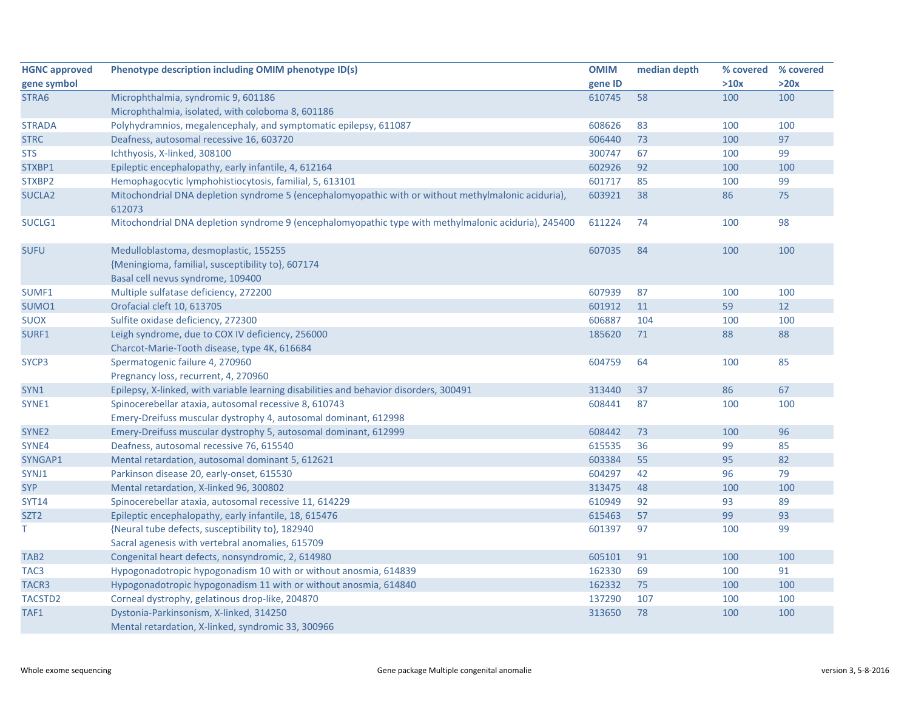| <b>HGNC approved</b> | Phenotype description including OMIM phenotype ID(s)                                                                            | <b>OMIM</b> | median depth | % covered | % covered |
|----------------------|---------------------------------------------------------------------------------------------------------------------------------|-------------|--------------|-----------|-----------|
| gene symbol          |                                                                                                                                 | gene ID     |              | >10x      | >20x      |
| STRA6                | Microphthalmia, syndromic 9, 601186                                                                                             | 610745      | 58           | 100       | 100       |
|                      | Microphthalmia, isolated, with coloboma 8, 601186                                                                               |             |              |           |           |
| <b>STRADA</b>        | Polyhydramnios, megalencephaly, and symptomatic epilepsy, 611087                                                                | 608626      | 83           | 100       | 100       |
| <b>STRC</b>          | Deafness, autosomal recessive 16, 603720                                                                                        | 606440      | 73           | 100       | 97        |
| <b>STS</b>           | Ichthyosis, X-linked, 308100                                                                                                    | 300747      | 67           | 100       | 99        |
| STXBP1               | Epileptic encephalopathy, early infantile, 4, 612164                                                                            | 602926      | 92           | 100       | 100       |
| STXBP2               | Hemophagocytic lymphohistiocytosis, familial, 5, 613101                                                                         | 601717      | 85           | 100       | 99        |
| SUCLA <sub>2</sub>   | Mitochondrial DNA depletion syndrome 5 (encephalomyopathic with or without methylmalonic aciduria),<br>612073                   | 603921      | 38           | 86        | 75        |
| SUCLG1               | Mitochondrial DNA depletion syndrome 9 (encephalomyopathic type with methylmalonic aciduria), 245400                            | 611224      | 74           | 100       | 98        |
| <b>SUFU</b>          | Medulloblastoma, desmoplastic, 155255<br>{Meningioma, familial, susceptibility to}, 607174<br>Basal cell nevus syndrome, 109400 | 607035      | 84           | 100       | 100       |
| SUMF1                | Multiple sulfatase deficiency, 272200                                                                                           | 607939      | 87           | 100       | 100       |
| SUMO1                | Orofacial cleft 10, 613705                                                                                                      | 601912      | 11           | 59        | 12        |
| <b>SUOX</b>          | Sulfite oxidase deficiency, 272300                                                                                              | 606887      | 104          | 100       | 100       |
| SURF1                | Leigh syndrome, due to COX IV deficiency, 256000<br>Charcot-Marie-Tooth disease, type 4K, 616684                                | 185620      | 71           | 88        | 88        |
| SYCP3                | Spermatogenic failure 4, 270960                                                                                                 | 604759      | 64           | 100       | 85        |
|                      | Pregnancy loss, recurrent, 4, 270960                                                                                            |             |              |           |           |
| SYN1                 | Epilepsy, X-linked, with variable learning disabilities and behavior disorders, 300491                                          | 313440      | 37           | 86        | 67        |
| SYNE1                | Spinocerebellar ataxia, autosomal recessive 8, 610743                                                                           | 608441      | 87           | 100       | 100       |
|                      | Emery-Dreifuss muscular dystrophy 4, autosomal dominant, 612998                                                                 |             |              |           |           |
| SYNE <sub>2</sub>    | Emery-Dreifuss muscular dystrophy 5, autosomal dominant, 612999                                                                 | 608442      | 73           | 100       | 96        |
| SYNE4                | Deafness, autosomal recessive 76, 615540                                                                                        | 615535      | 36           | 99        | 85        |
| SYNGAP1              | Mental retardation, autosomal dominant 5, 612621                                                                                | 603384      | 55           | 95        | 82        |
| SYNJ1                | Parkinson disease 20, early-onset, 615530                                                                                       | 604297      | 42           | 96        | 79        |
| <b>SYP</b>           | Mental retardation, X-linked 96, 300802                                                                                         | 313475      | 48           | 100       | 100       |
| <b>SYT14</b>         | Spinocerebellar ataxia, autosomal recessive 11, 614229                                                                          | 610949      | 92           | 93        | 89        |
| SZT <sub>2</sub>     | Epileptic encephalopathy, early infantile, 18, 615476                                                                           | 615463      | 57           | 99        | 93        |
| T.                   | {Neural tube defects, susceptibility to}, 182940                                                                                | 601397      | 97           | 100       | 99        |
|                      | Sacral agenesis with vertebral anomalies, 615709                                                                                |             |              |           |           |
| TAB <sub>2</sub>     | Congenital heart defects, nonsyndromic, 2, 614980                                                                               | 605101      | 91           | 100       | 100       |
| TAC <sub>3</sub>     | Hypogonadotropic hypogonadism 10 with or without anosmia, 614839                                                                | 162330      | 69           | 100       | 91        |
| TACR3                | Hypogonadotropic hypogonadism 11 with or without anosmia, 614840                                                                | 162332      | 75           | 100       | 100       |
| TACSTD2              | Corneal dystrophy, gelatinous drop-like, 204870                                                                                 | 137290      | 107          | 100       | 100       |
| TAF1                 | Dystonia-Parkinsonism, X-linked, 314250<br>Mental retardation, X-linked, syndromic 33, 300966                                   | 313650      | 78           | 100       | 100       |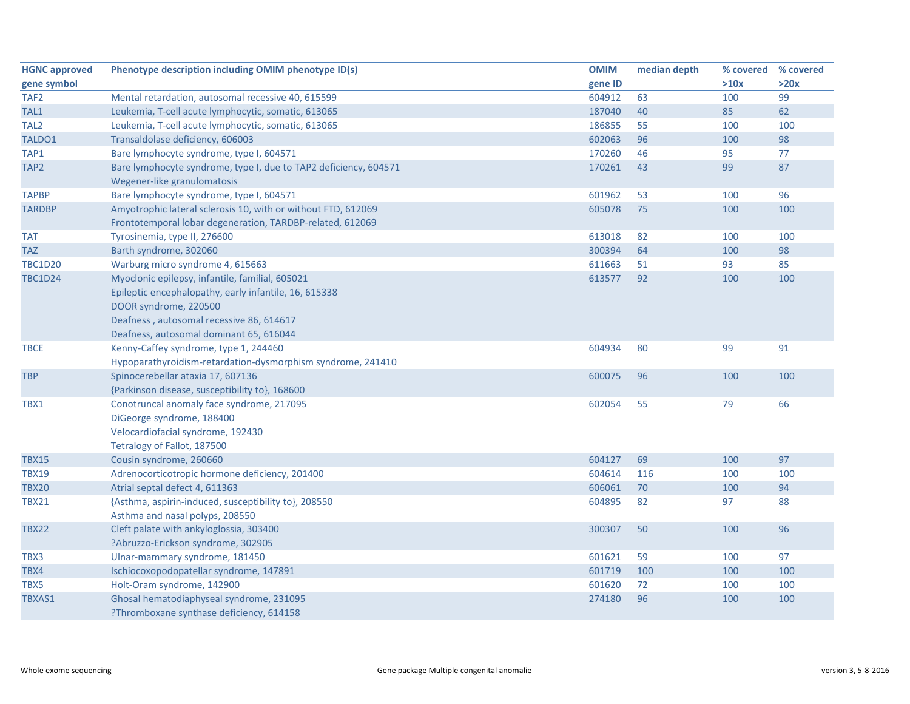| <b>HGNC approved</b> | Phenotype description including OMIM phenotype ID(s)             | <b>OMIM</b> | median depth | % covered | % covered |
|----------------------|------------------------------------------------------------------|-------------|--------------|-----------|-----------|
| gene symbol          |                                                                  | gene ID     |              | >10x      | >20x      |
| TAF <sub>2</sub>     | Mental retardation, autosomal recessive 40, 615599               | 604912      | 63           | 100       | 99        |
| TAL1                 | Leukemia, T-cell acute lymphocytic, somatic, 613065              | 187040      | 40           | 85        | 62        |
| TAL <sub>2</sub>     | Leukemia, T-cell acute lymphocytic, somatic, 613065              | 186855      | 55           | 100       | 100       |
| TALDO1               | Transaldolase deficiency, 606003                                 | 602063      | 96           | 100       | 98        |
| TAP1                 | Bare lymphocyte syndrome, type I, 604571                         | 170260      | 46           | 95        | 77        |
| TAP <sub>2</sub>     | Bare lymphocyte syndrome, type I, due to TAP2 deficiency, 604571 | 170261      | 43           | 99        | 87        |
|                      | Wegener-like granulomatosis                                      |             |              |           |           |
| <b>TAPBP</b>         | Bare lymphocyte syndrome, type I, 604571                         | 601962      | 53           | 100       | 96        |
| <b>TARDBP</b>        | Amyotrophic lateral sclerosis 10, with or without FTD, 612069    | 605078      | 75           | 100       | 100       |
|                      | Frontotemporal lobar degeneration, TARDBP-related, 612069        |             |              |           |           |
| <b>TAT</b>           | Tyrosinemia, type II, 276600                                     | 613018      | 82           | 100       | 100       |
| <b>TAZ</b>           | Barth syndrome, 302060                                           | 300394      | 64           | 100       | 98        |
| <b>TBC1D20</b>       | Warburg micro syndrome 4, 615663                                 | 611663      | 51           | 93        | 85        |
| <b>TBC1D24</b>       | Myoclonic epilepsy, infantile, familial, 605021                  | 613577      | 92           | 100       | 100       |
|                      | Epileptic encephalopathy, early infantile, 16, 615338            |             |              |           |           |
|                      | DOOR syndrome, 220500                                            |             |              |           |           |
|                      | Deafness, autosomal recessive 86, 614617                         |             |              |           |           |
|                      | Deafness, autosomal dominant 65, 616044                          |             |              |           |           |
| <b>TBCE</b>          | Kenny-Caffey syndrome, type 1, 244460                            | 604934      | 80           | 99        | 91        |
|                      | Hypoparathyroidism-retardation-dysmorphism syndrome, 241410      |             |              |           |           |
| <b>TBP</b>           | Spinocerebellar ataxia 17, 607136                                | 600075      | 96           | 100       | 100       |
|                      | {Parkinson disease, susceptibility to}, 168600                   |             |              |           |           |
| TBX1                 | Conotruncal anomaly face syndrome, 217095                        | 602054      | 55           | 79        | 66        |
|                      | DiGeorge syndrome, 188400                                        |             |              |           |           |
|                      | Velocardiofacial syndrome, 192430                                |             |              |           |           |
|                      | Tetralogy of Fallot, 187500                                      |             |              |           |           |
| <b>TBX15</b>         | Cousin syndrome, 260660                                          | 604127      | 69           | 100       | 97        |
| <b>TBX19</b>         | Adrenocorticotropic hormone deficiency, 201400                   | 604614      | 116          | 100       | 100       |
| <b>TBX20</b>         | Atrial septal defect 4, 611363                                   | 606061      | 70           | 100       | 94        |
| <b>TBX21</b>         | {Asthma, aspirin-induced, susceptibility to}, 208550             | 604895      | 82           | 97        | 88        |
|                      | Asthma and nasal polyps, 208550                                  |             |              |           |           |
| <b>TBX22</b>         | Cleft palate with ankyloglossia, 303400                          | 300307      | 50           | 100       | 96        |
|                      | ?Abruzzo-Erickson syndrome, 302905                               |             |              |           |           |
| TBX3                 | Ulnar-mammary syndrome, 181450                                   | 601621      | 59           | 100       | 97        |
| TBX4                 | Ischiocoxopodopatellar syndrome, 147891                          | 601719      | 100          | 100       | 100       |
| TBX5                 | Holt-Oram syndrome, 142900                                       | 601620      | 72           | 100       | 100       |
| TBXAS1               | Ghosal hematodiaphyseal syndrome, 231095                         | 274180      | 96           | 100       | 100       |
|                      | ?Thromboxane synthase deficiency, 614158                         |             |              |           |           |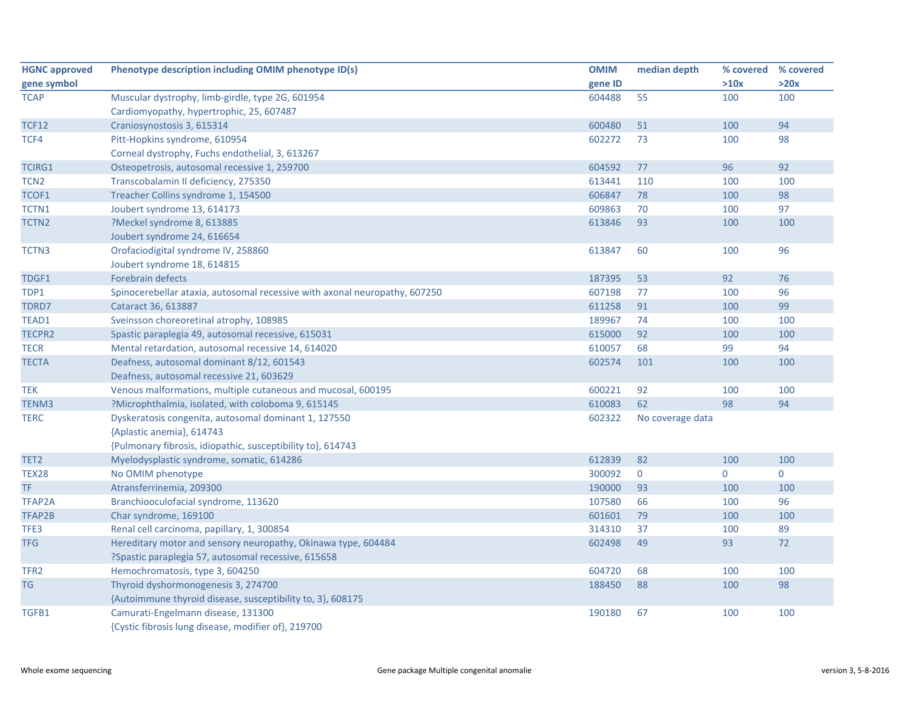| <b>HGNC approved</b> | Phenotype description including OMIM phenotype ID(s)                       | <b>OMIM</b> | median depth     | % covered % covered |              |
|----------------------|----------------------------------------------------------------------------|-------------|------------------|---------------------|--------------|
| gene symbol          |                                                                            | gene ID     |                  | >10x                | >20x         |
| <b>TCAP</b>          | Muscular dystrophy, limb-girdle, type 2G, 601954                           | 604488      | 55               | 100                 | 100          |
|                      | Cardiomyopathy, hypertrophic, 25, 607487                                   |             |                  |                     |              |
| <b>TCF12</b>         | Craniosynostosis 3, 615314                                                 | 600480      | 51               | 100                 | 94           |
| TCF4                 | Pitt-Hopkins syndrome, 610954                                              | 602272      | 73               | 100                 | 98           |
|                      | Corneal dystrophy, Fuchs endothelial, 3, 613267                            |             |                  |                     |              |
| <b>TCIRG1</b>        | Osteopetrosis, autosomal recessive 1, 259700                               | 604592      | 77               | 96                  | 92           |
| TCN <sub>2</sub>     | Transcobalamin II deficiency, 275350                                       | 613441      | 110              | 100                 | 100          |
| TCOF1                | Treacher Collins syndrome 1, 154500                                        | 606847      | 78               | 100                 | 98           |
| TCTN1                | Joubert syndrome 13, 614173                                                | 609863      | 70               | 100                 | 97           |
| TCTN <sub>2</sub>    | ?Meckel syndrome 8, 613885                                                 | 613846      | 93               | 100                 | 100          |
|                      | Joubert syndrome 24, 616654                                                |             |                  |                     |              |
| TCTN3                | Orofaciodigital syndrome IV, 258860                                        | 613847      | 60               | 100                 | 96           |
|                      | Joubert syndrome 18, 614815                                                |             |                  |                     |              |
| TDGF1                | <b>Forebrain defects</b>                                                   | 187395      | 53               | 92                  | 76           |
| TDP1                 | Spinocerebellar ataxia, autosomal recessive with axonal neuropathy, 607250 | 607198      | 77               | 100                 | 96           |
| TDRD7                | Cataract 36, 613887                                                        | 611258      | 91               | 100                 | 99           |
| TEAD1                | Sveinsson choreoretinal atrophy, 108985                                    | 189967      | 74               | 100                 | 100          |
| TECPR2               | Spastic paraplegia 49, autosomal recessive, 615031                         | 615000      | 92               | 100                 | 100          |
| <b>TECR</b>          | Mental retardation, autosomal recessive 14, 614020                         | 610057      | 68               | 99                  | 94           |
| <b>TECTA</b>         | Deafness, autosomal dominant 8/12, 601543                                  | 602574      | 101              | 100                 | 100          |
|                      | Deafness, autosomal recessive 21, 603629                                   |             |                  |                     |              |
| <b>TEK</b>           | Venous malformations, multiple cutaneous and mucosal, 600195               | 600221      | 92               | 100                 | 100          |
| TENM3                | ?Microphthalmia, isolated, with coloboma 9, 615145                         | 610083      | 62               | 98                  | 94           |
| <b>TERC</b>          | Dyskeratosis congenita, autosomal dominant 1, 127550                       | 602322      | No coverage data |                     |              |
|                      | {Aplastic anemia}, 614743                                                  |             |                  |                     |              |
|                      | {Pulmonary fibrosis, idiopathic, susceptibility to}, 614743                |             |                  |                     |              |
| TET <sub>2</sub>     | Myelodysplastic syndrome, somatic, 614286                                  | 612839      | 82               | 100                 | 100          |
| TEX28                | No OMIM phenotype                                                          | 300092      | $\overline{0}$   | $\mathbf{0}$        | $\mathbf{0}$ |
| TF.                  | Atransferrinemia, 209300                                                   | 190000      | 93               | 100                 | 100          |
| <b>TFAP2A</b>        | Branchiooculofacial syndrome, 113620                                       | 107580      | 66               | 100                 | 96           |
| TFAP2B               | Char syndrome, 169100                                                      | 601601      | 79               | 100                 | 100          |
| TFE3                 | Renal cell carcinoma, papillary, 1, 300854                                 | 314310      | 37               | 100                 | 89           |
| <b>TFG</b>           | Hereditary motor and sensory neuropathy, Okinawa type, 604484              | 602498      | 49               | 93                  | 72           |
|                      | ?Spastic paraplegia 57, autosomal recessive, 615658                        |             |                  |                     |              |
| TFR <sub>2</sub>     | Hemochromatosis, type 3, 604250                                            | 604720      | 68               | 100                 | 100          |
| <b>TG</b>            | Thyroid dyshormonogenesis 3, 274700                                        | 188450      | 88               | 100                 | 98           |
|                      | {Autoimmune thyroid disease, susceptibility to, 3}, 608175                 |             |                  |                     |              |
| TGFB1                | Camurati-Engelmann disease, 131300                                         | 190180      | 67               | 100                 | 100          |
|                      | {Cystic fibrosis lung disease, modifier of}, 219700                        |             |                  |                     |              |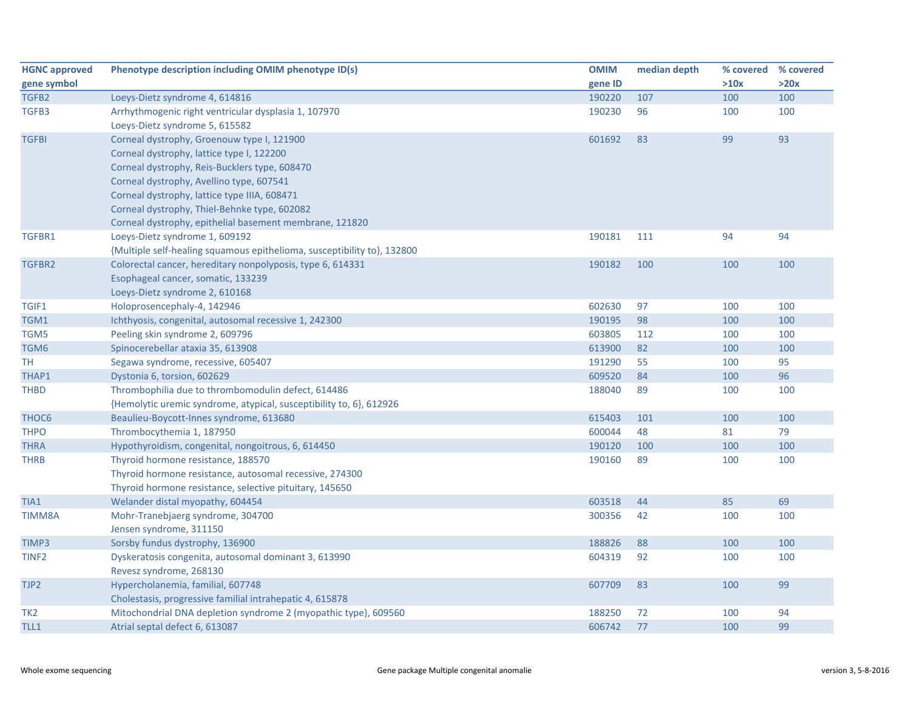| <b>HGNC approved</b> | Phenotype description including OMIM phenotype ID(s)                    | <b>OMIM</b> | median depth | % covered % covered |      |
|----------------------|-------------------------------------------------------------------------|-------------|--------------|---------------------|------|
| gene symbol          |                                                                         | gene ID     |              | >10x                | >20x |
| TGFB2                | Loeys-Dietz syndrome 4, 614816                                          | 190220      | 107          | 100                 | 100  |
| TGFB3                | Arrhythmogenic right ventricular dysplasia 1, 107970                    | 190230      | 96           | 100                 | 100  |
|                      | Loeys-Dietz syndrome 5, 615582                                          |             |              |                     |      |
| <b>TGFBI</b>         | Corneal dystrophy, Groenouw type I, 121900                              | 601692      | 83           | 99                  | 93   |
|                      | Corneal dystrophy, lattice type I, 122200                               |             |              |                     |      |
|                      | Corneal dystrophy, Reis-Bucklers type, 608470                           |             |              |                     |      |
|                      | Corneal dystrophy, Avellino type, 607541                                |             |              |                     |      |
|                      | Corneal dystrophy, lattice type IIIA, 608471                            |             |              |                     |      |
|                      | Corneal dystrophy, Thiel-Behnke type, 602082                            |             |              |                     |      |
|                      | Corneal dystrophy, epithelial basement membrane, 121820                 |             |              |                     |      |
| TGFBR1               | Loeys-Dietz syndrome 1, 609192                                          | 190181      | 111          | 94                  | 94   |
|                      | {Multiple self-healing squamous epithelioma, susceptibility to}, 132800 |             |              |                     |      |
| TGFBR2               | Colorectal cancer, hereditary nonpolyposis, type 6, 614331              | 190182      | 100          | 100                 | 100  |
|                      | Esophageal cancer, somatic, 133239                                      |             |              |                     |      |
|                      | Loeys-Dietz syndrome 2, 610168                                          |             |              |                     |      |
| TGIF1                | Holoprosencephaly-4, 142946                                             | 602630      | 97           | 100                 | 100  |
| TGM1                 | Ichthyosis, congenital, autosomal recessive 1, 242300                   | 190195      | 98           | 100                 | 100  |
| TGM5                 | Peeling skin syndrome 2, 609796                                         | 603805      | 112          | 100                 | 100  |
| TGM6                 | Spinocerebellar ataxia 35, 613908                                       | 613900      | 82           | 100                 | 100  |
| TН                   | Segawa syndrome, recessive, 605407                                      | 191290      | 55           | 100                 | 95   |
| THAP1                | Dystonia 6, torsion, 602629                                             | 609520      | 84           | 100                 | 96   |
| <b>THBD</b>          | Thrombophilia due to thrombomodulin defect, 614486                      | 188040      | 89           | 100                 | 100  |
|                      | {Hemolytic uremic syndrome, atypical, susceptibility to, 6}, 612926     |             |              |                     |      |
| THOC <sub>6</sub>    | Beaulieu-Boycott-Innes syndrome, 613680                                 | 615403      | 101          | 100                 | 100  |
| <b>THPO</b>          | Thrombocythemia 1, 187950                                               | 600044      | 48           | 81                  | 79   |
| <b>THRA</b>          | Hypothyroidism, congenital, nongoitrous, 6, 614450                      | 190120      | 100          | 100                 | 100  |
| <b>THRB</b>          | Thyroid hormone resistance, 188570                                      | 190160      | 89           | 100                 | 100  |
|                      | Thyroid hormone resistance, autosomal recessive, 274300                 |             |              |                     |      |
|                      | Thyroid hormone resistance, selective pituitary, 145650                 |             |              |                     |      |
| TIA1                 | Welander distal myopathy, 604454                                        | 603518      | 44           | 85                  | 69   |
| <b>TIMM8A</b>        | Mohr-Tranebjaerg syndrome, 304700                                       | 300356      | 42           | 100                 | 100  |
|                      | Jensen syndrome, 311150                                                 |             |              |                     |      |
| TIMP3                | Sorsby fundus dystrophy, 136900                                         | 188826      | 88           | 100                 | 100  |
| TINF <sub>2</sub>    | Dyskeratosis congenita, autosomal dominant 3, 613990                    | 604319      | 92           | 100                 | 100  |
|                      | Revesz syndrome, 268130                                                 |             |              |                     |      |
| TJP2                 | Hypercholanemia, familial, 607748                                       | 607709      | 83           | 100                 | 99   |
|                      | Cholestasis, progressive familial intrahepatic 4, 615878                |             |              |                     |      |
| TK <sub>2</sub>      | Mitochondrial DNA depletion syndrome 2 (myopathic type), 609560         | 188250      | 72           | 100                 | 94   |
| TLL1                 | Atrial septal defect 6, 613087                                          | 606742      | 77           | 100                 | 99   |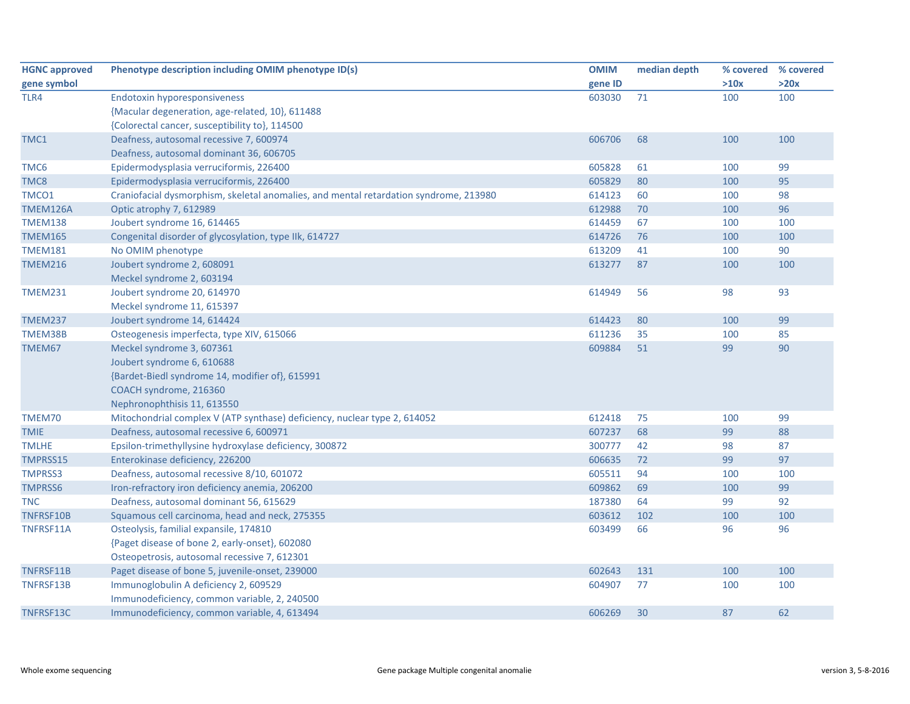| <b>HGNC approved</b> | Phenotype description including OMIM phenotype ID(s)                                  | <b>OMIM</b> | median depth | % covered | % covered |
|----------------------|---------------------------------------------------------------------------------------|-------------|--------------|-----------|-----------|
| gene symbol          |                                                                                       | gene ID     |              | >10x      | >20x      |
| TLR4                 | <b>Endotoxin hyporesponsiveness</b>                                                   | 603030      | 71           | 100       | 100       |
|                      | {Macular degeneration, age-related, 10}, 611488                                       |             |              |           |           |
|                      | {Colorectal cancer, susceptibility to}, 114500                                        |             |              |           |           |
| TMC1                 | Deafness, autosomal recessive 7, 600974                                               | 606706      | 68           | 100       | 100       |
|                      | Deafness, autosomal dominant 36, 606705                                               |             |              |           |           |
| TMC6                 | Epidermodysplasia verruciformis, 226400                                               | 605828      | 61           | 100       | 99        |
| TMC8                 | Epidermodysplasia verruciformis, 226400                                               | 605829      | 80           | 100       | 95        |
| TMCO1                | Craniofacial dysmorphism, skeletal anomalies, and mental retardation syndrome, 213980 | 614123      | 60           | 100       | 98        |
| TMEM126A             | Optic atrophy 7, 612989                                                               | 612988      | 70           | 100       | 96        |
| <b>TMEM138</b>       | Joubert syndrome 16, 614465                                                           | 614459      | 67           | 100       | 100       |
| <b>TMEM165</b>       | Congenital disorder of glycosylation, type IIk, 614727                                | 614726      | 76           | 100       | 100       |
| <b>TMEM181</b>       | No OMIM phenotype                                                                     | 613209      | 41           | 100       | 90        |
| <b>TMEM216</b>       | Joubert syndrome 2, 608091                                                            | 613277      | 87           | 100       | 100       |
|                      | Meckel syndrome 2, 603194                                                             |             |              |           |           |
| <b>TMEM231</b>       | Joubert syndrome 20, 614970                                                           | 614949      | 56           | 98        | 93        |
|                      | Meckel syndrome 11, 615397                                                            |             |              |           |           |
| <b>TMEM237</b>       | Joubert syndrome 14, 614424                                                           | 614423      | 80           | 100       | 99        |
| TMEM38B              | Osteogenesis imperfecta, type XIV, 615066                                             | 611236      | 35           | 100       | 85        |
| TMEM67               | Meckel syndrome 3, 607361                                                             | 609884      | 51           | 99        | 90        |
|                      | Joubert syndrome 6, 610688                                                            |             |              |           |           |
|                      | {Bardet-Biedl syndrome 14, modifier of}, 615991                                       |             |              |           |           |
|                      | COACH syndrome, 216360                                                                |             |              |           |           |
|                      | Nephronophthisis 11, 613550                                                           |             |              |           |           |
| TMEM70               | Mitochondrial complex V (ATP synthase) deficiency, nuclear type 2, 614052             | 612418      | 75           | 100       | 99        |
| <b>TMIE</b>          | Deafness, autosomal recessive 6, 600971                                               | 607237      | 68           | 99        | 88        |
| <b>TMLHE</b>         | Epsilon-trimethyllysine hydroxylase deficiency, 300872                                | 300777      | 42           | 98        | 87        |
| TMPRSS15             | Enterokinase deficiency, 226200                                                       | 606635      | 72           | 99        | 97        |
| <b>TMPRSS3</b>       | Deafness, autosomal recessive 8/10, 601072                                            | 605511      | 94           | 100       | 100       |
| <b>TMPRSS6</b>       | Iron-refractory iron deficiency anemia, 206200                                        | 609862      | 69           | 100       | 99        |
| <b>TNC</b>           | Deafness, autosomal dominant 56, 615629                                               | 187380      | 64           | 99        | 92        |
| TNFRSF10B            | Squamous cell carcinoma, head and neck, 275355                                        | 603612      | 102          | 100       | 100       |
| TNFRSF11A            | Osteolysis, familial expansile, 174810                                                | 603499      | 66           | 96        | 96        |
|                      | {Paget disease of bone 2, early-onset}, 602080                                        |             |              |           |           |
|                      | Osteopetrosis, autosomal recessive 7, 612301                                          |             |              |           |           |
| TNFRSF11B            | Paget disease of bone 5, juvenile-onset, 239000                                       | 602643      | 131          | 100       | 100       |
| TNFRSF13B            | Immunoglobulin A deficiency 2, 609529                                                 | 604907      | 77           | 100       | 100       |
|                      | Immunodeficiency, common variable, 2, 240500                                          |             |              |           |           |
| TNFRSF13C            | Immunodeficiency, common variable, 4, 613494                                          | 606269      | 30           | 87        | 62        |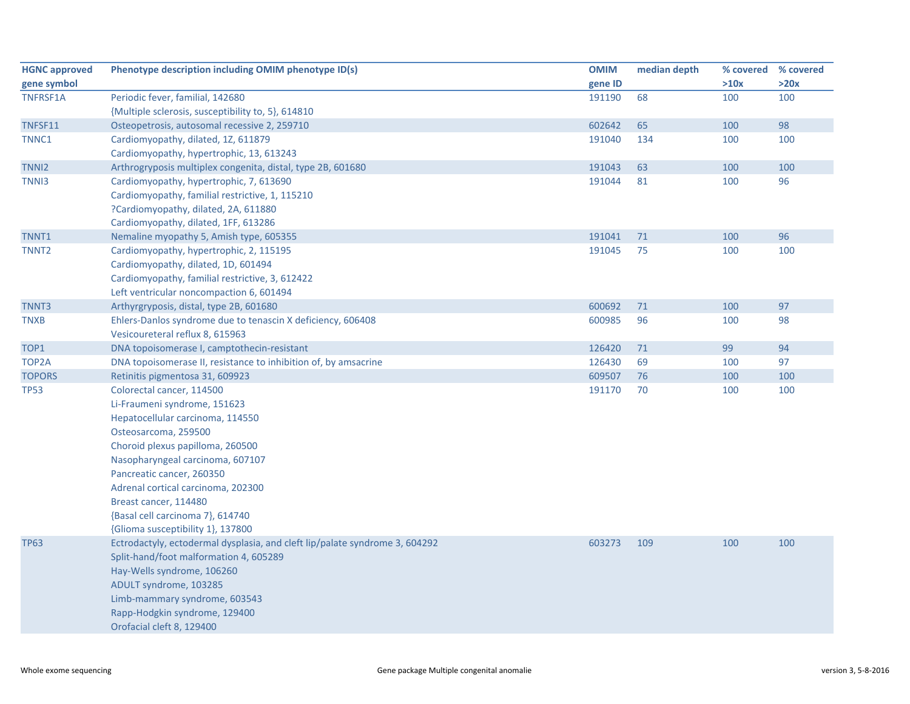| <b>HGNC approved</b> | Phenotype description including OMIM phenotype ID(s)                        | <b>OMIM</b> | median depth | % covered | % covered |
|----------------------|-----------------------------------------------------------------------------|-------------|--------------|-----------|-----------|
| gene symbol          |                                                                             | gene ID     |              | >10x      | >20x      |
| <b>TNFRSF1A</b>      | Periodic fever, familial, 142680                                            | 191190      | 68           | 100       | 100       |
|                      | {Multiple sclerosis, susceptibility to, 5}, 614810                          |             |              |           |           |
| TNFSF11              | Osteopetrosis, autosomal recessive 2, 259710                                | 602642      | 65           | 100       | 98        |
| TNNC1                | Cardiomyopathy, dilated, 1Z, 611879                                         | 191040      | 134          | 100       | 100       |
|                      | Cardiomyopathy, hypertrophic, 13, 613243                                    |             |              |           |           |
| TNN <sub>12</sub>    | Arthrogryposis multiplex congenita, distal, type 2B, 601680                 | 191043      | 63           | 100       | 100       |
| TNN <sub>13</sub>    | Cardiomyopathy, hypertrophic, 7, 613690                                     | 191044      | 81           | 100       | 96        |
|                      | Cardiomyopathy, familial restrictive, 1, 115210                             |             |              |           |           |
|                      | ?Cardiomyopathy, dilated, 2A, 611880                                        |             |              |           |           |
|                      | Cardiomyopathy, dilated, 1FF, 613286                                        |             |              |           |           |
| TNNT1                | Nemaline myopathy 5, Amish type, 605355                                     | 191041      | 71           | 100       | 96        |
| TNNT <sub>2</sub>    | Cardiomyopathy, hypertrophic, 2, 115195                                     | 191045      | 75           | 100       | 100       |
|                      | Cardiomyopathy, dilated, 1D, 601494                                         |             |              |           |           |
|                      | Cardiomyopathy, familial restrictive, 3, 612422                             |             |              |           |           |
|                      | Left ventricular noncompaction 6, 601494                                    |             |              |           |           |
| TNNT3                | Arthyrgryposis, distal, type 2B, 601680                                     | 600692      | 71           | 100       | 97        |
| <b>TNXB</b>          | Ehlers-Danlos syndrome due to tenascin X deficiency, 606408                 | 600985      | 96           | 100       | 98        |
|                      | Vesicoureteral reflux 8, 615963                                             |             |              |           |           |
| TOP1                 | DNA topoisomerase I, camptothecin-resistant                                 | 126420      | 71           | 99        | 94        |
| TOP2A                | DNA topoisomerase II, resistance to inhibition of, by amsacrine             | 126430      | 69           | 100       | 97        |
| <b>TOPORS</b>        | Retinitis pigmentosa 31, 609923                                             | 609507      | 76           | 100       | 100       |
| <b>TP53</b>          | Colorectal cancer, 114500                                                   | 191170      | 70           | 100       | 100       |
|                      | Li-Fraumeni syndrome, 151623                                                |             |              |           |           |
|                      | Hepatocellular carcinoma, 114550                                            |             |              |           |           |
|                      | Osteosarcoma, 259500                                                        |             |              |           |           |
|                      | Choroid plexus papilloma, 260500                                            |             |              |           |           |
|                      | Nasopharyngeal carcinoma, 607107                                            |             |              |           |           |
|                      | Pancreatic cancer, 260350                                                   |             |              |           |           |
|                      | Adrenal cortical carcinoma, 202300                                          |             |              |           |           |
|                      | Breast cancer, 114480                                                       |             |              |           |           |
|                      | {Basal cell carcinoma 7}, 614740                                            |             |              |           |           |
|                      | {Glioma susceptibility 1}, 137800                                           |             |              |           |           |
| <b>TP63</b>          | Ectrodactyly, ectodermal dysplasia, and cleft lip/palate syndrome 3, 604292 | 603273      | 109          | 100       | 100       |
|                      | Split-hand/foot malformation 4, 605289                                      |             |              |           |           |
|                      | Hay-Wells syndrome, 106260                                                  |             |              |           |           |
|                      | ADULT syndrome, 103285                                                      |             |              |           |           |
|                      | Limb-mammary syndrome, 603543                                               |             |              |           |           |
|                      | Rapp-Hodgkin syndrome, 129400                                               |             |              |           |           |
|                      | Orofacial cleft 8, 129400                                                   |             |              |           |           |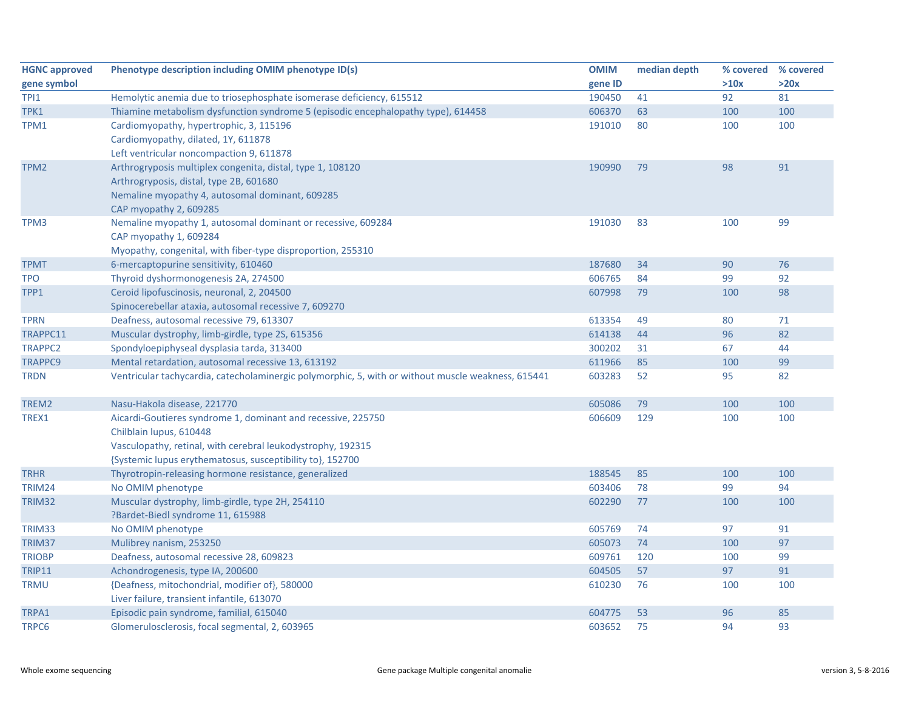| <b>HGNC approved</b> | Phenotype description including OMIM phenotype ID(s)                                               | <b>OMIM</b> | median depth |      | % covered % covered |
|----------------------|----------------------------------------------------------------------------------------------------|-------------|--------------|------|---------------------|
| gene symbol          |                                                                                                    | gene ID     |              | >10x | >20x                |
| TPI1                 | Hemolytic anemia due to triosephosphate isomerase deficiency, 615512                               | 190450      | 41           | 92   | 81                  |
| TPK1                 | Thiamine metabolism dysfunction syndrome 5 (episodic encephalopathy type), 614458                  | 606370      | 63           | 100  | 100                 |
| TPM1                 | Cardiomyopathy, hypertrophic, 3, 115196                                                            | 191010      | 80           | 100  | 100                 |
|                      | Cardiomyopathy, dilated, 1Y, 611878                                                                |             |              |      |                     |
|                      | Left ventricular noncompaction 9, 611878                                                           |             |              |      |                     |
| TPM <sub>2</sub>     | Arthrogryposis multiplex congenita, distal, type 1, 108120                                         | 190990      | 79           | 98   | 91                  |
|                      | Arthrogryposis, distal, type 2B, 601680                                                            |             |              |      |                     |
|                      | Nemaline myopathy 4, autosomal dominant, 609285                                                    |             |              |      |                     |
|                      | CAP myopathy 2, 609285                                                                             |             |              |      |                     |
| TPM3                 | Nemaline myopathy 1, autosomal dominant or recessive, 609284                                       | 191030      | 83           | 100  | 99                  |
|                      | CAP myopathy 1, 609284                                                                             |             |              |      |                     |
|                      | Myopathy, congenital, with fiber-type disproportion, 255310                                        |             |              |      |                     |
| <b>TPMT</b>          | 6-mercaptopurine sensitivity, 610460                                                               | 187680      | 34           | 90   | 76                  |
| <b>TPO</b>           | Thyroid dyshormonogenesis 2A, 274500                                                               | 606765      | 84           | 99   | 92                  |
| TPP1                 | Ceroid lipofuscinosis, neuronal, 2, 204500                                                         | 607998      | 79           | 100  | 98                  |
|                      | Spinocerebellar ataxia, autosomal recessive 7, 609270                                              |             |              |      |                     |
| <b>TPRN</b>          | Deafness, autosomal recessive 79, 613307                                                           | 613354      | 49           | 80   | 71                  |
| TRAPPC11             | Muscular dystrophy, limb-girdle, type 2S, 615356                                                   | 614138      | 44           | 96   | 82                  |
| <b>TRAPPC2</b>       | Spondyloepiphyseal dysplasia tarda, 313400                                                         | 300202      | 31           | 67   | 44                  |
| <b>TRAPPC9</b>       | Mental retardation, autosomal recessive 13, 613192                                                 | 611966      | 85           | 100  | 99                  |
| <b>TRDN</b>          | Ventricular tachycardia, catecholaminergic polymorphic, 5, with or without muscle weakness, 615441 | 603283      | 52           | 95   | 82                  |
| TREM2                | Nasu-Hakola disease, 221770                                                                        | 605086      | 79           | 100  | 100                 |
| TREX1                | Aicardi-Goutieres syndrome 1, dominant and recessive, 225750                                       | 606609      | 129          | 100  | 100                 |
|                      | Chilblain lupus, 610448                                                                            |             |              |      |                     |
|                      | Vasculopathy, retinal, with cerebral leukodystrophy, 192315                                        |             |              |      |                     |
|                      | {Systemic lupus erythematosus, susceptibility to}, 152700                                          |             |              |      |                     |
| <b>TRHR</b>          | Thyrotropin-releasing hormone resistance, generalized                                              | 188545      | 85           | 100  | 100                 |
| TRIM24               | No OMIM phenotype                                                                                  | 603406      | 78           | 99   | 94                  |
| TRIM32               | Muscular dystrophy, limb-girdle, type 2H, 254110                                                   | 602290      | 77           | 100  | 100                 |
|                      | ?Bardet-Biedl syndrome 11, 615988                                                                  |             |              |      |                     |
| TRIM33               | No OMIM phenotype                                                                                  | 605769      | 74           | 97   | 91                  |
| TRIM37               | Mulibrey nanism, 253250                                                                            | 605073      | 74           | 100  | 97                  |
| <b>TRIOBP</b>        | Deafness, autosomal recessive 28, 609823                                                           | 609761      | 120          | 100  | 99                  |
| <b>TRIP11</b>        | Achondrogenesis, type IA, 200600                                                                   | 604505      | 57           | 97   | 91                  |
| <b>TRMU</b>          | {Deafness, mitochondrial, modifier of}, 580000                                                     | 610230      | 76           | 100  | 100                 |
|                      | Liver failure, transient infantile, 613070                                                         |             |              |      |                     |
| TRPA1                | Episodic pain syndrome, familial, 615040                                                           | 604775      | 53           | 96   | 85                  |
| TRPC6                | Glomerulosclerosis, focal segmental, 2, 603965                                                     | 603652      | 75           | 94   | 93                  |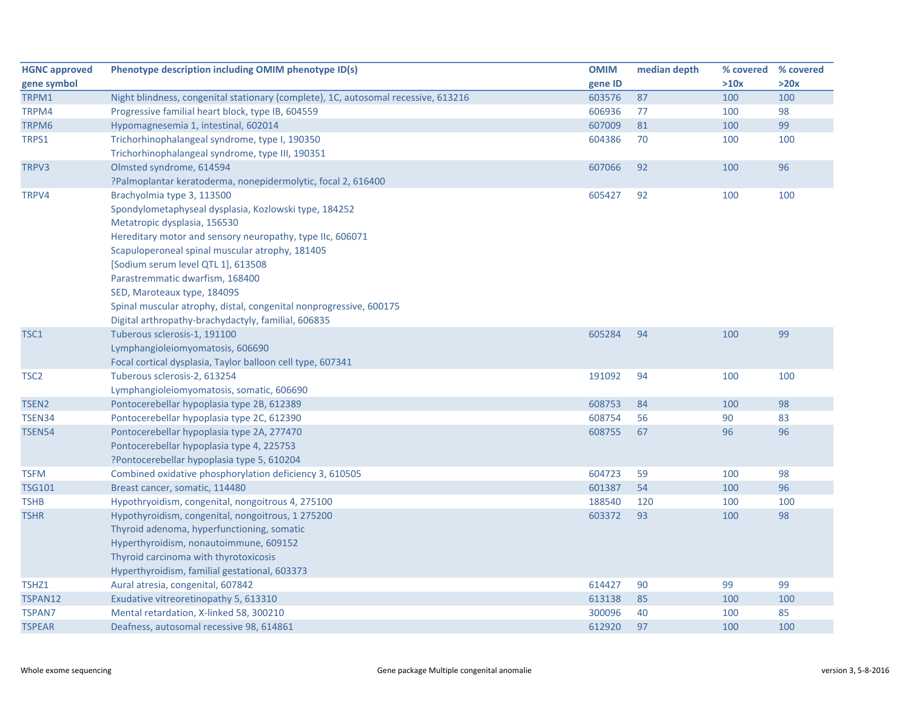| <b>HGNC approved</b> | Phenotype description including OMIM phenotype ID(s)                               | <b>OMIM</b> | median depth | % covered | % covered |
|----------------------|------------------------------------------------------------------------------------|-------------|--------------|-----------|-----------|
| gene symbol          |                                                                                    | gene ID     |              | >10x      | >20x      |
| TRPM1                | Night blindness, congenital stationary (complete), 1C, autosomal recessive, 613216 | 603576      | 87           | 100       | 100       |
| TRPM4                | Progressive familial heart block, type IB, 604559                                  | 606936      | 77           | 100       | 98        |
| TRPM6                | Hypomagnesemia 1, intestinal, 602014                                               | 607009      | 81           | 100       | 99        |
| TRPS1                | Trichorhinophalangeal syndrome, type I, 190350                                     | 604386      | 70           | 100       | 100       |
|                      | Trichorhinophalangeal syndrome, type III, 190351                                   |             |              |           |           |
| TRPV3                | Olmsted syndrome, 614594                                                           | 607066      | 92           | 100       | 96        |
|                      | ?Palmoplantar keratoderma, nonepidermolytic, focal 2, 616400                       |             |              |           |           |
| TRPV4                | Brachyolmia type 3, 113500                                                         | 605427      | 92           | 100       | 100       |
|                      | Spondylometaphyseal dysplasia, Kozlowski type, 184252                              |             |              |           |           |
|                      | Metatropic dysplasia, 156530                                                       |             |              |           |           |
|                      | Hereditary motor and sensory neuropathy, type IIc, 606071                          |             |              |           |           |
|                      | Scapuloperoneal spinal muscular atrophy, 181405                                    |             |              |           |           |
|                      | [Sodium serum level QTL 1], 613508                                                 |             |              |           |           |
|                      | Parastremmatic dwarfism, 168400                                                    |             |              |           |           |
|                      | SED, Maroteaux type, 184095                                                        |             |              |           |           |
|                      | Spinal muscular atrophy, distal, congenital nonprogressive, 600175                 |             |              |           |           |
|                      | Digital arthropathy-brachydactyly, familial, 606835                                |             |              |           |           |
| TSC1                 | Tuberous sclerosis-1, 191100                                                       | 605284      | 94           | 100       | 99        |
|                      | Lymphangioleiomyomatosis, 606690                                                   |             |              |           |           |
|                      | Focal cortical dysplasia, Taylor balloon cell type, 607341                         |             |              |           |           |
| TSC <sub>2</sub>     | Tuberous sclerosis-2, 613254                                                       | 191092      | 94           | 100       | 100       |
|                      | Lymphangioleiomyomatosis, somatic, 606690                                          |             |              |           |           |
| TSEN <sub>2</sub>    | Pontocerebellar hypoplasia type 2B, 612389                                         | 608753      | 84           | 100       | 98        |
| <b>TSEN34</b>        | Pontocerebellar hypoplasia type 2C, 612390                                         | 608754      | 56           | 90        | 83        |
| <b>TSEN54</b>        | Pontocerebellar hypoplasia type 2A, 277470                                         | 608755      | 67           | 96        | 96        |
|                      | Pontocerebellar hypoplasia type 4, 225753                                          |             |              |           |           |
|                      | ?Pontocerebellar hypoplasia type 5, 610204                                         |             |              |           |           |
| <b>TSFM</b>          | Combined oxidative phosphorylation deficiency 3, 610505                            | 604723      | 59           | 100       | 98        |
| <b>TSG101</b>        | Breast cancer, somatic, 114480                                                     | 601387      | 54           | 100       | 96        |
| <b>TSHB</b>          | Hypothryoidism, congenital, nongoitrous 4, 275100                                  | 188540      | 120          | 100       | 100       |
| <b>TSHR</b>          | Hypothyroidism, congenital, nongoitrous, 1 275200                                  | 603372      | 93           | 100       | 98        |
|                      | Thyroid adenoma, hyperfunctioning, somatic                                         |             |              |           |           |
|                      | Hyperthyroidism, nonautoimmune, 609152                                             |             |              |           |           |
|                      | Thyroid carcinoma with thyrotoxicosis                                              |             |              |           |           |
|                      | Hyperthyroidism, familial gestational, 603373                                      |             |              |           |           |
| TSHZ1                | Aural atresia, congenital, 607842                                                  | 614427      | 90           | 99        | 99        |
| TSPAN12              | Exudative vitreoretinopathy 5, 613310                                              | 613138      | 85           | 100       | 100       |
| <b>TSPAN7</b>        | Mental retardation, X-linked 58, 300210                                            | 300096      | 40           | 100       | 85        |
| <b>TSPEAR</b>        | Deafness, autosomal recessive 98, 614861                                           | 612920      | 97           | 100       | 100       |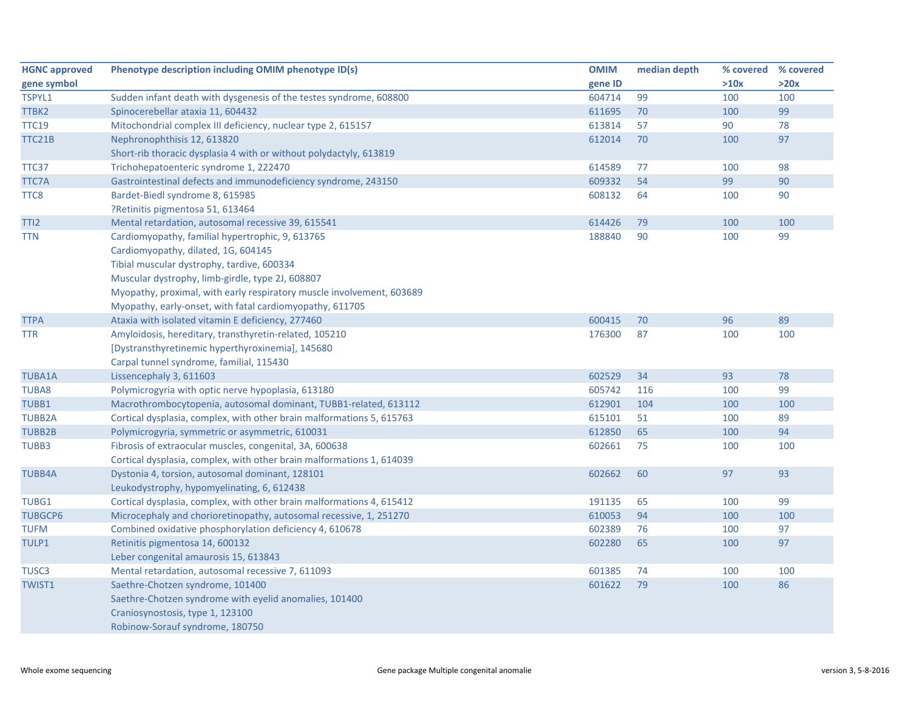| <b>HGNC approved</b> | Phenotype description including OMIM phenotype ID(s)                  | <b>OMIM</b> | median depth | % covered % covered |      |
|----------------------|-----------------------------------------------------------------------|-------------|--------------|---------------------|------|
| gene symbol          |                                                                       | gene ID     |              | >10x                | >20x |
| TSPYL1               | Sudden infant death with dysgenesis of the testes syndrome, 608800    | 604714      | 99           | 100                 | 100  |
| TTBK2                | Spinocerebellar ataxia 11, 604432                                     | 611695      | 70           | 100                 | 99   |
| <b>TTC19</b>         | Mitochondrial complex III deficiency, nuclear type 2, 615157          | 613814      | 57           | 90                  | 78   |
| TTC21B               | Nephronophthisis 12, 613820                                           | 612014      | 70           | 100                 | 97   |
|                      | Short-rib thoracic dysplasia 4 with or without polydactyly, 613819    |             |              |                     |      |
| TTC37                | Trichohepatoenteric syndrome 1, 222470                                | 614589      | 77           | 100                 | 98   |
| TTC7A                | Gastrointestinal defects and immunodeficiency syndrome, 243150        | 609332      | 54           | 99                  | 90   |
| TTC8                 | Bardet-Biedl syndrome 8, 615985                                       | 608132      | 64           | 100                 | 90   |
|                      | ?Retinitis pigmentosa 51, 613464                                      |             |              |                     |      |
| TTI <sub>2</sub>     | Mental retardation, autosomal recessive 39, 615541                    | 614426      | 79           | 100                 | 100  |
| TTN                  | Cardiomyopathy, familial hypertrophic, 9, 613765                      | 188840      | 90           | 100                 | 99   |
|                      | Cardiomyopathy, dilated, 1G, 604145                                   |             |              |                     |      |
|                      | Tibial muscular dystrophy, tardive, 600334                            |             |              |                     |      |
|                      | Muscular dystrophy, limb-girdle, type 2J, 608807                      |             |              |                     |      |
|                      | Myopathy, proximal, with early respiratory muscle involvement, 603689 |             |              |                     |      |
|                      | Myopathy, early-onset, with fatal cardiomyopathy, 611705              |             |              |                     |      |
| <b>TTPA</b>          | Ataxia with isolated vitamin E deficiency, 277460                     | 600415      | 70           | 96                  | 89   |
| TTR                  | Amyloidosis, hereditary, transthyretin-related, 105210                | 176300      | 87           | 100                 | 100  |
|                      | [Dystransthyretinemic hyperthyroxinemia], 145680                      |             |              |                     |      |
|                      | Carpal tunnel syndrome, familial, 115430                              |             |              |                     |      |
| <b>TUBA1A</b>        | Lissencephaly 3, 611603                                               | 602529      | 34           | 93                  | 78   |
| TUBA8                | Polymicrogyria with optic nerve hypoplasia, 613180                    | 605742      | 116          | 100                 | 99   |
| TUBB1                | Macrothrombocytopenia, autosomal dominant, TUBB1-related, 613112      | 612901      | 104          | 100                 | 100  |
| <b>TUBB2A</b>        | Cortical dysplasia, complex, with other brain malformations 5, 615763 | 615101      | 51           | 100                 | 89   |
| <b>TUBB2B</b>        | Polymicrogyria, symmetric or asymmetric, 610031                       | 612850      | 65           | 100                 | 94   |
| TUBB3                | Fibrosis of extraocular muscles, congenital, 3A, 600638               | 602661      | 75           | 100                 | 100  |
|                      | Cortical dysplasia, complex, with other brain malformations 1, 614039 |             |              |                     |      |
| <b>TUBB4A</b>        | Dystonia 4, torsion, autosomal dominant, 128101                       | 602662      | 60           | 97                  | 93   |
|                      | Leukodystrophy, hypomyelinating, 6, 612438                            |             |              |                     |      |
| TUBG1                | Cortical dysplasia, complex, with other brain malformations 4, 615412 | 191135      | 65           | 100                 | 99   |
| <b>TUBGCP6</b>       | Microcephaly and chorioretinopathy, autosomal recessive, 1, 251270    | 610053      | 94           | 100                 | 100  |
| <b>TUFM</b>          | Combined oxidative phosphorylation deficiency 4, 610678               | 602389      | 76           | 100                 | 97   |
| TULP1                | Retinitis pigmentosa 14, 600132                                       | 602280      | 65           | 100                 | 97   |
|                      | Leber congenital amaurosis 15, 613843                                 |             |              |                     |      |
| TUSC <sub>3</sub>    | Mental retardation, autosomal recessive 7, 611093                     | 601385      | 74           | 100                 | 100  |
| <b>TWIST1</b>        | Saethre-Chotzen syndrome, 101400                                      | 601622      | 79           | 100                 | 86   |
|                      | Saethre-Chotzen syndrome with eyelid anomalies, 101400                |             |              |                     |      |
|                      | Craniosynostosis, type 1, 123100                                      |             |              |                     |      |
|                      | Robinow-Sorauf syndrome, 180750                                       |             |              |                     |      |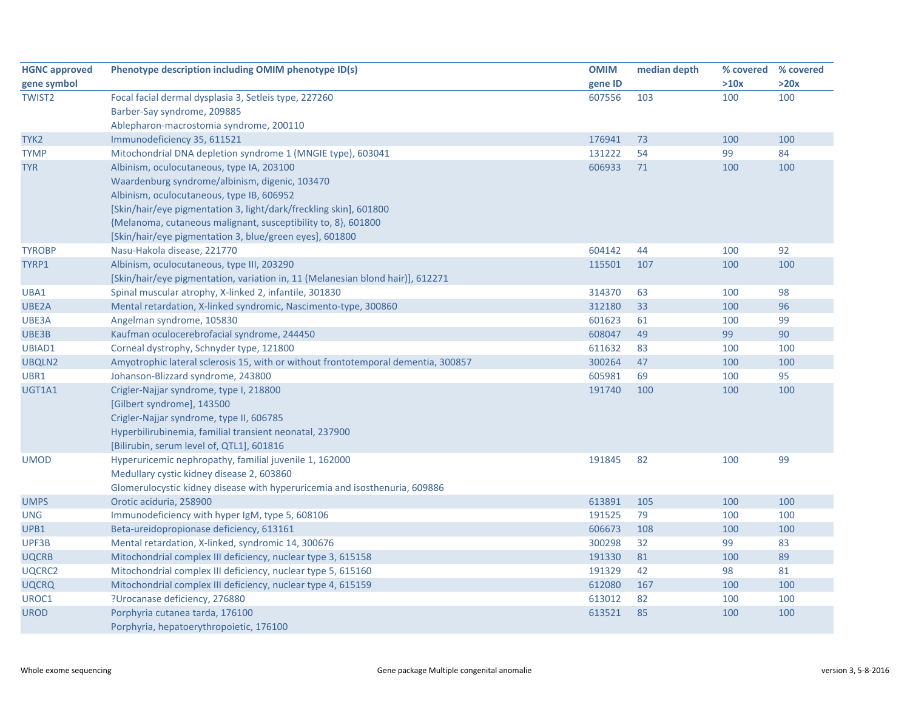| <b>HGNC approved</b> | Phenotype description including OMIM phenotype ID(s)                              | <b>OMIM</b> | median depth |      | % covered % covered |
|----------------------|-----------------------------------------------------------------------------------|-------------|--------------|------|---------------------|
| gene symbol          |                                                                                   | gene ID     |              | >10x | >20x                |
| <b>TWIST2</b>        | Focal facial dermal dysplasia 3, Setleis type, 227260                             | 607556      | 103          | 100  | 100                 |
|                      | Barber-Say syndrome, 209885                                                       |             |              |      |                     |
|                      | Ablepharon-macrostomia syndrome, 200110                                           |             |              |      |                     |
| TYK <sub>2</sub>     | Immunodeficiency 35, 611521                                                       | 176941      | 73           | 100  | 100                 |
| <b>TYMP</b>          | Mitochondrial DNA depletion syndrome 1 (MNGIE type), 603041                       | 131222      | 54           | 99   | 84                  |
| <b>TYR</b>           | Albinism, oculocutaneous, type IA, 203100                                         | 606933      | 71           | 100  | 100                 |
|                      | Waardenburg syndrome/albinism, digenic, 103470                                    |             |              |      |                     |
|                      | Albinism, oculocutaneous, type IB, 606952                                         |             |              |      |                     |
|                      | [Skin/hair/eye pigmentation 3, light/dark/freckling skin], 601800                 |             |              |      |                     |
|                      | {Melanoma, cutaneous malignant, susceptibility to, 8}, 601800                     |             |              |      |                     |
|                      | [Skin/hair/eye pigmentation 3, blue/green eyes], 601800                           |             |              |      |                     |
| <b>TYROBP</b>        | Nasu-Hakola disease, 221770                                                       | 604142      | 44           | 100  | 92                  |
| TYRP1                | Albinism, oculocutaneous, type III, 203290                                        | 115501      | 107          | 100  | 100                 |
|                      | [Skin/hair/eye pigmentation, variation in, 11 (Melanesian blond hair)], 612271    |             |              |      |                     |
| UBA1                 | Spinal muscular atrophy, X-linked 2, infantile, 301830                            | 314370      | 63           | 100  | 98                  |
| UBE2A                | Mental retardation, X-linked syndromic, Nascimento-type, 300860                   | 312180      | 33           | 100  | 96                  |
| UBE3A                | Angelman syndrome, 105830                                                         | 601623      | 61           | 100  | 99                  |
| UBE3B                | Kaufman oculocerebrofacial syndrome, 244450                                       | 608047      | 49           | 99   | 90                  |
| UBIAD1               | Corneal dystrophy, Schnyder type, 121800                                          | 611632      | 83           | 100  | 100                 |
| UBQLN2               | Amyotrophic lateral sclerosis 15, with or without frontotemporal dementia, 300857 | 300264      | 47           | 100  | 100                 |
| UBR1                 | Johanson-Blizzard syndrome, 243800                                                | 605981      | 69           | 100  | 95                  |
| UGT1A1               | Crigler-Najjar syndrome, type I, 218800                                           | 191740      | 100          | 100  | 100                 |
|                      | [Gilbert syndrome], 143500                                                        |             |              |      |                     |
|                      | Crigler-Najjar syndrome, type II, 606785                                          |             |              |      |                     |
|                      | Hyperbilirubinemia, familial transient neonatal, 237900                           |             |              |      |                     |
|                      | [Bilirubin, serum level of, QTL1], 601816                                         |             |              |      |                     |
| <b>UMOD</b>          | Hyperuricemic nephropathy, familial juvenile 1, 162000                            | 191845      | 82           | 100  | 99                  |
|                      | Medullary cystic kidney disease 2, 603860                                         |             |              |      |                     |
|                      | Glomerulocystic kidney disease with hyperuricemia and isosthenuria, 609886        |             |              |      |                     |
| <b>UMPS</b>          | Orotic aciduria, 258900                                                           | 613891      | 105          | 100  | 100                 |
| <b>UNG</b>           | Immunodeficiency with hyper IgM, type 5, 608106                                   | 191525      | 79           | 100  | 100                 |
| UPB1                 | Beta-ureidopropionase deficiency, 613161                                          | 606673      | 108          | 100  | 100                 |
| UPF3B                | Mental retardation, X-linked, syndromic 14, 300676                                | 300298      | 32           | 99   | 83                  |
| <b>UQCRB</b>         | Mitochondrial complex III deficiency, nuclear type 3, 615158                      | 191330      | 81           | 100  | 89                  |
| UQCRC2               | Mitochondrial complex III deficiency, nuclear type 5, 615160                      | 191329      | 42           | 98   | 81                  |
| <b>UQCRQ</b>         | Mitochondrial complex III deficiency, nuclear type 4, 615159                      | 612080      | 167          | 100  | 100                 |
| UROC1                | ?Urocanase deficiency, 276880                                                     | 613012      | 82           | 100  | 100                 |
| <b>UROD</b>          | Porphyria cutanea tarda, 176100                                                   | 613521      | 85           | 100  | 100                 |
|                      | Porphyria, hepatoerythropoietic, 176100                                           |             |              |      |                     |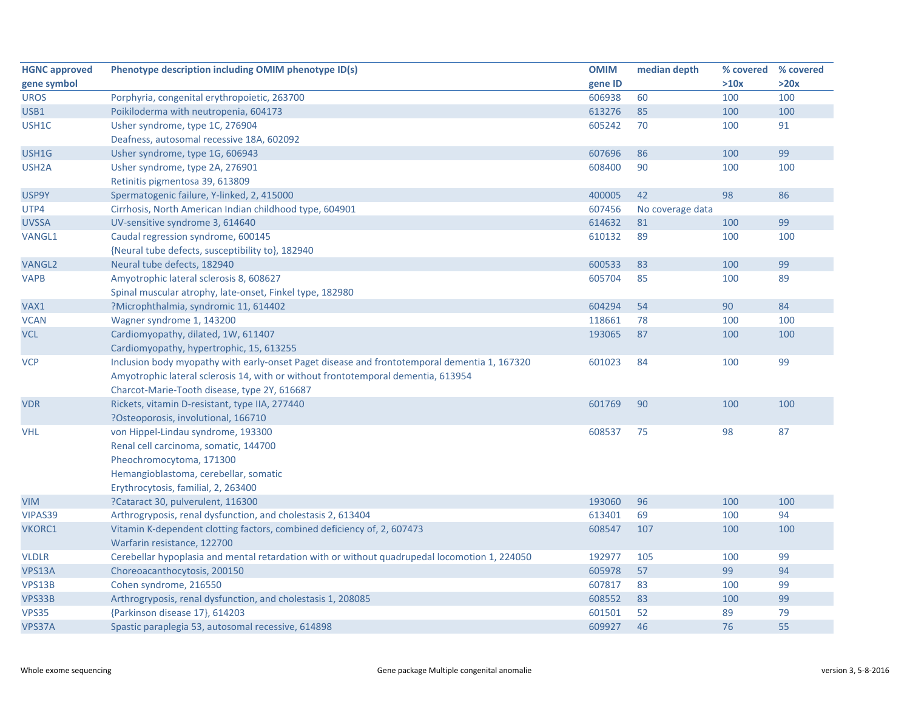| <b>HGNC approved</b> | Phenotype description including OMIM phenotype ID(s)                                          | <b>OMIM</b> | median depth     | % covered % covered |      |
|----------------------|-----------------------------------------------------------------------------------------------|-------------|------------------|---------------------|------|
| gene symbol          |                                                                                               | gene ID     |                  | >10x                | >20x |
| <b>UROS</b>          | Porphyria, congenital erythropoietic, 263700                                                  | 606938      | 60               | 100                 | 100  |
| USB1                 | Poikiloderma with neutropenia, 604173                                                         | 613276      | 85               | 100                 | 100  |
| USH1C                | Usher syndrome, type 1C, 276904                                                               | 605242      | 70               | 100                 | 91   |
|                      | Deafness, autosomal recessive 18A, 602092                                                     |             |                  |                     |      |
| USH1G                | Usher syndrome, type 1G, 606943                                                               | 607696      | 86               | 100                 | 99   |
| USH <sub>2</sub> A   | Usher syndrome, type 2A, 276901                                                               | 608400      | 90               | 100                 | 100  |
|                      | Retinitis pigmentosa 39, 613809                                                               |             |                  |                     |      |
| USP9Y                | Spermatogenic failure, Y-linked, 2, 415000                                                    | 400005      | 42               | 98                  | 86   |
| UTP4                 | Cirrhosis, North American Indian childhood type, 604901                                       | 607456      | No coverage data |                     |      |
| <b>UVSSA</b>         | UV-sensitive syndrome 3, 614640                                                               | 614632      | 81               | 100                 | 99   |
| VANGL1               | Caudal regression syndrome, 600145                                                            | 610132      | 89               | 100                 | 100  |
|                      | {Neural tube defects, susceptibility to}, 182940                                              |             |                  |                     |      |
| <b>VANGL2</b>        | Neural tube defects, 182940                                                                   | 600533      | 83               | 100                 | 99   |
| <b>VAPB</b>          | Amyotrophic lateral sclerosis 8, 608627                                                       | 605704      | 85               | 100                 | 89   |
|                      | Spinal muscular atrophy, late-onset, Finkel type, 182980                                      |             |                  |                     |      |
| VAX1                 | ?Microphthalmia, syndromic 11, 614402                                                         | 604294      | 54               | 90                  | 84   |
| <b>VCAN</b>          | Wagner syndrome 1, 143200                                                                     | 118661      | 78               | 100                 | 100  |
| <b>VCL</b>           | Cardiomyopathy, dilated, 1W, 611407                                                           | 193065      | 87               | 100                 | 100  |
|                      | Cardiomyopathy, hypertrophic, 15, 613255                                                      |             |                  |                     |      |
| <b>VCP</b>           | Inclusion body myopathy with early-onset Paget disease and frontotemporal dementia 1, 167320  | 601023      | 84               | 100                 | 99   |
|                      | Amyotrophic lateral sclerosis 14, with or without frontotemporal dementia, 613954             |             |                  |                     |      |
|                      | Charcot-Marie-Tooth disease, type 2Y, 616687                                                  |             |                  |                     |      |
| <b>VDR</b>           | Rickets, vitamin D-resistant, type IIA, 277440                                                | 601769      | 90               | 100                 | 100  |
|                      | ?Osteoporosis, involutional, 166710                                                           |             |                  |                     |      |
| <b>VHL</b>           | von Hippel-Lindau syndrome, 193300                                                            | 608537      | 75               | 98                  | 87   |
|                      | Renal cell carcinoma, somatic, 144700                                                         |             |                  |                     |      |
|                      | Pheochromocytoma, 171300                                                                      |             |                  |                     |      |
|                      | Hemangioblastoma, cerebellar, somatic                                                         |             |                  |                     |      |
|                      | Erythrocytosis, familial, 2, 263400                                                           |             |                  |                     |      |
| <b>VIM</b>           | ?Cataract 30, pulverulent, 116300                                                             | 193060      | 96               | 100                 | 100  |
| VIPAS39              | Arthrogryposis, renal dysfunction, and cholestasis 2, 613404                                  | 613401      | 69               | 100                 | 94   |
| <b>VKORC1</b>        | Vitamin K-dependent clotting factors, combined deficiency of, 2, 607473                       | 608547      | 107              | 100                 | 100  |
|                      | Warfarin resistance, 122700                                                                   |             |                  |                     |      |
| <b>VLDLR</b>         | Cerebellar hypoplasia and mental retardation with or without quadrupedal locomotion 1, 224050 | 192977      | 105              | 100                 | 99   |
| VPS13A               | Choreoacanthocytosis, 200150                                                                  | 605978      | 57               | 99                  | 94   |
| VPS13B               | Cohen syndrome, 216550                                                                        | 607817      | 83               | 100                 | 99   |
| VPS33B               | Arthrogryposis, renal dysfunction, and cholestasis 1, 208085                                  | 608552      | 83               | 100                 | 99   |
| <b>VPS35</b>         | {Parkinson disease 17}, 614203                                                                | 601501      | 52               | 89                  | 79   |
| VPS37A               | Spastic paraplegia 53, autosomal recessive, 614898                                            | 609927      | 46               | 76                  | 55   |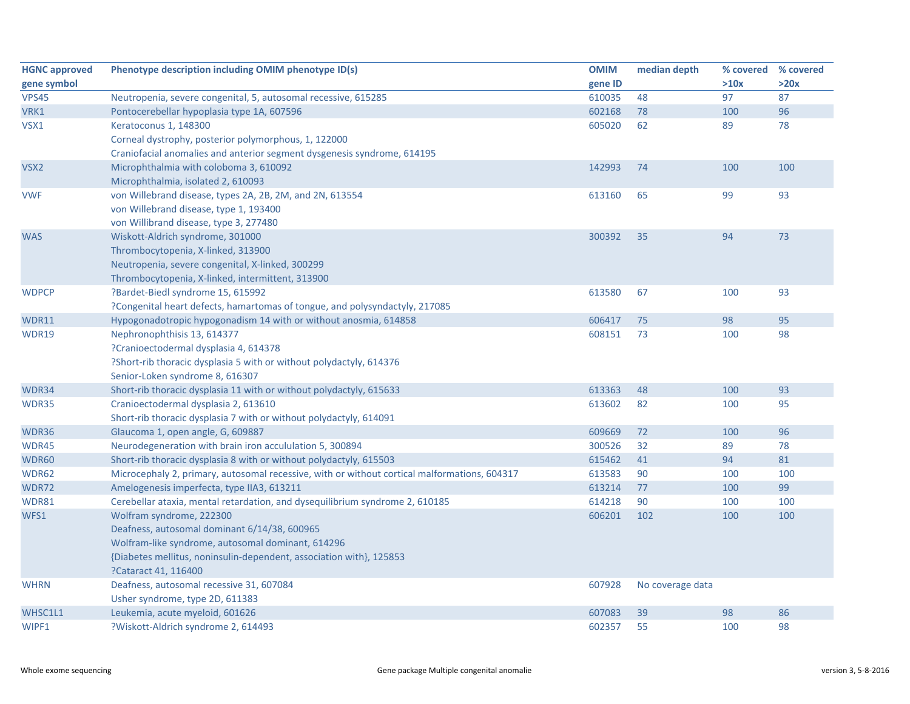| <b>HGNC approved</b> | Phenotype description including OMIM phenotype ID(s)                                         | <b>OMIM</b> | median depth     | % covered % covered |      |
|----------------------|----------------------------------------------------------------------------------------------|-------------|------------------|---------------------|------|
| gene symbol          |                                                                                              | gene ID     |                  | >10x                | >20x |
| <b>VPS45</b>         | Neutropenia, severe congenital, 5, autosomal recessive, 615285                               | 610035      | 48               | 97                  | 87   |
| VRK1                 | Pontocerebellar hypoplasia type 1A, 607596                                                   | 602168      | 78               | 100                 | 96   |
| VSX1                 | Keratoconus 1, 148300                                                                        | 605020      | 62               | 89                  | 78   |
|                      | Corneal dystrophy, posterior polymorphous, 1, 122000                                         |             |                  |                     |      |
|                      | Craniofacial anomalies and anterior segment dysgenesis syndrome, 614195                      |             |                  |                     |      |
| VSX <sub>2</sub>     | Microphthalmia with coloboma 3, 610092                                                       | 142993      | 74               | 100                 | 100  |
|                      | Microphthalmia, isolated 2, 610093                                                           |             |                  |                     |      |
| <b>VWF</b>           | von Willebrand disease, types 2A, 2B, 2M, and 2N, 613554                                     | 613160      | 65               | 99                  | 93   |
|                      | von Willebrand disease, type 1, 193400                                                       |             |                  |                     |      |
|                      | von Willibrand disease, type 3, 277480                                                       |             |                  |                     |      |
| <b>WAS</b>           | Wiskott-Aldrich syndrome, 301000                                                             | 300392      | 35               | 94                  | 73   |
|                      | Thrombocytopenia, X-linked, 313900                                                           |             |                  |                     |      |
|                      | Neutropenia, severe congenital, X-linked, 300299                                             |             |                  |                     |      |
|                      | Thrombocytopenia, X-linked, intermittent, 313900                                             |             |                  |                     |      |
| <b>WDPCP</b>         | ?Bardet-Biedl syndrome 15, 615992                                                            | 613580      | 67               | 100                 | 93   |
|                      | ?Congenital heart defects, hamartomas of tongue, and polysyndactyly, 217085                  |             |                  |                     |      |
| WDR11                | Hypogonadotropic hypogonadism 14 with or without anosmia, 614858                             | 606417      | 75               | 98                  | 95   |
| WDR19                | Nephronophthisis 13, 614377                                                                  | 608151      | 73               | 100                 | 98   |
|                      | ?Cranioectodermal dysplasia 4, 614378                                                        |             |                  |                     |      |
|                      | ?Short-rib thoracic dysplasia 5 with or without polydactyly, 614376                          |             |                  |                     |      |
|                      | Senior-Loken syndrome 8, 616307                                                              |             |                  |                     |      |
| WDR34                | Short-rib thoracic dysplasia 11 with or without polydactyly, 615633                          | 613363      | 48               | 100                 | 93   |
| WDR35                | Cranioectodermal dysplasia 2, 613610                                                         | 613602      | 82               | 100                 | 95   |
|                      | Short-rib thoracic dysplasia 7 with or without polydactyly, 614091                           |             |                  |                     |      |
| WDR36                | Glaucoma 1, open angle, G, 609887                                                            | 609669      | 72               | 100                 | 96   |
| WDR45                | Neurodegeneration with brain iron accululation 5, 300894                                     | 300526      | 32               | 89                  | 78   |
| WDR60                | Short-rib thoracic dysplasia 8 with or without polydactyly, 615503                           | 615462      | 41               | 94                  | 81   |
| WDR62                | Microcephaly 2, primary, autosomal recessive, with or without cortical malformations, 604317 | 613583      | 90               | 100                 | 100  |
| WDR72                | Amelogenesis imperfecta, type IIA3, 613211                                                   | 613214      | 77               | 100                 | 99   |
| WDR81                | Cerebellar ataxia, mental retardation, and dysequilibrium syndrome 2, 610185                 | 614218      | 90               | 100                 | 100  |
| WFS1                 | Wolfram syndrome, 222300                                                                     | 606201      | 102              | 100                 | 100  |
|                      | Deafness, autosomal dominant 6/14/38, 600965                                                 |             |                  |                     |      |
|                      | Wolfram-like syndrome, autosomal dominant, 614296                                            |             |                  |                     |      |
|                      | {Diabetes mellitus, noninsulin-dependent, association with}, 125853                          |             |                  |                     |      |
|                      | ?Cataract 41, 116400                                                                         |             |                  |                     |      |
| <b>WHRN</b>          | Deafness, autosomal recessive 31, 607084                                                     | 607928      | No coverage data |                     |      |
|                      | Usher syndrome, type 2D, 611383                                                              |             |                  |                     |      |
| WHSC1L1              | Leukemia, acute myeloid, 601626                                                              | 607083      | 39               | 98                  | 86   |
| WIPF1                | ?Wiskott-Aldrich syndrome 2, 614493                                                          | 602357      | 55               | 100                 | 98   |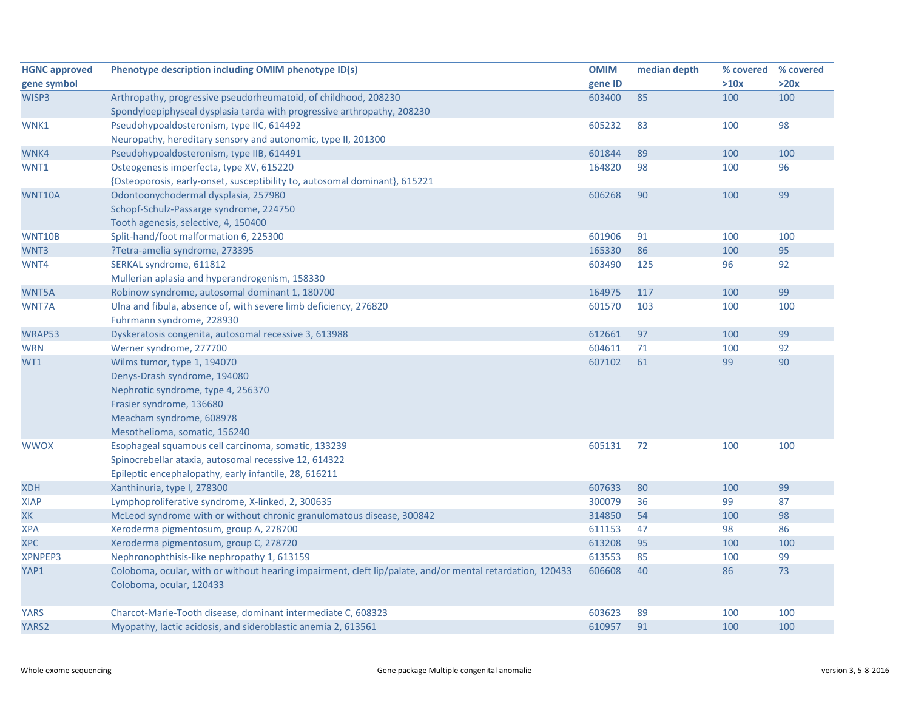| <b>HGNC approved</b> | Phenotype description including OMIM phenotype ID(s)                                                      | <b>OMIM</b> | median depth | % covered % covered |      |
|----------------------|-----------------------------------------------------------------------------------------------------------|-------------|--------------|---------------------|------|
| gene symbol          |                                                                                                           | gene ID     |              | >10x                | >20x |
| WISP3                | Arthropathy, progressive pseudorheumatoid, of childhood, 208230                                           | 603400      | 85           | 100                 | 100  |
|                      | Spondyloepiphyseal dysplasia tarda with progressive arthropathy, 208230                                   |             |              |                     |      |
| WNK1                 | Pseudohypoaldosteronism, type IIC, 614492                                                                 | 605232      | 83           | 100                 | 98   |
|                      | Neuropathy, hereditary sensory and autonomic, type II, 201300                                             |             |              |                     |      |
| WNK4                 | Pseudohypoaldosteronism, type IIB, 614491                                                                 | 601844      | 89           | 100                 | 100  |
| WNT1                 | Osteogenesis imperfecta, type XV, 615220                                                                  | 164820      | 98           | 100                 | 96   |
|                      | {Osteoporosis, early-onset, susceptibility to, autosomal dominant}, 615221                                |             |              |                     |      |
| WNT10A               | Odontoonychodermal dysplasia, 257980                                                                      | 606268      | 90           | 100                 | 99   |
|                      | Schopf-Schulz-Passarge syndrome, 224750                                                                   |             |              |                     |      |
|                      | Tooth agenesis, selective, 4, 150400                                                                      |             |              |                     |      |
| <b>WNT10B</b>        | Split-hand/foot malformation 6, 225300                                                                    | 601906      | 91           | 100                 | 100  |
| WNT3                 | ?Tetra-amelia syndrome, 273395                                                                            | 165330      | 86           | 100                 | 95   |
| WNT4                 | SERKAL syndrome, 611812                                                                                   | 603490      | 125          | 96                  | 92   |
|                      | Mullerian aplasia and hyperandrogenism, 158330                                                            |             |              |                     |      |
| WNT5A                | Robinow syndrome, autosomal dominant 1, 180700                                                            | 164975      | 117          | 100                 | 99   |
| <b>WNT7A</b>         | Ulna and fibula, absence of, with severe limb deficiency, 276820                                          | 601570      | 103          | 100                 | 100  |
|                      | Fuhrmann syndrome, 228930                                                                                 |             |              |                     |      |
| WRAP53               | Dyskeratosis congenita, autosomal recessive 3, 613988                                                     | 612661      | 97           | 100                 | 99   |
| <b>WRN</b>           | Werner syndrome, 277700                                                                                   | 604611      | 71           | 100                 | 92   |
| WT1                  | Wilms tumor, type 1, 194070                                                                               | 607102      | 61           | 99                  | 90   |
|                      | Denys-Drash syndrome, 194080                                                                              |             |              |                     |      |
|                      | Nephrotic syndrome, type 4, 256370                                                                        |             |              |                     |      |
|                      | Frasier syndrome, 136680                                                                                  |             |              |                     |      |
|                      | Meacham syndrome, 608978                                                                                  |             |              |                     |      |
|                      | Mesothelioma, somatic, 156240                                                                             |             |              |                     |      |
| <b>WWOX</b>          | Esophageal squamous cell carcinoma, somatic, 133239                                                       | 605131      | 72           | 100                 | 100  |
|                      | Spinocrebellar ataxia, autosomal recessive 12, 614322                                                     |             |              |                     |      |
|                      | Epileptic encephalopathy, early infantile, 28, 616211                                                     |             |              |                     |      |
| <b>XDH</b>           | Xanthinuria, type I, 278300                                                                               | 607633      | 80           | 100                 | 99   |
| <b>XIAP</b>          | Lymphoproliferative syndrome, X-linked, 2, 300635                                                         | 300079      | 36           | 99                  | 87   |
| <b>XK</b>            | McLeod syndrome with or without chronic granulomatous disease, 300842                                     | 314850      | 54           | 100                 | 98   |
| XPA                  | Xeroderma pigmentosum, group A, 278700                                                                    | 611153      | 47           | 98                  | 86   |
| <b>XPC</b>           | Xeroderma pigmentosum, group C, 278720                                                                    | 613208      | 95           | 100                 | 100  |
| <b>XPNPEP3</b>       | Nephronophthisis-like nephropathy 1, 613159                                                               | 613553      | 85           | 100                 | 99   |
| YAP1                 | Coloboma, ocular, with or without hearing impairment, cleft lip/palate, and/or mental retardation, 120433 | 606608      | 40           | 86                  | 73   |
|                      | Coloboma, ocular, 120433                                                                                  |             |              |                     |      |
|                      |                                                                                                           |             |              |                     |      |
| <b>YARS</b>          | Charcot-Marie-Tooth disease, dominant intermediate C, 608323                                              | 603623      | 89           | 100                 | 100  |
| YARS2                | Myopathy, lactic acidosis, and sideroblastic anemia 2, 613561                                             | 610957      | 91           | 100                 | 100  |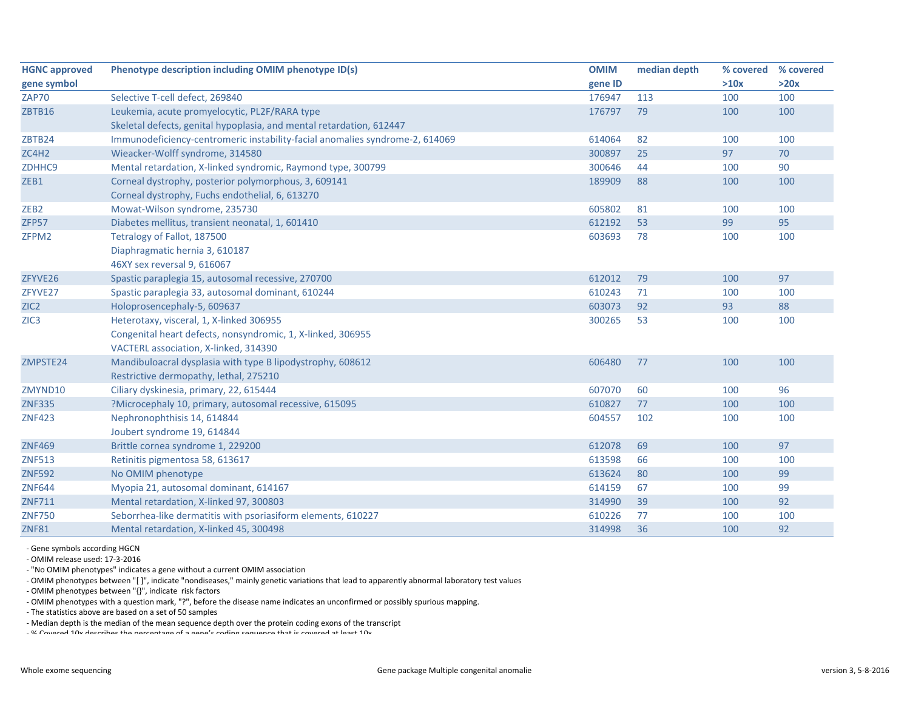| <b>HGNC approved</b> | Phenotype description including OMIM phenotype ID(s)                         | <b>OMIM</b> | median depth | % covered | % covered |
|----------------------|------------------------------------------------------------------------------|-------------|--------------|-----------|-----------|
| gene symbol          |                                                                              | gene ID     |              | >10x      | >20x      |
| <b>ZAP70</b>         | Selective T-cell defect, 269840                                              | 176947      | 113          | 100       | 100       |
| ZBTB16               | Leukemia, acute promyelocytic, PL2F/RARA type                                | 176797      | 79           | 100       | 100       |
|                      | Skeletal defects, genital hypoplasia, and mental retardation, 612447         |             |              |           |           |
| ZBTB24               | Immunodeficiency-centromeric instability-facial anomalies syndrome-2, 614069 | 614064      | 82           | 100       | 100       |
| ZC4H2                | Wieacker-Wolff syndrome, 314580                                              | 300897      | 25           | 97        | 70        |
| ZDHHC9               | Mental retardation, X-linked syndromic, Raymond type, 300799                 | 300646      | 44           | 100       | 90        |
| ZEB1                 | Corneal dystrophy, posterior polymorphous, 3, 609141                         | 189909      | 88           | 100       | 100       |
|                      | Corneal dystrophy, Fuchs endothelial, 6, 613270                              |             |              |           |           |
| ZEB <sub>2</sub>     | Mowat-Wilson syndrome, 235730                                                | 605802      | 81           | 100       | 100       |
| ZFP57                | Diabetes mellitus, transient neonatal, 1, 601410                             | 612192      | 53           | 99        | 95        |
| ZFPM2                | Tetralogy of Fallot, 187500                                                  | 603693      | 78           | 100       | 100       |
|                      | Diaphragmatic hernia 3, 610187                                               |             |              |           |           |
|                      | 46XY sex reversal 9, 616067                                                  |             |              |           |           |
| ZFYVE26              | Spastic paraplegia 15, autosomal recessive, 270700                           | 612012      | 79           | 100       | 97        |
| ZFYVE27              | Spastic paraplegia 33, autosomal dominant, 610244                            | 610243      | 71           | 100       | 100       |
| ZIC <sub>2</sub>     | Holoprosencephaly-5, 609637                                                  | 603073      | 92           | 93        | 88        |
| ZIC <sub>3</sub>     | Heterotaxy, visceral, 1, X-linked 306955                                     | 300265      | 53           | 100       | 100       |
|                      | Congenital heart defects, nonsyndromic, 1, X-linked, 306955                  |             |              |           |           |
|                      | VACTERL association, X-linked, 314390                                        |             |              |           |           |
| ZMPSTE24             | Mandibuloacral dysplasia with type B lipodystrophy, 608612                   | 606480      | 77           | 100       | 100       |
|                      | Restrictive dermopathy, lethal, 275210                                       |             |              |           |           |
| ZMYND10              | Ciliary dyskinesia, primary, 22, 615444                                      | 607070      | 60           | 100       | 96        |
| <b>ZNF335</b>        | ?Microcephaly 10, primary, autosomal recessive, 615095                       | 610827      | 77           | 100       | 100       |
| <b>ZNF423</b>        | Nephronophthisis 14, 614844                                                  | 604557      | 102          | 100       | 100       |
|                      | Joubert syndrome 19, 614844                                                  |             |              |           |           |
| <b>ZNF469</b>        | Brittle cornea syndrome 1, 229200                                            | 612078      | 69           | 100       | 97        |
| <b>ZNF513</b>        | Retinitis pigmentosa 58, 613617                                              | 613598      | 66           | 100       | 100       |
| <b>ZNF592</b>        | No OMIM phenotype                                                            | 613624      | 80           | 100       | 99        |
| <b>ZNF644</b>        | Myopia 21, autosomal dominant, 614167                                        | 614159      | 67           | 100       | 99        |
| <b>ZNF711</b>        | Mental retardation, X-linked 97, 300803                                      | 314990      | 39           | 100       | 92        |
| <b>ZNF750</b>        | Seborrhea-like dermatitis with psoriasiform elements, 610227                 | 610226      | 77           | 100       | 100       |
| <b>ZNF81</b>         | Mental retardation, X-linked 45, 300498                                      | 314998      | 36           | 100       | 92        |

‐ Gene symbols according HGCN

‐ OMIM release used: 17‐3‐2016

‐ "No OMIM phenotypes" indicates <sup>a</sup> gene without <sup>a</sup> current OMIM association

‐ OMIM phenotypes between "[ ]", indicate "nondiseases," mainly genetic variations that lead to apparently abnormal laboratory test values

‐ OMIM phenotypes between "{}", indicate risk factors

‐ OMIM phenotypes with <sup>a</sup> question mark, "?", before the disease name indicates an unconfirmed or possibly spurious mapping.

‐ The statistics above are based on <sup>a</sup> set of 50 samples

‐ Median depth is the median of the mean sequence depth over the protein coding exons of the transcript

‐ % Covered 10x describes the percentage of <sup>a</sup> gene's coding sequence that is covered at least 10x